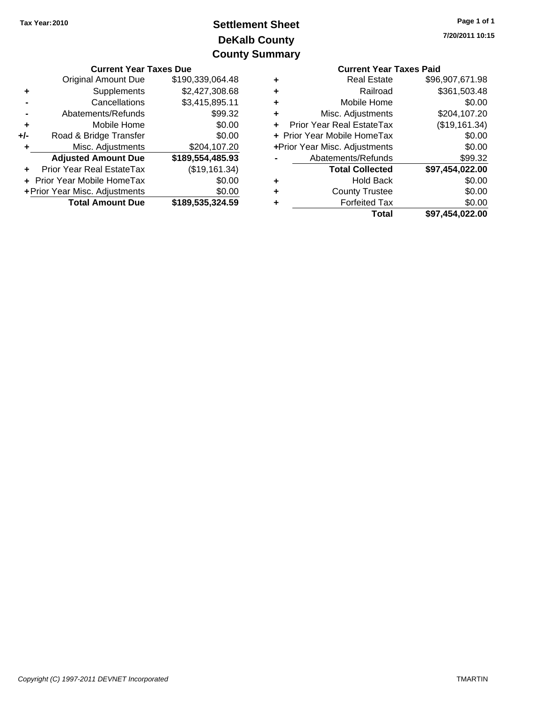## **DeKalb County Settlement Sheet Tax Year:2010 County Summary**

| <b>Current Year Taxes Due</b> |                                |                  | <b>Current Year Taxes Paid</b> |                                  |                 |
|-------------------------------|--------------------------------|------------------|--------------------------------|----------------------------------|-----------------|
|                               | <b>Original Amount Due</b>     | \$190,339,064.48 | ٠                              | <b>Real Estate</b>               | \$96,907,671.98 |
| ٠                             | Supplements                    | \$2,427,308.68   | ٠                              | Railroad                         | \$361,503.48    |
|                               | Cancellations                  | \$3,415,895.11   | ٠                              | Mobile Home                      | \$0.00          |
|                               | Abatements/Refunds             | \$99.32          | ٠                              | Misc. Adjustments                | \$204,107.20    |
| ٠                             | Mobile Home                    | \$0.00           | ÷.                             | <b>Prior Year Real EstateTax</b> | (\$19,161.34)   |
| $+/-$                         | Road & Bridge Transfer         | \$0.00           | + Prior Year Mobile HomeTax    |                                  | \$0.00          |
|                               | Misc. Adjustments              | \$204,107.20     |                                | +Prior Year Misc. Adjustments    | \$0.00          |
|                               | <b>Adjusted Amount Due</b>     | \$189,554,485.93 |                                | Abatements/Refunds               | \$99.32         |
| ÷.                            | Prior Year Real EstateTax      | (\$19,161.34)    |                                | <b>Total Collected</b>           | \$97,454,022.00 |
|                               | + Prior Year Mobile HomeTax    | \$0.00           | ٠                              | <b>Hold Back</b>                 | \$0.00          |
|                               | + Prior Year Misc. Adjustments | \$0.00           | ٠                              | <b>County Trustee</b>            | \$0.00          |
| <b>Total Amount Due</b>       |                                | \$189,535,324.59 | ٠                              | <b>Forfeited Tax</b>             | \$0.00          |
|                               |                                |                  |                                | Total                            | \$97,454,022,00 |

|   | <b>Current Year Taxes Paid</b> |                 |
|---|--------------------------------|-----------------|
| ٠ | <b>Real Estate</b>             | \$96,907,671.98 |
|   | Railroad                       | \$361,503.48    |
|   | Mobile Home                    | \$0.00          |
| ÷ | Misc. Adjustments              | \$204,107.20    |
|   | Prior Year Real EstateTax      | (\$19,161.34)   |
|   | + Prior Year Mobile HomeTax    | \$0.00          |
|   | +Prior Year Misc. Adjustments  | \$0.00          |
|   | Abatements/Refunds             | \$99.32         |
|   | <b>Total Collected</b>         | \$97,454,022.00 |
|   | <b>Hold Back</b>               | \$0.00          |
|   | <b>County Trustee</b>          | \$0.00          |
|   | <b>Forfeited Tax</b>           | \$0.00          |
|   | Total                          | \$97.454.022.00 |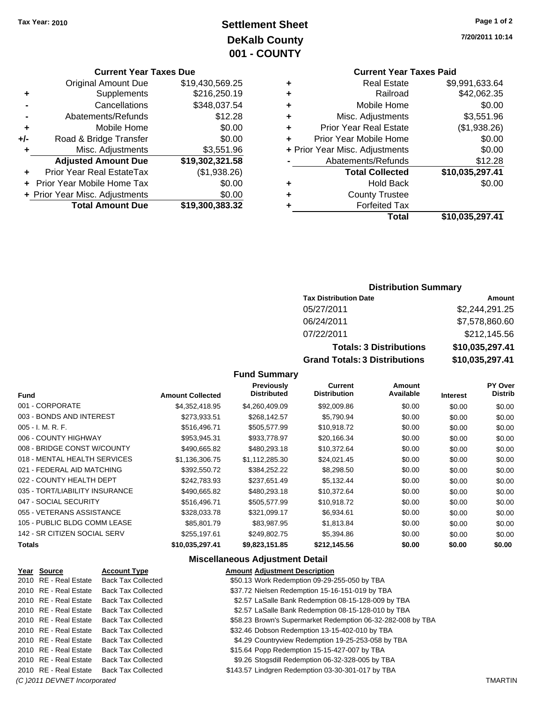### **Settlement Sheet Tax Year: 2010 Page 1 of 2 DeKalb County 001 - COUNTY**

#### **Current Year Taxes Due**

|     | <b>Original Amount Due</b>        | \$19,430,569.25 |
|-----|-----------------------------------|-----------------|
| ٠   | Supplements                       | \$216,250.19    |
|     | Cancellations                     | \$348,037.54    |
|     | Abatements/Refunds                | \$12.28         |
| ٠   | Mobile Home                       | \$0.00          |
| +/- | Road & Bridge Transfer            | \$0.00          |
| ٠   | Misc. Adjustments                 | \$3,551.96      |
|     | <b>Adjusted Amount Due</b>        | \$19,302,321.58 |
|     | <b>Prior Year Real EstateTax</b>  | (\$1,938.26)    |
|     | <b>Prior Year Mobile Home Tax</b> | \$0.00          |
|     | + Prior Year Misc. Adjustments    | \$0.00          |
|     | <b>Total Amount Due</b>           | \$19,300,383.32 |

# **Current Year Taxes Paid**

|   | <b>Real Estate</b>             | \$9,991,633.64  |
|---|--------------------------------|-----------------|
| ٠ | Railroad                       | \$42,062.35     |
| ٠ | Mobile Home                    | \$0.00          |
| ٠ | Misc. Adjustments              | \$3,551.96      |
| ٠ | <b>Prior Year Real Estate</b>  | (\$1,938.26)    |
|   | Prior Year Mobile Home         | \$0.00          |
|   | + Prior Year Misc. Adjustments | \$0.00          |
|   | Abatements/Refunds             | \$12.28         |
|   | <b>Total Collected</b>         | \$10,035,297.41 |
| ٠ | <b>Hold Back</b>               | \$0.00          |
| ٠ | <b>County Trustee</b>          |                 |
|   | <b>Forfeited Tax</b>           |                 |
|   | Total                          | \$10,035,297.41 |
|   |                                |                 |

#### **Distribution Summary**

| <b>Tax Distribution Date</b>         | Amount          |
|--------------------------------------|-----------------|
| 05/27/2011                           | \$2,244,291.25  |
| 06/24/2011                           | \$7,578,860.60  |
| 07/22/2011                           | \$212,145.56    |
| <b>Totals: 3 Distributions</b>       | \$10,035,297.41 |
| <b>Grand Totals: 3 Distributions</b> | \$10,035,297.41 |

### **Fund Summary**

| 001 - CORPORATE<br>\$4,352,418.95<br>\$4,260,409.09<br>\$92,009.86<br>\$0.00<br>\$0.00<br>003 - BONDS AND INTEREST<br>\$273,933.51<br>\$268,142.57<br>\$5,790.94<br>\$0.00<br>\$0.00<br>005 - I. M. R. F.<br>\$10,918.72<br>\$516.496.71<br>\$505,577.99<br>\$0.00<br>\$0.00<br>006 - COUNTY HIGHWAY<br>\$953,945.31<br>\$933,778.97<br>\$20,166.34<br>\$0.00<br>\$0.00<br>008 - BRIDGE CONST W/COUNTY<br>\$480,293.18<br>\$10,372.64<br>\$490,665.82<br>\$0.00<br>\$0.00<br>018 - MENTAL HEALTH SERVICES<br>\$1,136,306.75<br>\$24,021.45<br>\$1,112,285.30<br>\$0.00<br>\$0.00<br>021 - FEDERAL AID MATCHING<br>\$392,550.72<br>\$384,252.22<br>\$8,298.50<br>\$0.00<br>\$0.00<br>022 - COUNTY HEALTH DEPT<br>\$242,783.93<br>\$5,132.44<br>\$237,651.49<br>\$0.00<br>\$0.00 | \$0.00<br>\$0.00<br>\$0.00<br>\$0.00 |
|--------------------------------------------------------------------------------------------------------------------------------------------------------------------------------------------------------------------------------------------------------------------------------------------------------------------------------------------------------------------------------------------------------------------------------------------------------------------------------------------------------------------------------------------------------------------------------------------------------------------------------------------------------------------------------------------------------------------------------------------------------------------------------|--------------------------------------|
|                                                                                                                                                                                                                                                                                                                                                                                                                                                                                                                                                                                                                                                                                                                                                                                |                                      |
|                                                                                                                                                                                                                                                                                                                                                                                                                                                                                                                                                                                                                                                                                                                                                                                |                                      |
|                                                                                                                                                                                                                                                                                                                                                                                                                                                                                                                                                                                                                                                                                                                                                                                |                                      |
|                                                                                                                                                                                                                                                                                                                                                                                                                                                                                                                                                                                                                                                                                                                                                                                |                                      |
|                                                                                                                                                                                                                                                                                                                                                                                                                                                                                                                                                                                                                                                                                                                                                                                | \$0.00                               |
|                                                                                                                                                                                                                                                                                                                                                                                                                                                                                                                                                                                                                                                                                                                                                                                | \$0.00                               |
|                                                                                                                                                                                                                                                                                                                                                                                                                                                                                                                                                                                                                                                                                                                                                                                | \$0.00                               |
|                                                                                                                                                                                                                                                                                                                                                                                                                                                                                                                                                                                                                                                                                                                                                                                | \$0.00                               |
| 035 - TORT/LIABILITY INSURANCE<br>\$10,372.64<br>\$490,665.82<br>\$480,293.18<br>\$0.00<br>\$0.00                                                                                                                                                                                                                                                                                                                                                                                                                                                                                                                                                                                                                                                                              | \$0.00                               |
| 047 - SOCIAL SECURITY<br>\$505,577.99<br>\$516.496.71<br>\$10,918.72<br>\$0.00<br>\$0.00                                                                                                                                                                                                                                                                                                                                                                                                                                                                                                                                                                                                                                                                                       | \$0.00                               |
| 055 - VETERANS ASSISTANCE<br>\$328,033.78<br>\$6,934.61<br>\$321,099.17<br>\$0.00<br>\$0.00                                                                                                                                                                                                                                                                                                                                                                                                                                                                                                                                                                                                                                                                                    | \$0.00                               |
| 105 - PUBLIC BLDG COMM LEASE<br>\$85,801.79<br>\$83.987.95<br>\$1,813.84<br>\$0.00<br>\$0.00                                                                                                                                                                                                                                                                                                                                                                                                                                                                                                                                                                                                                                                                                   | \$0.00                               |
| 142 - SR CITIZEN SOCIAL SERV<br>\$5,394.86<br>\$255.197.61<br>\$249,802.75<br>\$0.00<br>\$0.00                                                                                                                                                                                                                                                                                                                                                                                                                                                                                                                                                                                                                                                                                 | \$0.00                               |
| <b>Totals</b><br>\$9,823,151.85<br>\$212,145.56<br>\$0.00<br>\$10,035,297.41<br>\$0.00                                                                                                                                                                                                                                                                                                                                                                                                                                                                                                                                                                                                                                                                                         | \$0.00                               |

|                                                | Year Source           | <b>Account Type</b>       | <b>Amount Adjustment Description</b>                        |  |
|------------------------------------------------|-----------------------|---------------------------|-------------------------------------------------------------|--|
|                                                | 2010 RE - Real Estate | <b>Back Tax Collected</b> | \$50.13 Work Redemption 09-29-255-050 by TBA                |  |
|                                                | 2010 RE - Real Estate | Back Tax Collected        | \$37.72 Nielsen Redemption 15-16-151-019 by TBA             |  |
|                                                | 2010 RE - Real Estate | <b>Back Tax Collected</b> | \$2.57 LaSalle Bank Redemption 08-15-128-009 by TBA         |  |
|                                                | 2010 RE - Real Estate | Back Tax Collected        | \$2.57 LaSalle Bank Redemption 08-15-128-010 by TBA         |  |
|                                                | 2010 RE - Real Estate | <b>Back Tax Collected</b> | \$58.23 Brown's Supermarket Redemption 06-32-282-008 by TBA |  |
|                                                | 2010 RE - Real Estate | <b>Back Tax Collected</b> | \$32.46 Dobson Redemption 13-15-402-010 by TBA              |  |
|                                                | 2010 RE - Real Estate | <b>Back Tax Collected</b> | \$4.29 Countryview Redemption 19-25-253-058 by TBA          |  |
|                                                | 2010 RE - Real Estate | <b>Back Tax Collected</b> | \$15.64 Popp Redemption 15-15-427-007 by TBA                |  |
|                                                | 2010 RE - Real Estate | <b>Back Tax Collected</b> | \$9.26 Stogsdill Redemption 06-32-328-005 by TBA            |  |
|                                                | 2010 RE - Real Estate | <b>Back Tax Collected</b> | \$143.57 Lindgren Redemption 03-30-301-017 by TBA           |  |
| (C) 2011 DEVNET Incorporated<br><b>TMARTIN</b> |                       |                           |                                                             |  |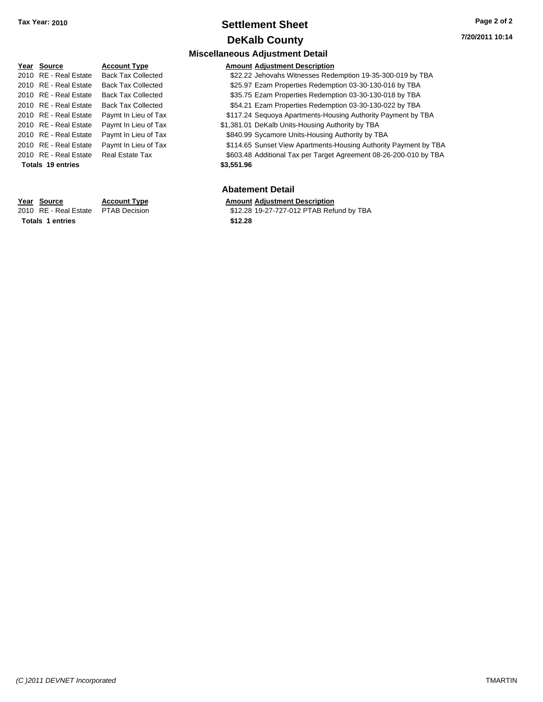### **Settlement Sheet Tax Year: 2010 Page 2 of 2 DeKalb County**

### **Miscellaneous Adjustment Detail Year Source Account Type Amount Adjustment Description** 2010 RE - Real Estate Back Tax Collected \$22.22 Jehovahs Witnesses Redemption 19-35-300-019 by TBA 2010 RE - Real Estate Back Tax Collected \$25.97 Ezam Properties Redemption 03-30-130-016 by TBA 2010 RE - Real Estate Back Tax Collected \$35.75 Ezam Properties Redemption 03-30-130-018 by TBA 2010 RE - Real Estate Back Tax Collected \$54.21 Ezam Properties Redemption 03-30-130-022 by TBA 2010 RE - Real Estate Paymt In Lieu of Tax \$117.24 Sequoya Apartments-Housing Authority Payment by TBA 2010 RE - Real Estate Paymt In Lieu of Tax \$1,381.01 DeKalb Units-Housing Authority by TBA 2010 RE - Real Estate Paymt In Lieu of Tax \$840.99 Sycamore Units-Housing Authority by TBA 2010 RE - Real Estate Paymt In Lieu of Tax \$114.65 Sunset View Apartments-Housing Authority Payment by TBA 2010 RE - Real Estate Real Estate Tax **\$603.48** Additional Tax per Target Agreement 08-26-200-010 by TBA **Totals \$3,551.96 19 entries Abatement Detail**

**Totals \$12.28 1 entries**

**Year Source Account Type Amount Adjustment Description** 2010 RE - Real Estate \$12.28 19-27-727-012 PTAB Refund by TBA PTAB Decision

*(C )2011 DEVNET Incorporated* TMARTIN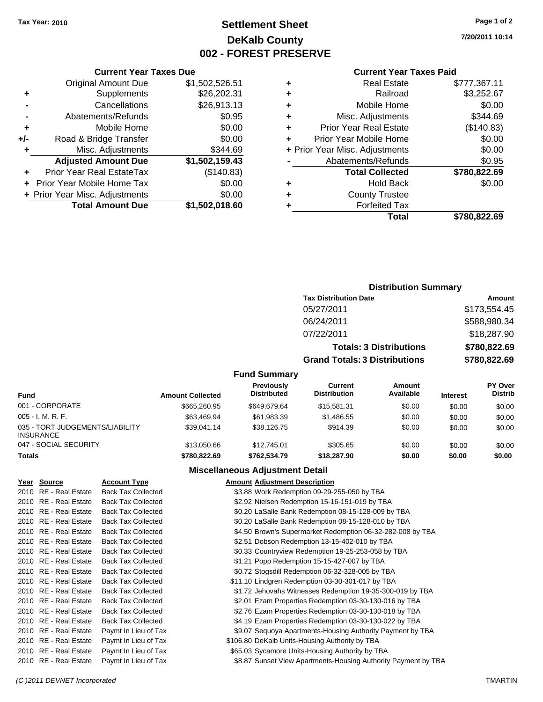### **Settlement Sheet Tax Year: 2010 Page 1 of 2 DeKalb County 002 - FOREST PRESERVE**

**7/20/2011 10:14**

#### **Current Year Taxes Paid**

| ٠ | <b>Real Estate</b>             | \$777,367.11 |
|---|--------------------------------|--------------|
| ٠ | Railroad                       | \$3,252.67   |
| ٠ | Mobile Home                    | \$0.00       |
| ٠ | Misc. Adjustments              | \$344.69     |
| ٠ | <b>Prior Year Real Estate</b>  | (\$140.83)   |
|   | Prior Year Mobile Home         | \$0.00       |
|   | + Prior Year Misc. Adjustments | \$0.00       |
|   | Abatements/Refunds             | \$0.95       |
|   | <b>Total Collected</b>         | \$780,822.69 |
| ٠ | <b>Hold Back</b>               | \$0.00       |
| ٠ | <b>County Trustee</b>          |              |
|   | <b>Forfeited Tax</b>           |              |
|   | Total                          | \$780.822.69 |

|     | <b>Current Year Taxes Due</b>  |                |  |  |  |
|-----|--------------------------------|----------------|--|--|--|
|     | <b>Original Amount Due</b>     | \$1,502,526.51 |  |  |  |
| ٠   | Supplements                    | \$26,202.31    |  |  |  |
|     | Cancellations                  | \$26,913.13    |  |  |  |
|     | Abatements/Refunds             | \$0.95         |  |  |  |
| ٠   | Mobile Home                    | \$0.00         |  |  |  |
| +/- | Road & Bridge Transfer         | \$0.00         |  |  |  |
| ٠   | Misc. Adjustments              | \$344.69       |  |  |  |
|     | <b>Adjusted Amount Due</b>     | \$1,502,159.43 |  |  |  |
| ٠   | Prior Year Real EstateTax      | (\$140.83)     |  |  |  |
|     | Prior Year Mobile Home Tax     | \$0.00         |  |  |  |
|     | + Prior Year Misc. Adjustments | \$0.00         |  |  |  |
|     | <b>Total Amount Due</b>        | \$1,502,018.60 |  |  |  |
|     |                                |                |  |  |  |

### **Distribution Summary**

| <b>Tax Distribution Date</b>         | Amount       |
|--------------------------------------|--------------|
| 05/27/2011                           | \$173,554.45 |
| 06/24/2011                           | \$588,980.34 |
| 07/22/2011                           | \$18,287.90  |
| <b>Totals: 3 Distributions</b>       | \$780,822.69 |
| <b>Grand Totals: 3 Distributions</b> | \$780,822.69 |

#### **Fund Summary**

| Fund                                                | <b>Amount Collected</b> | <b>Previously</b><br><b>Distributed</b> | Current<br><b>Distribution</b> | Amount<br>Available | <b>Interest</b> | <b>PY Over</b><br><b>Distrib</b> |
|-----------------------------------------------------|-------------------------|-----------------------------------------|--------------------------------|---------------------|-----------------|----------------------------------|
| 001 - CORPORATE                                     | \$665,260.95            | \$649.679.64                            | \$15.581.31                    | \$0.00              | \$0.00          | \$0.00                           |
| $005 - I. M. R. F.$                                 | \$63,469.94             | \$61,983.39                             | \$1.486.55                     | \$0.00              | \$0.00          | \$0.00                           |
| 035 - TORT JUDGEMENTS/LIABILITY<br><b>INSURANCE</b> | \$39.041.14             | \$38,126,75                             | \$914.39                       | \$0.00              | \$0.00          | \$0.00                           |
| 047 - SOCIAL SECURITY                               | \$13,050.66             | \$12.745.01                             | \$305.65                       | \$0.00              | \$0.00          | \$0.00                           |
| <b>Totals</b>                                       | \$780,822,69            | \$762,534.79                            | \$18,287.90                    | \$0.00              | \$0.00          | \$0.00                           |

#### **Miscellaneous Adjustment Detail**

| Year Source           | <b>Account Type</b>       | <b>Amount Adjustment Description</b>                           |
|-----------------------|---------------------------|----------------------------------------------------------------|
| 2010 RE - Real Estate | <b>Back Tax Collected</b> | \$3.88 Work Redemption 09-29-255-050 by TBA                    |
| 2010 RE - Real Estate | <b>Back Tax Collected</b> | \$2.92 Nielsen Redemption 15-16-151-019 by TBA                 |
| 2010 RE - Real Estate | <b>Back Tax Collected</b> | \$0.20 LaSalle Bank Redemption 08-15-128-009 by TBA            |
| 2010 RE - Real Estate | <b>Back Tax Collected</b> | \$0.20 LaSalle Bank Redemption 08-15-128-010 by TBA            |
| 2010 RE - Real Estate | <b>Back Tax Collected</b> | \$4.50 Brown's Supermarket Redemption 06-32-282-008 by TBA     |
| 2010 RE - Real Estate | <b>Back Tax Collected</b> | \$2.51 Dobson Redemption 13-15-402-010 by TBA                  |
| 2010 RE - Real Estate | <b>Back Tax Collected</b> | \$0.33 Countryview Redemption 19-25-253-058 by TBA             |
| 2010 RE - Real Estate | <b>Back Tax Collected</b> | \$1.21 Popp Redemption 15-15-427-007 by TBA                    |
| 2010 RE - Real Estate | <b>Back Tax Collected</b> | \$0.72 Stogsdill Redemption 06-32-328-005 by TBA               |
| 2010 RE - Real Estate | <b>Back Tax Collected</b> | \$11.10 Lindgren Redemption 03-30-301-017 by TBA               |
| 2010 RE - Real Estate | <b>Back Tax Collected</b> | \$1.72 Jehovahs Witnesses Redemption 19-35-300-019 by TBA      |
| 2010 RE - Real Estate | <b>Back Tax Collected</b> | \$2.01 Ezam Properties Redemption 03-30-130-016 by TBA         |
| 2010 RE - Real Estate | <b>Back Tax Collected</b> | \$2.76 Ezam Properties Redemption 03-30-130-018 by TBA         |
| 2010 RE - Real Estate | <b>Back Tax Collected</b> | \$4.19 Ezam Properties Redemption 03-30-130-022 by TBA         |
| 2010 RE - Real Estate | Paymt In Lieu of Tax      | \$9.07 Sequoya Apartments-Housing Authority Payment by TBA     |
| 2010 RE - Real Estate | Paymt In Lieu of Tax      | \$106.80 DeKalb Units-Housing Authority by TBA                 |
| 2010 RE - Real Estate | Paymt In Lieu of Tax      | \$65.03 Sycamore Units-Housing Authority by TBA                |
| 2010 RE - Real Estate | Paymt In Lieu of Tax      | \$8.87 Sunset View Apartments-Housing Authority Payment by TBA |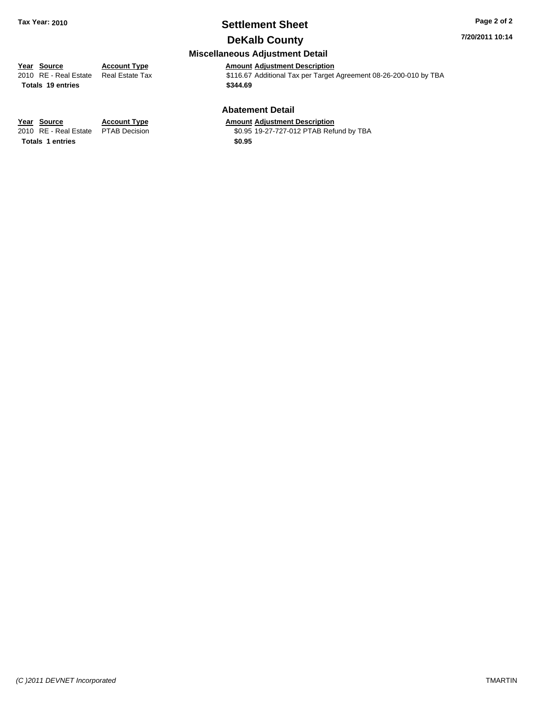# **Settlement Sheet Tax Year: 2010 Page 2 of 2**

**7/20/2011 10:14**

### **DeKalb County**

#### **Miscellaneous Adjustment Detail**

**Year Source Account Type Amount Adjustment Description**<br>
2010 RE - Real Estate Real Estate Tax **Account S116.67** Additional Tax per Target \$116.67 Additional Tax per Target Agreement 08-26-200-010 by TBA

# **Totals \$344.69 19 entries**

## **Abatement Detail**

**Year Source Account Type Amount Adjustment Description**<br>2010 RE - Real Estate PTAB Decision **Amount** \$0.95 19-27-727-012 PTAB Ref \$0.95 19-27-727-012 PTAB Refund by TBA

**Totals \$0.95 1 entries**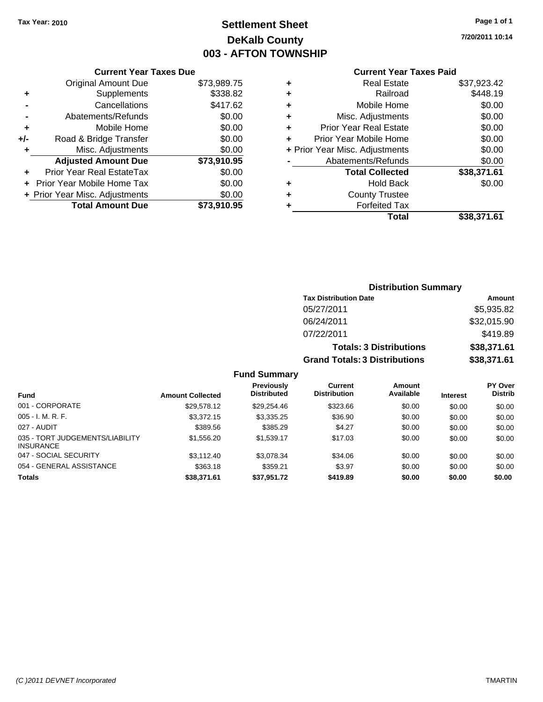## **Settlement Sheet Tax Year: 2010 Page 1 of 1 DeKalb County 003 - AFTON TOWNSHIP**

**7/20/2011 10:14**

#### **Current Year Taxes Paid**

|     | <b>Current Year Taxes Due</b>     |             |
|-----|-----------------------------------|-------------|
|     | <b>Original Amount Due</b>        | \$73,989.75 |
| ٠   | Supplements                       | \$338.82    |
|     | Cancellations                     | \$417.62    |
|     | Abatements/Refunds                | \$0.00      |
| ÷   | Mobile Home                       | \$0.00      |
| +/- | Road & Bridge Transfer            | \$0.00      |
|     | Misc. Adjustments                 | \$0.00      |
|     | <b>Adjusted Amount Due</b>        | \$73,910.95 |
|     | Prior Year Real EstateTax         | \$0.00      |
|     | <b>Prior Year Mobile Home Tax</b> | \$0.00      |
|     | + Prior Year Misc. Adjustments    | \$0.00      |
|     | <b>Total Amount Due</b>           | \$73.910.95 |
|     |                                   |             |

|   | <b>Real Estate</b>             | \$37,923.42 |
|---|--------------------------------|-------------|
| ٠ | Railroad                       | \$448.19    |
| ٠ | Mobile Home                    | \$0.00      |
| ٠ | Misc. Adjustments              | \$0.00      |
| ٠ | Prior Year Real Estate         | \$0.00      |
|   | Prior Year Mobile Home         | \$0.00      |
|   | + Prior Year Misc. Adjustments | \$0.00      |
|   | Abatements/Refunds             | \$0.00      |
|   | <b>Total Collected</b>         | \$38,371.61 |
| ٠ | <b>Hold Back</b>               | \$0.00      |
| ٠ | <b>County Trustee</b>          |             |
| ٠ | <b>Forfeited Tax</b>           |             |
|   | Total                          | \$38,371.61 |
|   |                                |             |

### **Distribution Summary Tax Distribution Date Amount** 05/27/2011 \$5,935.82 06/24/2011 \$32,015.90 07/22/2011 \$419.89 **Totals: 3 Distributions \$38,371.61 Grand Totals: 3 Distributions \$38,371.61 Fund Summary**

|                                                     |                         | <b>Previously</b><br><b>Distributed</b> | Current<br><b>Distribution</b> | Amount<br>Available |                 | <b>PY Over</b><br><b>Distrib</b> |
|-----------------------------------------------------|-------------------------|-----------------------------------------|--------------------------------|---------------------|-----------------|----------------------------------|
| <b>Fund</b>                                         | <b>Amount Collected</b> |                                         |                                |                     | <b>Interest</b> |                                  |
| 001 - CORPORATE                                     | \$29,578.12             | \$29,254.46                             | \$323.66                       | \$0.00              | \$0.00          | \$0.00                           |
| $005 - I. M. R. F.$                                 | \$3,372.15              | \$3,335.25                              | \$36.90                        | \$0.00              | \$0.00          | \$0.00                           |
| 027 - AUDIT                                         | \$389.56                | \$385.29                                | \$4.27                         | \$0.00              | \$0.00          | \$0.00                           |
| 035 - TORT JUDGEMENTS/LIABILITY<br><b>INSURANCE</b> | \$1,556.20              | \$1.539.17                              | \$17.03                        | \$0.00              | \$0.00          | \$0.00                           |
| 047 - SOCIAL SECURITY                               | \$3.112.40              | \$3.078.34                              | \$34.06                        | \$0.00              | \$0.00          | \$0.00                           |
| 054 - GENERAL ASSISTANCE                            | \$363.18                | \$359.21                                | \$3.97                         | \$0.00              | \$0.00          | \$0.00                           |
| <b>Totals</b>                                       | \$38,371.61             | \$37,951.72                             | \$419.89                       | \$0.00              | \$0.00          | \$0.00                           |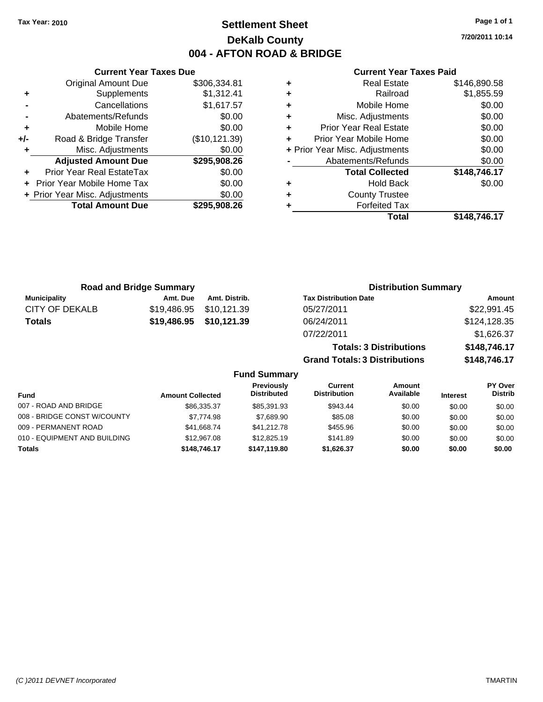### **Settlement Sheet Tax Year: 2010 Page 1 of 1 DeKalb County 004 - AFTON ROAD & BRIDGE**

**7/20/2011 10:14**

#### **Current Year Taxes Paid**

|     | <b>Current Year Taxes Due</b>  |                |  |  |  |  |
|-----|--------------------------------|----------------|--|--|--|--|
|     | <b>Original Amount Due</b>     | \$306,334.81   |  |  |  |  |
| ٠   | Supplements                    | \$1,312.41     |  |  |  |  |
|     | Cancellations                  | \$1,617.57     |  |  |  |  |
|     | Abatements/Refunds             | \$0.00         |  |  |  |  |
| ٠   | Mobile Home                    | \$0.00         |  |  |  |  |
| +/- | Road & Bridge Transfer         | (\$10, 121.39) |  |  |  |  |
| ٠   | Misc. Adjustments              | \$0.00         |  |  |  |  |
|     | <b>Adjusted Amount Due</b>     | \$295,908.26   |  |  |  |  |
| ٠   | Prior Year Real EstateTax      | \$0.00         |  |  |  |  |
|     | Prior Year Mobile Home Tax     | \$0.00         |  |  |  |  |
|     | + Prior Year Misc. Adjustments | \$0.00         |  |  |  |  |
|     | <b>Total Amount Due</b>        | \$295,908.26   |  |  |  |  |
|     |                                |                |  |  |  |  |

|   | <b>Real Estate</b>             | \$146,890.58 |
|---|--------------------------------|--------------|
| ÷ | Railroad                       | \$1,855.59   |
| ٠ | Mobile Home                    | \$0.00       |
| ٠ | Misc. Adjustments              | \$0.00       |
| ٠ | <b>Prior Year Real Estate</b>  | \$0.00       |
| ٠ | Prior Year Mobile Home         | \$0.00       |
|   | + Prior Year Misc. Adjustments | \$0.00       |
|   | Abatements/Refunds             | \$0.00       |
|   | <b>Total Collected</b>         | \$148,746.17 |
| ٠ | <b>Hold Back</b>               | \$0.00       |
| ٠ | <b>County Trustee</b>          |              |
| ٠ | <b>Forfeited Tax</b>           |              |
|   | Total                          | \$148.746.17 |

**Totals: 3 Distributions \$148,746.17**

**Grand Totals: 3 Distributions \$148,746.17**

| <b>Road and Bridge Summary</b> |          |                         | <b>Distribution Summary</b>  |              |
|--------------------------------|----------|-------------------------|------------------------------|--------------|
| Municipality                   | Amt. Due | Amt. Distrib.           | <b>Tax Distribution Date</b> | Amount       |
| CITY OF DEKALB                 |          | \$19,486.95 \$10,121.39 | 05/27/2011                   | \$22,991.45  |
| <b>Totals</b>                  |          | \$19,486.95 \$10,121.39 | 06/24/2011                   | \$124,128.35 |
|                                |          |                         | 07/22/2011                   | \$1,626.37   |

|                              | <b>Fund Summary</b>     |                                         |                                |                     |                 |                           |
|------------------------------|-------------------------|-----------------------------------------|--------------------------------|---------------------|-----------------|---------------------------|
| <b>Fund</b>                  | <b>Amount Collected</b> | <b>Previously</b><br><b>Distributed</b> | Current<br><b>Distribution</b> | Amount<br>Available | <b>Interest</b> | PY Over<br><b>Distrib</b> |
| 007 - ROAD AND BRIDGE        | \$86,335,37             | \$85,391.93                             | \$943.44                       | \$0.00              | \$0.00          | \$0.00                    |
| 008 - BRIDGE CONST W/COUNTY  | \$7,774.98              | \$7.689.90                              | \$85.08                        | \$0.00              | \$0.00          | \$0.00                    |
| 009 - PERMANENT ROAD         | \$41.668.74             | \$41.212.78                             | \$455.96                       | \$0.00              | \$0.00          | \$0.00                    |
| 010 - EQUIPMENT AND BUILDING | \$12,967.08             | \$12,825.19                             | \$141.89                       | \$0.00              | \$0.00          | \$0.00                    |
| Totals                       | \$148,746.17            | \$147.119.80                            | \$1,626.37                     | \$0.00              | \$0.00          | \$0.00                    |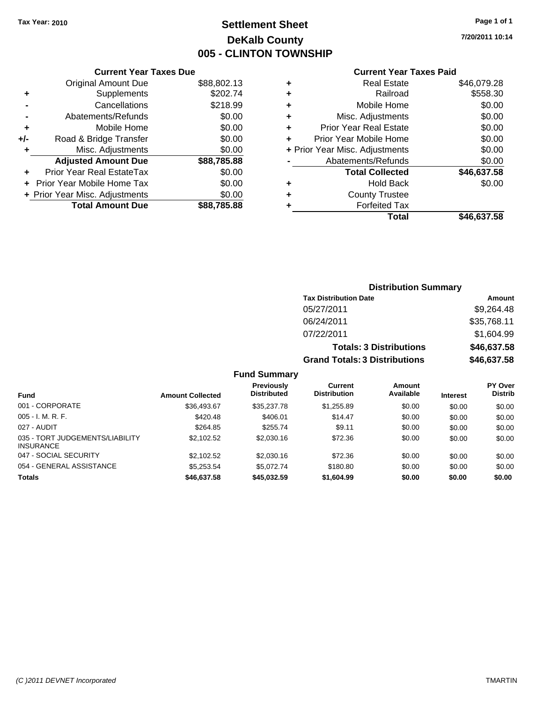### **Settlement Sheet Tax Year: 2010 Page 1 of 1 DeKalb County 005 - CLINTON TOWNSHIP**

**7/20/2011 10:14**

#### **Current Year Taxes Paid**

|     | <b>Total Amount Due</b>          | \$88,785.88 |
|-----|----------------------------------|-------------|
|     | + Prior Year Misc. Adjustments   | \$0.00      |
|     | Prior Year Mobile Home Tax       | \$0.00      |
| ٠   | <b>Prior Year Real EstateTax</b> | \$0.00      |
|     | <b>Adjusted Amount Due</b>       | \$88,785.88 |
| ٠   | Misc. Adjustments                | \$0.00      |
| +/- | Road & Bridge Transfer           | \$0.00      |
| ٠   | Mobile Home                      | \$0.00      |
|     | Abatements/Refunds               | \$0.00      |
|     | Cancellations                    | \$218.99    |
| ٠   | Supplements                      | \$202.74    |
|     | <b>Original Amount Due</b>       | \$88,802.13 |
|     |                                  |             |

**Current Year Taxes Due**

| ٠ | <b>Real Estate</b>             | \$46,079.28 |
|---|--------------------------------|-------------|
| ٠ | Railroad                       | \$558.30    |
| ٠ | Mobile Home                    | \$0.00      |
| ٠ | Misc. Adjustments              | \$0.00      |
| ÷ | <b>Prior Year Real Estate</b>  | \$0.00      |
| ÷ | Prior Year Mobile Home         | \$0.00      |
|   | + Prior Year Misc. Adjustments | \$0.00      |
|   | Abatements/Refunds             | \$0.00      |
|   | <b>Total Collected</b>         | \$46,637.58 |
| ٠ | Hold Back                      | \$0.00      |
| ٠ | <b>County Trustee</b>          |             |
| ٠ | <b>Forfeited Tax</b>           |             |
|   | Total                          | \$46,637.58 |
|   |                                |             |

### **Distribution Summary Tax Distribution Date Amount** 05/27/2011 \$9,264.48 06/24/2011 \$35,768.11 07/22/2011 \$1,604.99 **Totals: 3 Distributions \$46,637.58 Grand Totals: 3 Distributions \$46,637.58**

**Fund Summary**

| <b>Fund</b>                                         | <b>Amount Collected</b> | <b>Previously</b><br><b>Distributed</b> | Current<br><b>Distribution</b> | Amount<br>Available | <b>Interest</b> | <b>PY Over</b><br><b>Distrib</b> |
|-----------------------------------------------------|-------------------------|-----------------------------------------|--------------------------------|---------------------|-----------------|----------------------------------|
| 001 - CORPORATE                                     | \$36.493.67             | \$35,237,78                             | \$1,255.89                     | \$0.00              | \$0.00          | \$0.00                           |
| $005 - I. M. R. F.$                                 | \$420.48                | \$406.01                                | \$14.47                        | \$0.00              | \$0.00          | \$0.00                           |
| 027 - AUDIT                                         | \$264.85                | \$255.74                                | \$9.11                         | \$0.00              | \$0.00          | \$0.00                           |
| 035 - TORT JUDGEMENTS/LIABILITY<br><b>INSURANCE</b> | \$2,102.52              | \$2,030.16                              | \$72.36                        | \$0.00              | \$0.00          | \$0.00                           |
| 047 - SOCIAL SECURITY                               | \$2,102.52              | \$2,030.16                              | \$72.36                        | \$0.00              | \$0.00          | \$0.00                           |
| 054 - GENERAL ASSISTANCE                            | \$5.253.54              | \$5.072.74                              | \$180.80                       | \$0.00              | \$0.00          | \$0.00                           |
| <b>Totals</b>                                       | \$46,637.58             | \$45,032.59                             | \$1,604.99                     | \$0.00              | \$0.00          | \$0.00                           |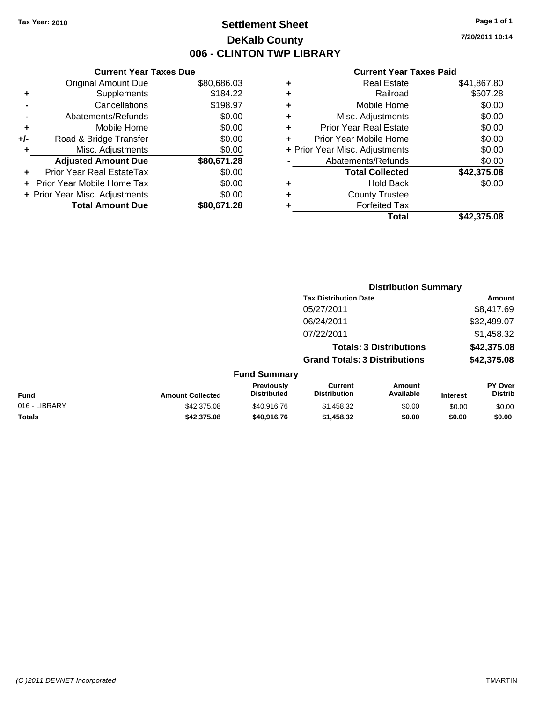### **Settlement Sheet Tax Year: 2010 Page 1 of 1 DeKalb County 006 - CLINTON TWP LIBRARY**

#### **Current Year Taxes Due** Original Amount Due \$80,686.03 **+** Supplements \$184.22 **-** Cancellations \$198.97 **-** Abatements/Refunds \$0.00 **+** Mobile Home \$0.00 **+/-** Road & Bridge Transfer \$0.00 **+** Misc. Adjustments \$0.00 **Adjusted Amount Due \$80,671.28 +** Prior Year Real EstateTax \$0.00 **+** Prior Year Mobile Home Tax \$0.00 **+ Prior Year Misc. Adjustments**  $$0.00$ **Total Amount Due \$80,671.28**

#### **Current Year Taxes Paid**

| ٠ | <b>Real Estate</b>             | \$41,867.80 |
|---|--------------------------------|-------------|
| ٠ | Railroad                       | \$507.28    |
| ٠ | Mobile Home                    | \$0.00      |
| ٠ | Misc. Adjustments              | \$0.00      |
| ٠ | <b>Prior Year Real Estate</b>  | \$0.00      |
| ÷ | Prior Year Mobile Home         | \$0.00      |
|   | + Prior Year Misc. Adjustments | \$0.00      |
|   | Abatements/Refunds             | \$0.00      |
|   | <b>Total Collected</b>         | \$42,375.08 |
| ٠ | Hold Back                      | \$0.00      |
| ٠ | <b>County Trustee</b>          |             |
| ٠ | <b>Forfeited Tax</b>           |             |
|   | Total                          | \$42,375.08 |
|   |                                |             |

|                         |                                         | <b>Distribution Summary</b>           |                                |                 |                           |  |
|-------------------------|-----------------------------------------|---------------------------------------|--------------------------------|-----------------|---------------------------|--|
|                         |                                         | <b>Tax Distribution Date</b>          |                                |                 | <b>Amount</b>             |  |
|                         |                                         | 05/27/2011                            |                                |                 | \$8,417.69                |  |
|                         |                                         | 06/24/2011                            |                                |                 | \$32,499.07               |  |
|                         |                                         | 07/22/2011                            |                                |                 | \$1,458.32                |  |
|                         |                                         |                                       | <b>Totals: 3 Distributions</b> |                 | \$42,375.08               |  |
|                         |                                         | <b>Grand Totals: 3 Distributions</b>  |                                |                 | \$42,375.08               |  |
|                         | <b>Fund Summary</b>                     |                                       |                                |                 |                           |  |
| <b>Amount Collected</b> | <b>Previously</b><br><b>Distributed</b> | <b>Current</b><br><b>Distribution</b> | Amount<br>Available            | <b>Interest</b> | PY Over<br><b>Distrib</b> |  |
| $ - - - - -$            |                                         |                                       | $\cdots$                       | ----            | -----                     |  |

**Fund Interest** 016 - LIBRARY \$42,375.08 \$40,916.76 \$1,458.32 \$0.00 \$0.00 \$0.00 **Totals \$42,375.08 \$40,916.76 \$1,458.32 \$0.00 \$0.00 \$0.00**

**7/20/2011 10:14**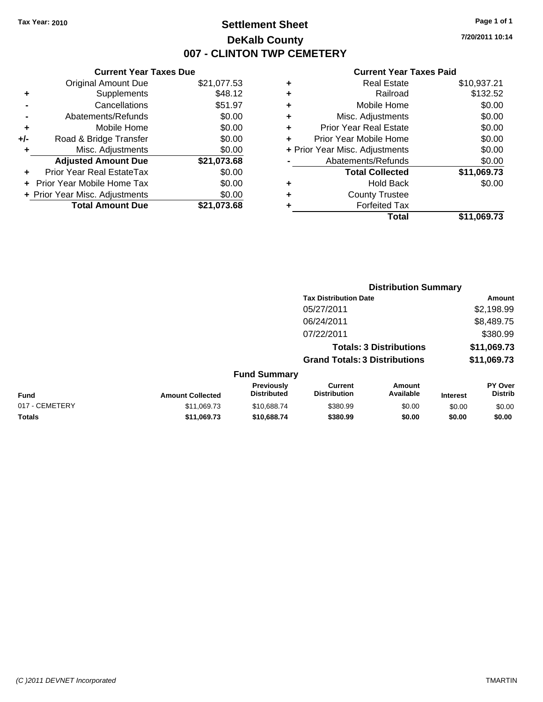### **Settlement Sheet Tax Year: 2010 Page 1 of 1 DeKalb County 007 - CLINTON TWP CEMETERY**

**7/20/2011 10:14**

|     | <b>Current Year Taxes Due</b>  |             |
|-----|--------------------------------|-------------|
|     | <b>Original Amount Due</b>     | \$21,077.53 |
| ٠   | Supplements                    | \$48.12     |
|     | Cancellations                  | \$51.97     |
|     | Abatements/Refunds             | \$0.00      |
| ٠   | Mobile Home                    | \$0.00      |
| +/- | Road & Bridge Transfer         | \$0.00      |
| ٠   | Misc. Adjustments              | \$0.00      |
|     | <b>Adjusted Amount Due</b>     | \$21,073.68 |
|     | Prior Year Real EstateTax      | \$0.00      |
|     | Prior Year Mobile Home Tax     | \$0.00      |
|     | + Prior Year Misc. Adjustments | \$0.00      |
|     | <b>Total Amount Due</b>        | \$21.073.68 |

|                |                         |                                  | <b>Distribution Summary</b>           |                                |                 |                                  |
|----------------|-------------------------|----------------------------------|---------------------------------------|--------------------------------|-----------------|----------------------------------|
|                |                         |                                  | <b>Tax Distribution Date</b>          |                                |                 | Amount                           |
|                |                         |                                  | 05/27/2011                            |                                |                 | \$2,198.99                       |
|                |                         |                                  | 06/24/2011                            |                                |                 | \$8,489.75                       |
|                |                         |                                  | 07/22/2011                            |                                |                 | \$380.99                         |
|                |                         |                                  |                                       | <b>Totals: 3 Distributions</b> |                 | \$11,069.73                      |
|                |                         |                                  | <b>Grand Totals: 3 Distributions</b>  |                                |                 | \$11,069.73                      |
|                |                         | <b>Fund Summary</b>              |                                       |                                |                 |                                  |
| <b>Fund</b>    | <b>Amount Collected</b> | Previously<br><b>Distributed</b> | <b>Current</b><br><b>Distribution</b> | Amount<br>Available            | <b>Interest</b> | <b>PY Over</b><br><b>Distrib</b> |
| 017 - CEMETERY | \$11,069.73             | \$10,688.74                      | \$380.99                              | \$0.00                         | \$0.00          | \$0.00                           |
| Totals         | \$11,069.73             | \$10,688,74                      | \$380.99                              | \$0.00                         | \$0.00          | \$0.00                           |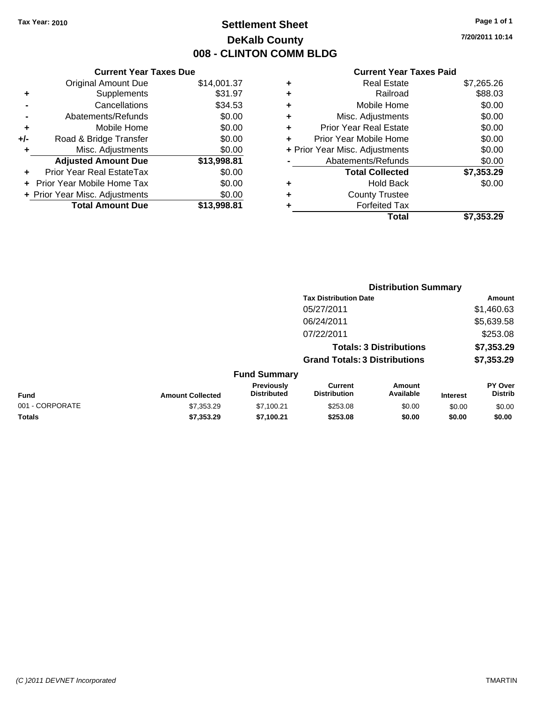### **Settlement Sheet Tax Year: 2010 Page 1 of 1 DeKalb County 008 - CLINTON COMM BLDG**

**7/20/2011 10:14**

|     | <b>Current Year Taxes Due</b>  |             |  |  |  |  |
|-----|--------------------------------|-------------|--|--|--|--|
|     | <b>Original Amount Due</b>     | \$14,001.37 |  |  |  |  |
| ٠   | Supplements                    | \$31.97     |  |  |  |  |
|     | Cancellations                  | \$34.53     |  |  |  |  |
|     | Abatements/Refunds             | \$0.00      |  |  |  |  |
| ٠   | Mobile Home                    | \$0.00      |  |  |  |  |
| +/- | Road & Bridge Transfer         | \$0.00      |  |  |  |  |
| ٠   | Misc. Adjustments              | \$0.00      |  |  |  |  |
|     | <b>Adjusted Amount Due</b>     | \$13,998.81 |  |  |  |  |
| ÷   | Prior Year Real EstateTax      | \$0.00      |  |  |  |  |
|     | Prior Year Mobile Home Tax     | \$0.00      |  |  |  |  |
|     | + Prior Year Misc. Adjustments | \$0.00      |  |  |  |  |
|     | <b>Total Amount Due</b>        | \$13.998.81 |  |  |  |  |
|     |                                |             |  |  |  |  |

| <b>Real Estate</b>     | \$7,265.26                     |
|------------------------|--------------------------------|
| Railroad               | \$88.03                        |
| Mobile Home            | \$0.00                         |
| Misc. Adjustments      | \$0.00                         |
| Prior Year Real Estate | \$0.00                         |
| Prior Year Mobile Home | \$0.00                         |
|                        | \$0.00                         |
| Abatements/Refunds     | \$0.00                         |
| <b>Total Collected</b> | \$7,353.29                     |
| Hold Back              | \$0.00                         |
| <b>County Trustee</b>  |                                |
| <b>Forfeited Tax</b>   |                                |
| Total                  | \$7,353.29                     |
|                        | + Prior Year Misc. Adjustments |

|                 |                         |                                  | <b>Distribution Summary</b>           |                                |                 |                           |
|-----------------|-------------------------|----------------------------------|---------------------------------------|--------------------------------|-----------------|---------------------------|
|                 |                         |                                  | <b>Tax Distribution Date</b>          |                                |                 | Amount                    |
|                 |                         |                                  | 05/27/2011                            |                                |                 | \$1,460.63                |
|                 |                         |                                  | 06/24/2011                            |                                |                 | \$5,639.58                |
|                 |                         |                                  | 07/22/2011                            |                                |                 | \$253.08                  |
|                 |                         |                                  |                                       | <b>Totals: 3 Distributions</b> |                 | \$7,353.29                |
|                 |                         |                                  | <b>Grand Totals: 3 Distributions</b>  |                                |                 | \$7,353.29                |
|                 |                         | <b>Fund Summary</b>              |                                       |                                |                 |                           |
| Fund            | <b>Amount Collected</b> | Previously<br><b>Distributed</b> | <b>Current</b><br><b>Distribution</b> | <b>Amount</b><br>Available     | <b>Interest</b> | PY Over<br><b>Distrib</b> |
| 001 - CORPORATE | \$7,353.29              | \$7,100.21                       | \$253.08                              | \$0.00                         | \$0.00          | \$0.00                    |
| Totals          | \$7,353.29              | \$7,100.21                       | \$253.08                              | \$0.00                         | \$0.00          | \$0.00                    |
|                 |                         |                                  |                                       |                                |                 |                           |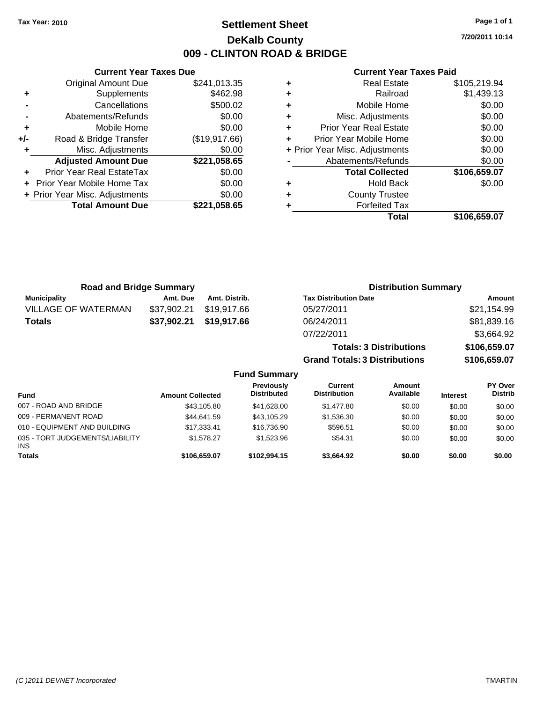**Current Year Taxes Due** Original Amount Due \$241,013.35

**Adjusted Amount Due \$221,058.65**

**Total Amount Due \$221,058.65**

**+** Supplements \$462.98 **-** Cancellations \$500.02 **-** Abatements/Refunds \$0.00 **+** Mobile Home \$0.00 **+/-** Road & Bridge Transfer (\$19,917.66) **+** Misc. Adjustments \$0.00

**+** Prior Year Real EstateTax \$0.00 **+** Prior Year Mobile Home Tax \$0.00 **+ Prior Year Misc. Adjustments**  $$0.00$ 

### **Settlement Sheet Tax Year: 2010 Page 1 of 1 DeKalb County 009 - CLINTON ROAD & BRIDGE**

**7/20/2011 10:14**

| <b>Road and Bridge Summary</b> |             |               | <b>Distribution Summary</b>          |              |  |
|--------------------------------|-------------|---------------|--------------------------------------|--------------|--|
| <b>Municipality</b>            | Amt. Due    | Amt. Distrib. | <b>Tax Distribution Date</b>         | Amount       |  |
| <b>VILLAGE OF WATERMAN</b>     | \$37,902.21 | \$19.917.66   | 05/27/2011                           | \$21,154.99  |  |
| <b>Totals</b>                  | \$37,902.21 | \$19,917.66   | 06/24/2011                           | \$81,839.16  |  |
|                                |             |               | 07/22/2011                           | \$3,664.92   |  |
|                                |             |               | <b>Totals: 3 Distributions</b>       | \$106,659.07 |  |
|                                |             |               | <b>Grand Totals: 3 Distributions</b> | \$106,659.07 |  |

|                                               |                         | <b>Fund Summary</b>                     |                                |                     |                 |                           |
|-----------------------------------------------|-------------------------|-----------------------------------------|--------------------------------|---------------------|-----------------|---------------------------|
| <b>Fund</b>                                   | <b>Amount Collected</b> | <b>Previously</b><br><b>Distributed</b> | Current<br><b>Distribution</b> | Amount<br>Available | <b>Interest</b> | PY Over<br><b>Distrib</b> |
| 007 - ROAD AND BRIDGE                         | \$43,105.80             | \$41.628.00                             | \$1,477.80                     | \$0.00              | \$0.00          | \$0.00                    |
| 009 - PERMANENT ROAD                          | \$44.641.59             | \$43.105.29                             | \$1,536.30                     | \$0.00              | \$0.00          | \$0.00                    |
| 010 - EQUIPMENT AND BUILDING                  | \$17,333.41             | \$16,736.90                             | \$596.51                       | \$0.00              | \$0.00          | \$0.00                    |
| 035 - TORT JUDGEMENTS/LIABILITY<br><b>INS</b> | \$1.578.27              | \$1.523.96                              | \$54.31                        | \$0.00              | \$0.00          | \$0.00                    |
| <b>Totals</b>                                 | \$106,659.07            | \$102.994.15                            | \$3,664.92                     | \$0.00              | \$0.00          | \$0.00                    |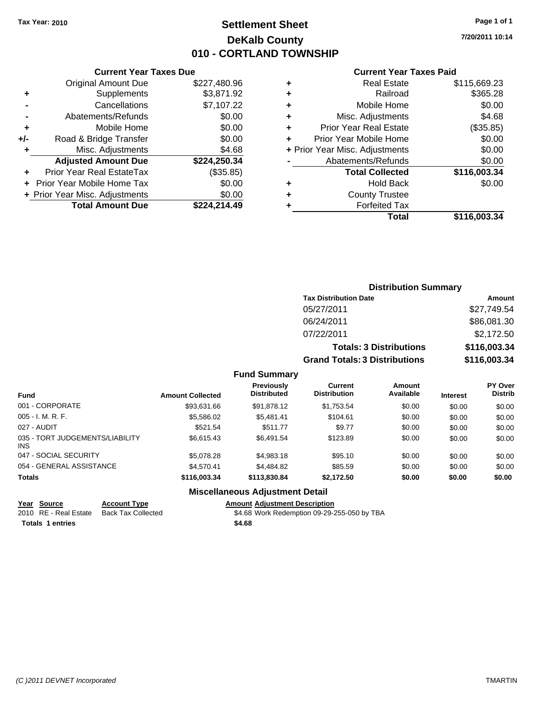### **Settlement Sheet Tax Year: 2010 Page 1 of 1 DeKalb County 010 - CORTLAND TOWNSHIP**

**7/20/2011 10:14**

#### **Current Year Taxes Paid**

|   | Total                          | \$116.003.34 |
|---|--------------------------------|--------------|
| ٠ | <b>Forfeited Tax</b>           |              |
| ٠ | <b>County Trustee</b>          |              |
| ٠ | Hold Back                      | \$0.00       |
|   | <b>Total Collected</b>         | \$116,003.34 |
|   | Abatements/Refunds             | \$0.00       |
|   | + Prior Year Misc. Adjustments | \$0.00       |
| ٠ | Prior Year Mobile Home         | \$0.00       |
| ٠ | <b>Prior Year Real Estate</b>  | (\$35.85)    |
| ٠ | Misc. Adjustments              | \$4.68       |
| ٠ | Mobile Home                    | \$0.00       |
| ٠ | Railroad                       | \$365.28     |
| ٠ | <b>Real Estate</b>             | \$115,669.23 |

|     | <b>Current Year Taxes Due</b>  |              |  |  |  |
|-----|--------------------------------|--------------|--|--|--|
|     | <b>Original Amount Due</b>     | \$227,480.96 |  |  |  |
| ٠   | Supplements                    | \$3,871.92   |  |  |  |
|     | Cancellations                  | \$7,107.22   |  |  |  |
|     | Abatements/Refunds             | \$0.00       |  |  |  |
| ٠   | Mobile Home                    | \$0.00       |  |  |  |
| +/- | Road & Bridge Transfer         | \$0.00       |  |  |  |
| ٠   | Misc. Adjustments              | \$4.68       |  |  |  |
|     | <b>Adjusted Amount Due</b>     | \$224,250.34 |  |  |  |
|     | Prior Year Real EstateTax      | (\$35.85)    |  |  |  |
|     | Prior Year Mobile Home Tax     | \$0.00       |  |  |  |
|     | + Prior Year Misc. Adjustments | \$0.00       |  |  |  |
|     | <b>Total Amount Due</b>        | \$224,214.49 |  |  |  |

### **Distribution Summary**

| <b>Tax Distribution Date</b>         | Amount       |
|--------------------------------------|--------------|
| 05/27/2011                           | \$27,749.54  |
| 06/24/2011                           | \$86,081.30  |
| 07/22/2011                           | \$2,172.50   |
| <b>Totals: 3 Distributions</b>       | \$116,003.34 |
| <b>Grand Totals: 3 Distributions</b> | \$116,003.34 |

#### **Fund Summary**

| <b>Fund</b>                             | <b>Amount Collected</b> | <b>Previously</b><br><b>Distributed</b> | <b>Current</b><br><b>Distribution</b> | <b>Amount</b><br>Available | <b>Interest</b> | <b>PY Over</b><br><b>Distrib</b> |
|-----------------------------------------|-------------------------|-----------------------------------------|---------------------------------------|----------------------------|-----------------|----------------------------------|
| 001 - CORPORATE                         | \$93,631.66             | \$91,878.12                             | \$1,753.54                            | \$0.00                     | \$0.00          | \$0.00                           |
| $005 - I. M. R. F.$                     | \$5,586.02              | \$5,481.41                              | \$104.61                              | \$0.00                     | \$0.00          | \$0.00                           |
| 027 - AUDIT                             | \$521.54                | \$511.77                                | \$9.77                                | \$0.00                     | \$0.00          | \$0.00                           |
| 035 - TORT JUDGEMENTS/LIABILITY<br>INS. | \$6.615.43              | \$6.491.54                              | \$123.89                              | \$0.00                     | \$0.00          | \$0.00                           |
| 047 - SOCIAL SECURITY                   | \$5,078.28              | \$4,983.18                              | \$95.10                               | \$0.00                     | \$0.00          | \$0.00                           |
| 054 - GENERAL ASSISTANCE                | \$4.570.41              | \$4,484.82                              | \$85.59                               | \$0.00                     | \$0.00          | \$0.00                           |
| <b>Totals</b>                           | \$116,003.34            | \$113,830,84                            | \$2,172.50                            | \$0.00                     | \$0.00          | \$0.00                           |

#### **Miscellaneous Adjustment Detail**

### **Year Source Account Type Amount Adjustment Description**

2010 RE - Real Estate Back Tax Collected \$4.68 Work Redemption 09-29-255-050 by TBA **Totals \$4.68 1 entries**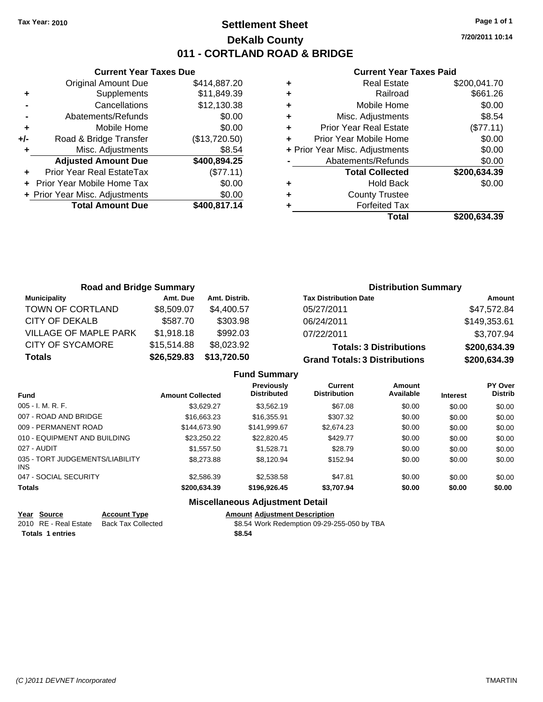### **Settlement Sheet Tax Year: 2010 Page 1 of 1 DeKalb County 011 - CORTLAND ROAD & BRIDGE**

**7/20/2011 10:14**

#### **Current Year Taxes Paid**

|     | <b>Current Year Taxes Due</b>  |               |
|-----|--------------------------------|---------------|
|     | <b>Original Amount Due</b>     | \$414,887.20  |
| ٠   | Supplements                    | \$11,849.39   |
|     | Cancellations                  | \$12,130.38   |
|     | Abatements/Refunds             | \$0.00        |
| ٠   | Mobile Home                    | \$0.00        |
| +/- | Road & Bridge Transfer         | (\$13,720.50) |
| ٠   | Misc. Adjustments              | \$8.54        |
|     | <b>Adjusted Amount Due</b>     | \$400,894.25  |
|     | Prior Year Real EstateTax      | (\$77.11)     |
|     | Prior Year Mobile Home Tax     | \$0.00        |
|     | + Prior Year Misc. Adjustments | \$0.00        |
|     | <b>Total Amount Due</b>        | \$400,817.14  |
|     |                                |               |

|   | <b>Real Estate</b>             | \$200,041.70 |
|---|--------------------------------|--------------|
| ٠ | Railroad                       | \$661.26     |
| ٠ | Mobile Home                    | \$0.00       |
| ٠ | Misc. Adjustments              | \$8.54       |
| ٠ | <b>Prior Year Real Estate</b>  | (\$77.11)    |
|   | Prior Year Mobile Home         | \$0.00       |
|   | + Prior Year Misc. Adjustments | \$0.00       |
|   | Abatements/Refunds             | \$0.00       |
|   | <b>Total Collected</b>         | \$200,634.39 |
|   | <b>Hold Back</b>               | \$0.00       |
| ٠ | <b>County Trustee</b>          |              |
|   | <b>Forfeited Tax</b>           |              |
|   | Total                          | \$200,634,39 |

| <b>Road and Bridge Summary</b> |             |               | <b>Distribution Summary</b>          |              |
|--------------------------------|-------------|---------------|--------------------------------------|--------------|
| <b>Municipality</b>            | Amt. Due    | Amt. Distrib. | <b>Tax Distribution Date</b>         | Amount       |
| TOWN OF CORTLAND               | \$8,509.07  | \$4,400.57    | 05/27/2011                           | \$47,572.84  |
| CITY OF DEKALB                 | \$587.70    | \$303.98      | 06/24/2011                           | \$149,353.61 |
| <b>VILLAGE OF MAPLE PARK</b>   | \$1,918.18  | \$992.03      | 07/22/2011                           | \$3,707.94   |
| <b>CITY OF SYCAMORE</b>        | \$15,514.88 | \$8,023.92    | <b>Totals: 3 Distributions</b>       | \$200,634.39 |
| <b>Totals</b>                  | \$26,529.83 | \$13,720.50   | <b>Grand Totals: 3 Distributions</b> | \$200,634.39 |

|                                         |                         | <b>Fund Summary</b>                     |                                |                     |                 |                           |
|-----------------------------------------|-------------------------|-----------------------------------------|--------------------------------|---------------------|-----------------|---------------------------|
| <b>Fund</b>                             | <b>Amount Collected</b> | <b>Previously</b><br><b>Distributed</b> | Current<br><b>Distribution</b> | Amount<br>Available | <b>Interest</b> | PY Over<br><b>Distrib</b> |
| 005 - I. M. R. F.                       | \$3.629.27              | \$3.562.19                              | \$67.08                        | \$0.00              | \$0.00          | \$0.00                    |
| 007 - ROAD AND BRIDGE                   | \$16,663.23             | \$16,355.91                             | \$307.32                       | \$0.00              | \$0.00          | \$0.00                    |
| 009 - PERMANENT ROAD                    | \$144,673.90            | \$141.999.67                            | \$2,674.23                     | \$0.00              | \$0.00          | \$0.00                    |
| 010 - EQUIPMENT AND BUILDING            | \$23.250.22             | \$22,820.45                             | \$429.77                       | \$0.00              | \$0.00          | \$0.00                    |
| 027 - AUDIT                             | \$1,557.50              | \$1.528.71                              | \$28.79                        | \$0.00              | \$0.00          | \$0.00                    |
| 035 - TORT JUDGEMENTS/LIABILITY<br>INS. | \$8,273,88              | \$8,120.94                              | \$152.94                       | \$0.00              | \$0.00          | \$0.00                    |
| 047 - SOCIAL SECURITY                   | \$2,586.39              | \$2,538.58                              | \$47.81                        | \$0.00              | \$0.00          | \$0.00                    |
| Totals                                  | \$200.634.39            | \$196,926,45                            | \$3.707.94                     | \$0.00              | \$0.00          | \$0.00                    |
|                                         |                         | Miscellaneous Adiustment Detail         |                                |                     |                 |                           |

| <u>Year Source</u>      | <b>Account Type</b> | <b>Amount Adiustment Description</b>        |
|-------------------------|---------------------|---------------------------------------------|
| 2010 RE - Real Estate   | Back Tax Collected  | \$8.54 Work Redemption 09-29-255-050 by TBA |
| <b>Totals 1 entries</b> |                     | \$8.54                                      |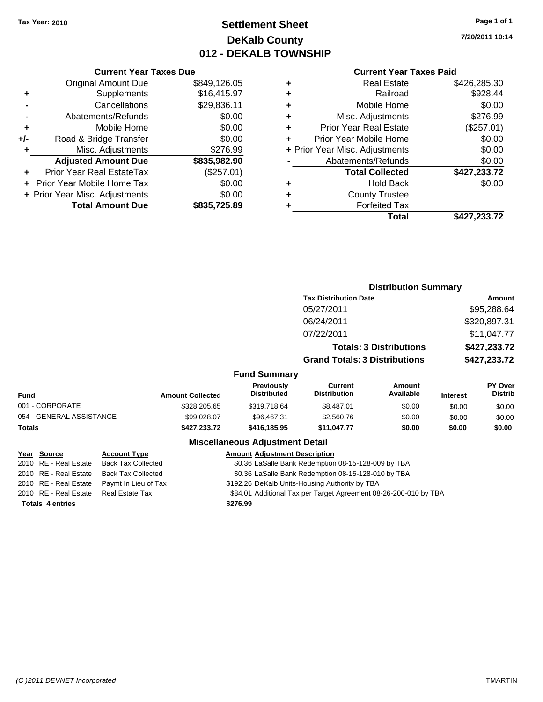### **Settlement Sheet Tax Year: 2010 Page 1 of 1 DeKalb County 012 - DEKALB TOWNSHIP**

**7/20/2011 10:14**

#### **Current Year Taxes Paid**

|     | <b>Current Year Taxes Due</b>  |              |
|-----|--------------------------------|--------------|
|     | <b>Original Amount Due</b>     | \$849,126.05 |
| ٠   | Supplements                    | \$16,415.97  |
|     | Cancellations                  | \$29,836.11  |
|     | Abatements/Refunds             | \$0.00       |
| ÷   | Mobile Home                    | \$0.00       |
| +/- | Road & Bridge Transfer         | \$0.00       |
|     | Misc. Adjustments              | \$276.99     |
|     | <b>Adjusted Amount Due</b>     | \$835,982.90 |
|     | Prior Year Real EstateTax      | (\$257.01)   |
|     | Prior Year Mobile Home Tax     | \$0.00       |
|     | + Prior Year Misc. Adjustments | \$0.00       |
|     | <b>Total Amount Due</b>        | \$835,725.89 |

| <b>Real Estate</b>             | \$426,285.30 |
|--------------------------------|--------------|
| Railroad                       | \$928.44     |
| Mobile Home                    | \$0.00       |
| Misc. Adjustments              | \$276.99     |
| <b>Prior Year Real Estate</b>  | (\$257.01)   |
| Prior Year Mobile Home         | \$0.00       |
| + Prior Year Misc. Adjustments | \$0.00       |
| Abatements/Refunds             | \$0.00       |
| <b>Total Collected</b>         | \$427,233.72 |
| <b>Hold Back</b>               | \$0.00       |
| <b>County Trustee</b>          |              |
| <b>Forfeited Tax</b>           |              |
| Total                          | \$427.233.72 |
|                                |              |

|                          |                         |                                         | <b>Distribution Summary</b>          |                                |                 |                           |
|--------------------------|-------------------------|-----------------------------------------|--------------------------------------|--------------------------------|-----------------|---------------------------|
|                          |                         |                                         | <b>Tax Distribution Date</b>         |                                |                 | Amount                    |
|                          |                         |                                         | 05/27/2011                           |                                |                 | \$95,288.64               |
|                          |                         |                                         | 06/24/2011                           |                                |                 | \$320,897.31              |
|                          |                         |                                         | 07/22/2011                           |                                |                 | \$11,047.77               |
|                          |                         |                                         |                                      | <b>Totals: 3 Distributions</b> |                 | \$427,233.72              |
|                          |                         |                                         | <b>Grand Totals: 3 Distributions</b> |                                |                 | \$427,233.72              |
|                          |                         | <b>Fund Summary</b>                     |                                      |                                |                 |                           |
| <b>Fund</b>              | <b>Amount Collected</b> | <b>Previously</b><br><b>Distributed</b> | Current<br><b>Distribution</b>       | Amount<br>Available            | <b>Interest</b> | PY Over<br><b>Distrib</b> |
| 001 - CORPORATE          | \$328,205.65            | \$319,718.64                            | \$8,487.01                           | \$0.00                         | \$0.00          | \$0.00                    |
| 054 - GENERAL ASSISTANCE | \$99,028,07             | \$96,467.31                             | \$2,560.76                           | \$0.00                         | \$0.00          | \$0.00                    |
| Totals                   | \$427,233.72            | \$416,185.95                            | \$11,047.77                          | \$0.00                         | \$0.00          | \$0.00                    |
|                          |                         |                                         |                                      |                                |                 |                           |

| Year Source             | <b>Account Type</b>       | <b>Amount Adjustment Description</b>                             |
|-------------------------|---------------------------|------------------------------------------------------------------|
| 2010 RE - Real Estate   | <b>Back Tax Collected</b> | \$0.36 LaSalle Bank Redemption 08-15-128-009 by TBA              |
| 2010 RE - Real Estate   | <b>Back Tax Collected</b> | \$0.36 LaSalle Bank Redemption 08-15-128-010 by TBA              |
| 2010 RE - Real Estate   | Paymt In Lieu of Tax      | \$192.26 DeKalb Units-Housing Authority by TBA                   |
| 2010 RE - Real Estate   | Real Estate Tax           | \$84.01 Additional Tax per Target Agreement 08-26-200-010 by TBA |
| <b>Totals 4 entries</b> |                           | \$276.99                                                         |
|                         |                           |                                                                  |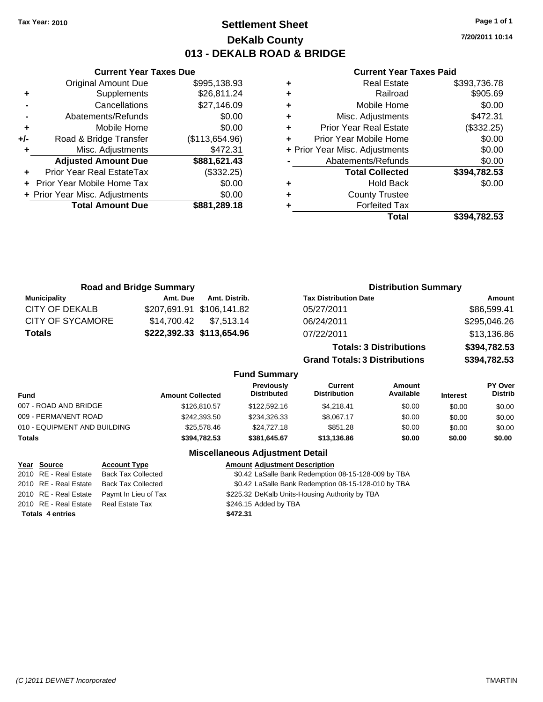**Current Year Taxes Due** Original Amount Due \$995,138.93

**Adjusted Amount Due \$881,621.43**

**Total Amount Due \$881,289.18**

**+** Supplements \$26,811.24 **-** Cancellations \$27,146.09 **-** Abatements/Refunds \$0.00 **+** Mobile Home \$0.00 **+/-** Road & Bridge Transfer (\$113,654.96) **+** Misc. Adjustments \$472.31

**+** Prior Year Real EstateTax (\$332.25) **+** Prior Year Mobile Home Tax \$0.00 **+ Prior Year Misc. Adjustments**  $$0.00$ 

### **Settlement Sheet Tax Year: 2010 Page 1 of 1 DeKalb County 013 - DEKALB ROAD & BRIDGE**

**7/20/2011 10:14**

#### **Current Year Taxes Paid**

|   | <b>Real Estate</b>             | \$393,736.78 |
|---|--------------------------------|--------------|
| ٠ | Railroad                       | \$905.69     |
| ٠ | Mobile Home                    | \$0.00       |
| ٠ | Misc. Adjustments              | \$472.31     |
| ٠ | <b>Prior Year Real Estate</b>  | (\$332.25)   |
| ÷ | Prior Year Mobile Home         | \$0.00       |
|   | + Prior Year Misc. Adjustments | \$0.00       |
|   | Abatements/Refunds             | \$0.00       |
|   | <b>Total Collected</b>         | \$394,782.53 |
| ٠ | <b>Hold Back</b>               | \$0.00       |
| ٠ | <b>County Trustee</b>          |              |
|   | <b>Forfeited Tax</b>           |              |
|   | Total                          | \$394.782.53 |

|                         | <b>Road and Bridge Summary</b> |                           | <b>Distribution Summary</b>          |              |
|-------------------------|--------------------------------|---------------------------|--------------------------------------|--------------|
| <b>Municipality</b>     | Amt. Due                       | Amt. Distrib.             | <b>Tax Distribution Date</b>         | Amount       |
| CITY OF DEKALB          |                                | \$207,691.91 \$106,141.82 | 05/27/2011                           | \$86,599.41  |
| <b>CITY OF SYCAMORE</b> | \$14.700.42                    | \$7,513.14                | 06/24/2011                           | \$295,046.26 |
| <b>Totals</b>           |                                | \$222,392.33 \$113,654.96 | 07/22/2011                           | \$13,136.86  |
|                         |                                |                           | <b>Totals: 3 Distributions</b>       | \$394,782.53 |
|                         |                                |                           | <b>Grand Totals: 3 Distributions</b> | \$394,782.53 |

#### **Fund Summary**

| <b>Fund</b>                  | <b>Amount Collected</b> | Previously<br><b>Distributed</b> | Current<br><b>Distribution</b> | Amount<br>Available | <b>Interest</b> | <b>PY Over</b><br><b>Distrib</b> |
|------------------------------|-------------------------|----------------------------------|--------------------------------|---------------------|-----------------|----------------------------------|
| 007 - ROAD AND BRIDGE        | \$126,810.57            | \$122,592.16                     | \$4.218.41                     | \$0.00              | \$0.00          | \$0.00                           |
| 009 - PERMANENT ROAD         | \$242,393.50            | \$234.326.33                     | \$8.067.17                     | \$0.00              | \$0.00          | \$0.00                           |
| 010 - EQUIPMENT AND BUILDING | \$25.578.46             | \$24,727.18                      | \$851.28                       | \$0.00              | \$0.00          | \$0.00                           |
| <b>Totals</b>                | \$394,782.53            | \$381,645.67                     | \$13,136.86                    | \$0.00              | \$0.00          | \$0.00                           |

| Year Source                           | <b>Account Type</b>                         | <b>Amount Adjustment Description</b>                |
|---------------------------------------|---------------------------------------------|-----------------------------------------------------|
| 2010 RE - Real Estate                 | <b>Back Tax Collected</b>                   | \$0.42 LaSalle Bank Redemption 08-15-128-009 by TBA |
| 2010 RE - Real Estate                 | Back Tax Collected                          | \$0.42 LaSalle Bank Redemption 08-15-128-010 by TBA |
|                                       | 2010 RE - Real Estate  Paymt In Lieu of Tax | \$225.32 DeKalb Units-Housing Authority by TBA      |
| 2010 RE - Real Estate Real Estate Tax |                                             | \$246.15 Added by TBA                               |
| <b>Totals 4 entries</b>               |                                             | \$472.31                                            |
|                                       |                                             |                                                     |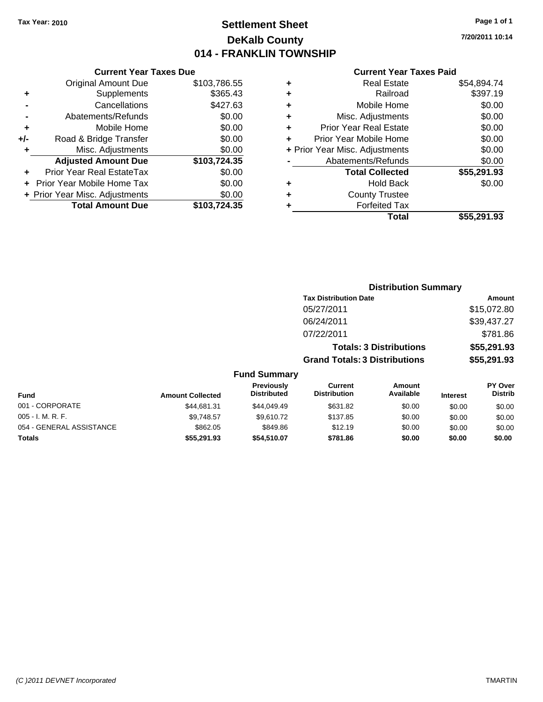### **Settlement Sheet Tax Year: 2010 Page 1 of 1 DeKalb County 014 - FRANKLIN TOWNSHIP**

**Current Year Taxes Paid**

|   | Total                          | \$55,291.93 |
|---|--------------------------------|-------------|
|   | <b>Forfeited Tax</b>           |             |
| ٠ | <b>County Trustee</b>          |             |
| ٠ | Hold Back                      | \$0.00      |
|   | <b>Total Collected</b>         | \$55,291.93 |
|   | Abatements/Refunds             | \$0.00      |
|   | + Prior Year Misc. Adjustments | \$0.00      |
| ٠ | Prior Year Mobile Home         | \$0.00      |
| ٠ | <b>Prior Year Real Estate</b>  | \$0.00      |
| ٠ | Misc. Adjustments              | \$0.00      |
| ٠ | Mobile Home                    | \$0.00      |
| ÷ | Railroad                       | \$397.19    |
| ٠ | <b>Real Estate</b>             | \$54,894.74 |
|   |                                |             |

**Distribution Summary Tax Distribution Date Amount** 

|     | <b>Current Year Taxes Due</b>  |              |
|-----|--------------------------------|--------------|
|     | <b>Original Amount Due</b>     | \$103,786.55 |
| ٠   | Supplements                    | \$365.43     |
|     | Cancellations                  | \$427.63     |
|     | Abatements/Refunds             | \$0.00       |
| ٠   | Mobile Home                    | \$0.00       |
| +/- | Road & Bridge Transfer         | \$0.00       |
| ٠   | Misc. Adjustments              | \$0.00       |
|     | <b>Adjusted Amount Due</b>     | \$103,724.35 |
|     | Prior Year Real EstateTax      | \$0.00       |
|     | Prior Year Mobile Home Tax     | \$0.00       |
|     | + Prior Year Misc. Adjustments | \$0.00       |
|     | <b>Total Amount Due</b>        | \$103,724.35 |

|                          |                         |                                  | 05/27/2011                            |                                |                 | \$15,072.80                      |
|--------------------------|-------------------------|----------------------------------|---------------------------------------|--------------------------------|-----------------|----------------------------------|
|                          |                         |                                  | 06/24/2011                            |                                |                 | \$39,437.27                      |
|                          |                         |                                  | 07/22/2011                            |                                |                 | \$781.86                         |
|                          |                         |                                  |                                       | <b>Totals: 3 Distributions</b> |                 | \$55,291.93                      |
|                          |                         |                                  | <b>Grand Totals: 3 Distributions</b>  |                                |                 | \$55,291.93                      |
|                          |                         | <b>Fund Summary</b>              |                                       |                                |                 |                                  |
| Fund                     | <b>Amount Collected</b> | Previously<br><b>Distributed</b> | <b>Current</b><br><b>Distribution</b> | Amount<br>Available            | <b>Interest</b> | <b>PY Over</b><br><b>Distrib</b> |
| 001 - CORPORATE          | \$44.681.31             | \$44,049.49                      | \$631.82                              | \$0.00                         | \$0.00          | \$0.00                           |
| 005 - I. M. R. F.        | \$9.748.57              | \$9.610.72                       | \$137.85                              | \$0.00                         | \$0.00          | \$0.00                           |
| 054 - GENERAL ASSISTANCE | \$862.05                | \$849.86                         | \$12.19                               | \$0.00                         | \$0.00          | \$0.00                           |
| Totals                   | \$55,291.93             | \$54,510.07                      | \$781.86                              | \$0.00                         | \$0.00          | \$0.00                           |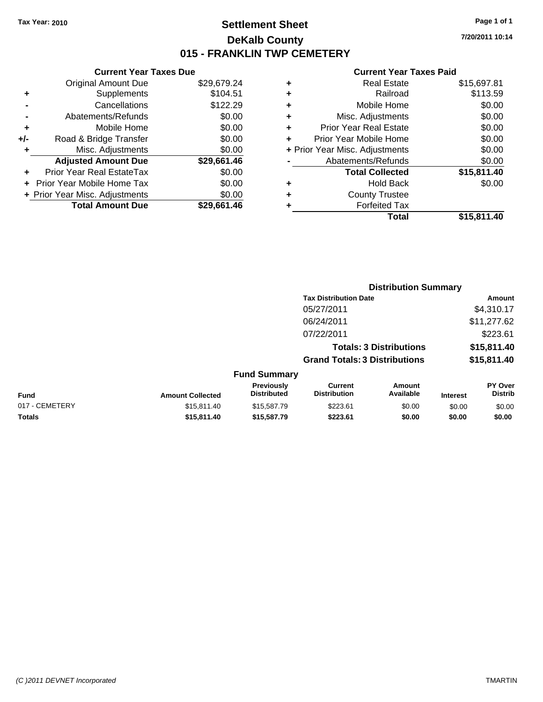### **Settlement Sheet Tax Year: 2010 Page 1 of 1 DeKalb County 015 - FRANKLIN TWP CEMETERY**

### **Current Year Taxes Due**

|     | <b>Original Amount Due</b>       | \$29,679.24 |
|-----|----------------------------------|-------------|
| ٠   | Supplements                      | \$104.51    |
|     | Cancellations                    | \$122.29    |
|     | Abatements/Refunds               | \$0.00      |
| ٠   | Mobile Home                      | \$0.00      |
| +/- | Road & Bridge Transfer           | \$0.00      |
| ÷   | Misc. Adjustments                | \$0.00      |
|     | <b>Adjusted Amount Due</b>       | \$29,661.46 |
|     | <b>Prior Year Real EstateTax</b> | \$0.00      |
|     | Prior Year Mobile Home Tax       | \$0.00      |
|     | + Prior Year Misc. Adjustments   | \$0.00      |
|     | <b>Total Amount Due</b>          | \$29.661.46 |

|   | <b>Real Estate</b>             | \$15,697.81 |
|---|--------------------------------|-------------|
| ٠ | Railroad                       | \$113.59    |
| ٠ | Mobile Home                    | \$0.00      |
| ٠ | Misc. Adjustments              | \$0.00      |
| ٠ | <b>Prior Year Real Estate</b>  | \$0.00      |
|   | Prior Year Mobile Home         | \$0.00      |
|   | + Prior Year Misc. Adjustments | \$0.00      |
|   | Abatements/Refunds             | \$0.00      |
|   | <b>Total Collected</b>         | \$15,811.40 |
| ٠ | Hold Back                      | \$0.00      |
| ٠ | <b>County Trustee</b>          |             |
|   | <b>Forfeited Tax</b>           |             |
|   | Total                          | \$15,811.40 |
|   |                                |             |

|                         |                                         | <b>Distribution Summary</b>          |                                |                 |                           |  |
|-------------------------|-----------------------------------------|--------------------------------------|--------------------------------|-----------------|---------------------------|--|
|                         |                                         | <b>Tax Distribution Date</b>         |                                |                 | Amount                    |  |
|                         |                                         | 05/27/2011                           |                                |                 | \$4,310.17                |  |
|                         |                                         | 06/24/2011                           |                                |                 | \$11,277.62               |  |
|                         |                                         | 07/22/2011                           |                                |                 | \$223.61                  |  |
|                         |                                         |                                      | <b>Totals: 3 Distributions</b> |                 | \$15,811.40               |  |
|                         |                                         | <b>Grand Totals: 3 Distributions</b> |                                |                 | \$15,811.40               |  |
|                         | <b>Fund Summary</b>                     |                                      |                                |                 |                           |  |
| <b>Amount Collected</b> | <b>Previously</b><br><b>Distributed</b> | Current<br><b>Distribution</b>       | Amount<br>Available            | <b>Interest</b> | PY Over<br><b>Distrib</b> |  |
| $0.4E$ $0.4A$ $0.4A$    | $0.4E$ $E07$ $70$                       | 0.00000                              | 0000                           | 0000            | 0.00                      |  |

| <b>Fund</b>    | <b>Amount Collected</b> | <b>FIGVIOUSIV</b><br><b>Distributed</b> | uurent<br><b>Distribution</b> | Allioulit<br>Available | <b>Interest</b> | г г оvег<br>Distrib |
|----------------|-------------------------|-----------------------------------------|-------------------------------|------------------------|-----------------|---------------------|
| 017 - CEMETERY | \$15.811.40             | \$15,587.79                             | \$223.61                      | \$0.00                 | \$0.00          | \$0.00              |
| Totals         | \$15,811,40             | \$15,587.79                             | \$223.61                      | \$0.00                 | \$0.00          | \$0.00              |

*(C )2011 DEVNET Incorporated* TMARTIN

**7/20/2011 10:14**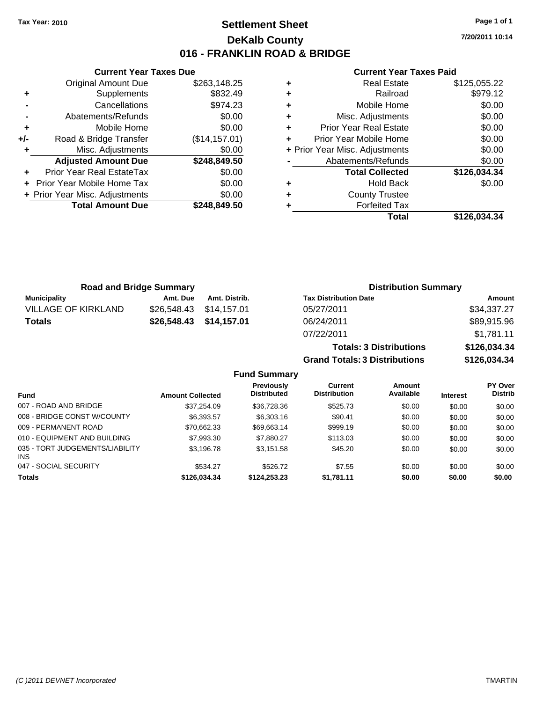### **Settlement Sheet Tax Year: 2010 Page 1 of 1 DeKalb County 016 - FRANKLIN ROAD & BRIDGE**

**7/20/2011 10:14**

#### **Current Year Taxes Paid**

|     | <b>Original Amount Due</b>        | \$263,148.25   |        |
|-----|-----------------------------------|----------------|--------|
|     | Supplements                       | \$832.49       | ٠      |
|     | Cancellations                     | \$974.23       | ٠      |
|     | Abatements/Refunds                | \$0.00         | ٠      |
|     | Mobile Home                       | \$0.00         | ٠      |
| +/- | Road & Bridge Transfer            | (\$14, 157.01) | ٠      |
|     | Misc. Adjustments                 | \$0.00         | + Pric |
|     | <b>Adjusted Amount Due</b>        | \$248,849.50   |        |
|     | <b>Prior Year Real EstateTax</b>  | \$0.00         |        |
|     | <b>Prior Year Mobile Home Tax</b> | \$0.00         |        |
|     | + Prior Year Misc. Adjustments    | \$0.00         | ٠      |
|     | <b>Total Amount Due</b>           | \$248,849.50   |        |
|     |                                   |                |        |

**Current Year Taxes Due**

| ٠ | <b>Real Estate</b>             | \$125,055.22 |
|---|--------------------------------|--------------|
| ٠ | Railroad                       | \$979.12     |
| ٠ | Mobile Home                    | \$0.00       |
| ٠ | Misc. Adjustments              | \$0.00       |
| ٠ | <b>Prior Year Real Estate</b>  | \$0.00       |
| ٠ | Prior Year Mobile Home         | \$0.00       |
|   | + Prior Year Misc. Adjustments | \$0.00       |
|   | Abatements/Refunds             | \$0.00       |
|   | <b>Total Collected</b>         | \$126,034.34 |
| ٠ | <b>Hold Back</b>               | \$0.00       |
| ٠ | <b>County Trustee</b>          |              |
| ٠ | <b>Forfeited Tax</b>           |              |
|   | Total                          | \$126.034.34 |

**Totals: 3 Distributions \$126,034.34**

**Grand Totals: 3 Distributions \$126,034.34**

| <b>Road and Bridge Summary</b> |                         |               | <b>Distribution Summary</b>  |             |  |
|--------------------------------|-------------------------|---------------|------------------------------|-------------|--|
| Municipality                   | Amt. Due                | Amt. Distrib. | <b>Tax Distribution Date</b> | Amount      |  |
| VILLAGE OF KIRKLAND            | \$26,548.43 \$14,157.01 |               | 05/27/2011                   | \$34,337.27 |  |
| <b>Totals</b>                  | \$26,548.43 \$14,157.01 |               | 06/24/2011                   | \$89,915.96 |  |
|                                |                         |               | 07/22/2011                   | \$1,781.11  |  |

**Fund Summary Fund Interest Amount Collected Distributed PY Over Distrib Amount Available Current Distribution Previously** 007 - ROAD AND BRIDGE 60.00 \$37,254.09 \$36,728.36 \$525.73 \$0.00 \$0.00 \$0.00 \$0.00 008 - BRIDGE CONST W/COUNTY  $$6,393.57$   $$6,303.16$   $$90.41$   $$0.00$   $$0.00$   $$0.00$ 009 - PERMANENT ROAD \$70,662.33 \$69,663.14 \$999.19 \$0.00 \$0.00 \$0.00 010 - EQUIPMENT AND BUILDING \$7,993.30 \$7,880.27 \$113.03 \$0.00 \$0.00 \$0.00 \$0.00 035 - TORT JUDGEMENTS/LIABILITY INS \$3,196.78 \$3,151.58 \$45.20 \$0.00 \$0.00 \$0.00 \$0.00 047 - SOCIAL SECURITY \$534.27 \$526.72 \$0.00 \$0.00 \$0.00 \$0.00 **Totals \$126,034.34 \$124,253.23 \$1,781.11 \$0.00 \$0.00 \$0.00**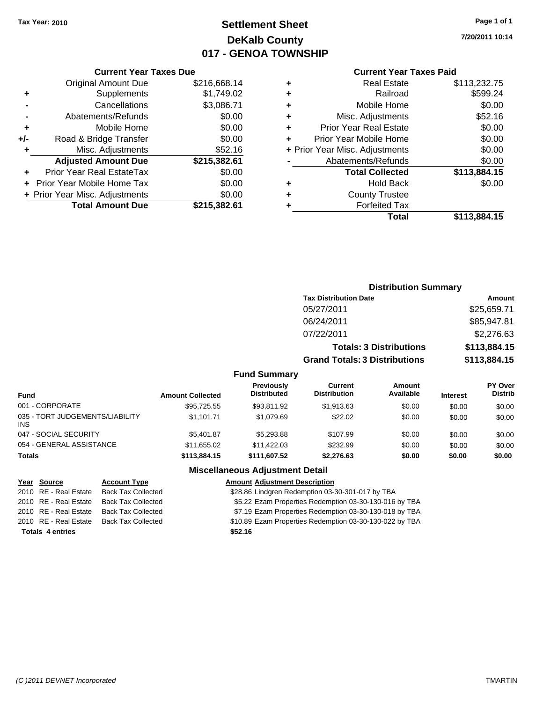## **Settlement Sheet Tax Year: 2010 Page 1 of 1 DeKalb County 017 - GENOA TOWNSHIP**

**7/20/2011 10:14**

#### **Current Year Taxes Paid**

|     | <b>Current Year Taxes Due</b>  |              |  |  |  |
|-----|--------------------------------|--------------|--|--|--|
|     | <b>Original Amount Due</b>     | \$216,668.14 |  |  |  |
| ٠   | Supplements                    | \$1,749.02   |  |  |  |
|     | Cancellations                  | \$3,086.71   |  |  |  |
|     | Abatements/Refunds             | \$0.00       |  |  |  |
| ٠   | Mobile Home                    | \$0.00       |  |  |  |
| +/- | Road & Bridge Transfer         | \$0.00       |  |  |  |
| ٠   | Misc. Adjustments              | \$52.16      |  |  |  |
|     | <b>Adjusted Amount Due</b>     | \$215,382.61 |  |  |  |
| ٠   | Prior Year Real EstateTax      | \$0.00       |  |  |  |
|     | Prior Year Mobile Home Tax     | \$0.00       |  |  |  |
|     | + Prior Year Misc. Adjustments | \$0.00       |  |  |  |
|     | <b>Total Amount Due</b>        | \$215,382.61 |  |  |  |
|     |                                |              |  |  |  |

| ٠ | <b>Real Estate</b>             | \$113,232.75 |
|---|--------------------------------|--------------|
| ٠ | Railroad                       | \$599.24     |
| ٠ | Mobile Home                    | \$0.00       |
| ٠ | Misc. Adjustments              | \$52.16      |
| ٠ | <b>Prior Year Real Estate</b>  | \$0.00       |
| ٠ | Prior Year Mobile Home         | \$0.00       |
|   | + Prior Year Misc. Adjustments | \$0.00       |
|   | Abatements/Refunds             | \$0.00       |
|   | <b>Total Collected</b>         | \$113,884.15 |
| ٠ | Hold Back                      | \$0.00       |
| ٠ | <b>County Trustee</b>          |              |
|   | <b>Forfeited Tax</b>           |              |
|   | Total                          | \$113,884.15 |
|   |                                |              |

#### **Distribution Summary Tax Distribution Date Amount** 05/27/2011 \$25,659.71 06/24/2011 \$85,947.81 07/22/2011 \$2,276.63 **Totals: 3 Distributions \$113,884.15 Grand Totals: 3 Distributions \$113,884.15 Fund Summary PY Over Amount Current Previously**

| <b>Fund</b>                             | <b>Amount Collected</b> | <b>Previously</b><br><b>Distributed</b> | Current<br><b>Distribution</b> | Amount<br>Available | <b>Interest</b> | <b>PY Over</b><br><b>Distrib</b> |
|-----------------------------------------|-------------------------|-----------------------------------------|--------------------------------|---------------------|-----------------|----------------------------------|
| 001 - CORPORATE                         | \$95,725.55             | \$93,811.92                             | \$1,913.63                     | \$0.00              | \$0.00          | \$0.00                           |
| 035 - TORT JUDGEMENTS/LIABILITY<br>INS. | \$1.101.71              | \$1.079.69                              | \$22.02                        | \$0.00              | \$0.00          | \$0.00                           |
| 047 - SOCIAL SECURITY                   | \$5.401.87              | \$5,293.88                              | \$107.99                       | \$0.00              | \$0.00          | \$0.00                           |
| 054 - GENERAL ASSISTANCE                | \$11,655.02             | \$11,422.03                             | \$232.99                       | \$0.00              | \$0.00          | \$0.00                           |
| <b>Totals</b>                           | \$113,884,15            | \$111.607.52                            | \$2,276.63                     | \$0.00              | \$0.00          | \$0.00                           |

| Year Source             | <b>Account Type</b>       | <b>Amount Adjustment Description</b>                    |
|-------------------------|---------------------------|---------------------------------------------------------|
| 2010 RE - Real Estate   | <b>Back Tax Collected</b> | \$28.86 Lindgren Redemption 03-30-301-017 by TBA        |
| 2010 RE - Real Estate   | <b>Back Tax Collected</b> | \$5.22 Ezam Properties Redemption 03-30-130-016 by TBA  |
| 2010 RE - Real Estate   | <b>Back Tax Collected</b> | \$7.19 Ezam Properties Redemption 03-30-130-018 by TBA  |
| 2010 RE - Real Estate   | <b>Back Tax Collected</b> | \$10.89 Ezam Properties Redemption 03-30-130-022 by TBA |
| <b>Totals 4 entries</b> |                           | \$52.16                                                 |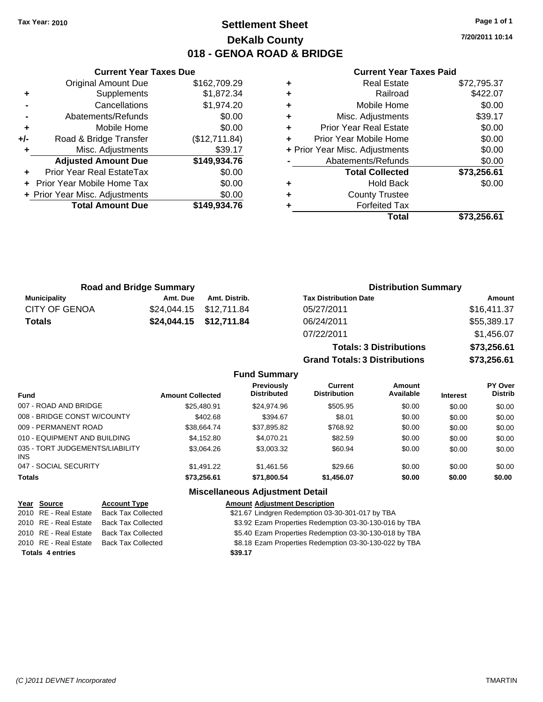### **Settlement Sheet Tax Year: 2010 Page 1 of 1 DeKalb County 018 - GENOA ROAD & BRIDGE**

**7/20/2011 10:14**

#### **Current Year Taxes Paid**

|     | <b>Current Year Taxes Due</b>     |               |  |  |  |
|-----|-----------------------------------|---------------|--|--|--|
|     | <b>Original Amount Due</b>        | \$162,709.29  |  |  |  |
| ٠   | Supplements                       | \$1,872.34    |  |  |  |
|     | Cancellations                     | \$1,974.20    |  |  |  |
|     | Abatements/Refunds                | \$0.00        |  |  |  |
| ٠   | Mobile Home                       | \$0.00        |  |  |  |
| +/- | Road & Bridge Transfer            | (\$12,711.84) |  |  |  |
|     | Misc. Adjustments                 | \$39.17       |  |  |  |
|     | <b>Adjusted Amount Due</b>        | \$149,934.76  |  |  |  |
|     | Prior Year Real EstateTax         | \$0.00        |  |  |  |
|     | <b>Prior Year Mobile Home Tax</b> | \$0.00        |  |  |  |
|     | + Prior Year Misc. Adjustments    | \$0.00        |  |  |  |
|     | <b>Total Amount Due</b>           | \$149,934.76  |  |  |  |
|     |                                   |               |  |  |  |

| <b>Real Estate</b>            | \$72,795.37                    |
|-------------------------------|--------------------------------|
| Railroad                      | \$422.07                       |
| Mobile Home                   | \$0.00                         |
| Misc. Adjustments             | \$39.17                        |
| <b>Prior Year Real Estate</b> | \$0.00                         |
| Prior Year Mobile Home        | \$0.00                         |
|                               | \$0.00                         |
| Abatements/Refunds            | \$0.00                         |
| <b>Total Collected</b>        | \$73,256.61                    |
| <b>Hold Back</b>              | \$0.00                         |
| <b>County Trustee</b>         |                                |
| <b>Forfeited Tax</b>          |                                |
| Total                         | \$73,256.61                    |
|                               | + Prior Year Misc. Adjustments |

**Totals: 3 Distributions \$73,256.61**

**Grand Totals: 3 Distributions \$73,256.61**

|                      | <b>Road and Bridge Summary</b> |                         | <b>Distribution Summary</b>  |             |  |
|----------------------|--------------------------------|-------------------------|------------------------------|-------------|--|
| Municipality         | Amt. Due                       | Amt. Distrib.           | <b>Tax Distribution Date</b> | Amount      |  |
| <b>CITY OF GENOA</b> |                                | \$24,044.15 \$12,711.84 | 05/27/2011                   | \$16,411.37 |  |
| <b>Totals</b>        |                                | \$24,044.15 \$12,711.84 | 06/24/2011                   | \$55,389.17 |  |
|                      |                                |                         | 07/22/2011                   | \$1,456.07  |  |

|                                         |                         | <b>Fund Summary</b>                     |                                       |                            |                 |                                  |
|-----------------------------------------|-------------------------|-----------------------------------------|---------------------------------------|----------------------------|-----------------|----------------------------------|
| <b>Fund</b>                             | <b>Amount Collected</b> | <b>Previously</b><br><b>Distributed</b> | <b>Current</b><br><b>Distribution</b> | <b>Amount</b><br>Available | <b>Interest</b> | <b>PY Over</b><br><b>Distrib</b> |
| 007 - ROAD AND BRIDGE                   | \$25,480.91             | \$24,974.96                             | \$505.95                              | \$0.00                     | \$0.00          | \$0.00                           |
| 008 - BRIDGE CONST W/COUNTY             | \$402.68                | \$394.67                                | \$8.01                                | \$0.00                     | \$0.00          | \$0.00                           |
| 009 - PERMANENT ROAD                    | \$38.664.74             | \$37,895.82                             | \$768.92                              | \$0.00                     | \$0.00          | \$0.00                           |
| 010 - EQUIPMENT AND BUILDING            | \$4.152.80              | \$4.070.21                              | \$82.59                               | \$0.00                     | \$0.00          | \$0.00                           |
| 035 - TORT JUDGEMENTS/LIABILITY<br>INS. | \$3.064.26              | \$3,003.32                              | \$60.94                               | \$0.00                     | \$0.00          | \$0.00                           |
| 047 - SOCIAL SECURITY                   | \$1,491.22              | \$1,461.56                              | \$29.66                               | \$0.00                     | \$0.00          | \$0.00                           |
| Totals                                  | \$73.256.61             | \$71.800.54                             | \$1,456.07                            | \$0.00                     | \$0.00          | \$0.00                           |
|                                         |                         | <b>Miscellaneous Adjustment Detail</b>  |                                       |                            |                 |                                  |
|                                         |                         |                                         |                                       |                            |                 |                                  |

| Year Source             | <b>Account Type</b>                      | <b>Amount Adjustment Description</b>                   |
|-------------------------|------------------------------------------|--------------------------------------------------------|
| 2010 RE - Real Estate   | Back Tax Collected                       | \$21.67 Lindgren Redemption 03-30-301-017 by TBA       |
|                         | 2010 RE - Real Estate Back Tax Collected | \$3.92 Ezam Properties Redemption 03-30-130-016 by TBA |
|                         | 2010 RE - Real Estate Back Tax Collected | \$5.40 Ezam Properties Redemption 03-30-130-018 by TBA |
| 2010 RE - Real Estate   | Back Tax Collected                       | \$8.18 Ezam Properties Redemption 03-30-130-022 by TBA |
| <b>Totals 4 entries</b> |                                          | \$39.17                                                |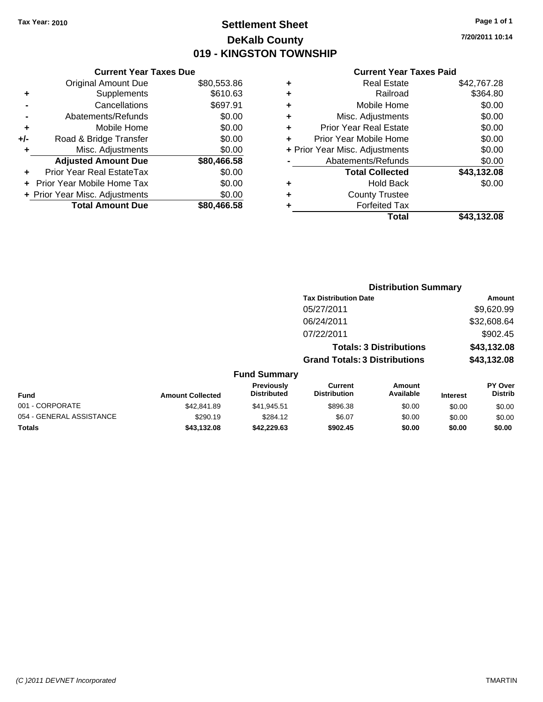### **Settlement Sheet Tax Year: 2010 Page 1 of 1 DeKalb County 019 - KINGSTON TOWNSHIP**

**7/20/2011 10:14**

| \$610.63<br>\$697.91<br>\$0.00<br>\$0.00<br>\$0.00<br>\$0.00<br>\$80,466.58<br>\$0.00<br>\$0.00<br>\$0.00<br>\$80,466.58 |
|--------------------------------------------------------------------------------------------------------------------------|

|   | <b>Real Estate</b>             | \$42,767.28 |
|---|--------------------------------|-------------|
| ٠ | Railroad                       | \$364.80    |
| ٠ | Mobile Home                    | \$0.00      |
| ٠ | Misc. Adjustments              | \$0.00      |
| ÷ | <b>Prior Year Real Estate</b>  | \$0.00      |
| ÷ | Prior Year Mobile Home         | \$0.00      |
|   | + Prior Year Misc. Adjustments | \$0.00      |
|   | Abatements/Refunds             | \$0.00      |
|   | <b>Total Collected</b>         | \$43,132.08 |
| ٠ | Hold Back                      | \$0.00      |
| ٠ | <b>County Trustee</b>          |             |
| ٠ | <b>Forfeited Tax</b>           |             |
|   | Total                          | \$43,132.08 |
|   |                                |             |

|                          |                         |                                  |                                       | <b>Distribution Summary</b>    |                 |                           |
|--------------------------|-------------------------|----------------------------------|---------------------------------------|--------------------------------|-----------------|---------------------------|
|                          |                         |                                  | <b>Tax Distribution Date</b>          |                                |                 | <b>Amount</b>             |
|                          |                         |                                  | 05/27/2011                            |                                |                 | \$9,620.99                |
|                          |                         |                                  | 06/24/2011                            |                                |                 | \$32,608.64               |
|                          |                         |                                  | 07/22/2011                            |                                |                 | \$902.45                  |
|                          |                         |                                  |                                       | <b>Totals: 3 Distributions</b> |                 | \$43,132.08               |
|                          |                         |                                  | <b>Grand Totals: 3 Distributions</b>  |                                |                 | \$43,132.08               |
|                          |                         | <b>Fund Summary</b>              |                                       |                                |                 |                           |
| Fund                     | <b>Amount Collected</b> | Previously<br><b>Distributed</b> | <b>Current</b><br><b>Distribution</b> | Amount<br>Available            | <b>Interest</b> | PY Over<br><b>Distrib</b> |
| 001 - CORPORATE          | \$42.841.89             | \$41,945.51                      | \$896.38                              | \$0.00                         | \$0.00          | \$0.00                    |
| 054 - GENERAL ASSISTANCE | \$290.19                | \$284.12                         | \$6.07                                | \$0.00                         | \$0.00          | \$0.00                    |
| Totals                   | \$43,132.08             | \$42,229.63                      | \$902.45                              | \$0.00                         | \$0.00          | \$0.00                    |
|                          |                         |                                  |                                       |                                |                 |                           |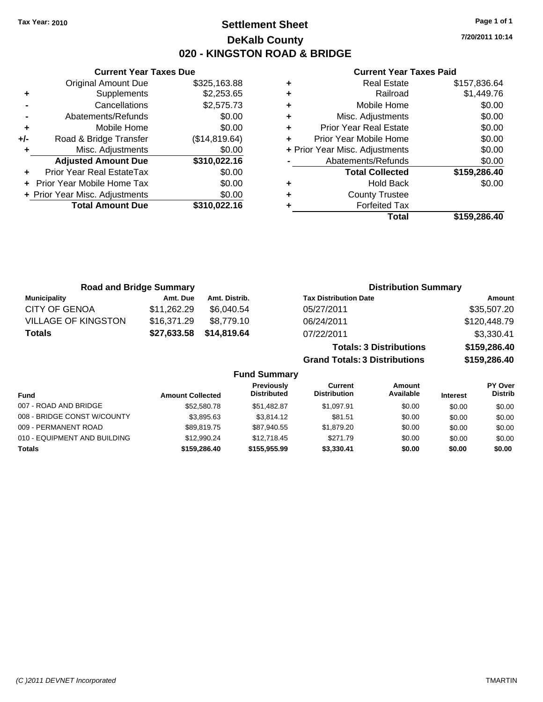**Current Year Taxes Due** Original Amount Due \$325,163.88

**Adjusted Amount Due \$310,022.16**

**Total Amount Due \$310,022.16**

**+** Supplements \$2,253.65 **-** Cancellations \$2,575.73 **-** Abatements/Refunds \$0.00 **+** Mobile Home \$0.00 **+/-** Road & Bridge Transfer (\$14,819.64) **+** Misc. Adjustments \$0.00

**+** Prior Year Real EstateTax \$0.00 **+** Prior Year Mobile Home Tax \$0.00 **+ Prior Year Misc. Adjustments**  $$0.00$ 

### **Settlement Sheet Tax Year: 2010 Page 1 of 1 DeKalb County 020 - KINGSTON ROAD & BRIDGE**

**7/20/2011 10:14**

#### **Current Year Taxes Paid**

| ٠ | <b>Real Estate</b>             | \$157,836.64 |
|---|--------------------------------|--------------|
| ٠ | Railroad                       | \$1,449.76   |
| ٠ | Mobile Home                    | \$0.00       |
| ٠ | Misc. Adjustments              | \$0.00       |
| ٠ | <b>Prior Year Real Estate</b>  | \$0.00       |
|   | Prior Year Mobile Home         | \$0.00       |
|   | + Prior Year Misc. Adjustments | \$0.00       |
|   | Abatements/Refunds             | \$0.00       |
|   | <b>Total Collected</b>         | \$159,286.40 |
| ٠ | <b>Hold Back</b>               | \$0.00       |
| ٠ | <b>County Trustee</b>          |              |
|   | <b>Forfeited Tax</b>           |              |
|   | Total                          | \$159.286.40 |

|                            | <b>Road and Bridge Summary</b> |               | <b>Distribution Summary</b>    |              |
|----------------------------|--------------------------------|---------------|--------------------------------|--------------|
| <b>Municipality</b>        | Amt. Due                       | Amt. Distrib. | <b>Tax Distribution Date</b>   | Amount       |
| <b>CITY OF GENOA</b>       | \$11,262.29                    | \$6.040.54    | 05/27/2011                     | \$35,507.20  |
| <b>VILLAGE OF KINGSTON</b> | \$16,371.29                    | \$8.779.10    | 06/24/2011                     | \$120,448.79 |
| <b>Totals</b>              | \$27,633.58                    | \$14,819.64   | 07/22/2011                     | \$3,330.41   |
|                            |                                |               | <b>Totals: 3 Distributions</b> | \$159,286.40 |

**Grand Totals: 3 Distributions \$159,286.40**

|                              |                         | <b>Fund Summary</b>                     |                                |                     |                 |                                  |
|------------------------------|-------------------------|-----------------------------------------|--------------------------------|---------------------|-----------------|----------------------------------|
| <b>Fund</b>                  | <b>Amount Collected</b> | <b>Previously</b><br><b>Distributed</b> | Current<br><b>Distribution</b> | Amount<br>Available | <b>Interest</b> | <b>PY Over</b><br><b>Distrib</b> |
| 007 - ROAD AND BRIDGE        | \$52,580.78             | \$51.482.87                             | \$1.097.91                     | \$0.00              | \$0.00          | \$0.00                           |
| 008 - BRIDGE CONST W/COUNTY  | \$3,895.63              | \$3.814.12                              | \$81.51                        | \$0.00              | \$0.00          | \$0.00                           |
| 009 - PERMANENT ROAD         | \$89.819.75             | \$87.940.55                             | \$1,879.20                     | \$0.00              | \$0.00          | \$0.00                           |
| 010 - EQUIPMENT AND BUILDING | \$12,990.24             | \$12,718.45                             | \$271.79                       | \$0.00              | \$0.00          | \$0.00                           |
| <b>Totals</b>                | \$159,286,40            | \$155,955,99                            | \$3,330.41                     | \$0.00              | \$0.00          | \$0.00                           |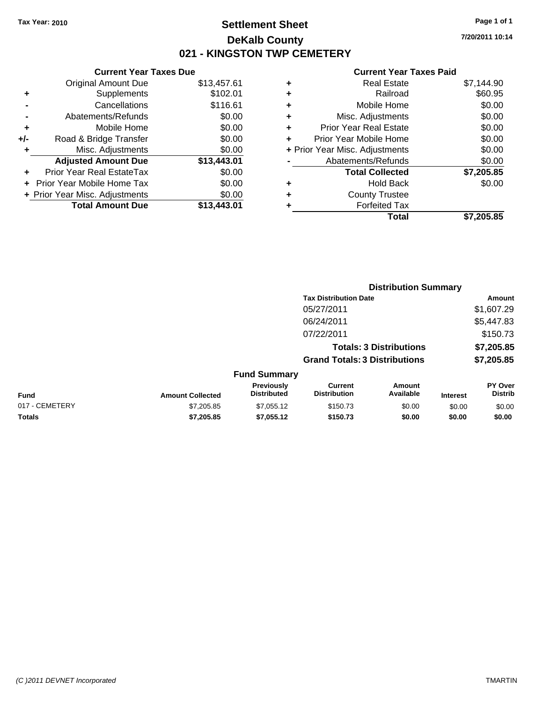### **Settlement Sheet Tax Year: 2010 Page 1 of 1 DeKalb County 021 - KINGSTON TWP CEMETERY**

**7/20/2011 10:14**

|     | <b>Current Year Taxes Due</b>     |             |  |  |  |
|-----|-----------------------------------|-------------|--|--|--|
|     | <b>Original Amount Due</b>        | \$13,457.61 |  |  |  |
| ٠   | Supplements                       | \$102.01    |  |  |  |
|     | Cancellations                     | \$116.61    |  |  |  |
|     | Abatements/Refunds                | \$0.00      |  |  |  |
| ٠   | Mobile Home                       | \$0.00      |  |  |  |
| +/- | Road & Bridge Transfer            | \$0.00      |  |  |  |
| ٠   | Misc. Adjustments                 | \$0.00      |  |  |  |
|     | <b>Adjusted Amount Due</b>        | \$13,443.01 |  |  |  |
| ٠   | Prior Year Real EstateTax         | \$0.00      |  |  |  |
|     | <b>Prior Year Mobile Home Tax</b> | \$0.00      |  |  |  |
|     | + Prior Year Misc. Adjustments    | \$0.00      |  |  |  |
|     | <b>Total Amount Due</b>           | \$13,443.01 |  |  |  |
|     |                                   |             |  |  |  |

| ٠ | <b>Real Estate</b>             | \$7,144.90 |
|---|--------------------------------|------------|
| ٠ | Railroad                       | \$60.95    |
| ٠ | Mobile Home                    | \$0.00     |
| ٠ | Misc. Adjustments              | \$0.00     |
| ÷ | <b>Prior Year Real Estate</b>  | \$0.00     |
| ٠ | Prior Year Mobile Home         | \$0.00     |
|   | + Prior Year Misc. Adjustments | \$0.00     |
|   | Abatements/Refunds             | \$0.00     |
|   | <b>Total Collected</b>         | \$7,205.85 |
| ٠ | Hold Back                      | \$0.00     |
| ٠ | <b>County Trustee</b>          |            |
| ٠ | <b>Forfeited Tax</b>           |            |
|   | Total                          | \$7,205.85 |
|   |                                |            |

|                |                         |                                  |                                       | <b>Distribution Summary</b>    |                 |                                  |
|----------------|-------------------------|----------------------------------|---------------------------------------|--------------------------------|-----------------|----------------------------------|
|                |                         |                                  | <b>Tax Distribution Date</b>          |                                |                 | Amount                           |
|                |                         |                                  | 05/27/2011                            |                                |                 | \$1,607.29                       |
|                |                         |                                  | 06/24/2011                            |                                |                 | \$5,447.83                       |
|                |                         |                                  | 07/22/2011                            |                                |                 | \$150.73                         |
|                |                         |                                  |                                       | <b>Totals: 3 Distributions</b> |                 | \$7,205.85                       |
|                |                         |                                  | <b>Grand Totals: 3 Distributions</b>  |                                |                 | \$7,205.85                       |
|                |                         | <b>Fund Summary</b>              |                                       |                                |                 |                                  |
| Fund           | <b>Amount Collected</b> | Previously<br><b>Distributed</b> | <b>Current</b><br><b>Distribution</b> | Amount<br>Available            | <b>Interest</b> | <b>PY Over</b><br><b>Distrib</b> |
| 017 - CEMETERY | \$7,205.85              | \$7,055.12                       | \$150.73                              | \$0.00                         | \$0.00          | \$0.00                           |
| Totals         | \$7,205.85              | \$7,055.12                       | \$150.73                              | \$0.00                         | \$0.00          | \$0.00                           |
|                |                         |                                  |                                       |                                |                 |                                  |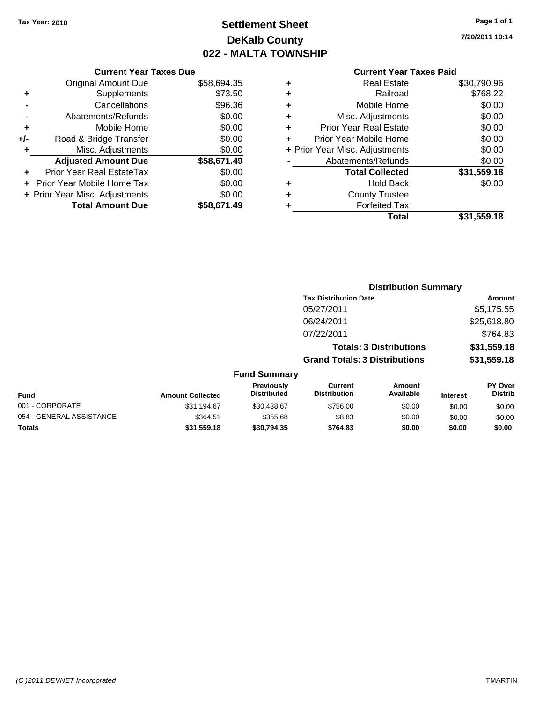## **Settlement Sheet Tax Year: 2010 Page 1 of 1 DeKalb County 022 - MALTA TOWNSHIP**

**7/20/2011 10:14**

|     | <b>Current Year Taxes Due</b>  |             |  |  |  |
|-----|--------------------------------|-------------|--|--|--|
|     | <b>Original Amount Due</b>     | \$58,694.35 |  |  |  |
| ٠   | Supplements                    | \$73.50     |  |  |  |
|     | Cancellations                  | \$96.36     |  |  |  |
|     | Abatements/Refunds             | \$0.00      |  |  |  |
| ٠   | Mobile Home                    | \$0.00      |  |  |  |
| +/- | Road & Bridge Transfer         | \$0.00      |  |  |  |
|     | Misc. Adjustments              | \$0.00      |  |  |  |
|     | <b>Adjusted Amount Due</b>     | \$58,671.49 |  |  |  |
|     | Prior Year Real EstateTax      | \$0.00      |  |  |  |
|     | Prior Year Mobile Home Tax     | \$0.00      |  |  |  |
|     | + Prior Year Misc. Adjustments | \$0.00      |  |  |  |
|     | <b>Total Amount Due</b>        | \$58,671.49 |  |  |  |
|     |                                |             |  |  |  |

| ٠ | <b>Real Estate</b>             | \$30,790.96 |
|---|--------------------------------|-------------|
| ٠ | Railroad                       | \$768.22    |
| ٠ | Mobile Home                    | \$0.00      |
| ٠ | Misc. Adjustments              | \$0.00      |
| ÷ | <b>Prior Year Real Estate</b>  | \$0.00      |
|   | Prior Year Mobile Home         | \$0.00      |
|   | + Prior Year Misc. Adjustments | \$0.00      |
|   | Abatements/Refunds             | \$0.00      |
|   | <b>Total Collected</b>         | \$31,559.18 |
| ٠ | <b>Hold Back</b>               | \$0.00      |
| ٠ | <b>County Trustee</b>          |             |
| ٠ | <b>Forfeited Tax</b>           |             |
|   | Total                          | \$31,559.18 |
|   |                                |             |

|                          |                         |                                  |                                       | <b>Distribution Summary</b>    |                 |                           |
|--------------------------|-------------------------|----------------------------------|---------------------------------------|--------------------------------|-----------------|---------------------------|
|                          |                         |                                  | <b>Tax Distribution Date</b>          |                                |                 | <b>Amount</b>             |
|                          |                         |                                  | 05/27/2011                            |                                |                 | \$5,175.55                |
|                          |                         |                                  | 06/24/2011                            |                                |                 | \$25,618.80               |
|                          |                         |                                  | 07/22/2011                            |                                |                 | \$764.83                  |
|                          |                         |                                  |                                       | <b>Totals: 3 Distributions</b> |                 | \$31,559.18               |
|                          |                         |                                  | <b>Grand Totals: 3 Distributions</b>  |                                |                 | \$31,559.18               |
|                          |                         | <b>Fund Summary</b>              |                                       |                                |                 |                           |
| Fund                     | <b>Amount Collected</b> | Previously<br><b>Distributed</b> | <b>Current</b><br><b>Distribution</b> | Amount<br>Available            | <b>Interest</b> | PY Over<br><b>Distrib</b> |
| 001 - CORPORATE          | \$31,194.67             | \$30,438.67                      | \$756.00                              | \$0.00                         | \$0.00          | \$0.00                    |
| 054 - GENERAL ASSISTANCE | \$364.51                | \$355.68                         | \$8.83                                | \$0.00                         | \$0.00          | \$0.00                    |
| Totals                   | \$31,559.18             | \$30,794.35                      | \$764.83                              | \$0.00                         | \$0.00          | \$0.00                    |
|                          |                         |                                  |                                       |                                |                 |                           |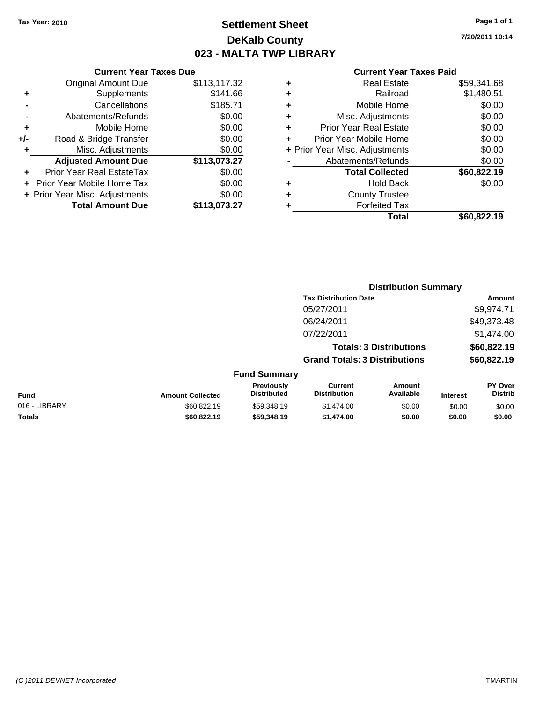### **Settlement Sheet Tax Year: 2010 Page 1 of 1 DeKalb County 023 - MALTA TWP LIBRARY**

**7/20/2011 10:14**

|     | <b>Current Year Taxes Due</b>  |              |  |  |  |
|-----|--------------------------------|--------------|--|--|--|
|     | <b>Original Amount Due</b>     | \$113,117.32 |  |  |  |
| ٠   | Supplements                    | \$141.66     |  |  |  |
|     | Cancellations                  | \$185.71     |  |  |  |
|     | Abatements/Refunds             | \$0.00       |  |  |  |
| ٠   | Mobile Home                    | \$0.00       |  |  |  |
| +/- | Road & Bridge Transfer         | \$0.00       |  |  |  |
| ٠   | Misc. Adjustments              | \$0.00       |  |  |  |
|     | <b>Adjusted Amount Due</b>     | \$113,073.27 |  |  |  |
| ٠   | Prior Year Real EstateTax      | \$0.00       |  |  |  |
|     | Prior Year Mobile Home Tax     | \$0.00       |  |  |  |
|     | + Prior Year Misc. Adjustments | \$0.00       |  |  |  |
|     | <b>Total Amount Due</b>        | \$113,073.27 |  |  |  |
|     |                                |              |  |  |  |

|   | <b>Real Estate</b>             | \$59,341.68 |
|---|--------------------------------|-------------|
| ٠ | Railroad                       | \$1,480.51  |
| ٠ | Mobile Home                    | \$0.00      |
| ٠ | Misc. Adjustments              | \$0.00      |
| ٠ | <b>Prior Year Real Estate</b>  | \$0.00      |
|   | Prior Year Mobile Home         | \$0.00      |
|   | + Prior Year Misc. Adjustments | \$0.00      |
|   | Abatements/Refunds             | \$0.00      |
|   | <b>Total Collected</b>         | \$60,822.19 |
| ٠ | <b>Hold Back</b>               | \$0.00      |
| ٠ | <b>County Trustee</b>          |             |
| ٠ | <b>Forfeited Tax</b>           |             |
|   | Total                          | \$60,822.19 |
|   |                                |             |

|               |                         |                                  |                                       | <b>Distribution Summary</b>    |                 |                                  |
|---------------|-------------------------|----------------------------------|---------------------------------------|--------------------------------|-----------------|----------------------------------|
|               |                         |                                  | <b>Tax Distribution Date</b>          |                                |                 | Amount                           |
|               |                         |                                  | 05/27/2011                            |                                |                 | \$9,974.71                       |
|               |                         |                                  | 06/24/2011                            |                                |                 | \$49,373.48                      |
|               |                         |                                  | 07/22/2011                            |                                |                 | \$1,474.00                       |
|               |                         |                                  |                                       | <b>Totals: 3 Distributions</b> |                 | \$60,822.19                      |
|               |                         |                                  | <b>Grand Totals: 3 Distributions</b>  |                                |                 | \$60,822.19                      |
|               |                         | <b>Fund Summary</b>              |                                       |                                |                 |                                  |
| Fund          | <b>Amount Collected</b> | Previously<br><b>Distributed</b> | <b>Current</b><br><b>Distribution</b> | Amount<br>Available            | <b>Interest</b> | <b>PY Over</b><br><b>Distrib</b> |
| 016 - LIBRARY | \$60,822.19             | \$59,348.19                      | \$1,474.00                            | \$0.00                         | \$0.00          | \$0.00                           |
| Totals        | \$60,822.19             | \$59,348.19                      | \$1,474.00                            | \$0.00                         | \$0.00          | \$0.00                           |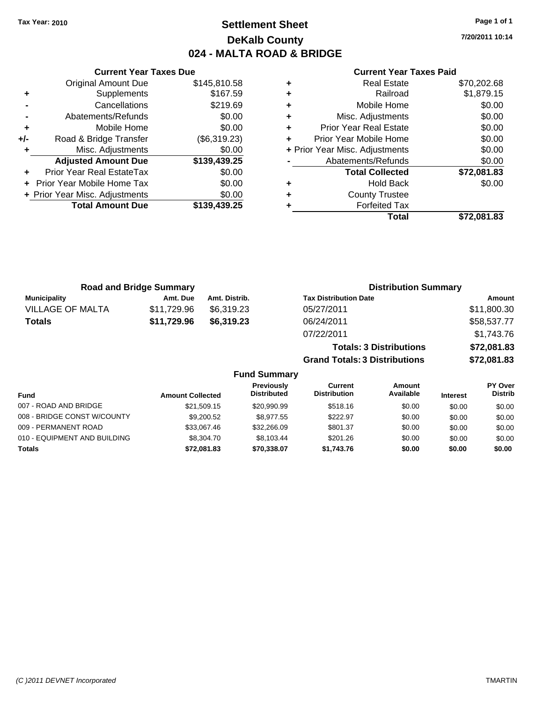### **Settlement Sheet Tax Year: 2010 Page 1 of 1 DeKalb County 024 - MALTA ROAD & BRIDGE**

**7/20/2011 10:14**

#### **Current Year Taxes Paid**

|     | <b>Original Amount Due</b>       | \$145,810.58 |
|-----|----------------------------------|--------------|
| ٠   | Supplements                      | \$167.59     |
|     | Cancellations                    | \$219.69     |
|     | Abatements/Refunds               | \$0.00       |
| ÷   | Mobile Home                      | \$0.00       |
| +/- | Road & Bridge Transfer           | (\$6,319.23) |
|     | Misc. Adjustments                | \$0.00       |
|     | <b>Adjusted Amount Due</b>       | \$139,439.25 |
|     | <b>Prior Year Real EstateTax</b> | \$0.00       |
| ÷   | Prior Year Mobile Home Tax       | \$0.00       |
|     | + Prior Year Misc. Adjustments   | \$0.00       |
|     | <b>Total Amount Due</b>          | \$139,439.25 |
|     |                                  |              |

**Current Year Taxes Due**

|   | Real Estate                    | \$70,202.68 |
|---|--------------------------------|-------------|
| ÷ | Railroad                       | \$1,879.15  |
| ٠ | Mobile Home                    | \$0.00      |
| ٠ | Misc. Adjustments              | \$0.00      |
| ٠ | <b>Prior Year Real Estate</b>  | \$0.00      |
|   | Prior Year Mobile Home         | \$0.00      |
|   | + Prior Year Misc. Adjustments | \$0.00      |
|   | Abatements/Refunds             | \$0.00      |
|   | <b>Total Collected</b>         | \$72,081.83 |
| ٠ | <b>Hold Back</b>               | \$0.00      |
| ٠ | <b>County Trustee</b>          |             |
|   | <b>Forfeited Tax</b>           |             |
|   | Total                          | \$72.081.83 |

**Grand Totals: 3 Distributions \$72,081.83**

|                         | <b>Road and Bridge Summary</b> |               | <b>Distribution Summary</b>    |             |
|-------------------------|--------------------------------|---------------|--------------------------------|-------------|
| <b>Municipality</b>     | Amt. Due                       | Amt. Distrib. | <b>Tax Distribution Date</b>   | Amount      |
| <b>VILLAGE OF MALTA</b> | \$11,729.96                    | \$6,319.23    | 05/27/2011                     | \$11,800.30 |
| <b>Totals</b>           | \$11,729.96                    | \$6,319.23    | 06/24/2011                     | \$58,537.77 |
|                         |                                |               | 07/22/2011                     | \$1,743.76  |
|                         |                                |               | <b>Totals: 3 Distributions</b> | \$72,081.83 |

**Fund Summary Fund Interest Amount Collected Distributed PY Over Distrib Amount Available Current Distribution Previously** 007 - ROAD AND BRIDGE 60.00 \$21,509.15 \$20,990.99 \$518.16 \$0.00 \$0.00 \$0.00 \$0.00 008 - BRIDGE CONST W/COUNTY  $$9,200.52$   $$8,977.55$   $$222.97$   $$0.00$   $$0.00$   $$0.00$ 009 - PERMANENT ROAD \$33,067.46 \$32,266.09 \$801.37 \$0.00 \$0.00 \$0.00 010 - EQUIPMENT AND BUILDING \$8,304.70 \$8,103.44 \$201.26 \$0.00 \$0.00 \$0.00 \$0.00 **Totals \$72,081.83 \$70,338.07 \$1,743.76 \$0.00 \$0.00 \$0.00**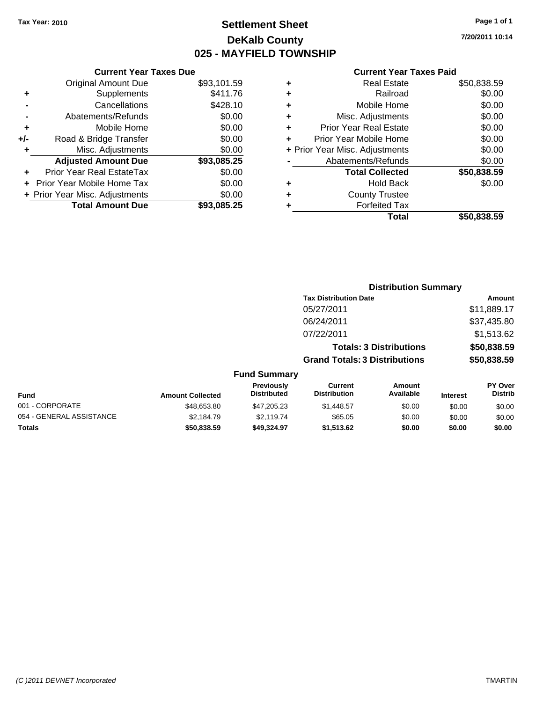**Original Amount Due** 

**Adjusted Amount Due** 

**Total Amount Due** 

**+** Supplements **-** Cancellations **-** Abatements/Refunds **+** Mobile Home **+/-** Road & Bridge Transfer **+** Misc. Adjustments

**+** Prior Year Real EstateTax \$0.00 **+** Prior Year Mobile Home Tax **+ Prior Year Misc. Adjustments** 

### **Settlement Sheet Tax Year: 2010 Page 1 of 1 DeKalb County 025 - MAYFIELD TOWNSHIP**

**7/20/2011 10:14**

 $\overline{$50,838.59}$ 

| <b>Current Year Taxes Due</b> |             |   | <b>Current Year Taxes Paid</b> |             |  |  |
|-------------------------------|-------------|---|--------------------------------|-------------|--|--|
| ıl Amount Due                 | \$93,101.59 | ٠ | <b>Real Estate</b>             | \$50,838.59 |  |  |
| Supplements                   | \$411.76    | ٠ | Railroad                       | \$0.00      |  |  |
| Cancellations                 | \$428.10    | ٠ | Mobile Home                    | \$0.00      |  |  |
| าents/Refunds                 | \$0.00      | ٠ | Misc. Adjustments              | \$0.00      |  |  |
| Mobile Home                   | \$0.00      | ٠ | <b>Prior Year Real Estate</b>  | \$0.00      |  |  |
| ridge Transfer                | \$0.00      | ٠ | Prior Year Mobile Home         | \$0.00      |  |  |
| . Adjustments                 | \$0.00      |   | + Prior Year Misc. Adjustments | \$0.00      |  |  |
| <b>Amount Due</b>             | \$93,085.25 |   | Abatements/Refunds             | \$0.00      |  |  |
| eal EstateTax                 | \$0.00      |   | <b>Total Collected</b>         | \$50,838.59 |  |  |
| pile Home Tax                 | \$0.00      | ٠ | <b>Hold Back</b>               | \$0.00      |  |  |
| . Adjustments                 | \$0.00      | ÷ | <b>County Trustee</b>          |             |  |  |
| <b>Amount Due</b>             | \$93,085.25 |   | <b>Forfeited Tax</b>           |             |  |  |
|                               |             |   | Total                          | \$50,838,59 |  |  |

|                          |                         | <b>Distribution Summary</b>      |                                       |                                |                 |                                  |
|--------------------------|-------------------------|----------------------------------|---------------------------------------|--------------------------------|-----------------|----------------------------------|
|                          |                         |                                  | <b>Tax Distribution Date</b>          |                                |                 | Amount                           |
|                          |                         |                                  | 05/27/2011                            |                                |                 | \$11,889.17                      |
|                          |                         |                                  | 06/24/2011                            |                                |                 | \$37,435.80                      |
|                          |                         |                                  | 07/22/2011                            |                                |                 | \$1,513.62                       |
|                          |                         |                                  |                                       | <b>Totals: 3 Distributions</b> |                 | \$50,838.59                      |
|                          |                         |                                  | <b>Grand Totals: 3 Distributions</b>  |                                |                 | \$50,838.59                      |
|                          |                         | <b>Fund Summary</b>              |                                       |                                |                 |                                  |
| Fund                     | <b>Amount Collected</b> | Previously<br><b>Distributed</b> | <b>Current</b><br><b>Distribution</b> | <b>Amount</b><br>Available     | <b>Interest</b> | <b>PY Over</b><br><b>Distrib</b> |
| 001 - CORPORATE          | \$48,653.80             | \$47,205.23                      | \$1,448.57                            | \$0.00                         | \$0.00          | \$0.00                           |
| 054 - GENERAL ASSISTANCE | \$2,184.79              | \$2,119.74                       | \$65.05                               | \$0.00                         | \$0.00          | \$0.00                           |
| Totals                   | \$50,838.59             | \$49,324.97                      | \$1,513.62                            | \$0.00                         | \$0.00          | \$0.00                           |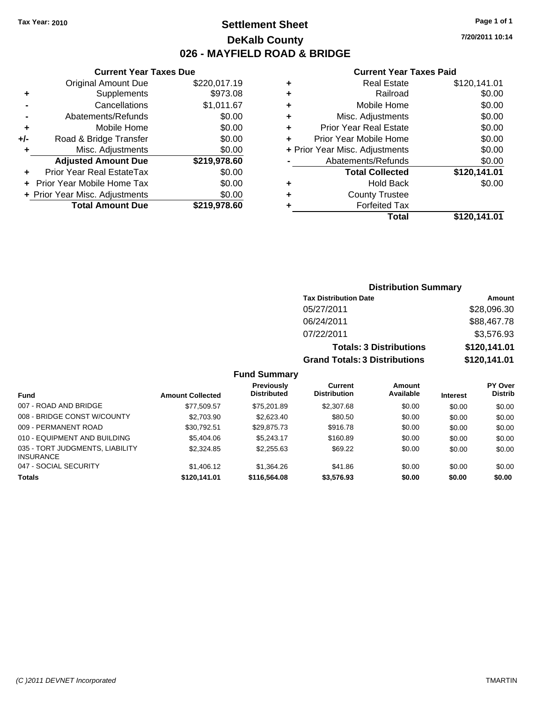**Current Year Taxes Due** Original Amount Due \$220,017.19

**Adjusted Amount Due \$219,978.60**

**Total Amount Due \$219,978.60**

**+** Supplements \$973.08 **-** Cancellations \$1,011.67 **-** Abatements/Refunds \$0.00 **+** Mobile Home \$0.00 **+/-** Road & Bridge Transfer \$0.00 **+** Misc. Adjustments \$0.00

**+** Prior Year Real EstateTax \$0.00 **+** Prior Year Mobile Home Tax \$0.00 **+ Prior Year Misc. Adjustments**  $$0.00$ 

### **Settlement Sheet Tax Year: 2010 Page 1 of 1 DeKalb County 026 - MAYFIELD ROAD & BRIDGE**

**7/20/2011 10:14**

|   | Total                          | \$120.141.01 |
|---|--------------------------------|--------------|
| ٠ | <b>Forfeited Tax</b>           |              |
| ٠ | <b>County Trustee</b>          |              |
| ٠ | <b>Hold Back</b>               | \$0.00       |
|   | <b>Total Collected</b>         | \$120,141.01 |
|   | Abatements/Refunds             | \$0.00       |
|   | + Prior Year Misc. Adjustments | \$0.00       |
|   | Prior Year Mobile Home         | \$0.00       |
| ٠ | <b>Prior Year Real Estate</b>  | \$0.00       |
| ٠ | Misc. Adjustments              | \$0.00       |
| ٠ | Mobile Home                    | \$0.00       |
| ٠ | Railroad                       | \$0.00       |
| ٠ | <b>Real Estate</b>             | \$120,141.01 |

|                           |                         |                                         | <b>Distribution Summary</b>           |                                |                 |                           |
|---------------------------|-------------------------|-----------------------------------------|---------------------------------------|--------------------------------|-----------------|---------------------------|
|                           |                         |                                         | <b>Tax Distribution Date</b>          |                                |                 | Amount                    |
|                           |                         |                                         | 05/27/2011                            |                                |                 | \$28,096.30               |
|                           |                         |                                         | 06/24/2011                            |                                |                 | \$88,467.78               |
|                           |                         |                                         | 07/22/2011                            |                                |                 | \$3,576.93                |
|                           |                         |                                         |                                       | <b>Totals: 3 Distributions</b> |                 | \$120,141.01              |
|                           |                         |                                         | <b>Grand Totals: 3 Distributions</b>  |                                |                 | \$120,141.01              |
|                           |                         | <b>Fund Summary</b>                     |                                       |                                |                 |                           |
| <b>Fund</b>               | <b>Amount Collected</b> | <b>Previously</b><br><b>Distributed</b> | <b>Current</b><br><b>Distribution</b> | Amount<br>Available            | <b>Interest</b> | PY Over<br><b>Distrib</b> |
| 007 - ROAD AND BRIDGE     | \$77.509.57             | \$75.201.89                             | \$2,307.68                            | \$0.00                         | \$0.00          | \$0.00                    |
| 000 DRIBOE CONST WICOUNTY | 0.70000                 | 0.00000                                 | 0.0000                                | 0000                           | $\sim$ $\sim$   | $\sim$ $\sim$             |

| <b>Totals</b>                                | \$120,141,01 | \$116,564.08 | \$3.576.93 | \$0.00 | \$0.00 | \$0.00 |
|----------------------------------------------|--------------|--------------|------------|--------|--------|--------|
| 047 - SOCIAL SECURITY                        | \$1,406.12   | \$1.364.26   | \$41.86    | \$0.00 | \$0.00 | \$0.00 |
| 035 - TORT JUDGMENTS, LIABILITY<br>INSURANCE | \$2,324.85   | \$2,255.63   | \$69.22    | \$0.00 | \$0.00 | \$0.00 |
| 010 - EQUIPMENT AND BUILDING                 | \$5,404.06   | \$5.243.17   | \$160.89   | \$0.00 | \$0.00 | \$0.00 |
| 009 - PERMANENT ROAD                         | \$30.792.51  | \$29.875.73  | \$916.78   | \$0.00 | \$0.00 | \$0.00 |
| 008 - BRIDGE CONST W/COUNTY                  | \$2,703.90   | \$2,623.40   | \$80.50    | \$0.00 | \$0.00 | \$0.00 |
| 007 - ROAD AND BRIDGE                        | \$77.509.57  | \$75.201.89  | \$2,307.68 | \$0.00 | \$0.00 | \$0.00 |
|                                              |              |              |            |        |        |        |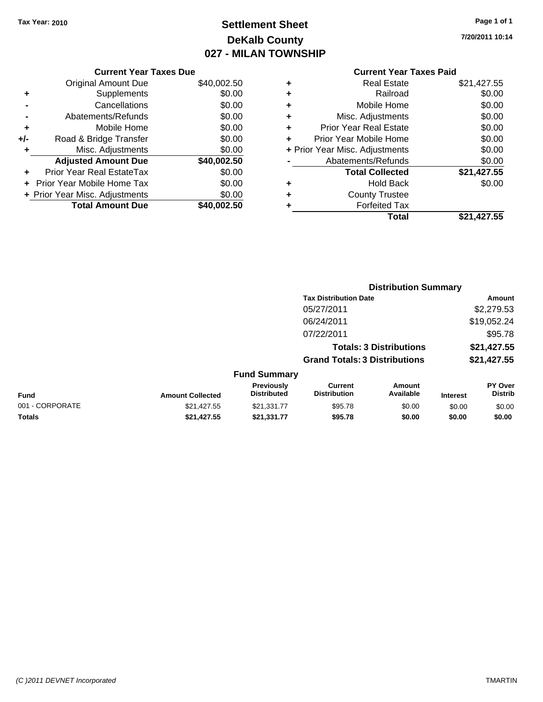## **Settlement Sheet Tax Year: 2010 Page 1 of 1 DeKalb County 027 - MILAN TOWNSHIP**

**7/20/2011 10:14**

|                | <b>Current Year Taxes Due</b> |             |
|----------------|-------------------------------|-------------|
|                | <b>Original Amount Due</b>    | \$40,002.50 |
| ٠              | Supplements                   | \$0.00      |
| $\blacksquare$ | Cancellations                 | \$0.00      |
| $\blacksquare$ | Abatements/Refunds            | \$0.00      |
| ٠              | Mobile Home                   | \$0.00      |
| +/-            | Road & Bridge Transfer        | \$0.00      |
| $\ddot{}$      | Misc. Adjustments             | \$0.00      |
|                | <b>Adjusted Amount Due</b>    | \$40,002.50 |
|                | Prior Year Real EstateTax     | ደ0 00       |

| <b>Total Amount Due</b>              | \$40,002.50 |
|--------------------------------------|-------------|
| + Prior Year Misc. Adjustments       | \$0.00      |
| + Prior Year Mobile Home Tax         | \$0.00      |
| $\ddagger$ FINITE al INFAIL SIAIGTAN | JU.UU       |

|   | Real Estate                    | \$21,427.55 |
|---|--------------------------------|-------------|
| ÷ | Railroad                       | \$0.00      |
| ٠ | Mobile Home                    | \$0.00      |
| ٠ | Misc. Adjustments              | \$0.00      |
| ÷ | <b>Prior Year Real Estate</b>  | \$0.00      |
|   | Prior Year Mobile Home         | \$0.00      |
|   | + Prior Year Misc. Adjustments | \$0.00      |
|   | Abatements/Refunds             | \$0.00      |
|   | <b>Total Collected</b>         | \$21,427.55 |
| ٠ | <b>Hold Back</b>               | \$0.00      |
| ٠ | <b>County Trustee</b>          |             |
|   | <b>Forfeited Tax</b>           |             |
|   | Total                          | \$21,427.55 |
|   |                                |             |

|                 |                         |                                  |                                       |                                | <b>Distribution Summary</b> |                                  |
|-----------------|-------------------------|----------------------------------|---------------------------------------|--------------------------------|-----------------------------|----------------------------------|
|                 |                         |                                  | <b>Tax Distribution Date</b>          |                                |                             | Amount                           |
|                 |                         |                                  | 05/27/2011                            |                                |                             | \$2,279.53                       |
|                 |                         |                                  | 06/24/2011                            |                                |                             | \$19,052.24                      |
|                 |                         |                                  | 07/22/2011                            |                                |                             | \$95.78                          |
|                 |                         |                                  |                                       | <b>Totals: 3 Distributions</b> |                             | \$21,427.55                      |
|                 |                         |                                  | <b>Grand Totals: 3 Distributions</b>  |                                |                             | \$21,427.55                      |
|                 |                         | <b>Fund Summary</b>              |                                       |                                |                             |                                  |
| <b>Fund</b>     | <b>Amount Collected</b> | Previously<br><b>Distributed</b> | <b>Current</b><br><b>Distribution</b> | <b>Amount</b><br>Available     | <b>Interest</b>             | <b>PY Over</b><br><b>Distrib</b> |
| 001 - CORPORATE | \$21,427.55             | \$21,331.77                      | \$95.78                               | \$0.00                         | \$0.00                      | \$0.00                           |
| Totals          | \$21,427.55             | \$21.331.77                      | \$95.78                               | \$0.00                         | \$0.00                      | \$0.00                           |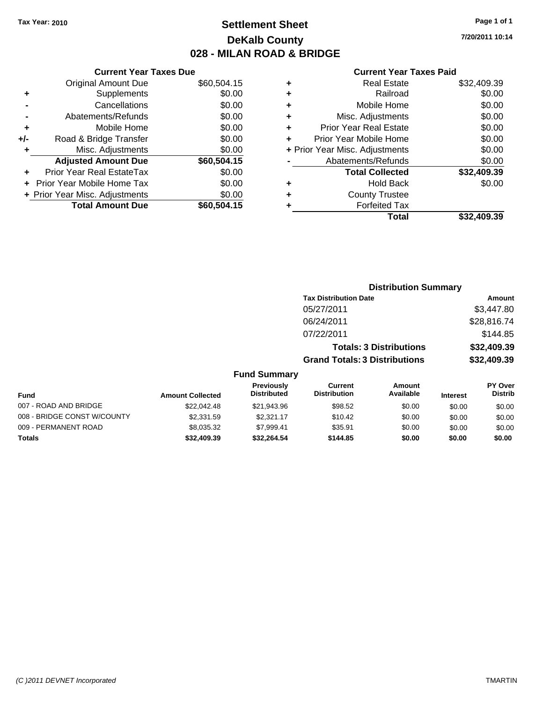### **Settlement Sheet Tax Year: 2010 Page 1 of 1 DeKalb County 028 - MILAN ROAD & BRIDGE**

### **Current Year Taxes Due** Original Amount Due \$60,504.15 **+** Supplements \$0.00 **Cancellations** \$0.00

|     | <b>Total Amount Due</b>        | \$60,504.15 |
|-----|--------------------------------|-------------|
|     | + Prior Year Misc. Adjustments | \$0.00      |
|     | + Prior Year Mobile Home Tax   | \$0.00      |
|     | Prior Year Real EstateTax      | \$0.00      |
|     | <b>Adjusted Amount Due</b>     | \$60,504.15 |
| ÷   | Misc. Adjustments              | \$0.00      |
| +/- | Road & Bridge Transfer         | \$0.00      |
| ٠   | Mobile Home                    | \$0.00      |
|     | Abatements/Refunds             | \$0.00      |

#### **Current Year Taxes Paid**

| ٠ | <b>Real Estate</b>             | \$32,409.39 |
|---|--------------------------------|-------------|
| ٠ | Railroad                       | \$0.00      |
| ٠ | Mobile Home                    | \$0.00      |
| ٠ | Misc. Adjustments              | \$0.00      |
| ٠ | <b>Prior Year Real Estate</b>  | \$0.00      |
| ÷ | Prior Year Mobile Home         | \$0.00      |
|   | + Prior Year Misc. Adjustments | \$0.00      |
|   | Abatements/Refunds             | \$0.00      |
|   | <b>Total Collected</b>         | \$32,409.39 |
| ٠ | Hold Back                      | \$0.00      |
| ٠ | <b>County Trustee</b>          |             |
| ٠ | <b>Forfeited Tax</b>           |             |
|   | Total                          | \$32,409.39 |
|   |                                |             |

## **Distribution Summary Tax Distribution Date Amount** 05/27/2011 \$3,447.80 06/24/2011 \$28,816.74 07/22/2011 \$144.85

#### **Totals: 3 Distributions \$32,409.39 Grand Totals: 3 Distributions \$32,409.39 Fund Summary Fund Interest Amount Collected Distributed PY Over Distrib Amount Available Current Distribution Previously** 007 - ROAD AND BRIDGE 60.00 \$22,042.48 \$21,943.96 \$98.52 \$0.00 \$0.00 \$0.00 \$0.00 008 - BRIDGE CONST W/COUNTY  $$2,331.59$   $$2,321.17$   $$10.42$   $$0.00$   $$0.00$   $$0.00$ 009 - PERMANENT ROAD \$8,035.32 \$7,999.41 \$35.91 \$0.00 \$0.00 \$0.00

**Totals \$32,409.39 \$32,264.54 \$144.85 \$0.00 \$0.00 \$0.00**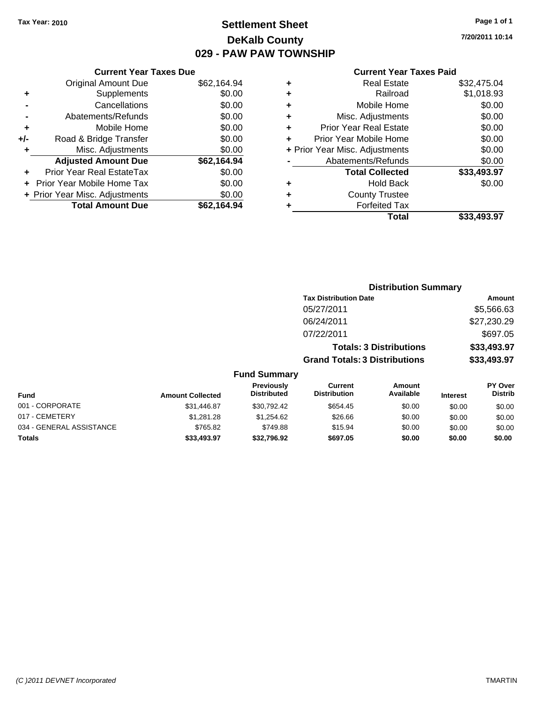### **Settlement Sheet Tax Year: 2010 Page 1 of 1 DeKalb County 029 - PAW PAW TOWNSHIP**

**7/20/2011 10:14**

|     | <b>Current Year Taxes Due</b>     |             |
|-----|-----------------------------------|-------------|
|     | <b>Original Amount Due</b>        | \$62,164.94 |
| ٠   | Supplements                       | \$0.00      |
|     | Cancellations                     | \$0.00      |
|     | Abatements/Refunds                | \$0.00      |
| ٠   | Mobile Home                       | \$0.00      |
| +/- | Road & Bridge Transfer            | \$0.00      |
| ٠   | Misc. Adjustments                 | \$0.00      |
|     | <b>Adjusted Amount Due</b>        | \$62,164.94 |
| ٠   | Prior Year Real EstateTax         | \$0.00      |
|     | <b>Prior Year Mobile Home Tax</b> | \$0.00      |
|     | + Prior Year Misc. Adjustments    | \$0.00      |
|     | <b>Total Amount Due</b>           | \$62,164.94 |
|     |                                   |             |

| ٠ | <b>Real Estate</b>             | \$32,475.04 |
|---|--------------------------------|-------------|
| ٠ | Railroad                       | \$1,018.93  |
| ÷ | Mobile Home                    | \$0.00      |
| ٠ | Misc. Adjustments              | \$0.00      |
| ٠ | <b>Prior Year Real Estate</b>  | \$0.00      |
| ÷ | Prior Year Mobile Home         | \$0.00      |
|   | + Prior Year Misc. Adjustments | \$0.00      |
|   | Abatements/Refunds             | \$0.00      |
|   | <b>Total Collected</b>         | \$33,493.97 |
| ٠ | <b>Hold Back</b>               | \$0.00      |
| ٠ | <b>County Trustee</b>          |             |
| ٠ | <b>Forfeited Tax</b>           |             |
|   | Total                          | \$33.493.97 |

|                          |                         |                                  | <b>Distribution Summary</b>           |                                |                 |                                  |
|--------------------------|-------------------------|----------------------------------|---------------------------------------|--------------------------------|-----------------|----------------------------------|
|                          |                         |                                  | <b>Tax Distribution Date</b>          |                                |                 | Amount                           |
|                          |                         |                                  | 05/27/2011                            |                                |                 | \$5,566.63                       |
|                          |                         |                                  | 06/24/2011                            |                                |                 | \$27,230.29                      |
|                          |                         |                                  | 07/22/2011                            |                                |                 | \$697.05                         |
|                          |                         |                                  |                                       | <b>Totals: 3 Distributions</b> |                 | \$33,493.97                      |
|                          |                         |                                  | <b>Grand Totals: 3 Distributions</b>  |                                |                 | \$33,493.97                      |
|                          |                         | <b>Fund Summary</b>              |                                       |                                |                 |                                  |
| <b>Fund</b>              | <b>Amount Collected</b> | Previously<br><b>Distributed</b> | <b>Current</b><br><b>Distribution</b> | Amount<br>Available            | <b>Interest</b> | <b>PY Over</b><br><b>Distrib</b> |
| 001 - CORPORATE          | \$31,446.87             | \$30,792.42                      | \$654.45                              | \$0.00                         | \$0.00          | \$0.00                           |
| 017 - CEMETERY           | \$1,281.28              | \$1,254.62                       | \$26.66                               | \$0.00                         | \$0.00          | \$0.00                           |
| 034 - GENERAL ASSISTANCE | \$765.82                | \$749.88                         | \$15.94                               | \$0.00                         | \$0.00          | \$0.00                           |
| Totals                   | \$33,493.97             | \$32,796.92                      | \$697.05                              | \$0.00                         | \$0.00          | \$0.00                           |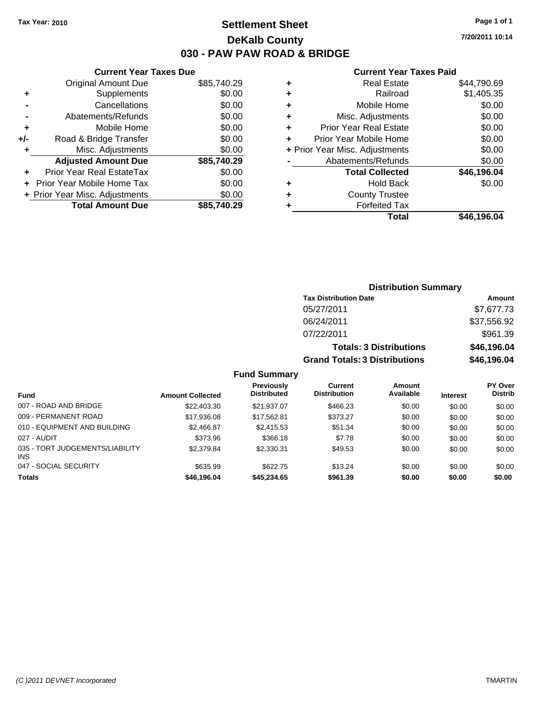**Current Year Taxes Due** Original Amount Due \$85,740.29

**Adjusted Amount Due \$85,740.29**

**Total Amount Due \$85,740.29**

**+** Supplements \$0.00 **-** Cancellations \$0.00 **-** Abatements/Refunds \$0.00 **+** Mobile Home \$0.00 **+/-** Road & Bridge Transfer \$0.00 **+** Misc. Adjustments \$0.00

**+** Prior Year Real EstateTax \$0.00 **+** Prior Year Mobile Home Tax \$0.00 **+ Prior Year Misc. Adjustments**  $$0.00$ 

### **Settlement Sheet Tax Year: 2010 Page 1 of 1 DeKalb County 030 - PAW PAW ROAD & BRIDGE**

**7/20/2011 10:14**

#### **Current Year Taxes Paid**

| <b>Real Estate</b>             | \$44,790.69 |
|--------------------------------|-------------|
| Railroad                       | \$1,405.35  |
| Mobile Home                    | \$0.00      |
| Misc. Adjustments              | \$0.00      |
| <b>Prior Year Real Estate</b>  | \$0.00      |
| Prior Year Mobile Home         | \$0.00      |
| + Prior Year Misc. Adjustments | \$0.00      |
| Abatements/Refunds             | \$0.00      |
| <b>Total Collected</b>         | \$46,196.04 |
| <b>Hold Back</b>               | \$0.00      |
| <b>County Trustee</b>          |             |
| <b>Forfeited Tax</b>           |             |
| Total                          | \$46.196.04 |
|                                |             |

|                                               |                         |                                  |                                      | <b>Distribution Summary</b>    |                 |                                  |
|-----------------------------------------------|-------------------------|----------------------------------|--------------------------------------|--------------------------------|-----------------|----------------------------------|
|                                               |                         |                                  | <b>Tax Distribution Date</b>         |                                |                 | Amount                           |
|                                               |                         |                                  | 05/27/2011                           |                                |                 | \$7,677.73                       |
|                                               |                         |                                  | 06/24/2011                           |                                |                 | \$37,556.92                      |
|                                               |                         |                                  | 07/22/2011                           |                                |                 | \$961.39                         |
|                                               |                         |                                  |                                      | <b>Totals: 3 Distributions</b> |                 | \$46,196.04                      |
|                                               |                         |                                  | <b>Grand Totals: 3 Distributions</b> |                                |                 | \$46,196.04                      |
|                                               |                         | <b>Fund Summary</b>              |                                      |                                |                 |                                  |
| <b>Fund</b>                                   | <b>Amount Collected</b> | Previously<br><b>Distributed</b> | Current<br><b>Distribution</b>       | Amount<br>Available            | <b>Interest</b> | <b>PY Over</b><br><b>Distrib</b> |
| 007 - ROAD AND BRIDGE                         | \$22,403.30             | \$21,937.07                      | \$466.23                             | \$0.00                         | \$0.00          | \$0.00                           |
| 009 - PERMANENT ROAD                          | \$17,936.08             | \$17,562.81                      | \$373.27                             | \$0.00                         | \$0.00          | \$0.00                           |
| 010 - EQUIPMENT AND BUILDING                  | \$2,466.87              | \$2,415.53                       | \$51.34                              | \$0.00                         | \$0.00          | \$0.00                           |
| 027 - AUDIT                                   | \$373.96                | \$366.18                         | \$7.78                               | \$0.00                         | \$0.00          | \$0.00                           |
| 035 - TORT JUDGEMENTS/LIABILITY<br><b>INS</b> | \$2,379.84              | \$2,330.31                       | \$49.53                              | \$0.00                         | \$0.00          | \$0.00                           |

047 - SOCIAL SECURITY \$635.99 \$622.75 \$13.24 \$0.00 \$0.00 \$0.00 **Totals \$46,196.04 \$45,234.65 \$961.39 \$0.00 \$0.00 \$0.00**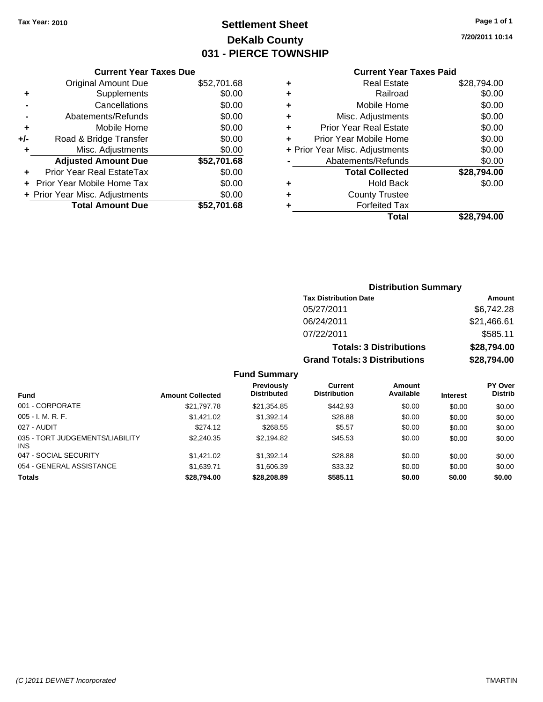## **Settlement Sheet Tax Year: 2010 Page 1 of 1 DeKalb County 031 - PIERCE TOWNSHIP**

**7/20/2011 10:14**

### **Current Year Taxes Paid**

|       | <b>Current Year Taxes Due</b>  |             |  |  |  |
|-------|--------------------------------|-------------|--|--|--|
|       | <b>Original Amount Due</b>     | \$52,701.68 |  |  |  |
| ٠     | Supplements                    | \$0.00      |  |  |  |
|       | Cancellations                  | \$0.00      |  |  |  |
|       | Abatements/Refunds             | \$0.00      |  |  |  |
| ٠     | Mobile Home                    | \$0.00      |  |  |  |
| $+/-$ | Road & Bridge Transfer         | \$0.00      |  |  |  |
| ٠     | Misc. Adjustments              | \$0.00      |  |  |  |
|       | <b>Adjusted Amount Due</b>     | \$52,701.68 |  |  |  |
| ÷     | Prior Year Real EstateTax      | \$0.00      |  |  |  |
|       | Prior Year Mobile Home Tax     | \$0.00      |  |  |  |
|       | + Prior Year Misc. Adjustments | \$0.00      |  |  |  |
|       | <b>Total Amount Due</b>        | \$52.701.68 |  |  |  |
|       |                                |             |  |  |  |

| ٠ | <b>Real Estate</b>             | \$28,794.00 |
|---|--------------------------------|-------------|
| ÷ | Railroad                       | \$0.00      |
| ٠ | Mobile Home                    | \$0.00      |
| ٠ | Misc. Adjustments              | \$0.00      |
| ٠ | <b>Prior Year Real Estate</b>  | \$0.00      |
| ÷ | Prior Year Mobile Home         | \$0.00      |
|   | + Prior Year Misc. Adjustments | \$0.00      |
|   | Abatements/Refunds             | \$0.00      |
|   | <b>Total Collected</b>         | \$28,794.00 |
| ٠ | <b>Hold Back</b>               | \$0.00      |
| ٠ | <b>County Trustee</b>          |             |
| ٠ | <b>Forfeited Tax</b>           |             |
|   | Total                          | \$28.794.00 |
|   |                                |             |

### **Distribution Summary Tax Distribution Date Amount** 05/27/2011 \$6,742.28 06/24/2011 \$21,466.61 07/22/2011 \$585.11 **Totals: 3 Distributions \$28,794.00 Grand Totals: 3 Distributions \$28,794.00**

#### **Fund Summary**

|                                               |                         | Previously         | <b>Current</b>      | Amount    |                 | <b>PY Over</b> |
|-----------------------------------------------|-------------------------|--------------------|---------------------|-----------|-----------------|----------------|
| <b>Fund</b>                                   | <b>Amount Collected</b> | <b>Distributed</b> | <b>Distribution</b> | Available | <b>Interest</b> | <b>Distrib</b> |
| 001 - CORPORATE                               | \$21,797.78             | \$21.354.85        | \$442.93            | \$0.00    | \$0.00          | \$0.00         |
| $005 - I. M. R. F.$                           | \$1.421.02              | \$1,392.14         | \$28.88             | \$0.00    | \$0.00          | \$0.00         |
| 027 - AUDIT                                   | \$274.12                | \$268.55           | \$5.57              | \$0.00    | \$0.00          | \$0.00         |
| 035 - TORT JUDGEMENTS/LIABILITY<br><b>INS</b> | \$2,240.35              | \$2.194.82         | \$45.53             | \$0.00    | \$0.00          | \$0.00         |
| 047 - SOCIAL SECURITY                         | \$1.421.02              | \$1.392.14         | \$28.88             | \$0.00    | \$0.00          | \$0.00         |
| 054 - GENERAL ASSISTANCE                      | \$1,639.71              | \$1,606.39         | \$33.32             | \$0.00    | \$0.00          | \$0.00         |
| <b>Totals</b>                                 | \$28,794.00             | \$28,208.89        | \$585.11            | \$0.00    | \$0.00          | \$0.00         |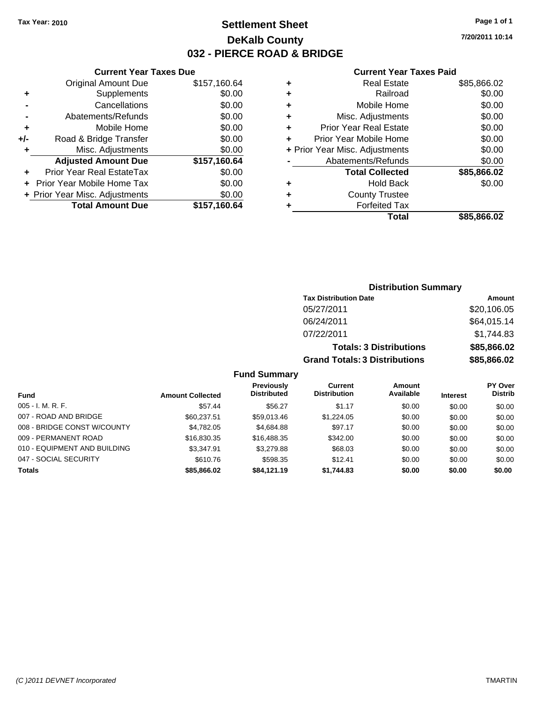### **Settlement Sheet Tax Year: 2010 Page 1 of 1 DeKalb County 032 - PIERCE ROAD & BRIDGE**

**7/20/2011 10:14**

#### **Current Year Taxes Paid**

|     | <b>Current Year Taxes Due</b>  |              |  |  |  |  |
|-----|--------------------------------|--------------|--|--|--|--|
|     | <b>Original Amount Due</b>     | \$157,160.64 |  |  |  |  |
| ٠   | Supplements                    | \$0.00       |  |  |  |  |
|     | Cancellations                  | \$0.00       |  |  |  |  |
|     | Abatements/Refunds             | \$0.00       |  |  |  |  |
| ٠   | Mobile Home                    | \$0.00       |  |  |  |  |
| +/- | Road & Bridge Transfer         | \$0.00       |  |  |  |  |
| ٠   | Misc. Adjustments              | \$0.00       |  |  |  |  |
|     | <b>Adjusted Amount Due</b>     | \$157,160.64 |  |  |  |  |
|     | Prior Year Real EstateTax      | \$0.00       |  |  |  |  |
|     | Prior Year Mobile Home Tax     | \$0.00       |  |  |  |  |
|     | + Prior Year Misc. Adjustments | \$0.00       |  |  |  |  |
|     | <b>Total Amount Due</b>        | \$157,160.64 |  |  |  |  |
|     |                                |              |  |  |  |  |

| ٠ | <b>Real Estate</b>             | \$85,866.02 |
|---|--------------------------------|-------------|
| ٠ | Railroad                       | \$0.00      |
| ٠ | Mobile Home                    | \$0.00      |
| ٠ | Misc. Adjustments              | \$0.00      |
| ٠ | <b>Prior Year Real Estate</b>  | \$0.00      |
| ٠ | Prior Year Mobile Home         | \$0.00      |
|   | + Prior Year Misc. Adjustments | \$0.00      |
|   | Abatements/Refunds             | \$0.00      |
|   | <b>Total Collected</b>         | \$85,866.02 |
| ٠ | <b>Hold Back</b>               | \$0.00      |
| ٠ | <b>County Trustee</b>          |             |
| ٠ | <b>Forfeited Tax</b>           |             |
|   | Total                          | \$85,866.02 |

### **Distribution Summary Tax Distribution Date Amount** 05/27/2011 \$20,106.05 06/24/2011 \$64,015.14 07/22/2011 \$1,744.83 **Totals: 3 Distributions \$85,866.02 Grand Totals: 3 Distributions \$85,866.02**

#### **Fund Summary**

| <b>Fund</b>                  | <b>Amount Collected</b> | <b>Previously</b><br><b>Distributed</b> | Current<br><b>Distribution</b> | Amount<br>Available | <b>Interest</b> | <b>PY Over</b><br><b>Distrib</b> |
|------------------------------|-------------------------|-----------------------------------------|--------------------------------|---------------------|-----------------|----------------------------------|
| $005 - I. M. R. F.$          | \$57.44                 | \$56.27                                 | \$1.17                         | \$0.00              | \$0.00          | \$0.00                           |
| 007 - ROAD AND BRIDGE        | \$60,237.51             | \$59,013,46                             | \$1,224.05                     | \$0.00              | \$0.00          | \$0.00                           |
| 008 - BRIDGE CONST W/COUNTY  | \$4,782.05              | \$4,684.88                              | \$97.17                        | \$0.00              | \$0.00          | \$0.00                           |
| 009 - PERMANENT ROAD         | \$16,830.35             | \$16,488.35                             | \$342.00                       | \$0.00              | \$0.00          | \$0.00                           |
| 010 - EQUIPMENT AND BUILDING | \$3.347.91              | \$3,279.88                              | \$68.03                        | \$0.00              | \$0.00          | \$0.00                           |
| 047 - SOCIAL SECURITY        | \$610.76                | \$598.35                                | \$12.41                        | \$0.00              | \$0.00          | \$0.00                           |
| <b>Totals</b>                | \$85,866.02             | \$84,121,19                             | \$1,744.83                     | \$0.00              | \$0.00          | \$0.00                           |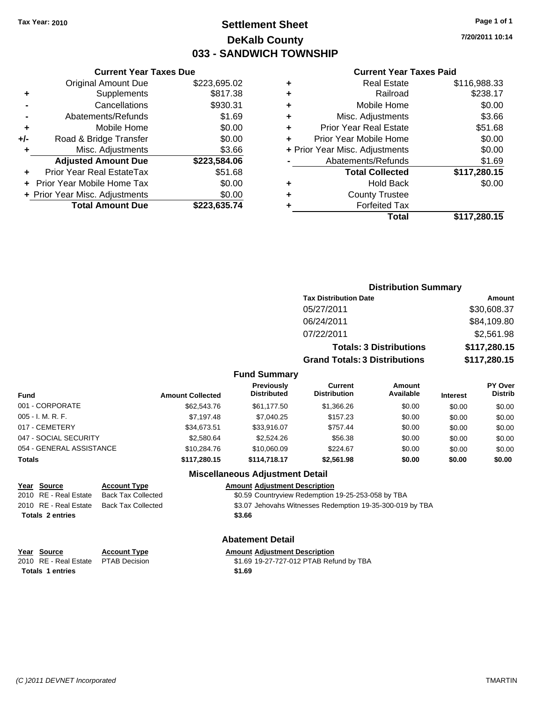### **Settlement Sheet Tax Year: 2010 Page 1 of 1 DeKalb County 033 - SANDWICH TOWNSHIP**

**7/20/2011 10:14**

#### **Current Year Taxes Paid**

|                            |                                                                |                                | Total                         | \$117,280.15           |
|----------------------------|----------------------------------------------------------------|--------------------------------|-------------------------------|------------------------|
| <b>Total Amount Due</b>    | \$223,635.74                                                   |                                | <b>Forfeited Tax</b>          |                        |
|                            | \$0.00                                                         | ٠                              | <b>County Trustee</b>         |                        |
|                            | \$0.00                                                         | ٠                              | <b>Hold Back</b>              | \$0.00                 |
| Prior Year Real EstateTax  | \$51.68                                                        |                                | <b>Total Collected</b>        | \$117,280.15           |
| <b>Adjusted Amount Due</b> | \$223,584.06                                                   |                                | Abatements/Refunds            | \$1.69                 |
| Misc. Adjustments          | \$3.66                                                         | + Prior Year Misc. Adjustments |                               | \$0.00                 |
| Road & Bridge Transfer     | \$0.00                                                         |                                | \$0.00                        |                        |
| Mobile Home                | \$0.00                                                         | ٠                              | <b>Prior Year Real Estate</b> | \$51.68                |
| Abatements/Refunds         | \$1.69                                                         | ٠                              | Misc. Adjustments             | \$3.66                 |
| Cancellations              | \$930.31                                                       | ٠                              | Mobile Home                   | \$0.00                 |
| Supplements                | \$817.38                                                       | ٠                              | Railroad                      | \$238.17               |
| Original Amount Due        | \$223,695.02                                                   | ٠                              | <b>Real Estate</b>            | \$116,988.33           |
|                            | + Prior Year Mobile Home Tax<br>+ Prior Year Misc. Adjustments |                                |                               | Prior Year Mobile Home |

#### **Distribution Summary Tax Distribution Date Amount** 05/27/2011 \$30,608.37 06/24/2011 \$84,109.80 07/22/2011 \$2,561.98 **Totals: 3 Distributions \$117,280.15 Grand Totals: 3 Distributions \$117,280.15 Fund Summary PY Over Distrib Amount Available Current Distribution Previously Amount Collected Distributed**

| <b>Fund</b>              | <b>Amount Collected</b> | <b>Distributed</b> | <b>Distribution</b> | Available | <b>Interest</b> | <b>Distrib</b> |
|--------------------------|-------------------------|--------------------|---------------------|-----------|-----------------|----------------|
| 001 - CORPORATE          | \$62,543.76             | \$61.177.50        | \$1,366,26          | \$0.00    | \$0.00          | \$0.00         |
| $005 - I. M. R. F.$      | \$7,197.48              | \$7,040.25         | \$157.23            | \$0.00    | \$0.00          | \$0.00         |
| 017 - CEMETERY           | \$34,673.51             | \$33,916.07        | \$757.44            | \$0.00    | \$0.00          | \$0.00         |
| 047 - SOCIAL SECURITY    | \$2,580.64              | \$2,524.26         | \$56.38             | \$0.00    | \$0.00          | \$0.00         |
| 054 - GENERAL ASSISTANCE | \$10,284.76             | \$10,060.09        | \$224.67            | \$0.00    | \$0.00          | \$0.00         |
| <b>Totals</b>            | \$117,280.15            | \$114,718.17       | \$2,561.98          | \$0.00    | \$0.00          | \$0.00         |
|                          |                         |                    |                     |           |                 |                |

#### **Miscellaneous Adjustment Detail**

**Year Source Account Type Amount Adjustment Description** 2010 RE - Real Estate Back Tax Collected \$0.59 Countryview Redemption 19-25-253-058 by TBA 2010 RE - Real Estate Back Tax Collected \$3.07 Jehovahs Witnesses Redemption 19-35-300-019 by TBA **Totals \$3.66 2 entries**

#### **Abatement Detail**

#### **Account Type Allerging Exercise Services Amount Adjustment Description**

PTAB Decision  $$1.69$  19-27-727-012 PTAB Refund by TBA **Totals \$1.69 1 entries**

| Year Source             |
|-------------------------|
| 2010 - RF - Real Estate |

**Current Year Taxes Due**

*(C )2011 DEVNET Incorporated* TMARTIN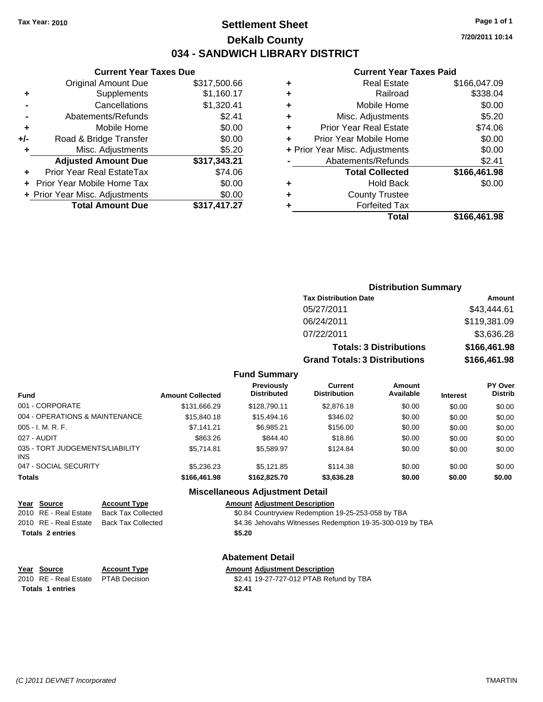### **Settlement Sheet Tax Year: 2010 Page 1 of 1 DeKalb County 034 - SANDWICH LIBRARY DISTRICT**

**7/20/2011 10:14**

#### **Current Year Taxes Paid**

|   | Total                          | \$166,461.98 |
|---|--------------------------------|--------------|
|   | <b>Forfeited Tax</b>           |              |
| ٠ | <b>County Trustee</b>          |              |
| ٠ | <b>Hold Back</b>               | \$0.00       |
|   | <b>Total Collected</b>         | \$166,461.98 |
|   | Abatements/Refunds             | \$2.41       |
|   | + Prior Year Misc. Adjustments | \$0.00       |
|   | Prior Year Mobile Home         | \$0.00       |
| ٠ | <b>Prior Year Real Estate</b>  | \$74.06      |
| ٠ | Misc. Adjustments              | \$5.20       |
| ٠ | Mobile Home                    | \$0.00       |
| ٠ | Railroad                       | \$338.04     |
| ٠ | <b>Real Estate</b>             | \$166,047.09 |
|   |                                |              |

|     | <b>Current Year Taxes Due</b>  |              |
|-----|--------------------------------|--------------|
|     | <b>Original Amount Due</b>     | \$317,500.66 |
|     | Supplements                    | \$1,160.17   |
|     | Cancellations                  | \$1,320.41   |
|     | Abatements/Refunds             | \$2.41       |
| ٠   | Mobile Home                    | \$0.00       |
| +/- | Road & Bridge Transfer         | \$0.00       |
| ٠   | Misc. Adjustments              | \$5.20       |
|     | <b>Adjusted Amount Due</b>     | \$317,343.21 |
|     | Prior Year Real EstateTax      | \$74.06      |
|     | Prior Year Mobile Home Tax     | \$0.00       |
|     | + Prior Year Misc. Adjustments | \$0.00       |
|     | <b>Total Amount Due</b>        | \$317,417.27 |
|     |                                |              |

#### **Distribution Summary**

| <b>Tax Distribution Date</b>         | Amount       |
|--------------------------------------|--------------|
| 05/27/2011                           | \$43,444.61  |
| 06/24/2011                           | \$119,381.09 |
| 07/22/2011                           | \$3,636.28   |
| <b>Totals: 3 Distributions</b>       | \$166,461.98 |
| <b>Grand Totals: 3 Distributions</b> | \$166,461.98 |

#### **Fund Summary**

| <b>Fund</b>                            | <b>Amount Collected</b> | <b>Previously</b><br><b>Distributed</b> | Current<br><b>Distribution</b> | <b>Amount</b><br>Available | <b>Interest</b> | <b>PY Over</b><br><b>Distrib</b> |
|----------------------------------------|-------------------------|-----------------------------------------|--------------------------------|----------------------------|-----------------|----------------------------------|
| 001 - CORPORATE                        | \$131.666.29            | \$128,790.11                            | \$2,876.18                     | \$0.00                     | \$0.00          | \$0.00                           |
| 004 - OPERATIONS & MAINTENANCE         | \$15,840.18             | \$15,494.16                             | \$346.02                       | \$0.00                     | \$0.00          | \$0.00                           |
| 005 - I. M. R. F.                      | \$7.141.21              | \$6.985.21                              | \$156.00                       | \$0.00                     | \$0.00          | \$0.00                           |
| 027 - AUDIT                            | \$863.26                | \$844.40                                | \$18.86                        | \$0.00                     | \$0.00          | \$0.00                           |
| 035 - TORT JUDGEMENTS/LIABILITY<br>INS | \$5.714.81              | \$5.589.97                              | \$124.84                       | \$0.00                     | \$0.00          | \$0.00                           |
| 047 - SOCIAL SECURITY                  | \$5,236,23              | \$5.121.85                              | \$114.38                       | \$0.00                     | \$0.00          | \$0.00                           |
| Totals                                 | \$166,461.98            | \$162,825,70                            | \$3,636.28                     | \$0.00                     | \$0.00          | \$0.00                           |

#### **Miscellaneous Adjustment Detail**

#### **Year Source Account Type Amount Adjustment Description**

2010 RE - Real Estate Back Tax Collected \$0.84 Countryview Redemption 19-25-253-058 by TBA

2010 RE - Real Estate Back Tax Collected \$4.36 Jehovahs Witnesses Redemption 19-35-300-019 by TBA

#### **Totals \$5.20 2 entries**

#### **Abatement Detail**

**Year Source Account Type Amount Adjustment Description**

2010 RE - Real Estate \$2.41 19-27-727-012 PTAB Refund by TBA PTAB Decision

**Totals \$2.41 1 entries**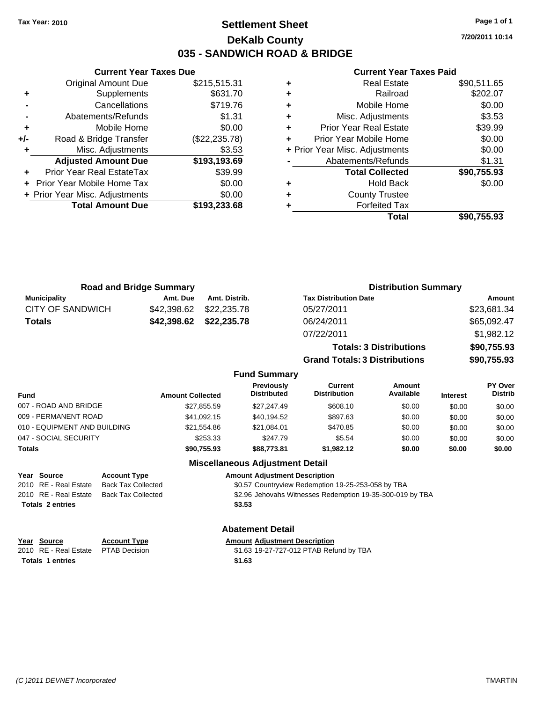### **Settlement Sheet Tax Year: 2010 Page 1 of 1 DeKalb County 035 - SANDWICH ROAD & BRIDGE**

**7/20/2011 10:14**

#### **Current Year Taxes Paid**

|     | <b>Current Year Taxes Due</b>  |                |
|-----|--------------------------------|----------------|
|     | <b>Original Amount Due</b>     | \$215,515.31   |
| ÷   | Supplements                    | \$631.70       |
|     | Cancellations                  | \$719.76       |
|     | Abatements/Refunds             | \$1.31         |
| ٠   | Mobile Home                    | \$0.00         |
| +/- | Road & Bridge Transfer         | (\$22, 235.78) |
|     | Misc. Adjustments              | \$3.53         |
|     | <b>Adjusted Amount Due</b>     | \$193,193.69   |
|     | Prior Year Real EstateTax      | \$39.99        |
|     | Prior Year Mobile Home Tax     | \$0.00         |
|     | + Prior Year Misc. Adjustments | \$0.00         |
|     | <b>Total Amount Due</b>        | \$193,233,68   |
|     |                                |                |

| <b>Real Estate</b>            | \$90,511.65                    |
|-------------------------------|--------------------------------|
| Railroad                      | \$202.07                       |
| Mobile Home                   | \$0.00                         |
| Misc. Adjustments             | \$3.53                         |
| <b>Prior Year Real Estate</b> | \$39.99                        |
| Prior Year Mobile Home        | \$0.00                         |
|                               | \$0.00                         |
| Abatements/Refunds            | \$1.31                         |
| <b>Total Collected</b>        | \$90,755.93                    |
| <b>Hold Back</b>              | \$0.00                         |
| <b>County Trustee</b>         |                                |
| <b>Forfeited Tax</b>          |                                |
| Total                         | \$90,755.93                    |
|                               | + Prior Year Misc. Adjustments |

| <b>Road and Bridge Summary</b> |             |               | <b>Distribution Summary</b>    |             |  |
|--------------------------------|-------------|---------------|--------------------------------|-------------|--|
| <b>Municipality</b>            | Amt. Due    | Amt. Distrib. | <b>Tax Distribution Date</b>   | Amount      |  |
| <b>CITY OF SANDWICH</b>        | \$42,398.62 | \$22,235.78   | 05/27/2011                     | \$23,681.34 |  |
| <b>Totals</b>                  | \$42,398.62 | \$22,235.78   | 06/24/2011                     | \$65,092.47 |  |
|                                |             |               | 07/22/2011                     | \$1,982.12  |  |
|                                |             |               | <b>Totals: 3 Distributions</b> | \$90,755.93 |  |

**Grand Totals: 3 Distributions \$90,755.93**

#### **Fund Summary**

| <b>Fund</b>                  | <b>Amount Collected</b> | Previously<br><b>Distributed</b> | Current<br><b>Distribution</b> | <b>Amount</b><br>Available | <b>Interest</b> | PY Over<br><b>Distrib</b> |
|------------------------------|-------------------------|----------------------------------|--------------------------------|----------------------------|-----------------|---------------------------|
| 007 - ROAD AND BRIDGE        | \$27.855.59             | \$27.247.49                      | \$608.10                       | \$0.00                     | \$0.00          | \$0.00                    |
| 009 - PERMANENT ROAD         | \$41.092.15             | \$40.194.52                      | \$897.63                       | \$0.00                     | \$0.00          | \$0.00                    |
| 010 - EQUIPMENT AND BUILDING | \$21.554.86             | \$21.084.01                      | \$470.85                       | \$0.00                     | \$0.00          | \$0.00                    |
| 047 - SOCIAL SECURITY        | \$253.33                | \$247.79                         | \$5.54                         | \$0.00                     | \$0.00          | \$0.00                    |
| Totals                       | \$90.755.93             | \$88,773.81                      | \$1,982.12                     | \$0.00                     | \$0.00          | \$0.00                    |

#### **Miscellaneous Adjustment Detail**

| Year Source             | <b>Account Type</b> | <b>Amount Adjustment Description</b>                      |
|-------------------------|---------------------|-----------------------------------------------------------|
| 2010 RE - Real Estate   | Back Tax Collected  | \$0.57 Countryview Redemption 19-25-253-058 by TBA        |
| 2010 RE - Real Estate   | Back Tax Collected  | \$2.96 Jehovahs Witnesses Redemption 19-35-300-019 by TBA |
| <b>Totals 2 entries</b> |                     | \$3.53                                                    |
|                         |                     |                                                           |

# **Year Source Account Type**

**Totals \$1.63 1 entries**

## **Abatement Detail**<br>Amount Adjustment Description

| rear source                         | ACCOUNT TVDE | Alliount Adiustment Describtion         |
|-------------------------------------|--------------|-----------------------------------------|
| 2010 RE - Real Estate PTAB Decision |              | \$1.63 19-27-727-012 PTAB Refund by TBA |
| Totale 1 ontrice                    |              | <b>C1 62</b>                            |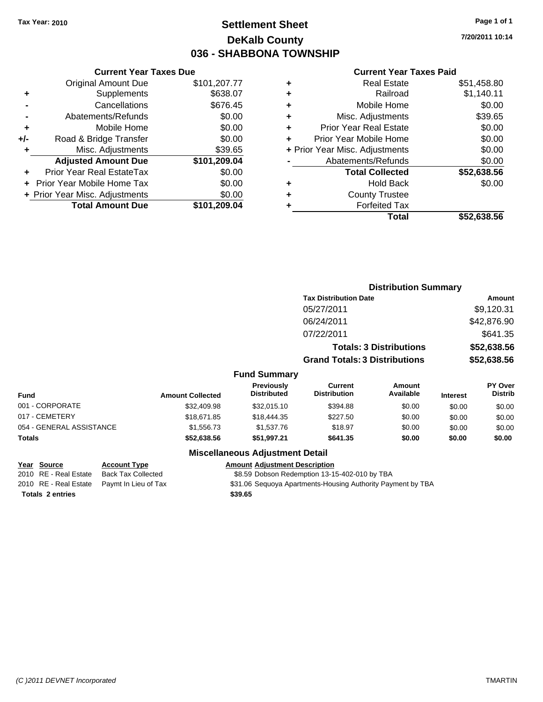### **Settlement Sheet Tax Year: 2010 Page 1 of 1 DeKalb County 036 - SHABBONA TOWNSHIP**

**7/20/2011 10:14**

#### **Current Year Taxes Paid**

|     | <b>Current Year Taxes Due</b>     |              |
|-----|-----------------------------------|--------------|
|     | <b>Original Amount Due</b>        | \$101,207.77 |
| ٠   | Supplements                       | \$638.07     |
|     | Cancellations                     | \$676.45     |
|     | Abatements/Refunds                | \$0.00       |
| ÷   | Mobile Home                       | \$0.00       |
| +/- | Road & Bridge Transfer            | \$0.00       |
| ٠   | Misc. Adjustments                 | \$39.65      |
|     | <b>Adjusted Amount Due</b>        | \$101,209.04 |
| ÷   | Prior Year Real EstateTax         | \$0.00       |
|     | <b>Prior Year Mobile Home Tax</b> | \$0.00       |
|     | + Prior Year Misc. Adjustments    | \$0.00       |
|     | <b>Total Amount Due</b>           | \$101.209.04 |
|     |                                   |              |

|   | <b>Real Estate</b>             | \$51,458.80 |
|---|--------------------------------|-------------|
| ٠ | Railroad                       | \$1,140.11  |
| ٠ | Mobile Home                    | \$0.00      |
| ÷ | Misc. Adjustments              | \$39.65     |
| ٠ | <b>Prior Year Real Estate</b>  | \$0.00      |
|   | Prior Year Mobile Home         | \$0.00      |
|   | + Prior Year Misc. Adjustments | \$0.00      |
|   | Abatements/Refunds             | \$0.00      |
|   | <b>Total Collected</b>         | \$52,638.56 |
| ٠ | Hold Back                      | \$0.00      |
| ٠ | <b>County Trustee</b>          |             |
| ٠ | <b>Forfeited Tax</b>           |             |
|   | Total                          | \$52,638.56 |
|   |                                |             |

|                          |                         |                                  | <b>Distribution Summary</b>           |                                |                 |                           |
|--------------------------|-------------------------|----------------------------------|---------------------------------------|--------------------------------|-----------------|---------------------------|
|                          |                         |                                  | <b>Tax Distribution Date</b>          |                                |                 | <b>Amount</b>             |
|                          |                         |                                  | 05/27/2011                            |                                |                 | \$9,120.31                |
|                          |                         |                                  | 06/24/2011                            |                                |                 | \$42,876.90               |
|                          |                         |                                  | 07/22/2011                            |                                |                 | \$641.35                  |
|                          |                         |                                  |                                       | <b>Totals: 3 Distributions</b> |                 | \$52,638.56               |
|                          |                         |                                  | <b>Grand Totals: 3 Distributions</b>  |                                |                 | \$52,638.56               |
|                          |                         | <b>Fund Summary</b>              |                                       |                                |                 |                           |
| <b>Fund</b>              | <b>Amount Collected</b> | Previously<br><b>Distributed</b> | <b>Current</b><br><b>Distribution</b> | Amount<br>Available            | <b>Interest</b> | PY Over<br><b>Distrib</b> |
| 001 - CORPORATE          | \$32,409.98             | \$32,015.10                      | \$394.88                              | \$0.00                         | \$0.00          | \$0.00                    |
| 017 - CEMETERY           | \$18,671.85             | \$18,444.35                      | \$227.50                              | \$0.00                         | \$0.00          | \$0.00                    |
| 054 - GENERAL ASSISTANCE | \$1,556.73              | \$1,537.76                       | \$18.97                               | \$0.00                         | \$0.00          | \$0.00                    |
| Totals                   | \$52,638.56             | \$51,997.21                      | \$641.35                              | \$0.00                         | \$0.00          | \$0.00                    |
|                          |                         |                                  |                                       |                                |                 |                           |

### **Miscellaneous Adjustment Detail**

#### **Year Source Account Type Amount Adjustment Description**

2010 RE - Real Estate Back Tax Collected \$8.59 Dobson Redemption 13-15-402-010 by TBA

2010 RE - Real Estate Paymt In Lieu of Tax \$31.06 Sequoya Apartments-Housing Authority Payment by TBA

**Totals \$39.65 2 entries**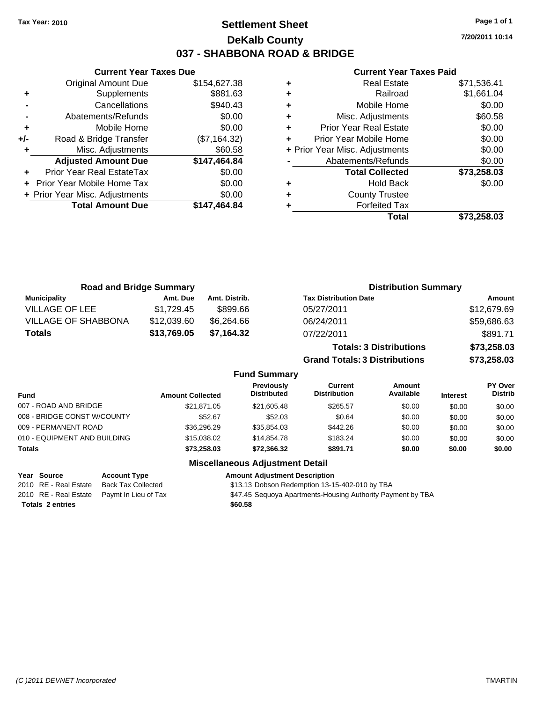### **Settlement Sheet Tax Year: 2010 Page 1 of 1 DeKalb County 037 - SHABBONA ROAD & BRIDGE**

**7/20/2011 10:14**

#### **Current Year Taxes Paid**

|     | <b>Current Year Taxes Due</b>  |              |      |
|-----|--------------------------------|--------------|------|
|     | <b>Original Amount Due</b>     | \$154,627.38 |      |
|     | Supplements                    | \$881.63     |      |
|     | Cancellations                  | \$940.43     |      |
|     | Abatements/Refunds             | \$0.00       | ٠    |
|     | Mobile Home                    | \$0.00       |      |
| +/- | Road & Bridge Transfer         | (\$7,164.32) |      |
|     | Misc. Adjustments              | \$60.58      | + Pr |
|     | <b>Adjusted Amount Due</b>     | \$147,464.84 |      |
|     | Prior Year Real EstateTax      | \$0.00       |      |
|     | Prior Year Mobile Home Tax     | \$0.00       |      |
|     | + Prior Year Misc. Adjustments | \$0.00       |      |
|     | <b>Total Amount Due</b>        | \$147,464.84 |      |
|     |                                |              |      |

|   | Total                          | \$73,258.03 |
|---|--------------------------------|-------------|
|   | <b>Forfeited Tax</b>           |             |
| ٠ | <b>County Trustee</b>          |             |
| ٠ | <b>Hold Back</b>               | \$0.00      |
|   | <b>Total Collected</b>         | \$73,258.03 |
|   | Abatements/Refunds             | \$0.00      |
|   | + Prior Year Misc. Adjustments | \$0.00      |
|   | Prior Year Mobile Home         | \$0.00      |
| ٠ | <b>Prior Year Real Estate</b>  | \$0.00      |
| ٠ | Misc. Adjustments              | \$60.58     |
| ٠ | Mobile Home                    | \$0.00      |
|   | Railroad                       | \$1,661.04  |
|   | <b>Real Estate</b>             | \$71,536.41 |

| <b>Road and Bridge Summary</b> |             |               | <b>Distribution Summary</b>    |             |  |
|--------------------------------|-------------|---------------|--------------------------------|-------------|--|
| <b>Municipality</b>            | Amt. Due    | Amt. Distrib. | <b>Tax Distribution Date</b>   | Amount      |  |
| VILLAGE OF LEE                 | \$1.729.45  | \$899.66      | 05/27/2011                     | \$12,679.69 |  |
| <b>VILLAGE OF SHABBONA</b>     | \$12,039.60 | \$6.264.66    | 06/24/2011                     | \$59,686.63 |  |
| Totals                         | \$13,769.05 | \$7,164.32    | 07/22/2011                     | \$891.71    |  |
|                                |             |               | <b>Totals: 3 Distributions</b> | \$73,258.03 |  |

**Grand Totals: 3 Distributions \$73,258.03**

#### **Fund Summary**

| <b>Amount Collected</b> | <b>Previously</b><br><b>Distributed</b> | Current<br><b>Distribution</b> | Amount<br>Available | <b>Interest</b> | <b>PY Over</b><br><b>Distrib</b> |
|-------------------------|-----------------------------------------|--------------------------------|---------------------|-----------------|----------------------------------|
| \$21.871.05             | \$21,605.48                             | \$265.57                       | \$0.00              | \$0.00          | \$0.00                           |
| \$52.67                 | \$52.03                                 | \$0.64                         | \$0.00              | \$0.00          | \$0.00                           |
| \$36,296.29             | \$35.854.03                             | \$442.26                       | \$0.00              | \$0.00          | \$0.00                           |
| \$15,038,02             | \$14,854.78                             | \$183.24                       | \$0.00              | \$0.00          | \$0.00                           |
| \$73,258.03             | \$72,366.32                             | \$891.71                       | \$0.00              | \$0.00          | \$0.00                           |
|                         |                                         |                                |                     |                 |                                  |

#### **Miscellaneous Adjustment Detail**

| Year Source           | <b>Account Type</b>                        | <b>Amount Adjustment Description</b> |
|-----------------------|--------------------------------------------|--------------------------------------|
| 2010 RE - Real Estate | Back Tax Collected                         | \$13.13 Dobson Redemption 13-1       |
|                       | 2010 RE - Real Estate Paymt In Lieu of Tax | \$47.45 Sequoya Apartments-Hou       |

**Totals \$60.58 2 entries**

2020 real Estate Back Tax Collected Case 313.13 Dobson Redemption 13-15-402-010 by TBA tate Paymt In Lieu of Tax **Fack Comments-Housing Authority Payment by TBA** 847.45 Sequoya Apartments-Housing Authority Payment by TBA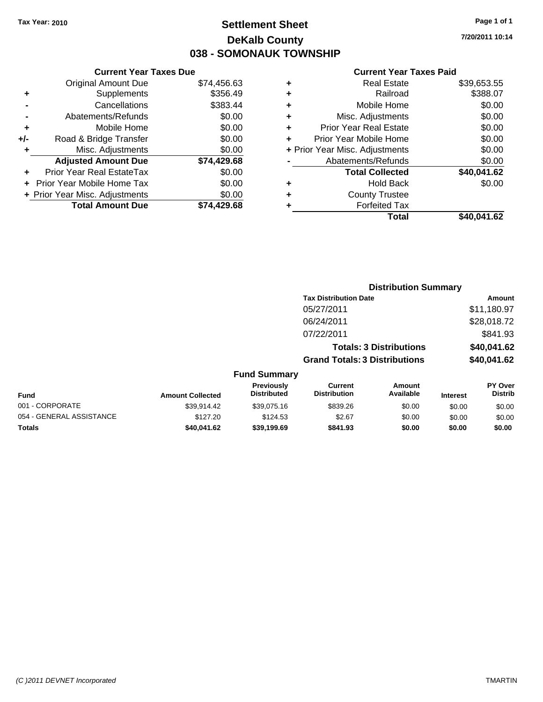### **Settlement Sheet Tax Year: 2010 Page 1 of 1 DeKalb County 038 - SOMONAUK TOWNSHIP**

#### **Current Year Taxes Due**

|     | <b>Original Amount Due</b>     | \$74,456.63 |
|-----|--------------------------------|-------------|
| ٠   | Supplements                    | \$356.49    |
|     | Cancellations                  | \$383.44    |
|     | Abatements/Refunds             | \$0.00      |
| ٠   | Mobile Home                    | \$0.00      |
| +/- | Road & Bridge Transfer         | \$0.00      |
| ٠   | Misc. Adjustments              | \$0.00      |
|     | <b>Adjusted Amount Due</b>     | \$74,429.68 |
|     | Prior Year Real EstateTax      | \$0.00      |
|     | Prior Year Mobile Home Tax     | \$0.00      |
|     | + Prior Year Misc. Adjustments | \$0.00      |
|     | <b>Total Amount Due</b>        | \$74.429.68 |

#### **Current Year Taxes Paid**

| Real Estate                    | \$39,653.55 |
|--------------------------------|-------------|
| Railroad                       | \$388.07    |
| Mobile Home                    | \$0.00      |
| Misc. Adjustments              | \$0.00      |
| <b>Prior Year Real Estate</b>  | \$0.00      |
| Prior Year Mobile Home         | \$0.00      |
| + Prior Year Misc. Adjustments | \$0.00      |
| Abatements/Refunds             | \$0.00      |
| <b>Total Collected</b>         | \$40,041.62 |
| Hold Back                      | \$0.00      |
| <b>County Trustee</b>          |             |
| <b>Forfeited Tax</b>           |             |
| Total                          | \$40,041.62 |
|                                |             |

| <b>Distribution Summary</b>          |             |
|--------------------------------------|-------------|
| <b>Tax Distribution Date</b>         | Amount      |
| 05/27/2011                           | \$11,180.97 |
| 06/24/2011                           | \$28,018.72 |
| 07/22/2011                           | \$841.93    |
| <b>Totals: 3 Distributions</b>       | \$40,041.62 |
| <b>Grand Totals: 3 Distributions</b> | \$40,041.62 |
|                                      |             |

### **Fund Summary**

| Fund                     | <b>Amount Collected</b> | <b>Previously</b><br><b>Distributed</b> | Current<br><b>Distribution</b> | Amount<br>Available | <b>Interest</b> | <b>PY Over</b><br><b>Distrib</b> |
|--------------------------|-------------------------|-----------------------------------------|--------------------------------|---------------------|-----------------|----------------------------------|
| 001 - CORPORATE          | \$39.914.42             | \$39,075.16                             | \$839.26                       | \$0.00              | \$0.00          | \$0.00                           |
| 054 - GENERAL ASSISTANCE | \$127.20                | \$124.53                                | \$2.67                         | \$0.00              | \$0.00          | \$0.00                           |
| <b>Totals</b>            | \$40.041.62             | \$39,199.69                             | \$841.93                       | \$0.00              | \$0.00          | \$0.00                           |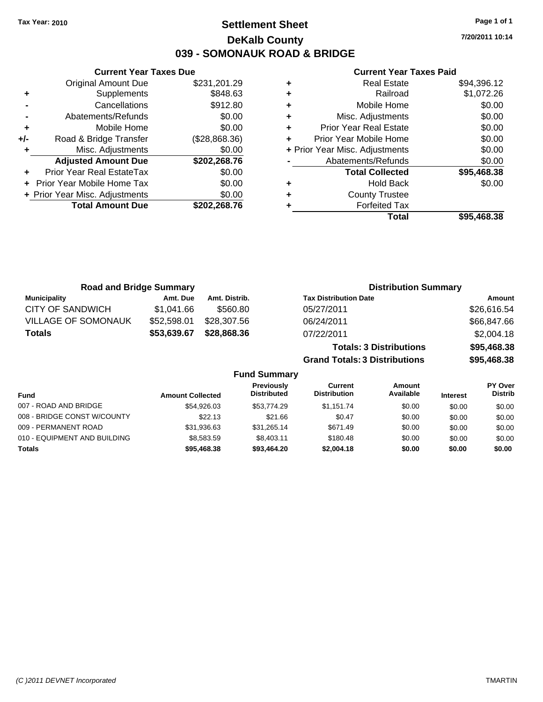**Current Year Taxes Due** Original Amount Due \$231,201.29

**Adjusted Amount Due \$202,268.76**

**Total Amount Due \$202,268.76**

**+** Supplements \$848.63 **-** Cancellations \$912.80 **-** Abatements/Refunds \$0.00 **+** Mobile Home \$0.00 **+/-** Road & Bridge Transfer (\$28,868.36) **+** Misc. Adjustments \$0.00

**+** Prior Year Real EstateTax \$0.00 **+** Prior Year Mobile Home Tax \$0.00 **+ Prior Year Misc. Adjustments**  $$0.00$ 

### **Settlement Sheet Tax Year: 2010 Page 1 of 1 DeKalb County 039 - SOMONAUK ROAD & BRIDGE**

**7/20/2011 10:14**

#### **Current Year Taxes Paid**

| ٠ | <b>Real Estate</b>             | \$94,396.12 |
|---|--------------------------------|-------------|
| ٠ | Railroad                       | \$1,072.26  |
| ٠ | Mobile Home                    | \$0.00      |
| ٠ | Misc. Adjustments              | \$0.00      |
| ٠ | <b>Prior Year Real Estate</b>  | \$0.00      |
| ٠ | Prior Year Mobile Home         | \$0.00      |
|   | + Prior Year Misc. Adjustments | \$0.00      |
|   | Abatements/Refunds             | \$0.00      |
|   | <b>Total Collected</b>         | \$95,468.38 |
| ٠ | <b>Hold Back</b>               | \$0.00      |
| ٠ | <b>County Trustee</b>          |             |
| ٠ | <b>Forfeited Tax</b>           |             |
|   | Total                          | \$95.468.38 |

| <b>Road and Bridge Summary</b> |             |                     |                                      | <b>Distribution Summary</b>    |             |  |
|--------------------------------|-------------|---------------------|--------------------------------------|--------------------------------|-------------|--|
| <b>Municipality</b>            | Amt. Due    | Amt. Distrib.       | <b>Tax Distribution Date</b>         |                                | Amount      |  |
| <b>CITY OF SANDWICH</b>        | \$1,041.66  | \$560.80            | 05/27/2011                           |                                | \$26,616.54 |  |
| <b>VILLAGE OF SOMONAUK</b>     | \$52,598.01 | \$28,307.56         | 06/24/2011                           |                                | \$66,847.66 |  |
| <b>Totals</b>                  | \$53,639.67 | \$28,868.36         | 07/22/2011                           |                                | \$2,004.18  |  |
|                                |             |                     |                                      | <b>Totals: 3 Distributions</b> | \$95,468.38 |  |
|                                |             |                     | <b>Grand Totals: 3 Distributions</b> |                                | \$95,468.38 |  |
|                                |             | <b>Fund Summary</b> |                                      |                                |             |  |
|                                |             | <b>Droviaught</b>   | $P$                                  | $A$ mount                      | $D'$ $O'$   |  |

| <b>Fund</b>                  | <b>Amount Collected</b> | <b>Previously</b><br><b>Distributed</b> | Current<br><b>Distribution</b> | Amount<br>Available | <b>Interest</b> | PY Over<br><b>Distrib</b> |
|------------------------------|-------------------------|-----------------------------------------|--------------------------------|---------------------|-----------------|---------------------------|
| 007 - ROAD AND BRIDGE        | \$54,926.03             | \$53.774.29                             | \$1.151.74                     | \$0.00              | \$0.00          | \$0.00                    |
| 008 - BRIDGE CONST W/COUNTY  | \$22.13                 | \$21.66                                 | \$0.47                         | \$0.00              | \$0.00          | \$0.00                    |
| 009 - PERMANENT ROAD         | \$31,936.63             | \$31.265.14                             | \$671.49                       | \$0.00              | \$0.00          | \$0.00                    |
| 010 - EQUIPMENT AND BUILDING | \$8,583.59              | \$8,403.11                              | \$180.48                       | \$0.00              | \$0.00          | \$0.00                    |
| <b>Totals</b>                | \$95,468.38             | \$93.464.20                             | \$2,004.18                     | \$0.00              | \$0.00          | \$0.00                    |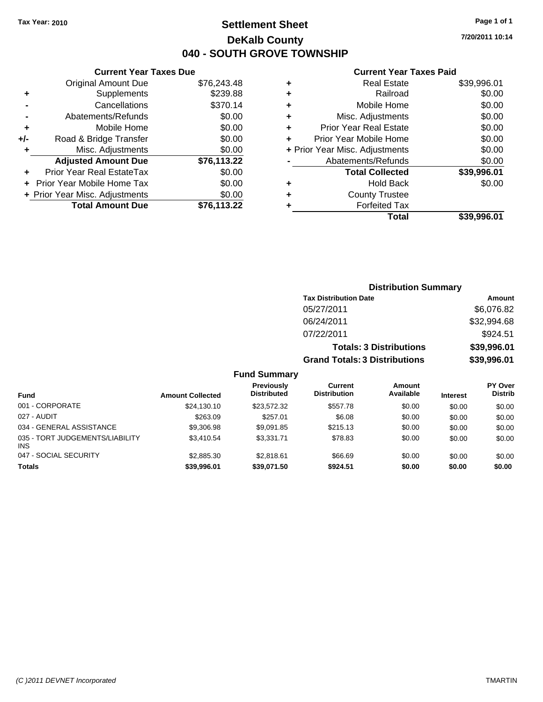### **Settlement Sheet Tax Year: 2010 Page 1 of 1 DeKalb County 040 - SOUTH GROVE TOWNSHIP**

**7/20/2011 10:14**

#### **Current Year Taxes Paid**

| ٠ | <b>Real Estate</b>             | \$39,996.01 |
|---|--------------------------------|-------------|
| ٠ | Railroad                       | \$0.00      |
| ٠ | Mobile Home                    | \$0.00      |
| ٠ | Misc. Adjustments              | \$0.00      |
| ٠ | <b>Prior Year Real Estate</b>  | \$0.00      |
|   | Prior Year Mobile Home         | \$0.00      |
|   | + Prior Year Misc. Adjustments | \$0.00      |
|   | Abatements/Refunds             | \$0.00      |
|   | <b>Total Collected</b>         | \$39,996.01 |
| ٠ | <b>Hold Back</b>               | \$0.00      |
| ٠ | <b>County Trustee</b>          |             |
| ٠ | <b>Forfeited Tax</b>           |             |
|   | Total                          | \$39.996.01 |

|     | <b>Current Year Taxes Due</b>  |             |
|-----|--------------------------------|-------------|
|     | <b>Original Amount Due</b>     | \$76,243.48 |
| ٠   | Supplements                    | \$239.88    |
|     | Cancellations                  | \$370.14    |
|     | Abatements/Refunds             | \$0.00      |
| ٠   | Mobile Home                    | \$0.00      |
| +/- | Road & Bridge Transfer         | \$0.00      |
| ٠   | Misc. Adjustments              | \$0.00      |
|     | <b>Adjusted Amount Due</b>     | \$76,113.22 |
| ٠   | Prior Year Real EstateTax      | \$0.00      |
|     | Prior Year Mobile Home Tax     | \$0.00      |
|     | + Prior Year Misc. Adjustments | \$0.00      |
|     | <b>Total Amount Due</b>        | \$76,113.22 |
|     |                                |             |

| <b>Distribution Summary</b>          |             |
|--------------------------------------|-------------|
| <b>Tax Distribution Date</b>         | Amount      |
| 05/27/2011                           | \$6,076.82  |
| 06/24/2011                           | \$32,994.68 |
| 07/22/2011                           | \$924.51    |
| <b>Totals: 3 Distributions</b>       | \$39,996.01 |
| <b>Grand Totals: 3 Distributions</b> | \$39,996.01 |

|                                               |                         | <b>Fund Summary</b>              |                                |                     |                 |                                  |
|-----------------------------------------------|-------------------------|----------------------------------|--------------------------------|---------------------|-----------------|----------------------------------|
| <b>Fund</b>                                   | <b>Amount Collected</b> | Previously<br><b>Distributed</b> | Current<br><b>Distribution</b> | Amount<br>Available | <b>Interest</b> | <b>PY Over</b><br><b>Distrib</b> |
| 001 - CORPORATE                               | \$24,130,10             | \$23.572.32                      | \$557.78                       | \$0.00              | \$0.00          | \$0.00                           |
| 027 - AUDIT                                   | \$263.09                | \$257.01                         | \$6.08                         | \$0.00              | \$0.00          | \$0.00                           |
| 034 - GENERAL ASSISTANCE                      | \$9,306.98              | \$9,091.85                       | \$215.13                       | \$0.00              | \$0.00          | \$0.00                           |
| 035 - TORT JUDGEMENTS/LIABILITY<br><b>INS</b> | \$3,410.54              | \$3.331.71                       | \$78.83                        | \$0.00              | \$0.00          | \$0.00                           |
| 047 - SOCIAL SECURITY                         | \$2,885.30              | \$2.818.61                       | \$66.69                        | \$0.00              | \$0.00          | \$0.00                           |
| <b>Totals</b>                                 | \$39,996.01             | \$39,071.50                      | \$924.51                       | \$0.00              | \$0.00          | \$0.00                           |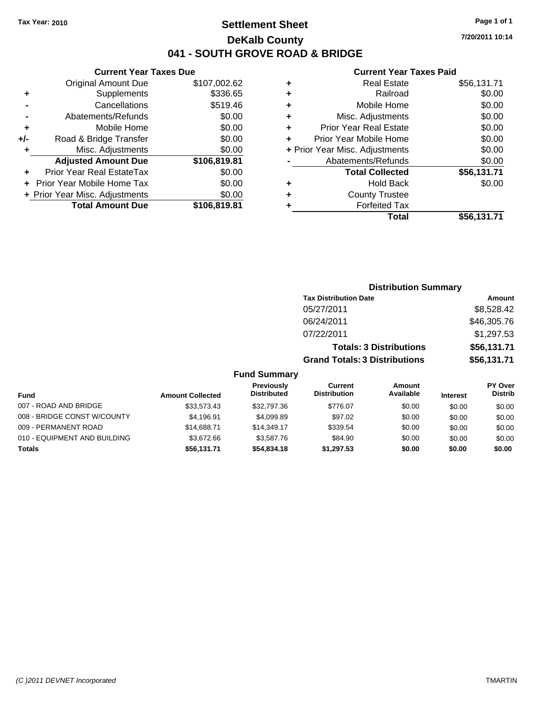### **Settlement Sheet Tax Year: 2010 Page 1 of 1 DeKalb County 041 - SOUTH GROVE ROAD & BRIDGE**

**7/20/2011 10:14**

#### **Current Year Taxes Paid**

|       | <b>Current Year Taxes Due</b>  |              |
|-------|--------------------------------|--------------|
|       | <b>Original Amount Due</b>     | \$107,002.62 |
| ٠     | Supplements                    | \$336.65     |
|       | Cancellations                  | \$519.46     |
|       | Abatements/Refunds             | \$0.00       |
| ٠     | Mobile Home                    | \$0.00       |
| $+/-$ | Road & Bridge Transfer         | \$0.00       |
|       | Misc. Adjustments              | \$0.00       |
|       | <b>Adjusted Amount Due</b>     | \$106,819.81 |
|       | Prior Year Real EstateTax      | \$0.00       |
|       | Prior Year Mobile Home Tax     | \$0.00       |
|       | + Prior Year Misc. Adjustments | \$0.00       |
|       | <b>Total Amount Due</b>        | \$106,819.81 |
|       |                                |              |

|   | <b>Real Estate</b>             | \$56,131.71 |
|---|--------------------------------|-------------|
| ٠ | Railroad                       | \$0.00      |
| ٠ | Mobile Home                    | \$0.00      |
| ٠ | Misc. Adjustments              | \$0.00      |
| ٠ | Prior Year Real Estate         | \$0.00      |
|   | Prior Year Mobile Home         | \$0.00      |
|   | + Prior Year Misc. Adjustments | \$0.00      |
|   | Abatements/Refunds             | \$0.00      |
|   | <b>Total Collected</b>         | \$56,131.71 |
| ٠ | Hold Back                      | \$0.00      |
| ٠ | <b>County Trustee</b>          |             |
| ٠ | <b>Forfeited Tax</b>           |             |
|   | Total                          | \$56,131.71 |
|   |                                |             |

|                              |                         |                                  | <b>Distribution Summary</b>          |                                |                 |                                  |
|------------------------------|-------------------------|----------------------------------|--------------------------------------|--------------------------------|-----------------|----------------------------------|
|                              |                         |                                  | <b>Tax Distribution Date</b>         |                                |                 | Amount                           |
|                              |                         |                                  | 05/27/2011                           |                                |                 | \$8,528.42                       |
|                              |                         |                                  | 06/24/2011                           |                                |                 | \$46,305.76                      |
|                              |                         |                                  | 07/22/2011                           |                                |                 | \$1,297.53                       |
|                              |                         |                                  |                                      | <b>Totals: 3 Distributions</b> |                 | \$56,131.71                      |
|                              |                         |                                  | <b>Grand Totals: 3 Distributions</b> |                                |                 | \$56,131.71                      |
|                              |                         | <b>Fund Summary</b>              |                                      |                                |                 |                                  |
| <b>Fund</b>                  | <b>Amount Collected</b> | Previously<br><b>Distributed</b> | Current<br><b>Distribution</b>       | Amount<br>Available            | <b>Interest</b> | <b>PY Over</b><br><b>Distrib</b> |
| 007 - ROAD AND BRIDGE        | \$33,573.43             | \$32,797.36                      | \$776.07                             | \$0.00                         | \$0.00          | \$0.00                           |
| 008 - BRIDGE CONST W/COUNTY  | \$4,196.91              | \$4,099.89                       | \$97.02                              | \$0.00                         | \$0.00          | \$0.00                           |
| 009 - PERMANENT ROAD         | \$14,688.71             | \$14,349.17                      | \$339.54                             | \$0.00                         | \$0.00          | \$0.00                           |
| 010 - EQUIPMENT AND BUILDING | \$3,672.66              | \$3,587.76                       | \$84.90                              | \$0.00                         | \$0.00          | \$0.00                           |

**Totals \$56,131.71 \$54,834.18 \$1,297.53 \$0.00 \$0.00 \$0.00**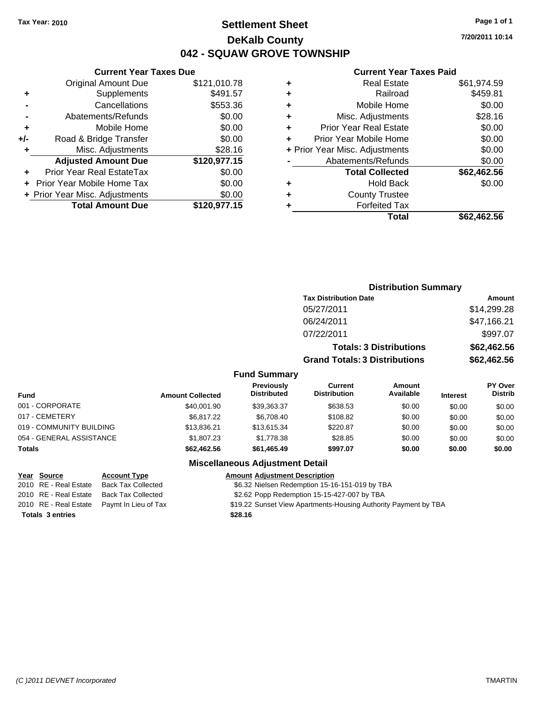### **Settlement Sheet Tax Year: 2010 Page 1 of 1 DeKalb County 042 - SQUAW GROVE TOWNSHIP**

**7/20/2011 10:14**

#### **Current Year Taxes Paid**

|     | <b>Total Amount Due</b>          | \$120,977.15 |
|-----|----------------------------------|--------------|
|     | + Prior Year Misc. Adjustments   | \$0.00       |
|     | Prior Year Mobile Home Tax       | \$0.00       |
|     | <b>Prior Year Real EstateTax</b> | \$0.00       |
|     | <b>Adjusted Amount Due</b>       | \$120,977.15 |
| ٠   | Misc. Adjustments                | \$28.16      |
| +/- | Road & Bridge Transfer           | \$0.00       |
| ٠   | Mobile Home                      | \$0.00       |
|     | Abatements/Refunds               | \$0.00       |
|     | Cancellations                    | \$553.36     |
| ٠   | Supplements                      | \$491.57     |
|     | <b>Original Amount Due</b>       | \$121,010.78 |
|     |                                  |              |

**Current Year Taxes Due**

| <b>Real Estate</b>             | \$61,974.59 |
|--------------------------------|-------------|
| Railroad                       | \$459.81    |
| Mobile Home                    | \$0.00      |
| Misc. Adjustments              | \$28.16     |
| <b>Prior Year Real Estate</b>  | \$0.00      |
| Prior Year Mobile Home         | \$0.00      |
| + Prior Year Misc. Adjustments | \$0.00      |
| Abatements/Refunds             | \$0.00      |
| <b>Total Collected</b>         | \$62,462.56 |
| <b>Hold Back</b>               | \$0.00      |
| <b>County Trustee</b>          |             |
| <b>Forfeited Tax</b>           |             |
| Total                          | \$62,462.56 |
|                                |             |

|                          |                         |                                         | <b>Distribution Summary</b>           |                                |                 |                           |
|--------------------------|-------------------------|-----------------------------------------|---------------------------------------|--------------------------------|-----------------|---------------------------|
|                          |                         |                                         | <b>Tax Distribution Date</b>          |                                |                 | <b>Amount</b>             |
|                          |                         |                                         | 05/27/2011                            |                                |                 | \$14,299.28               |
|                          |                         |                                         | 06/24/2011                            |                                |                 | \$47,166.21               |
|                          |                         |                                         | 07/22/2011                            |                                |                 | \$997.07                  |
|                          |                         |                                         |                                       | <b>Totals: 3 Distributions</b> |                 | \$62,462.56               |
|                          |                         |                                         | <b>Grand Totals: 3 Distributions</b>  |                                |                 | \$62,462.56               |
|                          |                         | <b>Fund Summary</b>                     |                                       |                                |                 |                           |
| Fund                     | <b>Amount Collected</b> | <b>Previously</b><br><b>Distributed</b> | <b>Current</b><br><b>Distribution</b> | <b>Amount</b><br>Available     | <b>Interest</b> | PY Over<br><b>Distrib</b> |
| 001 - CORPORATE          | \$40,001.90             | \$39,363.37                             | \$638.53                              | \$0.00                         | \$0.00          | \$0.00                    |
| 017 - CEMETERY           | \$6,817.22              | \$6,708.40                              | \$108.82                              | \$0.00                         | \$0.00          | \$0.00                    |
| 019 - COMMUNITY BUILDING | \$13,836.21             | \$13,615.34                             | \$220.87                              | \$0.00                         | \$0.00          | \$0.00                    |
| 054 - GENERAL ASSISTANCE | \$1,807.23              | \$1,778.38                              | \$28.85                               | \$0.00                         | \$0.00          | \$0.00                    |
| Totals                   | \$62,462.56             | \$61,465.49                             | \$997.07                              | \$0.00                         | \$0.00          | \$0.00                    |

#### **Miscellaneous Adjustment Detail**

#### **Year Source Account Type Amount Adjustment Description** 2010 RE - Real Estate Back Tax Collected \$6.32 Nielsen Redemption 15-16-151-019 by TBA 2010 RE - Real Estate Back Tax Collected \$2.62 Popp Redemption 15-15-427-007 by TBA 2010 RE - Real Estate Paymt In Lieu of Tax \$19.22 Sunset View Apartments-Housing Authority Payment by TBA **Totals \$28.16 3 entries**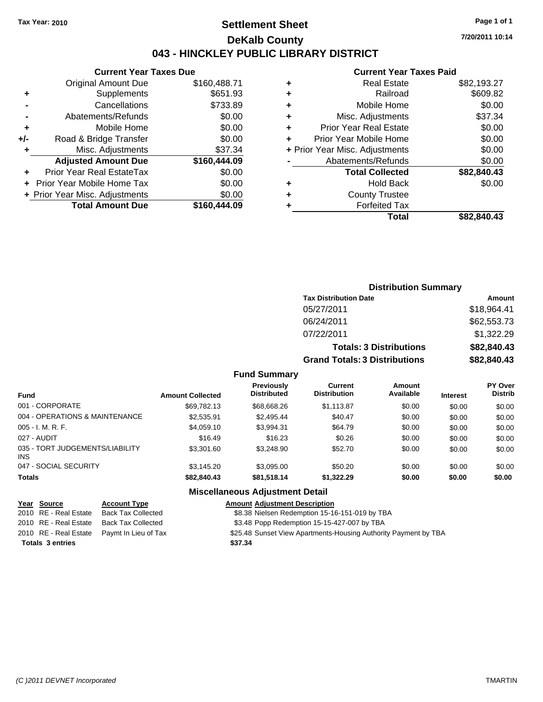### **Settlement Sheet Tax Year: 2010 Page 1 of 1 DeKalb County 043 - HINCKLEY PUBLIC LIBRARY DISTRICT**

**7/20/2011 10:14**

### **Current Year Taxes Paid**

|     | <b>Current Year Taxes Due</b>  |              |
|-----|--------------------------------|--------------|
|     | <b>Original Amount Due</b>     | \$160,488.71 |
| ٠   | Supplements                    | \$651.93     |
|     | Cancellations                  | \$733.89     |
|     | Abatements/Refunds             | \$0.00       |
| ٠   | Mobile Home                    | \$0.00       |
| +/- | Road & Bridge Transfer         | \$0.00       |
| ٠   | Misc. Adjustments              | \$37.34      |
|     | <b>Adjusted Amount Due</b>     | \$160,444.09 |
|     | Prior Year Real EstateTax      | \$0.00       |
|     | Prior Year Mobile Home Tax     | \$0.00       |
|     | + Prior Year Misc. Adjustments | \$0.00       |
|     | <b>Total Amount Due</b>        | \$160,444.09 |

| Real Estate                   | \$82,193.27                    |
|-------------------------------|--------------------------------|
| Railroad                      | \$609.82                       |
| Mobile Home                   | \$0.00                         |
| Misc. Adjustments             | \$37.34                        |
| <b>Prior Year Real Estate</b> | \$0.00                         |
| Prior Year Mobile Home        | \$0.00                         |
|                               | \$0.00                         |
| Abatements/Refunds            | \$0.00                         |
| <b>Total Collected</b>        | \$82,840.43                    |
| <b>Hold Back</b>              | \$0.00                         |
| <b>County Trustee</b>         |                                |
| <b>Forfeited Tax</b>          |                                |
| Total                         | \$82,840,43                    |
|                               | + Prior Year Misc. Adjustments |

### **Distribution Summary Tax Distribution Date Amount** 05/27/2011 \$18,964.41 06/24/2011 \$62,553.73 07/22/2011 \$1,322.29 **Totals: 3 Distributions \$82,840.43 Grand Totals: 3 Distributions \$82,840.43**

#### **Fund Summary**

| <b>Fund</b>                                   | <b>Amount Collected</b> | Previously<br><b>Distributed</b> | Current<br><b>Distribution</b> | Amount<br>Available | <b>Interest</b> | <b>PY Over</b><br><b>Distrib</b> |
|-----------------------------------------------|-------------------------|----------------------------------|--------------------------------|---------------------|-----------------|----------------------------------|
| 001 - CORPORATE                               | \$69.782.13             | \$68,668,26                      | \$1,113.87                     | \$0.00              | \$0.00          | \$0.00                           |
| 004 - OPERATIONS & MAINTENANCE                | \$2,535.91              | \$2,495.44                       | \$40.47                        | \$0.00              | \$0.00          | \$0.00                           |
| $005 - I. M. R. F.$                           | \$4,059.10              | \$3,994.31                       | \$64.79                        | \$0.00              | \$0.00          | \$0.00                           |
| 027 - AUDIT                                   | \$16.49                 | \$16.23                          | \$0.26                         | \$0.00              | \$0.00          | \$0.00                           |
| 035 - TORT JUDGEMENTS/LIABILITY<br><b>INS</b> | \$3,301.60              | \$3,248.90                       | \$52.70                        | \$0.00              | \$0.00          | \$0.00                           |
| 047 - SOCIAL SECURITY                         | \$3,145.20              | \$3,095.00                       | \$50.20                        | \$0.00              | \$0.00          | \$0.00                           |
| <b>Totals</b>                                 | \$82,840.43             | \$81,518.14                      | \$1,322.29                     | \$0.00              | \$0.00          | \$0.00                           |

#### **Miscellaneous Adjustment Detail**

#### **Year Source Account Type Amount Adjustment Description**

|  | 2010 RE - Real Estate Back Tax Collected | \$8.38 Nielsen Redemption 15-16-151-019 by TBA |  |
|--|------------------------------------------|------------------------------------------------|--|

- 2010 RE Real Estate Back Tax Collected \$3.48 Popp Redemption 15-15-427-007 by TBA
- 2010 RE Real Estate Paymt In Lieu of Tax \$25.48 Sunset View Apartments-Housing Authority Payment by TBA
- **Totals \$37.34 3 entries**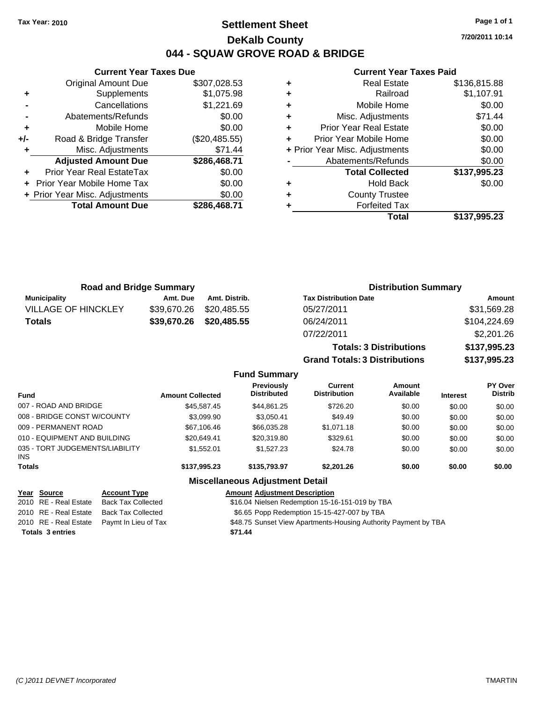### **Settlement Sheet Tax Year: 2010 Page 1 of 1 DeKalb County 044 - SQUAW GROVE ROAD & BRIDGE**

**7/20/2011 10:14**

#### **Current Year Taxes Paid**

|     | <b>Current Year Taxes Due</b>  |               |
|-----|--------------------------------|---------------|
|     | <b>Original Amount Due</b>     | \$307,028.53  |
| ٠   | Supplements                    | \$1,075.98    |
|     | Cancellations                  | \$1,221.69    |
|     | Abatements/Refunds             | \$0.00        |
| ٠   | Mobile Home                    | \$0.00        |
| +/- | Road & Bridge Transfer         | (\$20,485.55) |
| ٠   | Misc. Adjustments              | \$71.44       |
|     | <b>Adjusted Amount Due</b>     | \$286,468.71  |
| ÷   | Prior Year Real EstateTax      | \$0.00        |
|     | Prior Year Mobile Home Tax     | \$0.00        |
|     | + Prior Year Misc. Adjustments | \$0.00        |
|     | <b>Total Amount Due</b>        | \$286,468.71  |
|     |                                |               |

|   | <b>Real Estate</b>             | \$136,815.88 |
|---|--------------------------------|--------------|
| ٠ | Railroad                       | \$1,107.91   |
| ٠ | Mobile Home                    | \$0.00       |
| ٠ | Misc. Adjustments              | \$71.44      |
| ÷ | <b>Prior Year Real Estate</b>  | \$0.00       |
| ٠ | Prior Year Mobile Home         | \$0.00       |
|   | + Prior Year Misc. Adjustments | \$0.00       |
|   | Abatements/Refunds             | \$0.00       |
|   | <b>Total Collected</b>         | \$137,995.23 |
| ٠ | <b>Hold Back</b>               | \$0.00       |
| ٠ | <b>County Trustee</b>          |              |
| ٠ | <b>Forfeited Tax</b>           |              |
|   | Total                          | \$137,995.23 |

**Totals: 3 Distributions \$137,995.23**

**Grand Totals: 3 Distributions \$137,995.23**

| <b>Road and Bridge Summary</b> |          |                         | <b>Distribution Summary</b>  |              |
|--------------------------------|----------|-------------------------|------------------------------|--------------|
| <b>Municipality</b>            | Amt. Due | Amt. Distrib.           | <b>Tax Distribution Date</b> | Amount       |
| <b>VILLAGE OF HINCKLEY</b>     |          | \$39,670.26 \$20,485.55 | 05/27/2011                   | \$31,569.28  |
| <b>Totals</b>                  |          | \$39,670.26 \$20,485.55 | 06/24/2011                   | \$104,224.69 |
|                                |          |                         | 07/22/2011                   | \$2,201.26   |

|                                         |                           |                         | <b>Fund Summary</b>                             |                                |                     |                 |                           |
|-----------------------------------------|---------------------------|-------------------------|-------------------------------------------------|--------------------------------|---------------------|-----------------|---------------------------|
| <b>Fund</b>                             |                           | <b>Amount Collected</b> | <b>Previously</b><br><b>Distributed</b>         | Current<br><b>Distribution</b> | Amount<br>Available | <b>Interest</b> | PY Over<br><b>Distrib</b> |
| 007 - ROAD AND BRIDGE                   |                           | \$45.587.45             | \$44,861.25                                     | \$726.20                       | \$0.00              | \$0.00          | \$0.00                    |
| 008 - BRIDGE CONST W/COUNTY             |                           | \$3.099.90              | \$3.050.41                                      | \$49.49                        | \$0.00              | \$0.00          | \$0.00                    |
| 009 - PERMANENT ROAD                    |                           | \$67,106.46             | \$66,035,28                                     | \$1.071.18                     | \$0.00              | \$0.00          | \$0.00                    |
| 010 - EQUIPMENT AND BUILDING            |                           | \$20.649.41             | \$20.319.80                                     | \$329.61                       | \$0.00              | \$0.00          | \$0.00                    |
| 035 - TORT JUDGEMENTS/LIABILITY<br>INS. |                           | \$1.552.01              | \$1.527.23                                      | \$24.78                        | \$0.00              | \$0.00          | \$0.00                    |
| Totals                                  |                           | \$137,995.23            | \$135,793.97                                    | \$2,201.26                     | \$0.00              | \$0.00          | \$0.00                    |
|                                         |                           |                         | <b>Miscellaneous Adjustment Detail</b>          |                                |                     |                 |                           |
| Year Source                             | <b>Account Type</b>       |                         | <b>Amount Adiustment Description</b>            |                                |                     |                 |                           |
| 2010 RE - Real Estate                   | <b>Back Tax Collected</b> |                         | \$16.04 Nielsen Redemption 15-16-151-019 by TBA |                                |                     |                 |                           |

| <b>Totals 3 entries</b> |                                            | \$71.44                                                         |
|-------------------------|--------------------------------------------|-----------------------------------------------------------------|
|                         | 2010 RE - Real Estate Paymt In Lieu of Tax | \$48.75 Sunset View Apartments-Housing Authority Payment by TBA |
| 2010 RE - Real Estate   | Back Tax Collected                         | \$6.65 Popp Redemption 15-15-427-007 by TBA                     |
| 2010 RE - Real Estate   | Back Tax Collected                         | \$16.04 Nielsen Redemption 15-16-151-019 by TBA                 |
|                         |                                            |                                                                 |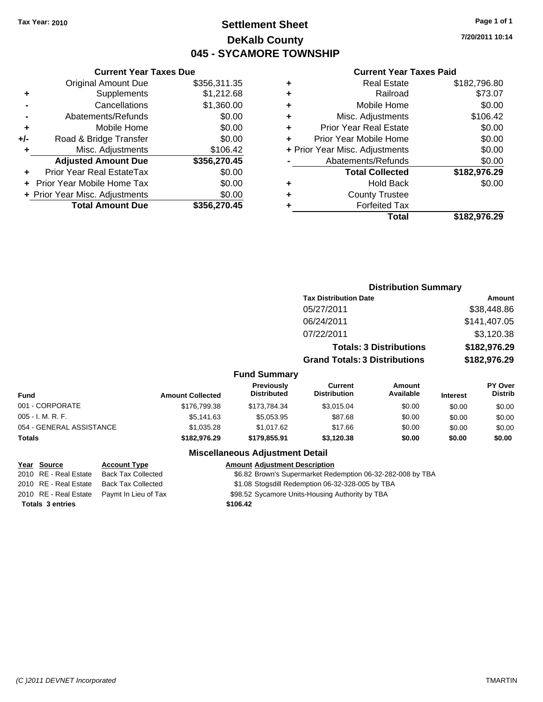### **Settlement Sheet Tax Year: 2010 Page 1 of 1 DeKalb County 045 - SYCAMORE TOWNSHIP**

**7/20/2011 10:14**

#### **Current Year Taxes Paid**

|     | <b>Current Year Taxes Due</b>  |              |
|-----|--------------------------------|--------------|
|     | <b>Original Amount Due</b>     | \$356,311.35 |
| ٠   | Supplements                    | \$1,212.68   |
|     | Cancellations                  | \$1,360.00   |
|     | Abatements/Refunds             | \$0.00       |
| ٠   | Mobile Home                    | \$0.00       |
| +/- | Road & Bridge Transfer         | \$0.00       |
| ٠   | Misc. Adjustments              | \$106.42     |
|     | <b>Adjusted Amount Due</b>     | \$356,270.45 |
| ÷   | Prior Year Real EstateTax      | \$0.00       |
|     | Prior Year Mobile Home Tax     | \$0.00       |
|     | + Prior Year Misc. Adjustments | \$0.00       |
|     | <b>Total Amount Due</b>        | \$356,270.45 |
|     |                                |              |

| ٠ | <b>Real Estate</b>             | \$182,796.80 |
|---|--------------------------------|--------------|
| ٠ | Railroad                       | \$73.07      |
| ٠ | Mobile Home                    | \$0.00       |
| ٠ | Misc. Adjustments              | \$106.42     |
| ÷ | <b>Prior Year Real Estate</b>  | \$0.00       |
| ٠ | Prior Year Mobile Home         | \$0.00       |
|   | + Prior Year Misc. Adjustments | \$0.00       |
|   | Abatements/Refunds             | \$0.00       |
|   | <b>Total Collected</b>         | \$182,976.29 |
| ٠ | <b>Hold Back</b>               | \$0.00       |
| ٠ | <b>County Trustee</b>          |              |
| ٠ | <b>Forfeited Tax</b>           |              |
|   | Total                          | \$182,976.29 |
|   |                                |              |

|                          |                         |                                  |                                       | <b>Distribution Summary</b>    |                 |                           |
|--------------------------|-------------------------|----------------------------------|---------------------------------------|--------------------------------|-----------------|---------------------------|
|                          |                         |                                  | <b>Tax Distribution Date</b>          |                                |                 | Amount                    |
|                          |                         |                                  | 05/27/2011                            |                                |                 | \$38,448.86               |
|                          |                         |                                  | 06/24/2011                            |                                |                 | \$141,407.05              |
|                          |                         |                                  | 07/22/2011                            |                                |                 | \$3,120.38                |
|                          |                         |                                  |                                       | <b>Totals: 3 Distributions</b> |                 | \$182,976.29              |
|                          |                         |                                  | <b>Grand Totals: 3 Distributions</b>  |                                |                 | \$182,976.29              |
|                          |                         | <b>Fund Summary</b>              |                                       |                                |                 |                           |
| <b>Fund</b>              | <b>Amount Collected</b> | Previously<br><b>Distributed</b> | <b>Current</b><br><b>Distribution</b> | Amount<br>Available            | <b>Interest</b> | PY Over<br><b>Distrib</b> |
| 001 - CORPORATE          | \$176,799.38            | \$173,784.34                     | \$3,015.04                            | \$0.00                         | \$0.00          | \$0.00                    |
| 005 - I. M. R. F.        | \$5,141.63              | \$5,053.95                       | \$87.68                               | \$0.00                         | \$0.00          | \$0.00                    |
| 054 - GENERAL ASSISTANCE | \$1,035.28              | \$1,017.62                       | \$17.66                               | \$0.00                         | \$0.00          | \$0.00                    |
| Totals                   | \$182,976.29            | \$179,855.91                     | \$3,120.38                            | \$0.00                         | \$0.00          | \$0.00                    |
|                          |                         |                                  |                                       |                                |                 |                           |

#### **Miscellaneous Adjustment Detail**

#### **Year Source Account Type Amount Adjustment Description**

2010 RE - Real Estate Back Tax Collected \$6.82 Brown's Supermarket Redemption 06-32-282-008 by TBA

2010 RE - Real Estate Back Tax Collected \$1.08 Stogsdill Redemption 06-32-328-005 by TBA

2010 RE - Real Estate Paymt In Lieu of Tax \$98.52 Sycamore Units-Housing Authority by TBA

**Totals \$106.42 3 entries**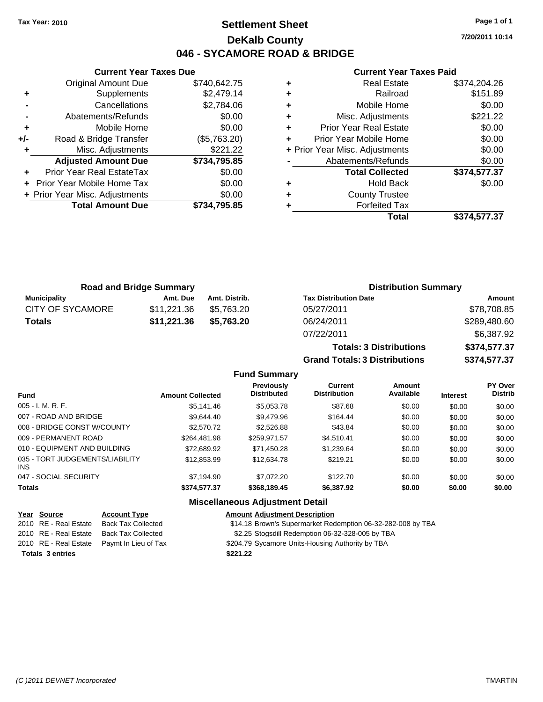### **Settlement Sheet Tax Year: 2010 Page 1 of 1 DeKalb County 046 - SYCAMORE ROAD & BRIDGE**

**7/20/2011 10:14**

#### **Current Year Taxes Paid**

|     | <b>Current Year Taxes Due</b>  |              |
|-----|--------------------------------|--------------|
|     | <b>Original Amount Due</b>     | \$740,642.75 |
| ٠   | Supplements                    | \$2,479.14   |
|     | Cancellations                  | \$2,784.06   |
| -   | Abatements/Refunds             | \$0.00       |
| ٠   | Mobile Home                    | \$0.00       |
| +/- | Road & Bridge Transfer         | (\$5,763.20) |
| ٠   | Misc. Adjustments              | \$221.22     |
|     | <b>Adjusted Amount Due</b>     | \$734,795.85 |
|     | Prior Year Real EstateTax      | \$0.00       |
|     | Prior Year Mobile Home Tax     | \$0.00       |
|     | + Prior Year Misc. Adjustments | \$0.00       |
|     | <b>Total Amount Due</b>        | \$734.795.85 |
|     |                                |              |

| ٠ | <b>Real Estate</b>             | \$374,204.26 |
|---|--------------------------------|--------------|
| ٠ | Railroad                       | \$151.89     |
| ٠ | Mobile Home                    | \$0.00       |
| ٠ | Misc. Adjustments              | \$221.22     |
| ٠ | <b>Prior Year Real Estate</b>  | \$0.00       |
| ٠ | Prior Year Mobile Home         | \$0.00       |
|   | + Prior Year Misc. Adjustments | \$0.00       |
|   | Abatements/Refunds             | \$0.00       |
|   | <b>Total Collected</b>         | \$374,577.37 |
| ٠ | <b>Hold Back</b>               | \$0.00       |
| ٠ | <b>County Trustee</b>          |              |
| ٠ | <b>Forfeited Tax</b>           |              |
|   | Total                          | \$374,577.37 |

**Totals: 3 Distributions \$374,577.37**

**Grand Totals: 3 Distributions \$374,577.37**

| <b>Road and Bridge Summary</b> |             |               | <b>Distribution Summary</b>  |              |
|--------------------------------|-------------|---------------|------------------------------|--------------|
| Municipality                   | Amt. Due    | Amt. Distrib. | <b>Tax Distribution Date</b> | Amount       |
| <b>CITY OF SYCAMORE</b>        | \$11.221.36 | \$5.763.20    | 05/27/2011                   | \$78,708.85  |
| <b>Totals</b>                  | \$11,221.36 | \$5,763.20    | 06/24/2011                   | \$289,480.60 |
|                                |             |               | 07/22/2011                   | \$6,387.92   |

|                                         |                         | <b>Fund Summary</b>                      |                                       |                     |                 |                           |
|-----------------------------------------|-------------------------|------------------------------------------|---------------------------------------|---------------------|-----------------|---------------------------|
| <b>Fund</b>                             | <b>Amount Collected</b> | <b>Previously</b><br><b>Distributed</b>  | <b>Current</b><br><b>Distribution</b> | Amount<br>Available | <b>Interest</b> | PY Over<br><b>Distrib</b> |
| 005 - I. M. R. F.                       | \$5.141.46              | \$5.053.78                               | \$87.68                               | \$0.00              | \$0.00          | \$0.00                    |
| 007 - ROAD AND BRIDGE                   | \$9.644.40              | \$9,479.96                               | \$164.44                              | \$0.00              | \$0.00          | \$0.00                    |
| 008 - BRIDGE CONST W/COUNTY             | \$2,570.72              | \$2,526.88                               | \$43.84                               | \$0.00              | \$0.00          | \$0.00                    |
| 009 - PERMANENT ROAD                    | \$264.481.98            | \$259.971.57                             | \$4.510.41                            | \$0.00              | \$0.00          | \$0.00                    |
| 010 - EQUIPMENT AND BUILDING            | \$72.689.92             | \$71.450.28                              | \$1.239.64                            | \$0.00              | \$0.00          | \$0.00                    |
| 035 - TORT JUDGEMENTS/LIABILITY<br>INS. | \$12,853.99             | \$12,634.78                              | \$219.21                              | \$0.00              | \$0.00          | \$0.00                    |
| 047 - SOCIAL SECURITY                   | \$7.194.90              | \$7,072.20                               | \$122.70                              | \$0.00              | \$0.00          | \$0.00                    |
| <b>Totals</b>                           | \$374,577.37            | \$368,189.45                             | \$6,387.92                            | \$0.00              | \$0.00          | \$0.00                    |
|                                         |                         | <b>Missellanessen Adhietisset Batell</b> |                                       |                     |                 |                           |

#### **Miscellaneous Adjustment Detail**

| Year Source             | <b>Account Type</b>       | <b>Amount Adjustment Description</b>                        |
|-------------------------|---------------------------|-------------------------------------------------------------|
| 2010 RE - Real Estate   | Back Tax Collected        | \$14.18 Brown's Supermarket Redemption 06-32-282-008 by TBA |
| 2010 RE - Real Estate   | <b>Back Tax Collected</b> | \$2.25 Stogsdill Redemption 06-32-328-005 by TBA            |
| 2010 RE - Real Estate   | Pavmt In Lieu of Tax      | \$204.79 Sycamore Units-Housing Authority by TBA            |
| <b>Totals 3 entries</b> |                           | \$221.22                                                    |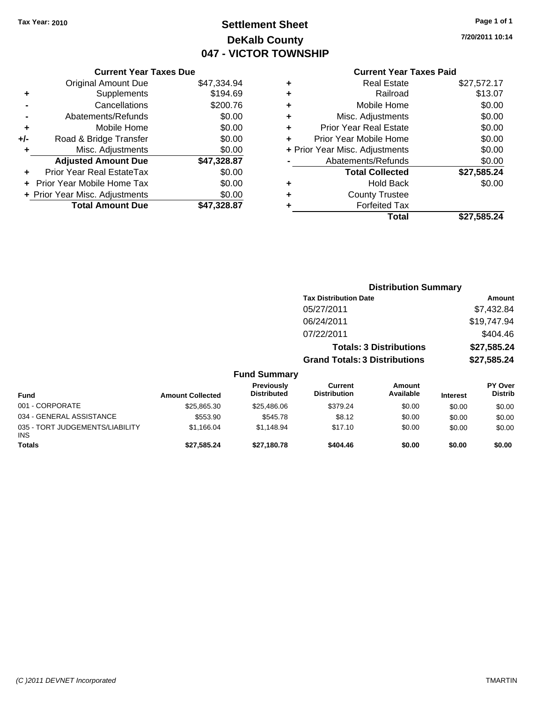### **Settlement Sheet Tax Year: 2010 Page 1 of 1 DeKalb County 047 - VICTOR TOWNSHIP**

**7/20/2011 10:14**

#### **Current Year Taxes Paid**

| <b>Current Year Taxes Due</b>     |                                |
|-----------------------------------|--------------------------------|
| <b>Original Amount Due</b>        | \$47,334.94                    |
| Supplements                       | \$194.69                       |
| Cancellations                     | \$200.76                       |
| Abatements/Refunds                | \$0.00                         |
| Mobile Home                       | \$0.00                         |
| Road & Bridge Transfer            | \$0.00                         |
| Misc. Adjustments                 | \$0.00                         |
| <b>Adjusted Amount Due</b>        | \$47,328.87                    |
| Prior Year Real EstateTax         | \$0.00                         |
| <b>Prior Year Mobile Home Tax</b> | \$0.00                         |
|                                   | \$0.00                         |
| <b>Total Amount Due</b>           | \$47.328.87                    |
|                                   | + Prior Year Misc. Adjustments |

|   | <b>Real Estate</b>             | \$27,572.17 |
|---|--------------------------------|-------------|
| ٠ | Railroad                       | \$13.07     |
| ٠ | Mobile Home                    | \$0.00      |
| ٠ | Misc. Adjustments              | \$0.00      |
| ÷ | <b>Prior Year Real Estate</b>  | \$0.00      |
| ٠ | Prior Year Mobile Home         | \$0.00      |
|   | + Prior Year Misc. Adjustments | \$0.00      |
|   | Abatements/Refunds             | \$0.00      |
|   | <b>Total Collected</b>         | \$27,585.24 |
| ٠ | <b>Hold Back</b>               | \$0.00      |
| ٠ | <b>County Trustee</b>          |             |
| ٠ | <b>Forfeited Tax</b>           |             |
|   | Total                          | \$27.585.24 |
|   |                                |             |

|                                         |                         |                                  |                                       | <b>Distribution Summary</b>    |                 |                           |
|-----------------------------------------|-------------------------|----------------------------------|---------------------------------------|--------------------------------|-----------------|---------------------------|
|                                         |                         |                                  | <b>Tax Distribution Date</b>          |                                |                 | Amount                    |
|                                         |                         |                                  | 05/27/2011                            |                                |                 | \$7,432.84                |
|                                         |                         |                                  | 06/24/2011                            |                                |                 | \$19,747.94               |
|                                         |                         |                                  | 07/22/2011                            |                                |                 | \$404.46                  |
|                                         |                         |                                  |                                       | <b>Totals: 3 Distributions</b> |                 | \$27,585.24               |
|                                         |                         |                                  | <b>Grand Totals: 3 Distributions</b>  |                                |                 | \$27,585.24               |
|                                         |                         | <b>Fund Summary</b>              |                                       |                                |                 |                           |
| <b>Fund</b>                             | <b>Amount Collected</b> | Previously<br><b>Distributed</b> | <b>Current</b><br><b>Distribution</b> | Amount<br>Available            | <b>Interest</b> | PY Over<br><b>Distrib</b> |
| 001 - CORPORATE                         | \$25,865.30             | \$25,486.06                      | \$379.24                              | \$0.00                         | \$0.00          | \$0.00                    |
| 034 - GENERAL ASSISTANCE                | \$553.90                | \$545.78                         | \$8.12                                | \$0.00                         | \$0.00          | \$0.00                    |
| 035 - TORT JUDGEMENTS/LIABILITY<br>INS. | \$1,166.04              | \$1,148.94                       | \$17.10                               | \$0.00                         | \$0.00          | \$0.00                    |
| <b>Totals</b>                           | \$27,585.24             | \$27,180.78                      | \$404.46                              | \$0.00                         | \$0.00          | \$0.00                    |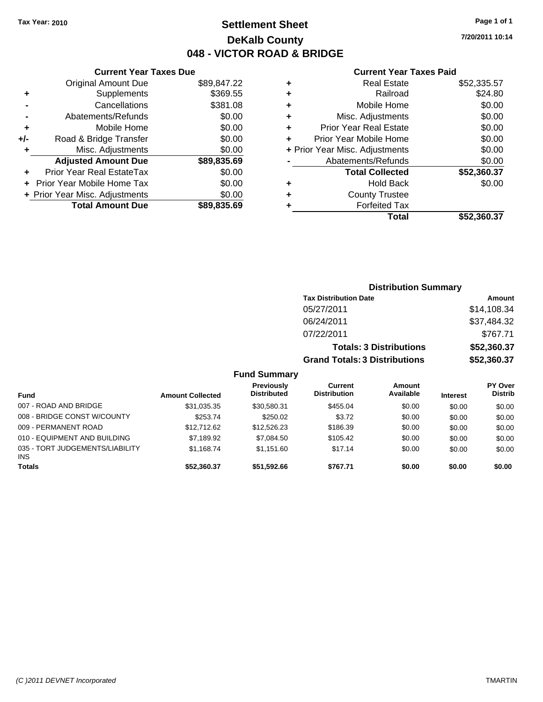### **Settlement Sheet Tax Year: 2010 Page 1 of 1 DeKalb County 048 - VICTOR ROAD & BRIDGE**

**7/20/2011 10:14**

#### **Current Year Taxes Paid**

|     | <b>Current Year Taxes Due</b>  |             |   |             |
|-----|--------------------------------|-------------|---|-------------|
|     | <b>Original Amount Due</b>     | \$89,847.22 | ٠ |             |
|     | Supplements                    | \$369.55    | ٠ |             |
|     | Cancellations                  | \$381.08    | ٠ |             |
|     | Abatements/Refunds             | \$0.00      | ٠ |             |
|     | Mobile Home                    | \$0.00      |   | Pri         |
| +/- | Road & Bridge Transfer         | \$0.00      |   | Prio        |
|     | Misc. Adjustments              | \$0.00      |   | + Prior Yea |
|     | <b>Adjusted Amount Due</b>     | \$89,835.69 |   | А           |
|     | Prior Year Real EstateTax      | \$0.00      |   |             |
|     | Prior Year Mobile Home Tax     | \$0.00      | ٠ |             |
|     | + Prior Year Misc. Adjustments | \$0.00      |   |             |
|     | <b>Total Amount Due</b>        | \$89,835.69 |   |             |
|     |                                |             |   |             |

|   | <b>Real Estate</b>             | \$52,335.57 |
|---|--------------------------------|-------------|
| ٠ | Railroad                       | \$24.80     |
| ٠ | Mobile Home                    | \$0.00      |
| ٠ | Misc. Adjustments              | \$0.00      |
| ٠ | <b>Prior Year Real Estate</b>  | \$0.00      |
|   | Prior Year Mobile Home         | \$0.00      |
|   | + Prior Year Misc. Adjustments | \$0.00      |
|   | Abatements/Refunds             | \$0.00      |
|   | <b>Total Collected</b>         | \$52,360.37 |
| ٠ | <b>Hold Back</b>               | \$0.00      |
| ٠ | <b>County Trustee</b>          |             |
|   | <b>Forfeited Tax</b>           |             |
|   | Total                          | \$52,360.37 |
|   |                                |             |

|                             |                         |                                         |                                      | <b>Distribution Summary</b>    |                 |                           |
|-----------------------------|-------------------------|-----------------------------------------|--------------------------------------|--------------------------------|-----------------|---------------------------|
|                             |                         |                                         | <b>Tax Distribution Date</b>         |                                |                 | Amount                    |
|                             |                         |                                         | 05/27/2011                           |                                |                 | \$14,108.34               |
|                             |                         |                                         | 06/24/2011                           |                                |                 | \$37,484.32               |
|                             |                         |                                         | 07/22/2011                           |                                |                 | \$767.71                  |
|                             |                         |                                         |                                      | <b>Totals: 3 Distributions</b> |                 | \$52,360.37               |
|                             |                         |                                         | <b>Grand Totals: 3 Distributions</b> |                                |                 | \$52,360.37               |
|                             |                         | <b>Fund Summary</b>                     |                                      |                                |                 |                           |
| <b>Fund</b>                 | <b>Amount Collected</b> | <b>Previously</b><br><b>Distributed</b> | Current<br><b>Distribution</b>       | Amount<br>Available            | <b>Interest</b> | PY Over<br><b>Distrib</b> |
| 007 - ROAD AND BRIDGE       | \$31,035.35             | \$30,580.31                             | \$455.04                             | \$0.00                         | \$0.00          | \$0.00                    |
| 008 - BRIDGE CONST W/COUNTY | \$253.74                | \$250.02                                | \$3.72                               | \$0.00                         | \$0.00          | \$0.00                    |

\$1,168.74 \$1,151.60 \$17.14 \$0.00 \$0.00 \$0.00

009 - PERMANENT ROAD \$12,712.62 \$12,712.62 \$12,526.23 \$186.39 \$0.00 \$0.00 \$0.00 010 - EQUIPMENT AND BUILDING \$7,189.92 \$7,084.50 \$105.42 \$0.00 \$0.00 \$0.00 \$0.00

**Totals \$52,360.37 \$51,592.66 \$767.71 \$0.00 \$0.00 \$0.00**

INS

035 - TORT JUDGEMENTS/LIABILITY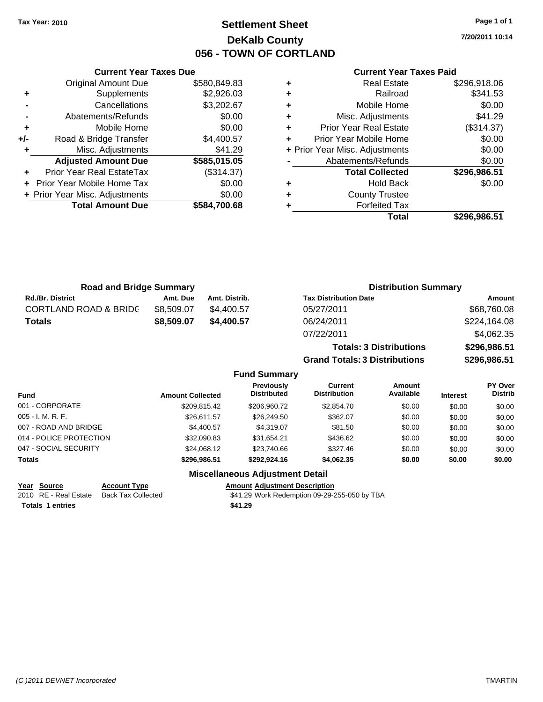**Current Year Taxes Due** Original Amount Due \$580,849.83

**Adjusted Amount Due \$585,015.05**

**Total Amount Due \$584,700.68**

**+** Supplements \$2,926.03 **-** Cancellations \$3,202.67 **-** Abatements/Refunds \$0.00 **+** Mobile Home \$0.00 **+/-** Road & Bridge Transfer \$4,400.57 **+** Misc. Adjustments \$41.29

**+** Prior Year Real EstateTax (\$314.37) **+** Prior Year Mobile Home Tax \$0.00 **+ Prior Year Misc. Adjustments**  $$0.00$ 

### **Settlement Sheet Tax Year: 2010 Page 1 of 1 DeKalb County 056 - TOWN OF CORTLAND**

**7/20/2011 10:14**

#### **Current Year Taxes Paid**

**Totals: 3 Distributions \$296,986.51**

**Grand Totals: 3 Distributions \$296,986.51**

| ٠ | <b>County Trustee</b><br><b>Forfeited Tax</b> |              |
|---|-----------------------------------------------|--------------|
| ٠ | <b>Hold Back</b>                              | \$0.00       |
|   | <b>Total Collected</b>                        | \$296,986.51 |
|   | Abatements/Refunds                            | \$0.00       |
|   | + Prior Year Misc. Adjustments                | \$0.00       |
| ÷ | Prior Year Mobile Home                        | \$0.00       |
| ٠ | <b>Prior Year Real Estate</b>                 | (\$314.37)   |
| ÷ | Misc. Adjustments                             | \$41.29      |
| ÷ | Mobile Home                                   | \$0.00       |
| ÷ | Railroad                                      | \$341.53     |
| ٠ | Real Estate                                   | \$296,918.06 |

| <b>Road and Bridge Summary</b>   |            |               | <b>Distribution Summary</b>  |              |  |
|----------------------------------|------------|---------------|------------------------------|--------------|--|
| Rd./Br. District                 | Amt. Due   | Amt. Distrib. | <b>Tax Distribution Date</b> | Amount       |  |
| <b>CORTLAND ROAD &amp; BRIDC</b> | \$8,509.07 | \$4,400.57    | 05/27/2011                   | \$68,760.08  |  |
| Totals                           | \$8,509.07 | \$4,400.57    | 06/24/2011                   | \$224,164.08 |  |
|                                  |            |               | 07/22/2011                   | \$4,062.35   |  |

|                         |                         | <b>Fund Summary</b>                     |                                       |                            |                 |                                  |
|-------------------------|-------------------------|-----------------------------------------|---------------------------------------|----------------------------|-----------------|----------------------------------|
| <b>Fund</b>             | <b>Amount Collected</b> | <b>Previously</b><br><b>Distributed</b> | <b>Current</b><br><b>Distribution</b> | <b>Amount</b><br>Available | <b>Interest</b> | <b>PY Over</b><br><b>Distrib</b> |
| 001 - CORPORATE         | \$209.815.42            | \$206,960.72                            | \$2,854.70                            | \$0.00                     | \$0.00          | \$0.00                           |
| 005 - I. M. R. F.       | \$26.611.57             | \$26,249.50                             | \$362.07                              | \$0.00                     | \$0.00          | \$0.00                           |
| 007 - ROAD AND BRIDGE   | \$4,400.57              | \$4,319.07                              | \$81.50                               | \$0.00                     | \$0.00          | \$0.00                           |
| 014 - POLICE PROTECTION | \$32,090.83             | \$31,654.21                             | \$436.62                              | \$0.00                     | \$0.00          | \$0.00                           |
| 047 - SOCIAL SECURITY   | \$24.068.12             | \$23,740.66                             | \$327.46                              | \$0.00                     | \$0.00          | \$0.00                           |
| Totals                  | \$296.986.51            | \$292.924.16                            | \$4,062.35                            | \$0.00                     | \$0.00          | \$0.00                           |
|                         | ---                     |                                         |                                       |                            |                 |                                  |

#### **Miscellaneous Adjustment Detail**

| Year Source             | <b>Account Type</b> | Amount  |
|-------------------------|---------------------|---------|
| 2010 RE - Real Estate   | Back Tax Collected  | \$41.29 |
| <b>Totals 1 entries</b> |                     | \$41.29 |

**Amount Adjustment Description** 2010 Real Estate Transaction S41.29 Work Redemption 09-29-255-050 by TBA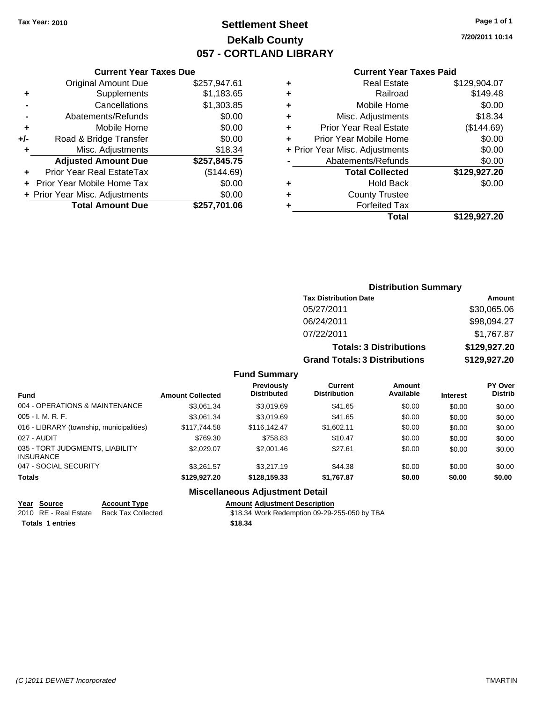### **Settlement Sheet Tax Year: 2010 Page 1 of 1 DeKalb County 057 - CORTLAND LIBRARY**

**7/20/2011 10:14**

#### **Current Year Taxes Paid**

| \$257,947.61 |
|--------------|
| \$1,183.65   |
| \$1,303.85   |
| \$0.00       |
| \$0.00       |
| \$0.00       |
| \$18.34      |
| \$257,845.75 |
| (\$144.69)   |
| \$0.00       |
| \$0.00       |
|              |
|              |

| ٠ | <b>Real Estate</b>             | \$129,904.07 |
|---|--------------------------------|--------------|
| ٠ | Railroad                       | \$149.48     |
| ٠ | Mobile Home                    | \$0.00       |
| ٠ | Misc. Adjustments              | \$18.34      |
| ÷ | <b>Prior Year Real Estate</b>  | (\$144.69)   |
| ٠ | Prior Year Mobile Home         | \$0.00       |
|   | + Prior Year Misc. Adjustments | \$0.00       |
|   | Abatements/Refunds             | \$0.00       |
|   | <b>Total Collected</b>         | \$129,927.20 |
| ٠ | Hold Back                      | \$0.00       |
| ٠ | <b>County Trustee</b>          |              |
|   | <b>Forfeited Tax</b>           |              |
|   | Total                          | \$129,927.20 |
|   |                                |              |

|                     | <b>Distribution Summary</b>          |               |
|---------------------|--------------------------------------|---------------|
|                     | <b>Tax Distribution Date</b>         | <b>Amount</b> |
|                     | 05/27/2011                           | \$30,065.06   |
|                     | 06/24/2011                           | \$98,094.27   |
|                     | 07/22/2011                           | \$1,767.87    |
|                     | <b>Totals: 3 Distributions</b>       | \$129,927.20  |
|                     | <b>Grand Totals: 3 Distributions</b> | \$129,927.20  |
| <b>Fund Summary</b> |                                      |               |

| <b>Fund</b>                                         | <b>Amount Collected</b> | <b>Previously</b><br><b>Distributed</b> | Current<br><b>Distribution</b> | <b>Amount</b><br>Available | <b>Interest</b> | PY Over<br><b>Distrib</b> |
|-----------------------------------------------------|-------------------------|-----------------------------------------|--------------------------------|----------------------------|-----------------|---------------------------|
| 004 - OPERATIONS & MAINTENANCE                      | \$3,061.34              | \$3.019.69                              | \$41.65                        | \$0.00                     | \$0.00          | \$0.00                    |
| $005 - I. M. R. F.$                                 | \$3.061.34              | \$3.019.69                              | \$41.65                        | \$0.00                     | \$0.00          | \$0.00                    |
| 016 - LIBRARY (township, municipalities)            | \$117.744.58            | \$116.142.47                            | \$1,602.11                     | \$0.00                     | \$0.00          | \$0.00                    |
| 027 - AUDIT                                         | \$769.30                | \$758.83                                | \$10.47                        | \$0.00                     | \$0.00          | \$0.00                    |
| 035 - TORT JUDGMENTS, LIABILITY<br><b>INSURANCE</b> | \$2.029.07              | \$2,001.46                              | \$27.61                        | \$0.00                     | \$0.00          | \$0.00                    |
| 047 - SOCIAL SECURITY                               | \$3.261.57              | \$3,217.19                              | \$44.38                        | \$0.00                     | \$0.00          | \$0.00                    |
| <b>Totals</b>                                       | \$129,927,20            | \$128,159,33                            | \$1,767.87                     | \$0.00                     | \$0.00          | \$0.00                    |
|                                                     |                         |                                         |                                |                            |                 |                           |

#### **Miscellaneous Adjustment Detail**

#### **Year Source Account Type Amount Adjustment Description**

2010 RE - Real Estate Back Tax Collected \$18.34 Work Redemption 09-29-255-050 by TBA **Totals \$18.34 1 entries**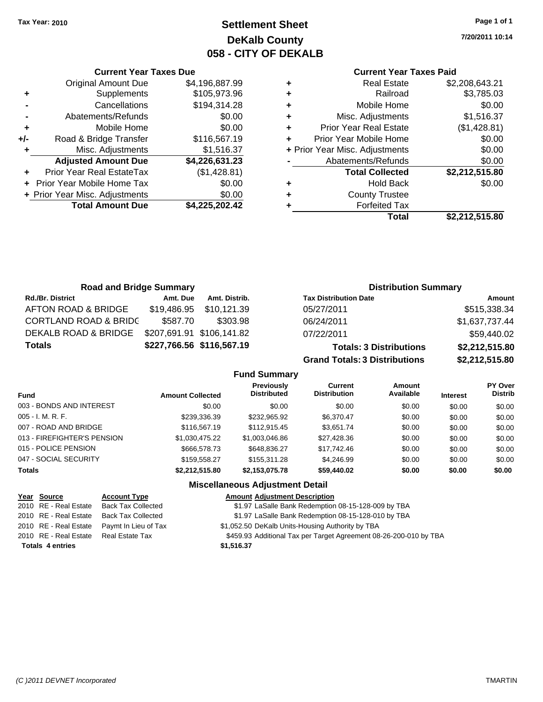### **Settlement Sheet Tax Year: 2010 Page 1 of 1 DeKalb County 058 - CITY OF DEKALB**

**7/20/2011 10:14**

#### **Current Year Taxes Paid**

| <b>Road and Bridge Summary</b>   |          |                           | <b>Distribution Summary</b>          |                |  |
|----------------------------------|----------|---------------------------|--------------------------------------|----------------|--|
| <b>Rd./Br. District</b>          | Amt. Due | Amt. Distrib.             | <b>Tax Distribution Date</b>         | Amount         |  |
| AFTON ROAD & BRIDGE              |          | \$19,486.95 \$10,121.39   | 05/27/2011                           | \$515,338.34   |  |
| <b>CORTLAND ROAD &amp; BRIDC</b> | \$587.70 | \$303.98                  | 06/24/2011                           | \$1,637,737.44 |  |
| DEKALB ROAD & BRIDGE             |          | \$207,691.91 \$106,141.82 | 07/22/2011                           | \$59,440.02    |  |
| <b>Totals</b>                    |          | \$227,766.56 \$116,567.19 | <b>Totals: 3 Distributions</b>       | \$2,212,515.80 |  |
|                                  |          |                           | <b>Grand Totals: 3 Distributions</b> | \$2,212,515.80 |  |

**Fund Summary Fund Interest Amount Collected Distributed PY Over Distrib Amount Available Current Distribution Previously** 003 - BONDS AND INTEREST  $$0.00$   $$0.00$   $$0.00$   $$0.00$   $$0.00$   $$0.00$   $$0.00$   $$0.00$ 005 - I. M. R. F. \$239,336.39 \$232,965.92 \$6,370.47 \$0.00 \$0.00 \$0.00 007 - ROAD AND BRIDGE \$116,567.19 \$112,915.45 \$3,651.74 \$0.00 \$0.00 \$0.00 013 - FIREFIGHTER'S PENSION \$1,030,475.22 \$1,003,046.86 \$27,428.36 \$0.00 \$0.00 \$0.00 015 - POLICE PENSION \$666,578.73 \$648,836.27 \$17,742.46 \$0.00 \$0.00 \$0.00 \$0.00 047 - SOCIAL SECURITY 66.00 \$159,558.27 \$155,311.28 \$4,246.99 \$0.00 \$0.00 \$0.00 \$0.00 **Totals \$2,212,515.80 \$2,153,075.78 \$59,440.02 \$0.00 \$0.00 \$0.00**

#### **Miscellaneous Adjustment Detail**

| Year Source             | <b>Account Type</b>       | <b>Amount Adjustment Description</b>                              |
|-------------------------|---------------------------|-------------------------------------------------------------------|
| 2010 RE - Real Estate   | <b>Back Tax Collected</b> | \$1.97 LaSalle Bank Redemption 08-15-128-009 by TBA               |
| 2010 RE - Real Estate   | <b>Back Tax Collected</b> | \$1.97 LaSalle Bank Redemption 08-15-128-010 by TBA               |
| 2010 RE - Real Estate   | Paymt In Lieu of Tax      | \$1,052.50 DeKalb Units-Housing Authority by TBA                  |
| 2010 RE - Real Estate   | Real Estate Tax           | \$459.93 Additional Tax per Target Agreement 08-26-200-010 by TBA |
| <b>Totals 4 entries</b> |                           | \$1,516.37                                                        |

#### **+/-** Road & Bridge Transfer \$116,567.19 **+** Misc. Adjustments \$1,516.37

**Total Amount Due \$4,225,202.42**

**Adjusted Amount Due \$4,226,631.23**

**Current Year Taxes Due** Original Amount Due \$4,196,887.99

**+** Supplements \$105,973.96 **-** Cancellations \$194,314.28 **-** Abatements/Refunds \$0.00 **+** Mobile Home \$0.00

**+** Prior Year Real EstateTax (\$1,428.81) **+** Prior Year Mobile Home Tax \$0.00 **+ Prior Year Misc. Adjustments**  $$0.00$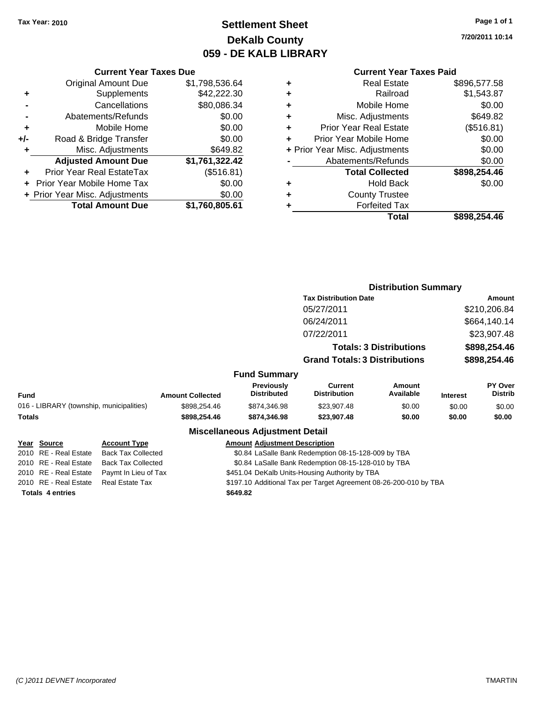**Current Year Taxes Due** Original Amount Due \$1,798,536.64

**Adjusted Amount Due \$1,761,322.42**

**Total Amount Due \$1,760,805.61**

**+** Supplements \$42,222.30 **-** Cancellations \$80,086.34 **-** Abatements/Refunds \$0.00 **+** Mobile Home \$0.00 **+/-** Road & Bridge Transfer \$0.00 **+** Misc. Adjustments \$649.82

**+** Prior Year Real EstateTax (\$516.81) **+** Prior Year Mobile Home Tax \$0.00 **+ Prior Year Misc. Adjustments**  $$0.00$ 

### **Settlement Sheet Tax Year: 2010 Page 1 of 1 DeKalb County 059 - DE KALB LIBRARY**

**7/20/2011 10:14**

#### **Current Year Taxes Paid**

| <b>Hold Back</b><br><b>County Trustee</b><br><b>Forfeited Tax</b> |              |
|-------------------------------------------------------------------|--------------|
|                                                                   | \$0.00       |
|                                                                   |              |
|                                                                   |              |
| <b>Total Collected</b>                                            | \$898,254.46 |
| Abatements/Refunds                                                | \$0.00       |
| + Prior Year Misc. Adjustments                                    | \$0.00       |
| Prior Year Mobile Home                                            | \$0.00       |
| <b>Prior Year Real Estate</b>                                     | (\$516.81)   |
| Misc. Adjustments                                                 | \$649.82     |
| Mobile Home                                                       | \$0.00       |
| Railroad                                                          | \$1,543.87   |
| <b>Real Estate</b>                                                | \$896,577.58 |
|                                                                   |              |

|        |                                          |                           |                         |                                                     |                                                                   | <b>Distribution Summary</b>    |                 |                           |  |
|--------|------------------------------------------|---------------------------|-------------------------|-----------------------------------------------------|-------------------------------------------------------------------|--------------------------------|-----------------|---------------------------|--|
|        |                                          |                           |                         |                                                     | <b>Tax Distribution Date</b>                                      |                                |                 | Amount                    |  |
|        |                                          |                           |                         |                                                     | 05/27/2011                                                        |                                |                 | \$210,206.84              |  |
|        |                                          |                           |                         |                                                     | 06/24/2011                                                        |                                |                 | \$664,140.14              |  |
|        |                                          |                           |                         |                                                     | 07/22/2011                                                        |                                |                 | \$23,907.48               |  |
|        |                                          |                           |                         |                                                     |                                                                   | <b>Totals: 3 Distributions</b> |                 | \$898,254.46              |  |
|        |                                          |                           |                         |                                                     | <b>Grand Totals: 3 Distributions</b>                              |                                | \$898,254.46    |                           |  |
|        |                                          |                           |                         | <b>Fund Summary</b>                                 |                                                                   |                                |                 |                           |  |
| Fund   |                                          |                           | <b>Amount Collected</b> | <b>Previously</b><br><b>Distributed</b>             | Current<br><b>Distribution</b>                                    | Amount<br>Available            | <b>Interest</b> | <b>PY Over</b><br>Distrib |  |
|        | 016 - LIBRARY (township, municipalities) |                           | \$898,254.46            | \$874,346.98                                        | \$23,907.48                                                       | \$0.00                         | \$0.00          | \$0.00                    |  |
| Totals |                                          |                           | \$898,254.46            | \$874,346.98                                        | \$23,907.48                                                       | \$0.00                         | \$0.00          | \$0.00                    |  |
|        |                                          |                           |                         | <b>Miscellaneous Adjustment Detail</b>              |                                                                   |                                |                 |                           |  |
|        | Year Source                              | <b>Account Type</b>       |                         | <b>Amount Adjustment Description</b>                |                                                                   |                                |                 |                           |  |
|        | 2010 RE - Real Estate                    | <b>Back Tax Collected</b> |                         | \$0.84 LaSalle Bank Redemption 08-15-128-009 by TBA |                                                                   |                                |                 |                           |  |
|        | 2010 RE - Real Estate                    | <b>Back Tax Collected</b> |                         | \$0.84 LaSalle Bank Redemption 08-15-128-010 by TBA |                                                                   |                                |                 |                           |  |
|        | 2010 RE - Real Estate                    | Paymt In Lieu of Tax      |                         | \$451.04 DeKalb Units-Housing Authority by TBA      |                                                                   |                                |                 |                           |  |
|        | 2010 RE - Real Estate                    | <b>Real Estate Tax</b>    |                         |                                                     | \$197.10 Additional Tax per Target Agreement 08-26-200-010 by TBA |                                |                 |                           |  |

**Totals \$649.82 4 entries**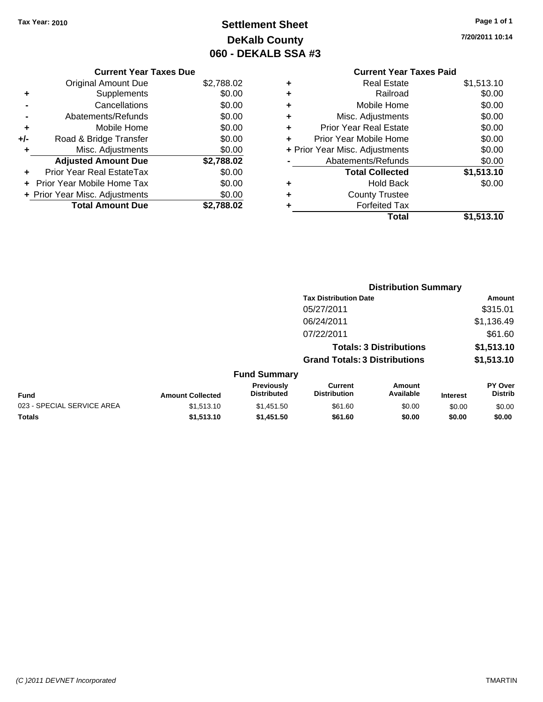### **Settlement Sheet Tax Year: 2010 Page 1 of 1 DeKalb County 060 - DEKALB SSA #3**

**7/20/2011 10:14**

### **Current Year Taxes Paid**

| <b>Current Year Taxes Due</b>  |            |
|--------------------------------|------------|
| <b>Original Amount Due</b>     | \$2,788.02 |
| Supplements                    | \$0.00     |
| Cancellations                  | \$0.00     |
| Abatements/Refunds             | \$0.00     |
| Mobile Home                    | \$0.00     |
| Road & Bridge Transfer         | \$0.00     |
| Misc. Adjustments              | \$0.00     |
| <b>Adjusted Amount Due</b>     | \$2,788.02 |
| Prior Year Real EstateTax      | \$0.00     |
| Prior Year Mobile Home Tax     | \$0.00     |
| + Prior Year Misc. Adjustments | \$0.00     |
| <b>Total Amount Due</b>        | \$2.788.02 |
|                                |            |

| ٠ | <b>Real Estate</b>             | \$1,513.10 |
|---|--------------------------------|------------|
| ٠ | Railroad                       | \$0.00     |
| ٠ | Mobile Home                    | \$0.00     |
| ٠ | Misc. Adjustments              | \$0.00     |
| ÷ | <b>Prior Year Real Estate</b>  | \$0.00     |
| ٠ | Prior Year Mobile Home         | \$0.00     |
|   | + Prior Year Misc. Adjustments | \$0.00     |
|   | Abatements/Refunds             | \$0.00     |
|   | <b>Total Collected</b>         | \$1,513.10 |
| ٠ | <b>Hold Back</b>               | \$0.00     |
| ٠ | <b>County Trustee</b>          |            |
| ٠ | <b>Forfeited Tax</b>           |            |
|   | Total                          | \$1,513.10 |
|   |                                |            |

|                            |                         |                                  | <b>Distribution Summary</b>           |                                |                 |                                  |
|----------------------------|-------------------------|----------------------------------|---------------------------------------|--------------------------------|-----------------|----------------------------------|
|                            |                         |                                  | <b>Tax Distribution Date</b>          |                                |                 | Amount                           |
|                            |                         |                                  | 05/27/2011                            |                                |                 | \$315.01                         |
|                            |                         |                                  | 06/24/2011                            |                                |                 | \$1,136.49                       |
|                            |                         |                                  | 07/22/2011                            |                                |                 | \$61.60                          |
|                            |                         |                                  |                                       | <b>Totals: 3 Distributions</b> |                 | \$1,513.10                       |
|                            |                         |                                  | <b>Grand Totals: 3 Distributions</b>  |                                |                 | \$1,513.10                       |
|                            |                         | <b>Fund Summary</b>              |                                       |                                |                 |                                  |
| Fund                       | <b>Amount Collected</b> | Previously<br><b>Distributed</b> | <b>Current</b><br><b>Distribution</b> | <b>Amount</b><br>Available     | <b>Interest</b> | <b>PY Over</b><br><b>Distrib</b> |
| 023 - SPECIAL SERVICE AREA | \$1,513.10              | \$1,451.50                       | \$61.60                               | \$0.00                         | \$0.00          | \$0.00                           |
| Totals                     | \$1,513.10              | \$1,451.50                       | \$61.60                               | \$0.00                         | \$0.00          | \$0.00                           |
|                            |                         |                                  |                                       |                                |                 |                                  |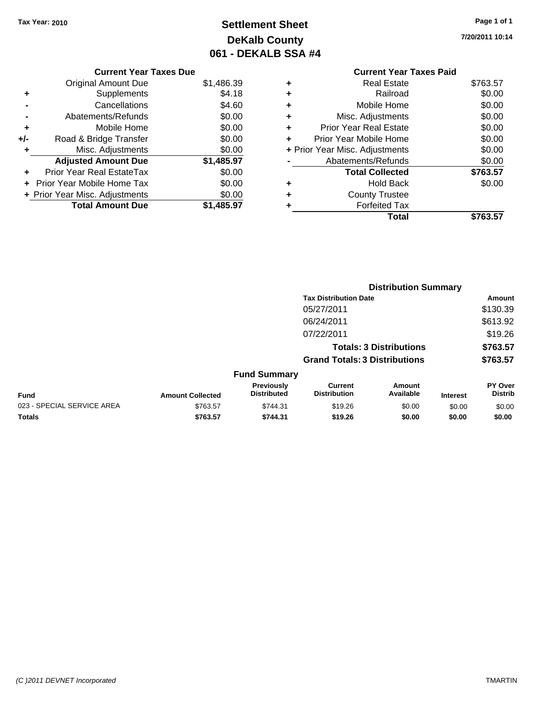**Current Year Taxes Due** Original Amount Due \$1,486.39

**+** Supplements \$4.18 **-** Cancellations \$4.60 **-** Abatements/Refunds \$0.00 **+** Mobile Home \$0.00 **+/-** Road & Bridge Transfer \$0.00 **+** Misc. Adjustments \$0.00 **Adjusted Amount Due \$1,485.97**

**+** Prior Year Real EstateTax \$0.00 **+** Prior Year Mobile Home Tax \$0.00 **+ Prior Year Misc. Adjustments**  $$0.00$ 

**Total Amount Due \$1,485.97**

### **Settlement Sheet Tax Year: 2010 Page 1 of 1 DeKalb County 061 - DEKALB SSA #4**

**7/20/2011 10:14**

#### **Current Year Taxes Paid +** Real Estate \$763.57 **+** Railroad \$0.00 **+** Mobile Home \$0.00 **+** Misc. Adjustments \$0.00 **+** Prior Year Real Estate \$0.00 **+** Prior Year Mobile Home \$0.00 **+** Prior Year Misc. Adjustments  $$0.00$ **-** Abatements/Refunds \$0.00 **Total Collected \$763.57 +** Hold Back \$0.00 **+** County Trustee **+** Forfeited Tax **Total \$763.57**

**Distribution Summary**

|                            |                         |                                         | <b>Tax Distribution Date</b>          |                                |                 | Amount                           |
|----------------------------|-------------------------|-----------------------------------------|---------------------------------------|--------------------------------|-----------------|----------------------------------|
|                            |                         |                                         | 05/27/2011                            |                                |                 | \$130.39                         |
|                            |                         |                                         | 06/24/2011                            |                                |                 | \$613.92                         |
|                            |                         |                                         | 07/22/2011                            |                                |                 | \$19.26                          |
|                            |                         |                                         |                                       | <b>Totals: 3 Distributions</b> |                 | \$763.57                         |
|                            |                         |                                         | <b>Grand Totals: 3 Distributions</b>  |                                |                 | \$763.57                         |
|                            |                         | <b>Fund Summary</b>                     |                                       |                                |                 |                                  |
| <b>Fund</b>                | <b>Amount Collected</b> | <b>Previously</b><br><b>Distributed</b> | <b>Current</b><br><b>Distribution</b> | Amount<br>Available            | <b>Interest</b> | <b>PY Over</b><br><b>Distrib</b> |
| 023 - SPECIAL SERVICE AREA | \$763.57                | \$744.31                                | \$19.26                               | \$0.00                         | \$0.00          | \$0.00                           |
| <b>Totals</b>              | \$763.57                | \$744.31                                | \$19.26                               | \$0.00                         | \$0.00          | \$0.00                           |

#### *(C )2011 DEVNET Incorporated* TMARTIN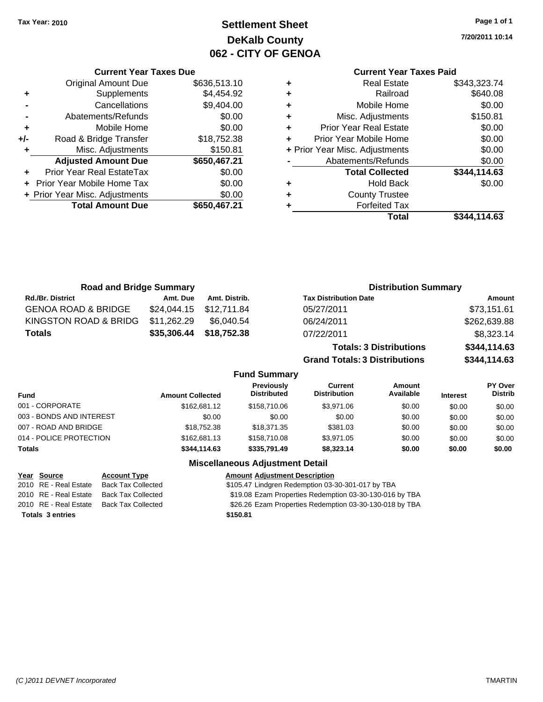### **Settlement Sheet Tax Year: 2010 Page 1 of 1 DeKalb County 062 - CITY OF GENOA**

**7/20/2011 10:14**

### **Current Year Taxes Paid**

|     | <b>Current Year Taxes Due</b>  |              |  |  |  |  |  |
|-----|--------------------------------|--------------|--|--|--|--|--|
|     | <b>Original Amount Due</b>     | \$636,513.10 |  |  |  |  |  |
| ٠   | Supplements                    | \$4,454.92   |  |  |  |  |  |
|     | Cancellations                  | \$9,404.00   |  |  |  |  |  |
|     | Abatements/Refunds             | \$0.00       |  |  |  |  |  |
| ٠   | Mobile Home                    | \$0.00       |  |  |  |  |  |
| +/- | Road & Bridge Transfer         | \$18,752.38  |  |  |  |  |  |
| ٠   | Misc. Adjustments              | \$150.81     |  |  |  |  |  |
|     | <b>Adjusted Amount Due</b>     | \$650,467.21 |  |  |  |  |  |
| ÷   | Prior Year Real EstateTax      | \$0.00       |  |  |  |  |  |
|     | Prior Year Mobile Home Tax     | \$0.00       |  |  |  |  |  |
|     | + Prior Year Misc. Adjustments | \$0.00       |  |  |  |  |  |
|     | <b>Total Amount Due</b>        | \$650,467.21 |  |  |  |  |  |
|     |                                |              |  |  |  |  |  |

|                                | <b>Real Estate</b>            | \$343,323.74 |
|--------------------------------|-------------------------------|--------------|
| ٠                              | Railroad                      | \$640.08     |
| ٠                              | Mobile Home                   | \$0.00       |
| ٠                              | Misc. Adjustments             | \$150.81     |
| ٠                              | <b>Prior Year Real Estate</b> | \$0.00       |
|                                | Prior Year Mobile Home        | \$0.00       |
| + Prior Year Misc. Adjustments |                               | \$0.00       |
|                                | Abatements/Refunds            | \$0.00       |
|                                | <b>Total Collected</b>        | \$344,114.63 |
| ٠                              | <b>Hold Back</b>              | \$0.00       |
|                                | <b>County Trustee</b>         |              |
|                                | <b>Forfeited Tax</b>          |              |
|                                | Total                         | \$344.114.63 |
|                                |                               |              |

| <b>Road and Bridge Summary</b> |             |               | <b>Distribution Summary</b>    |              |
|--------------------------------|-------------|---------------|--------------------------------|--------------|
| <b>Rd./Br. District</b>        | Amt. Due    | Amt. Distrib. | <b>Tax Distribution Date</b>   | Amount       |
| <b>GENOA ROAD &amp; BRIDGE</b> | \$24.044.15 | \$12.711.84   | 05/27/2011                     | \$73,151.61  |
| KINGSTON ROAD & BRIDG          | \$11,262.29 | \$6.040.54    | 06/24/2011                     | \$262,639.88 |
| <b>Totals</b>                  | \$35,306.44 | \$18,752.38   | 07/22/2011                     | \$8,323.14   |
|                                |             |               | <b>Totals: 3 Distributions</b> | \$344,114.63 |

**Grand Totals: 3 Distributions \$344,114.63 Fund Summary Fund Interest Amount Collected Distributed PY Over Distrib Amount Available Current Distribution Previously** 001 - CORPORATE 6000 \$162,681.12 \$158,710.06 \$3,971.06 \$0.00 \$0.00 \$0.00 \$0.00 003 - BONDS AND INTEREST  $$0.00$   $$0.00$   $$0.00$   $$0.00$   $$0.00$   $$0.00$   $$0.00$   $$0.00$ 007 - ROAD AND BRIDGE \$18,752.38 \$18,371.35 \$381.03 \$0.00 \$0.00 \$0.00 014 - POLICE PROTECTION \$162,681.13 \$158,710.08 \$3,971.05 \$0.00 \$0.00 \$0.00 **Totals \$344,114.63 \$335,791.49 \$8,323.14 \$0.00 \$0.00 \$0.00**

#### **Miscellaneous Adjustment Detail**

| Year Source             | <b>Account Type</b>       | <b>Amount Adjustment Description</b>                    |
|-------------------------|---------------------------|---------------------------------------------------------|
| 2010 RE - Real Estate   | <b>Back Tax Collected</b> | \$105.47 Lindgren Redemption 03-30-301-017 by TBA       |
| 2010 RE - Real Estate   | Back Tax Collected        | \$19.08 Ezam Properties Redemption 03-30-130-016 by TBA |
| 2010 RE - Real Estate   | Back Tax Collected        | \$26.26 Ezam Properties Redemption 03-30-130-018 by TBA |
| <b>Totals 3 entries</b> |                           | \$150.81                                                |
|                         |                           |                                                         |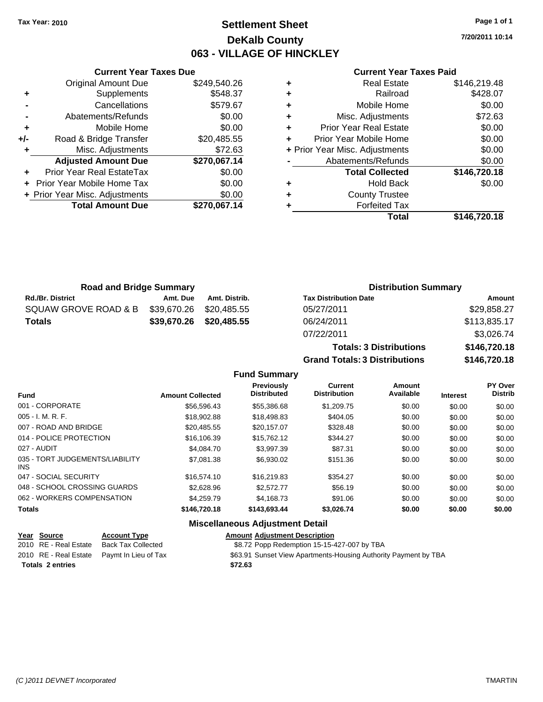### **Settlement Sheet Tax Year: 2010 Page 1 of 1 DeKalb County 063 - VILLAGE OF HINCKLEY**

**7/20/2011 10:14**

#### **Current Year Taxes Paid**

|     | <b>Current Year Taxes Due</b>  |              |
|-----|--------------------------------|--------------|
|     | <b>Original Amount Due</b>     | \$249,540.26 |
| ٠   | Supplements                    | \$548.37     |
|     | Cancellations                  | \$579.67     |
|     | Abatements/Refunds             | \$0.00       |
| ٠   | Mobile Home                    | \$0.00       |
| +/- | Road & Bridge Transfer         | \$20,485.55  |
| ٠   | Misc. Adjustments              | \$72.63      |
|     | <b>Adjusted Amount Due</b>     | \$270,067.14 |
|     | Prior Year Real EstateTax      | \$0.00       |
|     | Prior Year Mobile Home Tax     | \$0.00       |
|     | + Prior Year Misc. Adjustments | \$0.00       |
|     | <b>Total Amount Due</b>        | \$270,067.14 |
|     |                                |              |

|                                | <b>Real Estate</b>            | \$146,219.48 |
|--------------------------------|-------------------------------|--------------|
| ٠                              | Railroad                      | \$428.07     |
| ٠                              | Mobile Home                   | \$0.00       |
| ٠                              | Misc. Adjustments             | \$72.63      |
| ٠                              | <b>Prior Year Real Estate</b> | \$0.00       |
|                                | Prior Year Mobile Home        | \$0.00       |
| + Prior Year Misc. Adjustments |                               | \$0.00       |
|                                | Abatements/Refunds            | \$0.00       |
|                                | <b>Total Collected</b>        | \$146,720.18 |
|                                | <b>Hold Back</b>              | \$0.00       |
| ٠                              | <b>County Trustee</b>         |              |
|                                | <b>Forfeited Tax</b>          |              |
|                                | Total                         | \$146,720.18 |

**Totals: 3 Distributions \$146,720.18**

| <b>Road and Bridge Summary</b> |                         |                         | <b>Distribution Summary</b>  |              |
|--------------------------------|-------------------------|-------------------------|------------------------------|--------------|
| <b>Rd./Br. District</b>        | Amt. Due                | Amt. Distrib.           | <b>Tax Distribution Date</b> | Amount       |
| SQUAW GROVE ROAD & B           | \$39,670.26 \$20,485.55 |                         | 05/27/2011                   | \$29,858.27  |
| <b>Totals</b>                  |                         | \$39,670.26 \$20,485.55 | 06/24/2011                   | \$113,835.17 |
|                                |                         |                         | 07/22/2011                   | \$3,026.74   |

|                                         |                         | <b>Grand Totals: 3 Distributions</b>    |                                |                     |                 | \$146,720.18                     |  |
|-----------------------------------------|-------------------------|-----------------------------------------|--------------------------------|---------------------|-----------------|----------------------------------|--|
|                                         |                         | <b>Fund Summary</b>                     |                                |                     |                 |                                  |  |
| <b>Fund</b>                             | <b>Amount Collected</b> | <b>Previously</b><br><b>Distributed</b> | Current<br><b>Distribution</b> | Amount<br>Available | <b>Interest</b> | <b>PY Over</b><br><b>Distrib</b> |  |
| 001 - CORPORATE                         | \$56,596.43             | \$55,386.68                             | \$1,209.75                     | \$0.00              | \$0.00          | \$0.00                           |  |
| $005 - I. M. R. F.$                     | \$18,902.88             | \$18,498.83                             | \$404.05                       | \$0.00              | \$0.00          | \$0.00                           |  |
| 007 - ROAD AND BRIDGE                   | \$20,485.55             | \$20,157.07                             | \$328.48                       | \$0.00              | \$0.00          | \$0.00                           |  |
| 014 - POLICE PROTECTION                 | \$16,106.39             | \$15,762.12                             | \$344.27                       | \$0.00              | \$0.00          | \$0.00                           |  |
| 027 - AUDIT                             | \$4,084.70              | \$3,997.39                              | \$87.31                        | \$0.00              | \$0.00          | \$0.00                           |  |
| 035 - TORT JUDGEMENTS/LIABILITY<br>INS. | \$7,081.38              | \$6,930.02                              | \$151.36                       | \$0.00              | \$0.00          | \$0.00                           |  |
| 047 - SOCIAL SECURITY                   | \$16,574.10             | \$16,219.83                             | \$354.27                       | \$0.00              | \$0.00          | \$0.00                           |  |
| 048 - SCHOOL CROSSING GUARDS            | \$2,628.96              | \$2,572.77                              | \$56.19                        | \$0.00              | \$0.00          | \$0.00                           |  |
| 062 - WORKERS COMPENSATION              | \$4,259.79              | \$4.168.73                              | \$91.06                        | \$0.00              | \$0.00          | \$0.00                           |  |
| Totals                                  | \$146,720.18            | \$143,693.44                            | \$3,026.74                     | \$0.00              | \$0.00          | \$0.00                           |  |

#### **Miscellaneous Adjustment Detail**

| <u>Year Source</u>      | <b>Account Type</b>                        | <b>Amount Adjustment Description</b>                            |
|-------------------------|--------------------------------------------|-----------------------------------------------------------------|
| 2010 RE - Real Estate   | Back Tax Collected                         | \$8.72 Popp Redemption 15-15-427-007 by TBA                     |
|                         | 2010 RE - Real Estate Paymt In Lieu of Tax | \$63.91 Sunset View Apartments-Housing Authority Payment by TBA |
| <b>Totals 2 entries</b> |                                            | \$72.63                                                         |
|                         |                                            |                                                                 |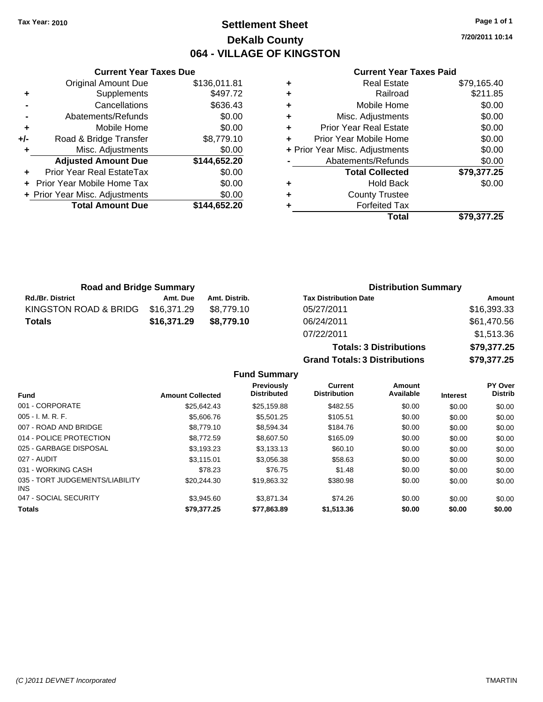### **Settlement Sheet Tax Year: 2010 Page 1 of 1 DeKalb County 064 - VILLAGE OF KINGSTON**

**7/20/2011 10:14**

#### **Current Year Taxes Paid**

|     | <b>Current Year Taxes Due</b>  |              |  |  |  |
|-----|--------------------------------|--------------|--|--|--|
|     | <b>Original Amount Due</b>     | \$136,011.81 |  |  |  |
| ٠   | Supplements                    | \$497.72     |  |  |  |
|     | Cancellations                  | \$636.43     |  |  |  |
|     | Abatements/Refunds             | \$0.00       |  |  |  |
| ٠   | Mobile Home                    | \$0.00       |  |  |  |
| +/- | Road & Bridge Transfer         | \$8,779.10   |  |  |  |
|     | Misc. Adjustments              | \$0.00       |  |  |  |
|     | <b>Adjusted Amount Due</b>     | \$144,652.20 |  |  |  |
|     | Prior Year Real EstateTax      | \$0.00       |  |  |  |
|     | Prior Year Mobile Home Tax     | \$0.00       |  |  |  |
|     | + Prior Year Misc. Adjustments | \$0.00       |  |  |  |
|     | <b>Total Amount Due</b>        | \$144.652.20 |  |  |  |
|     |                                |              |  |  |  |

|   | <b>Real Estate</b>             | \$79,165.40 |
|---|--------------------------------|-------------|
| ٠ | Railroad                       | \$211.85    |
| ÷ | Mobile Home                    | \$0.00      |
| ٠ | Misc. Adjustments              | \$0.00      |
| ٠ | <b>Prior Year Real Estate</b>  | \$0.00      |
| ÷ | Prior Year Mobile Home         | \$0.00      |
|   | + Prior Year Misc. Adjustments | \$0.00      |
|   | Abatements/Refunds             | \$0.00      |
|   | <b>Total Collected</b>         | \$79,377.25 |
| ٠ | <b>Hold Back</b>               | \$0.00      |
| ٠ | <b>County Trustee</b>          |             |
|   | <b>Forfeited Tax</b>           |             |
|   | Total                          | \$79,377.25 |

| <b>Road and Bridge Summary</b> |             |               | <b>Distribution Summary</b>  |             |  |
|--------------------------------|-------------|---------------|------------------------------|-------------|--|
| <b>Rd./Br. District</b>        | Amt. Due    | Amt. Distrib. | <b>Tax Distribution Date</b> | Amount      |  |
| KINGSTON ROAD & BRIDG          | \$16.371.29 | \$8.779.10    | 05/27/2011                   | \$16,393.33 |  |
| <b>Totals</b>                  | \$16,371,29 | \$8.779.10    | 06/24/2011                   | \$61,470.56 |  |
|                                |             |               | 27/20/20/4                   | $A + B$     |  |

| $UU/Z + IZU + I$                     | $0.001$ , 0.00 |
|--------------------------------------|----------------|
| 07/22/2011                           | \$1,513.36     |
| <b>Totals: 3 Distributions</b>       | \$79,377.25    |
| <b>Grand Totals: 3 Distributions</b> | \$79,377.25    |
|                                      |                |

**Fund Summary**

| <b>Fund</b>                             | <b>Amount Collected</b> | <b>Previously</b><br><b>Distributed</b> | Current<br><b>Distribution</b> | <b>Amount</b><br>Available | <b>Interest</b> | <b>PY Over</b><br><b>Distrib</b> |
|-----------------------------------------|-------------------------|-----------------------------------------|--------------------------------|----------------------------|-----------------|----------------------------------|
| 001 - CORPORATE                         | \$25.642.43             | \$25.159.88                             | \$482.55                       | \$0.00                     | \$0.00          | \$0.00                           |
| $005 - I. M. R. F.$                     | \$5,606.76              | \$5,501.25                              | \$105.51                       | \$0.00                     | \$0.00          | \$0.00                           |
| 007 - ROAD AND BRIDGE                   | \$8,779.10              | \$8.594.34                              | \$184.76                       | \$0.00                     | \$0.00          | \$0.00                           |
| 014 - POLICE PROTECTION                 | \$8,772.59              | \$8,607.50                              | \$165.09                       | \$0.00                     | \$0.00          | \$0.00                           |
| 025 - GARBAGE DISPOSAL                  | \$3,193.23              | \$3.133.13                              | \$60.10                        | \$0.00                     | \$0.00          | \$0.00                           |
| 027 - AUDIT                             | \$3.115.01              | \$3.056.38                              | \$58.63                        | \$0.00                     | \$0.00          | \$0.00                           |
| 031 - WORKING CASH                      | \$78.23                 | \$76.75                                 | \$1.48                         | \$0.00                     | \$0.00          | \$0.00                           |
| 035 - TORT JUDGEMENTS/LIABILITY<br>INS. | \$20,244.30             | \$19,863.32                             | \$380.98                       | \$0.00                     | \$0.00          | \$0.00                           |
| 047 - SOCIAL SECURITY                   | \$3.945.60              | \$3,871,34                              | \$74.26                        | \$0.00                     | \$0.00          | \$0.00                           |
| <b>Totals</b>                           | \$79,377.25             | \$77,863.89                             | \$1,513.36                     | \$0.00                     | \$0.00          | \$0.00                           |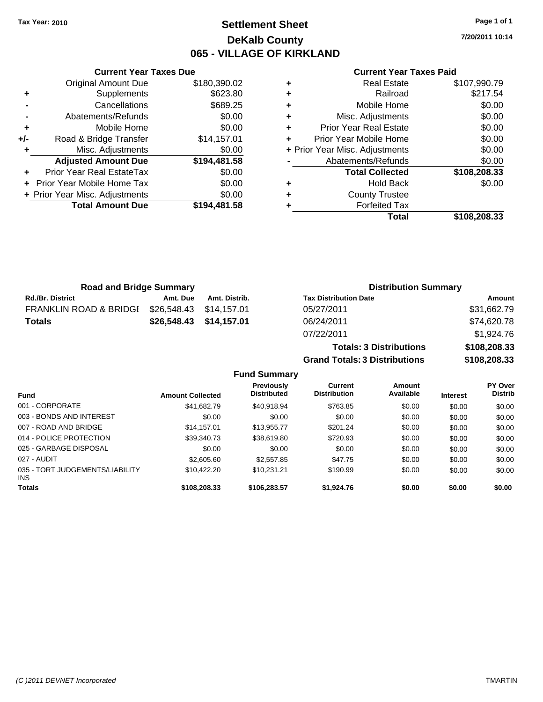**Current Year Taxes Due** Original Amount Due \$180,390.02

**Adjusted Amount Due \$194,481.58**

**Total Amount Due \$194,481.58**

**+** Supplements \$623.80 **-** Cancellations \$689.25 **-** Abatements/Refunds \$0.00 **+** Mobile Home \$0.00 **+/-** Road & Bridge Transfer \$14,157.01 **+** Misc. Adjustments \$0.00

**+** Prior Year Real EstateTax \$0.00 **+** Prior Year Mobile Home Tax \$0.00 **+ Prior Year Misc. Adjustments**  $$0.00$ 

### **Settlement Sheet Tax Year: 2010 Page 1 of 1 DeKalb County 065 - VILLAGE OF KIRKLAND**

**7/20/2011 10:14**

#### **Current Year Taxes Paid**

**Totals: 3 Distributions \$108,208.33**

**Grand Totals: 3 Distributions \$108,208.33**

|   | Total                          | \$108,208.33 |
|---|--------------------------------|--------------|
| ٠ | <b>Forfeited Tax</b>           |              |
| ٠ | <b>County Trustee</b>          |              |
| ٠ | <b>Hold Back</b>               | \$0.00       |
|   | <b>Total Collected</b>         | \$108,208.33 |
|   | Abatements/Refunds             | \$0.00       |
|   | + Prior Year Misc. Adjustments | \$0.00       |
| ÷ | Prior Year Mobile Home         | \$0.00       |
| ٠ | <b>Prior Year Real Estate</b>  | \$0.00       |
| ÷ | Misc. Adjustments              | \$0.00       |
| ÷ | Mobile Home                    | \$0.00       |
| ÷ | Railroad                       | \$217.54     |
| ٠ | <b>Real Estate</b>             | \$107,990.79 |

| <b>Road and Bridge Summary</b>    |                         |                         | <b>Distribution Summary</b>  |             |  |
|-----------------------------------|-------------------------|-------------------------|------------------------------|-------------|--|
| <b>Rd./Br. District</b>           | Amt. Due                | Amt. Distrib.           | <b>Tax Distribution Date</b> | Amount      |  |
| <b>FRANKLIN ROAD &amp; BRIDGI</b> | \$26.548.43 \$14.157.01 |                         | 05/27/2011                   | \$31,662.79 |  |
| <b>Totals</b>                     |                         | \$26,548.43 \$14,157.01 | 06/24/2011                   | \$74,620.78 |  |
|                                   |                         |                         | 07/22/2011                   | \$1,924.76  |  |

**Fund Summary Fund Interest Amount Collected Distributed PY Over Distrib Amount Available Current Distribution Previously** 001 - CORPORATE \$41,682.79 \$40,918.94 \$763.85 \$0.00 \$0.00 \$0.00 003 - BONDS AND INTEREST  $$0.00$   $$0.00$   $$0.00$   $$0.00$   $$0.00$   $$0.00$   $$0.00$   $$0.00$ 007 - ROAD AND BRIDGE 66.00 \$14,157.01 \$13,955.77 \$201.24 \$0.00 \$0.00 \$0.00 \$0.00 014 - POLICE PROTECTION \$39,340.73 \$38,619.80 \$720.93 \$0.00 \$0.00 \$0.00 \$0.00 025 - GARBAGE DISPOSAL \$0.00 \$0.00 \$0.00 \$0.00 \$0.00 \$0.00 027 - AUDIT \$2,605.60 \$2,557.85 \$47.75 \$0.00 \$0.00 \$0.00 035 - TORT JUDGEMENTS/LIABILITY INS \$10,422.20 \$10,231.21 \$190.99 \$0.00 \$0.00 \$0.00 **Totals \$108,208.33 \$106,283.57 \$1,924.76 \$0.00 \$0.00 \$0.00**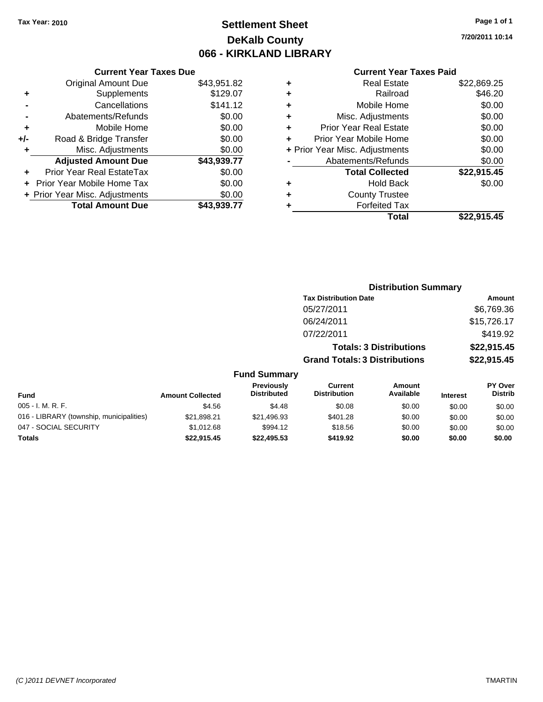### **Settlement Sheet Tax Year: 2010 Page 1 of 1 DeKalb County 066 - KIRKLAND LIBRARY**

**7/20/2011 10:14**

#### **Current Year Taxes Paid**

|     | <b>Current Year Taxes Due</b>     |             |  |  |  |  |
|-----|-----------------------------------|-------------|--|--|--|--|
|     | <b>Original Amount Due</b>        | \$43,951.82 |  |  |  |  |
| ٠   | Supplements                       | \$129.07    |  |  |  |  |
|     | Cancellations                     | \$141.12    |  |  |  |  |
|     | Abatements/Refunds                | \$0.00      |  |  |  |  |
| ٠   | Mobile Home                       | \$0.00      |  |  |  |  |
| +/- | Road & Bridge Transfer            | \$0.00      |  |  |  |  |
| ٠   | Misc. Adjustments                 | \$0.00      |  |  |  |  |
|     | <b>Adjusted Amount Due</b>        | \$43,939.77 |  |  |  |  |
|     | Prior Year Real EstateTax         | \$0.00      |  |  |  |  |
|     | <b>Prior Year Mobile Home Tax</b> | \$0.00      |  |  |  |  |
|     | + Prior Year Misc. Adjustments    | \$0.00      |  |  |  |  |
|     | <b>Total Amount Due</b>           | \$43,939.77 |  |  |  |  |
|     |                                   |             |  |  |  |  |

| ٠ | <b>Real Estate</b>             | \$22,869.25 |
|---|--------------------------------|-------------|
| ٠ | Railroad                       | \$46.20     |
| ٠ | Mobile Home                    | \$0.00      |
| ٠ | Misc. Adjustments              | \$0.00      |
| ÷ | <b>Prior Year Real Estate</b>  | \$0.00      |
| ÷ | Prior Year Mobile Home         | \$0.00      |
|   | + Prior Year Misc. Adjustments | \$0.00      |
|   | Abatements/Refunds             | \$0.00      |
|   | <b>Total Collected</b>         | \$22,915.45 |
| ٠ | <b>Hold Back</b>               | \$0.00      |
| ٠ | <b>County Trustee</b>          |             |
| ٠ | <b>Forfeited Tax</b>           |             |
|   | Total                          | \$22,915.45 |
|   |                                |             |

|                                          |                         |                                  |                                       | <b>Distribution Summary</b>    |                 |                           |
|------------------------------------------|-------------------------|----------------------------------|---------------------------------------|--------------------------------|-----------------|---------------------------|
|                                          |                         |                                  | <b>Tax Distribution Date</b>          |                                |                 | Amount                    |
|                                          |                         |                                  | 05/27/2011                            |                                |                 | \$6,769.36                |
|                                          |                         |                                  | 06/24/2011                            |                                |                 | \$15,726.17               |
|                                          |                         |                                  | 07/22/2011                            |                                |                 | \$419.92                  |
|                                          |                         |                                  |                                       | <b>Totals: 3 Distributions</b> |                 | \$22,915.45               |
|                                          |                         |                                  | <b>Grand Totals: 3 Distributions</b>  |                                |                 | \$22,915.45               |
|                                          |                         | <b>Fund Summary</b>              |                                       |                                |                 |                           |
| Fund                                     | <b>Amount Collected</b> | Previously<br><b>Distributed</b> | <b>Current</b><br><b>Distribution</b> | <b>Amount</b><br>Available     | <b>Interest</b> | PY Over<br><b>Distrib</b> |
| 005 - I. M. R. F.                        | \$4.56                  | \$4.48                           | \$0.08                                | \$0.00                         | \$0.00          | \$0.00                    |
| 016 - LIBRARY (township, municipalities) | \$21,898.21             | \$21,496.93                      | \$401.28                              | \$0.00                         | \$0.00          | \$0.00                    |
| 047 - SOCIAL SECURITY                    | \$1,012.68              | \$994.12                         | \$18.56                               | \$0.00                         | \$0.00          | \$0.00                    |
| Totals                                   | \$22,915.45             | \$22,495.53                      | \$419.92                              | \$0.00                         | \$0.00          | \$0.00                    |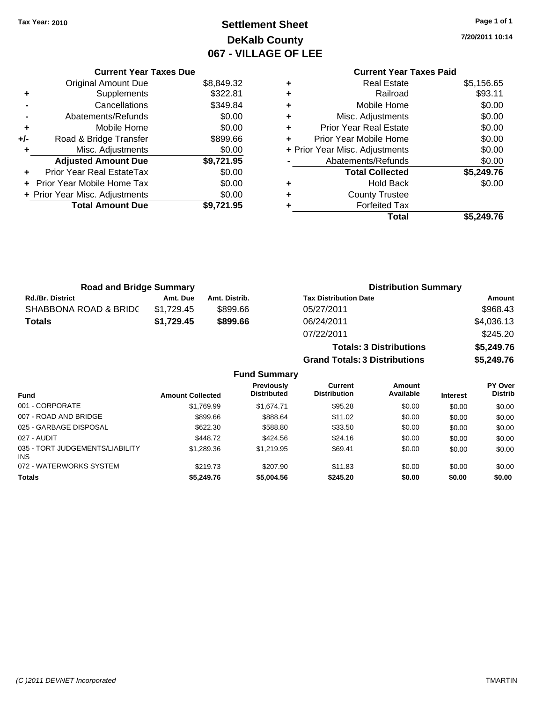**Current Year Taxes Due** Original Amount Due \$8,849.32

**Adjusted Amount Due \$9,721.95**

**Total Amount Due \$9,721.95**

**+** Supplements \$322.81 **-** Cancellations \$349.84 **-** Abatements/Refunds \$0.00 **+** Mobile Home \$0.00 **+/-** Road & Bridge Transfer \$899.66 **+** Misc. Adjustments \$0.00

**+** Prior Year Real EstateTax \$0.00 **+** Prior Year Mobile Home Tax \$0.00 **+ Prior Year Misc. Adjustments**  $$0.00$ 

### **Settlement Sheet Tax Year: 2010 Page 1 of 1 DeKalb County 067 - VILLAGE OF LEE**

**7/20/2011 10:14**

#### **Current Year Taxes Paid +** Real Estate \$5,156.65 **+** Railroad \$93.11 **+** Mobile Home \$0.00 **+** Misc. Adjustments \$0.00 **+** Prior Year Real Estate \$0.00 **+** Prior Year Mobile Home \$0.00 **+** Prior Year Misc. Adjustments \$0.00 **-** Abatements/Refunds \$0.00 **Total Collected \$5,249.76 +** Hold Back \$0.00 **+** County Trustee **+** Forfeited Tax **Total \$5,249.76**

| <b>Road and Bridge Summary</b> |            |               | <b>Distribution Summary</b>          |            |  |
|--------------------------------|------------|---------------|--------------------------------------|------------|--|
| <b>Rd./Br. District</b>        | Amt. Due   | Amt. Distrib. | <b>Tax Distribution Date</b>         | Amount     |  |
| SHABBONA ROAD & BRIDC          | \$1,729.45 | \$899.66      | 05/27/2011                           | \$968.43   |  |
| <b>Totals</b>                  | \$1,729.45 | \$899.66      | 06/24/2011                           | \$4,036.13 |  |
|                                |            |               | 07/22/2011                           | \$245.20   |  |
|                                |            |               | <b>Totals: 3 Distributions</b>       | \$5,249.76 |  |
|                                |            |               | <b>Grand Totals: 3 Distributions</b> | \$5,249.76 |  |

| <b>Fund Summary</b>                           |                         |                                  |                                |                     |                 |                           |
|-----------------------------------------------|-------------------------|----------------------------------|--------------------------------|---------------------|-----------------|---------------------------|
| <b>Fund</b>                                   | <b>Amount Collected</b> | Previously<br><b>Distributed</b> | Current<br><b>Distribution</b> | Amount<br>Available | <b>Interest</b> | PY Over<br><b>Distrib</b> |
| 001 - CORPORATE                               | \$1,769.99              | \$1,674,71                       | \$95.28                        | \$0.00              | \$0.00          | \$0.00                    |
| 007 - ROAD AND BRIDGE                         | \$899.66                | \$888.64                         | \$11.02                        | \$0.00              | \$0.00          | \$0.00                    |
| 025 - GARBAGE DISPOSAL                        | \$622.30                | \$588.80                         | \$33.50                        | \$0.00              | \$0.00          | \$0.00                    |
| 027 - AUDIT                                   | \$448.72                | \$424.56                         | \$24.16                        | \$0.00              | \$0.00          | \$0.00                    |
| 035 - TORT JUDGEMENTS/LIABILITY<br><b>INS</b> | \$1,289.36              | \$1,219.95                       | \$69.41                        | \$0.00              | \$0.00          | \$0.00                    |
| 072 - WATERWORKS SYSTEM                       | \$219.73                | \$207.90                         | \$11.83                        | \$0.00              | \$0.00          | \$0.00                    |
| <b>Totals</b>                                 | \$5,249.76              | \$5,004.56                       | \$245.20                       | \$0.00              | \$0.00          | \$0.00                    |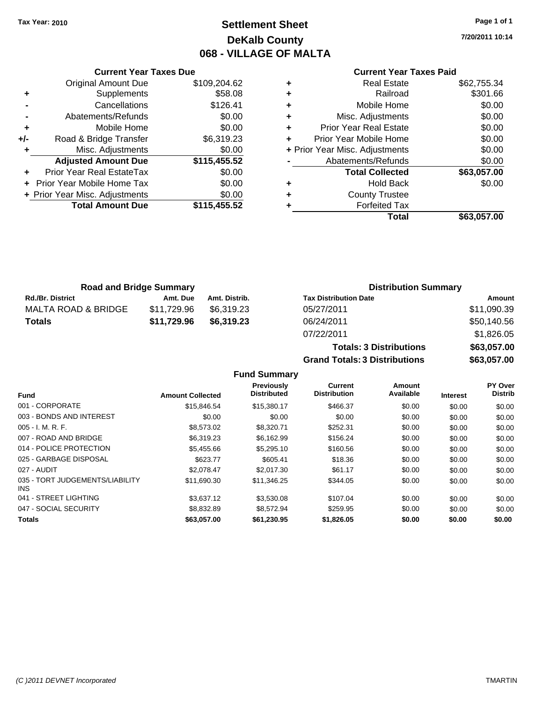### **Settlement Sheet Tax Year: 2010 Page 1 of 1 DeKalb County 068 - VILLAGE OF MALTA**

**7/20/2011 10:14**

#### **Current Year Taxes Paid**

|       | <b>Current Year Taxes Due</b>  |              |
|-------|--------------------------------|--------------|
|       | <b>Original Amount Due</b>     | \$109,204.62 |
| ٠     | Supplements                    | \$58.08      |
|       | Cancellations                  | \$126.41     |
|       | Abatements/Refunds             | \$0.00       |
| ٠     | Mobile Home                    | \$0.00       |
| $+/-$ | Road & Bridge Transfer         | \$6,319.23   |
|       | Misc. Adjustments              | \$0.00       |
|       | <b>Adjusted Amount Due</b>     | \$115,455.52 |
|       | Prior Year Real EstateTax      | \$0.00       |
|       | Prior Year Mobile Home Tax     | \$0.00       |
|       | + Prior Year Misc. Adjustments | \$0.00       |
|       | <b>Total Amount Due</b>        | \$115,455.52 |
|       |                                |              |

|   | <b>Real Estate</b>             | \$62,755.34 |
|---|--------------------------------|-------------|
| ٠ | Railroad                       | \$301.66    |
| ٠ | Mobile Home                    | \$0.00      |
| ٠ | Misc. Adjustments              | \$0.00      |
| ٠ | <b>Prior Year Real Estate</b>  | \$0.00      |
|   | Prior Year Mobile Home         | \$0.00      |
|   | + Prior Year Misc. Adjustments | \$0.00      |
|   | Abatements/Refunds             | \$0.00      |
|   | <b>Total Collected</b>         | \$63,057.00 |
| ٠ | Hold Back                      | \$0.00      |
| ٠ | <b>County Trustee</b>          |             |
|   | <b>Forfeited Tax</b>           |             |
|   | Total                          | \$63,057.00 |
|   |                                |             |

| <b>Road and Bridge Summary</b> |             |               | <b>Distribution Summary</b>  |             |  |
|--------------------------------|-------------|---------------|------------------------------|-------------|--|
| <b>Rd./Br. District</b>        | Amt. Due    | Amt. Distrib. | <b>Tax Distribution Date</b> | Amount      |  |
| MALTA ROAD & BRIDGE            | \$11.729.96 | \$6.319.23    | 05/27/2011                   | \$11,090.39 |  |
| <b>Totals</b>                  | \$11,729.96 | \$6,319,23    | 06/24/2011                   | \$50,140.56 |  |
|                                |             |               | 07/22/2011                   | \$182605    |  |

| 07/22/2011                           | \$1,826.05  |
|--------------------------------------|-------------|
| <b>Totals: 3 Distributions</b>       | \$63,057.00 |
| <b>Grand Totals: 3 Distributions</b> | \$63,057,00 |

**Fund Summary**

|                                         |                         | Previously         | Current             | Amount    |                 | <b>PY Over</b> |
|-----------------------------------------|-------------------------|--------------------|---------------------|-----------|-----------------|----------------|
| <b>Fund</b>                             | <b>Amount Collected</b> | <b>Distributed</b> | <b>Distribution</b> | Available | <b>Interest</b> | <b>Distrib</b> |
| 001 - CORPORATE                         | \$15.846.54             | \$15,380.17        | \$466.37            | \$0.00    | \$0.00          | \$0.00         |
| 003 - BONDS AND INTEREST                | \$0.00                  | \$0.00             | \$0.00              | \$0.00    | \$0.00          | \$0.00         |
| $005 - I. M. R. F.$                     | \$8,573,02              | \$8.320.71         | \$252.31            | \$0.00    | \$0.00          | \$0.00         |
| 007 - ROAD AND BRIDGE                   | \$6.319.23              | \$6.162.99         | \$156.24            | \$0.00    | \$0.00          | \$0.00         |
| 014 - POLICE PROTECTION                 | \$5,455.66              | \$5,295.10         | \$160.56            | \$0.00    | \$0.00          | \$0.00         |
| 025 - GARBAGE DISPOSAL                  | \$623.77                | \$605.41           | \$18.36             | \$0.00    | \$0.00          | \$0.00         |
| 027 - AUDIT                             | \$2.078.47              | \$2.017.30         | \$61.17             | \$0.00    | \$0.00          | \$0.00         |
| 035 - TORT JUDGEMENTS/LIABILITY<br>INS. | \$11,690.30             | \$11,346.25        | \$344.05            | \$0.00    | \$0.00          | \$0.00         |
| 041 - STREET LIGHTING                   | \$3.637.12              | \$3,530.08         | \$107.04            | \$0.00    | \$0.00          | \$0.00         |
| 047 - SOCIAL SECURITY                   | \$8.832.89              | \$8.572.94         | \$259.95            | \$0.00    | \$0.00          | \$0.00         |
| <b>Totals</b>                           | \$63,057,00             | \$61.230.95        | \$1,826,05          | \$0.00    | \$0.00          | \$0.00         |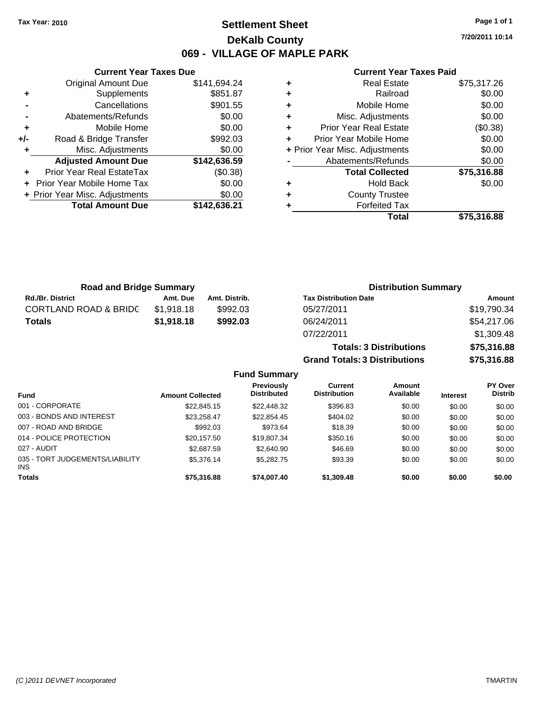### **Settlement Sheet Tax Year: 2010 Page 1 of 1 DeKalb County 069 - VILLAGE OF MAPLE PARK**

**7/20/2011 10:14**

#### **Current Year Taxes Paid**

|     | <b>Total Amount Due</b>        | \$142,636.21 |
|-----|--------------------------------|--------------|
|     | + Prior Year Misc. Adjustments | \$0.00       |
|     | Prior Year Mobile Home Tax     | \$0.00       |
| ٠   | Prior Year Real EstateTax      | (\$0.38)     |
|     | <b>Adjusted Amount Due</b>     | \$142,636.59 |
| ٠   | Misc. Adjustments              | \$0.00       |
| +/- | Road & Bridge Transfer         | \$992.03     |
| ٠   | Mobile Home                    | \$0.00       |
|     | Abatements/Refunds             | \$0.00       |
|     | Cancellations                  | \$901.55     |
| ٠   | Supplements                    | \$851.87     |
|     | <b>Original Amount Due</b>     | \$141,694.24 |
|     |                                |              |

**Current Year Taxes Due**

| ٠ | <b>Real Estate</b>             | \$75,317.26 |
|---|--------------------------------|-------------|
| ٠ | Railroad                       | \$0.00      |
| ٠ | Mobile Home                    | \$0.00      |
| ٠ | Misc. Adjustments              | \$0.00      |
| ٠ | <b>Prior Year Real Estate</b>  | (\$0.38)    |
| ٠ | Prior Year Mobile Home         | \$0.00      |
|   | + Prior Year Misc. Adjustments | \$0.00      |
|   | Abatements/Refunds             | \$0.00      |
|   | <b>Total Collected</b>         | \$75,316.88 |
| ٠ | <b>Hold Back</b>               | \$0.00      |
| ٠ | <b>County Trustee</b>          |             |
| ٠ | <b>Forfeited Tax</b>           |             |
|   | Total                          | \$75.316.88 |

**Totals: 3 Distributions \$75,316.88**

| <b>Road and Bridge Summary</b>   |            |               | <b>Distribution Summary</b>  |             |  |
|----------------------------------|------------|---------------|------------------------------|-------------|--|
| <b>Rd./Br. District</b>          | Amt. Due   | Amt. Distrib. | <b>Tax Distribution Date</b> | Amount      |  |
| <b>CORTLAND ROAD &amp; BRIDC</b> | \$1,918.18 | \$992.03      | 05/27/2011                   | \$19,790.34 |  |
| <b>Totals</b>                    | \$1.918.18 | \$992.03      | 06/24/2011                   | \$54,217.06 |  |
|                                  |            |               | 07/22/2011                   | \$1,309.48  |  |

**Grand Totals: 3 Distributions \$75,316.88 Fund Summary Fund Interest Amount Collected Distributed PY Over Distrib Amount Available Current Distribution Previously** 001 - CORPORATE \$22,845.15 \$22,448.32 \$396.83 \$0.00 \$0.00 \$0.00 003 - BONDS AND INTEREST 623,258.47 \$22,854.45 \$404.02 \$0.00 \$0.00 \$0.00 \$0.00 007 - ROAD AND BRIDGE \$992.03 \$973.64 \$0.00 \$0.00 \$0.00 \$0.00 014 - POLICE PROTECTION \$20,157.50 \$19,807.34 \$350.16 \$0.00 \$0.00 \$0.00 \$0.00 027 - AUDIT \$2,687.59 \$2,640.90 \$46.69 \$0.00 \$0.00 \$0.00 035 - TORT JUDGEMENTS/LIABILITY INS  $$5,376.14$   $$5,282.75$   $$93.39$   $$0.00$   $$0.00$   $$0.00$ **Totals \$75,316.88 \$74,007.40 \$1,309.48 \$0.00 \$0.00 \$0.00**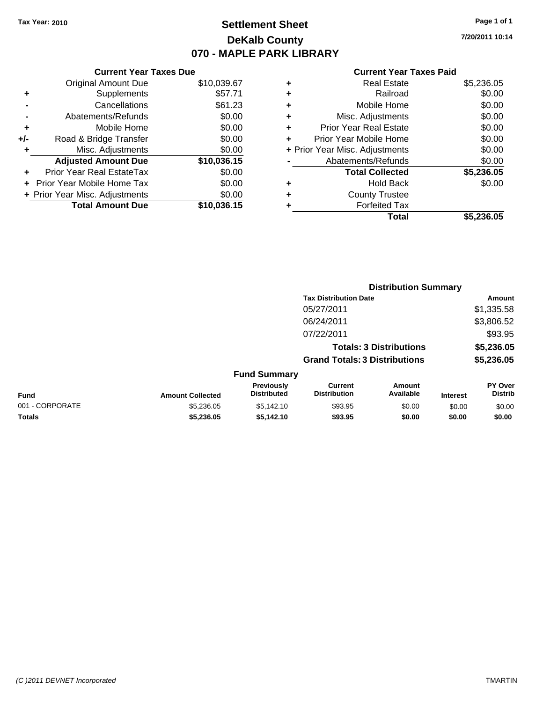### **Settlement Sheet Tax Year: 2010 Page 1 of 1 DeKalb County 070 - MAPLE PARK LIBRARY**

**7/20/2011 10:14**

#### **Current Year Taxes Paid**

|     | <b>Current Year Taxes Due</b>     |             |
|-----|-----------------------------------|-------------|
|     | <b>Original Amount Due</b>        | \$10,039.67 |
| ٠   | Supplements                       | \$57.71     |
|     | Cancellations                     | \$61.23     |
|     | Abatements/Refunds                | \$0.00      |
| ٠   | Mobile Home                       | \$0.00      |
| +/- | Road & Bridge Transfer            | \$0.00      |
| ٠   | Misc. Adjustments                 | \$0.00      |
|     | <b>Adjusted Amount Due</b>        | \$10,036.15 |
|     | Prior Year Real EstateTax         | \$0.00      |
|     | <b>Prior Year Mobile Home Tax</b> | \$0.00      |
|     | + Prior Year Misc. Adjustments    | \$0.00      |
|     | <b>Total Amount Due</b>           | \$10,036.15 |

| ٠ | <b>Real Estate</b>             | \$5,236.05 |
|---|--------------------------------|------------|
| ٠ | Railroad                       | \$0.00     |
| ٠ | Mobile Home                    | \$0.00     |
| ٠ | Misc. Adjustments              | \$0.00     |
| ٠ | Prior Year Real Estate         | \$0.00     |
|   | Prior Year Mobile Home         | \$0.00     |
|   | + Prior Year Misc. Adjustments | \$0.00     |
|   | Abatements/Refunds             | \$0.00     |
|   | <b>Total Collected</b>         | \$5,236.05 |
| ٠ | <b>Hold Back</b>               | \$0.00     |
| ٠ | <b>County Trustee</b>          |            |
| ٠ | <b>Forfeited Tax</b>           |            |
|   | Total                          | \$5,236.05 |
|   |                                |            |

|                 |                         | <b>Distribution Summary</b>      |                                       |                                |                 |                                  |  |
|-----------------|-------------------------|----------------------------------|---------------------------------------|--------------------------------|-----------------|----------------------------------|--|
|                 |                         |                                  | <b>Tax Distribution Date</b>          |                                |                 | Amount                           |  |
|                 |                         |                                  | 05/27/2011                            |                                |                 | \$1,335.58                       |  |
|                 |                         |                                  | 06/24/2011                            |                                |                 | \$3,806.52                       |  |
|                 |                         |                                  | 07/22/2011                            |                                |                 | \$93.95                          |  |
|                 |                         |                                  |                                       | <b>Totals: 3 Distributions</b> |                 | \$5,236.05                       |  |
|                 |                         |                                  | <b>Grand Totals: 3 Distributions</b>  |                                |                 | \$5,236.05                       |  |
|                 |                         | <b>Fund Summary</b>              |                                       |                                |                 |                                  |  |
| Fund            | <b>Amount Collected</b> | Previously<br><b>Distributed</b> | <b>Current</b><br><b>Distribution</b> | <b>Amount</b><br>Available     | <b>Interest</b> | <b>PY Over</b><br><b>Distrib</b> |  |
| 001 - CORPORATE | \$5,236.05              | \$5,142.10                       | \$93.95                               | \$0.00                         | \$0.00          | \$0.00                           |  |
| Totals          | \$5,236.05              | \$5,142.10                       | \$93.95                               | \$0.00                         | \$0.00          | \$0.00                           |  |
|                 |                         |                                  |                                       |                                |                 |                                  |  |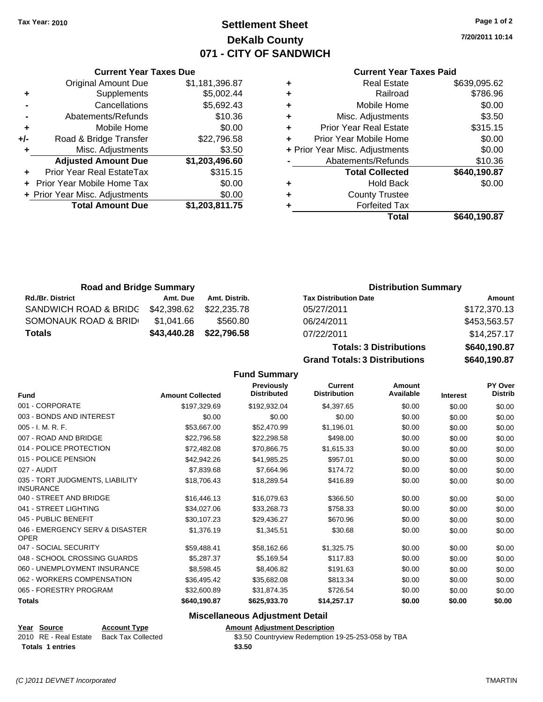**Current Year Taxes Due** Original Amount Due \$1,181,396.87

**Adjusted Amount Due \$1,203,496.60**

**Total Amount Due \$1,203,811.75**

**+** Supplements \$5,002.44 **-** Cancellations \$5,692.43 **-** Abatements/Refunds \$10.36 **+** Mobile Home \$0.00 **+/-** Road & Bridge Transfer \$22,796.58 **+** Misc. Adjustments \$3.50

**+** Prior Year Real EstateTax \$315.15 **+** Prior Year Mobile Home Tax \$0.00 **+ Prior Year Misc. Adjustments**  $$0.00$ 

### **Settlement Sheet Tax Year: 2010 Page 1 of 2 DeKalb County 071 - CITY OF SANDWICH**

**7/20/2011 10:14**

#### **Current Year Taxes Paid**

| ٠ | <b>Real Estate</b>             | \$639,095.62 |
|---|--------------------------------|--------------|
| ٠ | Railroad                       | \$786.96     |
| ٠ | Mobile Home                    | \$0.00       |
| ٠ | Misc. Adjustments              | \$3.50       |
| ٠ | <b>Prior Year Real Estate</b>  | \$315.15     |
| ÷ | Prior Year Mobile Home         | \$0.00       |
|   | + Prior Year Misc. Adjustments | \$0.00       |
|   | Abatements/Refunds             | \$10.36      |
|   | <b>Total Collected</b>         | \$640,190.87 |
| ٠ | <b>Hold Back</b>               | \$0.00       |
| ٠ | <b>County Trustee</b>          |              |
| ٠ | <b>Forfeited Tax</b>           |              |
|   | Total                          | \$640,190.87 |

| <b>Road and Bridge Summary</b> |             |               | <b>Distribution Summary</b>  |              |
|--------------------------------|-------------|---------------|------------------------------|--------------|
| <b>Rd./Br. District</b>        | Amt. Due    | Amt. Distrib. | <b>Tax Distribution Date</b> | Amount       |
| SANDWICH ROAD & BRIDG          | \$42,398.62 | \$22.235.78   | 05/27/2011                   | \$172,370.13 |
| SOMONAUK ROAD & BRID           | \$1,041.66  | \$560.80      | 06/24/2011                   | \$453,563.57 |
| <b>Totals</b>                  | \$43,440.28 | \$22,796.58   | 07/22/2011                   | \$14,257.17  |

**Totals: 3 Distributions \$640,190.87 Grand Totals: 3 Distributions \$640,190.87**

**Fund Summary**

|                                                     |                         | <b>Previously</b><br><b>Distributed</b> | <b>Current</b><br><b>Distribution</b> | Amount<br>Available |                 | PY Over<br><b>Distrib</b> |
|-----------------------------------------------------|-------------------------|-----------------------------------------|---------------------------------------|---------------------|-----------------|---------------------------|
| <b>Fund</b>                                         | <b>Amount Collected</b> |                                         |                                       |                     | <b>Interest</b> |                           |
| 001 - CORPORATE                                     | \$197,329.69            | \$192,932.04                            | \$4,397.65                            | \$0.00              | \$0.00          | \$0.00                    |
| 003 - BONDS AND INTEREST                            | \$0.00                  | \$0.00                                  | \$0.00                                | \$0.00              | \$0.00          | \$0.00                    |
| $005 - I. M. R. F.$                                 | \$53,667.00             | \$52,470.99                             | \$1,196.01                            | \$0.00              | \$0.00          | \$0.00                    |
| 007 - ROAD AND BRIDGE                               | \$22,796.58             | \$22,298.58                             | \$498.00                              | \$0.00              | \$0.00          | \$0.00                    |
| 014 - POLICE PROTECTION                             | \$72,482.08             | \$70,866.75                             | \$1,615.33                            | \$0.00              | \$0.00          | \$0.00                    |
| 015 - POLICE PENSION                                | \$42,942.26             | \$41,985.25                             | \$957.01                              | \$0.00              | \$0.00          | \$0.00                    |
| 027 - AUDIT                                         | \$7,839.68              | \$7,664.96                              | \$174.72                              | \$0.00              | \$0.00          | \$0.00                    |
| 035 - TORT JUDGMENTS, LIABILITY<br><b>INSURANCE</b> | \$18,706.43             | \$18,289.54                             | \$416.89                              | \$0.00              | \$0.00          | \$0.00                    |
| 040 - STREET AND BRIDGE                             | \$16,446.13             | \$16,079.63                             | \$366.50                              | \$0.00              | \$0.00          | \$0.00                    |
| 041 - STREET LIGHTING                               | \$34,027.06             | \$33,268.73                             | \$758.33                              | \$0.00              | \$0.00          | \$0.00                    |
| 045 - PUBLIC BENEFIT                                | \$30,107.23             | \$29,436.27                             | \$670.96                              | \$0.00              | \$0.00          | \$0.00                    |
| 046 - EMERGENCY SERV & DISASTER<br><b>OPER</b>      | \$1,376.19              | \$1,345.51                              | \$30.68                               | \$0.00              | \$0.00          | \$0.00                    |
| 047 - SOCIAL SECURITY                               | \$59,488.41             | \$58,162.66                             | \$1,325.75                            | \$0.00              | \$0.00          | \$0.00                    |
| 048 - SCHOOL CROSSING GUARDS                        | \$5,287.37              | \$5,169.54                              | \$117.83                              | \$0.00              | \$0.00          | \$0.00                    |
| 060 - UNEMPLOYMENT INSURANCE                        | \$8,598.45              | \$8,406.82                              | \$191.63                              | \$0.00              | \$0.00          | \$0.00                    |
| 062 - WORKERS COMPENSATION                          | \$36,495.42             | \$35,682.08                             | \$813.34                              | \$0.00              | \$0.00          | \$0.00                    |
| 065 - FORESTRY PROGRAM                              | \$32,600.89             | \$31,874.35                             | \$726.54                              | \$0.00              | \$0.00          | \$0.00                    |
| <b>Totals</b>                                       | \$640,190.87            | \$625,933.70                            | \$14,257.17                           | \$0.00              | \$0.00          | \$0.00                    |

#### **Miscellaneous Adjustment Detail**

#### **Year Source Account Type Amount Adjustment Description**

**Totals 1 entries** \$3.50

2010 RE - Real Estate Back Tax Collected \$3.50 Countryview Redemption 19-25-253-058 by TBA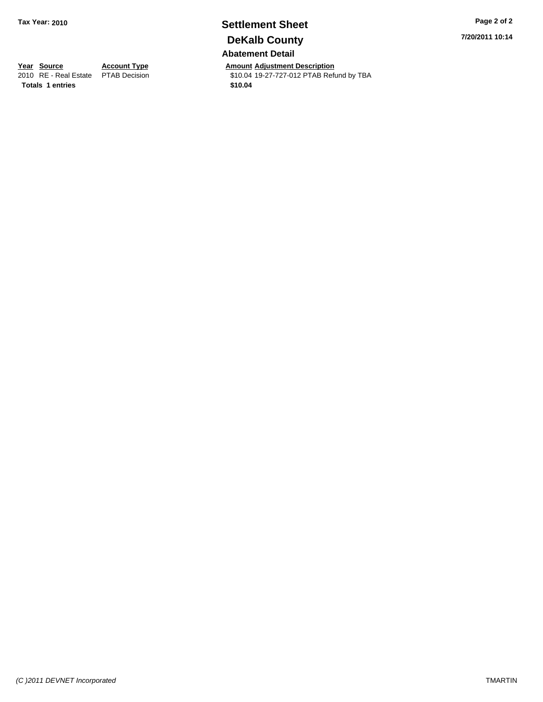### **Settlement Sheet Tax Year: 2010 Page 2 of 2 DeKalb County Abatement Detail**

**Year Source Account Type Amount Adjustment Description**<br>
2010 RE - Real Estate PTAB Decision **Amount** 19-27-727-012 PTAB Refu \$10.04 19-27-727-012 PTAB Refund by TBA

**7/20/2011 10:14**

**Totals \$10.04 1 entries**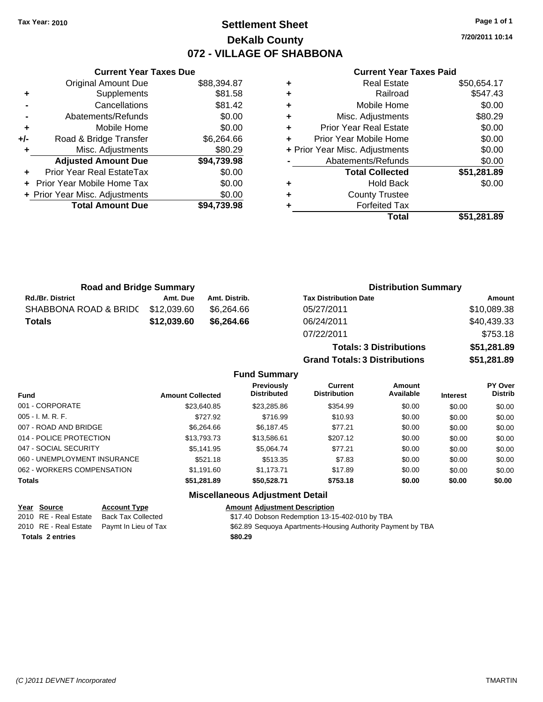### **Settlement Sheet Tax Year: 2010 Page 1 of 1 DeKalb County 072 - VILLAGE OF SHABBONA**

**7/20/2011 10:14**

#### **Current Year Taxes Paid**

|     | <b>Current Year Taxes Due</b>  |             |   |                |
|-----|--------------------------------|-------------|---|----------------|
|     | <b>Original Amount Due</b>     | \$88,394.87 | ٠ |                |
|     | Supplements                    | \$81.58     | ٠ |                |
|     | Cancellations                  | \$81.42     | ٠ |                |
|     | Abatements/Refunds             | \$0.00      | ٠ | M              |
|     | Mobile Home                    | \$0.00      | ٠ | Prior          |
| +/- | Road & Bridge Transfer         | \$6,264.66  |   | Prior Y        |
|     | Misc. Adjustments              | \$80.29     |   | + Prior Year M |
|     | <b>Adjusted Amount Due</b>     | \$94,739.98 |   | Aba            |
|     | Prior Year Real EstateTax      | \$0.00      |   |                |
|     | Prior Year Mobile Home Tax     | \$0.00      | ٠ |                |
|     | + Prior Year Misc. Adjustments | \$0.00      | ٠ |                |
|     | <b>Total Amount Due</b>        | \$94,739.98 |   |                |
|     |                                |             |   |                |

|   | Total                          | \$51,281.89 |
|---|--------------------------------|-------------|
|   | <b>Forfeited Tax</b>           |             |
| ٠ | <b>County Trustee</b>          |             |
|   | <b>Hold Back</b>               | \$0.00      |
|   | <b>Total Collected</b>         | \$51,281.89 |
|   | Abatements/Refunds             | \$0.00      |
|   | + Prior Year Misc. Adjustments | \$0.00      |
|   | Prior Year Mobile Home         | \$0.00      |
|   | <b>Prior Year Real Estate</b>  | \$0.00      |
|   | Misc. Adjustments              | \$80.29     |
| ٠ | Mobile Home                    | \$0.00      |
|   | Railroad                       | \$547.43    |
| ٠ | <b>Real Estate</b>             | \$50,654.17 |

**Totals: 3 Distributions \$51,281.89**

**Grand Totals: 3 Distributions \$51,281.89**

| <b>Road and Bridge Summary</b> |             |               | <b>Distribution Summary</b>  |             |  |
|--------------------------------|-------------|---------------|------------------------------|-------------|--|
| <b>Rd./Br. District</b>        | Amt. Due    | Amt. Distrib. | <b>Tax Distribution Date</b> | Amount      |  |
| SHABBONA ROAD & BRIDC          | \$12,039.60 | \$6.264.66    | 05/27/2011                   | \$10,089.38 |  |
| <b>Totals</b>                  | \$12.039.60 | \$6.264.66    | 06/24/2011                   | \$40,439.33 |  |
|                                |             |               | 07/22/2011                   | \$753.18    |  |

#### **Fund Summary Fund Interest Amount Collected Distributed PY Over Distrib Amount Available Current Distribution Previously** 001 - CORPORATE \$23,640.85 \$23,285.86 \$354.99 \$0.00 \$0.00 \$0.00 005 - I. M. R. F. Channel Communication (State of the State of the State of the State of the State of the State o 007 - ROAD AND BRIDGE 60.00 \$66,264.66 \$6,187.45 \$77.21 \$0.00 \$0.00 \$0.00 \$0.00 014 - POLICE PROTECTION \$13,793.73 \$13,586.61 \$207.12 \$0.00 \$0.00 \$0.00 047 - SOCIAL SECURITY 65,141.95 \$5,141.95 \$5,064.74 \$77.21 \$0.00 \$0.00 \$0.00 \$0.00 060 - UNEMPLOYMENT INSURANCE 6521.18 \$513.35 \$7.83 \$0.00 \$0.00 \$0.00 \$0.00 062 - WORKERS COMPENSATION \$1,191.60 \$1,173.71 \$17.89 \$0.00 \$0.00 \$0.00 \$0.00 **Totals \$51,281.89 \$50,528.71 \$753.18 \$0.00 \$0.00 \$0.00 Miscellaneous Adjustment Detail**

| Year Source             | <b>Account Type</b>                        | <b>Amount Adjustment Description</b>                        |
|-------------------------|--------------------------------------------|-------------------------------------------------------------|
| 2010 RE - Real Estate   | <b>Back Tax Collected</b>                  | \$17.40 Dobson Redemption 13-15-402-010 by TBA              |
|                         | 2010 RE - Real Estate Paymt In Lieu of Tax | \$62.89 Sequoya Apartments-Housing Authority Payment by TBA |
| <b>Totals 2 entries</b> |                                            | \$80.29                                                     |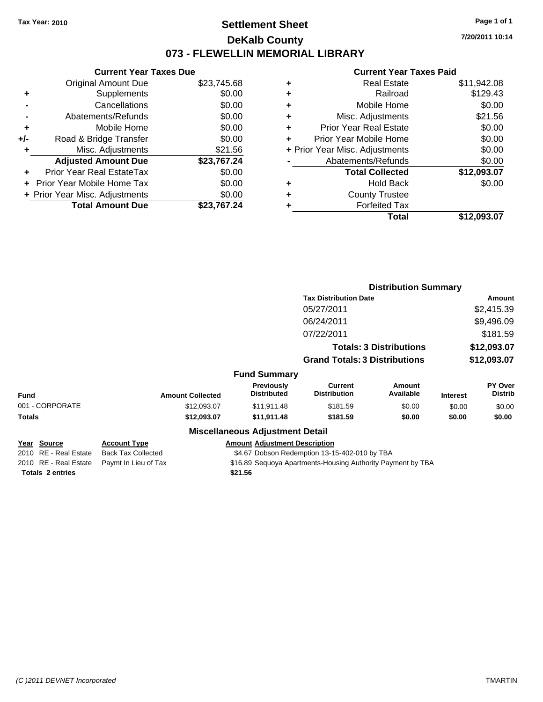### **Settlement Sheet Tax Year: 2010 Page 1 of 1 DeKalb County 073 - FLEWELLIN MEMORIAL LIBRARY**

**7/20/2011 10:14**

#### **Current Year Taxes Paid**

|       | <b>Current Year Taxes Due</b>  |             |
|-------|--------------------------------|-------------|
|       | <b>Original Amount Due</b>     | \$23,745.68 |
| ٠     | Supplements                    | \$0.00      |
|       | Cancellations                  | \$0.00      |
|       | Abatements/Refunds             | \$0.00      |
| ٠     | Mobile Home                    | \$0.00      |
| $+/-$ | Road & Bridge Transfer         | \$0.00      |
| ٠     | Misc. Adjustments              | \$21.56     |
|       | <b>Adjusted Amount Due</b>     | \$23,767.24 |
|       | Prior Year Real EstateTax      | \$0.00      |
|       | Prior Year Mobile Home Tax     | \$0.00      |
|       | + Prior Year Misc. Adjustments | \$0.00      |
|       | <b>Total Amount Due</b>        | \$23.767.24 |
|       |                                |             |

|   | <b>Real Estate</b>             | \$11,942.08 |
|---|--------------------------------|-------------|
| ٠ | Railroad                       | \$129.43    |
| ٠ | Mobile Home                    | \$0.00      |
| ٠ | Misc. Adjustments              | \$21.56     |
| ÷ | <b>Prior Year Real Estate</b>  | \$0.00      |
| ٠ | Prior Year Mobile Home         | \$0.00      |
|   | + Prior Year Misc. Adjustments | \$0.00      |
|   | Abatements/Refunds             | \$0.00      |
|   | <b>Total Collected</b>         | \$12,093.07 |
| ٠ | <b>Hold Back</b>               | \$0.00      |
|   | <b>County Trustee</b>          |             |
| ٠ | <b>Forfeited Tax</b>           |             |
|   | Total                          | \$12,093.07 |
|   |                                |             |

|                         |                           |                                         | <b>Distribution Summary</b>                                 |                                |                 |                           |
|-------------------------|---------------------------|-----------------------------------------|-------------------------------------------------------------|--------------------------------|-----------------|---------------------------|
|                         |                           |                                         | <b>Tax Distribution Date</b>                                |                                |                 | Amount                    |
|                         |                           |                                         | 05/27/2011                                                  |                                |                 | \$2,415.39                |
|                         |                           |                                         | 06/24/2011                                                  |                                |                 | \$9,496.09                |
|                         |                           |                                         | 07/22/2011                                                  |                                |                 | \$181.59                  |
|                         |                           |                                         |                                                             | <b>Totals: 3 Distributions</b> |                 | \$12,093.07               |
|                         |                           |                                         | <b>Grand Totals: 3 Distributions</b>                        |                                |                 | \$12,093.07               |
|                         |                           | <b>Fund Summary</b>                     |                                                             |                                |                 |                           |
| <b>Fund</b>             | <b>Amount Collected</b>   | <b>Previously</b><br><b>Distributed</b> | <b>Current</b><br><b>Distribution</b>                       | Amount<br>Available            | <b>Interest</b> | PY Over<br><b>Distrib</b> |
| 001 - CORPORATE         | \$12,093.07               | \$11,911.48                             | \$181.59                                                    | \$0.00                         | \$0.00          | \$0.00                    |
| Totals                  | \$12,093.07               | \$11,911.48                             | \$181.59                                                    | \$0.00                         | \$0.00          | \$0.00                    |
|                         |                           | <b>Miscellaneous Adjustment Detail</b>  |                                                             |                                |                 |                           |
| Year Source             | <b>Account Type</b>       | <b>Amount Adjustment Description</b>    |                                                             |                                |                 |                           |
| 2010 RE - Real Estate   | <b>Back Tax Collected</b> |                                         | \$4.67 Dobson Redemption 13-15-402-010 by TBA               |                                |                 |                           |
| 2010 RE - Real Estate   | Paymt In Lieu of Tax      |                                         | \$16.89 Sequoya Apartments-Housing Authority Payment by TBA |                                |                 |                           |
| <b>Totals 2 entries</b> |                           | \$21.56                                 |                                                             |                                |                 |                           |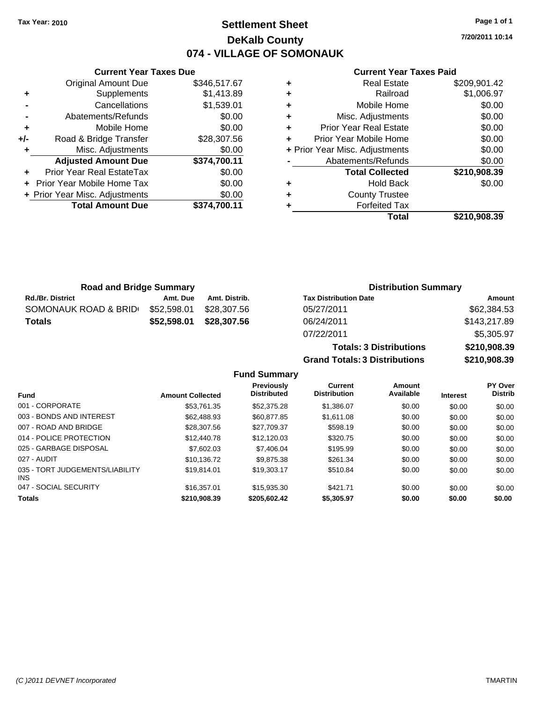**Current Year Taxes Due** Original Amount Due \$346,517.67

**Adjusted Amount Due \$374,700.11**

**Total Amount Due \$374,700.11**

**+** Supplements \$1,413.89 **-** Cancellations \$1,539.01 **-** Abatements/Refunds \$0.00 **+** Mobile Home \$0.00 **+/-** Road & Bridge Transfer \$28,307.56 **+** Misc. Adjustments \$0.00

**+** Prior Year Real EstateTax \$0.00 **+** Prior Year Mobile Home Tax \$0.00 **+ Prior Year Misc. Adjustments**  $$0.00$ 

### **Settlement Sheet Tax Year: 2010 Page 1 of 1 DeKalb County 074 - VILLAGE OF SOMONAUK**

**7/20/2011 10:14**

#### **Current Year Taxes Paid**

**Totals: 3 Distributions \$210,908.39**

**Grand Totals: 3 Distributions \$210,908.39**

|   | Total                          | \$210,908.39 |
|---|--------------------------------|--------------|
| ٠ | <b>Forfeited Tax</b>           |              |
| ٠ | <b>County Trustee</b>          |              |
| ٠ | <b>Hold Back</b>               | \$0.00       |
|   | <b>Total Collected</b>         | \$210,908.39 |
|   | Abatements/Refunds             | \$0.00       |
|   | + Prior Year Misc. Adjustments | \$0.00       |
| ÷ | Prior Year Mobile Home         | \$0.00       |
| ٠ | <b>Prior Year Real Estate</b>  | \$0.00       |
| ÷ | Misc. Adjustments              | \$0.00       |
| ÷ | Mobile Home                    | \$0.00       |
| ٠ | Railroad                       | \$1,006.97   |
| ٠ | <b>Real Estate</b>             | \$209,901.42 |

| <b>Road and Bridge Summary</b> |             |               | <b>Distribution Summary</b>  |              |  |
|--------------------------------|-------------|---------------|------------------------------|--------------|--|
| <b>Rd./Br. District</b>        | Amt. Due    | Amt. Distrib. | <b>Tax Distribution Date</b> | Amount       |  |
| SOMONAUK ROAD & BRID           | \$52,598.01 | \$28.307.56   | 05/27/2011                   | \$62,384.53  |  |
| <b>Totals</b>                  | \$52,598.01 | \$28.307.56   | 06/24/2011                   | \$143,217.89 |  |
|                                |             |               | 07/22/2011                   | \$5,305.97   |  |

**Fund Summary Fund Interest Amount Collected Distributed PY Over Distrib Amount Available Current Distribution Previously** 001 - CORPORATE \$53,761.35 \$52,375.28 \$1,386.07 \$0.00 \$0.00 \$0.00 003 - BONDS AND INTEREST 662,488.93 \$60,877.85 \$1,611.08 \$0.00 \$0.00 \$0.00 \$0.00 007 - ROAD AND BRIDGE \$28,307.56 \$27,709.37 \$598.19 \$0.00 \$0.00 \$0.00 014 - POLICE PROTECTION \$12,440.78 \$12,120.03 \$320.75 \$0.00 \$0.00 \$0.00 \$0.00 025 - GARBAGE DISPOSAL \$7,602.03 \$7,406.04 \$195.99 \$0.00 \$0.00 \$0.00 027 - AUDIT \$10,136.72 \$9,875.38 \$261.34 \$0.00 \$0.00 \$0.00 035 - TORT JUDGEMENTS/LIABILITY INS \$19,814.01 \$19,303.17 \$510.84 \$0.00 \$0.00 \$0.00 047 - SOCIAL SECURITY \$16,357.01 \$15,935.30 \$421.71 \$0.00 \$0.00 \$0.00 **Totals \$210,908.39 \$205,602.42 \$5,305.97 \$0.00 \$0.00 \$0.00**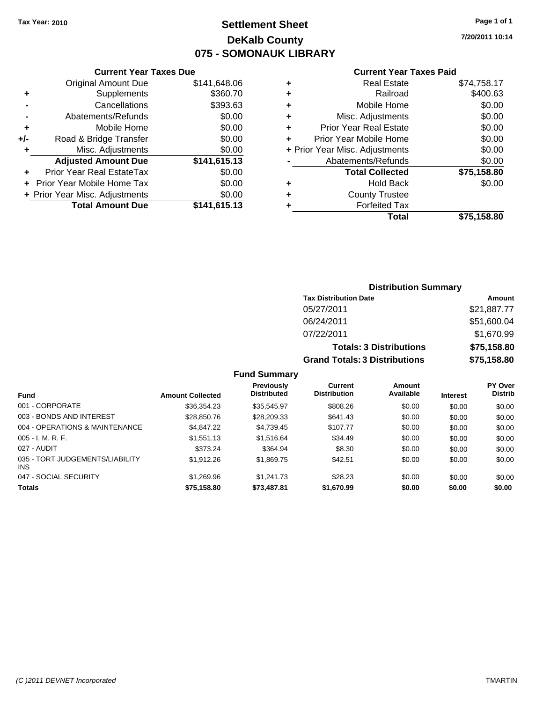### **Settlement Sheet Tax Year: 2010 Page 1 of 1 DeKalb County 075 - SOMONAUK LIBRARY**

#### **Current Year Taxes Due**

|       | <b>Original Amount Due</b>        | \$141,648.06 |
|-------|-----------------------------------|--------------|
| ٠     | Supplements                       | \$360.70     |
|       | Cancellations                     | \$393.63     |
|       | Abatements/Refunds                | \$0.00       |
| ٠     | Mobile Home                       | \$0.00       |
| $+/-$ | Road & Bridge Transfer            | \$0.00       |
|       | Misc. Adjustments                 | \$0.00       |
|       | <b>Adjusted Amount Due</b>        | \$141,615.13 |
|       | Prior Year Real EstateTax         | \$0.00       |
|       | <b>Prior Year Mobile Home Tax</b> | \$0.00       |
|       | + Prior Year Misc. Adjustments    | \$0.00       |
|       | <b>Total Amount Due</b>           | \$141,615.13 |

#### **Current Year Taxes Paid**

|   | <b>Real Estate</b>             | \$74,758.17 |
|---|--------------------------------|-------------|
| ٠ | Railroad                       | \$400.63    |
| ٠ | Mobile Home                    | \$0.00      |
| ٠ | Misc. Adjustments              | \$0.00      |
| ٠ | <b>Prior Year Real Estate</b>  | \$0.00      |
|   | Prior Year Mobile Home         | \$0.00      |
|   | + Prior Year Misc. Adjustments | \$0.00      |
|   | Abatements/Refunds             | \$0.00      |
|   | <b>Total Collected</b>         | \$75,158.80 |
| ٠ | <b>Hold Back</b>               | \$0.00      |
| ٠ | <b>County Trustee</b>          |             |
| ٠ | <b>Forfeited Tax</b>           |             |
|   | Total                          | \$75,158.80 |
|   |                                |             |

#### **Distribution Summary Tax Distribution Date Amount** 05/27/2011 \$21,887.77 06/24/2011 \$51,600.04 07/22/2011 \$1,670.99 **Totals: 3 Distributions \$75,158.80 Grand Totals: 3 Distributions \$75,158.80**

#### **Fund Summary**

| Fund                                          | <b>Amount Collected</b> | Previously<br><b>Distributed</b> | Current<br><b>Distribution</b> | Amount<br>Available | <b>Interest</b> | <b>PY Over</b><br><b>Distrib</b> |
|-----------------------------------------------|-------------------------|----------------------------------|--------------------------------|---------------------|-----------------|----------------------------------|
| 001 - CORPORATE                               | \$36,354.23             | \$35,545.97                      | \$808.26                       | \$0.00              | \$0.00          | \$0.00                           |
| 003 - BONDS AND INTEREST                      | \$28,850.76             | \$28,209.33                      | \$641.43                       | \$0.00              | \$0.00          | \$0.00                           |
| 004 - OPERATIONS & MAINTENANCE                | \$4,847.22              | \$4,739.45                       | \$107.77                       | \$0.00              | \$0.00          | \$0.00                           |
| $005 - I. M. R. F.$                           | \$1,551.13              | \$1,516.64                       | \$34.49                        | \$0.00              | \$0.00          | \$0.00                           |
| 027 - AUDIT                                   | \$373.24                | \$364.94                         | \$8.30                         | \$0.00              | \$0.00          | \$0.00                           |
| 035 - TORT JUDGEMENTS/LIABILITY<br><b>INS</b> | \$1,912.26              | \$1,869.75                       | \$42.51                        | \$0.00              | \$0.00          | \$0.00                           |
| 047 - SOCIAL SECURITY                         | \$1,269.96              | \$1.241.73                       | \$28.23                        | \$0.00              | \$0.00          | \$0.00                           |
| <b>Totals</b>                                 | \$75,158.80             | \$73,487.81                      | \$1,670.99                     | \$0.00              | \$0.00          | \$0.00                           |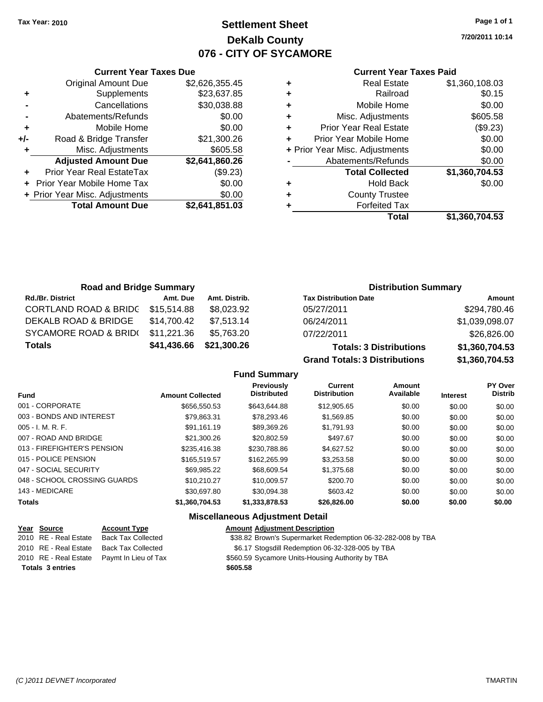**Current Year Taxes Due** Original Amount Due \$2,626,355.45

**Adjusted Amount Due \$2,641,860.26**

**Total Amount Due \$2,641,851.03**

**+** Supplements \$23,637.85 **-** Cancellations \$30,038.88 **-** Abatements/Refunds \$0.00 **+** Mobile Home \$0.00 **+/-** Road & Bridge Transfer \$21,300.26 **+** Misc. Adjustments \$605.58

**+** Prior Year Real EstateTax (\$9.23) **+** Prior Year Mobile Home Tax \$0.00 **+ Prior Year Misc. Adjustments**  $$0.00$ 

# **Settlement Sheet Tax Year: 2010 Page 1 of 1 DeKalb County 076 - CITY OF SYCAMORE**

**7/20/2011 10:14**

#### **Current Year Taxes Paid**

| <b>Forfeited Tax</b>           |                    |
|--------------------------------|--------------------|
| <b>County Trustee</b>          |                    |
| <b>Hold Back</b>               | \$0.00             |
| <b>Total Collected</b>         | \$1,360,704.53     |
| Abatements/Refunds             | \$0.00             |
| + Prior Year Misc. Adjustments | \$0.00             |
| Prior Year Mobile Home         | \$0.00             |
| <b>Prior Year Real Estate</b>  | (\$9.23)           |
| Misc. Adjustments              | \$605.58           |
| Mobile Home                    | \$0.00             |
| Railroad                       | \$0.15             |
|                                | \$1,360,108.03     |
|                                | <b>Real Estate</b> |

| <b>Road and Bridge Summary</b>   |             |               | <b>Distribution Summary</b>    |                |  |
|----------------------------------|-------------|---------------|--------------------------------|----------------|--|
| <b>Rd./Br. District</b>          | Amt. Due    | Amt. Distrib. | <b>Tax Distribution Date</b>   | Amount         |  |
| <b>CORTLAND ROAD &amp; BRIDC</b> | \$15,514.88 | \$8,023.92    | 05/27/2011                     | \$294,780.46   |  |
| DEKALB ROAD & BRIDGE             | \$14.700.42 | \$7.513.14    | 06/24/2011                     | \$1,039,098.07 |  |
| SYCAMORE ROAD & BRID(            | \$11,221.36 | \$5,763.20    | 07/22/2011                     | \$26,826.00    |  |
| <b>Totals</b>                    | \$41,436.66 | \$21,300.26   | <b>Totals: 3 Distributions</b> | \$1,360,704.53 |  |

**Grand Totals: 3 Distributions \$1,360,704.53**

**Fund Summary**

| I UIIU VUIIIIIUI Y           |                         |                                  |                                       |                     |                 |                           |  |
|------------------------------|-------------------------|----------------------------------|---------------------------------------|---------------------|-----------------|---------------------------|--|
| <b>Fund</b>                  | <b>Amount Collected</b> | Previously<br><b>Distributed</b> | <b>Current</b><br><b>Distribution</b> | Amount<br>Available | <b>Interest</b> | PY Over<br><b>Distrib</b> |  |
| 001 - CORPORATE              | \$656,550.53            | \$643.644.88                     | \$12,905.65                           | \$0.00              | \$0.00          | \$0.00                    |  |
| 003 - BONDS AND INTEREST     | \$79.863.31             | \$78,293,46                      | \$1,569.85                            | \$0.00              | \$0.00          | \$0.00                    |  |
| $005 - I. M. R. F.$          | \$91.161.19             | \$89.369.26                      | \$1.791.93                            | \$0.00              | \$0.00          | \$0.00                    |  |
| 007 - ROAD AND BRIDGE        | \$21,300.26             | \$20,802.59                      | \$497.67                              | \$0.00              | \$0.00          | \$0.00                    |  |
| 013 - FIREFIGHTER'S PENSION  | \$235,416.38            | \$230,788.86                     | \$4.627.52                            | \$0.00              | \$0.00          | \$0.00                    |  |
| 015 - POLICE PENSION         | \$165,519,57            | \$162,265.99                     | \$3,253.58                            | \$0.00              | \$0.00          | \$0.00                    |  |
| 047 - SOCIAL SECURITY        | \$69.985.22             | \$68,609.54                      | \$1,375.68                            | \$0.00              | \$0.00          | \$0.00                    |  |
| 048 - SCHOOL CROSSING GUARDS | \$10.210.27             | \$10,009.57                      | \$200.70                              | \$0.00              | \$0.00          | \$0.00                    |  |
| 143 - MEDICARE               | \$30.697.80             | \$30.094.38                      | \$603.42                              | \$0.00              | \$0.00          | \$0.00                    |  |
| <b>Totals</b>                | \$1,360,704.53          | \$1,333,878.53                   | \$26,826.00                           | \$0.00              | \$0.00          | \$0.00                    |  |

# **Miscellaneous Adjustment Detail**

| Year Source             | <b>Account Type</b>       | <b>Amount Adjustment Description</b>                        |
|-------------------------|---------------------------|-------------------------------------------------------------|
| 2010 RE - Real Estate   | <b>Back Tax Collected</b> | \$38.82 Brown's Supermarket Redemption 06-32-282-008 by TBA |
| 2010 RE - Real Estate   | <b>Back Tax Collected</b> | \$6.17 Stogsdill Redemption 06-32-328-005 by TBA            |
| 2010 RE - Real Estate   | Paymt In Lieu of Tax      | \$560.59 Sycamore Units-Housing Authority by TBA            |
| <b>Totals 3 entries</b> |                           | \$605.58                                                    |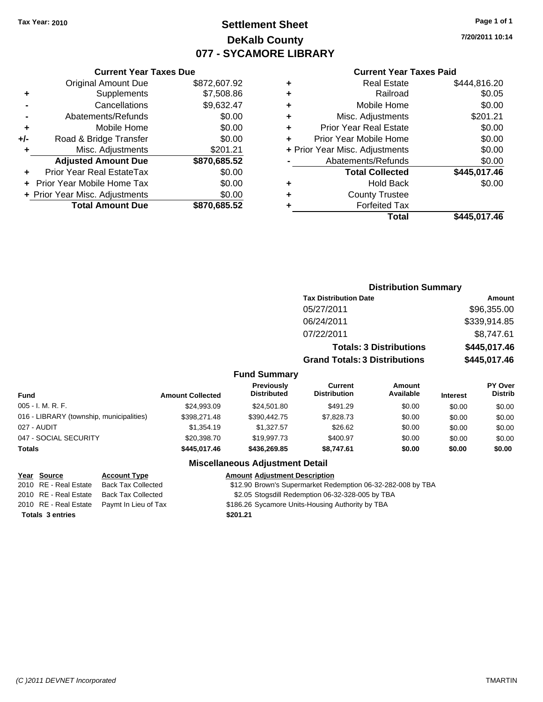# **Settlement Sheet Tax Year: 2010 Page 1 of 1 DeKalb County 077 - SYCAMORE LIBRARY**

**7/20/2011 10:14**

#### **Current Year Taxes Paid**

|     | YUN YIN TVUL TUAVY PUV         |              |   |                |
|-----|--------------------------------|--------------|---|----------------|
|     | <b>Original Amount Due</b>     | \$872,607.92 | ٠ |                |
| ٠   | Supplements                    | \$7,508.86   | ٠ |                |
|     | Cancellations                  | \$9,632.47   | ٠ |                |
|     | Abatements/Refunds             | \$0.00       | ٠ | Λ              |
|     | Mobile Home                    | \$0.00       | ÷ | Prior          |
| +/- | Road & Bridge Transfer         | \$0.00       |   | Prior Y        |
|     | Misc. Adjustments              | \$201.21     |   | + Prior Year N |
|     | <b>Adjusted Amount Due</b>     | \$870,685.52 |   | Aba            |
|     | Prior Year Real EstateTax      | \$0.00       |   |                |
|     | + Prior Year Mobile Home Tax   | \$0.00       | ٠ |                |
|     | + Prior Year Misc. Adjustments | \$0.00       | ٠ |                |
|     | <b>Total Amount Due</b>        | \$870,685.52 |   |                |
|     |                                |              |   |                |

**Current Year Taxes Due**

|   | <b>Real Estate</b>             | \$444,816.20 |
|---|--------------------------------|--------------|
| ٠ | Railroad                       | \$0.05       |
| ٠ | Mobile Home                    | \$0.00       |
| ٠ | Misc. Adjustments              | \$201.21     |
| ٠ | <b>Prior Year Real Estate</b>  | \$0.00       |
| ٠ | Prior Year Mobile Home         | \$0.00       |
|   | + Prior Year Misc. Adjustments | \$0.00       |
|   | Abatements/Refunds             | \$0.00       |
|   | <b>Total Collected</b>         | \$445,017.46 |
| ٠ | <b>Hold Back</b>               | \$0.00       |
| ٠ | <b>County Trustee</b>          |              |
|   | <b>Forfeited Tax</b>           |              |
|   | Total                          | \$445,017.46 |
|   |                                |              |

|                                          |                         |                                  |                                       | <b>Distribution Summary</b>    |                 |                                  |
|------------------------------------------|-------------------------|----------------------------------|---------------------------------------|--------------------------------|-----------------|----------------------------------|
|                                          |                         |                                  | <b>Tax Distribution Date</b>          |                                |                 | Amount                           |
|                                          |                         |                                  | 05/27/2011                            |                                |                 | \$96,355.00                      |
|                                          |                         |                                  | 06/24/2011                            |                                |                 | \$339,914.85                     |
|                                          |                         |                                  | 07/22/2011                            |                                |                 | \$8,747.61                       |
|                                          |                         |                                  |                                       | <b>Totals: 3 Distributions</b> |                 | \$445,017.46                     |
|                                          |                         |                                  | <b>Grand Totals: 3 Distributions</b>  |                                | \$445,017.46    |                                  |
|                                          |                         | <b>Fund Summary</b>              |                                       |                                |                 |                                  |
| Fund                                     | <b>Amount Collected</b> | Previously<br><b>Distributed</b> | <b>Current</b><br><b>Distribution</b> | <b>Amount</b><br>Available     | <b>Interest</b> | <b>PY Over</b><br><b>Distrib</b> |
| 005 - I. M. R. F.                        | \$24,993.09             | \$24,501.80                      | \$491.29                              | \$0.00                         | \$0.00          | \$0.00                           |
| 016 - LIBRARY (township, municipalities) | \$398,271.48            | \$390,442.75                     | \$7,828.73                            | \$0.00                         | \$0.00          | \$0.00                           |
| 027 - AUDIT                              | \$1,354.19              | \$1,327.57                       | \$26.62                               | \$0.00                         | \$0.00          | \$0.00                           |
| 047 - SOCIAL SECURITY                    | \$20,398.70             | \$19,997.73                      | \$400.97                              | \$0.00                         | \$0.00          | \$0.00                           |
| Totals                                   | \$445,017.46            | \$436,269.85                     | \$8,747.61                            | \$0.00                         | \$0.00          | \$0.00                           |

#### **Miscellaneous Adjustment Detail**

#### **Year Source Account Type Amount Adjustment Description**

2010 RE - Real Estate Back Tax Collected \$12.90 Brown's Supermarket Redemption 06-32-282-008 by TBA

2010 RE - Real Estate Back Tax Collected \$2.05 Stogsdill Redemption 06-32-328-005 by TBA

- 2010 RE Real Estate Paymt In Lieu of Tax \$186.26 Sycamore Units-Housing Authority by TBA
- **Totals \$201.21 3 entries**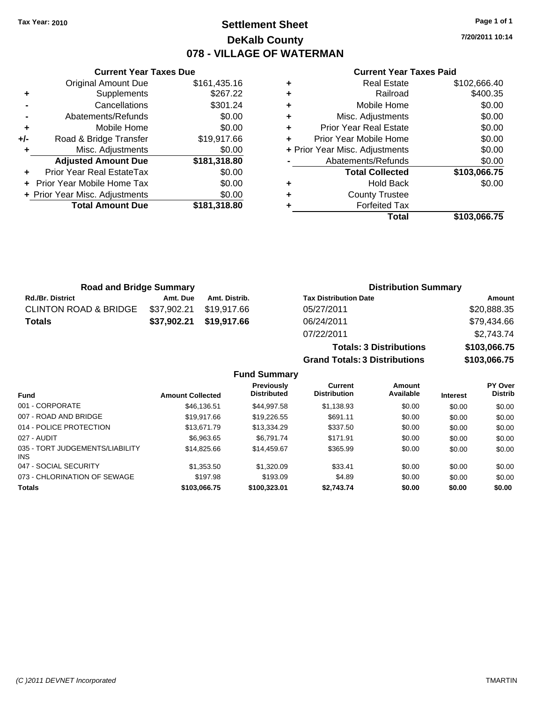**Current Year Taxes Due** Original Amount Due \$161,435.16

**Adjusted Amount Due \$181,318.80**

**Total Amount Due \$181,318.80**

**+** Supplements \$267.22 **-** Cancellations \$301.24 **-** Abatements/Refunds \$0.00 **+** Mobile Home \$0.00 **+/-** Road & Bridge Transfer \$19,917.66 **+** Misc. Adjustments \$0.00

**+** Prior Year Real EstateTax \$0.00 **+** Prior Year Mobile Home Tax \$0.00 **+ Prior Year Misc. Adjustments**  $$0.00$ 

# **Settlement Sheet Tax Year: 2010 Page 1 of 1 DeKalb County 078 - VILLAGE OF WATERMAN**

**7/20/2011 10:14**

#### **Current Year Taxes Paid**

|   | <b>Forfeited Tax</b><br>Total  | \$103.066.75 |
|---|--------------------------------|--------------|
| ٠ | <b>County Trustee</b>          |              |
| ٠ | <b>Hold Back</b>               | \$0.00       |
|   | <b>Total Collected</b>         | \$103,066.75 |
|   | Abatements/Refunds             | \$0.00       |
|   | + Prior Year Misc. Adjustments | \$0.00       |
| ٠ | Prior Year Mobile Home         | \$0.00       |
| ٠ | <b>Prior Year Real Estate</b>  | \$0.00       |
| ٠ | Misc. Adjustments              | \$0.00       |
| ٠ | Mobile Home                    | \$0.00       |
| ٠ | Railroad                       | \$400.35     |
|   | <b>Real Estate</b>             | \$102,666.40 |

07/22/2011 \$2,743.74

**Grand Totals: 3 Distributions \$103,066.75**

**Totals: 3 Distributions \$103,066.75**

| <b>Road and Bridge Summary</b>   |             |               | <b>Distribution Summary</b>  |             |
|----------------------------------|-------------|---------------|------------------------------|-------------|
| <b>Rd./Br. District</b>          | Amt. Due    | Amt. Distrib. | <b>Tax Distribution Date</b> | Amount      |
| <b>CLINTON ROAD &amp; BRIDGE</b> | \$37,902.21 | \$19,917.66   | 05/27/2011                   | \$20,888.35 |
| <b>Totals</b>                    | \$37,902.21 | \$19,917.66   | 06/24/2011                   | \$79,434.66 |

**Fund Summary Fund Interest Amount Collected Distributed PY Over Distrib Amount Available Current Distribution Previously** 001 - CORPORATE \$46,136.51 \$44,997.58 \$1,138.93 \$0.00 \$0.00 \$0.00 007 - ROAD AND BRIDGE \$19,917.66 \$19,226.55 \$691.11 \$0.00 \$0.00 \$0.00 014 - POLICE PROTECTION \$13,671.79 \$13,334.29 \$337.50 \$0.00 \$0.00 \$0.00 \$0.00 027 - AUDIT \$6,963.65 \$6,791.74 \$171.91 \$0.00 \$0.00 \$0.00 035 - TORT JUDGEMENTS/LIABILITY INS \$14,825.66 \$14,459.67 \$365.99 \$0.00 \$0.00 \$0.00 047 - SOCIAL SECURITY \$1,353.50 \$1,320.09 \$33.41 \$0.00 \$0.00 \$0.00 073 - CHLORINATION OF SEWAGE \$197.98 \$197.98 \$193.09 \$4.89 \$0.00 \$0.00 \$0.00 \$0.00 **Totals \$103,066.75 \$100,323.01 \$2,743.74 \$0.00 \$0.00 \$0.00**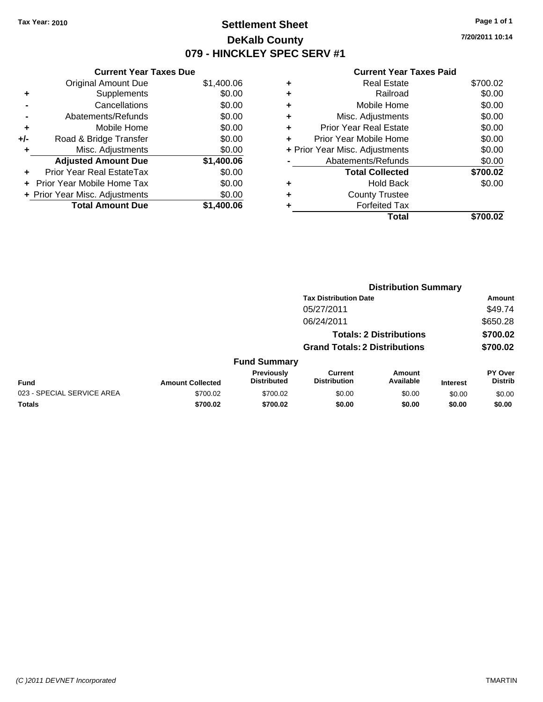# **Settlement Sheet Tax Year: 2010 Page 1 of 1 DeKalb County 079 - HINCKLEY SPEC SERV #1**

**7/20/2011 10:14**

#### **Current Year Taxes Paid**

| <b>Current Year Taxes Due</b>     |            |  |  |  |  |  |
|-----------------------------------|------------|--|--|--|--|--|
| <b>Original Amount Due</b>        | \$1,400.06 |  |  |  |  |  |
| Supplements                       | \$0.00     |  |  |  |  |  |
| Cancellations                     | \$0.00     |  |  |  |  |  |
| Abatements/Refunds                | \$0.00     |  |  |  |  |  |
| Mobile Home                       | \$0.00     |  |  |  |  |  |
| Road & Bridge Transfer            | \$0.00     |  |  |  |  |  |
| Misc. Adjustments                 | \$0.00     |  |  |  |  |  |
| <b>Adjusted Amount Due</b>        | \$1,400.06 |  |  |  |  |  |
| Prior Year Real EstateTax         | \$0.00     |  |  |  |  |  |
| <b>Prior Year Mobile Home Tax</b> | \$0.00     |  |  |  |  |  |
| + Prior Year Misc. Adjustments    | \$0.00     |  |  |  |  |  |
| <b>Total Amount Due</b>           | \$1,400.06 |  |  |  |  |  |
|                                   |            |  |  |  |  |  |

|   | <b>Real Estate</b>             | \$700.02 |
|---|--------------------------------|----------|
| ٠ | Railroad                       | \$0.00   |
| ٠ | Mobile Home                    | \$0.00   |
| ٠ | Misc. Adjustments              | \$0.00   |
| ÷ | <b>Prior Year Real Estate</b>  | \$0.00   |
| ÷ | Prior Year Mobile Home         | \$0.00   |
|   | + Prior Year Misc. Adjustments | \$0.00   |
|   | Abatements/Refunds             | \$0.00   |
|   | <b>Total Collected</b>         | \$700.02 |
| ٠ | <b>Hold Back</b>               | \$0.00   |
|   | <b>County Trustee</b>          |          |
|   | <b>Forfeited Tax</b>           |          |
|   | Total                          | \$700.02 |
|   |                                |          |

|                            |                         |                                  |                                       | <b>Distribution Summary</b>    |                 |                                  |
|----------------------------|-------------------------|----------------------------------|---------------------------------------|--------------------------------|-----------------|----------------------------------|
|                            |                         |                                  | <b>Tax Distribution Date</b>          |                                |                 | Amount                           |
|                            |                         |                                  | 05/27/2011                            |                                |                 | \$49.74                          |
|                            |                         |                                  | 06/24/2011                            |                                |                 | \$650.28                         |
|                            |                         |                                  |                                       | <b>Totals: 2 Distributions</b> |                 | \$700.02                         |
|                            |                         |                                  | <b>Grand Totals: 2 Distributions</b>  |                                |                 | \$700.02                         |
|                            |                         | <b>Fund Summary</b>              |                                       |                                |                 |                                  |
| <b>Fund</b>                | <b>Amount Collected</b> | Previously<br><b>Distributed</b> | <b>Current</b><br><b>Distribution</b> | Amount<br>Available            | <b>Interest</b> | <b>PY Over</b><br><b>Distrib</b> |
| 023 - SPECIAL SERVICE AREA | \$700.02                | \$700.02                         | \$0.00                                | \$0.00                         | \$0.00          | \$0.00                           |
| Totals                     | \$700.02                | \$700.02                         | \$0.00                                | \$0.00                         | \$0.00          | \$0.00                           |
|                            |                         |                                  |                                       |                                |                 |                                  |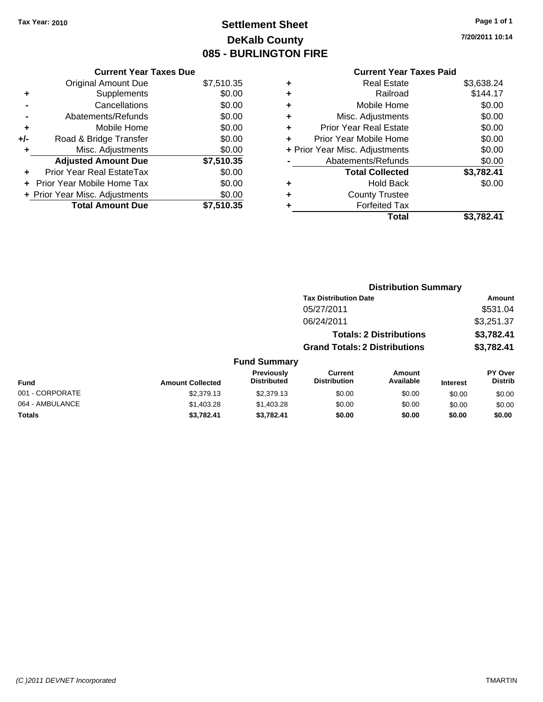# **Settlement Sheet Tax Year: 2010 Page 1 of 1 DeKalb County 085 - BURLINGTON FIRE**

**7/20/2011 10:14**

# **Current Year Taxes Paid**

|     | <b>Current Year Taxes Due</b>     |            |  |  |  |  |
|-----|-----------------------------------|------------|--|--|--|--|
|     | <b>Original Amount Due</b>        | \$7,510.35 |  |  |  |  |
| ٠   | Supplements                       | \$0.00     |  |  |  |  |
|     | Cancellations                     | \$0.00     |  |  |  |  |
|     | Abatements/Refunds                | \$0.00     |  |  |  |  |
| ٠   | Mobile Home                       | \$0.00     |  |  |  |  |
| +/- | Road & Bridge Transfer            | \$0.00     |  |  |  |  |
| ٠   | Misc. Adjustments                 | \$0.00     |  |  |  |  |
|     | <b>Adjusted Amount Due</b>        | \$7,510.35 |  |  |  |  |
|     | Prior Year Real EstateTax         | \$0.00     |  |  |  |  |
|     | <b>Prior Year Mobile Home Tax</b> | \$0.00     |  |  |  |  |
|     | + Prior Year Misc. Adjustments    | \$0.00     |  |  |  |  |
|     | <b>Total Amount Due</b>           | \$7,510.35 |  |  |  |  |

| ٠                              | Real Estate                   | \$3,638.24 |
|--------------------------------|-------------------------------|------------|
| ٠                              | Railroad                      | \$144.17   |
| ٠                              | Mobile Home                   | \$0.00     |
| ÷                              | Misc. Adjustments             | \$0.00     |
| ÷                              | <b>Prior Year Real Estate</b> | \$0.00     |
| ٠                              | Prior Year Mobile Home        | \$0.00     |
| + Prior Year Misc. Adjustments |                               | \$0.00     |
|                                | Abatements/Refunds            | \$0.00     |
|                                | <b>Total Collected</b>        | \$3,782.41 |
| ٠                              | <b>Hold Back</b>              | \$0.00     |
| ٠                              | <b>County Trustee</b>         |            |
| ٠                              | <b>Forfeited Tax</b>          |            |
|                                | Total                         | \$3,782.41 |
|                                |                               |            |

|                 |                         | <b>Distribution Summary</b>             |                                       |                                |                 |                                  |
|-----------------|-------------------------|-----------------------------------------|---------------------------------------|--------------------------------|-----------------|----------------------------------|
|                 |                         |                                         | <b>Tax Distribution Date</b>          |                                |                 | Amount                           |
|                 |                         |                                         | 05/27/2011                            |                                |                 | \$531.04                         |
|                 |                         |                                         | 06/24/2011                            |                                |                 | \$3,251.37                       |
|                 |                         |                                         |                                       | <b>Totals: 2 Distributions</b> |                 | \$3,782.41                       |
|                 |                         |                                         | <b>Grand Totals: 2 Distributions</b>  |                                |                 | \$3,782.41                       |
|                 |                         | <b>Fund Summary</b>                     |                                       |                                |                 |                                  |
| <b>Fund</b>     | <b>Amount Collected</b> | <b>Previously</b><br><b>Distributed</b> | <b>Current</b><br><b>Distribution</b> | Amount<br>Available            | <b>Interest</b> | <b>PY Over</b><br><b>Distrib</b> |
| 001 - CORPORATE | \$2,379.13              | \$2,379.13                              | \$0.00                                | \$0.00                         | \$0.00          | \$0.00                           |
| 064 - AMBULANCE | \$1,403.28              | \$1,403.28                              | \$0.00                                | \$0.00                         | \$0.00          | \$0.00                           |
| Totals          | \$3,782.41              | \$3,782.41                              | \$0.00                                | \$0.00                         | \$0.00          | \$0.00                           |
|                 |                         |                                         |                                       |                                |                 |                                  |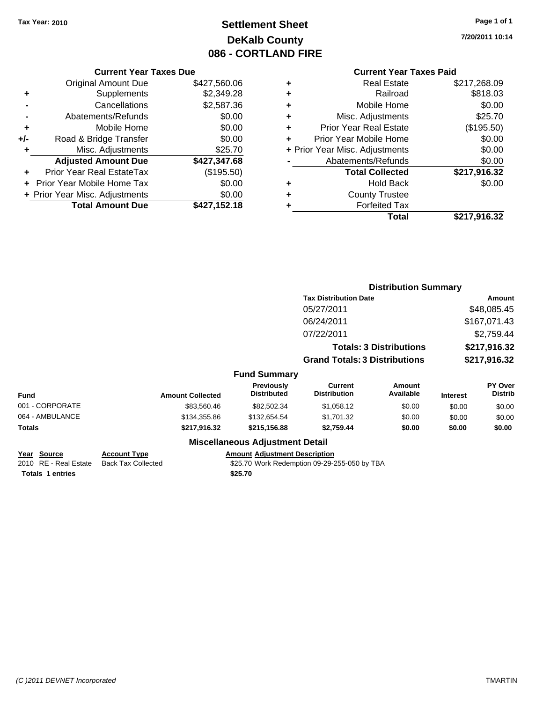# **Settlement Sheet Tax Year: 2010 Page 1 of 1 DeKalb County 086 - CORTLAND FIRE**

**7/20/2011 10:14**

# **Current Year Taxes Paid**

|     | <b>Current Year Taxes Due</b>  |              |  |  |  |
|-----|--------------------------------|--------------|--|--|--|
|     | <b>Original Amount Due</b>     | \$427,560.06 |  |  |  |
| ٠   | Supplements                    | \$2,349.28   |  |  |  |
|     | Cancellations                  | \$2,587.36   |  |  |  |
|     | Abatements/Refunds             | \$0.00       |  |  |  |
| ٠   | Mobile Home                    | \$0.00       |  |  |  |
| +/- | Road & Bridge Transfer         | \$0.00       |  |  |  |
| ٠   | Misc. Adjustments              | \$25.70      |  |  |  |
|     | <b>Adjusted Amount Due</b>     | \$427,347.68 |  |  |  |
| ٠   | Prior Year Real EstateTax      | (\$195.50)   |  |  |  |
|     | Prior Year Mobile Home Tax     | \$0.00       |  |  |  |
|     | + Prior Year Misc. Adjustments | \$0.00       |  |  |  |
|     | <b>Total Amount Due</b>        | \$427,152.18 |  |  |  |

| ٠ | <b>Real Estate</b>             | \$217,268.09 |
|---|--------------------------------|--------------|
| ٠ | Railroad                       | \$818.03     |
| ٠ | Mobile Home                    | \$0.00       |
| ٠ | Misc. Adjustments              | \$25.70      |
| ÷ | <b>Prior Year Real Estate</b>  | (\$195.50)   |
|   | Prior Year Mobile Home         | \$0.00       |
|   | + Prior Year Misc. Adjustments | \$0.00       |
|   | Abatements/Refunds             | \$0.00       |
|   | <b>Total Collected</b>         | \$217,916.32 |
| ٠ | <b>Hold Back</b>               | \$0.00       |
| ٠ | <b>County Trustee</b>          |              |
| ٠ | <b>Forfeited Tax</b>           |              |
|   | Total                          | \$217,916.32 |
|   |                                |              |

|                 |                         |                                         | <b>Distribution Summary</b>           |                                |                 |                           |
|-----------------|-------------------------|-----------------------------------------|---------------------------------------|--------------------------------|-----------------|---------------------------|
|                 |                         |                                         | <b>Tax Distribution Date</b>          | Amount                         |                 |                           |
|                 |                         |                                         | 05/27/2011                            |                                |                 | \$48,085.45               |
|                 |                         |                                         | 06/24/2011                            |                                |                 | \$167,071.43              |
|                 |                         |                                         | 07/22/2011                            |                                |                 | \$2,759.44                |
|                 |                         |                                         |                                       | <b>Totals: 3 Distributions</b> |                 | \$217,916.32              |
|                 |                         |                                         | <b>Grand Totals: 3 Distributions</b>  |                                | \$217,916.32    |                           |
|                 |                         | <b>Fund Summary</b>                     |                                       |                                |                 |                           |
| <b>Fund</b>     | <b>Amount Collected</b> | <b>Previously</b><br><b>Distributed</b> | <b>Current</b><br><b>Distribution</b> | <b>Amount</b><br>Available     | <b>Interest</b> | PY Over<br><b>Distrib</b> |
| 001 - CORPORATE | \$83,560.46             | \$82,502.34                             | \$1,058.12                            | \$0.00                         | \$0.00          | \$0.00                    |
| 064 - AMBULANCE | \$134,355.86            | \$132,654.54                            | \$1,701.32                            | \$0.00                         | \$0.00          | \$0.00                    |
| Totals          | \$217,916.32            | \$215,156.88                            | \$2,759.44                            | \$0.00                         | \$0.00          | \$0.00                    |
|                 |                         | <b>Miscellaneous Adjustment Detail</b>  |                                       |                                |                 |                           |

**Year Source Account Type**<br>
2010 RE - Real Estate Back Tax Collected **Totals 1 entries** \$25.70

Amount Adjustment Description<br>\$25.70 Work Redemption 09-29-255-050 by TBA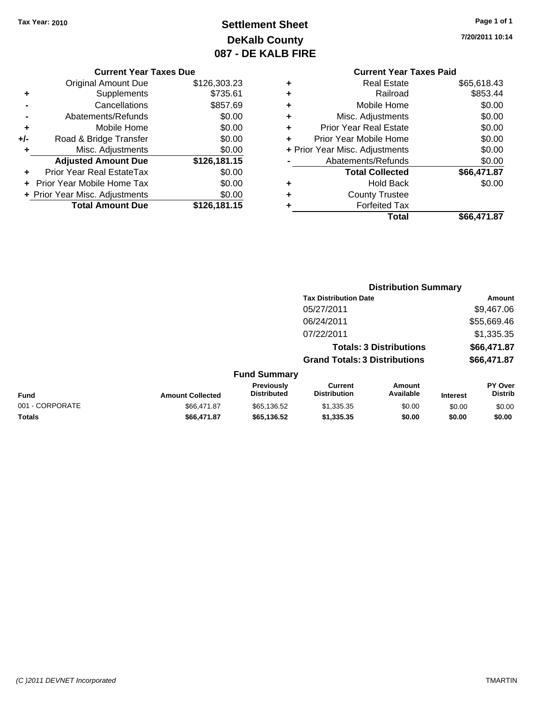# **Settlement Sheet Tax Year: 2010 Page 1 of 1 DeKalb County 087 - DE KALB FIRE**

**7/20/2011 10:14**

#### **Current Year Taxes Due**

|       | <b>Original Amount Due</b>     | \$126,303.23 |
|-------|--------------------------------|--------------|
| ٠     | Supplements                    | \$735.61     |
|       | Cancellations                  | \$857.69     |
|       | Abatements/Refunds             | \$0.00       |
| ٠     | Mobile Home                    | \$0.00       |
| $+/-$ | Road & Bridge Transfer         | \$0.00       |
| ٠     | Misc. Adjustments              | \$0.00       |
|       | <b>Adjusted Amount Due</b>     | \$126,181.15 |
|       | Prior Year Real EstateTax      | \$0.00       |
|       | Prior Year Mobile Home Tax     | \$0.00       |
|       | + Prior Year Misc. Adjustments | \$0.00       |
|       | <b>Total Amount Due</b>        | \$126,181.15 |

# **Current Year Taxes Paid**

| ٠ | <b>Real Estate</b>             | \$65,618.43 |
|---|--------------------------------|-------------|
| ٠ | Railroad                       | \$853.44    |
| ٠ | Mobile Home                    | \$0.00      |
| ٠ | Misc. Adjustments              | \$0.00      |
| ٠ | <b>Prior Year Real Estate</b>  | \$0.00      |
| ٠ | Prior Year Mobile Home         | \$0.00      |
|   | + Prior Year Misc. Adjustments | \$0.00      |
|   | Abatements/Refunds             | \$0.00      |
|   | <b>Total Collected</b>         | \$66,471.87 |
| ٠ | <b>Hold Back</b>               | \$0.00      |
| ٠ | <b>County Trustee</b>          |             |
| ٠ | <b>Forfeited Tax</b>           |             |
|   | Total                          | \$66,471.87 |
|   |                                |             |

|                         |                                  | <b>Distribution Summary</b>           |                     |                                                                                                        |                                  |
|-------------------------|----------------------------------|---------------------------------------|---------------------|--------------------------------------------------------------------------------------------------------|----------------------------------|
|                         |                                  |                                       |                     |                                                                                                        | Amount                           |
|                         |                                  | 05/27/2011                            |                     |                                                                                                        | \$9,467.06                       |
|                         |                                  | 06/24/2011                            |                     |                                                                                                        | \$55,669.46                      |
|                         |                                  | 07/22/2011                            |                     |                                                                                                        | \$1,335.35                       |
|                         |                                  |                                       |                     |                                                                                                        | \$66,471.87                      |
|                         |                                  |                                       |                     |                                                                                                        | \$66,471.87                      |
|                         |                                  |                                       |                     |                                                                                                        |                                  |
| <b>Amount Collected</b> | Previously<br><b>Distributed</b> | <b>Current</b><br><b>Distribution</b> | Amount<br>Available | <b>Interest</b>                                                                                        | <b>PY Over</b><br><b>Distrib</b> |
| \$66,471.87             | \$65,136.52                      | \$1,335.35                            | \$0.00              | \$0.00                                                                                                 | \$0.00                           |
| \$66,471.87             | \$65,136.52                      | \$1,335.35                            | \$0.00              | \$0.00                                                                                                 | \$0.00                           |
|                         |                                  | <b>Fund Summary</b>                   |                     | <b>Tax Distribution Date</b><br><b>Totals: 3 Distributions</b><br><b>Grand Totals: 3 Distributions</b> |                                  |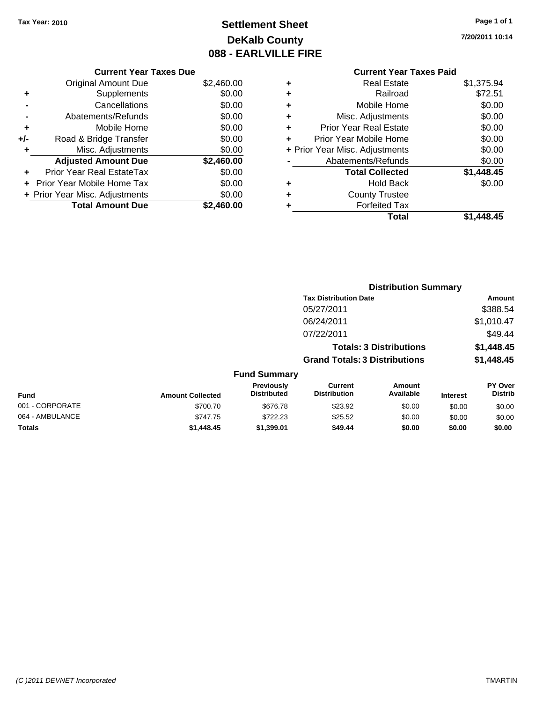# **Settlement Sheet Tax Year: 2010 Page 1 of 1 DeKalb County 088 - EARLVILLE FIRE**

**7/20/2011 10:14**

# **Current Year Taxes Paid**

| <b>Current Year Taxes Due</b>     |            |
|-----------------------------------|------------|
| <b>Original Amount Due</b>        | \$2,460.00 |
| Supplements<br>٠                  | \$0.00     |
| Cancellations                     | \$0.00     |
| Abatements/Refunds                | \$0.00     |
| Mobile Home<br>٠                  | \$0.00     |
| Road & Bridge Transfer<br>+/-     | \$0.00     |
| Misc. Adjustments<br>٠            | \$0.00     |
| <b>Adjusted Amount Due</b>        | \$2,460.00 |
| Prior Year Real EstateTax         | \$0.00     |
| <b>Prior Year Mobile Home Tax</b> | \$0.00     |
| + Prior Year Misc. Adjustments    | \$0.00     |
| <b>Total Amount Due</b>           | \$2.460.00 |

| ٠                              | <b>Real Estate</b>            | \$1,375.94 |
|--------------------------------|-------------------------------|------------|
| ٠                              | Railroad                      | \$72.51    |
| ٠                              | Mobile Home                   | \$0.00     |
| ٠                              | Misc. Adjustments             | \$0.00     |
| ÷                              | <b>Prior Year Real Estate</b> | \$0.00     |
| ÷                              | Prior Year Mobile Home        | \$0.00     |
| + Prior Year Misc. Adjustments |                               | \$0.00     |
|                                | Abatements/Refunds            | \$0.00     |
|                                | <b>Total Collected</b>        | \$1,448.45 |
| ٠                              | <b>Hold Back</b>              | \$0.00     |
| ٠                              | <b>County Trustee</b>         |            |
| ٠                              | <b>Forfeited Tax</b>          |            |
|                                | Total                         | \$1,448.45 |
|                                |                               |            |

|                 |                         |                                  |                                       | <b>Distribution Summary</b>    |                 |                                  |
|-----------------|-------------------------|----------------------------------|---------------------------------------|--------------------------------|-----------------|----------------------------------|
|                 |                         |                                  | <b>Tax Distribution Date</b>          |                                |                 | Amount                           |
|                 |                         |                                  | 05/27/2011                            |                                |                 | \$388.54                         |
|                 |                         |                                  | 06/24/2011                            |                                |                 | \$1,010.47                       |
|                 |                         |                                  | 07/22/2011                            |                                |                 | \$49.44                          |
|                 |                         |                                  |                                       | <b>Totals: 3 Distributions</b> |                 | \$1,448.45                       |
|                 |                         |                                  | <b>Grand Totals: 3 Distributions</b>  |                                |                 | \$1,448.45                       |
|                 |                         | <b>Fund Summary</b>              |                                       |                                |                 |                                  |
| Fund            | <b>Amount Collected</b> | Previously<br><b>Distributed</b> | <b>Current</b><br><b>Distribution</b> | Amount<br>Available            | <b>Interest</b> | <b>PY Over</b><br><b>Distrib</b> |
| 001 - CORPORATE | \$700.70                | \$676.78                         | \$23.92                               | \$0.00                         | \$0.00          | \$0.00                           |
| 064 - AMBULANCE | \$747.75                | \$722.23                         | \$25.52                               | \$0.00                         | \$0.00          | \$0.00                           |
| Totals          | \$1,448.45              | \$1,399.01                       | \$49.44                               | \$0.00                         | \$0.00          | \$0.00                           |
|                 |                         |                                  |                                       |                                |                 |                                  |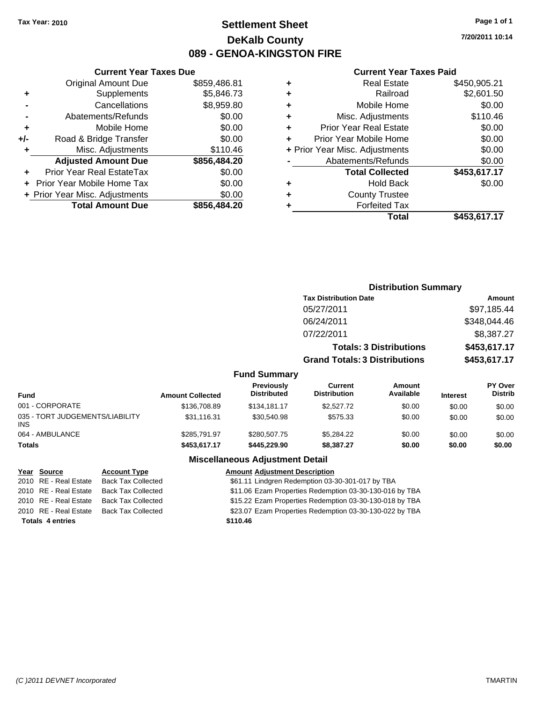# **Settlement Sheet Tax Year: 2010 Page 1 of 1 DeKalb County 089 - GENOA-KINGSTON FIRE**

**7/20/2011 10:14**

## **Current Year Taxes Paid**

|     | <b>Current Year Taxes Due</b>  |              |  |
|-----|--------------------------------|--------------|--|
|     | <b>Original Amount Due</b>     | \$859,486.81 |  |
| ٠   | Supplements                    | \$5,846.73   |  |
|     | Cancellations                  | \$8,959.80   |  |
|     | Abatements/Refunds             | \$0.00       |  |
| ٠   | Mobile Home                    | \$0.00       |  |
| +/- | Road & Bridge Transfer         | \$0.00       |  |
| ٠   | Misc. Adjustments              | \$110.46     |  |
|     | <b>Adjusted Amount Due</b>     | \$856,484.20 |  |
| ÷   | Prior Year Real EstateTax      | \$0.00       |  |
|     | Prior Year Mobile Home Tax     | \$0.00       |  |
|     | + Prior Year Misc. Adjustments | \$0.00       |  |
|     | <b>Total Amount Due</b>        | \$856,484.20 |  |
|     |                                |              |  |

| ٠ | <b>Real Estate</b>             | \$450,905.21 |
|---|--------------------------------|--------------|
| ٠ | Railroad                       | \$2,601.50   |
| ٠ | Mobile Home                    | \$0.00       |
| ٠ | Misc. Adjustments              | \$110.46     |
| ٠ | <b>Prior Year Real Estate</b>  | \$0.00       |
| ٠ | Prior Year Mobile Home         | \$0.00       |
|   | + Prior Year Misc. Adjustments | \$0.00       |
|   | Abatements/Refunds             | \$0.00       |
|   | <b>Total Collected</b>         | \$453,617.17 |
| ٠ | <b>Hold Back</b>               | \$0.00       |
| ٠ | <b>County Trustee</b>          |              |
| ٠ | <b>Forfeited Tax</b>           |              |
|   | Total                          | \$453,617.17 |
|   |                                |              |

|                                               |                         |                                         |                                      | <b>Distribution Summary</b>    |                 |                                  |
|-----------------------------------------------|-------------------------|-----------------------------------------|--------------------------------------|--------------------------------|-----------------|----------------------------------|
|                                               |                         |                                         | <b>Tax Distribution Date</b>         |                                |                 | Amount                           |
|                                               |                         |                                         | 05/27/2011                           |                                |                 | \$97,185.44                      |
|                                               |                         |                                         | 06/24/2011                           |                                |                 | \$348,044.46                     |
|                                               |                         |                                         | 07/22/2011                           |                                |                 | \$8,387.27                       |
|                                               |                         |                                         |                                      | <b>Totals: 3 Distributions</b> |                 | \$453,617.17                     |
|                                               |                         |                                         | <b>Grand Totals: 3 Distributions</b> |                                |                 | \$453,617.17                     |
|                                               |                         | <b>Fund Summary</b>                     |                                      |                                |                 |                                  |
| <b>Fund</b>                                   | <b>Amount Collected</b> | <b>Previously</b><br><b>Distributed</b> | Current<br><b>Distribution</b>       | Amount<br>Available            | <b>Interest</b> | <b>PY Over</b><br><b>Distrib</b> |
| 001 - CORPORATE                               | \$136,708.89            | \$134,181.17                            | \$2,527.72                           | \$0.00                         | \$0.00          | \$0.00                           |
| 035 - TORT JUDGEMENTS/LIABILITY<br><b>INS</b> | \$31,116.31             | \$30,540.98                             | \$575.33                             | \$0.00                         | \$0.00          | \$0.00                           |
| 064 - AMBULANCE                               | \$285,791.97            | \$280,507.75                            | \$5,284.22                           | \$0.00                         | \$0.00          | \$0.00                           |
| <b>Totals</b>                                 | \$453,617.17            | \$445.229.90                            | \$8,387.27                           | \$0.00                         | \$0.00          | \$0.00                           |

# **Miscellaneous Adjustment Detail**

| Year Source             | <b>Account Type</b>       | <b>Amount Adjustment Description</b>                    |
|-------------------------|---------------------------|---------------------------------------------------------|
| 2010 RE - Real Estate   | <b>Back Tax Collected</b> | \$61.11 Lindgren Redemption 03-30-301-017 by TBA        |
| 2010 RE - Real Estate   | <b>Back Tax Collected</b> | \$11.06 Ezam Properties Redemption 03-30-130-016 by TBA |
| 2010 RE - Real Estate   | <b>Back Tax Collected</b> | \$15.22 Ezam Properties Redemption 03-30-130-018 by TBA |
| 2010 RE - Real Estate   | Back Tax Collected        | \$23.07 Ezam Properties Redemption 03-30-130-022 by TBA |
| <b>Totals 4 entries</b> |                           | \$110.46                                                |
|                         |                           |                                                         |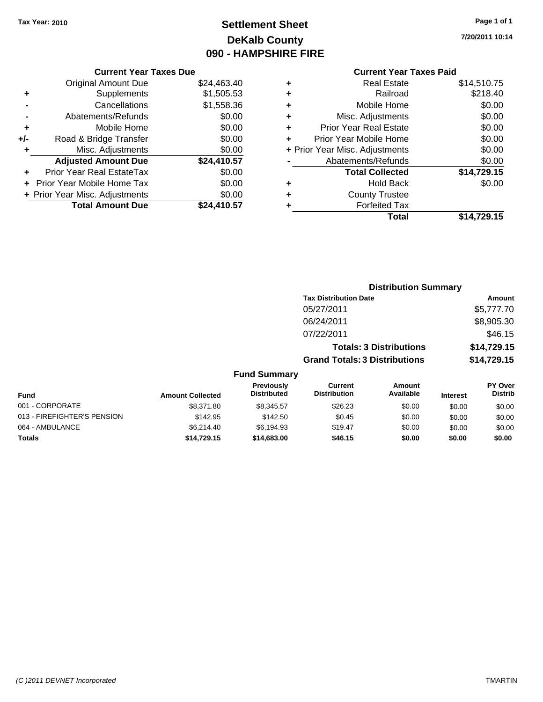# **Settlement Sheet Tax Year: 2010 Page 1 of 1 DeKalb County 090 - HAMPSHIRE FIRE**

**7/20/2011 10:14**

### **Current Year Taxes Due**

|     | <b>Original Amount Due</b>       | \$24,463.40 |
|-----|----------------------------------|-------------|
| ٠   | Supplements                      | \$1,505.53  |
|     | Cancellations                    | \$1,558.36  |
|     | Abatements/Refunds               | \$0.00      |
| ٠   | Mobile Home                      | \$0.00      |
| +/- | Road & Bridge Transfer           | \$0.00      |
| ٠   | Misc. Adjustments                | \$0.00      |
|     | <b>Adjusted Amount Due</b>       | \$24,410.57 |
|     | <b>Prior Year Real EstateTax</b> | \$0.00      |
|     | Prior Year Mobile Home Tax       | \$0.00      |
|     | + Prior Year Misc. Adjustments   | \$0.00      |
|     | <b>Total Amount Due</b>          | \$24.410.57 |

# **Current Year Taxes Paid**

| ٠ | <b>Real Estate</b>             | \$14,510.75 |
|---|--------------------------------|-------------|
| ÷ | Railroad                       | \$218.40    |
| ÷ | Mobile Home                    | \$0.00      |
| ٠ | Misc. Adjustments              | \$0.00      |
| ٠ | Prior Year Real Estate         | \$0.00      |
| ÷ | Prior Year Mobile Home         | \$0.00      |
|   | + Prior Year Misc. Adjustments | \$0.00      |
|   | Abatements/Refunds             | \$0.00      |
|   | <b>Total Collected</b>         | \$14,729.15 |
| ٠ | <b>Hold Back</b>               | \$0.00      |
| ٠ | <b>County Trustee</b>          |             |
| ٠ | <b>Forfeited Tax</b>           |             |
|   | Total                          | \$14,729.15 |
|   |                                |             |

|                             |                         |                                  |                                       | <b>Distribution Summary</b>    |                 |                           |
|-----------------------------|-------------------------|----------------------------------|---------------------------------------|--------------------------------|-----------------|---------------------------|
|                             |                         |                                  | <b>Tax Distribution Date</b>          |                                |                 | Amount                    |
|                             |                         |                                  | 05/27/2011                            |                                |                 | \$5,777.70                |
|                             |                         |                                  | 06/24/2011                            |                                |                 | \$8,905.30                |
|                             |                         |                                  | 07/22/2011                            |                                |                 | \$46.15                   |
|                             |                         |                                  |                                       | <b>Totals: 3 Distributions</b> |                 | \$14,729.15               |
|                             |                         |                                  | <b>Grand Totals: 3 Distributions</b>  |                                |                 | \$14,729.15               |
|                             |                         | <b>Fund Summary</b>              |                                       |                                |                 |                           |
| Fund                        | <b>Amount Collected</b> | Previously<br><b>Distributed</b> | <b>Current</b><br><b>Distribution</b> | <b>Amount</b><br>Available     | <b>Interest</b> | PY Over<br><b>Distrib</b> |
| 001 - CORPORATE             | \$8,371.80              | \$8,345.57                       | \$26.23                               | \$0.00                         | \$0.00          | \$0.00                    |
| 013 - FIREFIGHTER'S PENSION | \$142.95                | \$142.50                         | \$0.45                                | \$0.00                         | \$0.00          | \$0.00                    |
| 064 - AMBULANCE             | \$6,214.40              | \$6,194.93                       | \$19.47                               | \$0.00                         | \$0.00          | \$0.00                    |
|                             |                         |                                  |                                       |                                |                 |                           |

**Totals \$14,729.15 \$14,683.00 \$46.15 \$0.00 \$0.00 \$0.00**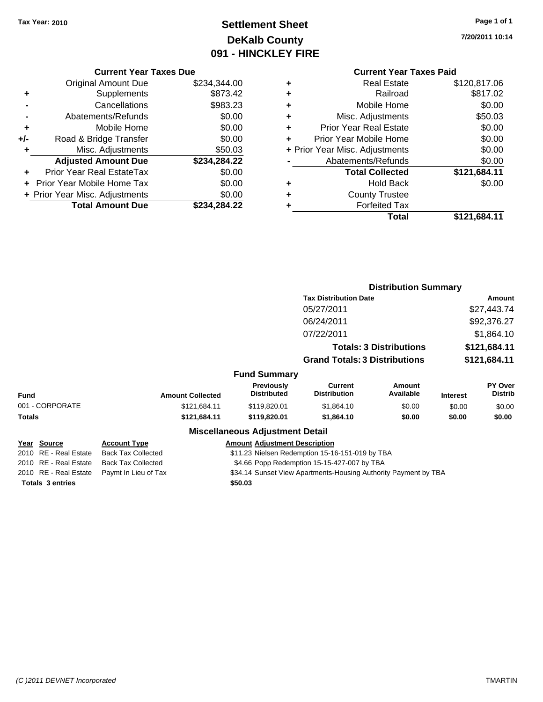# **Settlement Sheet Tax Year: 2010 Page 1 of 1 DeKalb County 091 - HINCKLEY FIRE**

**7/20/2011 10:14**

### **Current Year Taxes Due**

|     | <b>Original Amount Due</b>     | \$234,344.00 |
|-----|--------------------------------|--------------|
| ٠   | Supplements                    | \$873.42     |
|     | Cancellations                  | \$983.23     |
|     | Abatements/Refunds             | \$0.00       |
| ٠   | Mobile Home                    | \$0.00       |
| +/- | Road & Bridge Transfer         | \$0.00       |
| ٠   | Misc. Adjustments              | \$50.03      |
|     | <b>Adjusted Amount Due</b>     | \$234,284.22 |
|     | Prior Year Real EstateTax      | \$0.00       |
|     | Prior Year Mobile Home Tax     | \$0.00       |
|     | + Prior Year Misc. Adjustments | \$0.00       |
|     | <b>Total Amount Due</b>        | \$234,284.22 |

# **Current Year Taxes Paid**

|   | <b>Real Estate</b>             | \$120,817.06 |
|---|--------------------------------|--------------|
| ٠ | Railroad                       | \$817.02     |
| ٠ | Mobile Home                    | \$0.00       |
| ٠ | Misc. Adjustments              | \$50.03      |
| ٠ | <b>Prior Year Real Estate</b>  | \$0.00       |
| ٠ | Prior Year Mobile Home         | \$0.00       |
|   | + Prior Year Misc. Adjustments | \$0.00       |
|   | Abatements/Refunds             | \$0.00       |
|   | <b>Total Collected</b>         | \$121,684.11 |
| ٠ | <b>Hold Back</b>               | \$0.00       |
| ٠ | <b>County Trustee</b>          |              |
| ٠ | <b>Forfeited Tax</b>           |              |
|   | Total                          | \$121,684.11 |
|   |                                |              |

|               |                       |                           | <b>Distribution Summary</b>                                     |                                                 |                                |                 |                           |
|---------------|-----------------------|---------------------------|-----------------------------------------------------------------|-------------------------------------------------|--------------------------------|-----------------|---------------------------|
|               |                       |                           |                                                                 | <b>Tax Distribution Date</b>                    |                                |                 | Amount                    |
|               |                       |                           |                                                                 | 05/27/2011                                      |                                |                 | \$27,443.74               |
|               |                       |                           |                                                                 | 06/24/2011                                      |                                |                 | \$92,376.27               |
|               |                       |                           |                                                                 | 07/22/2011                                      |                                |                 | \$1,864.10                |
|               |                       |                           |                                                                 |                                                 | <b>Totals: 3 Distributions</b> |                 | \$121,684.11              |
|               |                       |                           |                                                                 | <b>Grand Totals: 3 Distributions</b>            |                                |                 | \$121,684.11              |
|               |                       |                           | <b>Fund Summary</b>                                             |                                                 |                                |                 |                           |
| Fund          |                       | <b>Amount Collected</b>   | <b>Previously</b><br><b>Distributed</b>                         | Current<br><b>Distribution</b>                  | Amount<br>Available            | <b>Interest</b> | PY Over<br><b>Distrib</b> |
|               | 001 - CORPORATE       | \$121,684.11              | \$119,820.01                                                    | \$1,864.10                                      | \$0.00                         | \$0.00          | \$0.00                    |
| <b>Totals</b> |                       | \$121,684.11              | \$119,820.01                                                    | \$1,864.10                                      | \$0.00                         | \$0.00          | \$0.00                    |
|               |                       |                           | <b>Miscellaneous Adjustment Detail</b>                          |                                                 |                                |                 |                           |
|               | Year Source           | <b>Account Type</b>       | <b>Amount Adjustment Description</b>                            |                                                 |                                |                 |                           |
|               | 2010 RE - Real Estate | <b>Back Tax Collected</b> |                                                                 | \$11.23 Nielsen Redemption 15-16-151-019 by TBA |                                |                 |                           |
|               | 2010 RE - Real Estate | <b>Back Tax Collected</b> | \$4.66 Popp Redemption 15-15-427-007 by TBA                     |                                                 |                                |                 |                           |
|               | 2010 RE - Real Estate | Paymt In Lieu of Tax      | \$34.14 Sunset View Apartments-Housing Authority Payment by TBA |                                                 |                                |                 |                           |

**Totals \$50.03 3 entries**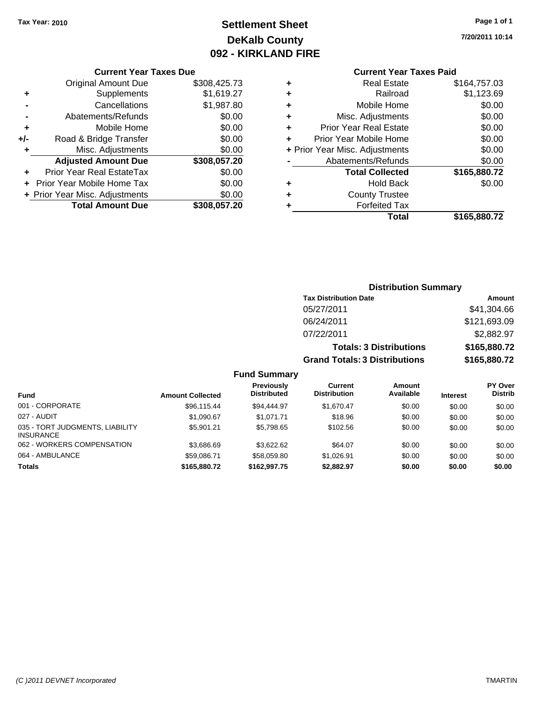# **Settlement Sheet Tax Year: 2010 Page 1 of 1 DeKalb County 092 - KIRKLAND FIRE**

**7/20/2011 10:14**

#### **Current Year Taxes Due**

|       | <b>Original Amount Due</b>        | \$308,425.73 |
|-------|-----------------------------------|--------------|
| ٠     | Supplements                       | \$1,619.27   |
|       | Cancellations                     | \$1,987.80   |
|       | Abatements/Refunds                | \$0.00       |
| ٠     | Mobile Home                       | \$0.00       |
| $+/-$ | Road & Bridge Transfer            | \$0.00       |
| ٠     | Misc. Adjustments                 | \$0.00       |
|       | <b>Adjusted Amount Due</b>        | \$308,057.20 |
|       | <b>Prior Year Real EstateTax</b>  | \$0.00       |
|       | <b>Prior Year Mobile Home Tax</b> | \$0.00       |
|       | + Prior Year Misc. Adjustments    | \$0.00       |
|       | <b>Total Amount Due</b>           | \$308.057.20 |

# **Current Year Taxes Paid**

|   | Real Estate                    | \$164,757.03 |
|---|--------------------------------|--------------|
| ٠ | Railroad                       | \$1,123.69   |
| ٠ | Mobile Home                    | \$0.00       |
| ٠ | Misc. Adjustments              | \$0.00       |
| ٠ | <b>Prior Year Real Estate</b>  | \$0.00       |
| ÷ | Prior Year Mobile Home         | \$0.00       |
|   | + Prior Year Misc. Adjustments | \$0.00       |
|   | Abatements/Refunds             | \$0.00       |
|   | <b>Total Collected</b>         | \$165,880.72 |
| ٠ | <b>Hold Back</b>               | \$0.00       |
| ٠ | <b>County Trustee</b>          |              |
| ٠ | <b>Forfeited Tax</b>           |              |
|   | Total                          | \$165,880.72 |
|   |                                |              |

#### **Distribution Summary Tax Distribution Date Amount** 05/27/2011 \$41,304.66 06/24/2011 \$121,693.09 07/22/2011 \$2,882.97 **Totals: 3 Distributions \$165,880.72 Grand Totals: 3 Distributions \$165,880.72 Fund Summary Fund Interest Amount Collected Distributed PY Over Distrib Amount Available Current Distribution Previously** 001 - CORPORATE 6 696,115.44 \$96,115.44 \$94,444.97 \$1,670.47 \$0.00 \$0.00 \$0.00 \$0.00 027 - AUDIT \$1,090.67 \$1,071.71 \$18.96 \$0.00 \$0.00 \$0.00 035 - TORT JUDGMENTS, LIABILITY \$5,901.21 \$5,798.65 \$102.56 \$0.00 \$0.00 \$0.00

062 - WORKERS COMPENSATION \$3,686.69 \$3,622.62 \$64.07 \$0.00 \$0.00 \$0.00 \$0.00 064 - AMBULANCE \$59,086.71 \$58,059.80 \$1,026.91 \$0.00 \$0.00 \$0.00 **Totals \$165,880.72 \$162,997.75 \$2,882.97 \$0.00 \$0.00 \$0.00**

INSURANCE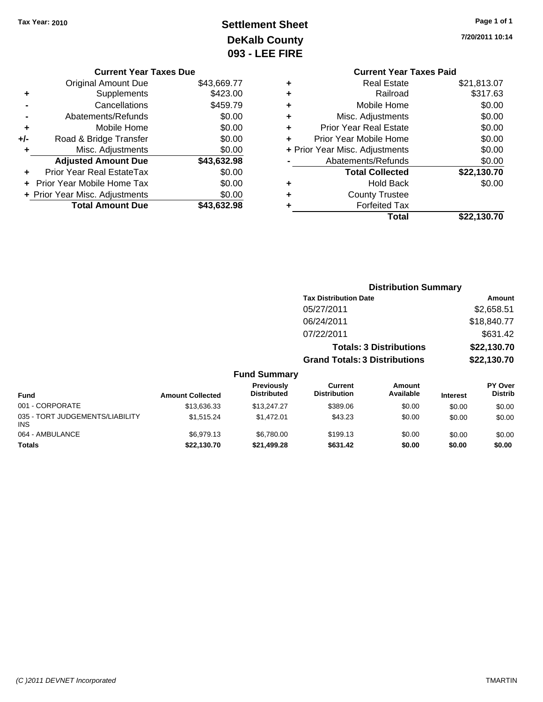# **Settlement Sheet Tax Year: 2010 Page 1 of 1 DeKalb County 093 - LEE FIRE**

**7/20/2011 10:14**

# **Current Year Taxes Paid +** Real Estate \$21,813.07 **+** Railroad \$317.63 **+** Mobile Home \$0.00 **+** Misc. Adjustments \$0.00 **+** Prior Year Real Estate \$0.00 **+** Prior Year Mobile Home \$0.00 **+** Prior Year Misc. Adjustments  $$0.00$ **-** Abatements/Refunds \$0.00 **Total Collected \$22,130.70 +** Hold Back \$0.00 **+** County Trustee **+** Forfeited Tax

**Total \$22,130.70**

|                                         |                         |                                  | <b>Distribution Summary</b>           |                                |                 |                           |
|-----------------------------------------|-------------------------|----------------------------------|---------------------------------------|--------------------------------|-----------------|---------------------------|
|                                         |                         |                                  | <b>Tax Distribution Date</b>          |                                |                 | Amount                    |
|                                         |                         |                                  | 05/27/2011                            |                                |                 | \$2,658.51                |
|                                         |                         |                                  | 06/24/2011                            |                                |                 | \$18,840.77               |
|                                         |                         |                                  | 07/22/2011                            |                                |                 | \$631.42                  |
|                                         |                         |                                  |                                       | <b>Totals: 3 Distributions</b> |                 | \$22,130.70               |
|                                         |                         |                                  | <b>Grand Totals: 3 Distributions</b>  |                                |                 | \$22,130.70               |
|                                         |                         | <b>Fund Summary</b>              |                                       |                                |                 |                           |
| <b>Fund</b>                             | <b>Amount Collected</b> | Previously<br><b>Distributed</b> | <b>Current</b><br><b>Distribution</b> | <b>Amount</b><br>Available     | <b>Interest</b> | PY Over<br><b>Distrib</b> |
| 001 - CORPORATE                         | \$13,636.33             | \$13,247.27                      | \$389.06                              | \$0.00                         | \$0.00          | \$0.00                    |
| 035 - TORT JUDGEMENTS/LIABILITY<br>INS. | \$1,515.24              | \$1,472.01                       | \$43.23                               | \$0.00                         | \$0.00          | \$0.00                    |
| 064 - AMBULANCE                         | \$6.979.13              | \$6,780,00                       | \$199.13                              | \$0.00                         | \$0.00          | \$0.00                    |

**Totals \$22,130.70 \$21,499.28 \$631.42 \$0.00 \$0.00 \$0.00**

| <b>Current Year Taxes Due</b> |  |  |
|-------------------------------|--|--|

|     | <b>Original Amount Due</b>     | \$43,669.77 |
|-----|--------------------------------|-------------|
| ٠   | Supplements                    | \$423.00    |
|     | Cancellations                  | \$459.79    |
|     | Abatements/Refunds             | \$0.00      |
| ٠   | Mobile Home                    | \$0.00      |
| +/- | Road & Bridge Transfer         | \$0.00      |
| ٠   | Misc. Adjustments              | \$0.00      |
|     | <b>Adjusted Amount Due</b>     | \$43,632.98 |
|     | Prior Year Real EstateTax      | \$0.00      |
|     | Prior Year Mobile Home Tax     | \$0.00      |
|     | + Prior Year Misc. Adjustments | \$0.00      |
|     | <b>Total Amount Due</b>        | \$43,632.98 |
|     |                                |             |

INS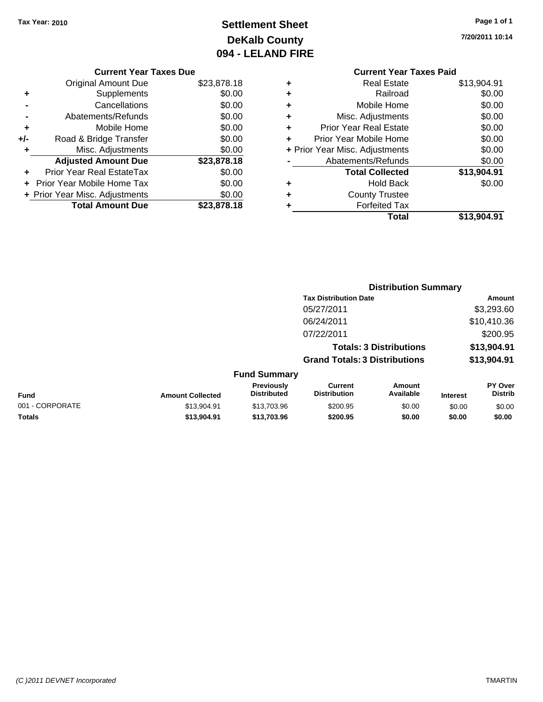# **Settlement Sheet Tax Year: 2010 Page 1 of 1 DeKalb County 094 - LELAND FIRE**

**7/20/2011 10:14**

# **Current Year Taxes Paid**

|   | OUITUR TUUT TUAUS TURU         |             |
|---|--------------------------------|-------------|
| ٠ | <b>Real Estate</b>             | \$13,904.91 |
| ٠ | Railroad                       | \$0.00      |
| ÷ | Mobile Home                    | \$0.00      |
| ٠ | Misc. Adjustments              | \$0.00      |
| ÷ | <b>Prior Year Real Estate</b>  | \$0.00      |
| ٠ | Prior Year Mobile Home         | \$0.00      |
|   | + Prior Year Misc. Adjustments | \$0.00      |
|   | Abatements/Refunds             | \$0.00      |
|   | <b>Total Collected</b>         | \$13,904.91 |
| ٠ | <b>Hold Back</b>               | \$0.00      |
| ٠ | <b>County Trustee</b>          |             |
| ٠ | <b>Forfeited Tax</b>           |             |
|   | Total                          | \$13.904.91 |
|   |                                |             |

**Distribution Summary**

|     | <b>Current Year Taxes Due</b>  |             |
|-----|--------------------------------|-------------|
|     | <b>Original Amount Due</b>     | \$23,878.18 |
| ٠   | Supplements                    | \$0.00      |
|     | Cancellations                  | \$0.00      |
|     | Abatements/Refunds             | \$0.00      |
| ٠   | Mobile Home                    | \$0.00      |
| +/- | Road & Bridge Transfer         | \$0.00      |
| ٠   | Misc. Adjustments              | \$0.00      |
|     | <b>Adjusted Amount Due</b>     | \$23,878.18 |
|     | Prior Year Real EstateTax      | \$0.00      |
|     | Prior Year Mobile Home Tax     | \$0.00      |
|     | + Prior Year Misc. Adjustments | \$0.00      |
|     | <b>Total Amount Due</b>        | \$23,878.18 |

|                 |                         |                                  | <b>Tax Distribution Date</b>          |                                |                 | Amount                    |
|-----------------|-------------------------|----------------------------------|---------------------------------------|--------------------------------|-----------------|---------------------------|
|                 |                         |                                  | 05/27/2011                            |                                |                 | \$3,293.60                |
|                 |                         |                                  | 06/24/2011                            |                                |                 | \$10,410.36               |
|                 |                         |                                  | 07/22/2011                            |                                |                 | \$200.95                  |
|                 |                         |                                  |                                       | <b>Totals: 3 Distributions</b> |                 | \$13,904.91               |
|                 |                         |                                  | <b>Grand Totals: 3 Distributions</b>  |                                |                 | \$13,904.91               |
|                 |                         | <b>Fund Summary</b>              |                                       |                                |                 |                           |
| <b>Fund</b>     | <b>Amount Collected</b> | Previously<br><b>Distributed</b> | <b>Current</b><br><b>Distribution</b> | <b>Amount</b><br>Available     | <b>Interest</b> | PY Over<br><b>Distrib</b> |
| 001 - CORPORATE | \$13,904.91             | \$13,703.96                      | \$200.95                              | \$0.00                         | \$0.00          | \$0.00                    |
| Totals          | \$13,904.91             | \$13,703.96                      | \$200.95                              | \$0.00                         | \$0.00          | \$0.00                    |
|                 |                         |                                  |                                       |                                |                 |                           |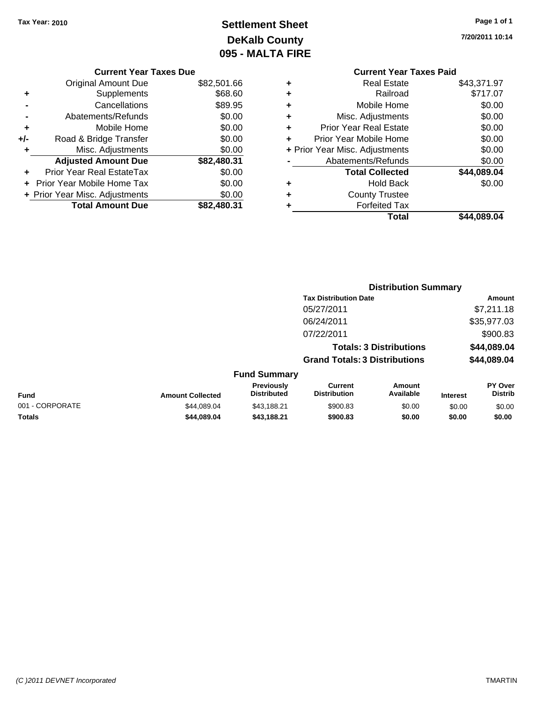# **Settlement Sheet Tax Year: 2010 Page 1 of 1 DeKalb County 095 - MALTA FIRE**

**7/20/2011 10:14**

|       | <b>Current Year Taxes Due</b>  |             |  |  |  |  |
|-------|--------------------------------|-------------|--|--|--|--|
|       | <b>Original Amount Due</b>     | \$82,501.66 |  |  |  |  |
| ٠     | Supplements                    | \$68.60     |  |  |  |  |
|       | Cancellations                  | \$89.95     |  |  |  |  |
|       | Abatements/Refunds             | \$0.00      |  |  |  |  |
| ٠     | Mobile Home                    | \$0.00      |  |  |  |  |
| $+/-$ | Road & Bridge Transfer         | \$0.00      |  |  |  |  |
| ٠     | Misc. Adjustments              | \$0.00      |  |  |  |  |
|       | <b>Adjusted Amount Due</b>     | \$82,480.31 |  |  |  |  |
|       | Prior Year Real EstateTax      | \$0.00      |  |  |  |  |
|       | Prior Year Mobile Home Tax     | \$0.00      |  |  |  |  |
|       | + Prior Year Misc. Adjustments | \$0.00      |  |  |  |  |
|       | <b>Total Amount Due</b>        | \$82,480.31 |  |  |  |  |
|       |                                |             |  |  |  |  |

# **Current Year Taxes Paid +** Real Estate \$43,371.97 **+** Railroad \$717.07 **+** Mobile Home \$0.00 **+** Misc. Adjustments \$0.00 **+** Prior Year Real Estate \$0.00 **+** Prior Year Mobile Home \$0.00 **+ Prior Year Misc. Adjustments \$0.00 -** Abatements/Refunds **\$0.00**

|   | Total                  | \$44,089.04 |
|---|------------------------|-------------|
| ٠ | <b>Forfeited Tax</b>   |             |
| ٠ | <b>County Trustee</b>  |             |
| ٠ | Hold Back              | \$0.00      |
|   | <b>Total Collected</b> | \$44,089.04 |
|   | , watun untuk tuman ya | ww.vv       |

|                 |                         |                                  |                                       | <b>Distribution Summary</b>    |                 |                                  |
|-----------------|-------------------------|----------------------------------|---------------------------------------|--------------------------------|-----------------|----------------------------------|
|                 |                         |                                  | <b>Tax Distribution Date</b>          |                                |                 | Amount                           |
|                 |                         |                                  | 05/27/2011                            |                                |                 | \$7,211.18                       |
|                 |                         |                                  | 06/24/2011                            |                                |                 | \$35,977.03                      |
|                 |                         |                                  | 07/22/2011                            |                                |                 | \$900.83                         |
|                 |                         |                                  |                                       | <b>Totals: 3 Distributions</b> |                 | \$44,089.04                      |
|                 |                         |                                  | <b>Grand Totals: 3 Distributions</b>  |                                |                 | \$44,089.04                      |
|                 |                         | <b>Fund Summary</b>              |                                       |                                |                 |                                  |
| <b>Fund</b>     | <b>Amount Collected</b> | Previously<br><b>Distributed</b> | <b>Current</b><br><b>Distribution</b> | Amount<br>Available            | <b>Interest</b> | <b>PY Over</b><br><b>Distrib</b> |
| 001 - CORPORATE | \$44.089.04             | \$43.188.21                      | \$900.83                              | \$0.00                         | \$0.00          | \$0.00                           |
| Totals          | \$44.089.04             | \$43.188.21                      | \$900.83                              | \$0.00                         | \$0.00          | \$0.00                           |
|                 |                         |                                  |                                       |                                |                 |                                  |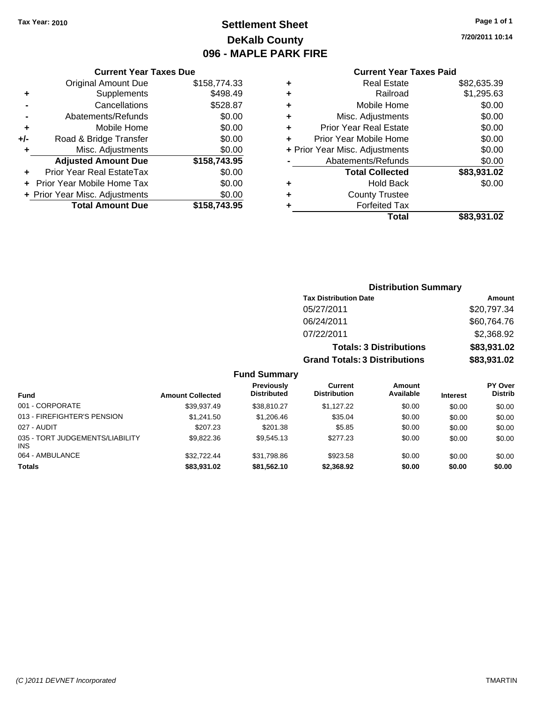# **Settlement Sheet Tax Year: 2010 Page 1 of 1 DeKalb County 096 - MAPLE PARK FIRE**

**7/20/2011 10:14**

#### **Current Year Taxes Paid**

|                  |   | Total                          | \$83,931.02 |
|------------------|---|--------------------------------|-------------|
| $\overline{.95}$ |   | <b>Forfeited Tax</b>           |             |
| .00              | ٠ | <b>County Trustee</b>          |             |
| .00              | ٠ | <b>Hold Back</b>               | \$0.00      |
| .00              |   | <b>Total Collected</b>         | \$83,931.02 |
| .95              |   | Abatements/Refunds             | \$0.00      |
| .00              |   | + Prior Year Misc. Adjustments | \$0.00      |
| .00              |   | Prior Year Mobile Home         | \$0.00      |
| .00              | ٠ | Prior Year Real Estate         | \$0.00      |
| .00              | ٠ | Misc. Adjustments              | \$0.00      |
| .87              | ٠ | Mobile Home                    | \$0.00      |
| .49              | ٠ | Railroad                       | \$1,295.63  |
| .33              | ٠ | <b>Real Estate</b>             | \$82,635.39 |
|                  |   |                                |             |

|     | <b>Current Year Taxes Due</b>     |              |
|-----|-----------------------------------|--------------|
|     | <b>Original Amount Due</b>        | \$158,774.33 |
| ٠   | Supplements                       | \$498.49     |
|     | Cancellations                     | \$528.87     |
|     | Abatements/Refunds                | \$0.00       |
| ÷   | Mobile Home                       | \$0.00       |
| +/- | Road & Bridge Transfer            | \$0.00       |
| ٠   | Misc. Adjustments                 | \$0.00       |
|     | <b>Adjusted Amount Due</b>        | \$158,743.95 |
|     | Prior Year Real EstateTax         | \$0.00       |
|     | <b>Prior Year Mobile Home Tax</b> | \$0.00       |
|     | + Prior Year Misc. Adjustments    | \$0.00       |
|     | <b>Total Amount Due</b>           | \$158,743.95 |

# **Distribution Summary Tax Distribution Date Amount** 05/27/2011 \$20,797.34 06/24/2011 \$60,764.76 07/22/2011 \$2,368.92 **Totals: 3 Distributions \$83,931.02 Grand Totals: 3 Distributions \$83,931.02**

| <b>Fund</b>                                   | <b>Amount Collected</b> | <b>Previously</b><br><b>Distributed</b> | Current<br><b>Distribution</b> | <b>Amount</b><br>Available | <b>Interest</b> | <b>PY Over</b><br><b>Distrib</b> |
|-----------------------------------------------|-------------------------|-----------------------------------------|--------------------------------|----------------------------|-----------------|----------------------------------|
| 001 - CORPORATE                               | \$39.937.49             | \$38.810.27                             | \$1.127.22                     | \$0.00                     | \$0.00          | \$0.00                           |
| 013 - FIREFIGHTER'S PENSION                   | \$1,241.50              | \$1,206.46                              | \$35.04                        | \$0.00                     | \$0.00          | \$0.00                           |
| 027 - AUDIT                                   | \$207.23                | \$201.38                                | \$5.85                         | \$0.00                     | \$0.00          | \$0.00                           |
| 035 - TORT JUDGEMENTS/LIABILITY<br><b>INS</b> | \$9.822.36              | \$9,545.13                              | \$277.23                       | \$0.00                     | \$0.00          | \$0.00                           |
| 064 - AMBULANCE                               | \$32.722.44             | \$31,798.86                             | \$923.58                       | \$0.00                     | \$0.00          | \$0.00                           |
| <b>Totals</b>                                 | \$83,931.02             | \$81,562.10                             | \$2,368.92                     | \$0.00                     | \$0.00          | \$0.00                           |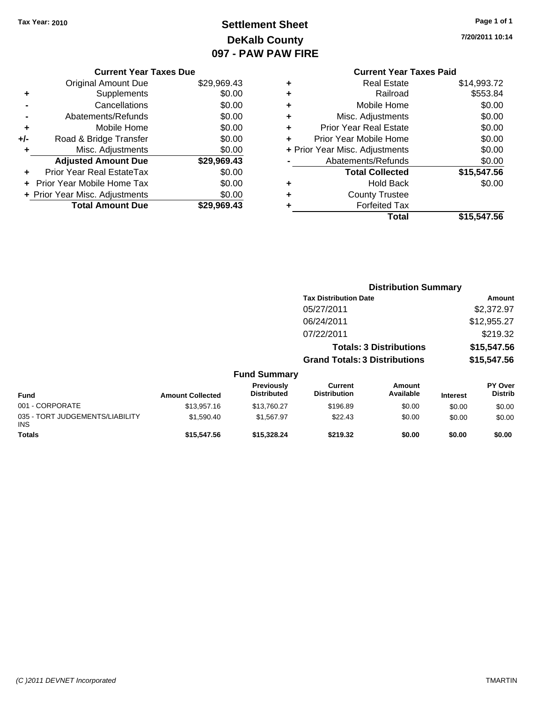# **Settlement Sheet Tax Year: 2010 Page 1 of 1 DeKalb County 097 - PAW PAW FIRE**

**7/20/2011 10:14**

## **Current Year Taxes Due**

|     | <b>Original Amount Due</b>        | \$29,969.43 |
|-----|-----------------------------------|-------------|
| ٠   | Supplements                       | \$0.00      |
|     | Cancellations                     | \$0.00      |
|     | Abatements/Refunds                | \$0.00      |
| ٠   | Mobile Home                       | \$0.00      |
| +/- | Road & Bridge Transfer            | \$0.00      |
| ٠   | Misc. Adjustments                 | \$0.00      |
|     | <b>Adjusted Amount Due</b>        | \$29,969.43 |
|     | Prior Year Real EstateTax         | \$0.00      |
|     | <b>Prior Year Mobile Home Tax</b> | \$0.00      |
|     | + Prior Year Misc. Adjustments    | \$0.00      |
|     | <b>Total Amount Due</b>           | \$29.969.43 |

# **Current Year Taxes Paid**

|   | Real Estate                    | \$14,993.72 |
|---|--------------------------------|-------------|
|   | Railroad                       | \$553.84    |
| ٠ | Mobile Home                    | \$0.00      |
| ٠ | Misc. Adjustments              | \$0.00      |
| ٠ | <b>Prior Year Real Estate</b>  | \$0.00      |
|   | Prior Year Mobile Home         | \$0.00      |
|   | + Prior Year Misc. Adjustments | \$0.00      |
|   | Abatements/Refunds             | \$0.00      |
|   | <b>Total Collected</b>         | \$15,547.56 |
| ٠ | <b>Hold Back</b>               | \$0.00      |
|   | <b>County Trustee</b>          |             |
|   | <b>Forfeited Tax</b>           |             |
|   | Total                          | \$15,547.56 |
|   |                                |             |

|                                         |                         |                                  | <b>Distribution Summary</b>           |                                |                 |                                  |
|-----------------------------------------|-------------------------|----------------------------------|---------------------------------------|--------------------------------|-----------------|----------------------------------|
|                                         |                         |                                  | <b>Tax Distribution Date</b>          |                                |                 | Amount                           |
|                                         |                         |                                  | 05/27/2011                            |                                |                 | \$2,372.97                       |
|                                         |                         |                                  | 06/24/2011                            |                                |                 | \$12,955.27                      |
|                                         |                         |                                  | 07/22/2011                            |                                |                 | \$219.32                         |
|                                         |                         |                                  |                                       | <b>Totals: 3 Distributions</b> |                 | \$15,547.56                      |
|                                         |                         |                                  | <b>Grand Totals: 3 Distributions</b>  |                                | \$15,547.56     |                                  |
|                                         |                         | <b>Fund Summary</b>              |                                       |                                |                 |                                  |
| <b>Fund</b>                             | <b>Amount Collected</b> | Previously<br><b>Distributed</b> | <b>Current</b><br><b>Distribution</b> | <b>Amount</b><br>Available     | <b>Interest</b> | <b>PY Over</b><br><b>Distrib</b> |
| 001 - CORPORATE                         | \$13,957.16             | \$13,760.27                      | \$196.89                              | \$0.00                         | \$0.00          | \$0.00                           |
| 035 - TORT JUDGEMENTS/LIABILITY<br>INS. | \$1,590.40              | \$1.567.97                       | \$22.43                               | \$0.00                         | \$0.00          | \$0.00                           |
| <b>Totals</b>                           | \$15,547.56             | \$15,328,24                      | \$219.32                              | \$0.00                         | \$0.00          | \$0.00                           |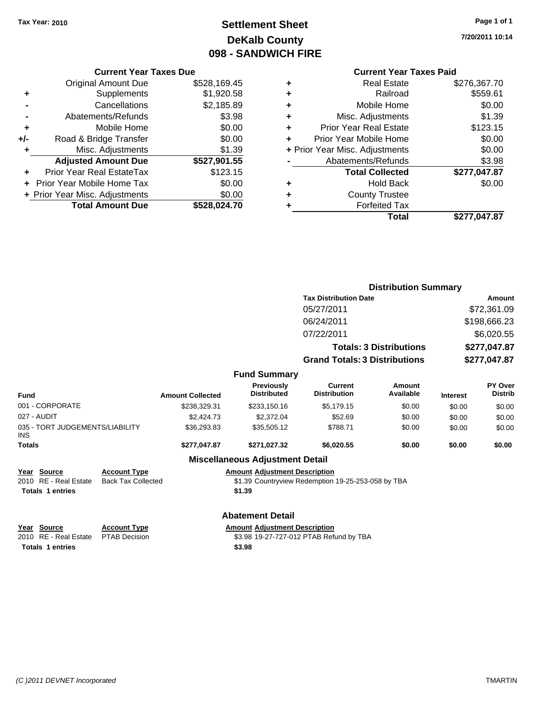# **Settlement Sheet Tax Year: 2010 Page 1 of 1 DeKalb County 098 - SANDWICH FIRE**

**7/20/2011 10:14**

#### **Current Year Taxes Due**

|     | <b>Original Amount Due</b>     | \$528,169.45 |
|-----|--------------------------------|--------------|
| ٠   | Supplements                    | \$1,920.58   |
|     | Cancellations                  | \$2,185.89   |
|     | Abatements/Refunds             | \$3.98       |
| ٠   | Mobile Home                    | \$0.00       |
| +/- | Road & Bridge Transfer         | \$0.00       |
| ٠   | Misc. Adjustments              | \$1.39       |
|     | <b>Adjusted Amount Due</b>     | \$527,901.55 |
|     | Prior Year Real EstateTax      | \$123.15     |
|     | Prior Year Mobile Home Tax     | \$0.00       |
|     | + Prior Year Misc. Adjustments | \$0.00       |
|     | <b>Total Amount Due</b>        | \$528.024.70 |

# **Current Year Taxes Paid**

|   | <b>Real Estate</b>             | \$276,367.70 |
|---|--------------------------------|--------------|
| ٠ | Railroad                       | \$559.61     |
| ٠ | Mobile Home                    | \$0.00       |
| ٠ | Misc. Adjustments              | \$1.39       |
| ٠ | <b>Prior Year Real Estate</b>  | \$123.15     |
|   | Prior Year Mobile Home         | \$0.00       |
|   | + Prior Year Misc. Adjustments | \$0.00       |
|   | Abatements/Refunds             | \$3.98       |
|   | <b>Total Collected</b>         | \$277,047.87 |
| ٠ | <b>Hold Back</b>               | \$0.00       |
| ٠ | <b>County Trustee</b>          |              |
| ٠ | <b>Forfeited Tax</b>           |              |
|   | Total                          | \$277,047.87 |
|   |                                |              |

|                                               |                           |                         |                                         | <b>Distribution Summary</b>                        |                     |                 |                           |  |
|-----------------------------------------------|---------------------------|-------------------------|-----------------------------------------|----------------------------------------------------|---------------------|-----------------|---------------------------|--|
|                                               |                           |                         |                                         | <b>Tax Distribution Date</b>                       |                     |                 | Amount                    |  |
|                                               |                           |                         |                                         | 05/27/2011                                         |                     |                 | \$72,361.09               |  |
|                                               |                           |                         |                                         | 06/24/2011                                         |                     |                 | \$198,666.23              |  |
|                                               | 07/22/2011                |                         |                                         | \$6,020.55                                         |                     |                 |                           |  |
|                                               |                           |                         |                                         | <b>Totals: 3 Distributions</b>                     |                     | \$277,047.87    |                           |  |
|                                               |                           |                         |                                         | <b>Grand Totals: 3 Distributions</b>               |                     | \$277,047.87    |                           |  |
|                                               |                           |                         | <b>Fund Summary</b>                     |                                                    |                     |                 |                           |  |
| <b>Fund</b>                                   |                           | <b>Amount Collected</b> | <b>Previously</b><br><b>Distributed</b> | <b>Current</b><br><b>Distribution</b>              | Amount<br>Available | <b>Interest</b> | PY Over<br><b>Distrib</b> |  |
| 001 - CORPORATE                               |                           | \$238,329.31            | \$233,150.16                            | \$5,179.15                                         | \$0.00              | \$0.00          | \$0.00                    |  |
| 027 - AUDIT                                   |                           | \$2,424.73              | \$2,372.04                              | \$52.69                                            | \$0.00              | \$0.00          | \$0.00                    |  |
| 035 - TORT JUDGEMENTS/LIABILITY<br><b>INS</b> |                           | \$36,293.83             | \$35,505.12                             | \$788.71                                           | \$0.00              | \$0.00          | \$0.00                    |  |
| <b>Totals</b>                                 |                           | \$277,047.87            | \$271,027.32                            | \$6,020.55                                         | \$0.00              | \$0.00          | \$0.00                    |  |
|                                               |                           |                         | <b>Miscellaneous Adjustment Detail</b>  |                                                    |                     |                 |                           |  |
| Year Source                                   | <b>Account Type</b>       |                         | <b>Amount Adjustment Description</b>    |                                                    |                     |                 |                           |  |
| <b>RE</b> - Real Estate<br>2010               | <b>Back Tax Collected</b> |                         |                                         | \$1.39 Countryview Redemption 19-25-253-058 by TBA |                     |                 |                           |  |
| <b>Totals 1 entries</b>                       |                           |                         | \$1.39                                  |                                                    |                     |                 |                           |  |
|                                               |                           |                         | <b>Abatement Detail</b>                 |                                                    |                     |                 |                           |  |
| Year Source                                   | <b>Account Type</b>       |                         | <b>Amount Adjustment Description</b>    |                                                    |                     |                 |                           |  |
| RE - Real Estate<br>2010                      | <b>PTAB Decision</b>      |                         |                                         | \$3.98 19-27-727-012 PTAB Refund by TBA            |                     |                 |                           |  |
| <b>Totals 1 entries</b>                       |                           |                         | \$3.98                                  |                                                    |                     |                 |                           |  |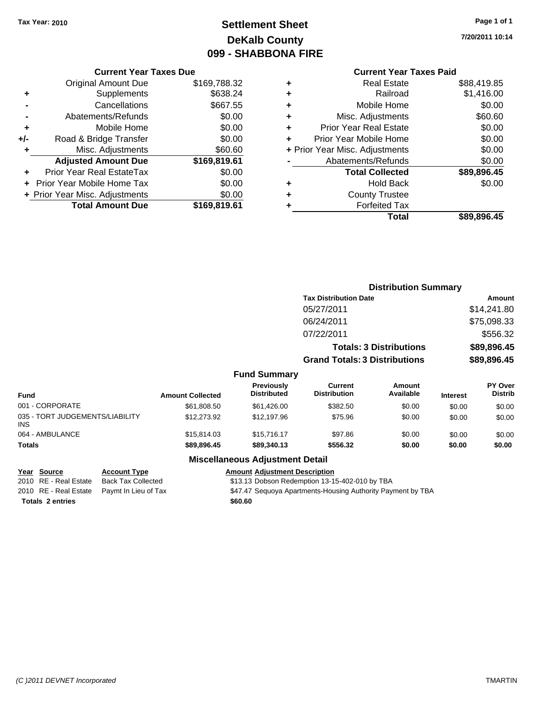# **Settlement Sheet Tax Year: 2010 Page 1 of 1 DeKalb County 099 - SHABBONA FIRE**

**7/20/2011 10:14**

# **Current Year Taxes Paid**

|     | <b>Current Year Taxes Due</b>  |              |
|-----|--------------------------------|--------------|
|     | <b>Original Amount Due</b>     | \$169,788.32 |
| ٠   | Supplements                    | \$638.24     |
|     | Cancellations                  | \$667.55     |
|     | Abatements/Refunds             | \$0.00       |
| ٠   | Mobile Home                    | \$0.00       |
| +/- | Road & Bridge Transfer         | \$0.00       |
| ٠   | Misc. Adjustments              | \$60.60      |
|     | <b>Adjusted Amount Due</b>     | \$169,819.61 |
|     | Prior Year Real EstateTax      | \$0.00       |
|     | Prior Year Mobile Home Tax     | \$0.00       |
|     | + Prior Year Misc. Adjustments | \$0.00       |
|     | <b>Total Amount Due</b>        | \$169,819.61 |

| ٠ | <b>Real Estate</b>             | \$88,419.85 |
|---|--------------------------------|-------------|
| ٠ | Railroad                       | \$1,416.00  |
| ٠ | Mobile Home                    | \$0.00      |
| ٠ | Misc. Adjustments              | \$60.60     |
| ٠ | <b>Prior Year Real Estate</b>  | \$0.00      |
| ٠ | Prior Year Mobile Home         | \$0.00      |
|   | + Prior Year Misc. Adjustments | \$0.00      |
|   | Abatements/Refunds             | \$0.00      |
|   | <b>Total Collected</b>         | \$89,896.45 |
| ٠ | <b>Hold Back</b>               | \$0.00      |
| ٠ | <b>County Trustee</b>          |             |
| ٠ | <b>Forfeited Tax</b>           |             |
|   | Total                          | \$89,896.45 |
|   |                                |             |

|                                         |                         |                                         | <b>Distribution Summary</b>           |                                |                 |                                  |
|-----------------------------------------|-------------------------|-----------------------------------------|---------------------------------------|--------------------------------|-----------------|----------------------------------|
|                                         |                         |                                         | <b>Tax Distribution Date</b>          |                                | <b>Amount</b>   |                                  |
|                                         |                         |                                         | 05/27/2011                            |                                |                 | \$14,241.80                      |
|                                         |                         |                                         | 06/24/2011                            |                                |                 | \$75,098.33                      |
|                                         |                         |                                         | 07/22/2011                            |                                |                 | \$556.32                         |
|                                         |                         |                                         |                                       | <b>Totals: 3 Distributions</b> |                 | \$89,896.45                      |
|                                         |                         |                                         | <b>Grand Totals: 3 Distributions</b>  |                                |                 | \$89,896.45                      |
|                                         |                         | <b>Fund Summary</b>                     |                                       |                                |                 |                                  |
| <b>Fund</b>                             | <b>Amount Collected</b> | <b>Previously</b><br><b>Distributed</b> | <b>Current</b><br><b>Distribution</b> | Amount<br>Available            | <b>Interest</b> | <b>PY Over</b><br><b>Distrib</b> |
| 001 - CORPORATE                         | \$61,808.50             | \$61,426.00                             | \$382.50                              | \$0.00                         | \$0.00          | \$0.00                           |
| 035 - TORT JUDGEMENTS/LIABILITY<br>INS. | \$12,273.92             | \$12,197.96                             | \$75.96                               | \$0.00                         | \$0.00          | \$0.00                           |
| 064 - AMBULANCE                         | \$15,814.03             | \$15,716.17                             | \$97.86                               | \$0.00                         | \$0.00          | \$0.00                           |
| <b>Totals</b>                           | \$89,896.45             | \$89,340.13                             | \$556.32                              | \$0.00                         | \$0.00          | \$0.00                           |

#### **Miscellaneous Adjustment Detail**

### **Year Source Account Type Amount Adjustment Description**

2010 RE - Real Estate Back Tax Collected \$13.13 Dobson Redemption 13-15-402-010 by TBA

2010 RE - Real Estate Paymt In Lieu of Tax **\$47.47 Sequoya Apartments-Housing Authority Payment by TBA** 

Totals 2 entries **200.60**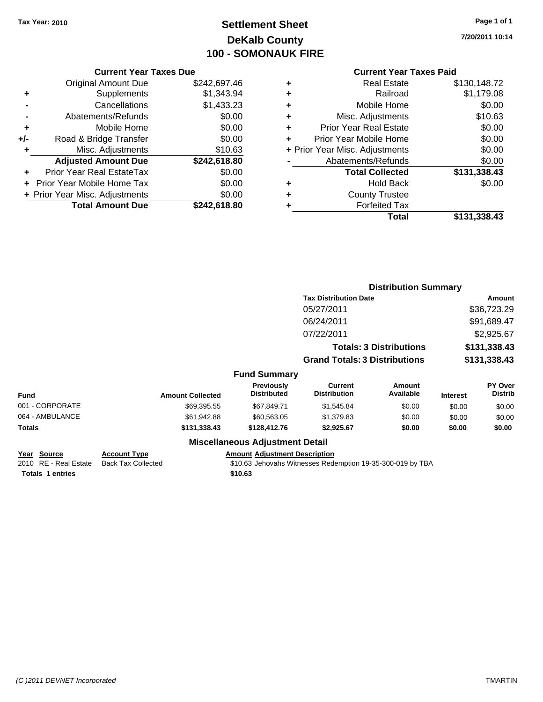# **Settlement Sheet Tax Year: 2010 Page 1 of 1 DeKalb County 100 - SOMONAUK FIRE**

**7/20/2011 10:14**

#### **Current Year Taxes Due**

|     | <b>Original Amount Due</b>        | \$242,697.46 |
|-----|-----------------------------------|--------------|
| ٠   | Supplements                       | \$1,343.94   |
|     | Cancellations                     | \$1,433.23   |
|     | Abatements/Refunds                | \$0.00       |
| ٠   | Mobile Home                       | \$0.00       |
| +/- | Road & Bridge Transfer            | \$0.00       |
| ٠   | Misc. Adjustments                 | \$10.63      |
|     | <b>Adjusted Amount Due</b>        | \$242,618.80 |
|     | <b>Prior Year Real EstateTax</b>  | \$0.00       |
|     | <b>Prior Year Mobile Home Tax</b> | \$0.00       |
|     | + Prior Year Misc. Adjustments    | \$0.00       |
|     | <b>Total Amount Due</b>           | \$242.618.80 |

#### **Current Year Taxes Paid**

| ٠ | <b>Real Estate</b>             | \$130,148.72 |
|---|--------------------------------|--------------|
| ٠ | Railroad                       | \$1,179.08   |
| ÷ | Mobile Home                    | \$0.00       |
| ÷ | Misc. Adjustments              | \$10.63      |
| ٠ | Prior Year Real Estate         | \$0.00       |
| ÷ | Prior Year Mobile Home         | \$0.00       |
|   | + Prior Year Misc. Adjustments | \$0.00       |
|   | Abatements/Refunds             | \$0.00       |
|   | <b>Total Collected</b>         | \$131,338.43 |
| ٠ | Hold Back                      | \$0.00       |
| ٠ | <b>County Trustee</b>          |              |
| ٠ | <b>Forfeited Tax</b>           |              |
|   | Total                          | \$131,338.43 |
|   |                                |              |

|                 |                         |                                        | <b>Distribution Summary</b>           |                                |                 |                           |
|-----------------|-------------------------|----------------------------------------|---------------------------------------|--------------------------------|-----------------|---------------------------|
|                 |                         |                                        | <b>Tax Distribution Date</b>          |                                |                 | Amount                    |
|                 |                         |                                        | 05/27/2011                            |                                |                 | \$36,723.29               |
|                 |                         |                                        | 06/24/2011                            |                                |                 | \$91,689.47               |
|                 |                         |                                        | 07/22/2011                            |                                |                 | \$2,925.67                |
|                 |                         |                                        |                                       | <b>Totals: 3 Distributions</b> |                 | \$131,338.43              |
|                 |                         |                                        | <b>Grand Totals: 3 Distributions</b>  |                                | \$131,338.43    |                           |
|                 |                         | <b>Fund Summary</b>                    |                                       |                                |                 |                           |
| <b>Fund</b>     | <b>Amount Collected</b> | Previously<br><b>Distributed</b>       | <b>Current</b><br><b>Distribution</b> | Amount<br>Available            | <b>Interest</b> | PY Over<br><b>Distrib</b> |
| 001 - CORPORATE | \$69,395.55             | \$67,849.71                            | \$1,545.84                            | \$0.00                         | \$0.00          | \$0.00                    |
| 064 - AMBULANCE | \$61,942.88             | \$60,563.05                            | \$1,379.83                            | \$0.00                         | \$0.00          | \$0.00                    |
| Totals          | \$131,338.43            | \$128,412.76                           | \$2,925.67                            | \$0.00                         | \$0.00          | \$0.00                    |
|                 |                         | <b>Miscellaneous Adjustment Detail</b> |                                       |                                |                 |                           |

**Totals \$10.63 1 entries**

**Year Source Account Type Amount Adjustment Description**<br>
2010 RE - Real Estate Back Tax Collected **1991** 10.63 Jehovahs Witnesses Rede \$10.63 Jehovahs Witnesses Redemption 19-35-300-019 by TBA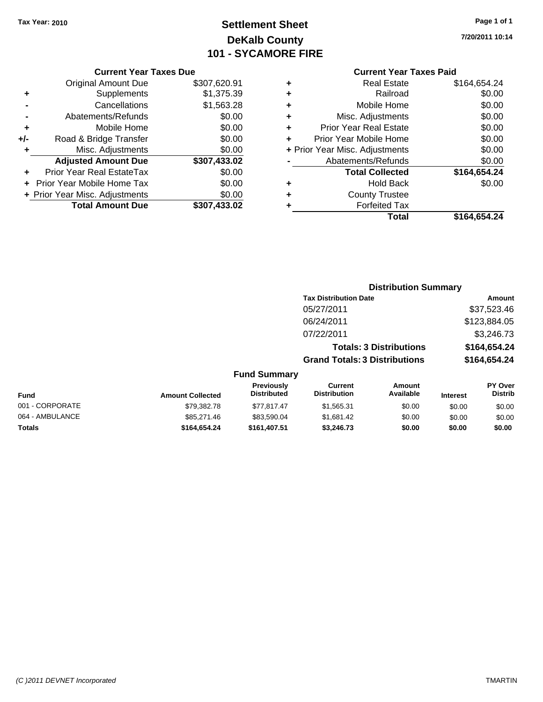# **Settlement Sheet Tax Year: 2010 Page 1 of 1 DeKalb County 101 - SYCAMORE FIRE**

**7/20/2011 10:14**

|     | <b>Current Year Taxes Due</b>     |              |
|-----|-----------------------------------|--------------|
|     | <b>Original Amount Due</b>        | \$307,620.91 |
| ٠   | Supplements                       | \$1,375.39   |
|     | Cancellations                     | \$1,563.28   |
|     | Abatements/Refunds                | \$0.00       |
| ٠   | Mobile Home                       | \$0.00       |
| +/- | Road & Bridge Transfer            | \$0.00       |
|     | Misc. Adjustments                 | \$0.00       |
|     | <b>Adjusted Amount Due</b>        | \$307,433.02 |
| ٠   | Prior Year Real EstateTax         | \$0.00       |
|     | <b>Prior Year Mobile Home Tax</b> | \$0.00       |
|     | + Prior Year Misc. Adjustments    | \$0.00       |
|     | <b>Total Amount Due</b>           | \$307.433.02 |

# **Current Year Taxes Paid**

| ٠ | <b>Real Estate</b>             | \$164,654.24 |
|---|--------------------------------|--------------|
| ٠ | Railroad                       | \$0.00       |
| ٠ | Mobile Home                    | \$0.00       |
| ٠ | Misc. Adjustments              | \$0.00       |
| ٠ | <b>Prior Year Real Estate</b>  | \$0.00       |
| ٠ | Prior Year Mobile Home         | \$0.00       |
|   | + Prior Year Misc. Adjustments | \$0.00       |
|   | Abatements/Refunds             | \$0.00       |
|   | <b>Total Collected</b>         | \$164,654.24 |
| ٠ | <b>Hold Back</b>               | \$0.00       |
| ٠ | <b>County Trustee</b>          |              |
| ٠ | <b>Forfeited Tax</b>           |              |
|   | Total                          | \$164,654.24 |
|   |                                |              |

#### **Distribution Summary Tax Distribution Date Amount** 05/27/2011 \$37,523.46 06/24/2011 \$123,884.05 07/22/2011 \$3,246.73 **Totals: 3 Distributions \$164,654.24 Grand Totals: 3 Distributions \$164,654.24 Fund Summary PY Over Distrib Amount Available Current Distribution Previously**

| Fund            | <b>Amount Collected</b> | ι ι σνιυμειν<br><b>Distributed</b> | <b>VULLEN</b><br><b>Distribution</b> | Allivulit<br>Available | <b>Interest</b> | וסע ו<br><b>Distrib</b> |
|-----------------|-------------------------|------------------------------------|--------------------------------------|------------------------|-----------------|-------------------------|
| 001 - CORPORATE | \$79.382.78             | \$77.817.47                        | \$1,565.31                           | \$0.00                 | \$0.00          | \$0.00                  |
| 064 - AMBULANCE | \$85,271.46             | \$83.590.04                        | \$1.681.42                           | \$0.00                 | \$0.00          | \$0.00                  |
| <b>Totals</b>   | \$164.654.24            | \$161,407.51                       | \$3.246.73                           | \$0.00                 | \$0.00          | \$0.00                  |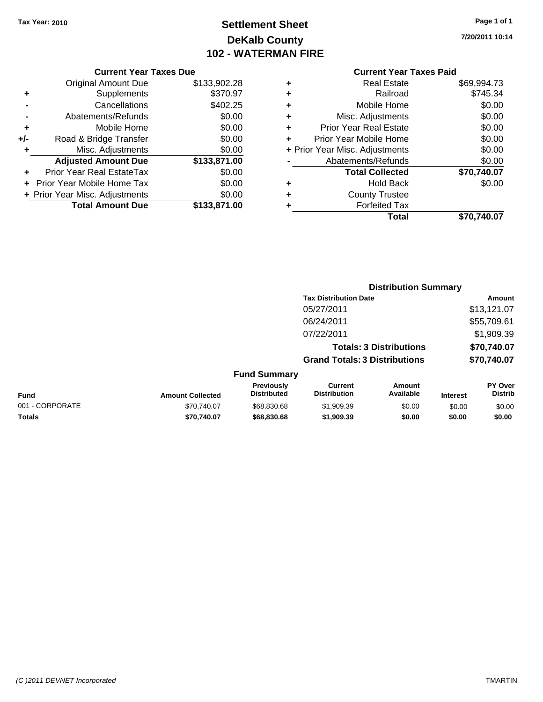# **Settlement Sheet Tax Year: 2010 Page 1 of 1 DeKalb County 102 - WATERMAN FIRE**

**7/20/2011 10:14**

# **Current Year Taxes Paid**

**Distribution Summary**

|   | Total                          | \$70.740.07 |
|---|--------------------------------|-------------|
|   | <b>Forfeited Tax</b>           |             |
| ٠ | <b>County Trustee</b>          |             |
|   | <b>Hold Back</b>               | \$0.00      |
|   | <b>Total Collected</b>         | \$70,740.07 |
|   | Abatements/Refunds             | \$0.00      |
|   | + Prior Year Misc. Adjustments | \$0.00      |
| ٠ | Prior Year Mobile Home         | \$0.00      |
| ٠ | <b>Prior Year Real Estate</b>  | \$0.00      |
| ٠ | Misc. Adjustments              | \$0.00      |
| ٠ | Mobile Home                    | \$0.00      |
| ٠ | Railroad                       | \$745.34    |
| ٠ | <b>Real Estate</b>             | \$69,994.73 |
|   |                                |             |

|     | <b>Current Year Taxes Due</b>  |              |
|-----|--------------------------------|--------------|
|     | <b>Original Amount Due</b>     | \$133,902.28 |
| ٠   | Supplements                    | \$370.97     |
|     | Cancellations                  | \$402.25     |
|     | Abatements/Refunds             | \$0.00       |
| ٠   | Mobile Home                    | \$0.00       |
| +/- | Road & Bridge Transfer         | \$0.00       |
| ٠   | Misc. Adjustments              | \$0.00       |
|     | <b>Adjusted Amount Due</b>     | \$133,871.00 |
|     | Prior Year Real EstateTax      | \$0.00       |
|     | Prior Year Mobile Home Tax     | \$0.00       |
|     | + Prior Year Misc. Adjustments | \$0.00       |
|     | <b>Total Amount Due</b>        | \$133,871.00 |

|                 |                         |                                         | <b>Tax Distribution Date</b>          |                                |                 | Amount                    |
|-----------------|-------------------------|-----------------------------------------|---------------------------------------|--------------------------------|-----------------|---------------------------|
|                 |                         |                                         | 05/27/2011                            |                                |                 | \$13,121.07               |
|                 |                         |                                         | 06/24/2011                            |                                |                 | \$55,709.61               |
|                 |                         |                                         | 07/22/2011                            |                                |                 | \$1,909.39                |
|                 |                         |                                         |                                       | <b>Totals: 3 Distributions</b> |                 | \$70,740.07               |
|                 |                         |                                         | <b>Grand Totals: 3 Distributions</b>  |                                |                 | \$70,740.07               |
|                 |                         | <b>Fund Summary</b>                     |                                       |                                |                 |                           |
| <b>Fund</b>     | <b>Amount Collected</b> | <b>Previously</b><br><b>Distributed</b> | <b>Current</b><br><b>Distribution</b> | Amount<br>Available            | <b>Interest</b> | PY Over<br><b>Distrib</b> |
| 001 - CORPORATE | \$70,740.07             | \$68,830.68                             | \$1,909.39                            | \$0.00                         | \$0.00          | \$0.00                    |

**Totals \$70,740.07 \$68,830.68 \$1,909.39 \$0.00 \$0.00 \$0.00**

#### *(C )2011 DEVNET Incorporated* TMARTIN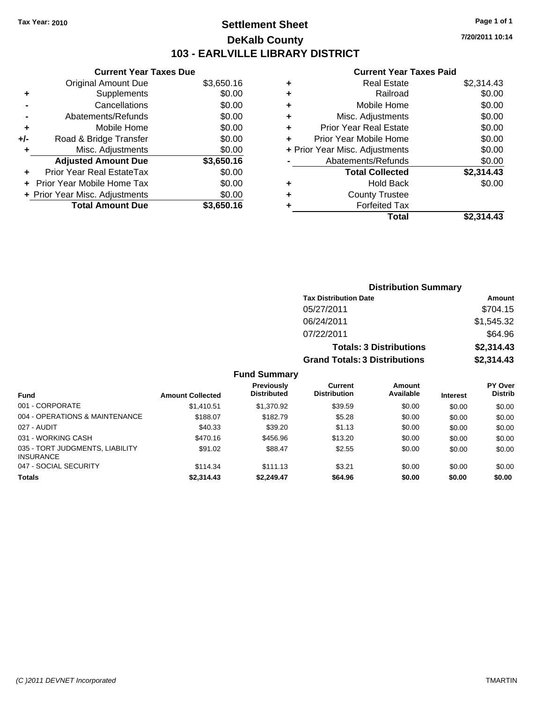# **Settlement Sheet Tax Year: 2010 Page 1 of 1 DeKalb County 103 - EARLVILLE LIBRARY DISTRICT**

**7/20/2011 10:14**

## **Current Year Taxes Paid**

|     | <b>Current Year Taxes Due</b>     |            |
|-----|-----------------------------------|------------|
|     | <b>Original Amount Due</b>        | \$3,650.16 |
| ÷   | Supplements                       | \$0.00     |
|     | Cancellations                     | \$0.00     |
|     | Abatements/Refunds                | \$0.00     |
| ٠   | Mobile Home                       | \$0.00     |
| +/- | Road & Bridge Transfer            | \$0.00     |
|     | Misc. Adjustments                 | \$0.00     |
|     | <b>Adjusted Amount Due</b>        | \$3,650.16 |
| ÷   | Prior Year Real EstateTax         | \$0.00     |
|     | <b>Prior Year Mobile Home Tax</b> | \$0.00     |
|     | + Prior Year Misc. Adjustments    | \$0.00     |
|     | <b>Total Amount Due</b>           | \$3,650.16 |

| ٠ | <b>Real Estate</b>             | \$2,314.43 |
|---|--------------------------------|------------|
| ٠ | Railroad                       | \$0.00     |
| ٠ | Mobile Home                    | \$0.00     |
| ٠ | Misc. Adjustments              | \$0.00     |
| ٠ | <b>Prior Year Real Estate</b>  | \$0.00     |
| ÷ | Prior Year Mobile Home         | \$0.00     |
|   | + Prior Year Misc. Adjustments | \$0.00     |
|   | Abatements/Refunds             | \$0.00     |
|   | <b>Total Collected</b>         | \$2,314.43 |
| ٠ | <b>Hold Back</b>               | \$0.00     |
| ٠ | <b>County Trustee</b>          |            |
|   | <b>Forfeited Tax</b>           |            |
|   | Total                          | \$2.314.43 |

| <b>Distribution Summary</b>          |            |
|--------------------------------------|------------|
| <b>Tax Distribution Date</b>         | Amount     |
| 05/27/2011                           | \$704.15   |
| 06/24/2011                           | \$1,545.32 |
| 07/22/2011                           | \$64.96    |
| <b>Totals: 3 Distributions</b>       | \$2,314.43 |
| <b>Grand Totals: 3 Distributions</b> | \$2,314.43 |

| <b>Fund</b>                                         | <b>Amount Collected</b> | <b>Previously</b><br><b>Distributed</b> | Current<br><b>Distribution</b> | Amount<br>Available |                 | <b>PY Over</b><br><b>Distrib</b> |
|-----------------------------------------------------|-------------------------|-----------------------------------------|--------------------------------|---------------------|-----------------|----------------------------------|
|                                                     |                         |                                         |                                |                     | <b>Interest</b> |                                  |
| 001 - CORPORATE                                     | \$1,410.51              | \$1.370.92                              | \$39.59                        | \$0.00              | \$0.00          | \$0.00                           |
| 004 - OPERATIONS & MAINTENANCE                      | \$188.07                | \$182.79                                | \$5.28                         | \$0.00              | \$0.00          | \$0.00                           |
| 027 - AUDIT                                         | \$40.33                 | \$39.20                                 | \$1.13                         | \$0.00              | \$0.00          | \$0.00                           |
| 031 - WORKING CASH                                  | \$470.16                | \$456.96                                | \$13.20                        | \$0.00              | \$0.00          | \$0.00                           |
| 035 - TORT JUDGMENTS, LIABILITY<br><b>INSURANCE</b> | \$91.02                 | \$88.47                                 | \$2.55                         | \$0.00              | \$0.00          | \$0.00                           |
| 047 - SOCIAL SECURITY                               | \$114.34                | \$111.13                                | \$3.21                         | \$0.00              | \$0.00          | \$0.00                           |
| <b>Totals</b>                                       | \$2,314.43              | \$2,249.47                              | \$64.96                        | \$0.00              | \$0.00          | \$0.00                           |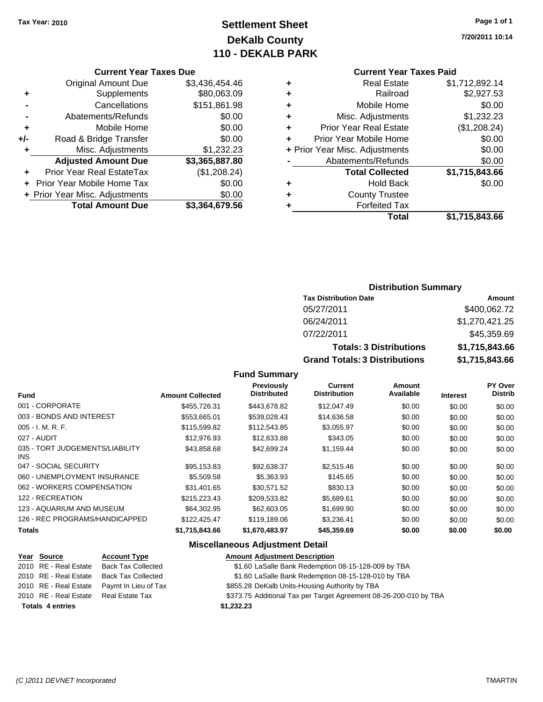# **Settlement Sheet Tax Year: 2010 Page 1 of 1 DeKalb County 110 - DEKALB PARK**

#### **Current Year Taxes Due**

|     | <b>Original Amount Due</b>     | \$3,436,454.46 |
|-----|--------------------------------|----------------|
| ÷   | Supplements                    | \$80,063.09    |
|     | Cancellations                  | \$151,861.98   |
|     | Abatements/Refunds             | \$0.00         |
| ٠   | Mobile Home                    | \$0.00         |
| +/- | Road & Bridge Transfer         | \$0.00         |
| ٠   | Misc. Adjustments              | \$1,232.23     |
|     | <b>Adjusted Amount Due</b>     | \$3,365,887.80 |
|     | Prior Year Real EstateTax      | (\$1,208.24)   |
|     | Prior Year Mobile Home Tax     | \$0.00         |
|     | + Prior Year Misc. Adjustments | \$0.00         |
|     | <b>Total Amount Due</b>        | \$3,364,679.56 |

#### **Current Year Taxes Paid**

|   | <b>Real Estate</b>             | \$1,712,892.14 |
|---|--------------------------------|----------------|
| ٠ | Railroad                       | \$2,927.53     |
| ٠ | Mobile Home                    | \$0.00         |
| ٠ | Misc. Adjustments              | \$1,232.23     |
| ٠ | <b>Prior Year Real Estate</b>  | (\$1,208.24)   |
| ÷ | Prior Year Mobile Home         | \$0.00         |
|   | + Prior Year Misc. Adjustments | \$0.00         |
|   | Abatements/Refunds             | \$0.00         |
|   | <b>Total Collected</b>         | \$1,715,843.66 |
| ٠ | <b>Hold Back</b>               | \$0.00         |
| ٠ | <b>County Trustee</b>          |                |
| ٠ | <b>Forfeited Tax</b>           |                |
|   | Total                          | \$1,715,843.66 |
|   |                                |                |

# **Distribution Summary**

| <b>Tax Distribution Date</b>         | Amount         |
|--------------------------------------|----------------|
| 05/27/2011                           | \$400,062.72   |
| 06/24/2011                           | \$1,270,421.25 |
| 07/22/2011                           | \$45,359.69    |
| <b>Totals: 3 Distributions</b>       | \$1,715,843,66 |
| <b>Grand Totals: 3 Distributions</b> | \$1,715,843.66 |

#### **Fund Summary**

| <b>Fund</b>                             | <b>Amount Collected</b> | <b>Previously</b><br><b>Distributed</b> | <b>Current</b><br><b>Distribution</b> | Amount<br>Available | <b>Interest</b> | PY Over<br><b>Distrib</b> |
|-----------------------------------------|-------------------------|-----------------------------------------|---------------------------------------|---------------------|-----------------|---------------------------|
| 001 - CORPORATE                         | \$455,726.31            | \$443,678.82                            | \$12,047.49                           | \$0.00              | \$0.00          | \$0.00                    |
| 003 - BONDS AND INTEREST                | \$553,665.01            | \$539,028.43                            | \$14,636.58                           | \$0.00              | \$0.00          | \$0.00                    |
| $005 - I. M. R. F.$                     | \$115,599.82            | \$112,543.85                            | \$3,055.97                            | \$0.00              | \$0.00          | \$0.00                    |
| 027 - AUDIT                             | \$12,976.93             | \$12,633.88                             | \$343.05                              | \$0.00              | \$0.00          | \$0.00                    |
| 035 - TORT JUDGEMENTS/LIABILITY<br>INS. | \$43.858.68             | \$42.699.24                             | \$1,159.44                            | \$0.00              | \$0.00          | \$0.00                    |
| 047 - SOCIAL SECURITY                   | \$95.153.83             | \$92.638.37                             | \$2,515.46                            | \$0.00              | \$0.00          | \$0.00                    |
| 060 - UNEMPLOYMENT INSURANCE            | \$5,509.58              | \$5,363.93                              | \$145.65                              | \$0.00              | \$0.00          | \$0.00                    |
| 062 - WORKERS COMPENSATION              | \$31,401.65             | \$30.571.52                             | \$830.13                              | \$0.00              | \$0.00          | \$0.00                    |
| 122 - RECREATION                        | \$215,223.43            | \$209,533.82                            | \$5,689.61                            | \$0.00              | \$0.00          | \$0.00                    |
| 123 - AQUARIUM AND MUSEUM               | \$64,302.95             | \$62,603.05                             | \$1,699.90                            | \$0.00              | \$0.00          | \$0.00                    |
| 126 - REC PROGRAMS/HANDICAPPED          | \$122.425.47            | \$119,189,06                            | \$3,236.41                            | \$0.00              | \$0.00          | \$0.00                    |
| <b>Totals</b>                           | \$1,715,843.66          | \$1,670,483.97                          | \$45,359.69                           | \$0.00              | \$0.00          | \$0.00                    |
|                                         |                         |                                         |                                       |                     |                 |                           |

#### **Miscellaneous Adjustment Detail**

#### **Year Source Account Type Amount Adjustment Description** \$1.60 LaSalle Bank Redemption 08-15-128-009 by TBA 2010 RE - Real Estate Back Tax Collected \$1.60 LaSalle Bank Redemption 08-15-128-010 by TBA 2010 RE - Real Estate Paymt In Lieu of Tax \$855.28 DeKalb Units-Housing Authority by TBA 2010 RE - Real Estate Real Estate Tax **Additional Tax per Target Agreement 08-26-200-010 by TBA Totals \$1,232.23 4 entries**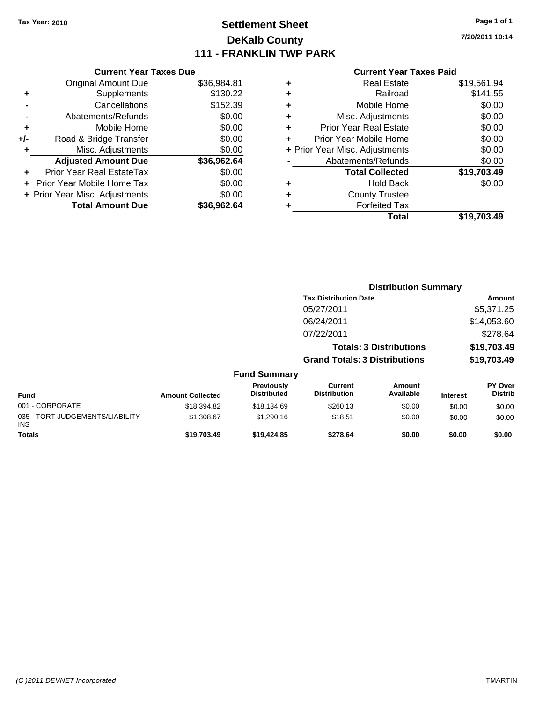# **Settlement Sheet Tax Year: 2010 Page 1 of 1 DeKalb County 111 - FRANKLIN TWP PARK**

**7/20/2011 10:14**

#### **Current Year Taxes Paid**

| <b>Current Year Taxes Due</b>     |             |
|-----------------------------------|-------------|
| <b>Original Amount Due</b>        | \$36,984.81 |
| Supplements                       | \$130.22    |
| Cancellations                     | \$152.39    |
| Abatements/Refunds                | \$0.00      |
| Mobile Home                       | \$0.00      |
| Road & Bridge Transfer            | \$0.00      |
| Misc. Adjustments                 | \$0.00      |
| <b>Adjusted Amount Due</b>        | \$36,962.64 |
| Prior Year Real EstateTax         | \$0.00      |
| <b>Prior Year Mobile Home Tax</b> | \$0.00      |
| + Prior Year Misc. Adjustments    | \$0.00      |
| <b>Total Amount Due</b>           | \$36.962.64 |
|                                   |             |

| ٠ | <b>Real Estate</b>             | \$19,561.94 |
|---|--------------------------------|-------------|
| ٠ | Railroad                       | \$141.55    |
| ٠ | Mobile Home                    | \$0.00      |
| ٠ | Misc. Adjustments              | \$0.00      |
| ÷ | Prior Year Real Estate         | \$0.00      |
|   | Prior Year Mobile Home         | \$0.00      |
|   | + Prior Year Misc. Adjustments | \$0.00      |
|   | Abatements/Refunds             | \$0.00      |
|   | <b>Total Collected</b>         | \$19,703.49 |
| ٠ | <b>Hold Back</b>               | \$0.00      |
| ٠ | <b>County Trustee</b>          |             |
| ٠ | <b>Forfeited Tax</b>           |             |
|   | Total                          | \$19,703,49 |
|   |                                |             |

|                                               |                         |                                  |                                       | <b>Distribution Summary</b>    |                 |                                  |
|-----------------------------------------------|-------------------------|----------------------------------|---------------------------------------|--------------------------------|-----------------|----------------------------------|
|                                               |                         |                                  | <b>Tax Distribution Date</b>          |                                |                 | Amount                           |
|                                               |                         |                                  | 05/27/2011                            |                                |                 | \$5,371.25                       |
|                                               |                         |                                  | 06/24/2011                            |                                |                 | \$14,053.60                      |
|                                               |                         |                                  | 07/22/2011                            |                                |                 | \$278.64                         |
|                                               |                         |                                  |                                       | <b>Totals: 3 Distributions</b> |                 | \$19,703.49                      |
|                                               |                         |                                  | <b>Grand Totals: 3 Distributions</b>  |                                |                 | \$19,703.49                      |
|                                               |                         | <b>Fund Summary</b>              |                                       |                                |                 |                                  |
| <b>Fund</b>                                   | <b>Amount Collected</b> | Previously<br><b>Distributed</b> | <b>Current</b><br><b>Distribution</b> | Amount<br>Available            | <b>Interest</b> | <b>PY Over</b><br><b>Distrib</b> |
| 001 - CORPORATE                               | \$18,394.82             | \$18,134.69                      | \$260.13                              | \$0.00                         | \$0.00          | \$0.00                           |
| 035 - TORT JUDGEMENTS/LIABILITY<br><b>INS</b> | \$1,308.67              | \$1,290.16                       | \$18.51                               | \$0.00                         | \$0.00          | \$0.00                           |
| <b>Totals</b>                                 | \$19,703.49             | \$19,424.85                      | \$278.64                              | \$0.00                         | \$0.00          | \$0.00                           |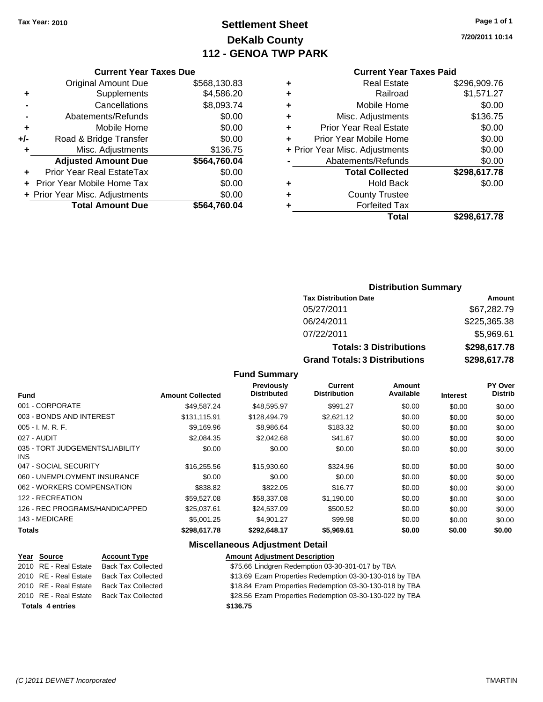# **Settlement Sheet Tax Year: 2010 Page 1 of 1 DeKalb County 112 - GENOA TWP PARK**

**7/20/2011 10:14**

#### **Current Year Taxes Paid**

|     | <b>Current Year Taxes Due</b>  |              |  |  |  |
|-----|--------------------------------|--------------|--|--|--|
|     | <b>Original Amount Due</b>     | \$568,130.83 |  |  |  |
| ٠   | Supplements                    | \$4,586.20   |  |  |  |
|     | Cancellations                  | \$8,093.74   |  |  |  |
|     | Abatements/Refunds             | \$0.00       |  |  |  |
| ٠   | Mobile Home                    | \$0.00       |  |  |  |
| +/- | Road & Bridge Transfer         | \$0.00       |  |  |  |
| ٠   | Misc. Adjustments              | \$136.75     |  |  |  |
|     | <b>Adjusted Amount Due</b>     | \$564,760.04 |  |  |  |
| ٠   | Prior Year Real EstateTax      | \$0.00       |  |  |  |
|     | Prior Year Mobile Home Tax     | \$0.00       |  |  |  |
|     | + Prior Year Misc. Adjustments | \$0.00       |  |  |  |
|     | <b>Total Amount Due</b>        | \$564,760.04 |  |  |  |
|     |                                |              |  |  |  |

| ٠ | <b>Real Estate</b>             | \$296,909.76 |
|---|--------------------------------|--------------|
| ٠ | Railroad                       | \$1,571.27   |
| ٠ | Mobile Home                    | \$0.00       |
| ٠ | Misc. Adjustments              | \$136.75     |
| ٠ | <b>Prior Year Real Estate</b>  | \$0.00       |
|   | Prior Year Mobile Home         | \$0.00       |
|   | + Prior Year Misc. Adjustments | \$0.00       |
|   | Abatements/Refunds             | \$0.00       |
|   | <b>Total Collected</b>         | \$298,617.78 |
| ٠ | <b>Hold Back</b>               | \$0.00       |
|   | <b>County Trustee</b>          |              |
|   | <b>Forfeited Tax</b>           |              |
|   | Total                          | \$298,617.78 |
|   |                                |              |

# **Distribution Summary**

| <b>Tax Distribution Date</b>         | Amount       |
|--------------------------------------|--------------|
| 05/27/2011                           | \$67,282.79  |
| 06/24/2011                           | \$225,365.38 |
| 07/22/2011                           | \$5,969.61   |
| <b>Totals: 3 Distributions</b>       | \$298,617.78 |
| <b>Grand Totals: 3 Distributions</b> | \$298,617.78 |

# **Fund Summary**

| <b>Amount Collected</b> | <b>Previously</b><br><b>Distributed</b> | <b>Current</b><br><b>Distribution</b> | Amount<br>Available | <b>Interest</b> | PY Over<br><b>Distrib</b> |
|-------------------------|-----------------------------------------|---------------------------------------|---------------------|-----------------|---------------------------|
| \$49.587.24             | \$48,595.97                             | \$991.27                              | \$0.00              | \$0.00          | \$0.00                    |
| \$131.115.91            | \$128,494.79                            | \$2,621.12                            | \$0.00              | \$0.00          | \$0.00                    |
| \$9,169.96              | \$8,986.64                              | \$183.32                              | \$0.00              | \$0.00          | \$0.00                    |
| \$2,084.35              | \$2,042.68                              | \$41.67                               | \$0.00              | \$0.00          | \$0.00                    |
| \$0.00                  | \$0.00                                  | \$0.00                                | \$0.00              | \$0.00          | \$0.00                    |
| \$16,255.56             | \$15,930.60                             | \$324.96                              | \$0.00              | \$0.00          | \$0.00                    |
| \$0.00                  | \$0.00                                  | \$0.00                                | \$0.00              | \$0.00          | \$0.00                    |
| \$838.82                | \$822.05                                | \$16.77                               | \$0.00              | \$0.00          | \$0.00                    |
| \$59,527.08             | \$58,337.08                             | \$1,190.00                            | \$0.00              | \$0.00          | \$0.00                    |
| \$25,037.61             | \$24,537.09                             | \$500.52                              | \$0.00              | \$0.00          | \$0.00                    |
| \$5,001.25              | \$4.901.27                              | \$99.98                               | \$0.00              | \$0.00          | \$0.00                    |
| \$298,617.78            | \$292,648.17                            | \$5,969.61                            | \$0.00              | \$0.00          | \$0.00                    |
|                         |                                         |                                       |                     |                 |                           |

# **Miscellaneous Adjustment Detail**

| Year Source             | <b>Account Type</b>       | <b>Amount Adjustment Description</b>                    |
|-------------------------|---------------------------|---------------------------------------------------------|
| 2010 RE - Real Estate   | <b>Back Tax Collected</b> | \$75.66 Lindgren Redemption 03-30-301-017 by TBA        |
| 2010 RE - Real Estate   | <b>Back Tax Collected</b> | \$13.69 Ezam Properties Redemption 03-30-130-016 by TBA |
| 2010 RE - Real Estate   | <b>Back Tax Collected</b> | \$18.84 Ezam Properties Redemption 03-30-130-018 by TBA |
| 2010 RE - Real Estate   | <b>Back Tax Collected</b> | \$28.56 Ezam Properties Redemption 03-30-130-022 by TBA |
| <b>Totals 4 entries</b> |                           | \$136.75                                                |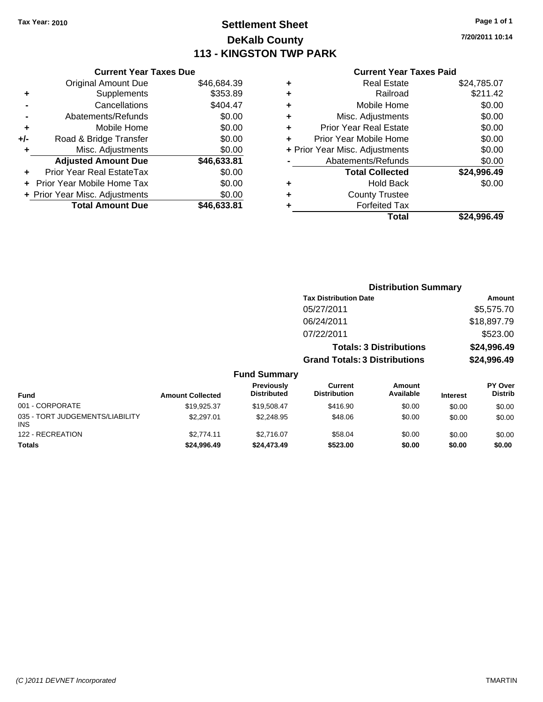# **Settlement Sheet Tax Year: 2010 Page 1 of 1 DeKalb County 113 - KINGSTON TWP PARK**

**7/20/2011 10:14**

|     | <b>Current Year Taxes Due</b>  |             |
|-----|--------------------------------|-------------|
|     | <b>Original Amount Due</b>     | \$46,684.39 |
| ٠   | Supplements                    | \$353.89    |
|     | Cancellations                  | \$404.47    |
|     | Abatements/Refunds             | \$0.00      |
| ٠   | Mobile Home                    | \$0.00      |
| +/- | Road & Bridge Transfer         | \$0.00      |
| ٠   | Misc. Adjustments              | \$0.00      |
|     | <b>Adjusted Amount Due</b>     | \$46,633.81 |
|     | Prior Year Real EstateTax      | \$0.00      |
|     | Prior Year Mobile Home Tax     | \$0.00      |
|     | + Prior Year Misc. Adjustments | \$0.00      |
|     | <b>Total Amount Due</b>        | \$46,633.81 |
|     |                                |             |

#### **Current Year Taxes Paid**

|   | <b>Real Estate</b>             | \$24,785.07 |
|---|--------------------------------|-------------|
| ٠ | Railroad                       | \$211.42    |
| ٠ | Mobile Home                    | \$0.00      |
| ٠ | Misc. Adjustments              | \$0.00      |
| ٠ | <b>Prior Year Real Estate</b>  | \$0.00      |
|   | Prior Year Mobile Home         | \$0.00      |
|   | + Prior Year Misc. Adjustments | \$0.00      |
|   | Abatements/Refunds             | \$0.00      |
|   | <b>Total Collected</b>         | \$24,996.49 |
| ٠ | <b>Hold Back</b>               | \$0.00      |
| ٠ | <b>County Trustee</b>          |             |
| ٠ | <b>Forfeited Tax</b>           |             |
|   | Total                          | \$24,996.49 |
|   |                                |             |

|                                               |                         |                                         |                                       | <b>Distribution Summary</b>    |                 |                           |
|-----------------------------------------------|-------------------------|-----------------------------------------|---------------------------------------|--------------------------------|-----------------|---------------------------|
|                                               |                         |                                         | <b>Tax Distribution Date</b>          |                                |                 | Amount                    |
|                                               |                         |                                         | 05/27/2011                            |                                |                 | \$5,575.70                |
|                                               |                         |                                         | 06/24/2011                            |                                |                 | \$18,897.79               |
|                                               |                         |                                         | 07/22/2011                            |                                |                 | \$523.00                  |
|                                               |                         |                                         |                                       | <b>Totals: 3 Distributions</b> |                 | \$24,996.49               |
|                                               |                         |                                         | <b>Grand Totals: 3 Distributions</b>  |                                |                 | \$24,996.49               |
|                                               |                         | <b>Fund Summary</b>                     |                                       |                                |                 |                           |
| <b>Fund</b>                                   | <b>Amount Collected</b> | <b>Previously</b><br><b>Distributed</b> | <b>Current</b><br><b>Distribution</b> | Amount<br>Available            | <b>Interest</b> | PY Over<br><b>Distrib</b> |
| 001 - CORPORATE                               | \$19,925.37             | \$19,508.47                             | \$416.90                              | \$0.00                         | \$0.00          | \$0.00                    |
| 035 - TORT JUDGEMENTS/LIABILITY<br><b>INS</b> | \$2,297.01              | \$2,248.95                              | \$48.06                               | \$0.00                         | \$0.00          | \$0.00                    |
| 122 - RECREATION                              | \$2,774.11              | \$2.716.07                              | \$58.04                               | \$0.00                         | \$0.00          | \$0.00                    |

**Totals \$24,996.49 \$24,473.49 \$523.00 \$0.00 \$0.00 \$0.00**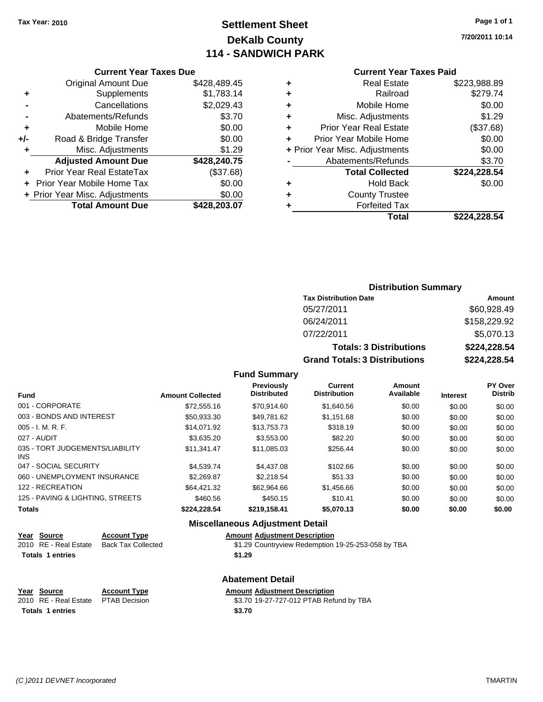# **Settlement Sheet Tax Year: 2010 Page 1 of 1 DeKalb County 114 - SANDWICH PARK**

**7/20/2011 10:14**

#### **Current Year Taxes Due**

|     | <b>Original Amount Due</b>        | \$428,489.45 |
|-----|-----------------------------------|--------------|
| ٠   | Supplements                       | \$1,783.14   |
|     | Cancellations                     | \$2,029.43   |
|     | Abatements/Refunds                | \$3.70       |
| ٠   | Mobile Home                       | \$0.00       |
| +/- | Road & Bridge Transfer            | \$0.00       |
|     | Misc. Adjustments                 | \$1.29       |
|     | <b>Adjusted Amount Due</b>        | \$428,240.75 |
|     | <b>Prior Year Real EstateTax</b>  | (\$37.68)    |
|     | <b>Prior Year Mobile Home Tax</b> | \$0.00       |
|     | + Prior Year Misc. Adjustments    | \$0.00       |
|     | <b>Total Amount Due</b>           | \$428,203.07 |

### **Current Year Taxes Paid**

| ٠ | <b>Real Estate</b>             | \$223,988.89 |
|---|--------------------------------|--------------|
| ٠ | Railroad                       | \$279.74     |
| ٠ | Mobile Home                    | \$0.00       |
| ٠ | Misc. Adjustments              | \$1.29       |
| ٠ | Prior Year Real Estate         | (\$37.68)    |
| ÷ | Prior Year Mobile Home         | \$0.00       |
|   | + Prior Year Misc. Adjustments | \$0.00       |
|   | Abatements/Refunds             | \$3.70       |
|   | <b>Total Collected</b>         | \$224,228.54 |
| ٠ | Hold Back                      | \$0.00       |
| ٠ | <b>County Trustee</b>          |              |
| ٠ | <b>Forfeited Tax</b>           |              |
|   | Total                          | \$224,228.54 |
|   |                                |              |

# **Distribution Summary Tax Distribution Date Amount** 05/27/2011 \$60,928.49 06/24/2011 \$158,229.92 07/22/2011 \$5,070.13 **Totals: 3 Distributions \$224,228.54 Grand Totals: 3 Distributions \$224,228.54**

### **Fund Summary**

| <b>Fund</b>                             | <b>Amount Collected</b> | <b>Previously</b><br><b>Distributed</b> | <b>Current</b><br><b>Distribution</b> | Amount<br>Available | <b>Interest</b> | PY Over<br><b>Distrib</b> |
|-----------------------------------------|-------------------------|-----------------------------------------|---------------------------------------|---------------------|-----------------|---------------------------|
| 001 - CORPORATE                         | \$72,555.16             | \$70.914.60                             | \$1,640.56                            | \$0.00              | \$0.00          | \$0.00                    |
| 003 - BONDS AND INTEREST                | \$50,933.30             | \$49,781.62                             | \$1,151.68                            | \$0.00              | \$0.00          | \$0.00                    |
| $005 - I. M. R. F.$                     | \$14.071.92             | \$13,753,73                             | \$318.19                              | \$0.00              | \$0.00          | \$0.00                    |
| 027 - AUDIT                             | \$3.635.20              | \$3,553.00                              | \$82.20                               | \$0.00              | \$0.00          | \$0.00                    |
| 035 - TORT JUDGEMENTS/LIABILITY<br>INS. | \$11.341.47             | \$11.085.03                             | \$256.44                              | \$0.00              | \$0.00          | \$0.00                    |
| 047 - SOCIAL SECURITY                   | \$4,539.74              | \$4,437.08                              | \$102.66                              | \$0.00              | \$0.00          | \$0.00                    |
| 060 - UNEMPLOYMENT INSURANCE            | \$2,269.87              | \$2.218.54                              | \$51.33                               | \$0.00              | \$0.00          | \$0.00                    |
| 122 - RECREATION                        | \$64,421.32             | \$62,964.66                             | \$1,456.66                            | \$0.00              | \$0.00          | \$0.00                    |
| 125 - PAVING & LIGHTING, STREETS        | \$460.56                | \$450.15                                | \$10.41                               | \$0.00              | \$0.00          | \$0.00                    |
| <b>Totals</b>                           | \$224,228.54            | \$219,158.41                            | \$5,070.13                            | \$0.00              | \$0.00          | \$0.00                    |

#### **Miscellaneous Adjustment Detail**

# **Year Source Account Type Amount Adjustment Description**

2010 RE - Real Estate Back Tax Collected \$1.29 Countryview Redemption 19-25-253-058 by TBA **Totals 1 entries 1.29** 

#### **Abatement Detail**

**Year Source Account Type Amount Adjustment Description** \$3.70 19-27-727-012 PTAB Refund by TBA Totals 1 entries \$3.70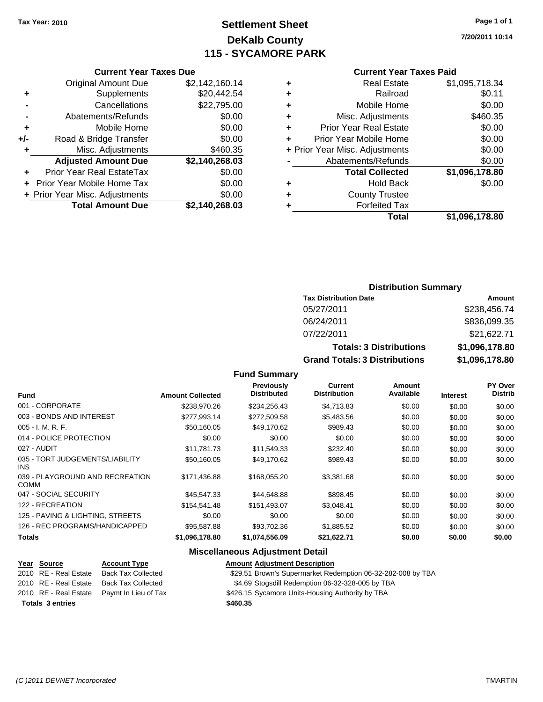# **Settlement Sheet Tax Year: 2010 Page 1 of 1 DeKalb County 115 - SYCAMORE PARK**

**7/20/2011 10:14**

# **Current Year Taxes Paid**

|   | OUITGIIL I GAI TAAGS FAIU      |                |
|---|--------------------------------|----------------|
| ٠ | <b>Real Estate</b>             | \$1,095,718.34 |
| ٠ | Railroad                       | \$0.11         |
| ٠ | Mobile Home                    | \$0.00         |
| ٠ | Misc. Adjustments              | \$460.35       |
| ٠ | <b>Prior Year Real Estate</b>  | \$0.00         |
|   | Prior Year Mobile Home         | \$0.00         |
|   | + Prior Year Misc. Adjustments | \$0.00         |
|   | Abatements/Refunds             | \$0.00         |
|   | <b>Total Collected</b>         | \$1,096,178.80 |
| ٠ | <b>Hold Back</b>               | \$0.00         |
| ٠ | <b>County Trustee</b>          |                |
|   | <b>Forfeited Tax</b>           |                |
|   | Total                          | \$1,096,178.80 |
|   |                                |                |

# **Current Year Taxes Due** Original Amount Due \$2,142,160.14 **+** Supplements \$20,442.54 **-** Cancellations \$22,795.00 **-** Abatements/Refunds \$0.00 **+** Mobile Home \$0.00 **+/-** Road & Bridge Transfer \$0.00 **+** Misc. Adjustments \$460.35 **Adjusted Amount Due \$2,140,268.03 +** Prior Year Real EstateTax \$0.00 **+** Prior Year Mobile Home Tax \$0.00 **+ Prior Year Misc. Adjustments**  $$0.00$ **Total Amount Due \$2,140,268.03**

## **Distribution Summary**

| <b>Tax Distribution Date</b>         | Amount         |
|--------------------------------------|----------------|
| 05/27/2011                           | \$238,456.74   |
| 06/24/2011                           | \$836,099.35   |
| 07/22/2011                           | \$21,622.71    |
| <b>Totals: 3 Distributions</b>       | \$1,096,178.80 |
| <b>Grand Totals: 3 Distributions</b> | \$1,096,178.80 |

#### **Fund Summary**

| <b>Fund</b>                                    | <b>Amount Collected</b> | Previously<br><b>Distributed</b> | Current<br><b>Distribution</b> | Amount<br>Available | <b>Interest</b> | <b>PY Over</b><br><b>Distrib</b> |
|------------------------------------------------|-------------------------|----------------------------------|--------------------------------|---------------------|-----------------|----------------------------------|
| 001 - CORPORATE                                | \$238,970.26            | \$234,256.43                     | \$4,713.83                     | \$0.00              | \$0.00          | \$0.00                           |
| 003 - BONDS AND INTEREST                       | \$277.993.14            | \$272,509.58                     | \$5,483.56                     | \$0.00              | \$0.00          | \$0.00                           |
| $005 - I. M. R. F.$                            | \$50.160.05             | \$49.170.62                      | \$989.43                       | \$0.00              | \$0.00          | \$0.00                           |
| 014 - POLICE PROTECTION                        | \$0.00                  | \$0.00                           | \$0.00                         | \$0.00              | \$0.00          | \$0.00                           |
| 027 - AUDIT                                    | \$11.781.73             | \$11,549.33                      | \$232.40                       | \$0.00              | \$0.00          | \$0.00                           |
| 035 - TORT JUDGEMENTS/LIABILITY<br>INS.        | \$50,160.05             | \$49,170.62                      | \$989.43                       | \$0.00              | \$0.00          | \$0.00                           |
| 039 - PLAYGROUND AND RECREATION<br><b>COMM</b> | \$171,436.88            | \$168,055.20                     | \$3,381.68                     | \$0.00              | \$0.00          | \$0.00                           |
| 047 - SOCIAL SECURITY                          | \$45,547.33             | \$44,648.88                      | \$898.45                       | \$0.00              | \$0.00          | \$0.00                           |
| 122 - RECREATION                               | \$154.541.48            | \$151,493.07                     | \$3,048.41                     | \$0.00              | \$0.00          | \$0.00                           |
| 125 - PAVING & LIGHTING, STREETS               | \$0.00                  | \$0.00                           | \$0.00                         | \$0.00              | \$0.00          | \$0.00                           |
| 126 - REC PROGRAMS/HANDICAPPED                 | \$95,587.88             | \$93,702.36                      | \$1,885.52                     | \$0.00              | \$0.00          | \$0.00                           |
| <b>Totals</b>                                  | \$1,096,178.80          | \$1,074,556.09                   | \$21,622.71                    | \$0.00              | \$0.00          | \$0.00                           |

#### **Miscellaneous Adjustment Detail**

| Year Source             | <b>Account Type</b>                        | <b>Amount Adjustment Description</b>                        |
|-------------------------|--------------------------------------------|-------------------------------------------------------------|
| 2010 RE - Real Estate   | <b>Back Tax Collected</b>                  | \$29.51 Brown's Supermarket Redemption 06-32-282-008 by TBA |
| 2010 RE - Real Estate   | <b>Back Tax Collected</b>                  | \$4.69 Stogsdill Redemption 06-32-328-005 by TBA            |
|                         | 2010 RE - Real Estate Paymt In Lieu of Tax | \$426.15 Sycamore Units-Housing Authority by TBA            |
| <b>Totals 3 entries</b> |                                            | \$460.35                                                    |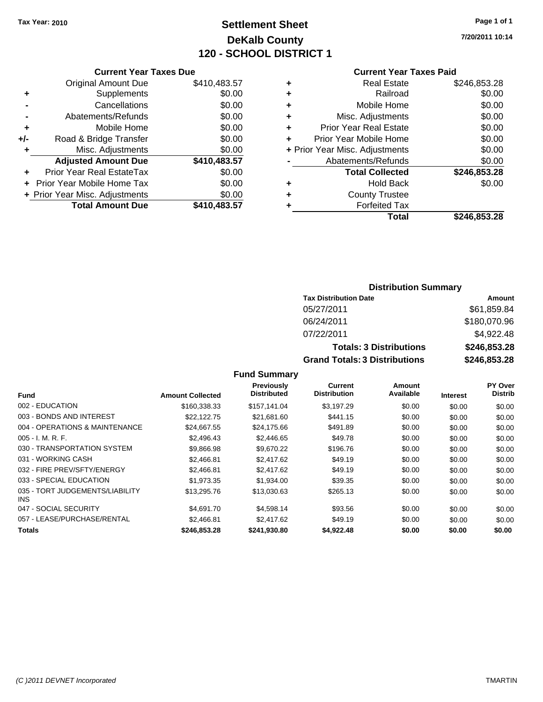# **Settlement Sheet Tax Year: 2010 Page 1 of 1 DeKalb County 120 - SCHOOL DISTRICT 1**

**7/20/2011 10:14**

## **Current Year Taxes Paid**

|     | <b>Current Year Taxes Due</b>  |              |  |
|-----|--------------------------------|--------------|--|
|     | <b>Original Amount Due</b>     | \$410,483.57 |  |
|     | Supplements                    | \$0.00       |  |
|     | Cancellations                  | \$0.00       |  |
|     | Abatements/Refunds             | \$0.00       |  |
|     | Mobile Home                    | \$0.00       |  |
| +/- | Road & Bridge Transfer         | \$0.00       |  |
|     | Misc. Adjustments              | \$0.00       |  |
|     | <b>Adjusted Amount Due</b>     | \$410,483.57 |  |
|     | Prior Year Real EstateTax      | \$0.00       |  |
|     | Prior Year Mobile Home Tax     | \$0.00       |  |
|     | + Prior Year Misc. Adjustments | \$0.00       |  |
|     | <b>Total Amount Due</b>        | \$410,483.57 |  |
|     |                                |              |  |

| ٠ | <b>Real Estate</b>             | \$246,853.28 |
|---|--------------------------------|--------------|
| ٠ | Railroad                       | \$0.00       |
| ٠ | Mobile Home                    | \$0.00       |
| ٠ | Misc. Adjustments              | \$0.00       |
| ٠ | Prior Year Real Estate         | \$0.00       |
| ÷ | Prior Year Mobile Home         | \$0.00       |
|   | + Prior Year Misc. Adjustments | \$0.00       |
|   | Abatements/Refunds             | \$0.00       |
|   | <b>Total Collected</b>         | \$246,853.28 |
| ٠ | <b>Hold Back</b>               | \$0.00       |
| ٠ | <b>County Trustee</b>          |              |
| ٠ | <b>Forfeited Tax</b>           |              |
|   | Total                          | \$246,853.28 |
|   |                                |              |

# **Distribution Summary**

| <b>Tax Distribution Date</b>         | Amount       |
|--------------------------------------|--------------|
| 05/27/2011                           | \$61,859.84  |
| 06/24/2011                           | \$180,070.96 |
| 07/22/2011                           | \$4,922.48   |
| <b>Totals: 3 Distributions</b>       | \$246,853.28 |
| <b>Grand Totals: 3 Distributions</b> | \$246,853.28 |

|                                         |                         | <b>Previously</b>  | Current             | Amount    |                 | <b>PY Over</b> |
|-----------------------------------------|-------------------------|--------------------|---------------------|-----------|-----------------|----------------|
| <b>Fund</b>                             | <b>Amount Collected</b> | <b>Distributed</b> | <b>Distribution</b> | Available | <b>Interest</b> | <b>Distrib</b> |
| 002 - EDUCATION                         | \$160.338.33            | \$157.141.04       | \$3.197.29          | \$0.00    | \$0.00          | \$0.00         |
| 003 - BONDS AND INTEREST                | \$22,122,75             | \$21.681.60        | \$441.15            | \$0.00    | \$0.00          | \$0.00         |
| 004 - OPERATIONS & MAINTENANCE          | \$24.667.55             | \$24,175.66        | \$491.89            | \$0.00    | \$0.00          | \$0.00         |
| $005 - I. M. R. F.$                     | \$2,496.43              | \$2,446.65         | \$49.78             | \$0.00    | \$0.00          | \$0.00         |
| 030 - TRANSPORTATION SYSTEM             | \$9.866.98              | \$9.670.22         | \$196.76            | \$0.00    | \$0.00          | \$0.00         |
| 031 - WORKING CASH                      | \$2,466.81              | \$2,417.62         | \$49.19             | \$0.00    | \$0.00          | \$0.00         |
| 032 - FIRE PREV/SFTY/ENERGY             | \$2,466.81              | \$2,417.62         | \$49.19             | \$0.00    | \$0.00          | \$0.00         |
| 033 - SPECIAL EDUCATION                 | \$1,973.35              | \$1,934.00         | \$39.35             | \$0.00    | \$0.00          | \$0.00         |
| 035 - TORT JUDGEMENTS/LIABILITY<br>INS. | \$13,295.76             | \$13,030.63        | \$265.13            | \$0.00    | \$0.00          | \$0.00         |
| 047 - SOCIAL SECURITY                   | \$4,691.70              | \$4,598.14         | \$93.56             | \$0.00    | \$0.00          | \$0.00         |
| 057 - LEASE/PURCHASE/RENTAL             | \$2,466.81              | \$2,417.62         | \$49.19             | \$0.00    | \$0.00          | \$0.00         |
| Totals                                  | \$246.853.28            | \$241,930.80       | \$4.922.48          | \$0.00    | \$0.00          | \$0.00         |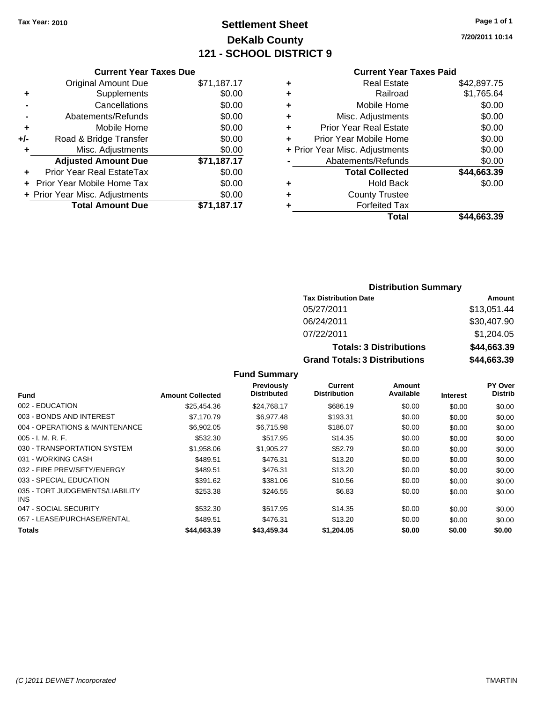# **Settlement Sheet Tax Year: 2010 Page 1 of 1 DeKalb County 121 - SCHOOL DISTRICT 9**

**7/20/2011 10:14**

#### **Current Year Taxes Paid**

|       | <b>Current Year Taxes Due</b>  |             |  |  |  |  |
|-------|--------------------------------|-------------|--|--|--|--|
|       | <b>Original Amount Due</b>     | \$71,187.17 |  |  |  |  |
| ٠     | Supplements                    | \$0.00      |  |  |  |  |
|       | Cancellations                  | \$0.00      |  |  |  |  |
|       | Abatements/Refunds             | \$0.00      |  |  |  |  |
| ٠     | Mobile Home                    | \$0.00      |  |  |  |  |
| $+/-$ | Road & Bridge Transfer         | \$0.00      |  |  |  |  |
| ٠     | Misc. Adjustments              | \$0.00      |  |  |  |  |
|       | <b>Adjusted Amount Due</b>     | \$71,187.17 |  |  |  |  |
|       | Prior Year Real EstateTax      | \$0.00      |  |  |  |  |
|       | Prior Year Mobile Home Tax     | \$0.00      |  |  |  |  |
|       | + Prior Year Misc. Adjustments | \$0.00      |  |  |  |  |
|       | <b>Total Amount Due</b>        | \$71.187.17 |  |  |  |  |
|       |                                |             |  |  |  |  |

| ٠                              | <b>Real Estate</b>            | \$42,897.75 |
|--------------------------------|-------------------------------|-------------|
| ٠                              | Railroad                      | \$1,765.64  |
| ٠                              | Mobile Home                   | \$0.00      |
| ٠                              | Misc. Adjustments             | \$0.00      |
| ٠                              | <b>Prior Year Real Estate</b> | \$0.00      |
| ÷                              | Prior Year Mobile Home        | \$0.00      |
| + Prior Year Misc. Adjustments |                               | \$0.00      |
|                                | Abatements/Refunds            | \$0.00      |
|                                | <b>Total Collected</b>        | \$44,663.39 |
| ٠                              | <b>Hold Back</b>              | \$0.00      |
| ٠                              | <b>County Trustee</b>         |             |
| ٠                              | <b>Forfeited Tax</b>          |             |
|                                | Total                         | \$44,663.39 |
|                                |                               |             |

# **Distribution Summary**

| <b>Tax Distribution Date</b>         | Amount      |
|--------------------------------------|-------------|
| 05/27/2011                           | \$13,051.44 |
| 06/24/2011                           | \$30,407.90 |
| 07/22/2011                           | \$1,204.05  |
| <b>Totals: 3 Distributions</b>       | \$44,663.39 |
| <b>Grand Totals: 3 Distributions</b> | \$44,663.39 |

|                                         |                         | Previously         | Current             | Amount    |                 | <b>PY Over</b> |
|-----------------------------------------|-------------------------|--------------------|---------------------|-----------|-----------------|----------------|
| <b>Fund</b>                             | <b>Amount Collected</b> | <b>Distributed</b> | <b>Distribution</b> | Available | <b>Interest</b> | <b>Distrib</b> |
| 002 - EDUCATION                         | \$25,454.36             | \$24.768.17        | \$686.19            | \$0.00    | \$0.00          | \$0.00         |
| 003 - BONDS AND INTEREST                | \$7,170.79              | \$6,977.48         | \$193.31            | \$0.00    | \$0.00          | \$0.00         |
| 004 - OPERATIONS & MAINTENANCE          | \$6,902.05              | \$6.715.98         | \$186.07            | \$0.00    | \$0.00          | \$0.00         |
| $005 - I. M. R. F.$                     | \$532.30                | \$517.95           | \$14.35             | \$0.00    | \$0.00          | \$0.00         |
| 030 - TRANSPORTATION SYSTEM             | \$1,958.06              | \$1.905.27         | \$52.79             | \$0.00    | \$0.00          | \$0.00         |
| 031 - WORKING CASH                      | \$489.51                | \$476.31           | \$13.20             | \$0.00    | \$0.00          | \$0.00         |
| 032 - FIRE PREV/SFTY/ENERGY             | \$489.51                | \$476.31           | \$13.20             | \$0.00    | \$0.00          | \$0.00         |
| 033 - SPECIAL EDUCATION                 | \$391.62                | \$381.06           | \$10.56             | \$0.00    | \$0.00          | \$0.00         |
| 035 - TORT JUDGEMENTS/LIABILITY<br>INS. | \$253.38                | \$246.55           | \$6.83              | \$0.00    | \$0.00          | \$0.00         |
| 047 - SOCIAL SECURITY                   | \$532.30                | \$517.95           | \$14.35             | \$0.00    | \$0.00          | \$0.00         |
| 057 - LEASE/PURCHASE/RENTAL             | \$489.51                | \$476.31           | \$13.20             | \$0.00    | \$0.00          | \$0.00         |
| Totals                                  | \$44,663.39             | \$43,459.34        | \$1,204.05          | \$0.00    | \$0.00          | \$0.00         |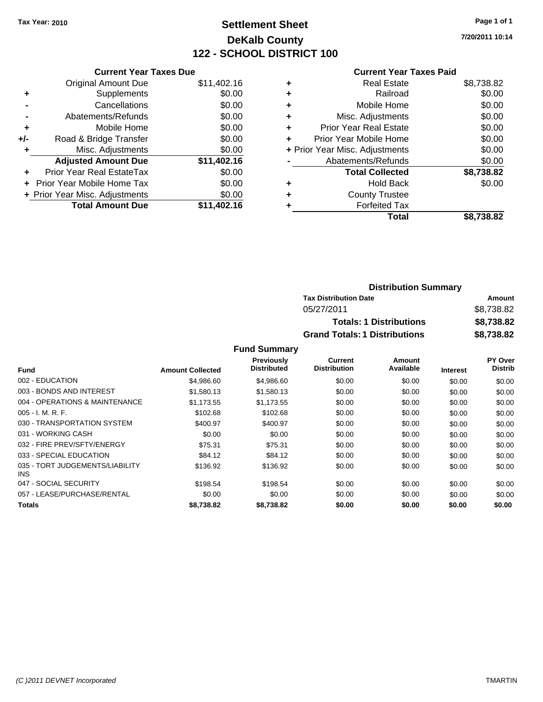# **Settlement Sheet Tax Year: 2010 Page 1 of 1 DeKalb County 122 - SCHOOL DISTRICT 100**

**7/20/2011 10:14**

#### **Current Year Taxes Paid**

|     | <b>Current Year Taxes Due</b>  |             |  |  |  |
|-----|--------------------------------|-------------|--|--|--|
|     | <b>Original Amount Due</b>     | \$11,402.16 |  |  |  |
| ٠   | Supplements                    | \$0.00      |  |  |  |
|     | Cancellations                  | \$0.00      |  |  |  |
|     | Abatements/Refunds             | \$0.00      |  |  |  |
| ÷   | Mobile Home                    | \$0.00      |  |  |  |
| +/- | Road & Bridge Transfer         | \$0.00      |  |  |  |
|     | Misc. Adjustments              | \$0.00      |  |  |  |
|     | <b>Adjusted Amount Due</b>     | \$11,402.16 |  |  |  |
| ÷   | Prior Year Real EstateTax      | \$0.00      |  |  |  |
|     | Prior Year Mobile Home Tax     | \$0.00      |  |  |  |
|     | + Prior Year Misc. Adjustments | \$0.00      |  |  |  |
|     | <b>Total Amount Due</b>        | \$11.402.16 |  |  |  |
|     |                                |             |  |  |  |

| <b>Distribution Summary</b>          |            |
|--------------------------------------|------------|
| <b>Tax Distribution Date</b>         | Amount     |
| 05/27/2011                           | \$8,738.82 |
| <b>Totals: 1 Distributions</b>       | \$8,738.82 |
| <b>Grand Totals: 1 Distributions</b> | \$8,738.82 |

|                                         |                         | <b>Previously</b> | <b>Current</b>      | Amount    |                 | PY Over        |
|-----------------------------------------|-------------------------|-------------------|---------------------|-----------|-----------------|----------------|
| <b>Fund</b>                             | <b>Amount Collected</b> | Distributed       | <b>Distribution</b> | Available | <b>Interest</b> | <b>Distrib</b> |
| 002 - EDUCATION                         | \$4,986.60              | \$4,986.60        | \$0.00              | \$0.00    | \$0.00          | \$0.00         |
| 003 - BONDS AND INTEREST                | \$1,580.13              | \$1,580.13        | \$0.00              | \$0.00    | \$0.00          | \$0.00         |
| 004 - OPERATIONS & MAINTENANCE          | \$1,173.55              | \$1,173.55        | \$0.00              | \$0.00    | \$0.00          | \$0.00         |
| $005 - I. M. R. F.$                     | \$102.68                | \$102.68          | \$0.00              | \$0.00    | \$0.00          | \$0.00         |
| 030 - TRANSPORTATION SYSTEM             | \$400.97                | \$400.97          | \$0.00              | \$0.00    | \$0.00          | \$0.00         |
| 031 - WORKING CASH                      | \$0.00                  | \$0.00            | \$0.00              | \$0.00    | \$0.00          | \$0.00         |
| 032 - FIRE PREV/SFTY/ENERGY             | \$75.31                 | \$75.31           | \$0.00              | \$0.00    | \$0.00          | \$0.00         |
| 033 - SPECIAL EDUCATION                 | \$84.12                 | \$84.12           | \$0.00              | \$0.00    | \$0.00          | \$0.00         |
| 035 - TORT JUDGEMENTS/LIABILITY<br>INS. | \$136.92                | \$136.92          | \$0.00              | \$0.00    | \$0.00          | \$0.00         |
| 047 - SOCIAL SECURITY                   | \$198.54                | \$198.54          | \$0.00              | \$0.00    | \$0.00          | \$0.00         |
| 057 - LEASE/PURCHASE/RENTAL             | \$0.00                  | \$0.00            | \$0.00              | \$0.00    | \$0.00          | \$0.00         |
| <b>Totals</b>                           | \$8,738.82              | \$8,738.82        | \$0.00              | \$0.00    | \$0.00          | \$0.00         |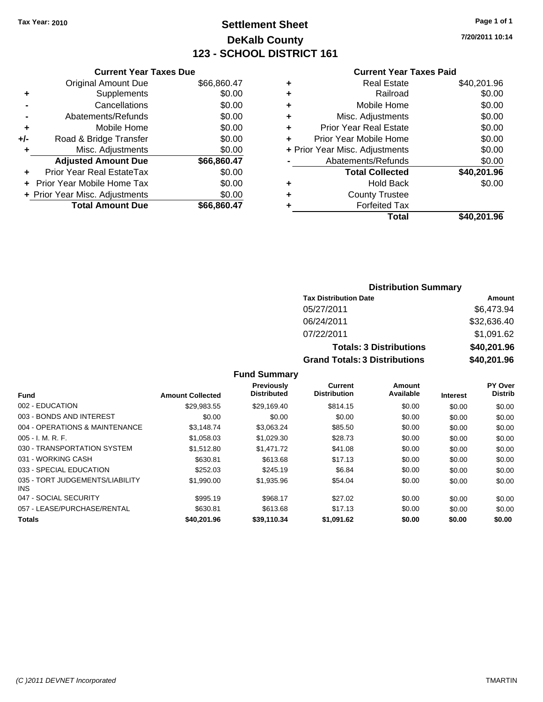# **Settlement Sheet Tax Year: 2010 Page 1 of 1 DeKalb County 123 - SCHOOL DISTRICT 161**

**7/20/2011 10:14**

|     | <b>Current Year Taxes Due</b>  |             |
|-----|--------------------------------|-------------|
|     | <b>Original Amount Due</b>     | \$66,860.47 |
| ٠   | Supplements                    | \$0.00      |
|     | Cancellations                  | \$0.00      |
|     | Abatements/Refunds             | \$0.00      |
| ٠   | Mobile Home                    | \$0.00      |
| +/- | Road & Bridge Transfer         | \$0.00      |
| ٠   | Misc. Adjustments              | \$0.00      |
|     | <b>Adjusted Amount Due</b>     | \$66,860.47 |
| ٠   | Prior Year Real EstateTax      | \$0.00      |
|     | Prior Year Mobile Home Tax     | \$0.00      |
|     | + Prior Year Misc. Adjustments | \$0.00      |
|     | <b>Total Amount Due</b>        | \$66,860.47 |

| ٠                              | <b>Real Estate</b>            | \$40,201.96 |
|--------------------------------|-------------------------------|-------------|
| ٠                              | Railroad                      | \$0.00      |
| ٠                              | Mobile Home                   | \$0.00      |
| ٠                              | Misc. Adjustments             | \$0.00      |
| ٠                              | <b>Prior Year Real Estate</b> | \$0.00      |
| ÷                              | Prior Year Mobile Home        | \$0.00      |
| + Prior Year Misc. Adjustments |                               | \$0.00      |
|                                | Abatements/Refunds            | \$0.00      |
|                                | <b>Total Collected</b>        | \$40,201.96 |
| ٠                              | Hold Back                     | \$0.00      |
| ٠                              | <b>County Trustee</b>         |             |
| ٠                              | <b>Forfeited Tax</b>          |             |
|                                | Total                         | \$40,201.96 |

# **Distribution Summary Tax Distribution Date Amount** 05/27/2011 \$6,473.94 06/24/2011 \$32,636.40 07/22/2011 \$1,091.62 **Totals: 3 Distributions \$40,201.96 Grand Totals: 3 Distributions \$40,201.96**

|                                         |                         | Previously         | Current             | Amount    |                 | <b>PY Over</b> |
|-----------------------------------------|-------------------------|--------------------|---------------------|-----------|-----------------|----------------|
| Fund                                    | <b>Amount Collected</b> | <b>Distributed</b> | <b>Distribution</b> | Available | <b>Interest</b> | <b>Distrib</b> |
| 002 - EDUCATION                         | \$29,983.55             | \$29,169.40        | \$814.15            | \$0.00    | \$0.00          | \$0.00         |
| 003 - BONDS AND INTEREST                | \$0.00                  | \$0.00             | \$0.00              | \$0.00    | \$0.00          | \$0.00         |
| 004 - OPERATIONS & MAINTENANCE          | \$3.148.74              | \$3.063.24         | \$85.50             | \$0.00    | \$0.00          | \$0.00         |
| $005 - I. M. R. F.$                     | \$1,058.03              | \$1,029.30         | \$28.73             | \$0.00    | \$0.00          | \$0.00         |
| 030 - TRANSPORTATION SYSTEM             | \$1.512.80              | \$1,471.72         | \$41.08             | \$0.00    | \$0.00          | \$0.00         |
| 031 - WORKING CASH                      | \$630.81                | \$613.68           | \$17.13             | \$0.00    | \$0.00          | \$0.00         |
| 033 - SPECIAL EDUCATION                 | \$252.03                | \$245.19           | \$6.84              | \$0.00    | \$0.00          | \$0.00         |
| 035 - TORT JUDGEMENTS/LIABILITY<br>INS. | \$1,990.00              | \$1,935.96         | \$54.04             | \$0.00    | \$0.00          | \$0.00         |
| 047 - SOCIAL SECURITY                   | \$995.19                | \$968.17           | \$27.02             | \$0.00    | \$0.00          | \$0.00         |
| 057 - LEASE/PURCHASE/RENTAL             | \$630.81                | \$613.68           | \$17.13             | \$0.00    | \$0.00          | \$0.00         |
| <b>Totals</b>                           | \$40,201.96             | \$39.110.34        | \$1,091.62          | \$0.00    | \$0.00          | \$0.00         |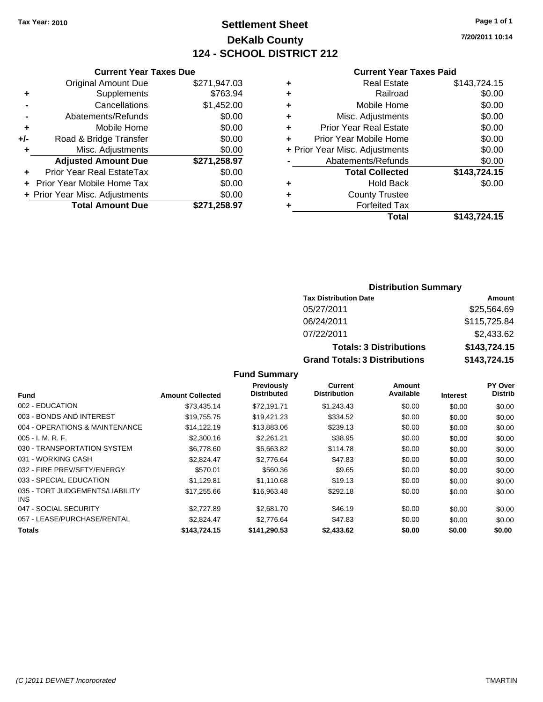# **Settlement Sheet Tax Year: 2010 Page 1 of 1 DeKalb County 124 - SCHOOL DISTRICT 212**

**7/20/2011 10:14**

#### **Current Year Taxes Paid**

|       | <b>Current Year Taxes Due</b>  |              |   |                  |
|-------|--------------------------------|--------------|---|------------------|
|       | <b>Original Amount Due</b>     | \$271,947.03 | ٠ |                  |
|       | Supplements                    | \$763.94     | ٠ |                  |
|       | Cancellations                  | \$1,452.00   | ٠ |                  |
|       | Abatements/Refunds             | \$0.00       |   | Mis              |
| ٠     | Mobile Home                    | \$0.00       |   | Prior Ye         |
| $+/-$ | Road & Bridge Transfer         | \$0.00       |   | Prior Yea        |
|       | Misc. Adjustments              | \$0.00       |   | + Prior Year Mis |
|       | <b>Adjusted Amount Due</b>     | \$271,258.97 |   | Abate            |
|       | Prior Year Real EstateTax      | \$0.00       |   |                  |
|       | + Prior Year Mobile Home Tax   | \$0.00       |   |                  |
|       | + Prior Year Misc. Adjustments | \$0.00       |   |                  |
|       | <b>Total Amount Due</b>        | \$271,258.97 |   |                  |
|       |                                |              |   |                  |

|   | <b>Real Estate</b>             | \$143,724.15 |
|---|--------------------------------|--------------|
| ٠ | Railroad                       | \$0.00       |
| ٠ | Mobile Home                    | \$0.00       |
| ٠ | Misc. Adjustments              | \$0.00       |
| ٠ | <b>Prior Year Real Estate</b>  | \$0.00       |
|   | Prior Year Mobile Home         | \$0.00       |
|   | + Prior Year Misc. Adjustments | \$0.00       |
|   | Abatements/Refunds             | \$0.00       |
|   | <b>Total Collected</b>         | \$143,724.15 |
| ٠ | <b>Hold Back</b>               | \$0.00       |
| ٠ | <b>County Trustee</b>          |              |
|   | <b>Forfeited Tax</b>           |              |
|   | Total                          | \$143,724.15 |
|   |                                |              |

# **Distribution Summary**

| <b>Tax Distribution Date</b>         | Amount       |
|--------------------------------------|--------------|
| 05/27/2011                           | \$25,564.69  |
| 06/24/2011                           | \$115,725.84 |
| 07/22/2011                           | \$2,433.62   |
| <b>Totals: 3 Distributions</b>       | \$143,724.15 |
| <b>Grand Totals: 3 Distributions</b> | \$143,724.15 |

|                                         |                         | <b>Previously</b>  | Current             | Amount    |                 | <b>PY Over</b> |
|-----------------------------------------|-------------------------|--------------------|---------------------|-----------|-----------------|----------------|
| <b>Fund</b>                             | <b>Amount Collected</b> | <b>Distributed</b> | <b>Distribution</b> | Available | <b>Interest</b> | <b>Distrib</b> |
| 002 - EDUCATION                         | \$73.435.14             | \$72.191.71        | \$1,243.43          | \$0.00    | \$0.00          | \$0.00         |
| 003 - BONDS AND INTEREST                | \$19,755.75             | \$19,421.23        | \$334.52            | \$0.00    | \$0.00          | \$0.00         |
| 004 - OPERATIONS & MAINTENANCE          | \$14,122.19             | \$13,883.06        | \$239.13            | \$0.00    | \$0.00          | \$0.00         |
| $005 - I. M. R. F.$                     | \$2,300.16              | \$2,261.21         | \$38.95             | \$0.00    | \$0.00          | \$0.00         |
| 030 - TRANSPORTATION SYSTEM             | \$6,778,60              | \$6.663.82         | \$114.78            | \$0.00    | \$0.00          | \$0.00         |
| 031 - WORKING CASH                      | \$2.824.47              | \$2,776.64         | \$47.83             | \$0.00    | \$0.00          | \$0.00         |
| 032 - FIRE PREV/SFTY/ENERGY             | \$570.01                | \$560.36           | \$9.65              | \$0.00    | \$0.00          | \$0.00         |
| 033 - SPECIAL EDUCATION                 | \$1.129.81              | \$1.110.68         | \$19.13             | \$0.00    | \$0.00          | \$0.00         |
| 035 - TORT JUDGEMENTS/LIABILITY<br>INS. | \$17,255.66             | \$16,963.48        | \$292.18            | \$0.00    | \$0.00          | \$0.00         |
| 047 - SOCIAL SECURITY                   | \$2,727.89              | \$2,681.70         | \$46.19             | \$0.00    | \$0.00          | \$0.00         |
| 057 - LEASE/PURCHASE/RENTAL             | \$2.824.47              | \$2,776.64         | \$47.83             | \$0.00    | \$0.00          | \$0.00         |
| Totals                                  | \$143,724.15            | \$141,290.53       | \$2,433.62          | \$0.00    | \$0.00          | \$0.00         |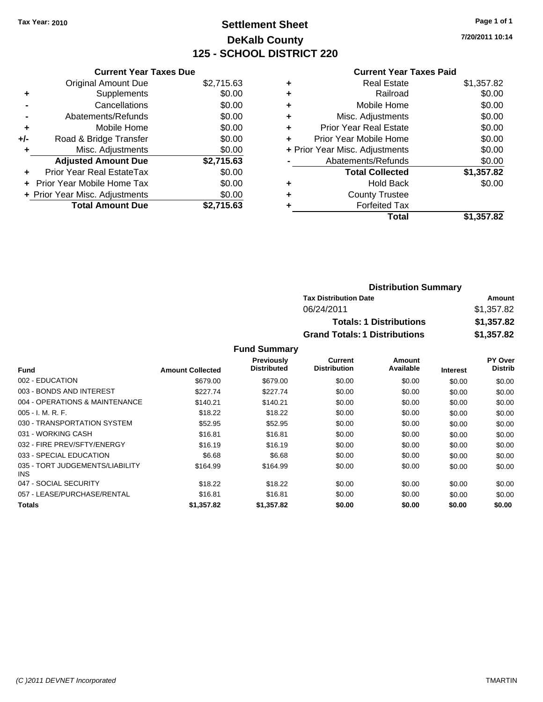# **Settlement Sheet Tax Year: 2010 Page 1 of 1 DeKalb County 125 - SCHOOL DISTRICT 220**

**7/20/2011 10:14**

#### **Current Year Taxes Paid**

|     | <b>Current Year Taxes Due</b>     |            |  |  |  |
|-----|-----------------------------------|------------|--|--|--|
|     | <b>Original Amount Due</b>        | \$2,715.63 |  |  |  |
| ٠   | Supplements                       | \$0.00     |  |  |  |
|     | Cancellations                     | \$0.00     |  |  |  |
|     | Abatements/Refunds                | \$0.00     |  |  |  |
| ÷   | Mobile Home                       | \$0.00     |  |  |  |
| +/- | Road & Bridge Transfer            | \$0.00     |  |  |  |
|     | Misc. Adjustments                 | \$0.00     |  |  |  |
|     | <b>Adjusted Amount Due</b>        | \$2,715.63 |  |  |  |
|     | Prior Year Real EstateTax         | \$0.00     |  |  |  |
|     | <b>Prior Year Mobile Home Tax</b> | \$0.00     |  |  |  |
|     | + Prior Year Misc. Adjustments    | \$0.00     |  |  |  |
|     | <b>Total Amount Due</b>           | \$2.715.63 |  |  |  |

|   | <b>Real Estate</b>             | \$1,357.82 |
|---|--------------------------------|------------|
| ٠ | Railroad                       | \$0.00     |
| ٠ | Mobile Home                    | \$0.00     |
| ٠ | Misc. Adjustments              | \$0.00     |
| ÷ | <b>Prior Year Real Estate</b>  | \$0.00     |
| ÷ | Prior Year Mobile Home         | \$0.00     |
|   | + Prior Year Misc. Adjustments | \$0.00     |
|   | Abatements/Refunds             | \$0.00     |
|   | <b>Total Collected</b>         | \$1,357.82 |
| ٠ | <b>Hold Back</b>               | \$0.00     |
| ÷ | <b>County Trustee</b>          |            |
|   | <b>Forfeited Tax</b>           |            |
|   | Total                          | \$1,357.82 |

| <b>Distribution Summary</b>          |            |
|--------------------------------------|------------|
| <b>Tax Distribution Date</b>         | Amount     |
| 06/24/2011                           | \$1,357.82 |
| <b>Totals: 1 Distributions</b>       | \$1,357.82 |
| <b>Grand Totals: 1 Distributions</b> | \$1,357.82 |

|                                         |                         | <b>Previously</b>  | Current             | Amount    |                 | <b>PY Over</b> |
|-----------------------------------------|-------------------------|--------------------|---------------------|-----------|-----------------|----------------|
| Fund                                    | <b>Amount Collected</b> | <b>Distributed</b> | <b>Distribution</b> | Available | <b>Interest</b> | <b>Distrib</b> |
| 002 - EDUCATION                         | \$679.00                | \$679.00           | \$0.00              | \$0.00    | \$0.00          | \$0.00         |
| 003 - BONDS AND INTEREST                | \$227.74                | \$227.74           | \$0.00              | \$0.00    | \$0.00          | \$0.00         |
| 004 - OPERATIONS & MAINTENANCE          | \$140.21                | \$140.21           | \$0.00              | \$0.00    | \$0.00          | \$0.00         |
| $005 - I. M. R. F.$                     | \$18.22                 | \$18.22            | \$0.00              | \$0.00    | \$0.00          | \$0.00         |
| 030 - TRANSPORTATION SYSTEM             | \$52.95                 | \$52.95            | \$0.00              | \$0.00    | \$0.00          | \$0.00         |
| 031 - WORKING CASH                      | \$16.81                 | \$16.81            | \$0.00              | \$0.00    | \$0.00          | \$0.00         |
| 032 - FIRE PREV/SFTY/ENERGY             | \$16.19                 | \$16.19            | \$0.00              | \$0.00    | \$0.00          | \$0.00         |
| 033 - SPECIAL EDUCATION                 | \$6.68                  | \$6.68             | \$0.00              | \$0.00    | \$0.00          | \$0.00         |
| 035 - TORT JUDGEMENTS/LIABILITY<br>INS. | \$164.99                | \$164.99           | \$0.00              | \$0.00    | \$0.00          | \$0.00         |
| 047 - SOCIAL SECURITY                   | \$18.22                 | \$18.22            | \$0.00              | \$0.00    | \$0.00          | \$0.00         |
| 057 - LEASE/PURCHASE/RENTAL             | \$16.81                 | \$16.81            | \$0.00              | \$0.00    | \$0.00          | \$0.00         |
| <b>Totals</b>                           | \$1,357.82              | \$1,357.82         | \$0.00              | \$0.00    | \$0.00          | \$0.00         |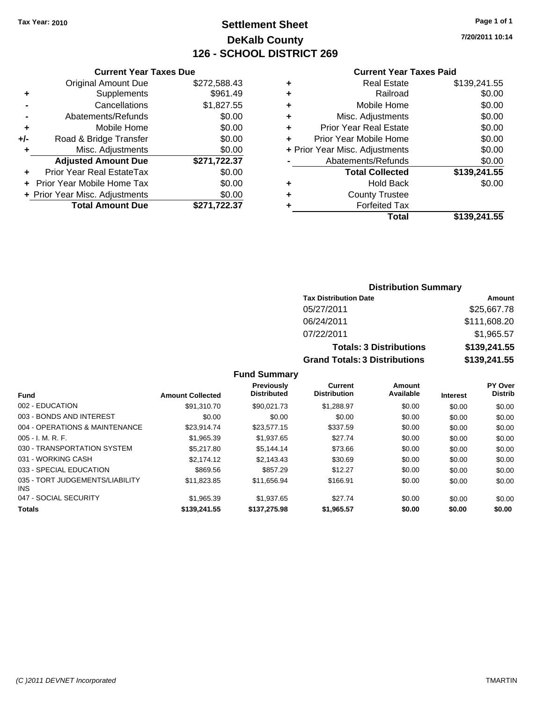# **Settlement Sheet Tax Year: 2010 Page 1 of 1 DeKalb County 126 - SCHOOL DISTRICT 269**

**7/20/2011 10:14**

#### **Current Year Taxes Paid**

|     | <b>Current Year Taxes Due</b>  |              |  |  |  |
|-----|--------------------------------|--------------|--|--|--|
|     | <b>Original Amount Due</b>     | \$272,588.43 |  |  |  |
| ٠   | Supplements                    | \$961.49     |  |  |  |
|     | Cancellations                  | \$1,827.55   |  |  |  |
|     | Abatements/Refunds             | \$0.00       |  |  |  |
| ٠   | Mobile Home                    | \$0.00       |  |  |  |
| +/- | Road & Bridge Transfer         | \$0.00       |  |  |  |
| ٠   | Misc. Adjustments              | \$0.00       |  |  |  |
|     | <b>Adjusted Amount Due</b>     | \$271,722.37 |  |  |  |
|     | Prior Year Real EstateTax      | \$0.00       |  |  |  |
|     | Prior Year Mobile Home Tax     | \$0.00       |  |  |  |
|     | + Prior Year Misc. Adjustments | \$0.00       |  |  |  |
|     | <b>Total Amount Due</b>        | \$271,722.37 |  |  |  |

| ٠ | <b>Real Estate</b>             | \$139,241.55 |
|---|--------------------------------|--------------|
| ٠ | Railroad                       | \$0.00       |
| ٠ | Mobile Home                    | \$0.00       |
| ٠ | Misc. Adjustments              | \$0.00       |
| ÷ | <b>Prior Year Real Estate</b>  | \$0.00       |
| ٠ | Prior Year Mobile Home         | \$0.00       |
|   | + Prior Year Misc. Adjustments | \$0.00       |
|   | Abatements/Refunds             | \$0.00       |
|   | <b>Total Collected</b>         | \$139,241.55 |
| ٠ | Hold Back                      | \$0.00       |
| ٠ | <b>County Trustee</b>          |              |
| ٠ | <b>Forfeited Tax</b>           |              |
|   | Total                          | \$139,241.55 |
|   |                                |              |

# **Distribution Summary Tax Distribution Date Amount** 05/27/2011 \$25,667.78 06/24/2011 \$111,608.20

07/22/2011 \$1,965.57

**Totals: 3 Distributions \$139,241.55 Grand Totals: 3 Distributions \$139,241.55**

| <b>Fund</b>                             | <b>Amount Collected</b> | <b>Previously</b><br><b>Distributed</b> | <b>Current</b><br><b>Distribution</b> | Amount<br>Available | <b>Interest</b> | <b>PY Over</b><br><b>Distrib</b> |
|-----------------------------------------|-------------------------|-----------------------------------------|---------------------------------------|---------------------|-----------------|----------------------------------|
| 002 - EDUCATION                         | \$91,310.70             | \$90.021.73                             | \$1.288.97                            | \$0.00              | \$0.00          | \$0.00                           |
| 003 - BONDS AND INTEREST                | \$0.00                  | \$0.00                                  | \$0.00                                | \$0.00              | \$0.00          | \$0.00                           |
| 004 - OPERATIONS & MAINTENANCE          | \$23.914.74             | \$23,577.15                             | \$337.59                              | \$0.00              | \$0.00          | \$0.00                           |
| $005 - I. M. R. F.$                     | \$1.965.39              | \$1.937.65                              | \$27.74                               | \$0.00              | \$0.00          | \$0.00                           |
| 030 - TRANSPORTATION SYSTEM             | \$5,217.80              | \$5.144.14                              | \$73.66                               | \$0.00              | \$0.00          | \$0.00                           |
| 031 - WORKING CASH                      | \$2.174.12              | \$2.143.43                              | \$30.69                               | \$0.00              | \$0.00          | \$0.00                           |
| 033 - SPECIAL EDUCATION                 | \$869.56                | \$857.29                                | \$12.27                               | \$0.00              | \$0.00          | \$0.00                           |
| 035 - TORT JUDGEMENTS/LIABILITY<br>INS. | \$11.823.85             | \$11,656.94                             | \$166.91                              | \$0.00              | \$0.00          | \$0.00                           |
| 047 - SOCIAL SECURITY                   | \$1.965.39              | \$1.937.65                              | \$27.74                               | \$0.00              | \$0.00          | \$0.00                           |
| <b>Totals</b>                           | \$139,241.55            | \$137,275.98                            | \$1,965.57                            | \$0.00              | \$0.00          | \$0.00                           |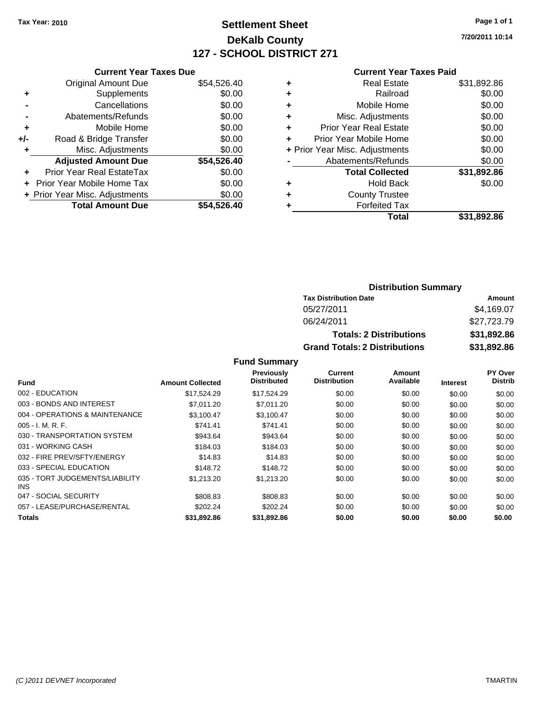# **Settlement Sheet Tax Year: 2010 Page 1 of 1 DeKalb County 127 - SCHOOL DISTRICT 271**

**7/20/2011 10:14**

# **Current Year Taxes Paid**

|       | <b>Current Year Taxes Due</b>  |             |
|-------|--------------------------------|-------------|
|       | <b>Original Amount Due</b>     | \$54,526.40 |
| ٠     | Supplements                    | \$0.00      |
|       | Cancellations                  | \$0.00      |
|       | Abatements/Refunds             | \$0.00      |
| ٠     | Mobile Home                    | \$0.00      |
| $+/-$ | Road & Bridge Transfer         | \$0.00      |
| ٠     | Misc. Adjustments              | \$0.00      |
|       | <b>Adjusted Amount Due</b>     | \$54,526.40 |
|       | Prior Year Real EstateTax      | \$0.00      |
|       | Prior Year Mobile Home Tax     | \$0.00      |
|       | + Prior Year Misc. Adjustments | \$0.00      |
|       | <b>Total Amount Due</b>        | \$54.526.40 |
|       |                                |             |

|   | Total                          | \$31,892.86 |
|---|--------------------------------|-------------|
|   | <b>Forfeited Tax</b>           |             |
| ÷ | <b>County Trustee</b>          |             |
|   | <b>Hold Back</b>               | \$0.00      |
|   | <b>Total Collected</b>         | \$31,892.86 |
|   | Abatements/Refunds             | \$0.00      |
|   | + Prior Year Misc. Adjustments | \$0.00      |
| ٠ | Prior Year Mobile Home         | \$0.00      |
| ٠ | <b>Prior Year Real Estate</b>  | \$0.00      |
| ٠ | Misc. Adjustments              | \$0.00      |
| ٠ | Mobile Home                    | \$0.00      |
|   | Railroad                       | \$0.00      |
| ٠ | <b>Real Estate</b>             | \$31,892.86 |
|   |                                |             |

# **Distribution Summary**

| <b>Tax Distribution Date</b>         | Amount      |  |  |  |
|--------------------------------------|-------------|--|--|--|
| 05/27/2011                           | \$4.169.07  |  |  |  |
| 06/24/2011                           | \$27,723,79 |  |  |  |
| <b>Totals: 2 Distributions</b>       | \$31,892.86 |  |  |  |
| <b>Grand Totals: 2 Distributions</b> | \$31,892.86 |  |  |  |

|                                         |                         | Previously         | Current             | Amount    |                 | <b>PY Over</b> |
|-----------------------------------------|-------------------------|--------------------|---------------------|-----------|-----------------|----------------|
| <b>Fund</b>                             | <b>Amount Collected</b> | <b>Distributed</b> | <b>Distribution</b> | Available | <b>Interest</b> | <b>Distrib</b> |
| 002 - EDUCATION                         | \$17.524.29             | \$17,524.29        | \$0.00              | \$0.00    | \$0.00          | \$0.00         |
| 003 - BONDS AND INTEREST                | \$7,011.20              | \$7.011.20         | \$0.00              | \$0.00    | \$0.00          | \$0.00         |
| 004 - OPERATIONS & MAINTENANCE          | \$3.100.47              | \$3,100.47         | \$0.00              | \$0.00    | \$0.00          | \$0.00         |
| $005 - I. M. R. F.$                     | \$741.41                | \$741.41           | \$0.00              | \$0.00    | \$0.00          | \$0.00         |
| 030 - TRANSPORTATION SYSTEM             | \$943.64                | \$943.64           | \$0.00              | \$0.00    | \$0.00          | \$0.00         |
| 031 - WORKING CASH                      | \$184.03                | \$184.03           | \$0.00              | \$0.00    | \$0.00          | \$0.00         |
| 032 - FIRE PREV/SFTY/ENERGY             | \$14.83                 | \$14.83            | \$0.00              | \$0.00    | \$0.00          | \$0.00         |
| 033 - SPECIAL EDUCATION                 | \$148.72                | \$148.72           | \$0.00              | \$0.00    | \$0.00          | \$0.00         |
| 035 - TORT JUDGEMENTS/LIABILITY<br>INS. | \$1,213.20              | \$1,213.20         | \$0.00              | \$0.00    | \$0.00          | \$0.00         |
| 047 - SOCIAL SECURITY                   | \$808.83                | \$808.83           | \$0.00              | \$0.00    | \$0.00          | \$0.00         |
| 057 - LEASE/PURCHASE/RENTAL             | \$202.24                | \$202.24           | \$0.00              | \$0.00    | \$0.00          | \$0.00         |
| <b>Totals</b>                           | \$31,892.86             | \$31,892.86        | \$0.00              | \$0.00    | \$0.00          | \$0.00         |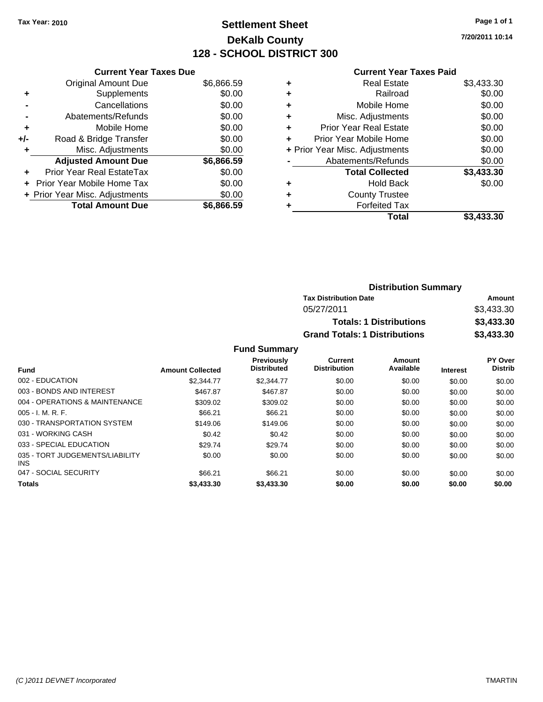# **Settlement Sheet Tax Year: 2010 Page 1 of 1 DeKalb County 128 - SCHOOL DISTRICT 300**

**7/20/2011 10:14**

#### **Current Year Taxes Paid**

|     | <b>Current Year Taxes Due</b>  |            |
|-----|--------------------------------|------------|
|     | <b>Original Amount Due</b>     | \$6,866.59 |
| ٠   | Supplements                    | \$0.00     |
|     | Cancellations                  | \$0.00     |
|     | Abatements/Refunds             | \$0.00     |
| ٠   | Mobile Home                    | \$0.00     |
| +/- | Road & Bridge Transfer         | \$0.00     |
|     | Misc. Adjustments              | \$0.00     |
|     | <b>Adjusted Amount Due</b>     | \$6,866.59 |
| ÷   | Prior Year Real EstateTax      | \$0.00     |
|     | Prior Year Mobile Home Tax     | \$0.00     |
|     | + Prior Year Misc. Adjustments | \$0.00     |
|     | <b>Total Amount Due</b>        | \$6,866.59 |

| <b>Real Estate</b>             | \$3,433.30 |
|--------------------------------|------------|
| Railroad                       | \$0.00     |
| Mobile Home                    | \$0.00     |
| Misc. Adjustments              | \$0.00     |
| <b>Prior Year Real Estate</b>  | \$0.00     |
| Prior Year Mobile Home         | \$0.00     |
| + Prior Year Misc. Adjustments | \$0.00     |
| Abatements/Refunds             | \$0.00     |
| <b>Total Collected</b>         | \$3,433.30 |
| <b>Hold Back</b>               | \$0.00     |
| <b>County Trustee</b>          |            |
| <b>Forfeited Tax</b>           |            |
| Total                          | \$3,433.30 |
|                                |            |

| <b>Distribution Summary</b>          |            |
|--------------------------------------|------------|
| <b>Tax Distribution Date</b>         | Amount     |
| 05/27/2011                           | \$3,433.30 |
| <b>Totals: 1 Distributions</b>       | \$3,433.30 |
| <b>Grand Totals: 1 Distributions</b> | \$3,433.30 |

| <b>Fund</b>                                   | <b>Amount Collected</b> | <b>Previously</b><br><b>Distributed</b> | Current<br><b>Distribution</b> | Amount<br>Available | <b>Interest</b> | PY Over<br><b>Distrib</b> |
|-----------------------------------------------|-------------------------|-----------------------------------------|--------------------------------|---------------------|-----------------|---------------------------|
|                                               |                         |                                         |                                |                     |                 |                           |
| 002 - EDUCATION                               | \$2,344.77              | \$2,344.77                              | \$0.00                         | \$0.00              | \$0.00          | \$0.00                    |
| 003 - BONDS AND INTEREST                      | \$467.87                | \$467.87                                | \$0.00                         | \$0.00              | \$0.00          | \$0.00                    |
| 004 - OPERATIONS & MAINTENANCE                | \$309.02                | \$309.02                                | \$0.00                         | \$0.00              | \$0.00          | \$0.00                    |
| $005 - I. M. R. F.$                           | \$66.21                 | \$66.21                                 | \$0.00                         | \$0.00              | \$0.00          | \$0.00                    |
| 030 - TRANSPORTATION SYSTEM                   | \$149.06                | \$149.06                                | \$0.00                         | \$0.00              | \$0.00          | \$0.00                    |
| 031 - WORKING CASH                            | \$0.42                  | \$0.42                                  | \$0.00                         | \$0.00              | \$0.00          | \$0.00                    |
| 033 - SPECIAL EDUCATION                       | \$29.74                 | \$29.74                                 | \$0.00                         | \$0.00              | \$0.00          | \$0.00                    |
| 035 - TORT JUDGEMENTS/LIABILITY<br><b>INS</b> | \$0.00                  | \$0.00                                  | \$0.00                         | \$0.00              | \$0.00          | \$0.00                    |
| 047 - SOCIAL SECURITY                         | \$66.21                 | \$66.21                                 | \$0.00                         | \$0.00              | \$0.00          | \$0.00                    |
| <b>Totals</b>                                 | \$3,433.30              | \$3,433.30                              | \$0.00                         | \$0.00              | \$0.00          | \$0.00                    |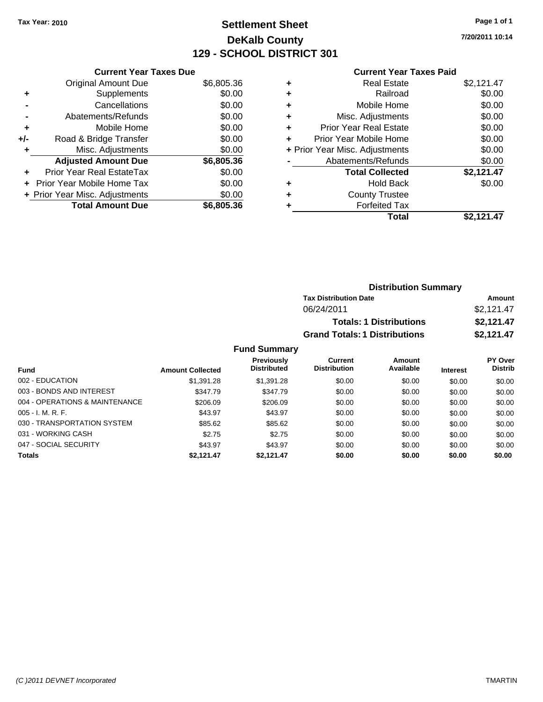# **Settlement Sheet Tax Year: 2010 Page 1 of 1 DeKalb County 129 - SCHOOL DISTRICT 301**

**7/20/2011 10:14**

#### **Current Year Taxes Paid**

|     | <b>Current Year Taxes Due</b>     |            |
|-----|-----------------------------------|------------|
|     | <b>Original Amount Due</b>        | \$6,805.36 |
| ٠   | Supplements                       | \$0.00     |
|     | Cancellations                     | \$0.00     |
|     | Abatements/Refunds                | \$0.00     |
| ٠   | Mobile Home                       | \$0.00     |
| +/- | Road & Bridge Transfer            | \$0.00     |
|     | Misc. Adjustments                 | \$0.00     |
|     | <b>Adjusted Amount Due</b>        | \$6,805.36 |
| ٠   | Prior Year Real EstateTax         | \$0.00     |
|     | <b>Prior Year Mobile Home Tax</b> | \$0.00     |
|     | + Prior Year Misc. Adjustments    | \$0.00     |
|     | <b>Total Amount Due</b>           | \$6,805.36 |

|   | <b>Real Estate</b>             | \$2,121.47 |
|---|--------------------------------|------------|
| ٠ | Railroad                       | \$0.00     |
| ٠ | Mobile Home                    | \$0.00     |
| ٠ | Misc. Adjustments              | \$0.00     |
| ÷ | Prior Year Real Estate         | \$0.00     |
|   | Prior Year Mobile Home         | \$0.00     |
|   | + Prior Year Misc. Adjustments | \$0.00     |
|   | Abatements/Refunds             | \$0.00     |
|   | <b>Total Collected</b>         | \$2,121.47 |
| ٠ | <b>Hold Back</b>               | \$0.00     |
| ٠ | <b>County Trustee</b>          |            |
|   | <b>Forfeited Tax</b>           |            |
|   | Total                          | \$2.121.47 |

| <b>Distribution Summary</b>          |            |
|--------------------------------------|------------|
| <b>Tax Distribution Date</b>         | Amount     |
| 06/24/2011                           | \$2,121.47 |
| <b>Totals: 1 Distributions</b>       | \$2,121.47 |
| <b>Grand Totals: 1 Distributions</b> | \$2,121.47 |

|                                |                         | <b>Previously</b>  | Current             | <b>Amount</b> |                 | <b>PY Over</b> |
|--------------------------------|-------------------------|--------------------|---------------------|---------------|-----------------|----------------|
| Fund                           | <b>Amount Collected</b> | <b>Distributed</b> | <b>Distribution</b> | Available     | <b>Interest</b> | <b>Distrib</b> |
| 002 - EDUCATION                | \$1,391.28              | \$1,391.28         | \$0.00              | \$0.00        | \$0.00          | \$0.00         |
| 003 - BONDS AND INTEREST       | \$347.79                | \$347.79           | \$0.00              | \$0.00        | \$0.00          | \$0.00         |
| 004 - OPERATIONS & MAINTENANCE | \$206.09                | \$206.09           | \$0.00              | \$0.00        | \$0.00          | \$0.00         |
| $005 - I. M. R. F.$            | \$43.97                 | \$43.97            | \$0.00              | \$0.00        | \$0.00          | \$0.00         |
| 030 - TRANSPORTATION SYSTEM    | \$85.62                 | \$85.62            | \$0.00              | \$0.00        | \$0.00          | \$0.00         |
| 031 - WORKING CASH             | \$2.75                  | \$2.75             | \$0.00              | \$0.00        | \$0.00          | \$0.00         |
| 047 - SOCIAL SECURITY          | \$43.97                 | \$43.97            | \$0.00              | \$0.00        | \$0.00          | \$0.00         |
| <b>Totals</b>                  | \$2.121.47              | \$2.121.47         | \$0.00              | \$0.00        | \$0.00          | \$0.00         |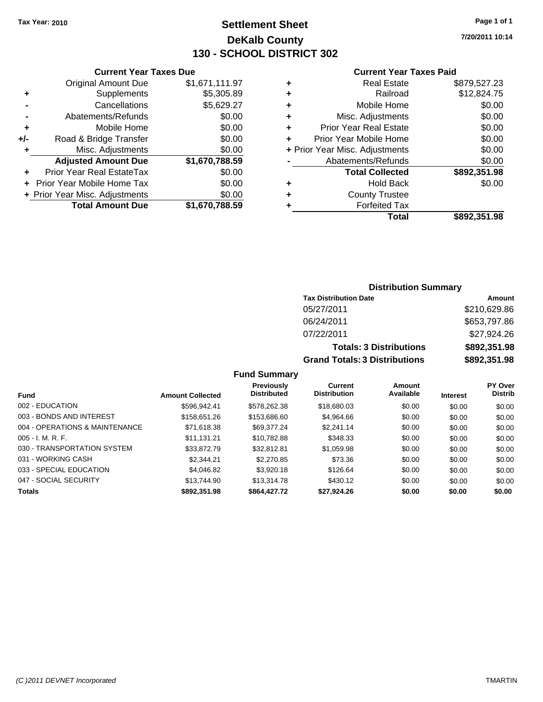**Current Year Taxes Due** Original Amount Due \$1,671,111.97

**Adjusted Amount Due \$1,670,788.59**

**Total Amount Due \$1,670,788.59**

**+** Supplements \$5,305.89 **-** Cancellations \$5,629.27 **-** Abatements/Refunds \$0.00 **+** Mobile Home \$0.00 **+/-** Road & Bridge Transfer \$0.00 **+** Misc. Adjustments \$0.00

**+** Prior Year Real EstateTax \$0.00 **+** Prior Year Mobile Home Tax \$0.00 **+ Prior Year Misc. Adjustments**  $$0.00$ 

# **Settlement Sheet Tax Year: 2010 Page 1 of 1 DeKalb County 130 - SCHOOL DISTRICT 302**

**7/20/2011 10:14**

#### **Current Year Taxes Paid**

|   | Total                          | \$892,351.98 |
|---|--------------------------------|--------------|
| ٠ | <b>Forfeited Tax</b>           |              |
| ٠ | <b>County Trustee</b>          |              |
| ٠ | <b>Hold Back</b>               | \$0.00       |
|   | <b>Total Collected</b>         | \$892,351.98 |
|   | Abatements/Refunds             | \$0.00       |
|   | + Prior Year Misc. Adjustments | \$0.00       |
| ٠ | Prior Year Mobile Home         | \$0.00       |
| ٠ | <b>Prior Year Real Estate</b>  | \$0.00       |
| ٠ | Misc. Adjustments              | \$0.00       |
| ٠ | Mobile Home                    | \$0.00       |
| ٠ | Railroad                       | \$12,824.75  |
| ٠ | <b>Real Estate</b>             | \$879,527.23 |

# **Distribution Summary**

| <b>Tax Distribution Date</b>         | Amount       |  |  |
|--------------------------------------|--------------|--|--|
| 05/27/2011                           | \$210,629.86 |  |  |
| 06/24/2011                           | \$653,797.86 |  |  |
| 07/22/2011                           | \$27,924.26  |  |  |
| <b>Totals: 3 Distributions</b>       | \$892,351.98 |  |  |
| <b>Grand Totals: 3 Distributions</b> | \$892,351.98 |  |  |

| <b>Fund</b>                    | <b>Amount Collected</b> | Previously<br><b>Distributed</b> | Current<br><b>Distribution</b> | Amount<br>Available | <b>Interest</b> | <b>PY Over</b><br><b>Distrib</b> |
|--------------------------------|-------------------------|----------------------------------|--------------------------------|---------------------|-----------------|----------------------------------|
| 002 - EDUCATION                | \$596.942.41            | \$578,262,38                     | \$18,680.03                    | \$0.00              | \$0.00          | \$0.00                           |
| 003 - BONDS AND INTEREST       | \$158,651.26            | \$153,686.60                     | \$4,964.66                     | \$0.00              | \$0.00          | \$0.00                           |
| 004 - OPERATIONS & MAINTENANCE | \$71,618.38             | \$69.377.24                      | \$2,241.14                     | \$0.00              | \$0.00          | \$0.00                           |
| $005 - I. M. R. F.$            | \$11.131.21             | \$10.782.88                      | \$348.33                       | \$0.00              | \$0.00          | \$0.00                           |
| 030 - TRANSPORTATION SYSTEM    | \$33,872.79             | \$32,812.81                      | \$1,059.98                     | \$0.00              | \$0.00          | \$0.00                           |
| 031 - WORKING CASH             | \$2.344.21              | \$2,270.85                       | \$73.36                        | \$0.00              | \$0.00          | \$0.00                           |
| 033 - SPECIAL EDUCATION        | \$4,046.82              | \$3,920.18                       | \$126.64                       | \$0.00              | \$0.00          | \$0.00                           |
| 047 - SOCIAL SECURITY          | \$13,744.90             | \$13,314.78                      | \$430.12                       | \$0.00              | \$0.00          | \$0.00                           |
| <b>Totals</b>                  | \$892,351.98            | \$864,427.72                     | \$27,924.26                    | \$0.00              | \$0.00          | \$0.00                           |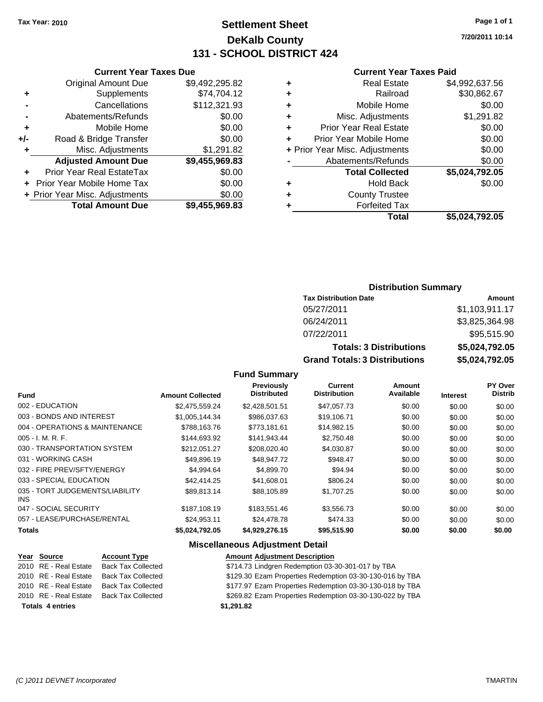# **Settlement Sheet Tax Year: 2010 Page 1 of 1 DeKalb County 131 - SCHOOL DISTRICT 424**

**7/20/2011 10:14**

#### **Current Year Taxes Paid**

| Current \                  |   | <b>Current Year Taxes Due</b> |                                |       |  |  |
|----------------------------|---|-------------------------------|--------------------------------|-------|--|--|
| Real Es                    | ÷ | \$9,492,295.82                | Original Amount Due            |       |  |  |
| Rail                       | ÷ | \$74,704.12                   | Supplements                    | ٠     |  |  |
| Mobile H                   | ÷ | \$112,321.93                  | Cancellations                  |       |  |  |
| Misc. Adjustm              | ÷ | \$0.00                        | Abatements/Refunds             |       |  |  |
| Prior Year Real E:         | ÷ | \$0.00                        | Mobile Home                    | ٠     |  |  |
| Prior Year Mobile H        | ÷ | \$0.00                        | Road & Bridge Transfer         | $+/-$ |  |  |
| + Prior Year Misc. Adjustm |   | \$1,291.82                    | Misc. Adjustments              | ٠     |  |  |
| Abatements/Ref             |   | \$9,455,969.83                | <b>Adjusted Amount Due</b>     |       |  |  |
| <b>Total Colle</b>         |   | \$0.00                        | Prior Year Real EstateTax      |       |  |  |
| Hold I                     | ٠ | \$0.00                        | + Prior Year Mobile Home Tax   |       |  |  |
| County Tru                 | ÷ | \$0.00                        | + Prior Year Misc. Adjustments |       |  |  |
| Forfeited                  | ٠ | \$9,455,969.83                | <b>Total Amount Due</b>        |       |  |  |
|                            |   |                               |                                |       |  |  |

|   | Total                          | \$5,024,792.05 |
|---|--------------------------------|----------------|
|   | <b>Forfeited Tax</b>           |                |
|   | <b>County Trustee</b>          |                |
| ٠ | Hold Back                      | \$0.00         |
|   | <b>Total Collected</b>         | \$5,024,792.05 |
|   | Abatements/Refunds             | \$0.00         |
|   | + Prior Year Misc. Adjustments | \$0.00         |
|   | Prior Year Mobile Home         | \$0.00         |
|   | <b>Prior Year Real Estate</b>  | \$0.00         |
| ÷ | Misc. Adjustments              | \$1,291.82     |
|   | Mobile Home                    | \$0.00         |
|   | Railroad                       | \$30,862.67    |
| ÷ | <b>Real Estate</b>             | \$4,992,637.56 |

## **Distribution Summary**

| <b>Tax Distribution Date</b>         | Amount         |
|--------------------------------------|----------------|
| 05/27/2011                           | \$1,103,911.17 |
| 06/24/2011                           | \$3,825,364.98 |
| 07/22/2011                           | \$95,515.90    |
| <b>Totals: 3 Distributions</b>       | \$5,024,792.05 |
| <b>Grand Totals: 3 Distributions</b> | \$5,024,792.05 |

**Fund Summary**

| <b>Fund</b>                             | <b>Amount Collected</b> | Previously<br><b>Distributed</b> | Current<br><b>Distribution</b> | Amount<br>Available | <b>Interest</b> | PY Over<br><b>Distrib</b> |
|-----------------------------------------|-------------------------|----------------------------------|--------------------------------|---------------------|-----------------|---------------------------|
| 002 - EDUCATION                         | \$2.475.559.24          | \$2,428,501.51                   | \$47,057.73                    | \$0.00              | \$0.00          | \$0.00                    |
| 003 - BONDS AND INTEREST                | \$1,005,144.34          | \$986,037.63                     | \$19,106.71                    | \$0.00              | \$0.00          | \$0.00                    |
| 004 - OPERATIONS & MAINTENANCE          | \$788.163.76            | \$773.181.61                     | \$14,982.15                    | \$0.00              | \$0.00          | \$0.00                    |
| $005 - I. M. R. F.$                     | \$144.693.92            | \$141,943.44                     | \$2,750.48                     | \$0.00              | \$0.00          | \$0.00                    |
| 030 - TRANSPORTATION SYSTEM             | \$212.051.27            | \$208.020.40                     | \$4,030.87                     | \$0.00              | \$0.00          | \$0.00                    |
| 031 - WORKING CASH                      | \$49,896.19             | \$48,947.72                      | \$948.47                       | \$0.00              | \$0.00          | \$0.00                    |
| 032 - FIRE PREV/SFTY/ENERGY             | \$4.994.64              | \$4,899.70                       | \$94.94                        | \$0.00              | \$0.00          | \$0.00                    |
| 033 - SPECIAL EDUCATION                 | \$42,414.25             | \$41,608.01                      | \$806.24                       | \$0.00              | \$0.00          | \$0.00                    |
| 035 - TORT JUDGEMENTS/LIABILITY<br>INS. | \$89.813.14             | \$88.105.89                      | \$1,707.25                     | \$0.00              | \$0.00          | \$0.00                    |
| 047 - SOCIAL SECURITY                   | \$187,108.19            | \$183.551.46                     | \$3,556.73                     | \$0.00              | \$0.00          | \$0.00                    |
| 057 - LEASE/PURCHASE/RENTAL             | \$24.953.11             | \$24,478.78                      | \$474.33                       | \$0.00              | \$0.00          | \$0.00                    |
| <b>Totals</b>                           | \$5,024,792.05          | \$4,929,276.15                   | \$95,515.90                    | \$0.00              | \$0.00          | \$0.00                    |

| Year Source             | <b>Account Type</b>       | <b>Amount Adjustment Description</b>                     |
|-------------------------|---------------------------|----------------------------------------------------------|
| 2010 RE - Real Estate   | <b>Back Tax Collected</b> | \$714.73 Lindgren Redemption 03-30-301-017 by TBA        |
| 2010 RE - Real Estate   | <b>Back Tax Collected</b> | \$129.30 Ezam Properties Redemption 03-30-130-016 by TBA |
| 2010 RE - Real Estate   | <b>Back Tax Collected</b> | \$177.97 Ezam Properties Redemption 03-30-130-018 by TBA |
| 2010 RE - Real Estate   | <b>Back Tax Collected</b> | \$269.82 Ezam Properties Redemption 03-30-130-022 by TBA |
| <b>Totals 4 entries</b> |                           | \$1,291.82                                               |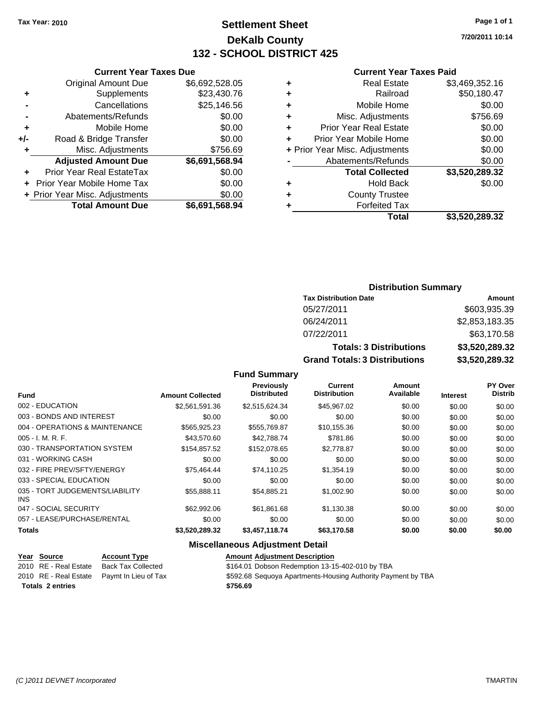# **Settlement Sheet Tax Year: 2010 Page 1 of 1 DeKalb County 132 - SCHOOL DISTRICT 425**

|     | <b>Current Year Taxes Due</b>  |                |  |
|-----|--------------------------------|----------------|--|
|     | <b>Original Amount Due</b>     | \$6,692,528.05 |  |
| ٠   | Supplements                    | \$23,430.76    |  |
|     | Cancellations                  | \$25,146.56    |  |
|     | Abatements/Refunds             | \$0.00         |  |
| ٠   | Mobile Home                    | \$0.00         |  |
| +/- | Road & Bridge Transfer         | \$0.00         |  |
| ٠   | Misc. Adjustments              | \$756.69       |  |
|     | <b>Adjusted Amount Due</b>     | \$6,691,568.94 |  |
|     | Prior Year Real EstateTax      | \$0.00         |  |
|     | Prior Year Mobile Home Tax     | \$0.00         |  |
|     | + Prior Year Misc. Adjustments | \$0.00         |  |
|     | <b>Total Amount Due</b>        | \$6,691,568.94 |  |
|     |                                |                |  |

# **Current Year Taxes Paid**

|   | <b>Real Estate</b>             | \$3,469,352.16 |
|---|--------------------------------|----------------|
| ٠ | Railroad                       | \$50,180.47    |
| ٠ | Mobile Home                    | \$0.00         |
| ٠ | Misc. Adjustments              | \$756.69       |
| ٠ | <b>Prior Year Real Estate</b>  | \$0.00         |
| ÷ | Prior Year Mobile Home         | \$0.00         |
|   | + Prior Year Misc. Adjustments | \$0.00         |
|   | Abatements/Refunds             | \$0.00         |
|   | <b>Total Collected</b>         | \$3,520,289.32 |
| ٠ | Hold Back                      | \$0.00         |
| ٠ | <b>County Trustee</b>          |                |
| ٠ | <b>Forfeited Tax</b>           |                |
|   | Total                          | \$3,520,289.32 |
|   |                                |                |

#### **Distribution Summary Tax Distribution Date Amount** 05/27/2011 \$603,935.39

| <b>Grand Totals: 3 Distributions</b> | \$3,520,289,32     |
|--------------------------------------|--------------------|
| <b>Totals: 3 Distributions</b>       | \$3,520,289.32     |
| 07/22/2011                           | \$63,170.58        |
| 06/24/2011                           | \$2,853,183.35     |
| <u>.</u>                             | <u> 999,999,99</u> |

#### **Fund Summary Fund Interest Amount Collected Distributed PY Over Distrib Amount Available Current Distribution Previously** 002 - EDUCATION \$2,561,591.36 \$2,515,624.34 \$45,967.02 \$0.00 \$0.00 \$0.00 003 - BONDS AND INTEREST  $$0.00$   $$0.00$   $$0.00$   $$0.00$   $$0.00$   $$0.00$   $$0.00$   $$0.00$ 004 - OPERATIONS & MAINTENANCE \$565,925.23 \$555,769.87 \$10,155.36 \$0.00 \$0.00 \$0.00 005 - I. M. R. F. \$43,570.60 \$42,788.74 \$781.86 \$0.00 \$0.00 \$0.00 030 - TRANSPORTATION SYSTEM \$154,857.52 \$152,078.65 \$2,778.87 \$0.00 \$0.00 \$0.00 \$0.00 031 - WORKING CASH \$0.00 \$0.00 \$0.00 \$0.00 \$0.00 \$0.00 \$0.00 \$0.00 \$0.00 \$0.00 \$0.00 \$0.00 032 - FIRE PREV/SFTY/ENERGY **\$75,464.44** \$74,110.25 \$1,354.19 \$0.00 \$0.00 \$0.00 \$0.00 033 - SPECIAL EDUCATION 60.00 \$0.00 \$0.00 \$0.00 \$0.00 \$0.00 \$0.00 \$0.00 \$0.00 \$0.00 \$0.00 035 - TORT JUDGEMENTS/LIABILITY INS \$55,888.11 \$54,885.21 \$1,002.90 \$0.00 \$0.00 \$0.00 047 - SOCIAL SECURITY \$62,992.06 \$61,861.68 \$1,130.38 \$0.00 \$0.00 \$0.00 057 - LEASE/PURCHASE/RENTAL  $$0.00$   $$0.00$   $$0.00$   $$0.00$   $$0.00$   $$0.00$   $$0.00$ **Totals \$3,520,289.32 \$3,457,118.74 \$63,170.58 \$0.00 \$0.00 \$0.00**

| <u>Year Source</u>      | <b>Account Type</b>  | <b>Amount Adjustment Description</b>                         |
|-------------------------|----------------------|--------------------------------------------------------------|
| 2010 RE - Real Estate   | Back Tax Collected   | \$164.01 Dobson Redemption 13-15-402-010 by TBA              |
| 2010 RE - Real Estate 1 | Pavmt In Lieu of Tax | \$592.68 Sequoya Apartments-Housing Authority Payment by TBA |
| <b>Totals 2 entries</b> |                      | \$756.69                                                     |
|                         |                      |                                                              |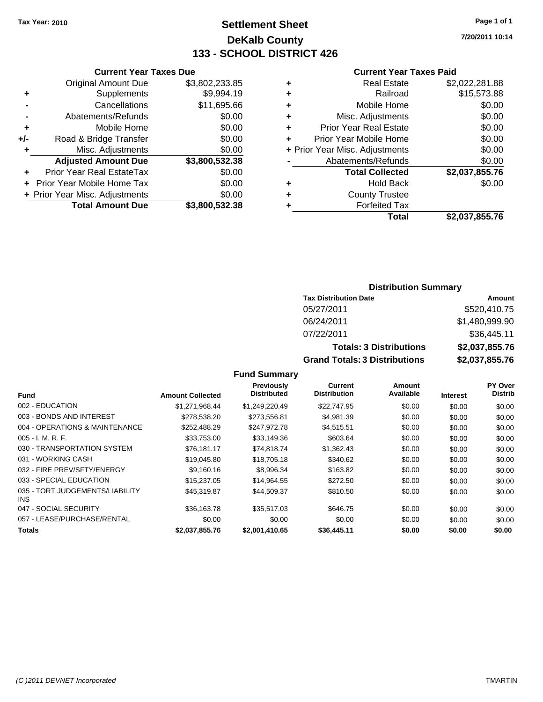# **Settlement Sheet Tax Year: 2010 Page 1 of 1 DeKalb County 133 - SCHOOL DISTRICT 426**

**7/20/2011 10:14**

#### **Current Year Taxes Paid**

|     | <b>Current Year Taxes Due</b>     |                |  |  |
|-----|-----------------------------------|----------------|--|--|
|     | <b>Original Amount Due</b>        | \$3,802,233.85 |  |  |
| ٠   | Supplements                       | \$9,994.19     |  |  |
|     | Cancellations                     | \$11,695.66    |  |  |
|     | Abatements/Refunds                | \$0.00         |  |  |
| ٠   | Mobile Home                       | \$0.00         |  |  |
| +/- | Road & Bridge Transfer            | \$0.00         |  |  |
| ٠   | Misc. Adjustments                 | \$0.00         |  |  |
|     | <b>Adjusted Amount Due</b>        | \$3,800,532.38 |  |  |
|     | Prior Year Real EstateTax         | \$0.00         |  |  |
|     | <b>Prior Year Mobile Home Tax</b> | \$0.00         |  |  |
|     | + Prior Year Misc. Adjustments    | \$0.00         |  |  |
|     | <b>Total Amount Due</b>           | \$3.800.532.38 |  |  |

## **Distribution Summary**

| <b>Tax Distribution Date</b>         | Amount         |
|--------------------------------------|----------------|
| 05/27/2011                           | \$520,410.75   |
| 06/24/2011                           | \$1,480,999.90 |
| 07/22/2011                           | \$36,445.11    |
| <b>Totals: 3 Distributions</b>       | \$2,037,855.76 |
| <b>Grand Totals: 3 Distributions</b> | \$2,037,855.76 |

| <b>Fund</b>                                   | <b>Amount Collected</b> | <b>Previously</b><br><b>Distributed</b> | Current<br><b>Distribution</b> | Amount<br>Available | <b>Interest</b> | <b>PY Over</b><br><b>Distrib</b> |
|-----------------------------------------------|-------------------------|-----------------------------------------|--------------------------------|---------------------|-----------------|----------------------------------|
| 002 - EDUCATION                               | \$1.271.968.44          | \$1.249.220.49                          | \$22.747.95                    | \$0.00              | \$0.00          | \$0.00                           |
| 003 - BONDS AND INTEREST                      | \$278,538.20            | \$273,556.81                            | \$4,981.39                     | \$0.00              | \$0.00          | \$0.00                           |
| 004 - OPERATIONS & MAINTENANCE                | \$252,488.29            | \$247,972.78                            | \$4,515.51                     | \$0.00              | \$0.00          | \$0.00                           |
| $005 - I. M. R. F.$                           | \$33,753.00             | \$33,149.36                             | \$603.64                       | \$0.00              | \$0.00          | \$0.00                           |
| 030 - TRANSPORTATION SYSTEM                   | \$76.181.17             | \$74.818.74                             | \$1,362.43                     | \$0.00              | \$0.00          | \$0.00                           |
| 031 - WORKING CASH                            | \$19,045.80             | \$18,705.18                             | \$340.62                       | \$0.00              | \$0.00          | \$0.00                           |
| 032 - FIRE PREV/SFTY/ENERGY                   | \$9.160.16              | \$8,996.34                              | \$163.82                       | \$0.00              | \$0.00          | \$0.00                           |
| 033 - SPECIAL EDUCATION                       | \$15,237.05             | \$14.964.55                             | \$272.50                       | \$0.00              | \$0.00          | \$0.00                           |
| 035 - TORT JUDGEMENTS/LIABILITY<br><b>INS</b> | \$45,319.87             | \$44,509.37                             | \$810.50                       | \$0.00              | \$0.00          | \$0.00                           |
| 047 - SOCIAL SECURITY                         | \$36,163.78             | \$35.517.03                             | \$646.75                       | \$0.00              | \$0.00          | \$0.00                           |
| 057 - LEASE/PURCHASE/RENTAL                   | \$0.00                  | \$0.00                                  | \$0.00                         | \$0.00              | \$0.00          | \$0.00                           |
| <b>Totals</b>                                 | \$2,037,855.76          | \$2,001,410.65                          | \$36,445.11                    | \$0.00              | \$0.00          | \$0.00                           |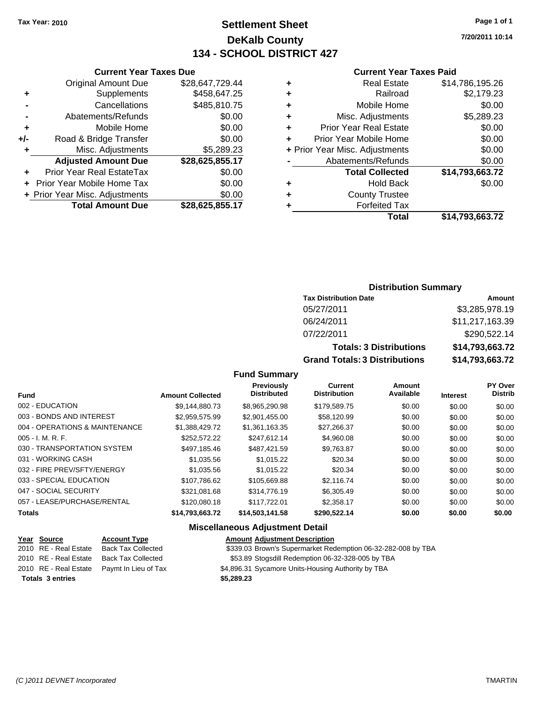**Current Year Taxes Due** Original Amount Due \$28,647,729.44

**Adjusted Amount Due \$28,625,855.17**

**Total Amount Due \$28,625,855.17**

**+** Supplements \$458,647.25 **-** Cancellations \$485,810.75 **-** Abatements/Refunds \$0.00 **+** Mobile Home \$0.00 **+/-** Road & Bridge Transfer \$0.00 **+** Misc. Adjustments \$5,289.23

**+** Prior Year Real EstateTax \$0.00 **+** Prior Year Mobile Home Tax \$0.00 **+ Prior Year Misc. Adjustments**  $$0.00$ 

# **Settlement Sheet Tax Year: 2010 Page 1 of 1 DeKalb County 134 - SCHOOL DISTRICT 427**

**7/20/2011 10:14**

#### **Current Year Taxes Paid**

| ٠ | <b>Real Estate</b>             | \$14,786,195.26 |
|---|--------------------------------|-----------------|
| ٠ | Railroad                       | \$2,179.23      |
| ÷ | Mobile Home                    | \$0.00          |
| ٠ | Misc. Adjustments              | \$5,289.23      |
| ÷ | <b>Prior Year Real Estate</b>  | \$0.00          |
| ٠ | Prior Year Mobile Home         | \$0.00          |
|   | + Prior Year Misc. Adjustments | \$0.00          |
|   | Abatements/Refunds             | \$0.00          |
|   | <b>Total Collected</b>         | \$14,793,663.72 |
| ٠ | <b>Hold Back</b>               | \$0.00          |
| ÷ | <b>County Trustee</b>          |                 |
| ٠ | <b>Forfeited Tax</b>           |                 |
|   | Total                          | \$14.793.663.72 |

| <b>Distribution Summary</b> |  |
|-----------------------------|--|
|-----------------------------|--|

| <b>Tax Distribution Date</b>         | Amount          |
|--------------------------------------|-----------------|
| 05/27/2011                           | \$3,285,978.19  |
| 06/24/2011                           | \$11,217,163.39 |
| 07/22/2011                           | \$290,522.14    |
| <b>Totals: 3 Distributions</b>       | \$14,793,663.72 |
| <b>Grand Totals: 3 Distributions</b> | \$14,793,663.72 |

#### **Fund Summary**

|                                |                         | Previously         | <b>Current</b>      | Amount    |                 | <b>PY Over</b> |
|--------------------------------|-------------------------|--------------------|---------------------|-----------|-----------------|----------------|
| <b>Fund</b>                    | <b>Amount Collected</b> | <b>Distributed</b> | <b>Distribution</b> | Available | <b>Interest</b> | <b>Distrib</b> |
| 002 - EDUCATION                | \$9.144.880.73          | \$8.965.290.98     | \$179,589.75        | \$0.00    | \$0.00          | \$0.00         |
| 003 - BONDS AND INTEREST       | \$2,959,575.99          | \$2,901,455.00     | \$58,120.99         | \$0.00    | \$0.00          | \$0.00         |
| 004 - OPERATIONS & MAINTENANCE | \$1.388.429.72          | \$1,361,163.35     | \$27,266.37         | \$0.00    | \$0.00          | \$0.00         |
| $005 - I. M. R. F.$            | \$252,572.22            | \$247.612.14       | \$4,960.08          | \$0.00    | \$0.00          | \$0.00         |
| 030 - TRANSPORTATION SYSTEM    | \$497.185.46            | \$487.421.59       | \$9.763.87          | \$0.00    | \$0.00          | \$0.00         |
| 031 - WORKING CASH             | \$1,035.56              | \$1.015.22         | \$20.34             | \$0.00    | \$0.00          | \$0.00         |
| 032 - FIRE PREV/SFTY/ENERGY    | \$1,035.56              | \$1.015.22         | \$20.34             | \$0.00    | \$0.00          | \$0.00         |
| 033 - SPECIAL EDUCATION        | \$107,786.62            | \$105,669.88       | \$2.116.74          | \$0.00    | \$0.00          | \$0.00         |
| 047 - SOCIAL SECURITY          | \$321.081.68            | \$314,776.19       | \$6,305.49          | \$0.00    | \$0.00          | \$0.00         |
| 057 - LEASE/PURCHASE/RENTAL    | \$120,080.18            | \$117,722.01       | \$2,358.17          | \$0.00    | \$0.00          | \$0.00         |
| <b>Totals</b>                  | \$14,793,663.72         | \$14,503,141.58    | \$290,522.14        | \$0.00    | \$0.00          | \$0.00         |

| Year Source             | <b>Account Type</b>                        | <b>Amount Adjustment Description</b>                         |
|-------------------------|--------------------------------------------|--------------------------------------------------------------|
| 2010 RE - Real Estate   | <b>Back Tax Collected</b>                  | \$339.03 Brown's Supermarket Redemption 06-32-282-008 by TBA |
|                         | 2010 RE - Real Estate Back Tax Collected   | \$53.89 Stogsdill Redemption 06-32-328-005 by TBA            |
|                         | 2010 RE - Real Estate Paymt In Lieu of Tax | \$4,896.31 Sycamore Units-Housing Authority by TBA           |
| <b>Totals 3 entries</b> |                                            | \$5,289.23                                                   |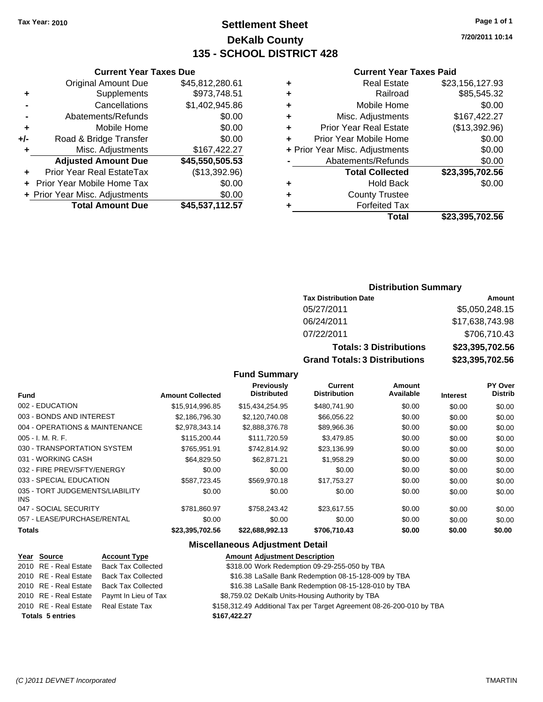# **Settlement Sheet Tax Year: 2010 Page 1 of 1 DeKalb County 135 - SCHOOL DISTRICT 428**

**7/20/2011 10:14**

## **Current Year Taxes Paid**

|   | <b>Real Estate</b>             | \$23,156,127.93 |
|---|--------------------------------|-----------------|
| ٠ | Railroad                       | \$85,545.32     |
| ٠ | Mobile Home                    | \$0.00          |
| ٠ | Misc. Adjustments              | \$167,422.27    |
| ٠ | <b>Prior Year Real Estate</b>  | (\$13,392.96)   |
| ٠ | Prior Year Mobile Home         | \$0.00          |
|   | + Prior Year Misc. Adjustments | \$0.00          |
|   | Abatements/Refunds             | \$0.00          |
|   | <b>Total Collected</b>         | \$23,395,702.56 |
| ٠ | <b>Hold Back</b>               | \$0.00          |
| ٠ | <b>County Trustee</b>          |                 |
|   | <b>Forfeited Tax</b>           |                 |
|   | Total                          | \$23.395.702.56 |

|     | <b>Current Year Taxes Due</b>     |                 |
|-----|-----------------------------------|-----------------|
|     | <b>Original Amount Due</b>        | \$45,812,280.61 |
| ٠   | Supplements                       | \$973,748.51    |
|     | Cancellations                     | \$1,402,945.86  |
|     | Abatements/Refunds                | \$0.00          |
| ٠   | Mobile Home                       | \$0.00          |
| +/- | Road & Bridge Transfer            | \$0.00          |
| ٠   | Misc. Adjustments                 | \$167,422.27    |
|     | <b>Adjusted Amount Due</b>        | \$45,550,505.53 |
|     | <b>Prior Year Real EstateTax</b>  | (\$13,392.96)   |
|     | <b>Prior Year Mobile Home Tax</b> | \$0.00          |
|     | + Prior Year Misc. Adjustments    | \$0.00          |
|     | <b>Total Amount Due</b>           | \$45,537,112.57 |

# **Distribution Summary**

| <b>Tax Distribution Date</b>         | Amount          |
|--------------------------------------|-----------------|
| 05/27/2011                           | \$5,050,248.15  |
| 06/24/2011                           | \$17,638,743.98 |
| 07/22/2011                           | \$706,710.43    |
| <b>Totals: 3 Distributions</b>       | \$23,395,702.56 |
| <b>Grand Totals: 3 Distributions</b> | \$23,395,702.56 |

**Fund Summary**

| <b>Fund</b>                             | <b>Amount Collected</b> | <b>Previously</b><br><b>Distributed</b> | <b>Current</b><br><b>Distribution</b> | Amount<br>Available | <b>Interest</b> | PY Over<br><b>Distrib</b> |
|-----------------------------------------|-------------------------|-----------------------------------------|---------------------------------------|---------------------|-----------------|---------------------------|
| 002 - EDUCATION                         | \$15.914.996.85         | \$15.434.254.95                         | \$480,741.90                          | \$0.00              | \$0.00          | \$0.00                    |
| 003 - BONDS AND INTEREST                | \$2.186.796.30          | \$2,120,740.08                          | \$66,056.22                           | \$0.00              | \$0.00          | \$0.00                    |
| 004 - OPERATIONS & MAINTENANCE          | \$2.978.343.14          | \$2,888,376.78                          | \$89,966.36                           | \$0.00              | \$0.00          | \$0.00                    |
| $005 - I. M. R. F.$                     | \$115,200.44            | \$111,720.59                            | \$3,479.85                            | \$0.00              | \$0.00          | \$0.00                    |
| 030 - TRANSPORTATION SYSTEM             | \$765.951.91            | \$742.814.92                            | \$23.136.99                           | \$0.00              | \$0.00          | \$0.00                    |
| 031 - WORKING CASH                      | \$64,829.50             | \$62.871.21                             | \$1,958.29                            | \$0.00              | \$0.00          | \$0.00                    |
| 032 - FIRE PREV/SFTY/ENERGY             | \$0.00                  | \$0.00                                  | \$0.00                                | \$0.00              | \$0.00          | \$0.00                    |
| 033 - SPECIAL EDUCATION                 | \$587.723.45            | \$569,970.18                            | \$17,753.27                           | \$0.00              | \$0.00          | \$0.00                    |
| 035 - TORT JUDGEMENTS/LIABILITY<br>INS. | \$0.00                  | \$0.00                                  | \$0.00                                | \$0.00              | \$0.00          | \$0.00                    |
| 047 - SOCIAL SECURITY                   | \$781,860.97            | \$758,243.42                            | \$23.617.55                           | \$0.00              | \$0.00          | \$0.00                    |
| 057 - LEASE/PURCHASE/RENTAL             | \$0.00                  | \$0.00                                  | \$0.00                                | \$0.00              | \$0.00          | \$0.00                    |
| <b>Totals</b>                           | \$23,395,702.56         | \$22,688,992.13                         | \$706,710.43                          | \$0.00              | \$0.00          | \$0.00                    |

| Year Source             | <b>Account Type</b>       | <b>Amount Adjustment Description</b>                                  |
|-------------------------|---------------------------|-----------------------------------------------------------------------|
| 2010 RE - Real Estate   | <b>Back Tax Collected</b> | \$318.00 Work Redemption 09-29-255-050 by TBA                         |
| 2010 RE - Real Estate   | <b>Back Tax Collected</b> | \$16.38 LaSalle Bank Redemption 08-15-128-009 by TBA                  |
| 2010 RE - Real Estate   | <b>Back Tax Collected</b> | \$16.38 LaSalle Bank Redemption 08-15-128-010 by TBA                  |
| 2010 RE - Real Estate   | Paymt In Lieu of Tax      | \$8,759.02 DeKalb Units-Housing Authority by TBA                      |
| 2010 RE - Real Estate   | Real Estate Tax           | \$158,312.49 Additional Tax per Target Agreement 08-26-200-010 by TBA |
| <b>Totals 5 entries</b> |                           | \$167,422.27                                                          |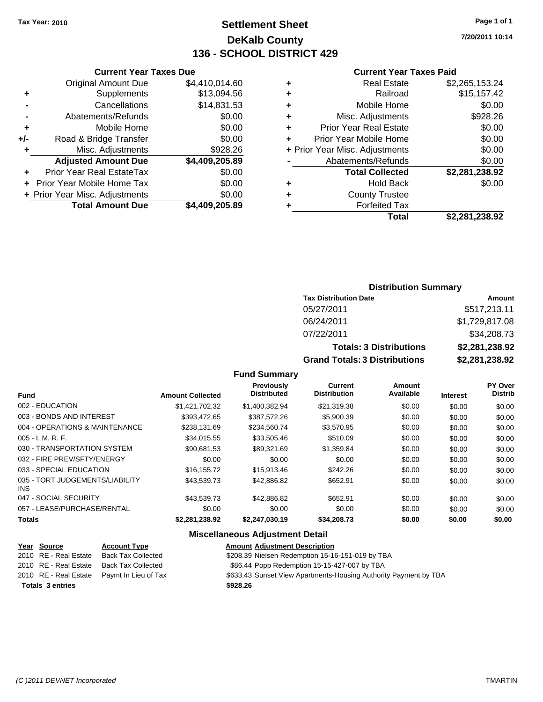# **Settlement Sheet Tax Year: 2010 Page 1 of 1 DeKalb County 136 - SCHOOL DISTRICT 429**

**7/20/2011 10:14**

#### **Current Year Taxes Paid**

|   | Total                          | \$2,281,238.92 |
|---|--------------------------------|----------------|
| ٠ | <b>Forfeited Tax</b>           |                |
| ٠ | <b>County Trustee</b>          |                |
| ٠ | <b>Hold Back</b>               | \$0.00         |
|   | <b>Total Collected</b>         | \$2,281,238.92 |
|   | Abatements/Refunds             | \$0.00         |
|   | + Prior Year Misc. Adjustments | \$0.00         |
| ÷ | Prior Year Mobile Home         | \$0.00         |
| ÷ | <b>Prior Year Real Estate</b>  | \$0.00         |
| ÷ | Misc. Adjustments              | \$928.26       |
| ÷ | Mobile Home                    | \$0.00         |
| ٠ | Railroad                       | \$15,157.42    |
| ٠ | <b>Real Estate</b>             | \$2,265,153.24 |
|   |                                |                |

|     | <b>Current Year Taxes Due</b>    |                |
|-----|----------------------------------|----------------|
|     | <b>Original Amount Due</b>       | \$4,410,014.60 |
| ٠   | Supplements                      | \$13,094.56    |
|     | Cancellations                    | \$14,831.53    |
|     | Abatements/Refunds               | \$0.00         |
| ٠   | Mobile Home                      | \$0.00         |
| +/- | Road & Bridge Transfer           | \$0.00         |
| ٠   | Misc. Adjustments                | \$928.26       |
|     | <b>Adjusted Amount Due</b>       | \$4,409,205.89 |
|     | <b>Prior Year Real EstateTax</b> | \$0.00         |
|     | Prior Year Mobile Home Tax       | \$0.00         |
|     | + Prior Year Misc. Adjustments   | \$0.00         |
|     | <b>Total Amount Due</b>          | \$4,409,205.89 |

# **Distribution Summary**

| <b>Tax Distribution Date</b>         | Amount         |
|--------------------------------------|----------------|
| 05/27/2011                           | \$517,213.11   |
| 06/24/2011                           | \$1,729,817.08 |
| 07/22/2011                           | \$34,208.73    |
| <b>Totals: 3 Distributions</b>       | \$2,281,238.92 |
| <b>Grand Totals: 3 Distributions</b> | \$2,281,238.92 |

# **Fund Summary**

| <b>Fund</b>                                   | <b>Amount Collected</b> | <b>Previously</b><br><b>Distributed</b> | Current<br><b>Distribution</b> | Amount<br>Available | <b>Interest</b> | PY Over<br><b>Distrib</b> |
|-----------------------------------------------|-------------------------|-----------------------------------------|--------------------------------|---------------------|-----------------|---------------------------|
| 002 - EDUCATION                               | \$1.421.702.32          | \$1.400.382.94                          | \$21,319.38                    | \$0.00              | \$0.00          | \$0.00                    |
| 003 - BONDS AND INTEREST                      | \$393.472.65            | \$387.572.26                            | \$5,900.39                     | \$0.00              | \$0.00          | \$0.00                    |
| 004 - OPERATIONS & MAINTENANCE                | \$238.131.69            | \$234.560.74                            | \$3.570.95                     | \$0.00              | \$0.00          | \$0.00                    |
| $005 - I. M. R. F.$                           | \$34,015.55             | \$33,505.46                             | \$510.09                       | \$0.00              | \$0.00          | \$0.00                    |
| 030 - TRANSPORTATION SYSTEM                   | \$90.681.53             | \$89,321.69                             | \$1,359.84                     | \$0.00              | \$0.00          | \$0.00                    |
| 032 - FIRE PREV/SFTY/ENERGY                   | \$0.00                  | \$0.00                                  | \$0.00                         | \$0.00              | \$0.00          | \$0.00                    |
| 033 - SPECIAL EDUCATION                       | \$16.155.72             | \$15,913,46                             | \$242.26                       | \$0.00              | \$0.00          | \$0.00                    |
| 035 - TORT JUDGEMENTS/LIABILITY<br><b>INS</b> | \$43,539.73             | \$42,886.82                             | \$652.91                       | \$0.00              | \$0.00          | \$0.00                    |
| 047 - SOCIAL SECURITY                         | \$43.539.73             | \$42,886.82                             | \$652.91                       | \$0.00              | \$0.00          | \$0.00                    |
| 057 - LEASE/PURCHASE/RENTAL                   | \$0.00                  | \$0.00                                  | \$0.00                         | \$0.00              | \$0.00          | \$0.00                    |
| <b>Totals</b>                                 | \$2.281.238.92          | \$2.247.030.19                          | \$34,208,73                    | \$0.00              | \$0.00          | \$0.00                    |

| Year Source             | <b>Account Type</b>                        | <b>Amount Adjustment Description</b>                             |
|-------------------------|--------------------------------------------|------------------------------------------------------------------|
| 2010 RE - Real Estate   | Back Tax Collected                         | \$208.39 Nielsen Redemption 15-16-151-019 by TBA                 |
| 2010 RE - Real Estate   | Back Tax Collected                         | \$86.44 Popp Redemption 15-15-427-007 by TBA                     |
|                         | 2010 RE - Real Estate Paymt In Lieu of Tax | \$633.43 Sunset View Apartments-Housing Authority Payment by TBA |
| <b>Totals 3 entries</b> |                                            | \$928.26                                                         |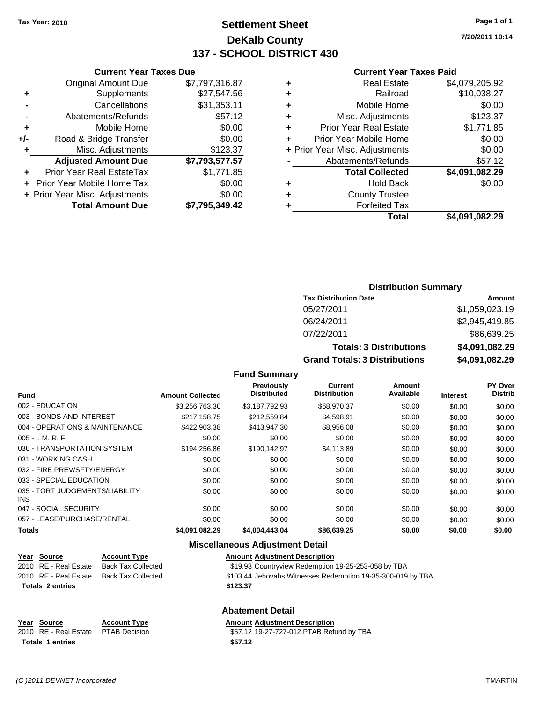# **Settlement Sheet Tax Year: 2010 Page 1 of 1 DeKalb County 137 - SCHOOL DISTRICT 430**

**7/20/2011 10:14**

#### **Current Year Taxes Paid**

| \$4,079,205.92 |
|----------------|
| \$10,038.27    |
| \$0.00         |
| \$123.37       |
| \$1,771.85     |
| \$0.00         |
| \$0.00         |
| \$57.12        |
| \$4,091,082.29 |
| \$0.00         |
|                |
|                |
| \$4.091.082.29 |
|                |

| <b>Current Year Taxes Due</b>  |                |
|--------------------------------|----------------|
| <b>Original Amount Due</b>     | \$7,797,316.87 |
| Supplements                    | \$27,547.56    |
| Cancellations                  | \$31,353.11    |
| Abatements/Refunds             | \$57.12        |
| Mobile Home                    | \$0.00         |
| Road & Bridge Transfer         | \$0.00         |
| Misc. Adjustments              | \$123.37       |
| <b>Adjusted Amount Due</b>     | \$7,793,577.57 |
| Prior Year Real EstateTax      | \$1,771.85     |
| Prior Year Mobile Home Tax     | \$0.00         |
| + Prior Year Misc. Adjustments | \$0.00         |
| <b>Total Amount Due</b>        | \$7,795,349.42 |
|                                |                |

## **Distribution Summary**

| <b>Tax Distribution Date</b>         | Amount         |
|--------------------------------------|----------------|
| 05/27/2011                           | \$1,059,023.19 |
| 06/24/2011                           | \$2,945,419.85 |
| 07/22/2011                           | \$86,639.25    |
| <b>Totals: 3 Distributions</b>       | \$4,091,082.29 |
| <b>Grand Totals: 3 Distributions</b> | \$4,091,082.29 |

#### **Fund Summary**

| <b>Fund</b>                                   | <b>Amount Collected</b> | <b>Previously</b><br><b>Distributed</b> | Current<br><b>Distribution</b> | <b>Amount</b><br>Available | <b>Interest</b> | PY Over<br><b>Distrib</b> |
|-----------------------------------------------|-------------------------|-----------------------------------------|--------------------------------|----------------------------|-----------------|---------------------------|
| 002 - EDUCATION                               | \$3.256.763.30          | \$3.187.792.93                          | \$68,970.37                    | \$0.00                     | \$0.00          | \$0.00                    |
| 003 - BONDS AND INTEREST                      | \$217.158.75            | \$212,559.84                            | \$4,598.91                     | \$0.00                     | \$0.00          | \$0.00                    |
| 004 - OPERATIONS & MAINTENANCE                | \$422,903,38            | \$413.947.30                            | \$8,956.08                     | \$0.00                     | \$0.00          | \$0.00                    |
| $005 - I. M. R. F.$                           | \$0.00                  | \$0.00                                  | \$0.00                         | \$0.00                     | \$0.00          | \$0.00                    |
| 030 - TRANSPORTATION SYSTEM                   | \$194,256.86            | \$190.142.97                            | \$4.113.89                     | \$0.00                     | \$0.00          | \$0.00                    |
| 031 - WORKING CASH                            | \$0.00                  | \$0.00                                  | \$0.00                         | \$0.00                     | \$0.00          | \$0.00                    |
| 032 - FIRE PREV/SFTY/ENERGY                   | \$0.00                  | \$0.00                                  | \$0.00                         | \$0.00                     | \$0.00          | \$0.00                    |
| 033 - SPECIAL EDUCATION                       | \$0.00                  | \$0.00                                  | \$0.00                         | \$0.00                     | \$0.00          | \$0.00                    |
| 035 - TORT JUDGEMENTS/LIABILITY<br><b>INS</b> | \$0.00                  | \$0.00                                  | \$0.00                         | \$0.00                     | \$0.00          | \$0.00                    |
| 047 - SOCIAL SECURITY                         | \$0.00                  | \$0.00                                  | \$0.00                         | \$0.00                     | \$0.00          | \$0.00                    |
| 057 - LEASE/PURCHASE/RENTAL                   | \$0.00                  | \$0.00                                  | \$0.00                         | \$0.00                     | \$0.00          | \$0.00                    |
| <b>Totals</b>                                 | \$4,091,082.29          | \$4,004,443.04                          | \$86,639.25                    | \$0.00                     | \$0.00          | \$0.00                    |

#### **Miscellaneous Adjustment Detail**

| Year Source             | <b>Account Type</b> | <b>Amount Adjustment Description</b>                        |
|-------------------------|---------------------|-------------------------------------------------------------|
| 2010 RE - Real Estate   | Back Tax Collected  | \$19.93 Countryview Redemption 19-25-253-058 by TBA         |
| 2010 RE - Real Estate   | Back Tax Collected  | \$103.44 Jehovahs Witnesses Redemption 19-35-300-019 by TBA |
| <b>Totals 2 entries</b> |                     | \$123.37                                                    |

#### **Abatement Detail**

**Year Source Account Type Amount Adjustment Description**<br>
2010 RE - Real Estate PTAB Decision **Amount** 19-27-727-012 PTAB Refu \$57.12 19-27-727-012 PTAB Refund by TBA **Totals 1 entries** \$57.12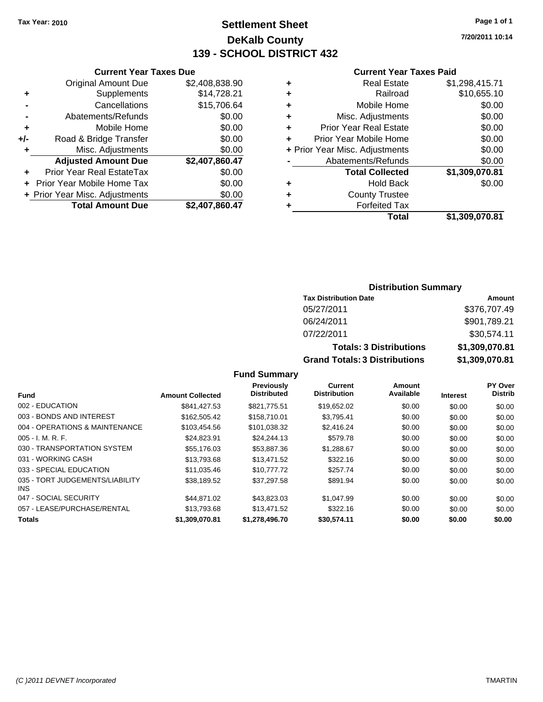# **Settlement Sheet Tax Year: 2010 Page 1 of 1 DeKalb County 139 - SCHOOL DISTRICT 432**

**7/20/2011 10:14**

#### **Current Year Taxes Paid**

|   | Real Estate                    | \$1,298,415.71 |
|---|--------------------------------|----------------|
| ٠ | Railroad                       | \$10,655.10    |
| ٠ | Mobile Home                    | \$0.00         |
| ٠ | Misc. Adjustments              | \$0.00         |
| ٠ | <b>Prior Year Real Estate</b>  | \$0.00         |
|   | Prior Year Mobile Home         | \$0.00         |
|   | + Prior Year Misc. Adjustments | \$0.00         |
|   | Abatements/Refunds             | \$0.00         |
|   | <b>Total Collected</b>         | \$1,309,070.81 |
| ٠ | <b>Hold Back</b>               | \$0.00         |
| ٠ | <b>County Trustee</b>          |                |
|   | <b>Forfeited Tax</b>           |                |
|   | Total                          | \$1.309.070.81 |

|     | <b>Current Year Taxes Due</b>  |                |
|-----|--------------------------------|----------------|
|     | <b>Original Amount Due</b>     | \$2,408,838.90 |
| ٠   | Supplements                    | \$14,728.21    |
|     | Cancellations                  | \$15,706.64    |
|     | Abatements/Refunds             | \$0.00         |
| ٠   | Mobile Home                    | \$0.00         |
| +/- | Road & Bridge Transfer         | \$0.00         |
| ٠   | Misc. Adjustments              | \$0.00         |
|     | <b>Adjusted Amount Due</b>     | \$2,407,860.47 |
|     | Prior Year Real EstateTax      | \$0.00         |
|     | Prior Year Mobile Home Tax     | \$0.00         |
|     | + Prior Year Misc. Adjustments | \$0.00         |
|     | <b>Total Amount Due</b>        | \$2,407,860.47 |
|     |                                |                |

# **Distribution Summary**

| <b>Tax Distribution Date</b>         | Amount         |
|--------------------------------------|----------------|
| 05/27/2011                           | \$376,707.49   |
| 06/24/2011                           | \$901,789.21   |
| 07/22/2011                           | \$30,574.11    |
| <b>Totals: 3 Distributions</b>       | \$1,309,070.81 |
| <b>Grand Totals: 3 Distributions</b> | \$1,309,070.81 |

|                                         |                         | <b>Previously</b>  | Current             | Amount    |                 | PY Over        |
|-----------------------------------------|-------------------------|--------------------|---------------------|-----------|-----------------|----------------|
| <b>Fund</b>                             | <b>Amount Collected</b> | <b>Distributed</b> | <b>Distribution</b> | Available | <b>Interest</b> | <b>Distrib</b> |
| 002 - EDUCATION                         | \$841.427.53            | \$821,775.51       | \$19,652.02         | \$0.00    | \$0.00          | \$0.00         |
| 003 - BONDS AND INTEREST                | \$162,505.42            | \$158,710.01       | \$3,795.41          | \$0.00    | \$0.00          | \$0.00         |
| 004 - OPERATIONS & MAINTENANCE          | \$103,454.56            | \$101,038.32       | \$2,416.24          | \$0.00    | \$0.00          | \$0.00         |
| $005 - I. M. R. F.$                     | \$24,823.91             | \$24,244.13        | \$579.78            | \$0.00    | \$0.00          | \$0.00         |
| 030 - TRANSPORTATION SYSTEM             | \$55,176.03             | \$53,887.36        | \$1,288.67          | \$0.00    | \$0.00          | \$0.00         |
| 031 - WORKING CASH                      | \$13,793.68             | \$13.471.52        | \$322.16            | \$0.00    | \$0.00          | \$0.00         |
| 033 - SPECIAL EDUCATION                 | \$11.035.46             | \$10,777,72        | \$257.74            | \$0.00    | \$0.00          | \$0.00         |
| 035 - TORT JUDGEMENTS/LIABILITY<br>INS. | \$38.189.52             | \$37.297.58        | \$891.94            | \$0.00    | \$0.00          | \$0.00         |
| 047 - SOCIAL SECURITY                   | \$44.871.02             | \$43,823,03        | \$1,047.99          | \$0.00    | \$0.00          | \$0.00         |
| 057 - LEASE/PURCHASE/RENTAL             | \$13,793,68             | \$13.471.52        | \$322.16            | \$0.00    | \$0.00          | \$0.00         |
| <b>Totals</b>                           | \$1,309,070.81          | \$1.278.496.70     | \$30.574.11         | \$0.00    | \$0.00          | \$0.00         |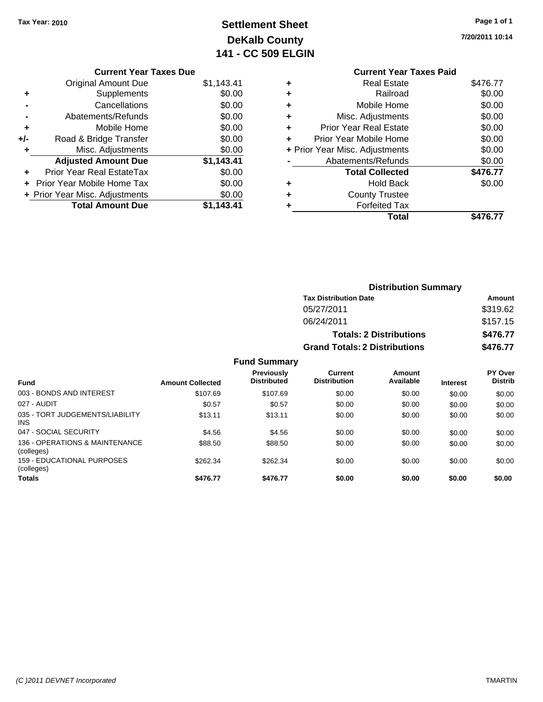# **Settlement Sheet Tax Year: 2010 Page 1 of 1 DeKalb County 141 - CC 509 ELGIN**

**7/20/2011 10:14**

# **Current Year Taxes Due** Original Amount Due \$1,143.41 **+** Supplements \$0.00 **-** Cancellations \$0.00 **-** Abatements/Refunds \$0.00 **+** Mobile Home \$0.00 **+/-** Road & Bridge Transfer \$0.00 **+** Misc. Adjustments \$0.00 **Adjusted Amount Due \$1,143.41 +** Prior Year Real EstateTax \$0.00 **+** Prior Year Mobile Home Tax \$0.00 **+ Prior Year Misc. Adjustments**  $$0.00$ **Total Amount Due \$1,143.41**

## **Current Year Taxes Paid +** Real Estate \$476.77 **+** Railroad \$0.00 **+** Mobile Home \$0.00 **+** Misc. Adjustments \$0.00 **+** Prior Year Real Estate \$0.00 **+** Prior Year Mobile Home \$0.00 **+** Prior Year Misc. Adjustments  $$0.00$ **-** Abatements/Refunds \$0.00 Total Collected \$476.77 **+** Hold Back \$0.00 **+** County Trustee **+** Forfeited Tax **Total \$476.77**

|                                               |                         |                                         |                                      | <b>Distribution Summary</b>    |                 |                                  |
|-----------------------------------------------|-------------------------|-----------------------------------------|--------------------------------------|--------------------------------|-----------------|----------------------------------|
|                                               |                         |                                         | <b>Tax Distribution Date</b>         |                                |                 | Amount                           |
|                                               |                         |                                         | 05/27/2011                           |                                |                 | \$319.62                         |
|                                               |                         |                                         | 06/24/2011                           |                                |                 | \$157.15<br>\$476.77             |
|                                               |                         |                                         |                                      | <b>Totals: 2 Distributions</b> |                 |                                  |
|                                               |                         |                                         | <b>Grand Totals: 2 Distributions</b> |                                |                 | \$476.77                         |
|                                               |                         | <b>Fund Summary</b>                     |                                      |                                |                 |                                  |
| Fund                                          | <b>Amount Collected</b> | <b>Previously</b><br><b>Distributed</b> | Current<br><b>Distribution</b>       | Amount<br>Available            | <b>Interest</b> | <b>PY Over</b><br><b>Distrib</b> |
| 003 - BONDS AND INTEREST                      | \$107.69                | \$107.69                                | \$0.00                               | \$0.00                         | \$0.00          | \$0.00                           |
| 027 - AUDIT                                   | \$0.57                  | \$0.57                                  | \$0.00                               | \$0.00                         | \$0.00          | \$0.00                           |
| 035 - TORT JUDGEMENTS/LIABILITY<br><b>INS</b> | \$13.11                 | \$13.11                                 | \$0.00                               | \$0.00                         | \$0.00          | \$0.00                           |
| 047 - SOCIAL SECURITY                         | \$4.56                  | \$4.56                                  | \$0.00                               | \$0.00                         | \$0.00          | \$0.00                           |
| 136 - OPERATIONS & MAINTENANCE<br>(colleges)  | \$88.50                 | \$88.50                                 | \$0.00                               | \$0.00                         | \$0.00          | \$0.00                           |
| 159 - EDUCATIONAL PURPOSES<br>(colleges)      | \$262.34                | \$262.34                                | \$0.00                               | \$0.00                         | \$0.00          | \$0.00                           |
| Totals                                        | \$476.77                | \$476.77                                | \$0.00                               | \$0.00                         | \$0.00          | \$0.00                           |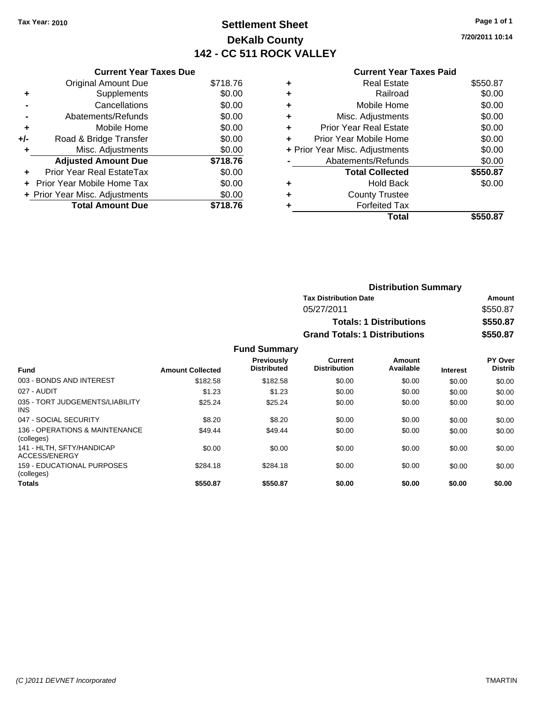# **Settlement Sheet Tax Year: 2010 Page 1 of 1 DeKalb County 142 - CC 511 ROCK VALLEY**

**7/20/2011 10:14**

#### **Current Year Taxes Paid**

|     | <b>Current Year Taxes Due</b>  |          |
|-----|--------------------------------|----------|
|     | <b>Original Amount Due</b>     | \$718.76 |
| ٠   | Supplements                    | \$0.00   |
|     | Cancellations                  | \$0.00   |
|     | Abatements/Refunds             | \$0.00   |
| ٠   | Mobile Home                    | \$0.00   |
| +/- | Road & Bridge Transfer         | \$0.00   |
| ٠   | Misc. Adjustments              | \$0.00   |
|     | <b>Adjusted Amount Due</b>     | \$718.76 |
| ÷   | Prior Year Real EstateTax      | \$0.00   |
| ÷   | Prior Year Mobile Home Tax     | \$0.00   |
|     | + Prior Year Misc. Adjustments | \$0.00   |
|     | <b>Total Amount Due</b>        | \$718.76 |

|   | Total                          | \$550.87 |
|---|--------------------------------|----------|
| ٠ | <b>Forfeited Tax</b>           |          |
| ٠ | <b>County Trustee</b>          |          |
| ٠ | <b>Hold Back</b>               | \$0.00   |
|   | <b>Total Collected</b>         | \$550.87 |
|   | Abatements/Refunds             | \$0.00   |
|   | + Prior Year Misc. Adjustments | \$0.00   |
|   | Prior Year Mobile Home         | \$0.00   |
| ÷ | Prior Year Real Estate         | \$0.00   |
| ٠ | Misc. Adjustments              | \$0.00   |
| ٠ | Mobile Home                    | \$0.00   |
| ٠ | Railroad                       | \$0.00   |
| ٠ | <b>Real Estate</b>             | \$550.87 |
|   |                                |          |

| <b>Distribution Summary</b>          |          |
|--------------------------------------|----------|
| <b>Tax Distribution Date</b>         | Amount   |
| 05/27/2011                           | \$550.87 |
| <b>Totals: 1 Distributions</b>       | \$550.87 |
| <b>Grand Totals: 1 Distributions</b> | \$550.87 |

| <b>Fund</b>                                   | <b>Amount Collected</b> | <b>Previously</b><br><b>Distributed</b> | Current<br><b>Distribution</b> | Amount<br>Available | <b>Interest</b> | PY Over<br><b>Distrib</b> |
|-----------------------------------------------|-------------------------|-----------------------------------------|--------------------------------|---------------------|-----------------|---------------------------|
| 003 - BONDS AND INTEREST                      | \$182.58                | \$182.58                                | \$0.00                         | \$0.00              | \$0.00          | \$0.00                    |
| 027 - AUDIT                                   | \$1.23                  | \$1.23                                  | \$0.00                         | \$0.00              | \$0.00          | \$0.00                    |
| 035 - TORT JUDGEMENTS/LIABILITY<br><b>INS</b> | \$25.24                 | \$25.24                                 | \$0.00                         | \$0.00              | \$0.00          | \$0.00                    |
| 047 - SOCIAL SECURITY                         | \$8.20                  | \$8.20                                  | \$0.00                         | \$0.00              | \$0.00          | \$0.00                    |
| 136 - OPERATIONS & MAINTENANCE<br>(colleges)  | \$49.44                 | \$49.44                                 | \$0.00                         | \$0.00              | \$0.00          | \$0.00                    |
| 141 - HLTH, SFTY/HANDICAP<br>ACCESS/ENERGY    | \$0.00                  | \$0.00                                  | \$0.00                         | \$0.00              | \$0.00          | \$0.00                    |
| 159 - EDUCATIONAL PURPOSES<br>(colleges)      | \$284.18                | \$284.18                                | \$0.00                         | \$0.00              | \$0.00          | \$0.00                    |
| <b>Totals</b>                                 | \$550.87                | \$550.87                                | \$0.00                         | \$0.00              | \$0.00          | \$0.00                    |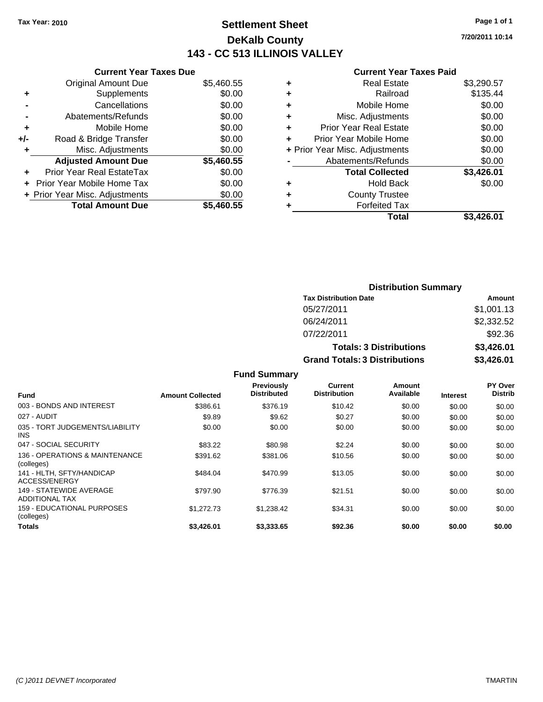# **Settlement Sheet Tax Year: 2010 Page 1 of 1 DeKalb County 143 - CC 513 ILLINOIS VALLEY**

**7/20/2011 10:14**

|     | <b>Current Year Taxes Due</b>  |            |
|-----|--------------------------------|------------|
|     | <b>Original Amount Due</b>     | \$5,460.55 |
| ٠   | Supplements                    | \$0.00     |
|     | Cancellations                  | \$0.00     |
|     | Abatements/Refunds             | \$0.00     |
| ٠   | Mobile Home                    | \$0.00     |
| +/- | Road & Bridge Transfer         | \$0.00     |
| ٠   | Misc. Adjustments              | \$0.00     |
|     | <b>Adjusted Amount Due</b>     | \$5,460.55 |
| ٠   | Prior Year Real EstateTax      | \$0.00     |
|     | Prior Year Mobile Home Tax     | \$0.00     |
|     | + Prior Year Misc. Adjustments | \$0.00     |
|     | <b>Total Amount Due</b>        | \$5,460.55 |
|     |                                |            |

| <b>Real Estate</b><br>٠            | \$3,290.57          |
|------------------------------------|---------------------|
| Railroad<br>٠                      | \$135.44            |
| Mobile Home<br>٠                   | \$0.00              |
| Misc. Adjustments<br>٠             | \$0.00              |
| <b>Prior Year Real Estate</b><br>÷ | \$0.00              |
| Prior Year Mobile Home<br>٠        | \$0.00              |
| + Prior Year Misc. Adjustments     | \$0.00              |
| Abatements/Refunds                 | \$0.00              |
| <b>Total Collected</b>             | \$3,426.01          |
| <b>Hold Back</b><br>٠              | \$0.00              |
| <b>County Trustee</b><br>٠         |                     |
| <b>Forfeited Tax</b><br>٠          |                     |
|                                    | Total<br>\$3.426.01 |

| <b>Distribution Summary</b>          |            |
|--------------------------------------|------------|
| <b>Tax Distribution Date</b>         | Amount     |
| 05/27/2011                           | \$1,001.13 |
| 06/24/2011                           | \$2,332.52 |
| 07/22/2011                           | \$92.36    |
| <b>Totals: 3 Distributions</b>       | \$3,426.01 |
| <b>Grand Totals: 3 Distributions</b> | \$3,426.01 |

|                                                  |                         | <b>Fund Summary</b>                     |                                |                     |                 |                                  |
|--------------------------------------------------|-------------------------|-----------------------------------------|--------------------------------|---------------------|-----------------|----------------------------------|
| Fund                                             | <b>Amount Collected</b> | <b>Previously</b><br><b>Distributed</b> | Current<br><b>Distribution</b> | Amount<br>Available | <b>Interest</b> | <b>PY Over</b><br><b>Distrib</b> |
| 003 - BONDS AND INTEREST                         | \$386.61                | \$376.19                                | \$10.42                        | \$0.00              | \$0.00          | \$0.00                           |
| 027 - AUDIT                                      | \$9.89                  | \$9.62                                  | \$0.27                         | \$0.00              | \$0.00          | \$0.00                           |
| 035 - TORT JUDGEMENTS/LIABILITY<br>INS.          | \$0.00                  | \$0.00                                  | \$0.00                         | \$0.00              | \$0.00          | \$0.00                           |
| 047 - SOCIAL SECURITY                            | \$83.22                 | \$80.98                                 | \$2.24                         | \$0.00              | \$0.00          | \$0.00                           |
| 136 - OPERATIONS & MAINTENANCE<br>(colleges)     | \$391.62                | \$381.06                                | \$10.56                        | \$0.00              | \$0.00          | \$0.00                           |
| 141 - HLTH. SFTY/HANDICAP<br>ACCESS/ENERGY       | \$484.04                | \$470.99                                | \$13.05                        | \$0.00              | \$0.00          | \$0.00                           |
| 149 - STATEWIDE AVERAGE<br><b>ADDITIONAL TAX</b> | \$797.90                | \$776.39                                | \$21.51                        | \$0.00              | \$0.00          | \$0.00                           |
| <b>159 - EDUCATIONAL PURPOSES</b><br>(colleges)  | \$1,272.73              | \$1,238.42                              | \$34.31                        | \$0.00              | \$0.00          | \$0.00                           |
| Totals                                           | \$3,426.01              | \$3,333.65                              | \$92.36                        | \$0.00              | \$0.00          | \$0.00                           |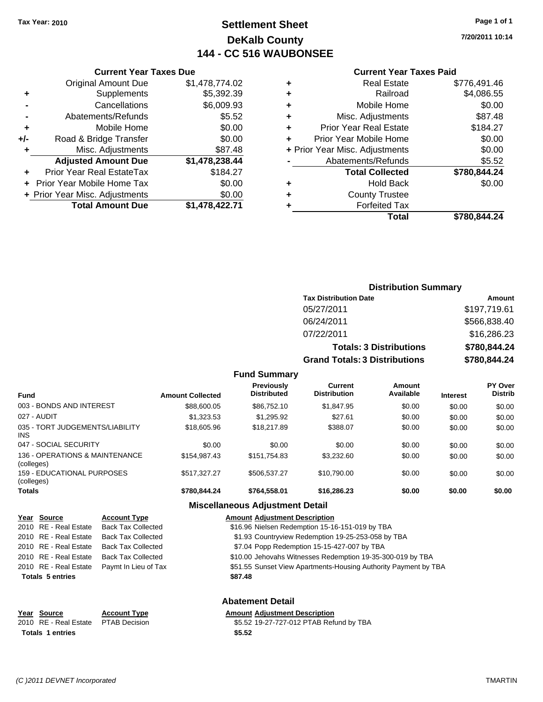# **Settlement Sheet Tax Year: 2010 Page 1 of 1 DeKalb County 144 - CC 516 WAUBONSEE**

**7/20/2011 10:14**

#### **Current Year Taxes Paid**

| ٠ | <b>Real Estate</b>             | \$776,491.46 |
|---|--------------------------------|--------------|
| ٠ | Railroad                       | \$4,086.55   |
| ٠ | Mobile Home                    | \$0.00       |
| ٠ | Misc. Adjustments              | \$87.48      |
| ٠ | <b>Prior Year Real Estate</b>  | \$184.27     |
|   | Prior Year Mobile Home         | \$0.00       |
|   | + Prior Year Misc. Adjustments | \$0.00       |
|   | Abatements/Refunds             | \$5.52       |
|   | <b>Total Collected</b>         | \$780,844.24 |
| ٠ | <b>Hold Back</b>               | \$0.00       |
| ٠ | <b>County Trustee</b>          |              |
| ٠ | <b>Forfeited Tax</b>           |              |
|   | Total                          | \$780.844.24 |
|   |                                |              |

|     | <b>Current Year Taxes Due</b>    |                |
|-----|----------------------------------|----------------|
|     | <b>Original Amount Due</b>       | \$1,478,774.02 |
| ٠   | Supplements                      | \$5,392.39     |
|     | Cancellations                    | \$6,009.93     |
|     | Abatements/Refunds               | \$5.52         |
| ٠   | Mobile Home                      | \$0.00         |
| +/- | Road & Bridge Transfer           | \$0.00         |
| ٠   | Misc. Adjustments                | \$87.48        |
|     | <b>Adjusted Amount Due</b>       | \$1,478,238.44 |
|     | <b>Prior Year Real EstateTax</b> | \$184.27       |
|     | Prior Year Mobile Home Tax       | \$0.00         |
|     | + Prior Year Misc. Adjustments   | \$0.00         |
|     | <b>Total Amount Due</b>          | \$1,478,422.71 |
|     |                                  |                |

# **Distribution Summary**

| <b>Tax Distribution Date</b>         | Amount       |
|--------------------------------------|--------------|
| 05/27/2011                           | \$197,719.61 |
| 06/24/2011                           | \$566,838.40 |
| 07/22/2011                           | \$16,286.23  |
| <b>Totals: 3 Distributions</b>       | \$780,844.24 |
| <b>Grand Totals: 3 Distributions</b> | \$780,844.24 |

### **Fund Summary**

| <b>Fund</b>                                   | <b>Amount Collected</b> | <b>Previously</b><br><b>Distributed</b> | Current<br><b>Distribution</b> | Amount<br>Available | <b>Interest</b> | <b>PY Over</b><br><b>Distrib</b> |
|-----------------------------------------------|-------------------------|-----------------------------------------|--------------------------------|---------------------|-----------------|----------------------------------|
| 003 - BONDS AND INTEREST                      | \$88,600.05             | \$86.752.10                             | \$1,847.95                     | \$0.00              | \$0.00          | \$0.00                           |
| 027 - AUDIT                                   | \$1,323.53              | \$1.295.92                              | \$27.61                        | \$0.00              | \$0.00          | \$0.00                           |
| 035 - TORT JUDGEMENTS/LIABILITY<br><b>INS</b> | \$18,605.96             | \$18,217.89                             | \$388.07                       | \$0.00              | \$0.00          | \$0.00                           |
| 047 - SOCIAL SECURITY                         | \$0.00                  | \$0.00                                  | \$0.00                         | \$0.00              | \$0.00          | \$0.00                           |
| 136 - OPERATIONS & MAINTENANCE<br>(colleges)  | \$154,987.43            | \$151.754.83                            | \$3,232.60                     | \$0.00              | \$0.00          | \$0.00                           |
| 159 - EDUCATIONAL PURPOSES<br>(colleges)      | \$517,327,27            | \$506.537.27                            | \$10.790.00                    | \$0.00              | \$0.00          | \$0.00                           |
| <b>Totals</b>                                 | \$780,844.24            | \$764.558.01                            | \$16,286.23                    | \$0.00              | \$0.00          | \$0.00                           |

#### **Miscellaneous Adjustment Detail**

| Year Source             | <b>Account Type</b>       | <b>Amount Adjustment Description</b>                            |
|-------------------------|---------------------------|-----------------------------------------------------------------|
| 2010 RE - Real Estate   | <b>Back Tax Collected</b> | \$16.96 Nielsen Redemption 15-16-151-019 by TBA                 |
| 2010 RE - Real Estate   | <b>Back Tax Collected</b> | \$1.93 Countryview Redemption 19-25-253-058 by TBA              |
| 2010 RE - Real Estate   | <b>Back Tax Collected</b> | \$7.04 Popp Redemption 15-15-427-007 by TBA                     |
| 2010 RE - Real Estate   | <b>Back Tax Collected</b> | \$10.00 Jehovahs Witnesses Redemption 19-35-300-019 by TBA      |
| 2010 RE - Real Estate   | Paymt In Lieu of Tax      | \$51.55 Sunset View Apartments-Housing Authority Payment by TBA |
| <b>Totals 5 entries</b> |                           | \$87.48                                                         |
|                         |                           | <b>Abatement Detail</b>                                         |
| Year Source             | <b>Account Type</b>       | <b>Amount Adjustment Description</b>                            |
| 2010 RE - Real Estate   | <b>PTAB Decision</b>      | \$5.52 19-27-727-012 PTAB Refund by TBA                         |

# **Totals \$5.52 1 entries**

\$5.52 19-27-727-012 PTAB Refund by TBA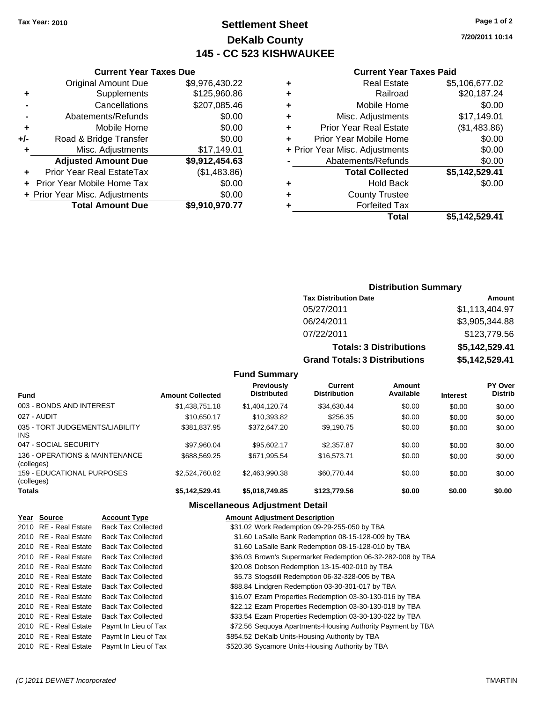# **Settlement Sheet Tax Year: 2010 Page 1 of 2 DeKalb County 145 - CC 523 KISHWAUKEE**

**7/20/2011 10:14**

### **Current Year Taxes Paid**

| Total                          | \$5.142.529.41 |
|--------------------------------|----------------|
| <b>Forfeited Tax</b>           |                |
| <b>County Trustee</b>          |                |
| <b>Hold Back</b>               | \$0.00         |
| <b>Total Collected</b>         | \$5,142,529.41 |
| Abatements/Refunds             | \$0.00         |
| + Prior Year Misc. Adjustments | \$0.00         |
| Prior Year Mobile Home         | \$0.00         |
| <b>Prior Year Real Estate</b>  | (\$1,483.86)   |
| Misc. Adjustments              | \$17,149.01    |
| Mobile Home                    | \$0.00         |
| Railroad                       | \$20,187.24    |
| <b>Real Estate</b>             | \$5,106,677.02 |
|                                |                |

|     | <b>Current Year Taxes Due</b>  |                |  |  |
|-----|--------------------------------|----------------|--|--|
|     | <b>Original Amount Due</b>     | \$9,976,430.22 |  |  |
| ٠   | Supplements                    | \$125,960.86   |  |  |
|     | Cancellations                  | \$207,085.46   |  |  |
|     | Abatements/Refunds             | \$0.00         |  |  |
| ٠   | Mobile Home                    | \$0.00         |  |  |
| +/- | Road & Bridge Transfer         | \$0.00         |  |  |
|     | Misc. Adjustments              | \$17,149.01    |  |  |
|     | <b>Adjusted Amount Due</b>     | \$9,912,454.63 |  |  |
|     | Prior Year Real EstateTax      | (\$1,483.86)   |  |  |
|     | Prior Year Mobile Home Tax     | \$0.00         |  |  |
|     | + Prior Year Misc. Adjustments | \$0.00         |  |  |
|     | <b>Total Amount Due</b>        | \$9,910,970.77 |  |  |

# **Distribution Summary**

| <b>Tax Distribution Date</b>         | Amount         |
|--------------------------------------|----------------|
| 05/27/2011                           | \$1,113,404.97 |
| 06/24/2011                           | \$3,905,344.88 |
| 07/22/2011                           | \$123,779.56   |
| <b>Totals: 3 Distributions</b>       | \$5,142,529.41 |
| <b>Grand Totals: 3 Distributions</b> | \$5,142,529.41 |

# **Fund Summary**

| <b>Fund</b>                                   | <b>Amount Collected</b> | <b>Previously</b><br><b>Distributed</b> | Current<br><b>Distribution</b> | Amount<br>Available | <b>Interest</b> | <b>PY Over</b><br><b>Distrib</b> |
|-----------------------------------------------|-------------------------|-----------------------------------------|--------------------------------|---------------------|-----------------|----------------------------------|
| 003 - BONDS AND INTEREST                      | \$1,438,751.18          | \$1,404,120.74                          | \$34,630.44                    | \$0.00              | \$0.00          | \$0.00                           |
| 027 - AUDIT                                   | \$10.650.17             | \$10,393.82                             | \$256.35                       | \$0.00              | \$0.00          | \$0.00                           |
| 035 - TORT JUDGEMENTS/LIABILITY<br><b>INS</b> | \$381,837.95            | \$372,647.20                            | \$9,190.75                     | \$0.00              | \$0.00          | \$0.00                           |
| 047 - SOCIAL SECURITY                         | \$97.960.04             | \$95.602.17                             | \$2,357.87                     | \$0.00              | \$0.00          | \$0.00                           |
| 136 - OPERATIONS & MAINTENANCE<br>(colleges)  | \$688,569.25            | \$671,995.54                            | \$16,573.71                    | \$0.00              | \$0.00          | \$0.00                           |
| 159 - EDUCATIONAL PURPOSES<br>(colleges)      | \$2.524.760.82          | \$2,463,990.38                          | \$60,770.44                    | \$0.00              | \$0.00          | \$0.00                           |
| <b>Totals</b>                                 | \$5,142,529.41          | \$5,018,749.85                          | \$123,779.56                   | \$0.00              | \$0.00          | \$0.00                           |

| Year Source           | <b>Account Type</b>       | <b>Amount Adjustment Description</b>                        |
|-----------------------|---------------------------|-------------------------------------------------------------|
| 2010 RE - Real Estate | <b>Back Tax Collected</b> | \$31.02 Work Redemption 09-29-255-050 by TBA                |
| 2010 RE - Real Estate | <b>Back Tax Collected</b> | \$1.60 LaSalle Bank Redemption 08-15-128-009 by TBA         |
| 2010 RE - Real Estate | <b>Back Tax Collected</b> | \$1.60 LaSalle Bank Redemption 08-15-128-010 by TBA         |
| 2010 RE - Real Estate | <b>Back Tax Collected</b> | \$36.03 Brown's Supermarket Redemption 06-32-282-008 by TBA |
| 2010 RE - Real Estate | <b>Back Tax Collected</b> | \$20.08 Dobson Redemption 13-15-402-010 by TBA              |
| 2010 RE - Real Estate | <b>Back Tax Collected</b> | \$5.73 Stogsdill Redemption 06-32-328-005 by TBA            |
| 2010 RE - Real Estate | <b>Back Tax Collected</b> | \$88.84 Lindgren Redemption 03-30-301-017 by TBA            |
| 2010 RE - Real Estate | <b>Back Tax Collected</b> | \$16.07 Ezam Properties Redemption 03-30-130-016 by TBA     |
| 2010 RE - Real Estate | <b>Back Tax Collected</b> | \$22.12 Ezam Properties Redemption 03-30-130-018 by TBA     |
| 2010 RE - Real Estate | <b>Back Tax Collected</b> | \$33.54 Ezam Properties Redemption 03-30-130-022 by TBA     |
| 2010 RE - Real Estate | Paymt In Lieu of Tax      | \$72.56 Sequoya Apartments-Housing Authority Payment by TBA |
| 2010 RE - Real Estate | Paymt In Lieu of Tax      | \$854.52 DeKalb Units-Housing Authority by TBA              |
| 2010 RE - Real Estate | Paymt In Lieu of Tax      | \$520.36 Sycamore Units-Housing Authority by TBA            |
|                       |                           |                                                             |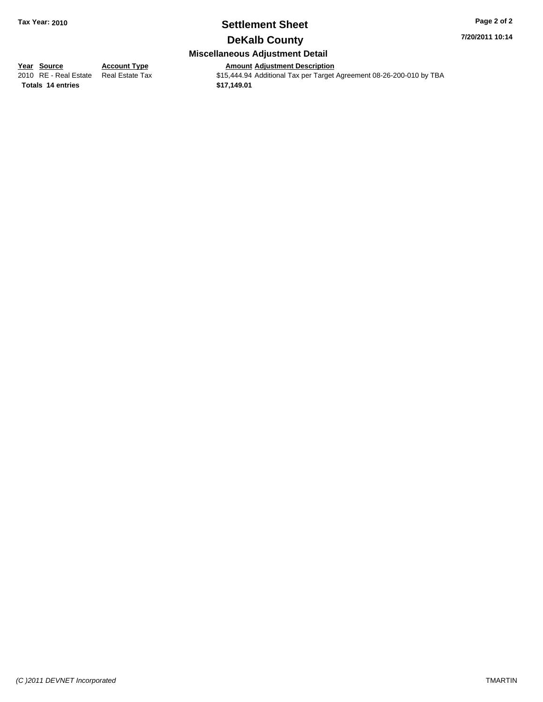# **Settlement Sheet Tax Year: 2010 Page 2 of 2**

**7/20/2011 10:14**

# **DeKalb County**

# **Miscellaneous Adjustment Detail**

**<u>Year Source</u>**<br> **Account Type**<br> **Adding Adding Description**<br> **Adding Adding Description Totals \$17,149.01 14 entries**

2010 Amount Adjustment Description<br>\$15,444.94 Additional Tax per Target Agreement 08-26-200-010 by TBA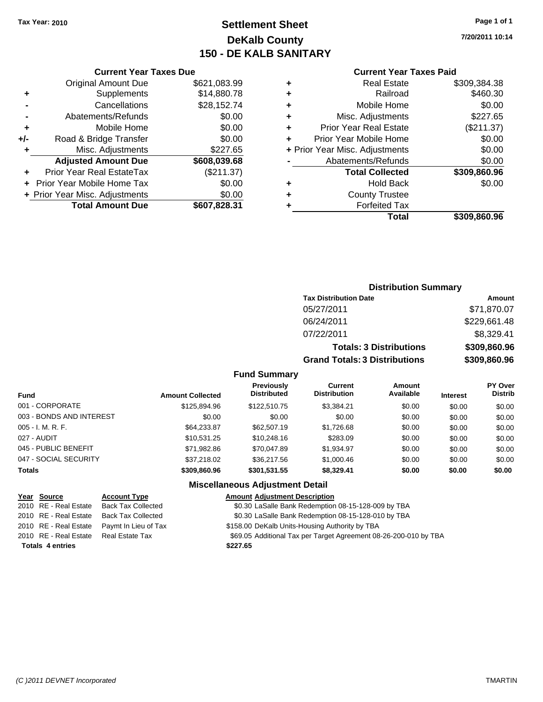# **Settlement Sheet Tax Year: 2010 Page 1 of 1 DeKalb County 150 - DE KALB SANITARY**

**7/20/2011 10:14**

|     | <b>Current Year Taxes Due</b>  |              |
|-----|--------------------------------|--------------|
|     | <b>Original Amount Due</b>     | \$621,083.99 |
| ٠   | Supplements                    | \$14,880.78  |
|     | Cancellations                  | \$28,152.74  |
|     | Abatements/Refunds             | \$0.00       |
| ٠   | Mobile Home                    | \$0.00       |
| +/- | Road & Bridge Transfer         | \$0.00       |
| ٠   | Misc. Adjustments              | \$227.65     |
|     | <b>Adjusted Amount Due</b>     | \$608,039.68 |
|     | Prior Year Real EstateTax      | (\$211.37)   |
|     | Prior Year Mobile Home Tax     | \$0.00       |
|     | + Prior Year Misc. Adjustments | \$0.00       |
|     | <b>Total Amount Due</b>        | \$607,828.31 |
|     |                                |              |

#### **Current Year Taxes Paid**

|   | <b>Real Estate</b>             | \$309,384.38 |
|---|--------------------------------|--------------|
| ÷ | Railroad                       | \$460.30     |
| ٠ | Mobile Home                    | \$0.00       |
| ٠ | Misc. Adjustments              | \$227.65     |
| ٠ | <b>Prior Year Real Estate</b>  | (\$211.37)   |
|   | Prior Year Mobile Home         | \$0.00       |
|   | + Prior Year Misc. Adjustments | \$0.00       |
|   | Abatements/Refunds             | \$0.00       |
|   | <b>Total Collected</b>         | \$309,860.96 |
| ٠ | <b>Hold Back</b>               | \$0.00       |
| ٠ | <b>County Trustee</b>          |              |
| ٠ | <b>Forfeited Tax</b>           |              |
|   | Total                          | \$309,860.96 |
|   |                                |              |

# **Distribution Summary Tax Distribution Date Amount** 05/27/2011 \$71,870.07 06/24/2011 \$229,661.48 07/22/2011 \$8,329.41 **Totals: 3 Distributions \$309,860.96 Grand Totals: 3 Distributions \$309,860.96**

#### **Fund Summary**

| <b>Fund</b>              | <b>Amount Collected</b> | <b>Previously</b><br><b>Distributed</b> | Current<br><b>Distribution</b> | Amount<br>Available | <b>Interest</b> | <b>PY Over</b><br><b>Distrib</b> |
|--------------------------|-------------------------|-----------------------------------------|--------------------------------|---------------------|-----------------|----------------------------------|
| 001 - CORPORATE          | \$125,894.96            | \$122,510.75                            | \$3,384.21                     | \$0.00              | \$0.00          | \$0.00                           |
| 003 - BONDS AND INTEREST | \$0.00                  | \$0.00                                  | \$0.00                         | \$0.00              | \$0.00          | \$0.00                           |
| $005 - I. M. R. F.$      | \$64,233.87             | \$62,507.19                             | \$1,726.68                     | \$0.00              | \$0.00          | \$0.00                           |
| 027 - AUDIT              | \$10.531.25             | \$10,248.16                             | \$283.09                       | \$0.00              | \$0.00          | \$0.00                           |
| 045 - PUBLIC BENEFIT     | \$71,982.86             | \$70,047.89                             | \$1,934.97                     | \$0.00              | \$0.00          | \$0.00                           |
| 047 - SOCIAL SECURITY    | \$37,218,02             | \$36,217.56                             | \$1,000.46                     | \$0.00              | \$0.00          | \$0.00                           |
| <b>Totals</b>            | \$309,860.96            | \$301,531.55                            | \$8,329.41                     | \$0.00              | \$0.00          | \$0.00                           |

|                         | Year Source           | <b>Account Type</b>       | <b>Amount Adjustment Description</b>                             |
|-------------------------|-----------------------|---------------------------|------------------------------------------------------------------|
|                         | 2010 RE - Real Estate | <b>Back Tax Collected</b> | \$0.30 LaSalle Bank Redemption 08-15-128-009 by TBA              |
|                         | 2010 RE - Real Estate | <b>Back Tax Collected</b> | \$0.30 LaSalle Bank Redemption 08-15-128-010 by TBA              |
|                         | 2010 RE - Real Estate | Paymt In Lieu of Tax      | \$158.00 DeKalb Units-Housing Authority by TBA                   |
|                         | 2010 RE - Real Estate | Real Estate Tax           | \$69.05 Additional Tax per Target Agreement 08-26-200-010 by TBA |
| <b>Totals 4 entries</b> |                       |                           | \$227.65                                                         |
|                         |                       |                           |                                                                  |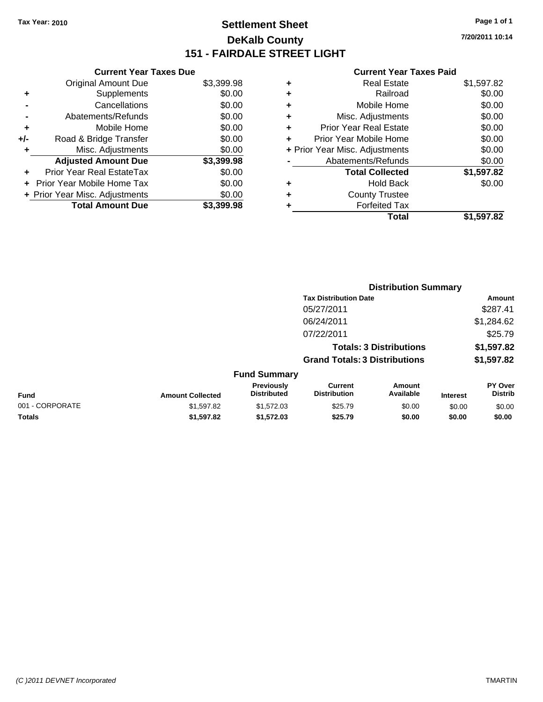# **Settlement Sheet Tax Year: 2010 Page 1 of 1 DeKalb County 151 - FAIRDALE STREET LIGHT**

**7/20/2011 10:14**

**Total \$1,597.82**

|     | <b>Current Year Taxes Due</b>    |            |
|-----|----------------------------------|------------|
|     | <b>Original Amount Due</b>       | \$3,399.98 |
| ٠   | Supplements                      | \$0.00     |
|     | Cancellations                    | \$0.00     |
|     | Abatements/Refunds               | \$0.00     |
| ٠   | Mobile Home                      | \$0.00     |
| +/- | Road & Bridge Transfer           | \$0.00     |
|     | Misc. Adjustments                | \$0.00     |
|     | <b>Adjusted Amount Due</b>       | \$3,399.98 |
|     | <b>Prior Year Real EstateTax</b> | \$0.00     |
|     | Prior Year Mobile Home Tax       | \$0.00     |
|     | + Prior Year Misc. Adjustments   | \$0.00     |
|     | <b>Total Amount Due</b>          | \$3.399.98 |

|    | <b>Current Year Taxes Paid</b> |            |
|----|--------------------------------|------------|
| ÷  | <b>Real Estate</b>             | \$1,597.82 |
| Ŧ. | Railroad                       | \$0.00     |
| ÷. | Mobile Home                    | \$0.00     |
| ÷  | Misc. Adjustments              | \$0.00     |
| ÷  | <b>Prior Year Real Estate</b>  | \$0.00     |
| ÷  | Prior Year Mobile Home         | \$0.00     |
|    | + Prior Year Misc. Adjustments | \$0.00     |
|    | Abatements/Refunds             | \$0.00     |
|    | <b>Total Collected</b>         | \$1,597.82 |
| ÷  | Hold Back                      | \$0.00     |

| ٠ | <b>Forfeited Tax</b><br>Total |  |
|---|-------------------------------|--|
|   |                               |  |

**+** County Trustee

|                         |                                  |                                       |                     |                                                                                                        | Amount                      |
|-------------------------|----------------------------------|---------------------------------------|---------------------|--------------------------------------------------------------------------------------------------------|-----------------------------|
|                         |                                  | 05/27/2011                            |                     |                                                                                                        | \$287.41                    |
|                         |                                  | 06/24/2011                            |                     |                                                                                                        | \$1,284.62                  |
|                         |                                  | 07/22/2011                            |                     |                                                                                                        | \$25.79                     |
|                         |                                  |                                       |                     |                                                                                                        | \$1,597.82                  |
|                         |                                  |                                       |                     |                                                                                                        | \$1,597.82                  |
|                         |                                  |                                       |                     |                                                                                                        |                             |
| <b>Amount Collected</b> | Previously<br><b>Distributed</b> | <b>Current</b><br><b>Distribution</b> | Amount<br>Available | <b>Interest</b>                                                                                        | PY Over<br><b>Distrib</b>   |
| \$1,597.82              | \$1,572.03                       | \$25.79                               | \$0.00              | \$0.00                                                                                                 | \$0.00                      |
| \$1,597.82              | \$1,572.03                       | \$25.79                               | \$0.00              | \$0.00                                                                                                 | \$0.00                      |
|                         |                                  |                                       | <b>Fund Summary</b> | <b>Tax Distribution Date</b><br><b>Totals: 3 Distributions</b><br><b>Grand Totals: 3 Distributions</b> | <b>Distribution Summary</b> |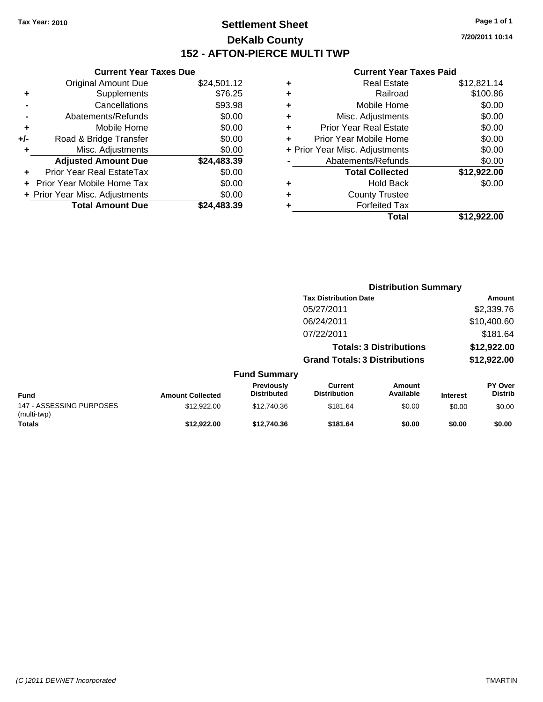# **Settlement Sheet Tax Year: 2010 Page 1 of 1 DeKalb County 152 - AFTON-PIERCE MULTI TWP**

**7/20/2011 10:14**

|   | Total                          | \$12.922.00 |
|---|--------------------------------|-------------|
|   | <b>Forfeited Tax</b>           |             |
| ٠ | <b>County Trustee</b>          |             |
|   | <b>Hold Back</b>               | \$0.00      |
|   | <b>Total Collected</b>         | \$12,922.00 |
|   | Abatements/Refunds             | \$0.00      |
|   | + Prior Year Misc. Adjustments | \$0.00      |
|   | Prior Year Mobile Home         | \$0.00      |
| ٠ | <b>Prior Year Real Estate</b>  | \$0.00      |
| ٠ | Misc. Adjustments              | \$0.00      |
| ٠ | Mobile Home                    | \$0.00      |
| ٠ | Railroad                       | \$100.86    |
|   | <b>Real Estate</b>             | \$12,821.14 |

|       | <b>Current Year Taxes Due</b>  |             |
|-------|--------------------------------|-------------|
|       | <b>Original Amount Due</b>     | \$24,501.12 |
| ٠     | Supplements                    | \$76.25     |
|       | Cancellations                  | \$93.98     |
|       | Abatements/Refunds             | \$0.00      |
| ٠     | Mobile Home                    | \$0.00      |
| $+/-$ | Road & Bridge Transfer         | \$0.00      |
| ٠     | Misc. Adjustments              | \$0.00      |
|       | <b>Adjusted Amount Due</b>     | \$24,483.39 |
|       | Prior Year Real EstateTax      | \$0.00      |
|       | Prior Year Mobile Home Tax     | \$0.00      |
|       | + Prior Year Misc. Adjustments | \$0.00      |
|       | <b>Total Amount Due</b>        | \$24.483.39 |
|       |                                |             |

|                                         |                         |                                  |                                       | <b>Distribution Summary</b>    |                 |                           |
|-----------------------------------------|-------------------------|----------------------------------|---------------------------------------|--------------------------------|-----------------|---------------------------|
|                                         |                         |                                  | <b>Tax Distribution Date</b>          |                                |                 | Amount                    |
|                                         |                         |                                  | 05/27/2011                            |                                |                 | \$2,339.76                |
|                                         |                         |                                  | 06/24/2011                            |                                |                 | \$10,400.60               |
|                                         |                         |                                  | 07/22/2011                            |                                |                 | \$181.64                  |
|                                         |                         |                                  |                                       | <b>Totals: 3 Distributions</b> |                 | \$12,922.00               |
|                                         |                         |                                  | <b>Grand Totals: 3 Distributions</b>  |                                |                 | \$12,922.00               |
|                                         |                         | <b>Fund Summary</b>              |                                       |                                |                 |                           |
| <b>Fund</b>                             | <b>Amount Collected</b> | Previously<br><b>Distributed</b> | <b>Current</b><br><b>Distribution</b> | Amount<br>Available            | <b>Interest</b> | PY Over<br><b>Distrib</b> |
| 147 - ASSESSING PURPOSES<br>(multi-twp) | \$12,922.00             | \$12,740.36                      | \$181.64                              | \$0.00                         | \$0.00          | \$0.00                    |
| <b>Totals</b>                           | \$12,922.00             | \$12.740.36                      | \$181.64                              | \$0.00                         | \$0.00          | \$0.00                    |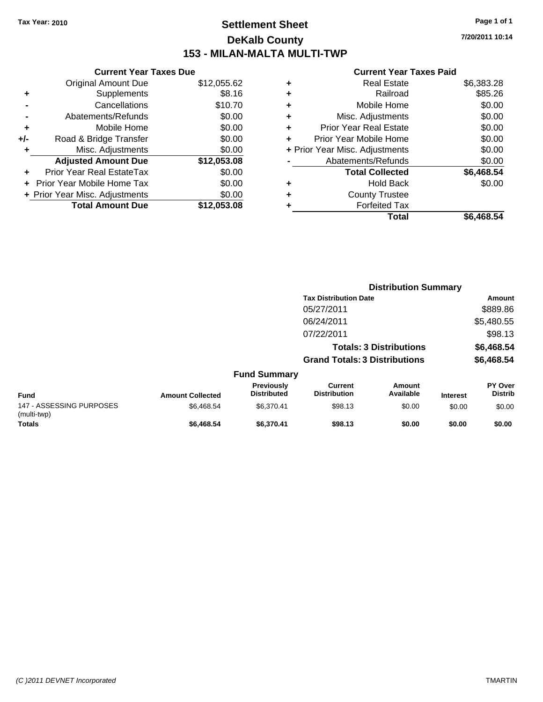# **Settlement Sheet Tax Year: 2010 Page 1 of 1 DeKalb County 153 - MILAN-MALTA MULTI-TWP**

**7/20/2011 10:14**

|   | Total                          | \$6,468.54 |
|---|--------------------------------|------------|
|   | <b>Forfeited Tax</b>           |            |
| ٠ | <b>County Trustee</b>          |            |
| ٠ | <b>Hold Back</b>               | \$0.00     |
|   | <b>Total Collected</b>         | \$6,468.54 |
|   | Abatements/Refunds             | \$0.00     |
|   | + Prior Year Misc. Adjustments | \$0.00     |
|   | Prior Year Mobile Home         | \$0.00     |
| ٠ | <b>Prior Year Real Estate</b>  | \$0.00     |
| ٠ | Misc. Adjustments              | \$0.00     |
| ٠ | Mobile Home                    | \$0.00     |
| ٠ | Railroad                       | \$85.26    |
|   | <b>Real Estate</b>             | \$6,383.28 |

|     | <b>Current Year Taxes Due</b>  |             |
|-----|--------------------------------|-------------|
|     | <b>Original Amount Due</b>     | \$12,055.62 |
| ٠   | Supplements                    | \$8.16      |
|     | Cancellations                  | \$10.70     |
|     | Abatements/Refunds             | \$0.00      |
| ٠   | Mobile Home                    | \$0.00      |
| +/- | Road & Bridge Transfer         | \$0.00      |
| ٠   | Misc. Adjustments              | \$0.00      |
|     | <b>Adjusted Amount Due</b>     | \$12,053.08 |
|     | Prior Year Real EstateTax      | \$0.00      |
|     | Prior Year Mobile Home Tax     | \$0.00      |
|     | + Prior Year Misc. Adjustments | \$0.00      |
|     | <b>Total Amount Due</b>        | \$12,053.08 |
|     |                                |             |

|                                         |                         |                                         | <b>Distribution Summary</b>           |                                |                 |                           |
|-----------------------------------------|-------------------------|-----------------------------------------|---------------------------------------|--------------------------------|-----------------|---------------------------|
|                                         |                         |                                         | <b>Tax Distribution Date</b>          |                                |                 | Amount                    |
|                                         |                         |                                         | 05/27/2011                            |                                |                 | \$889.86                  |
|                                         |                         |                                         | 06/24/2011                            |                                |                 | \$5,480.55                |
|                                         |                         |                                         | 07/22/2011                            |                                |                 | \$98.13                   |
|                                         |                         |                                         |                                       | <b>Totals: 3 Distributions</b> |                 | \$6,468.54                |
|                                         |                         |                                         | <b>Grand Totals: 3 Distributions</b>  |                                |                 | \$6,468.54                |
|                                         |                         | <b>Fund Summary</b>                     |                                       |                                |                 |                           |
| <b>Fund</b>                             | <b>Amount Collected</b> | <b>Previously</b><br><b>Distributed</b> | <b>Current</b><br><b>Distribution</b> | Amount<br>Available            | <b>Interest</b> | PY Over<br><b>Distrib</b> |
| 147 - ASSESSING PURPOSES<br>(multi-twp) | \$6,468.54              | \$6,370.41                              | \$98.13                               | \$0.00                         | \$0.00          | \$0.00                    |
| <b>Totals</b>                           | \$6,468.54              | \$6,370.41                              | \$98.13                               | \$0.00                         | \$0.00          | \$0.00                    |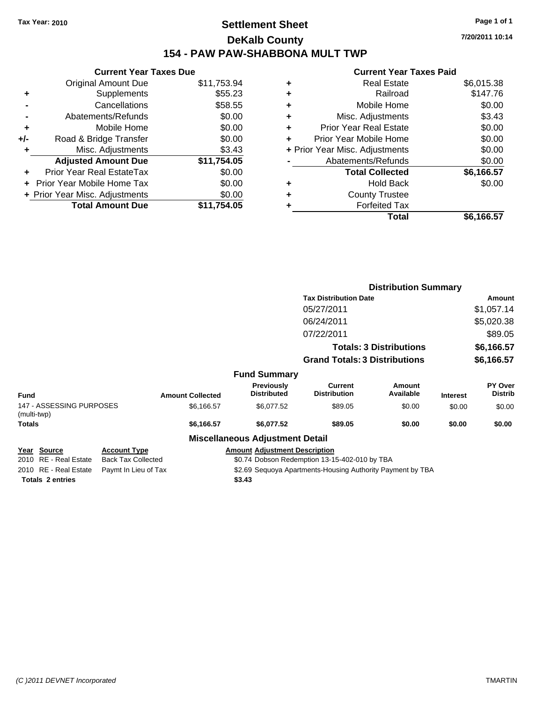# **Settlement Sheet Tax Year: 2010 Page 1 of 1 DeKalb County 154 - PAW PAW-SHABBONA MULT TWP**

**7/20/2011 10:14**

|     | <b>Current Year Taxes Due</b>     |             |
|-----|-----------------------------------|-------------|
|     | <b>Original Amount Due</b>        | \$11,753.94 |
| ٠   | Supplements                       | \$55.23     |
|     | Cancellations                     | \$58.55     |
|     | Abatements/Refunds                | \$0.00      |
| ٠   | Mobile Home                       | \$0.00      |
| +/- | Road & Bridge Transfer            | \$0.00      |
| ٠   | Misc. Adjustments                 | \$3.43      |
|     | <b>Adjusted Amount Due</b>        | \$11,754.05 |
|     | Prior Year Real EstateTax         | \$0.00      |
|     | <b>Prior Year Mobile Home Tax</b> | \$0.00      |
|     | + Prior Year Misc. Adjustments    | \$0.00      |
|     | <b>Total Amount Due</b>           | \$11.754.05 |
|     |                                   |             |

| ٠ | <b>Real Estate</b>             | \$6,015.38 |
|---|--------------------------------|------------|
| ٠ | Railroad                       | \$147.76   |
| ٠ | Mobile Home                    | \$0.00     |
| ٠ | Misc. Adjustments              | \$3.43     |
| ÷ | Prior Year Real Estate         | \$0.00     |
| ٠ | Prior Year Mobile Home         | \$0.00     |
|   | + Prior Year Misc. Adjustments | \$0.00     |
|   | Abatements/Refunds             | \$0.00     |
|   | <b>Total Collected</b>         | \$6,166.57 |
| ٠ | <b>Hold Back</b>               | \$0.00     |
| ٠ | <b>County Trustee</b>          |            |
| ٠ | <b>Forfeited Tax</b>           |            |
|   | Total                          | \$6,166.57 |

|                                         |                           |                         |                                        | <b>Distribution Summary</b>                                |                                |                 |                           |
|-----------------------------------------|---------------------------|-------------------------|----------------------------------------|------------------------------------------------------------|--------------------------------|-----------------|---------------------------|
|                                         |                           |                         |                                        | <b>Tax Distribution Date</b>                               |                                |                 | Amount                    |
|                                         |                           |                         |                                        | 05/27/2011                                                 |                                |                 | \$1,057.14                |
|                                         |                           |                         |                                        | 06/24/2011                                                 |                                |                 | \$5,020.38                |
|                                         |                           |                         |                                        | 07/22/2011                                                 |                                |                 | \$89.05                   |
|                                         |                           |                         |                                        |                                                            | <b>Totals: 3 Distributions</b> |                 | \$6,166.57                |
|                                         |                           |                         |                                        | <b>Grand Totals: 3 Distributions</b>                       |                                |                 | \$6,166.57                |
|                                         |                           |                         | <b>Fund Summary</b>                    |                                                            |                                |                 |                           |
| Fund                                    |                           | <b>Amount Collected</b> | Previously<br><b>Distributed</b>       | Current<br><b>Distribution</b>                             | <b>Amount</b><br>Available     | <b>Interest</b> | PY Over<br><b>Distrib</b> |
| 147 - ASSESSING PURPOSES<br>(multi-twp) |                           | \$6,166.57              | \$6,077.52                             | \$89.05                                                    | \$0.00                         | \$0.00          | \$0.00                    |
| Totals                                  |                           | \$6,166.57              | \$6,077.52                             | \$89.05                                                    | \$0.00                         | \$0.00          | \$0.00                    |
|                                         |                           |                         | <b>Miscellaneous Adjustment Detail</b> |                                                            |                                |                 |                           |
| Year Source                             | <b>Account Type</b>       |                         | <b>Amount Adjustment Description</b>   |                                                            |                                |                 |                           |
| 2010 RE - Real Estate                   | <b>Back Tax Collected</b> |                         |                                        | \$0.74 Dobson Redemption 13-15-402-010 by TBA              |                                |                 |                           |
| 2010 RE - Real Estate                   | Paymt In Lieu of Tax      |                         |                                        | \$2.69 Sequoya Apartments-Housing Authority Payment by TBA |                                |                 |                           |
| <b>Totals 2 entries</b>                 |                           |                         | \$3.43                                 |                                                            |                                |                 |                           |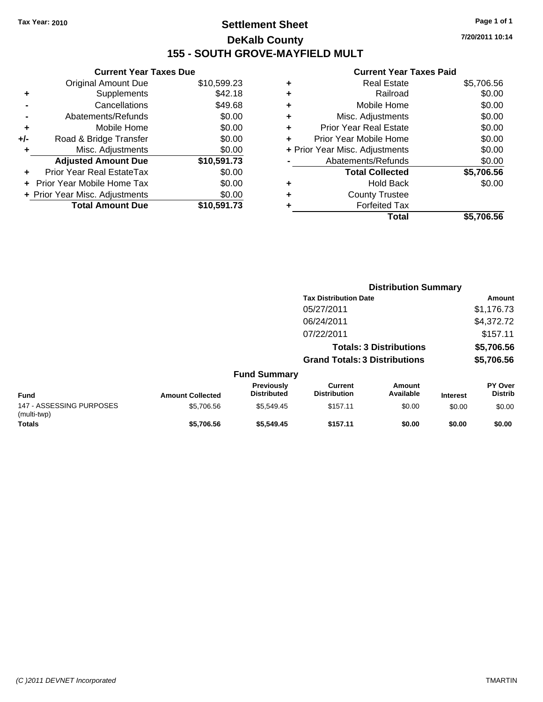# **Settlement Sheet Tax Year: 2010 Page 1 of 1 DeKalb County 155 - SOUTH GROVE-MAYFIELD MULT**

**7/20/2011 10:14**

|     | <b>Current Year Taxes Due</b>     |             |
|-----|-----------------------------------|-------------|
|     | <b>Original Amount Due</b>        | \$10,599.23 |
| ٠   | Supplements                       | \$42.18     |
|     | Cancellations                     | \$49.68     |
|     | Abatements/Refunds                | \$0.00      |
| ÷   | Mobile Home                       | \$0.00      |
| +/- | Road & Bridge Transfer            | \$0.00      |
|     | Misc. Adjustments                 | \$0.00      |
|     | <b>Adjusted Amount Due</b>        | \$10,591.73 |
| ٠   | Prior Year Real EstateTax         | \$0.00      |
|     | <b>Prior Year Mobile Home Tax</b> | \$0.00      |
|     | + Prior Year Misc. Adjustments    | \$0.00      |
|     | <b>Total Amount Due</b>           | \$10,591.73 |

| Real Estate                    | \$5,706.56 |
|--------------------------------|------------|
| Railroad                       | \$0.00     |
| Mobile Home                    | \$0.00     |
| Misc. Adjustments              | \$0.00     |
| <b>Prior Year Real Estate</b>  | \$0.00     |
| Prior Year Mobile Home         | \$0.00     |
| + Prior Year Misc. Adjustments | \$0.00     |
| Abatements/Refunds             | \$0.00     |
| <b>Total Collected</b>         | \$5,706.56 |
| <b>Hold Back</b>               | \$0.00     |
| <b>County Trustee</b>          |            |
| <b>Forfeited Tax</b>           |            |
| Total                          | \$5,706.56 |
|                                |            |

|                                         |                         |                                  | <b>Distribution Summary</b>           |                                |                 |                           |
|-----------------------------------------|-------------------------|----------------------------------|---------------------------------------|--------------------------------|-----------------|---------------------------|
|                                         |                         |                                  | <b>Tax Distribution Date</b>          |                                |                 | Amount                    |
|                                         |                         |                                  | 05/27/2011                            |                                |                 | \$1,176.73                |
|                                         |                         |                                  | 06/24/2011                            |                                |                 | \$4,372.72                |
|                                         |                         |                                  | 07/22/2011                            |                                |                 | \$157.11                  |
|                                         |                         |                                  |                                       | <b>Totals: 3 Distributions</b> |                 | \$5,706.56                |
|                                         |                         |                                  | <b>Grand Totals: 3 Distributions</b>  |                                |                 | \$5,706.56                |
|                                         |                         | <b>Fund Summary</b>              |                                       |                                |                 |                           |
| Fund                                    | <b>Amount Collected</b> | Previously<br><b>Distributed</b> | <b>Current</b><br><b>Distribution</b> | Amount<br>Available            | <b>Interest</b> | PY Over<br><b>Distrib</b> |
| 147 - ASSESSING PURPOSES<br>(multi-twp) | \$5,706.56              | \$5,549.45                       | \$157.11                              | \$0.00                         | \$0.00          | \$0.00                    |
| <b>Totals</b>                           | \$5.706.56              | \$5.549.45                       | \$157.11                              | \$0.00                         | \$0.00          | \$0.00                    |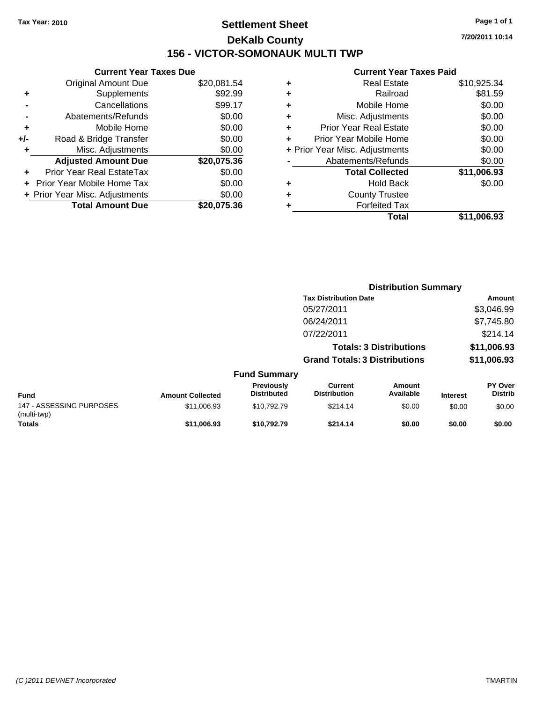# **Settlement Sheet Tax Year: 2010 Page 1 of 1 DeKalb County 156 - VICTOR-SOMONAUK MULTI TWP**

**Current Year Taxes Due**

| <b>Original Amount Due</b> | \$20,081.54                    |
|----------------------------|--------------------------------|
| Supplements                | \$92.99                        |
| Cancellations              | \$99.17                        |
| Abatements/Refunds         | \$0.00                         |
| Mobile Home                | \$0.00                         |
| Road & Bridge Transfer     | \$0.00                         |
| Misc. Adjustments          | \$0.00                         |
| <b>Adjusted Amount Due</b> | \$20,075.36                    |
| Prior Year Real EstateTax  | \$0.00                         |
| Prior Year Mobile Home Tax | \$0.00                         |
|                            | \$0.00                         |
| <b>Total Amount Due</b>    | \$20,075.36                    |
|                            | + Prior Year Misc. Adjustments |

| ٠ | <b>Real Estate</b>             | \$10,925.34 |
|---|--------------------------------|-------------|
| ٠ | Railroad                       | \$81.59     |
| ٠ | Mobile Home                    | \$0.00      |
| ٠ | Misc. Adjustments              | \$0.00      |
| ÷ | Prior Year Real Estate         | \$0.00      |
| ÷ | Prior Year Mobile Home         | \$0.00      |
|   | + Prior Year Misc. Adjustments | \$0.00      |
|   | Abatements/Refunds             | \$0.00      |
|   | <b>Total Collected</b>         | \$11,006.93 |
| ٠ | <b>Hold Back</b>               | \$0.00      |
| ٠ | <b>County Trustee</b>          |             |
| ٠ | <b>Forfeited Tax</b>           |             |
|   | Total                          | \$11.006.93 |
|   |                                |             |

|                                         |                         |                                         | <b>Distribution Summary</b>           |                                |                 |                           |
|-----------------------------------------|-------------------------|-----------------------------------------|---------------------------------------|--------------------------------|-----------------|---------------------------|
|                                         |                         |                                         | <b>Tax Distribution Date</b>          |                                |                 | Amount                    |
|                                         |                         |                                         | 05/27/2011                            |                                |                 | \$3,046.99                |
|                                         |                         |                                         | 06/24/2011                            |                                |                 | \$7,745.80                |
|                                         |                         |                                         | 07/22/2011                            |                                |                 | \$214.14                  |
|                                         |                         |                                         |                                       | <b>Totals: 3 Distributions</b> |                 | \$11,006.93               |
|                                         |                         |                                         | <b>Grand Totals: 3 Distributions</b>  |                                |                 | \$11,006.93               |
|                                         |                         | <b>Fund Summary</b>                     |                                       |                                |                 |                           |
| <b>Fund</b>                             | <b>Amount Collected</b> | <b>Previously</b><br><b>Distributed</b> | <b>Current</b><br><b>Distribution</b> | Amount<br>Available            | <b>Interest</b> | PY Over<br><b>Distrib</b> |
| 147 - ASSESSING PURPOSES<br>(multi-twp) | \$11,006.93             | \$10,792.79                             | \$214.14                              | \$0.00                         | \$0.00          | \$0.00                    |
| <b>Totals</b>                           | \$11.006.93             | \$10.792.79                             | \$214.14                              | \$0.00                         | \$0.00          | \$0.00                    |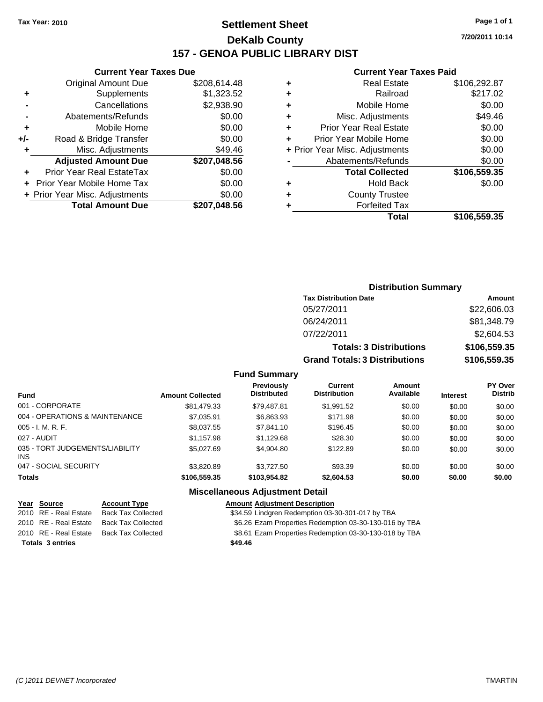# **Settlement Sheet Tax Year: 2010 Page 1 of 1 DeKalb County 157 - GENOA PUBLIC LIBRARY DIST**

### **Current Year Taxes Due**

|       | <b>Original Amount Due</b>     | \$208,614.48 |
|-------|--------------------------------|--------------|
| ٠     | Supplements                    | \$1,323.52   |
|       | Cancellations                  | \$2,938.90   |
|       | Abatements/Refunds             | \$0.00       |
| ٠     | Mobile Home                    | \$0.00       |
| $+/-$ | Road & Bridge Transfer         | \$0.00       |
|       | Misc. Adjustments              | \$49.46      |
|       | <b>Adjusted Amount Due</b>     | \$207,048.56 |
|       | Prior Year Real EstateTax      | \$0.00       |
|       | Prior Year Mobile Home Tax     | \$0.00       |
|       | + Prior Year Misc. Adjustments | \$0.00       |
|       | <b>Total Amount Due</b>        | \$207,048.56 |

#### **Current Year Taxes Paid**

|   | <b>Real Estate</b>             | \$106,292.87 |
|---|--------------------------------|--------------|
| ٠ | Railroad                       | \$217.02     |
| ٠ | Mobile Home                    | \$0.00       |
| ٠ | Misc. Adjustments              | \$49.46      |
| ٠ | <b>Prior Year Real Estate</b>  | \$0.00       |
|   | Prior Year Mobile Home         | \$0.00       |
|   | + Prior Year Misc. Adjustments | \$0.00       |
|   | Abatements/Refunds             | \$0.00       |
|   | <b>Total Collected</b>         | \$106,559.35 |
| ٠ | <b>Hold Back</b>               | \$0.00       |
| ٠ | <b>County Trustee</b>          |              |
|   | <b>Forfeited Tax</b>           |              |
|   | Total                          | \$106,559.35 |
|   |                                |              |

# **7/20/2011 10:14**

| <b>Distribution Summary</b>          |              |
|--------------------------------------|--------------|
| <b>Tax Distribution Date</b>         | Amount       |
| 05/27/2011                           | \$22,606.03  |
| 06/24/2011                           | \$81,348.79  |
| 07/22/2011                           | \$2,604.53   |
| <b>Totals: 3 Distributions</b>       | \$106,559.35 |
| <b>Grand Totals: 3 Distributions</b> | \$106,559.35 |

#### **Fund Summary**

| <b>Fund</b>                                   | <b>Amount Collected</b> | Previously<br><b>Distributed</b> | <b>Current</b><br><b>Distribution</b> | Amount<br>Available | <b>Interest</b> | <b>PY Over</b><br><b>Distrib</b> |
|-----------------------------------------------|-------------------------|----------------------------------|---------------------------------------|---------------------|-----------------|----------------------------------|
| 001 - CORPORATE                               | \$81,479.33             | \$79,487.81                      | \$1,991.52                            | \$0.00              | \$0.00          | \$0.00                           |
| 004 - OPERATIONS & MAINTENANCE                | \$7,035.91              | \$6,863.93                       | \$171.98                              | \$0.00              | \$0.00          | \$0.00                           |
| $005 - I. M. R. F.$                           | \$8,037.55              | \$7,841.10                       | \$196.45                              | \$0.00              | \$0.00          | \$0.00                           |
| 027 - AUDIT                                   | \$1,157.98              | \$1,129.68                       | \$28.30                               | \$0.00              | \$0.00          | \$0.00                           |
| 035 - TORT JUDGEMENTS/LIABILITY<br><b>INS</b> | \$5,027.69              | \$4,904.80                       | \$122.89                              | \$0.00              | \$0.00          | \$0.00                           |
| 047 - SOCIAL SECURITY                         | \$3,820.89              | \$3.727.50                       | \$93.39                               | \$0.00              | \$0.00          | \$0.00                           |
| <b>Totals</b>                                 | \$106,559.35            | \$103,954.82                     | \$2,604.53                            | \$0.00              | \$0.00          | \$0.00                           |

#### **Miscellaneous Adjustment Detail**

#### **Year Source Account Type Amount Adjustment Description**

|  |  | \$34.59 Lindgren Redemption 03-30-301-017 by TBA |  |
|--|--|--------------------------------------------------|--|
|  |  |                                                  |  |

2010 RE - Real Estate Back Tax Collected \$6.26 Ezam Properties Redemption 03-30-130-016 by TBA

2010 RE - Real Estate Back Tax Collected \$8.61 Ezam Properties Redemption 03-30-130-018 by TBA

**Totals \$49.46 3 entries**

2010 RE - Real Estate Back Tax Collected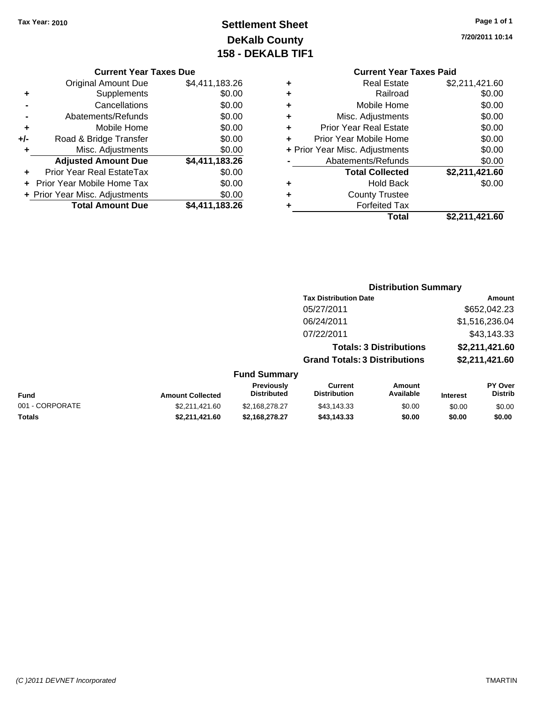# **Settlement Sheet Tax Year: 2010 Page 1 of 1 DeKalb County 158 - DEKALB TIF1**

**7/20/2011 10:14**

#### **Current Year Taxes Due**

|     | <b>Original Amount Due</b>       | \$4,411,183.26 |
|-----|----------------------------------|----------------|
|     | Supplements                      | \$0.00         |
|     | Cancellations                    | \$0.00         |
|     | Abatements/Refunds               | \$0.00         |
| ٠   | Mobile Home                      | \$0.00         |
| +/- | Road & Bridge Transfer           | \$0.00         |
| ٠   | Misc. Adjustments                | \$0.00         |
|     | <b>Adjusted Amount Due</b>       | \$4,411,183.26 |
|     | <b>Prior Year Real EstateTax</b> | \$0.00         |
|     | Prior Year Mobile Home Tax       | \$0.00         |
|     | + Prior Year Misc. Adjustments   | \$0.00         |
|     | <b>Total Amount Due</b>          | \$4,411,183.26 |

# **Current Year Taxes Paid**

|   | <b>Real Estate</b>             | \$2,211,421.60 |
|---|--------------------------------|----------------|
|   | Railroad                       | \$0.00         |
| ٠ | Mobile Home                    | \$0.00         |
| ٠ | Misc. Adjustments              | \$0.00         |
| ٠ | <b>Prior Year Real Estate</b>  | \$0.00         |
| ٠ | Prior Year Mobile Home         | \$0.00         |
|   | + Prior Year Misc. Adjustments | \$0.00         |
|   | Abatements/Refunds             | \$0.00         |
|   | <b>Total Collected</b>         | \$2,211,421.60 |
| ٠ | <b>Hold Back</b>               | \$0.00         |
| ٠ | <b>County Trustee</b>          |                |
|   | <b>Forfeited Tax</b>           |                |
|   | Total                          | \$2,211,421.60 |
|   |                                |                |

#### **Distribution Summary Tax Distribution Date Amount** 05/27/2011 \$652,042.23 06/24/2011 \$1,516,236.04 07/22/2011 \$43,143.33 **Totals: 3 Distributions \$2,211,421.60 Grand Totals: 3 Distributions \$2,211,421.60 Fund Summary Fund Interest Amount Collected Distributed PY Over Distrib Amount Available Current Distribution Previously** 001 - CORPORATE 60 CORPORATE \$2,211,421.60 \$2,168,278.27 \$43,143.33 \$0.00 \$0.00 \$0.00 **Totals \$2,211,421.60 \$2,168,278.27 \$43,143.33 \$0.00 \$0.00 \$0.00**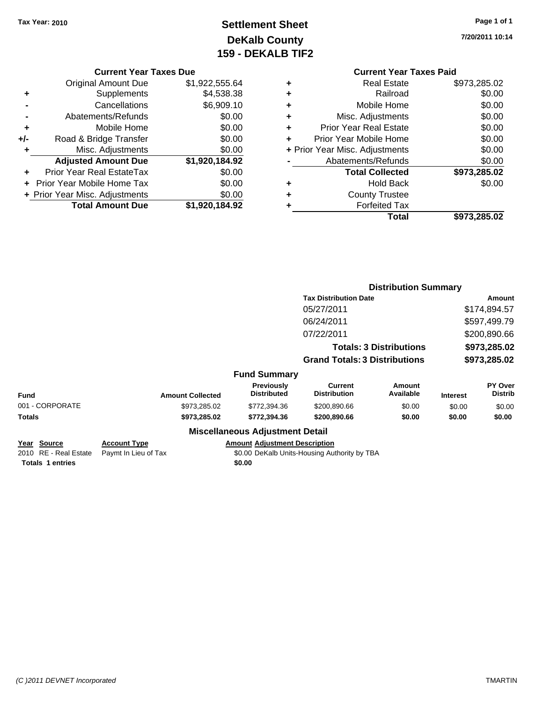Original Amount Due

**Adjusted Amount Due** 

**Total Amount Due** 

**+** Supplements **-** Cancellations **-** Abatements/Refunds **+** Mobile Home **+/-** Road & Bridge Transfer **+** Misc. Adjustments

**+** Prior Year Real EstateTax \$0.00 **+** Prior Year Mobile Home Tax **+ Prior Year Misc. Adjustments** 

# **Settlement Sheet Tax Year: 2010 Page 1 of 1 DeKalb County 159 - DEKALB TIF2**

**7/20/2011 10:14**

| <b>Current Year Taxes Due</b> |                |   | <b>Current Year Tax</b>        |
|-------------------------------|----------------|---|--------------------------------|
| ıl Amount Due                 | \$1,922,555.64 | ٠ | <b>Real Estate</b>             |
| Supplements                   | \$4,538.38     | ٠ | Railroad                       |
| Cancellations                 | \$6,909.10     | ٠ | Mobile Home                    |
| าents/Refunds                 | \$0.00         | ٠ | Misc. Adjustments              |
| Mobile Home                   | \$0.00         | ٠ | <b>Prior Year Real Estate</b>  |
| ridge Transfer                | \$0.00         | ٠ | Prior Year Mobile Home         |
| . Adjustments                 | \$0.00         |   | + Prior Year Misc. Adjustments |
| <b>Amount Due</b>             | \$1,920,184.92 |   | Abatements/Refunds             |
| eal EstateTax                 | \$0.00         |   | <b>Total Collected</b>         |
| pile Home Tax                 | \$0.00         | ٠ | <b>Hold Back</b>               |
| . Adjustments                 | \$0.00         | ٠ | <b>County Trustee</b>          |
| <b>Amount Due</b>             | \$1,920,184.92 |   | <b>Forfeited Tax</b>           |
|                               |                |   | Total                          |

| ٠ | <b>Real Estate</b>             | \$973,285.02 |
|---|--------------------------------|--------------|
| ٠ | Railroad                       | \$0.00       |
| ÷ | Mobile Home                    | \$0.00       |
| ÷ | Misc. Adjustments              | \$0.00       |
| ٠ | <b>Prior Year Real Estate</b>  | \$0.00       |
| ٠ | Prior Year Mobile Home         | \$0.00       |
|   | + Prior Year Misc. Adjustments | \$0.00       |
|   | Abatements/Refunds             | \$0.00       |
|   | <b>Total Collected</b>         | \$973,285.02 |
| ٠ | <b>Hold Back</b>               | \$0.00       |
| ٠ | <b>County Trustee</b>          |              |
| ٠ | <b>Forfeited Tax</b>           |              |
|   | Total                          | \$973,285.02 |
|   |                                |              |

|                                                                         |                                             |                                                | <b>Distribution Summary</b>                  |                                |                                              |                                  |
|-------------------------------------------------------------------------|---------------------------------------------|------------------------------------------------|----------------------------------------------|--------------------------------|----------------------------------------------|----------------------------------|
|                                                                         |                                             |                                                | <b>Tax Distribution Date</b>                 |                                |                                              | Amount                           |
|                                                                         |                                             |                                                | 05/27/2011                                   |                                |                                              | \$174,894.57                     |
|                                                                         |                                             |                                                | 06/24/2011                                   |                                |                                              | \$597,499.79                     |
|                                                                         |                                             |                                                | 07/22/2011                                   |                                | \$200,890.66<br>\$973,285.02<br>\$973,285.02 |                                  |
|                                                                         |                                             |                                                |                                              | <b>Totals: 3 Distributions</b> |                                              |                                  |
|                                                                         |                                             |                                                | <b>Grand Totals: 3 Distributions</b>         |                                |                                              |                                  |
|                                                                         |                                             | <b>Fund Summary</b>                            |                                              |                                |                                              |                                  |
| Fund                                                                    | <b>Amount Collected</b>                     | <b>Previously</b><br><b>Distributed</b>        | Current<br><b>Distribution</b>               | Amount<br>Available            | <b>Interest</b>                              | <b>PY Over</b><br><b>Distrib</b> |
| 001 - CORPORATE                                                         | \$973,285.02                                | \$772,394.36                                   | \$200,890.66                                 | \$0.00                         | \$0.00                                       | \$0.00                           |
| Totals                                                                  | \$973,285.02                                | \$772,394.36                                   | \$200,890.66                                 | \$0.00                         | \$0.00                                       | \$0.00                           |
|                                                                         |                                             | <b>Miscellaneous Adjustment Detail</b>         |                                              |                                |                                              |                                  |
| <u> Year Source</u><br>2010 RE - Real Estate<br><b>Totals 1 entries</b> | <b>Account Type</b><br>Paymt In Lieu of Tax | <b>Amount Adjustment Description</b><br>\$0.00 | \$0.00 DeKalb Units-Housing Authority by TBA |                                |                                              |                                  |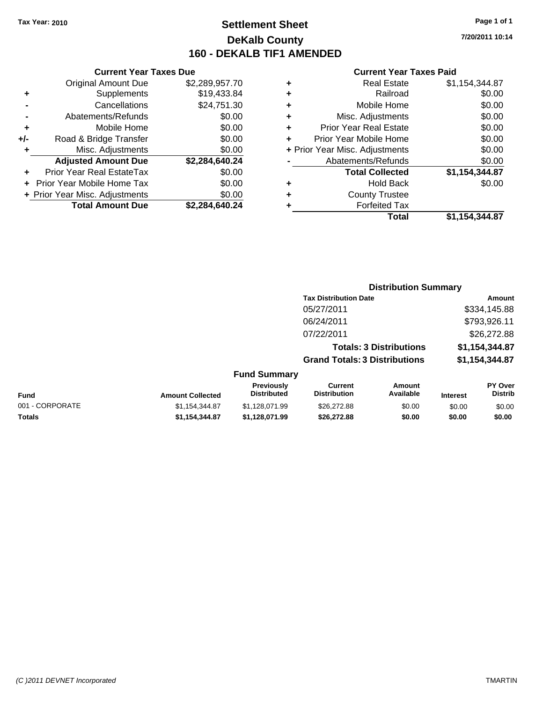# **Settlement Sheet Tax Year: 2010 Page 1 of 1 DeKalb County 160 - DEKALB TIF1 AMENDED**

**7/20/2011 10:14**

|       | <b>Current Year Taxes Due</b>  |                |   |                  |
|-------|--------------------------------|----------------|---|------------------|
|       | <b>Original Amount Due</b>     | \$2,289,957.70 | ÷ |                  |
|       | <b>Supplements</b>             | \$19,433.84    | ٠ |                  |
|       | Cancellations                  | \$24,751.30    | ٠ |                  |
|       | Abatements/Refunds             | \$0.00         | ٠ | Mis              |
| ٠     | Mobile Home                    | \$0.00         | ÷ | Prior Ye         |
| $+/-$ | Road & Bridge Transfer         | \$0.00         |   | Prior Yea        |
|       | Misc. Adjustments              | \$0.00         |   | + Prior Year Mis |
|       | <b>Adjusted Amount Due</b>     | \$2,284,640.24 |   | Abater           |
|       | Prior Year Real EstateTax      | \$0.00         |   |                  |
|       | Prior Year Mobile Home Tax     | \$0.00         | ٠ |                  |
|       | + Prior Year Misc. Adjustments | \$0.00         |   |                  |
|       | <b>Total Amount Due</b>        | \$2,284,640.24 |   |                  |
|       |                                |                |   |                  |

|   | <b>Real Estate</b>             | \$1,154,344.87 |
|---|--------------------------------|----------------|
| ٠ | Railroad                       | \$0.00         |
| ٠ | Mobile Home                    | \$0.00         |
| ٠ | Misc. Adjustments              | \$0.00         |
| ٠ | <b>Prior Year Real Estate</b>  | \$0.00         |
|   | Prior Year Mobile Home         | \$0.00         |
|   | + Prior Year Misc. Adjustments | \$0.00         |
|   | Abatements/Refunds             | \$0.00         |
|   | <b>Total Collected</b>         | \$1,154,344.87 |
| ٠ | Hold Back                      | \$0.00         |
| ٠ | <b>County Trustee</b>          |                |
|   | <b>Forfeited Tax</b>           |                |
|   | Total                          | \$1,154,344.87 |
|   |                                |                |

|                 |                         |                                  | <b>Distribution Summary</b>           |                                |                 |                           |
|-----------------|-------------------------|----------------------------------|---------------------------------------|--------------------------------|-----------------|---------------------------|
|                 |                         |                                  | <b>Tax Distribution Date</b>          |                                |                 | Amount                    |
|                 |                         |                                  | 05/27/2011                            |                                |                 | \$334,145.88              |
|                 |                         |                                  | 06/24/2011                            |                                |                 | \$793,926.11              |
|                 |                         |                                  | 07/22/2011                            |                                |                 | \$26,272.88               |
|                 |                         |                                  |                                       | <b>Totals: 3 Distributions</b> |                 | \$1,154,344.87            |
|                 |                         |                                  | <b>Grand Totals: 3 Distributions</b>  |                                |                 | \$1,154,344.87            |
|                 |                         | <b>Fund Summary</b>              |                                       |                                |                 |                           |
| Fund            | <b>Amount Collected</b> | Previously<br><b>Distributed</b> | <b>Current</b><br><b>Distribution</b> | Amount<br>Available            | <b>Interest</b> | PY Over<br><b>Distrib</b> |
| 001 - CORPORATE | \$1,154,344.87          | \$1,128,071.99                   | \$26,272.88                           | \$0.00                         | \$0.00          | \$0.00                    |
| Totals          | \$1,154,344.87          | \$1,128,071.99                   | \$26,272.88                           | \$0.00                         | \$0.00          | \$0.00                    |
|                 |                         |                                  |                                       |                                |                 |                           |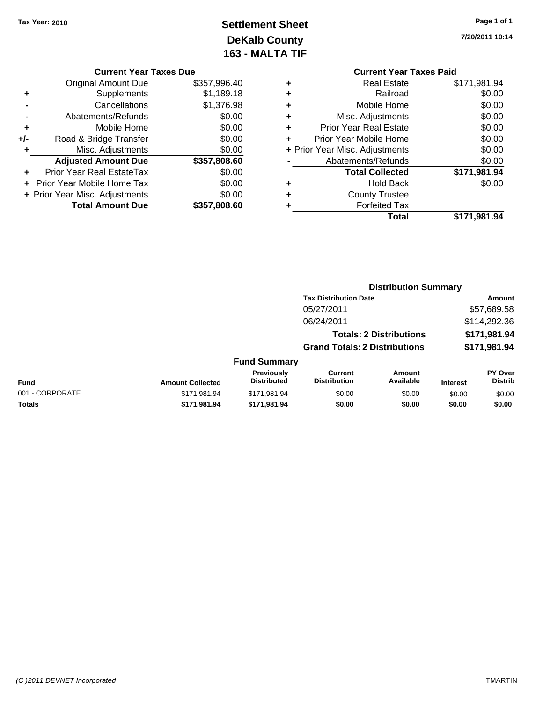# **Settlement Sheet Tax Year: 2010 Page 1 of 1 DeKalb County 163 - MALTA TIF**

**7/20/2011 10:14**

#### **Current Year Taxes Due**

|     | <b>Original Amount Due</b>        | \$357,996.40 |
|-----|-----------------------------------|--------------|
| ٠   | Supplements                       | \$1,189.18   |
|     | Cancellations                     | \$1,376.98   |
|     | Abatements/Refunds                | \$0.00       |
| ٠   | Mobile Home                       | \$0.00       |
| +/- | Road & Bridge Transfer            | \$0.00       |
| ٠   | Misc. Adjustments                 | \$0.00       |
|     | <b>Adjusted Amount Due</b>        | \$357,808.60 |
|     | Prior Year Real EstateTax         | \$0.00       |
|     | <b>Prior Year Mobile Home Tax</b> | \$0.00       |
|     | + Prior Year Misc. Adjustments    | \$0.00       |
|     | <b>Total Amount Due</b>           | \$357,808.60 |

|   | <b>Current Year Taxes Paid</b> |              |
|---|--------------------------------|--------------|
| ٠ | <b>Real Estate</b>             | \$171,981.94 |
|   | Railroad                       | \$0.00       |
|   | Mobile Home                    | \$0.00       |
|   | Misc. Adjustments              | \$0.00       |
|   | <b>Prior Year Real Estate</b>  | \$0.00       |
| ٠ | Prior Year Mobile Home         | \$0.00       |
|   | + Prior Year Misc. Adjustments | \$0.00       |
|   | Abatements/Refunds             | \$0.00       |
|   | <b>Total Collected</b>         | \$171,981.94 |
|   | <b>Hold Back</b>               | \$0.00       |
|   | <b>County Trustee</b>          |              |
|   | <b>Forfeited Tax</b>           |              |
|   | Total                          | \$171,981.94 |

# **Distribution Summary**

|                 |                         |                                  | <b>Tax Distribution Date</b>          |                                |                 | Amount                           |
|-----------------|-------------------------|----------------------------------|---------------------------------------|--------------------------------|-----------------|----------------------------------|
|                 |                         |                                  | 05/27/2011                            |                                |                 | \$57,689.58                      |
|                 |                         |                                  | 06/24/2011                            |                                |                 | \$114,292.36                     |
|                 |                         |                                  |                                       | <b>Totals: 2 Distributions</b> |                 | \$171,981.94                     |
|                 |                         |                                  | <b>Grand Totals: 2 Distributions</b>  |                                |                 | \$171,981.94                     |
|                 |                         | <b>Fund Summary</b>              |                                       |                                |                 |                                  |
| Fund            | <b>Amount Collected</b> | Previously<br><b>Distributed</b> | <b>Current</b><br><b>Distribution</b> | Amount<br>Available            | <b>Interest</b> | <b>PY Over</b><br><b>Distrib</b> |
| 001 - CORPORATE | \$171,981.94            | \$171,981.94                     | \$0.00                                | \$0.00                         | \$0.00          | \$0.00                           |
| Totals          | \$171,981.94            | \$171.981.94                     | \$0.00                                | \$0.00                         | \$0.00          | \$0.00                           |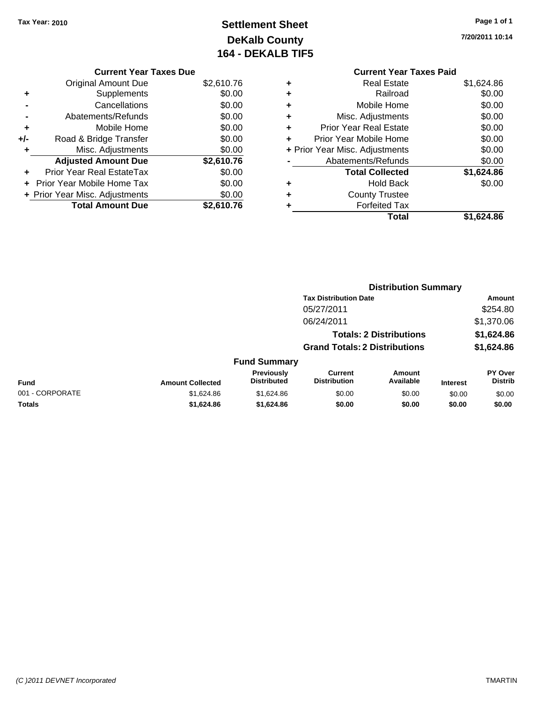# **Settlement Sheet Tax Year: 2010 Page 1 of 1 DeKalb County 164 - DEKALB TIF5**

**7/20/2011 10:14**

# **Current Year Taxes Due**

|     | <b>Original Amount Due</b>       | \$2,610.76 |
|-----|----------------------------------|------------|
| ٠   | Supplements                      | \$0.00     |
|     | Cancellations                    | \$0.00     |
|     | Abatements/Refunds               | \$0.00     |
| ٠   | Mobile Home                      | \$0.00     |
| +/- | Road & Bridge Transfer           | \$0.00     |
|     | Misc. Adjustments                | \$0.00     |
|     | <b>Adjusted Amount Due</b>       | \$2,610.76 |
|     | <b>Prior Year Real EstateTax</b> | \$0.00     |
|     | Prior Year Mobile Home Tax       | \$0.00     |
|     | + Prior Year Misc. Adjustments   | \$0.00     |
|     | <b>Total Amount Due</b>          | \$2.610.76 |

# **Current Year Taxes Paid +** Real Estate \$1,624.86 **+** Railroad \$0.00

| ٠ | Mobile Home                    | \$0.00     |
|---|--------------------------------|------------|
| ٠ | Misc. Adjustments              | \$0.00     |
| ÷ | <b>Prior Year Real Estate</b>  | \$0.00     |
| ÷ | Prior Year Mobile Home         | \$0.00     |
|   | + Prior Year Misc. Adjustments | \$0.00     |
|   | Abatements/Refunds             | \$0.00     |
|   | <b>Total Collected</b>         | \$1,624.86 |
| ٠ | <b>Hold Back</b>               | \$0.00     |
| ٠ | <b>County Trustee</b>          |            |
|   | <b>Forfeited Tax</b>           |            |
|   | Total                          | \$1.624.86 |

|                 |                         |                                  |                                       | <b>Distribution Summary</b>    |                 |                                  |
|-----------------|-------------------------|----------------------------------|---------------------------------------|--------------------------------|-----------------|----------------------------------|
|                 |                         |                                  | <b>Tax Distribution Date</b>          |                                |                 | Amount                           |
|                 |                         |                                  | 05/27/2011                            |                                |                 | \$254.80                         |
|                 |                         |                                  | 06/24/2011                            |                                |                 | \$1,370.06                       |
|                 |                         |                                  |                                       | <b>Totals: 2 Distributions</b> |                 | \$1,624.86                       |
|                 |                         |                                  | <b>Grand Totals: 2 Distributions</b>  |                                |                 | \$1,624.86                       |
|                 |                         | <b>Fund Summary</b>              |                                       |                                |                 |                                  |
| Fund            | <b>Amount Collected</b> | Previously<br><b>Distributed</b> | <b>Current</b><br><b>Distribution</b> | Amount<br>Available            | <b>Interest</b> | <b>PY Over</b><br><b>Distrib</b> |
| 001 - CORPORATE | \$1,624.86              | \$1,624.86                       | \$0.00                                | \$0.00                         | \$0.00          | \$0.00                           |
| Totals          | \$1,624.86              | \$1,624.86                       | \$0.00                                | \$0.00                         | \$0.00          | \$0.00                           |
|                 |                         |                                  |                                       |                                |                 |                                  |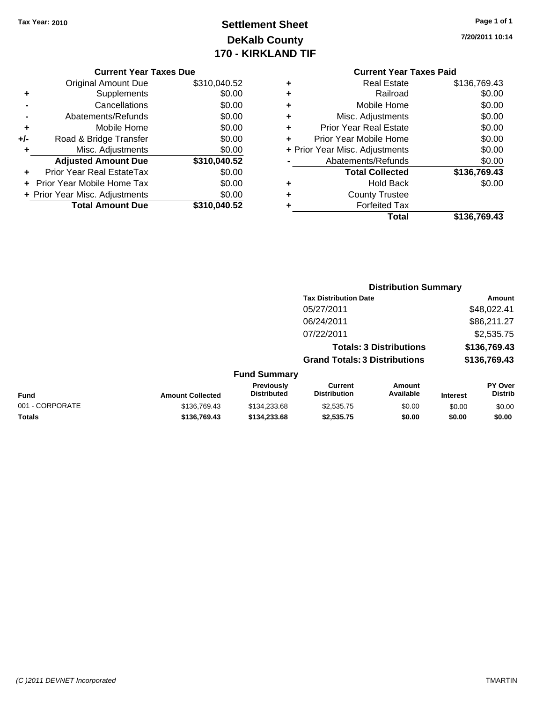# **Settlement Sheet Tax Year: 2010 Page 1 of 1 DeKalb County 170 - KIRKLAND TIF**

**7/20/2011 10:14**

#### **Current Year Taxes Due**

|     | <b>Original Amount Due</b>     | \$310,040.52 |
|-----|--------------------------------|--------------|
| ٠   | Supplements                    | \$0.00       |
|     | Cancellations                  | \$0.00       |
|     | Abatements/Refunds             | \$0.00       |
| ٠   | Mobile Home                    | \$0.00       |
| +/- | Road & Bridge Transfer         | \$0.00       |
|     | Misc. Adjustments              | \$0.00       |
|     | <b>Adjusted Amount Due</b>     | \$310,040.52 |
|     | Prior Year Real EstateTax      | \$0.00       |
|     | Prior Year Mobile Home Tax     | \$0.00       |
|     | + Prior Year Misc. Adjustments | \$0.00       |
|     | <b>Total Amount Due</b>        | \$310,040.52 |

# **Current Year Taxes Paid**

| ٠ | <b>Real Estate</b>             | \$136,769.43 |
|---|--------------------------------|--------------|
| ٠ | Railroad                       | \$0.00       |
| ٠ | Mobile Home                    | \$0.00       |
| ٠ | Misc. Adjustments              | \$0.00       |
| ٠ | <b>Prior Year Real Estate</b>  | \$0.00       |
| ÷ | Prior Year Mobile Home         | \$0.00       |
|   | + Prior Year Misc. Adjustments | \$0.00       |
|   | Abatements/Refunds             | \$0.00       |
|   | <b>Total Collected</b>         | \$136,769.43 |
| ٠ | <b>Hold Back</b>               | \$0.00       |
| ٠ | <b>County Trustee</b>          |              |
| ٠ | <b>Forfeited Tax</b>           |              |
|   | Total                          | \$136,769.43 |
|   |                                |              |

#### **Distribution Summary Tax Distribution Date Amount** 05/27/2011 \$48,022.41 06/24/2011 \$86,211.27 07/22/2011 \$2,535.75 **Totals: 3 Distributions \$136,769.43 Grand Totals: 3 Distributions \$136,769.43 Fund Summary Fund Interest Amount Collected Distributed PY Over Distrib Amount Available Current Distribution Previously** 001 - CORPORATE 6 \$136,769.43 \$134,233.68 \$2,535.75 \$0.00 \$0.00 \$0.00 **Totals \$136,769.43 \$134,233.68 \$2,535.75 \$0.00 \$0.00 \$0.00**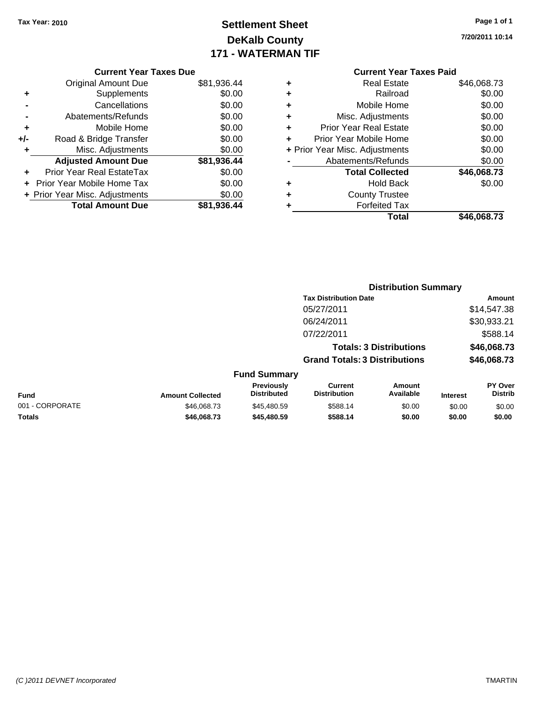# **Settlement Sheet Tax Year: 2010 Page 1 of 1 DeKalb County 171 - WATERMAN TIF**

**7/20/2011 10:14**

#### **Current Year Taxes Due**

|       | <b>Original Amount Due</b>        | \$81,936.44 |
|-------|-----------------------------------|-------------|
| ٠     | Supplements                       | \$0.00      |
|       | Cancellations                     | \$0.00      |
|       | Abatements/Refunds                | \$0.00      |
| ٠     | Mobile Home                       | \$0.00      |
| $+/-$ | Road & Bridge Transfer            | \$0.00      |
| ٠     | Misc. Adjustments                 | \$0.00      |
|       | <b>Adjusted Amount Due</b>        | \$81,936.44 |
|       | <b>Prior Year Real EstateTax</b>  | \$0.00      |
|       | <b>Prior Year Mobile Home Tax</b> | \$0.00      |
|       | + Prior Year Misc. Adjustments    | \$0.00      |
|       | <b>Total Amount Due</b>           | \$81.936.44 |

| ٠ | Real Estate                    | \$46,068.73 |
|---|--------------------------------|-------------|
| ٠ | Railroad                       | \$0.00      |
| ٠ | Mobile Home                    | \$0.00      |
| ٠ | Misc. Adjustments              | \$0.00      |
| ٠ | <b>Prior Year Real Estate</b>  | \$0.00      |
| ٠ | Prior Year Mobile Home         | \$0.00      |
|   | + Prior Year Misc. Adjustments | \$0.00      |
|   | Abatements/Refunds             | \$0.00      |
|   | <b>Total Collected</b>         | \$46,068.73 |
| ٠ | <b>Hold Back</b>               | \$0.00      |
| ٠ | <b>County Trustee</b>          |             |
| ٠ | <b>Forfeited Tax</b>           |             |
|   | Total                          | \$46,068.73 |
|   |                                |             |

|                 |                         |                                         | <b>Distribution Summary</b>           |                                |                 |                                  |
|-----------------|-------------------------|-----------------------------------------|---------------------------------------|--------------------------------|-----------------|----------------------------------|
|                 |                         |                                         | <b>Tax Distribution Date</b>          |                                |                 | Amount                           |
|                 |                         |                                         | 05/27/2011                            |                                |                 | \$14,547.38                      |
|                 |                         |                                         | 06/24/2011                            |                                |                 | \$30,933.21                      |
|                 |                         |                                         | 07/22/2011                            |                                |                 | \$588.14                         |
|                 |                         |                                         |                                       | <b>Totals: 3 Distributions</b> |                 | \$46,068.73                      |
|                 |                         |                                         | <b>Grand Totals: 3 Distributions</b>  |                                |                 | \$46,068.73                      |
|                 |                         | <b>Fund Summary</b>                     |                                       |                                |                 |                                  |
| <b>Fund</b>     | <b>Amount Collected</b> | <b>Previously</b><br><b>Distributed</b> | <b>Current</b><br><b>Distribution</b> | Amount<br>Available            | <b>Interest</b> | <b>PY Over</b><br><b>Distrib</b> |
| 001 - CORPORATE | \$46,068.73             | \$45,480.59                             | \$588.14                              | \$0.00                         | \$0.00          | \$0.00                           |
| Totals          | \$46,068,73             | \$45,480.59                             | \$588.14                              | \$0.00                         | \$0.00          | \$0.00                           |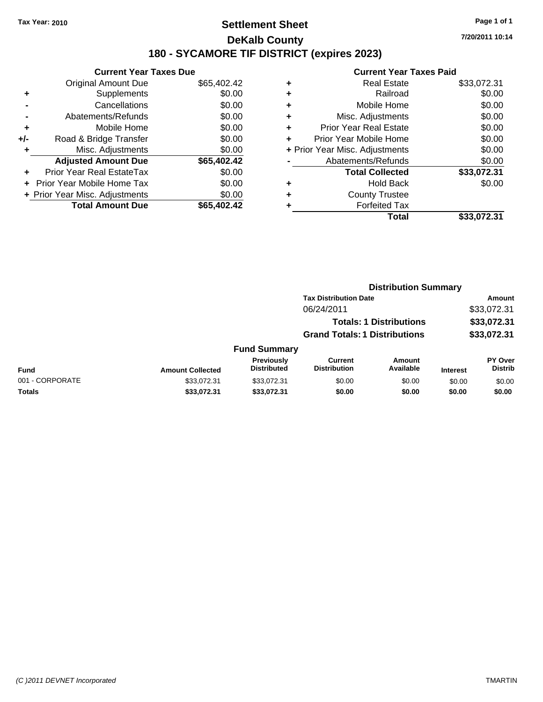# **Settlement Sheet Tax Year: 2010 Page 1 of 1 DeKalb County 180 - SYCAMORE TIF DISTRICT (expires 2023)**

**7/20/2011 10:14**

|       | <b>Current Year Taxes Due</b>  |             |  |  |  |
|-------|--------------------------------|-------------|--|--|--|
|       | <b>Original Amount Due</b>     | \$65,402.42 |  |  |  |
|       | Supplements                    | \$0.00      |  |  |  |
|       | Cancellations                  | \$0.00      |  |  |  |
|       | Abatements/Refunds             | \$0.00      |  |  |  |
| ٠     | Mobile Home                    | \$0.00      |  |  |  |
| $+/-$ | Road & Bridge Transfer         | \$0.00      |  |  |  |
| ٠     | Misc. Adjustments              | \$0.00      |  |  |  |
|       | <b>Adjusted Amount Due</b>     | \$65,402.42 |  |  |  |
|       | Prior Year Real EstateTax      | \$0.00      |  |  |  |
|       | Prior Year Mobile Home Tax     | \$0.00      |  |  |  |
|       | + Prior Year Misc. Adjustments | \$0.00      |  |  |  |
|       | <b>Total Amount Due</b>        | \$65,402.42 |  |  |  |
|       |                                |             |  |  |  |

|   | Total                          | \$33,072.31 |
|---|--------------------------------|-------------|
| ٠ | <b>Forfeited Tax</b>           |             |
| ٠ | <b>County Trustee</b>          |             |
| ٠ | <b>Hold Back</b>               | \$0.00      |
|   | <b>Total Collected</b>         | \$33,072.31 |
|   | Abatements/Refunds             | \$0.00      |
|   | + Prior Year Misc. Adjustments | \$0.00      |
| ÷ | Prior Year Mobile Home         | \$0.00      |
| ÷ | <b>Prior Year Real Estate</b>  | \$0.00      |
| ٠ | Misc. Adjustments              | \$0.00      |
| ٠ | Mobile Home                    | \$0.00      |
| ÷ | Railroad                       | \$0.00      |
| ٠ | <b>Real Estate</b>             | \$33,072.31 |
|   |                                |             |

|                 |                         |                                  |                                                                        | <b>Distribution Summary</b>  |                 |                                  |  |
|-----------------|-------------------------|----------------------------------|------------------------------------------------------------------------|------------------------------|-----------------|----------------------------------|--|
|                 |                         |                                  | <b>Tax Distribution Date</b>                                           | <b>Amount</b><br>\$33,072.31 |                 |                                  |  |
|                 |                         |                                  | 06/24/2011                                                             |                              |                 |                                  |  |
|                 |                         |                                  | <b>Totals: 1 Distributions</b><br><b>Grand Totals: 1 Distributions</b> |                              |                 | \$33,072.31<br>\$33,072.31       |  |
|                 |                         |                                  |                                                                        |                              |                 |                                  |  |
|                 |                         | <b>Fund Summary</b>              |                                                                        |                              |                 |                                  |  |
| <b>Fund</b>     | <b>Amount Collected</b> | Previously<br><b>Distributed</b> | <b>Current</b><br><b>Distribution</b>                                  | Amount<br>Available          | <b>Interest</b> | <b>PY Over</b><br><b>Distrib</b> |  |
| 001 - CORPORATE | \$33,072.31             | \$33,072.31                      | \$0.00                                                                 | \$0.00                       | \$0.00          | \$0.00                           |  |
| <b>Totals</b>   | \$33,072.31             | \$33,072.31                      | \$0.00                                                                 | \$0.00                       | \$0.00          | \$0.00                           |  |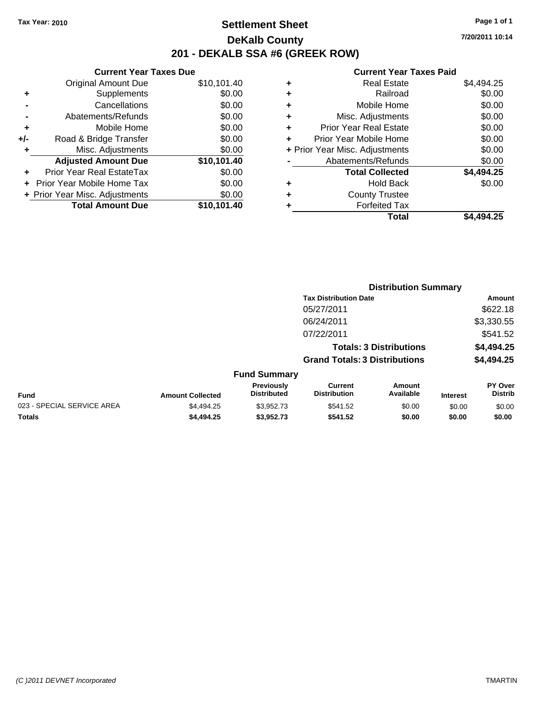# **Settlement Sheet Tax Year: 2010 Page 1 of 1 DeKalb County 201 - DEKALB SSA #6 (GREEK ROW)**

**7/20/2011 10:14**

|     | <b>Current Year Taxes Due</b>        |             |  |  |  |  |
|-----|--------------------------------------|-------------|--|--|--|--|
|     | <b>Original Amount Due</b>           | \$10,101.40 |  |  |  |  |
| ٠   | Supplements                          | \$0.00      |  |  |  |  |
|     | \$0.00<br>Cancellations              |             |  |  |  |  |
|     | Abatements/Refunds                   | \$0.00      |  |  |  |  |
| ٠   | Mobile Home                          | \$0.00      |  |  |  |  |
| +/- | Road & Bridge Transfer               | \$0.00      |  |  |  |  |
| ٠   | Misc. Adjustments                    | \$0.00      |  |  |  |  |
|     | <b>Adjusted Amount Due</b>           | \$10,101.40 |  |  |  |  |
|     | <b>Prior Year Real EstateTax</b>     | \$0.00      |  |  |  |  |
|     | \$0.00<br>Prior Year Mobile Home Tax |             |  |  |  |  |
|     | + Prior Year Misc. Adjustments       | \$0.00      |  |  |  |  |
|     | <b>Total Amount Due</b>              | \$10.101.40 |  |  |  |  |
|     |                                      |             |  |  |  |  |

|   | Total                          | \$4,494.25 |
|---|--------------------------------|------------|
| ٠ | <b>Forfeited Tax</b>           |            |
| ٠ | <b>County Trustee</b>          |            |
| ٠ | <b>Hold Back</b>               | \$0.00     |
|   | <b>Total Collected</b>         | \$4,494.25 |
|   | Abatements/Refunds             | \$0.00     |
|   | + Prior Year Misc. Adjustments | \$0.00     |
| ٠ | Prior Year Mobile Home         | \$0.00     |
| ÷ | Prior Year Real Estate         | \$0.00     |
| ٠ | Misc. Adjustments              | \$0.00     |
| ٠ | Mobile Home                    | \$0.00     |
| ٠ | Railroad                       | \$0.00     |
| ٠ | <b>Real Estate</b>             | \$4.494.25 |
|   |                                |            |

|                            | <b>Distribution Summary</b> |                                         |                                                                        |                     |                 |                                  |
|----------------------------|-----------------------------|-----------------------------------------|------------------------------------------------------------------------|---------------------|-----------------|----------------------------------|
|                            |                             |                                         | <b>Tax Distribution Date</b>                                           |                     |                 | Amount                           |
|                            |                             |                                         | 05/27/2011                                                             |                     |                 | \$622.18                         |
|                            |                             |                                         | 06/24/2011                                                             |                     |                 | \$3,330.55                       |
|                            |                             |                                         | 07/22/2011                                                             |                     |                 | \$541.52                         |
|                            |                             |                                         | <b>Totals: 3 Distributions</b><br><b>Grand Totals: 3 Distributions</b> |                     |                 | \$4,494.25                       |
|                            |                             |                                         |                                                                        |                     |                 | \$4,494.25                       |
|                            |                             | <b>Fund Summary</b>                     |                                                                        |                     |                 |                                  |
| <b>Fund</b>                | <b>Amount Collected</b>     | <b>Previously</b><br><b>Distributed</b> | <b>Current</b><br><b>Distribution</b>                                  | Amount<br>Available | <b>Interest</b> | <b>PY Over</b><br><b>Distrib</b> |
| 023 - SPECIAL SERVICE AREA | \$4,494.25                  | \$3,952.73                              | \$541.52                                                               | \$0.00              | \$0.00          | \$0.00                           |
| Totals                     | \$4,494.25                  | \$3,952.73                              | \$541.52                                                               | \$0.00              | \$0.00          | \$0.00                           |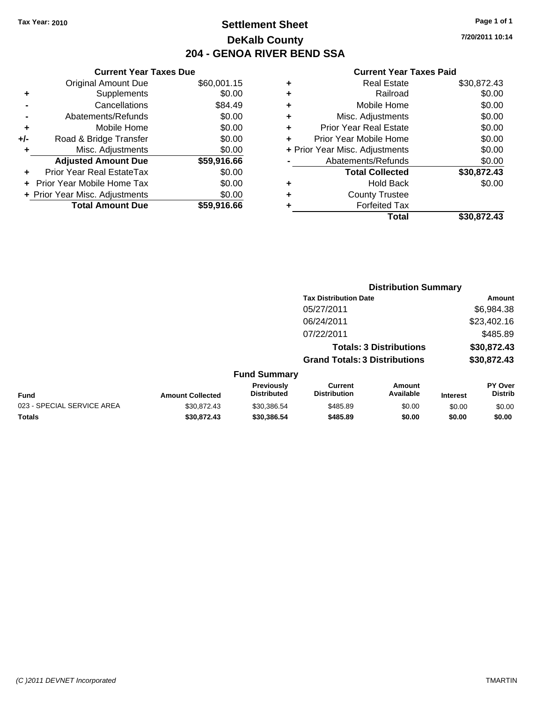# **Settlement Sheet Tax Year: 2010 Page 1 of 1 DeKalb County 204 - GENOA RIVER BEND SSA**

**7/20/2011 10:14**

|     | <b>Current Year Taxes Due</b>     |             |  |
|-----|-----------------------------------|-------------|--|
|     | <b>Original Amount Due</b>        | \$60,001.15 |  |
| ٠   | <b>Supplements</b>                | \$0.00      |  |
|     | Cancellations                     | \$84.49     |  |
|     | Abatements/Refunds                | \$0.00      |  |
| ٠   | Mobile Home                       | \$0.00      |  |
| +/- | Road & Bridge Transfer            | \$0.00      |  |
|     | Misc. Adjustments                 | \$0.00      |  |
|     | <b>Adjusted Amount Due</b>        | \$59,916.66 |  |
| ÷   | Prior Year Real EstateTax         | \$0.00      |  |
|     | <b>Prior Year Mobile Home Tax</b> | \$0.00      |  |
|     | + Prior Year Misc. Adjustments    | \$0.00      |  |
|     | <b>Total Amount Due</b>           | \$59,916.66 |  |
|     |                                   |             |  |

| ٠ | <b>Real Estate</b>             | \$30,872.43 |
|---|--------------------------------|-------------|
| ٠ | Railroad                       | \$0.00      |
| ٠ | Mobile Home                    | \$0.00      |
| ٠ | Misc. Adjustments              | \$0.00      |
| ٠ | <b>Prior Year Real Estate</b>  | \$0.00      |
| ÷ | Prior Year Mobile Home         | \$0.00      |
|   | + Prior Year Misc. Adjustments | \$0.00      |
|   | Abatements/Refunds             | \$0.00      |
|   | <b>Total Collected</b>         | \$30,872.43 |
| ٠ | <b>Hold Back</b>               | \$0.00      |
| ٠ | <b>County Trustee</b>          |             |
|   | <b>Forfeited Tax</b>           |             |
|   | Total                          | \$30,872.43 |
|   |                                |             |

|                            |                         | <b>Distribution Summary</b>      |                                      |                                |                 |                                  |  |
|----------------------------|-------------------------|----------------------------------|--------------------------------------|--------------------------------|-----------------|----------------------------------|--|
|                            |                         |                                  | <b>Tax Distribution Date</b>         |                                |                 | Amount                           |  |
|                            |                         |                                  | 05/27/2011                           |                                |                 | \$6,984.38                       |  |
|                            |                         |                                  | 06/24/2011                           |                                |                 | \$23,402.16                      |  |
|                            |                         |                                  | 07/22/2011                           |                                |                 | \$485.89                         |  |
|                            |                         |                                  |                                      | <b>Totals: 3 Distributions</b> |                 | \$30,872.43                      |  |
|                            |                         |                                  | <b>Grand Totals: 3 Distributions</b> |                                |                 | \$30,872.43                      |  |
|                            |                         | <b>Fund Summary</b>              |                                      |                                |                 |                                  |  |
| Fund                       | <b>Amount Collected</b> | Previously<br><b>Distributed</b> | Current<br><b>Distribution</b>       | Amount<br>Available            | <b>Interest</b> | <b>PY Over</b><br><b>Distrib</b> |  |
| 023 - SPECIAL SERVICE AREA | \$30.872.43             | \$30,386.54                      | \$485.89                             | \$0.00                         | \$0.00          | \$0.00                           |  |
| Totals                     | \$30,872.43             | \$30,386.54                      | \$485.89                             | \$0.00                         | \$0.00          | \$0.00                           |  |
|                            |                         |                                  |                                      |                                |                 |                                  |  |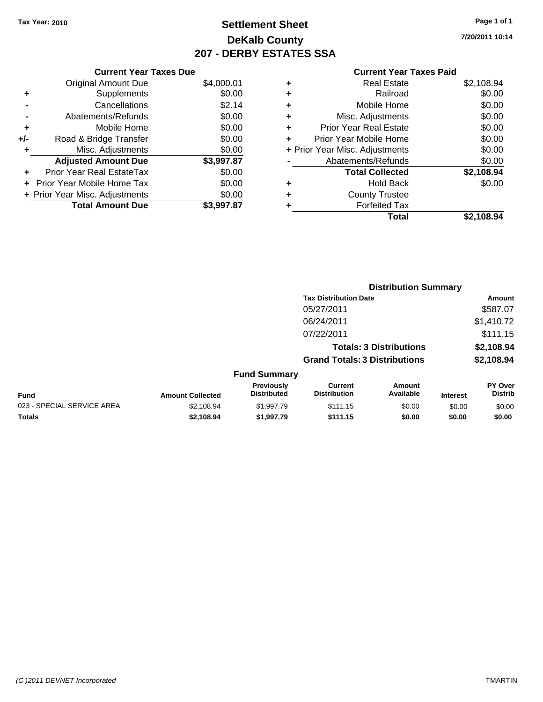# **Settlement Sheet Tax Year: 2010 Page 1 of 1 DeKalb County 207 - DERBY ESTATES SSA**

**7/20/2011 10:14**

|     | <b>Current Year Taxes Due</b>     |            |
|-----|-----------------------------------|------------|
|     | <b>Original Amount Due</b>        | \$4,000.01 |
| ٠   | Supplements                       | \$0.00     |
|     | Cancellations                     | \$2.14     |
|     | Abatements/Refunds                | \$0.00     |
| ٠   | Mobile Home                       | \$0.00     |
| +/- | Road & Bridge Transfer            | \$0.00     |
|     | Misc. Adjustments                 | \$0.00     |
|     | <b>Adjusted Amount Due</b>        | \$3,997.87 |
|     | <b>Prior Year Real EstateTax</b>  | \$0.00     |
|     | <b>Prior Year Mobile Home Tax</b> | \$0.00     |
|     | + Prior Year Misc. Adjustments    | \$0.00     |
|     | <b>Total Amount Due</b>           | \$3.997.87 |

|   | <b>Real Estate</b>             | \$2,108.94 |
|---|--------------------------------|------------|
| ٠ | Railroad                       | \$0.00     |
| ٠ | Mobile Home                    | \$0.00     |
| ٠ | Misc. Adjustments              | \$0.00     |
| ٠ | Prior Year Real Estate         | \$0.00     |
|   | Prior Year Mobile Home         | \$0.00     |
|   | + Prior Year Misc. Adjustments | \$0.00     |
|   | Abatements/Refunds             | \$0.00     |
|   | <b>Total Collected</b>         | \$2,108.94 |
| ٠ | <b>Hold Back</b>               | \$0.00     |
| ٠ | <b>County Trustee</b>          |            |
| ٠ | <b>Forfeited Tax</b>           |            |
|   | Total                          | \$2.108.94 |
|   |                                |            |

|                            |                         |                                         | <b>Distribution Summary</b>           |                                |                 |                                  |  |
|----------------------------|-------------------------|-----------------------------------------|---------------------------------------|--------------------------------|-----------------|----------------------------------|--|
|                            |                         |                                         | <b>Tax Distribution Date</b>          |                                |                 | Amount                           |  |
|                            |                         |                                         | 05/27/2011                            |                                |                 | \$587.07                         |  |
|                            |                         |                                         | 06/24/2011                            |                                |                 | \$1,410.72                       |  |
|                            |                         |                                         | 07/22/2011                            |                                |                 | \$111.15                         |  |
|                            |                         |                                         |                                       | <b>Totals: 3 Distributions</b> |                 | \$2,108.94                       |  |
|                            |                         |                                         | <b>Grand Totals: 3 Distributions</b>  |                                |                 | \$2,108.94                       |  |
|                            |                         | <b>Fund Summary</b>                     |                                       |                                |                 |                                  |  |
| <b>Fund</b>                | <b>Amount Collected</b> | <b>Previously</b><br><b>Distributed</b> | <b>Current</b><br><b>Distribution</b> | Amount<br>Available            | <b>Interest</b> | <b>PY Over</b><br><b>Distrib</b> |  |
| 023 - SPECIAL SERVICE AREA | \$2,108.94              | \$1,997.79                              | \$111.15                              | \$0.00                         | \$0.00          | \$0.00                           |  |
| Totals                     | \$2.108.94              | \$1,997.79                              | \$111.15                              | \$0.00                         | \$0.00          | \$0.00                           |  |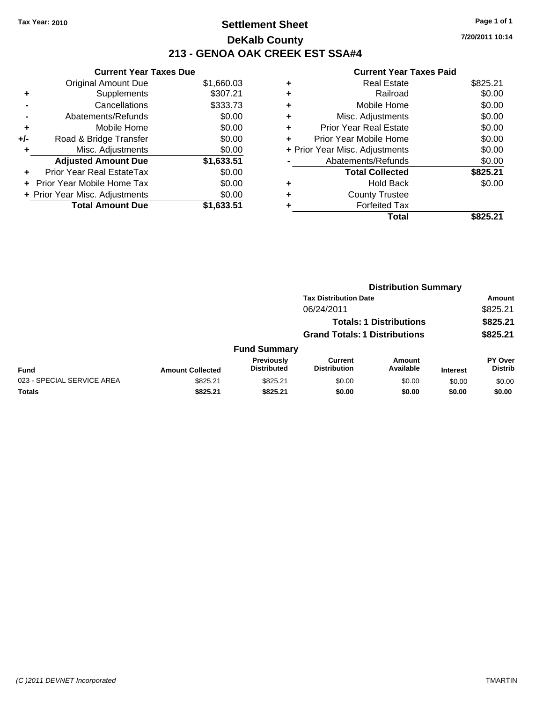# **Settlement Sheet Tax Year: 2010 Page 1 of 1 DeKalb County 213 - GENOA OAK CREEK EST SSA#4**

**7/20/2011 10:14**

|     | <b>Current Year Taxes Due</b>     |            |  |  |  |
|-----|-----------------------------------|------------|--|--|--|
|     | Original Amount Due               | \$1,660.03 |  |  |  |
| ٠   | Supplements                       | \$307.21   |  |  |  |
|     | Cancellations                     | \$333.73   |  |  |  |
|     | Abatements/Refunds                | \$0.00     |  |  |  |
| ٠   | Mobile Home                       | \$0.00     |  |  |  |
| +/- | Road & Bridge Transfer            | \$0.00     |  |  |  |
|     | Misc. Adjustments                 | \$0.00     |  |  |  |
|     | <b>Adjusted Amount Due</b>        | \$1,633.51 |  |  |  |
|     | <b>Prior Year Real EstateTax</b>  | \$0.00     |  |  |  |
|     | <b>Prior Year Mobile Home Tax</b> | \$0.00     |  |  |  |
|     | + Prior Year Misc. Adjustments    | \$0.00     |  |  |  |
|     | <b>Total Amount Due</b>           | \$1.633.51 |  |  |  |

| <b>Real Estate</b>             | \$825.21 |
|--------------------------------|----------|
| Railroad                       | \$0.00   |
| Mobile Home                    | \$0.00   |
| Misc. Adjustments              | \$0.00   |
| <b>Prior Year Real Estate</b>  | \$0.00   |
| Prior Year Mobile Home         | \$0.00   |
| + Prior Year Misc. Adjustments | \$0.00   |
| Abatements/Refunds             | \$0.00   |
| <b>Total Collected</b>         | \$825.21 |
| <b>Hold Back</b>               | \$0.00   |
| <b>County Trustee</b>          |          |
| <b>Forfeited Tax</b>           |          |
| Total                          | \$825.21 |
|                                |          |

|                            |                         |                                  | <b>Distribution Summary</b>          |                                |                 |                           |
|----------------------------|-------------------------|----------------------------------|--------------------------------------|--------------------------------|-----------------|---------------------------|
|                            |                         |                                  | <b>Tax Distribution Date</b>         |                                |                 | Amount                    |
|                            |                         |                                  | 06/24/2011                           |                                |                 | \$825.21                  |
|                            |                         |                                  |                                      | <b>Totals: 1 Distributions</b> |                 | \$825.21                  |
|                            |                         |                                  | <b>Grand Totals: 1 Distributions</b> |                                |                 | \$825.21                  |
|                            |                         | <b>Fund Summary</b>              |                                      |                                |                 |                           |
| <b>Fund</b>                | <b>Amount Collected</b> | Previously<br><b>Distributed</b> | Current<br><b>Distribution</b>       | Amount<br>Available            | <b>Interest</b> | PY Over<br><b>Distrib</b> |
| 023 - SPECIAL SERVICE AREA | \$825.21                | \$825.21                         | \$0.00                               | \$0.00                         | \$0.00          | \$0.00                    |
| Totals                     | \$825.21                | \$825.21                         | \$0.00                               | \$0.00                         | \$0.00          | \$0.00                    |
|                            |                         |                                  |                                      |                                |                 |                           |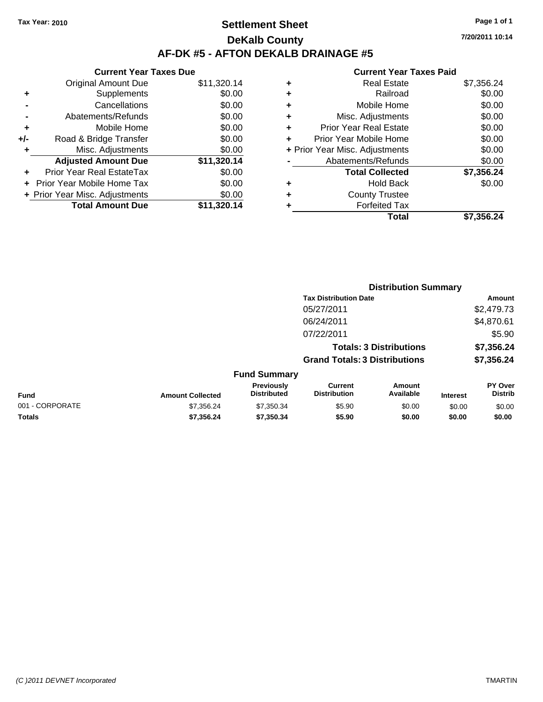# **Settlement Sheet Tax Year: 2010 Page 1 of 1 DeKalb County AF-DK #5 - AFTON DEKALB DRAINAGE #5**

|       | <b>Current Year Taxes Due</b>  |             |
|-------|--------------------------------|-------------|
|       | <b>Original Amount Due</b>     | \$11,320.14 |
| ٠     | Supplements                    | \$0.00      |
|       | Cancellations                  | \$0.00      |
|       | Abatements/Refunds             | \$0.00      |
| ٠     | Mobile Home                    | \$0.00      |
| $+/-$ | Road & Bridge Transfer         | \$0.00      |
| ٠     | Misc. Adjustments              | \$0.00      |
|       | <b>Adjusted Amount Due</b>     | \$11,320.14 |
|       | Prior Year Real EstateTax      | \$0.00      |
|       | Prior Year Mobile Home Tax     | \$0.00      |
|       | + Prior Year Misc. Adjustments | \$0.00      |
|       | <b>Total Amount Due</b>        | \$11,320.14 |

|   | <b>Real Estate</b>             | \$7,356.24 |
|---|--------------------------------|------------|
| ٠ | Railroad                       | \$0.00     |
| ٠ | Mobile Home                    | \$0.00     |
| ٠ | Misc. Adjustments              | \$0.00     |
| ٠ | <b>Prior Year Real Estate</b>  | \$0.00     |
|   | Prior Year Mobile Home         | \$0.00     |
|   | + Prior Year Misc. Adjustments | \$0.00     |
|   | Abatements/Refunds             | \$0.00     |
|   | <b>Total Collected</b>         | \$7,356.24 |
| ٠ | <b>Hold Back</b>               | \$0.00     |
| ٠ | <b>County Trustee</b>          |            |
| ٠ | <b>Forfeited Tax</b>           |            |
|   | Total                          | \$7,356.24 |
|   |                                |            |

|                     | <b>Distribution Summary</b>          |            |
|---------------------|--------------------------------------|------------|
|                     | <b>Tax Distribution Date</b>         | Amount     |
|                     | 05/27/2011                           | \$2,479.73 |
|                     | 06/24/2011                           | \$4,870.61 |
|                     | 07/22/2011                           | \$5.90     |
|                     | <b>Totals: 3 Distributions</b>       | \$7,356.24 |
|                     | <b>Grand Totals: 3 Distributions</b> | \$7,356.24 |
| <b>Fund Summary</b> |                                      |            |

| <b>Fund</b>     | <b>Amount Collected</b> | <b>Previously</b><br><b>Distributed</b> | Current<br><b>Distribution</b> | Amount<br>Available | <b>Interest</b> | PY Over<br><b>Distrib</b> |
|-----------------|-------------------------|-----------------------------------------|--------------------------------|---------------------|-----------------|---------------------------|
| 001 - CORPORATE | \$7.356.24              | \$7.350.34                              | \$5.90                         | \$0.00              | \$0.00          | \$0.00                    |
| Totals          | \$7.356.24              | \$7,350,34                              | \$5.90                         | \$0.00              | \$0.00          | \$0.00                    |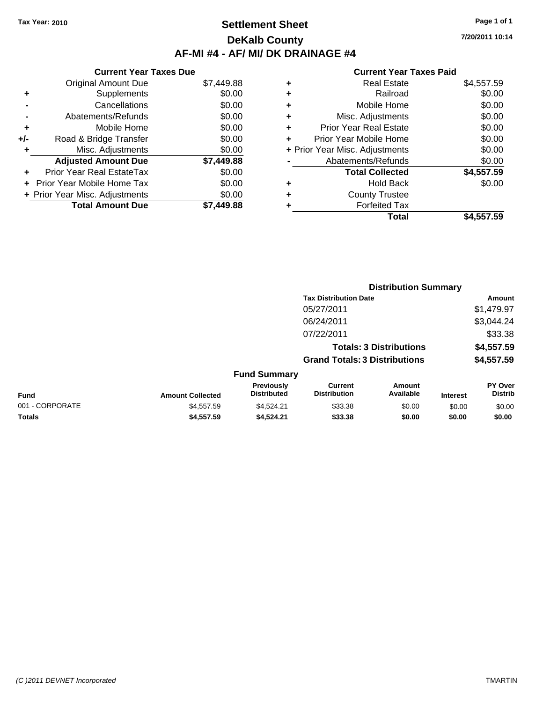### **Settlement Sheet Tax Year: 2010 Page 1 of 1 DeKalb County AF-MI #4 - AF/ MI/ DK DRAINAGE #4**

**7/20/2011 10:14**

|     | <b>Current Year Taxes Due</b>     |            |  |  |  |
|-----|-----------------------------------|------------|--|--|--|
|     | <b>Original Amount Due</b>        | \$7,449.88 |  |  |  |
| ٠   | Supplements                       | \$0.00     |  |  |  |
|     | Cancellations                     | \$0.00     |  |  |  |
|     | Abatements/Refunds                | \$0.00     |  |  |  |
| ÷   | Mobile Home                       | \$0.00     |  |  |  |
| +/- | Road & Bridge Transfer            | \$0.00     |  |  |  |
|     | Misc. Adjustments                 | \$0.00     |  |  |  |
|     | <b>Adjusted Amount Due</b>        | \$7,449.88 |  |  |  |
|     | Prior Year Real EstateTax         | \$0.00     |  |  |  |
|     | <b>Prior Year Mobile Home Tax</b> | \$0.00     |  |  |  |
|     | + Prior Year Misc. Adjustments    | \$0.00     |  |  |  |
|     | <b>Total Amount Due</b>           | \$7.449.88 |  |  |  |

| ٠ | <b>Real Estate</b>             | \$4,557.59 |
|---|--------------------------------|------------|
| ٠ | Railroad                       | \$0.00     |
| ٠ | Mobile Home                    | \$0.00     |
| ٠ | Misc. Adjustments              | \$0.00     |
| ٠ | <b>Prior Year Real Estate</b>  | \$0.00     |
| ÷ | Prior Year Mobile Home         | \$0.00     |
|   | + Prior Year Misc. Adjustments | \$0.00     |
|   | Abatements/Refunds             | \$0.00     |
|   | <b>Total Collected</b>         | \$4,557.59 |
| ٠ | <b>Hold Back</b>               | \$0.00     |
| ٠ | <b>County Trustee</b>          |            |
|   | <b>Forfeited Tax</b>           |            |
|   | Total                          | \$4,557.59 |

|                 |                         | <b>Distribution Summary</b>      |                                       |                                |                 |                           |
|-----------------|-------------------------|----------------------------------|---------------------------------------|--------------------------------|-----------------|---------------------------|
|                 |                         |                                  | <b>Tax Distribution Date</b>          |                                |                 | Amount                    |
|                 |                         |                                  | 05/27/2011                            |                                |                 | \$1,479.97                |
|                 |                         |                                  | 06/24/2011                            |                                |                 | \$3,044.24                |
|                 |                         |                                  | 07/22/2011                            |                                |                 | \$33.38                   |
|                 |                         |                                  |                                       | <b>Totals: 3 Distributions</b> |                 | \$4,557.59                |
|                 |                         |                                  | <b>Grand Totals: 3 Distributions</b>  |                                |                 | \$4,557.59                |
|                 |                         | <b>Fund Summary</b>              |                                       |                                |                 |                           |
| Fund            | <b>Amount Collected</b> | Previously<br><b>Distributed</b> | <b>Current</b><br><b>Distribution</b> | Amount<br>Available            | <b>Interest</b> | PY Over<br><b>Distrib</b> |
| 001 - CORPORATE | \$4,557.59              | \$4,524.21                       | \$33.38                               | \$0.00                         | \$0.00          | \$0.00                    |
| Totals          | \$4,557.59              | \$4.524.21                       | \$33.38                               | \$0.00                         | \$0.00          | \$0.00                    |
|                 |                         |                                  |                                       |                                |                 |                           |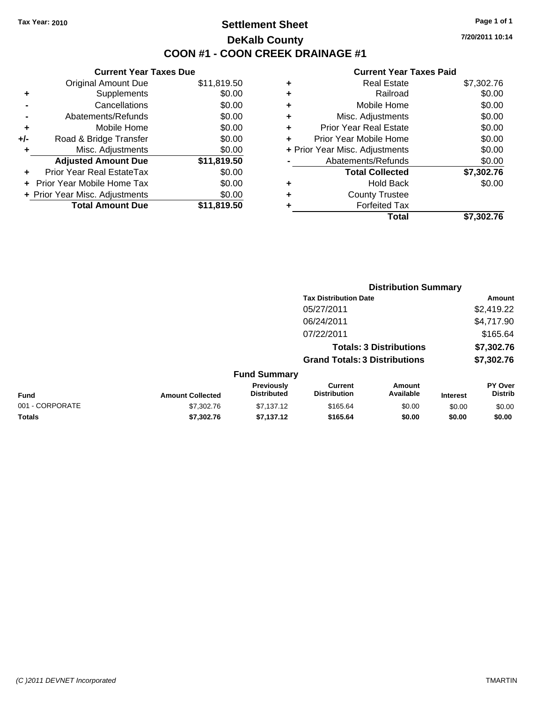### **Settlement Sheet Tax Year: 2010 Page 1 of 1 DeKalb County COON #1 - COON CREEK DRAINAGE #1**

**7/20/2011 10:14**

|     | <b>Current Year Taxes Due</b>  |             |  |  |  |  |  |
|-----|--------------------------------|-------------|--|--|--|--|--|
|     | <b>Original Amount Due</b>     | \$11,819.50 |  |  |  |  |  |
| ٠   | Supplements                    | \$0.00      |  |  |  |  |  |
|     | Cancellations                  | \$0.00      |  |  |  |  |  |
|     | Abatements/Refunds             | \$0.00      |  |  |  |  |  |
| ÷   | Mobile Home                    | \$0.00      |  |  |  |  |  |
| +/- | Road & Bridge Transfer         | \$0.00      |  |  |  |  |  |
|     | Misc. Adjustments              | \$0.00      |  |  |  |  |  |
|     | <b>Adjusted Amount Due</b>     | \$11,819.50 |  |  |  |  |  |
| ÷   | Prior Year Real EstateTax      | \$0.00      |  |  |  |  |  |
|     | Prior Year Mobile Home Tax     | \$0.00      |  |  |  |  |  |
|     | + Prior Year Misc. Adjustments | \$0.00      |  |  |  |  |  |
|     | <b>Total Amount Due</b>        | \$11,819.50 |  |  |  |  |  |
|     |                                |             |  |  |  |  |  |

| ٠ | <b>Real Estate</b>             | \$7,302.76 |
|---|--------------------------------|------------|
| ٠ | Railroad                       | \$0.00     |
| ٠ | Mobile Home                    | \$0.00     |
| ٠ | Misc. Adjustments              | \$0.00     |
| ٠ | <b>Prior Year Real Estate</b>  | \$0.00     |
|   | Prior Year Mobile Home         | \$0.00     |
|   | + Prior Year Misc. Adjustments | \$0.00     |
|   | Abatements/Refunds             | \$0.00     |
|   | <b>Total Collected</b>         | \$7,302.76 |
| ٠ | Hold Back                      | \$0.00     |
| ٠ | <b>County Trustee</b>          |            |
| ٠ | <b>Forfeited Tax</b>           |            |
|   | Total                          | \$7,302.76 |
|   |                                |            |

|                 |                         | <b>Distribution Summary</b>      |                                       |                                |                 |                           |
|-----------------|-------------------------|----------------------------------|---------------------------------------|--------------------------------|-----------------|---------------------------|
|                 |                         |                                  | <b>Tax Distribution Date</b>          |                                |                 | Amount                    |
|                 |                         |                                  | 05/27/2011                            |                                |                 | \$2,419.22                |
|                 |                         |                                  | 06/24/2011                            |                                |                 | \$4,717.90                |
|                 |                         |                                  | 07/22/2011                            |                                |                 | \$165.64                  |
|                 |                         |                                  |                                       | <b>Totals: 3 Distributions</b> |                 | \$7,302.76                |
|                 |                         |                                  | <b>Grand Totals: 3 Distributions</b>  |                                |                 | \$7,302.76                |
|                 |                         | <b>Fund Summary</b>              |                                       |                                |                 |                           |
| Fund            | <b>Amount Collected</b> | Previously<br><b>Distributed</b> | <b>Current</b><br><b>Distribution</b> | Amount<br>Available            | <b>Interest</b> | PY Over<br><b>Distrib</b> |
| 001 - CORPORATE | \$7,302.76              | \$7,137.12                       | \$165.64                              | \$0.00                         | \$0.00          | \$0.00                    |
| Totals          | \$7,302.76              | \$7,137.12                       | \$165.64                              | \$0.00                         | \$0.00          | \$0.00                    |
|                 |                         |                                  |                                       |                                |                 |                           |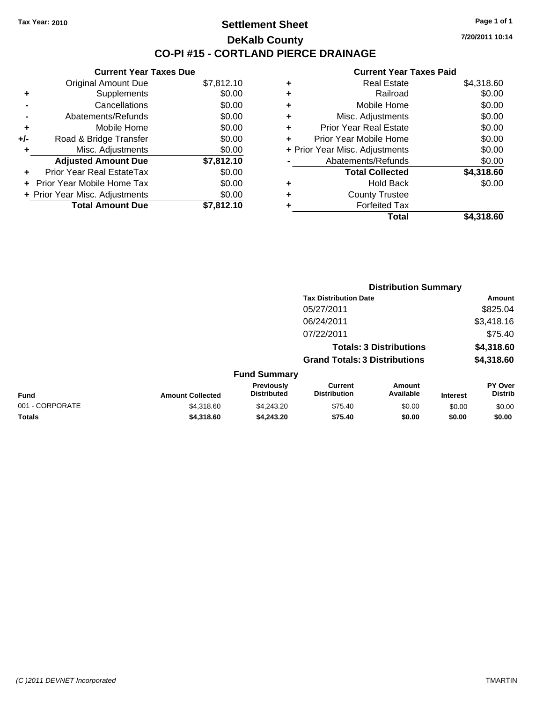### **Settlement Sheet Tax Year: 2010 Page 1 of 1 DeKalb County CO-PI #15 - CORTLAND PIERCE DRAINAGE**

**7/20/2011 10:14**

|     | <b>Current Year Taxes Due</b>  |            |
|-----|--------------------------------|------------|
|     | <b>Original Amount Due</b>     | \$7,812.10 |
| ٠   | Supplements                    | \$0.00     |
|     | Cancellations                  | \$0.00     |
|     | Abatements/Refunds             | \$0.00     |
| ٠   | Mobile Home                    | \$0.00     |
| +/- | Road & Bridge Transfer         | \$0.00     |
| ٠   | Misc. Adjustments              | \$0.00     |
|     | <b>Adjusted Amount Due</b>     | \$7,812.10 |
|     | Prior Year Real EstateTax      | \$0.00     |
|     | Prior Year Mobile Home Tax     | \$0.00     |
|     | + Prior Year Misc. Adjustments | \$0.00     |
|     | <b>Total Amount Due</b>        | \$7.812.10 |

|   | <b>Real Estate</b>             | \$4,318.60 |
|---|--------------------------------|------------|
| ٠ | Railroad                       | \$0.00     |
| ٠ | Mobile Home                    | \$0.00     |
| ٠ | Misc. Adjustments              | \$0.00     |
| ÷ | <b>Prior Year Real Estate</b>  | \$0.00     |
|   | Prior Year Mobile Home         | \$0.00     |
|   | + Prior Year Misc. Adjustments | \$0.00     |
|   | Abatements/Refunds             | \$0.00     |
|   | <b>Total Collected</b>         | \$4,318.60 |
| ٠ | Hold Back                      | \$0.00     |
| ٠ | <b>County Trustee</b>          |            |
| ٠ | <b>Forfeited Tax</b>           |            |
|   | Total                          | \$4,318.60 |
|   |                                |            |

|                 |                         | <b>Distribution Summary</b>      |                                       |                                |                 |                           |
|-----------------|-------------------------|----------------------------------|---------------------------------------|--------------------------------|-----------------|---------------------------|
|                 |                         |                                  | <b>Tax Distribution Date</b>          |                                |                 | Amount                    |
|                 |                         |                                  | 05/27/2011                            |                                |                 | \$825.04                  |
|                 |                         |                                  | 06/24/2011                            |                                |                 | \$3,418.16                |
|                 |                         |                                  | 07/22/2011                            |                                |                 | \$75.40                   |
|                 |                         |                                  |                                       | <b>Totals: 3 Distributions</b> |                 | \$4,318.60                |
|                 |                         |                                  | <b>Grand Totals: 3 Distributions</b>  |                                |                 | \$4,318.60                |
|                 |                         | <b>Fund Summary</b>              |                                       |                                |                 |                           |
| Fund            | <b>Amount Collected</b> | Previously<br><b>Distributed</b> | <b>Current</b><br><b>Distribution</b> | Amount<br>Available            | <b>Interest</b> | PY Over<br><b>Distrib</b> |
| 001 - CORPORATE | \$4,318.60              | \$4,243.20                       | \$75.40                               | \$0.00                         | \$0.00          | \$0.00                    |
| Totals          | \$4,318.60              | \$4,243.20                       | \$75.40                               | \$0.00                         | \$0.00          | \$0.00                    |
|                 |                         |                                  |                                       |                                |                 |                           |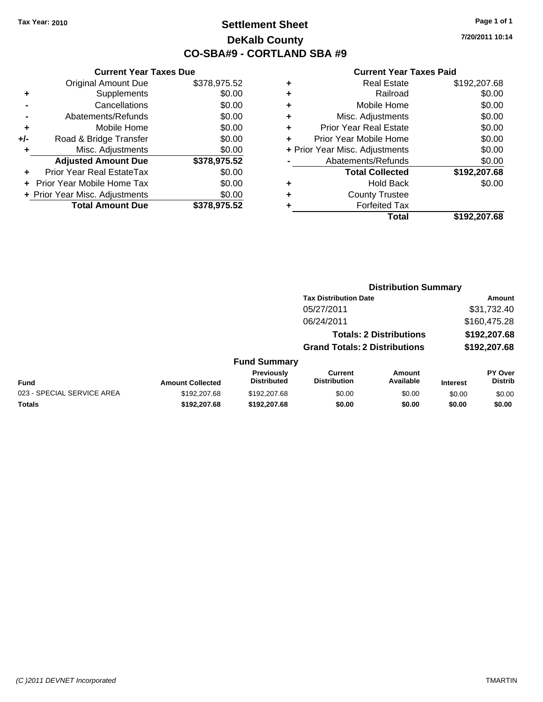# **Settlement Sheet Tax Year: 2010 Page 1 of 1 DeKalb County CO-SBA#9 - CORTLAND SBA #9**

**7/20/2011 10:14**

#### **Current Year Taxes Paid**

|     | <b>Current Year Taxes Due</b>  |              |     |
|-----|--------------------------------|--------------|-----|
|     | <b>Original Amount Due</b>     | \$378,975.52 | ٠   |
|     | Supplements                    | \$0.00       | ٠   |
|     | Cancellations                  | \$0.00       |     |
|     | Abatements/Refunds             | \$0.00       | ٠   |
|     | Mobile Home                    | \$0.00       |     |
| +/- | Road & Bridge Transfer         | \$0.00       | ٠   |
|     | Misc. Adjustments              | \$0.00       | + F |
|     | <b>Adjusted Amount Due</b>     | \$378,975.52 |     |
|     | Prior Year Real EstateTax      | \$0.00       |     |
|     | Prior Year Mobile Home Tax     | \$0.00       |     |
|     | + Prior Year Misc. Adjustments | \$0.00       |     |
|     | <b>Total Amount Due</b>        | \$378,975.52 |     |
|     |                                |              |     |

|   | <b>Real Estate</b>             | \$192,207.68 |
|---|--------------------------------|--------------|
| ٠ | Railroad                       | \$0.00       |
| ٠ | Mobile Home                    | \$0.00       |
| ٠ | Misc. Adjustments              | \$0.00       |
| ٠ | <b>Prior Year Real Estate</b>  | \$0.00       |
|   | Prior Year Mobile Home         | \$0.00       |
|   | + Prior Year Misc. Adjustments | \$0.00       |
|   | Abatements/Refunds             | \$0.00       |
|   | <b>Total Collected</b>         | \$192,207.68 |
| ٠ | <b>Hold Back</b>               | \$0.00       |
| ٠ | <b>County Trustee</b>          |              |
|   | <b>Forfeited Tax</b>           |              |
|   | Total                          | \$192,207.68 |
|   |                                |              |

#### **Distribution Summary Tax Distribution Date Amount** 05/27/2011 \$31,732.40 06/24/2011 \$160,475.28 **Totals: 2 Distributions \$192,207.68 Grand Totals: 2 Distributions \$192,207.68 Fund Summary Fund Interest Amount Collected Distributed PY Over Distrib Amount Available Current Distribution Previously** 023 - SPECIAL SERVICE AREA  $$192,207.68$   $$192,207.68$   $$0.00$  \$0.00 \$0.00 \$0.00 \$0.00 **Totals \$192,207.68 \$192,207.68 \$0.00 \$0.00 \$0.00 \$0.00**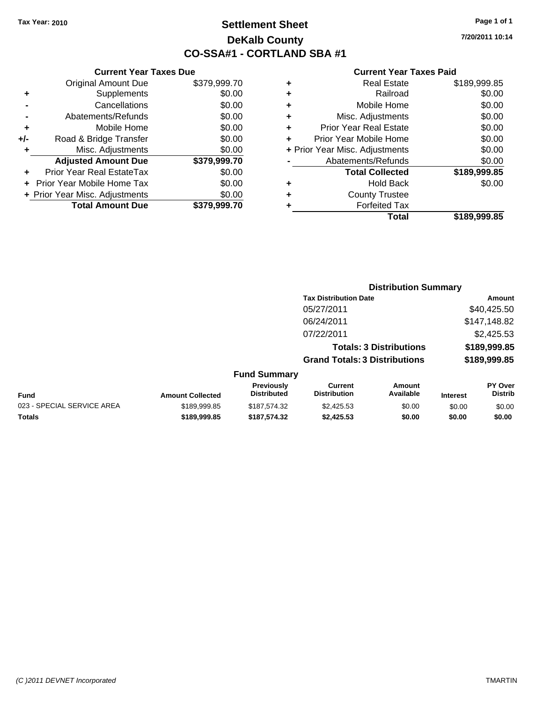**Current Year Taxes Due** Original Amount Due \$379,999.70

**Adjusted Amount Due \$379,999.70**

**+** Supplements \$0.00 **-** Cancellations \$0.00 **-** Abatements/Refunds \$0.00 **+** Mobile Home \$0.00 **+/-** Road & Bridge Transfer \$0.00 **+** Misc. Adjustments \$0.00

**+** Prior Year Real EstateTax \$0.00 **+** Prior Year Mobile Home Tax \$0.00 **+ Prior Year Misc. Adjustments \$0.00<br>Total Amount Due \$379,999.70** 

**Total Amount Due** 

# **Settlement Sheet Tax Year: 2010 Page 1 of 1 DeKalb County CO-SSA#1 - CORTLAND SBA #1**

**7/20/2011 10:14**

**Amount** \$40,425.50 \$147,148.82 \$2,425.53 **Totals: 3 Distributions \$189,999.85 Grand Totals: 3 Distributions \$189,999.85**

**PY Over**

|   | Total                          | \$189,999.85 |
|---|--------------------------------|--------------|
| ٠ | <b>Forfeited Tax</b>           |              |
| ٠ | <b>County Trustee</b>          |              |
| ٠ | <b>Hold Back</b>               | \$0.00       |
|   | <b>Total Collected</b>         | \$189,999.85 |
|   | Abatements/Refunds             | \$0.00       |
|   | + Prior Year Misc. Adjustments | \$0.00       |
| ٠ | Prior Year Mobile Home         | \$0.00       |
| ٠ | <b>Prior Year Real Estate</b>  | \$0.00       |
| ٠ | Misc. Adjustments              | \$0.00       |
| ٠ | Mobile Home                    | \$0.00       |
| ٠ | Railroad                       | \$0.00       |
| ٠ | <b>Real Estate</b>             | \$189,999.85 |
|   |                                |              |

| <b>Distribution Summary</b>          |
|--------------------------------------|
| <b>Tax Distribution Date</b>         |
|                                      |
| 05/27/2011                           |
| 06/24/2011                           |
| 07/22/2011                           |
| <b>Totals: 3 Distributions</b>       |
| <b>Grand Totals: 3 Distributions</b> |
| <b>Fund Summary</b>                  |
| $\blacksquare$                       |

|                            |                         | Previously         | Current      | Amount    |                 | <b>PY Over</b> |
|----------------------------|-------------------------|--------------------|--------------|-----------|-----------------|----------------|
| Fund                       | <b>Amount Collected</b> | <b>Distributed</b> | Distribution | Available | <b>Interest</b> | Distrib        |
| 023 - SPECIAL SERVICE AREA | \$189.999.85            | \$187.574.32       | \$2.425.53   | \$0.00    | \$0.00          | \$0.00         |
| Totals                     | \$189,999.85            | \$187,574,32       | \$2.425.53   | \$0.00    | \$0.00          | \$0.00         |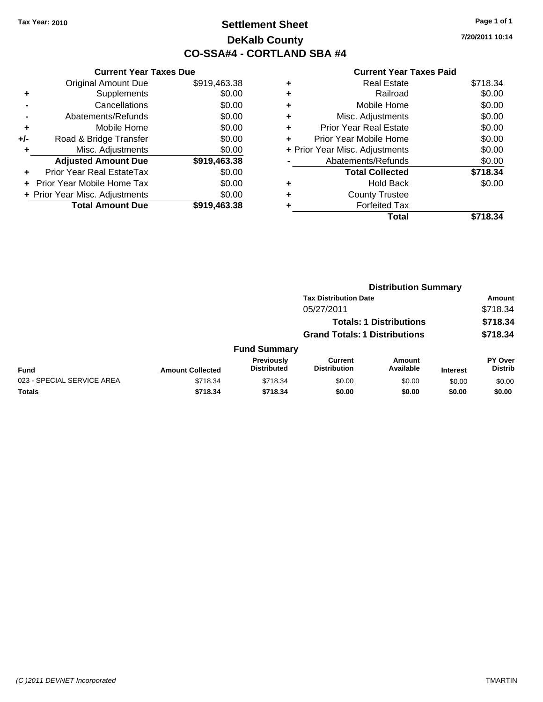# **Settlement Sheet Tax Year: 2010 Page 1 of 1 DeKalb County CO-SSA#4 - CORTLAND SBA #4**

**7/20/2011 10:14**

|     | <b>Current Year Taxes Due</b>  |              |
|-----|--------------------------------|--------------|
|     | <b>Original Amount Due</b>     | \$919,463.38 |
| ÷   | Supplements                    | \$0.00       |
|     | Cancellations                  | \$0.00       |
|     | Abatements/Refunds             | \$0.00       |
| ٠   | Mobile Home                    | \$0.00       |
| +/- | Road & Bridge Transfer         | \$0.00       |
|     | Misc. Adjustments              | \$0.00       |
|     | <b>Adjusted Amount Due</b>     | \$919,463.38 |
| ÷   | Prior Year Real EstateTax      | \$0.00       |
|     | Prior Year Mobile Home Tax     | \$0.00       |
|     | + Prior Year Misc. Adjustments | \$0.00       |
|     | <b>Total Amount Due</b>        | \$919,463.38 |
|     |                                |              |

| ٠ | <b>Real Estate</b>             | \$718.34 |
|---|--------------------------------|----------|
| ٠ | Railroad                       | \$0.00   |
| ٠ | Mobile Home                    | \$0.00   |
| ٠ | Misc. Adjustments              | \$0.00   |
| ٠ | <b>Prior Year Real Estate</b>  | \$0.00   |
| ٠ | Prior Year Mobile Home         | \$0.00   |
|   | + Prior Year Misc. Adjustments | \$0.00   |
|   | Abatements/Refunds             | \$0.00   |
|   | <b>Total Collected</b>         | \$718.34 |
| ٠ | <b>Hold Back</b>               | \$0.00   |
| ٠ | <b>County Trustee</b>          |          |
| ٠ | <b>Forfeited Tax</b>           |          |
|   | Total                          | \$718.34 |
|   |                                |          |

|                            | <b>Distribution Summary</b> |                                  |                                       |                                |                 |                           |  |
|----------------------------|-----------------------------|----------------------------------|---------------------------------------|--------------------------------|-----------------|---------------------------|--|
|                            |                             |                                  | <b>Tax Distribution Date</b>          |                                |                 | Amount                    |  |
|                            |                             |                                  | 05/27/2011                            |                                |                 | \$718.34                  |  |
|                            |                             |                                  |                                       | <b>Totals: 1 Distributions</b> |                 | \$718.34                  |  |
|                            |                             |                                  | <b>Grand Totals: 1 Distributions</b>  |                                |                 | \$718.34                  |  |
|                            |                             | <b>Fund Summary</b>              |                                       |                                |                 |                           |  |
| <b>Fund</b>                | <b>Amount Collected</b>     | Previously<br><b>Distributed</b> | <b>Current</b><br><b>Distribution</b> | <b>Amount</b><br>Available     | <b>Interest</b> | PY Over<br><b>Distrib</b> |  |
| 023 - SPECIAL SERVICE AREA | \$718.34                    | \$718.34                         | \$0.00                                | \$0.00                         | \$0.00          | \$0.00                    |  |
| Totals                     | \$718.34                    | \$718.34                         | \$0.00                                | \$0.00                         | \$0.00          | \$0.00                    |  |
|                            |                             |                                  |                                       |                                |                 |                           |  |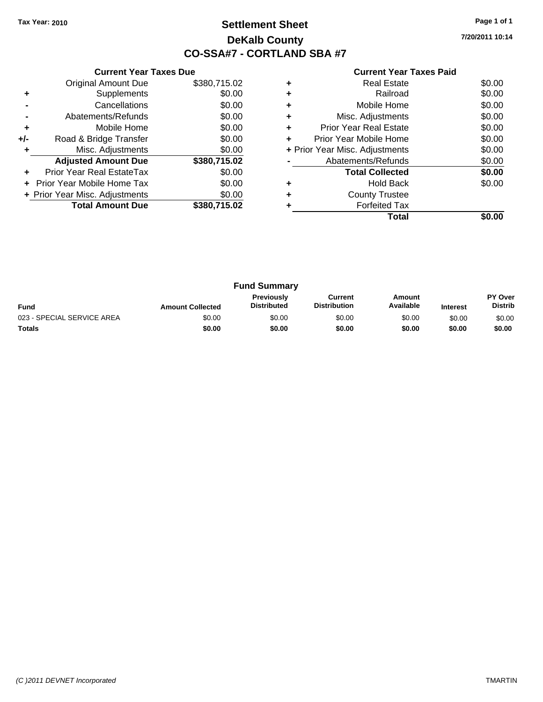# **Settlement Sheet Tax Year: 2010 Page 1 of 1 DeKalb County CO-SSA#7 - CORTLAND SBA #7**

**7/20/2011 10:14**

|     | <b>Current Year Taxes Due</b>  |              |
|-----|--------------------------------|--------------|
|     | <b>Original Amount Due</b>     | \$380,715.02 |
| ٠   | Supplements                    | \$0.00       |
|     | Cancellations                  | \$0.00       |
|     | Abatements/Refunds             | \$0.00       |
| ٠   | Mobile Home                    | \$0.00       |
| +/- | Road & Bridge Transfer         | \$0.00       |
|     | Misc. Adjustments              | \$0.00       |
|     | <b>Adjusted Amount Due</b>     | \$380,715.02 |
|     | Prior Year Real EstateTax      | \$0.00       |
|     | Prior Year Mobile Home Tax     | \$0.00       |
|     | + Prior Year Misc. Adjustments | \$0.00       |
|     | <b>Total Amount Due</b>        | \$380.715.02 |
|     |                                |              |

|   | Total                          |        |
|---|--------------------------------|--------|
|   | <b>Forfeited Tax</b>           |        |
| ٠ | <b>County Trustee</b>          |        |
|   | <b>Hold Back</b>               | \$0.00 |
|   | <b>Total Collected</b>         | \$0.00 |
|   | Abatements/Refunds             | \$0.00 |
|   | + Prior Year Misc. Adjustments | \$0.00 |
| ÷ | Prior Year Mobile Home         | \$0.00 |
| ٠ | <b>Prior Year Real Estate</b>  | \$0.00 |
| ٠ | Misc. Adjustments              | \$0.00 |
| ٠ | Mobile Home                    | \$0.00 |
|   | Railroad                       | \$0.00 |
|   | <b>Real Estate</b>             | \$0.00 |

| <b>Fund Summary</b>        |                         |                                         |                                |                     |                 |                                  |
|----------------------------|-------------------------|-----------------------------------------|--------------------------------|---------------------|-----------------|----------------------------------|
| <b>Fund</b>                | <b>Amount Collected</b> | <b>Previously</b><br><b>Distributed</b> | Current<br><b>Distribution</b> | Amount<br>Available | <b>Interest</b> | <b>PY Over</b><br><b>Distrib</b> |
| 023 - SPECIAL SERVICE AREA | \$0.00                  | \$0.00                                  | \$0.00                         | \$0.00              | \$0.00          | \$0.00                           |
| <b>Totals</b>              | \$0.00                  | \$0.00                                  | \$0.00                         | \$0.00              | \$0.00          | \$0.00                           |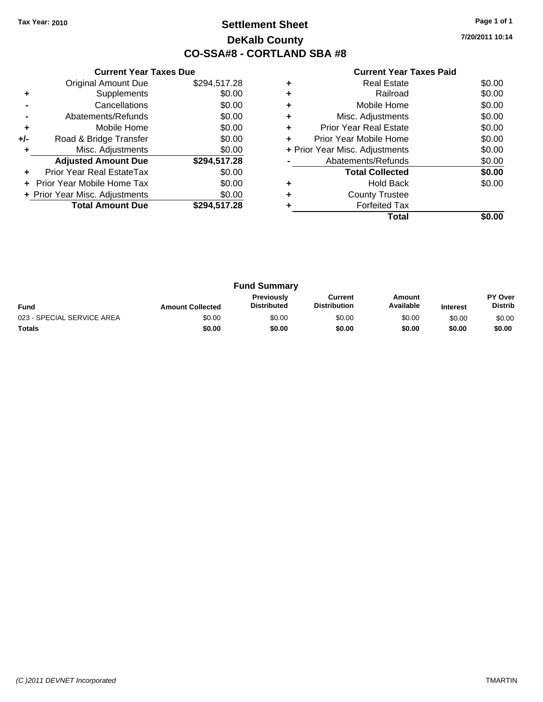# **Settlement Sheet Tax Year: 2010 Page 1 of 1 DeKalb County CO-SSA#8 - CORTLAND SBA #8**

**7/20/2011 10:14**

|     | <b>Current Year Taxes Due</b>  |              |
|-----|--------------------------------|--------------|
|     | <b>Original Amount Due</b>     | \$294,517.28 |
| ٠   | Supplements                    | \$0.00       |
|     | Cancellations                  | \$0.00       |
|     | Abatements/Refunds             | \$0.00       |
| ٠   | Mobile Home                    | \$0.00       |
| +/- | Road & Bridge Transfer         | \$0.00       |
| ٠   | Misc. Adjustments              | \$0.00       |
|     | <b>Adjusted Amount Due</b>     | \$294,517.28 |
| ٠   | Prior Year Real EstateTax      | \$0.00       |
|     | Prior Year Mobile Home Tax     | \$0.00       |
|     | + Prior Year Misc. Adjustments | \$0.00       |
|     | <b>Total Amount Due</b>        | \$294,517.28 |
|     |                                |              |

|   | <b>Real Estate</b>             | \$0.00 |
|---|--------------------------------|--------|
| ٠ | Railroad                       | \$0.00 |
| ٠ | Mobile Home                    | \$0.00 |
| ٠ | Misc. Adjustments              | \$0.00 |
| ٠ | <b>Prior Year Real Estate</b>  | \$0.00 |
|   | Prior Year Mobile Home         | \$0.00 |
|   | + Prior Year Misc. Adjustments | \$0.00 |
|   | Abatements/Refunds             | \$0.00 |
|   | <b>Total Collected</b>         | \$0.00 |
| ٠ | <b>Hold Back</b>               | \$0.00 |
| ٠ | <b>County Trustee</b>          |        |
|   | <b>Forfeited Tax</b>           |        |
|   | Total                          |        |

| <b>Fund Summary</b>        |                         |                                         |                                |                     |                 |                           |
|----------------------------|-------------------------|-----------------------------------------|--------------------------------|---------------------|-----------------|---------------------------|
| Fund                       | <b>Amount Collected</b> | <b>Previously</b><br><b>Distributed</b> | Current<br><b>Distribution</b> | Amount<br>Available | <b>Interest</b> | PY Over<br><b>Distrib</b> |
| 023 - SPECIAL SERVICE AREA | \$0.00                  | \$0.00                                  | \$0.00                         | \$0.00              | \$0.00          | \$0.00                    |
| <b>Totals</b>              | \$0.00                  | \$0.00                                  | \$0.00                         | \$0.00              | \$0.00          | \$0.00                    |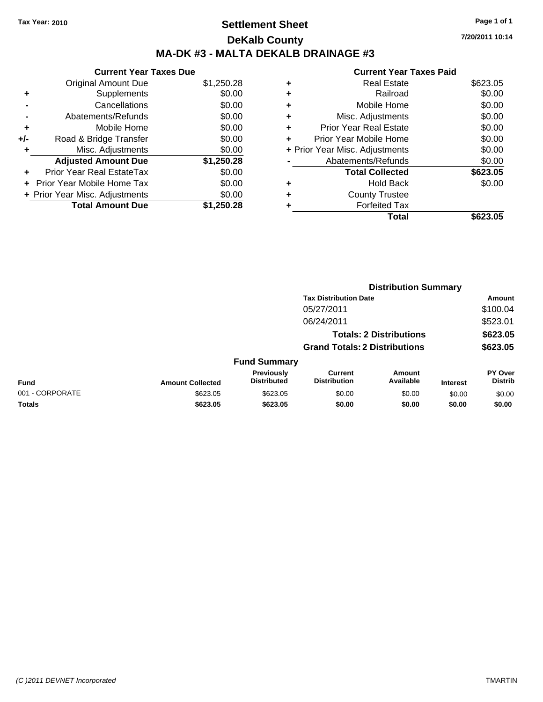# **Settlement Sheet Tax Year: 2010 Page 1 of 1 DeKalb County MA-DK #3 - MALTA DEKALB DRAINAGE #3**

**7/20/2011 10:14**

|       | <b>Current Year Taxes Due</b>  |            |
|-------|--------------------------------|------------|
|       | <b>Original Amount Due</b>     | \$1,250.28 |
| ٠     | Supplements                    | \$0.00     |
|       | Cancellations                  | \$0.00     |
|       | Abatements/Refunds             | \$0.00     |
| ÷     | Mobile Home                    | \$0.00     |
| $+/-$ | Road & Bridge Transfer         | \$0.00     |
| ٠     | Misc. Adjustments              | \$0.00     |
|       | <b>Adjusted Amount Due</b>     | \$1,250.28 |
| ÷     | Prior Year Real EstateTax      | \$0.00     |
|       | Prior Year Mobile Home Tax     | \$0.00     |
|       | + Prior Year Misc. Adjustments | \$0.00     |
|       | <b>Total Amount Due</b>        | \$1,250.28 |
|       |                                |            |

|   | Total                          | \$623.05 |
|---|--------------------------------|----------|
| ٠ | <b>Forfeited Tax</b>           |          |
| ٠ | <b>County Trustee</b>          |          |
| ٠ | <b>Hold Back</b>               | \$0.00   |
|   | <b>Total Collected</b>         | \$623.05 |
|   | Abatements/Refunds             | \$0.00   |
|   | + Prior Year Misc. Adjustments | \$0.00   |
| ÷ | Prior Year Mobile Home         | \$0.00   |
| ٠ | <b>Prior Year Real Estate</b>  | \$0.00   |
| ٠ | Misc. Adjustments              | \$0.00   |
| ٠ | Mobile Home                    | \$0.00   |
| ٠ | Railroad                       | \$0.00   |
| ٠ | Real Estate                    | \$623.05 |
|   |                                |          |

|                 | <b>Distribution Summary</b> |                                  |                                       |                                |                 |                           |
|-----------------|-----------------------------|----------------------------------|---------------------------------------|--------------------------------|-----------------|---------------------------|
|                 |                             |                                  | <b>Tax Distribution Date</b>          |                                |                 | Amount                    |
|                 |                             |                                  | 05/27/2011                            |                                |                 | \$100.04                  |
|                 |                             |                                  | 06/24/2011                            |                                |                 | \$523.01                  |
|                 |                             |                                  |                                       | <b>Totals: 2 Distributions</b> |                 | \$623.05                  |
|                 |                             |                                  | <b>Grand Totals: 2 Distributions</b>  |                                |                 | \$623.05                  |
|                 |                             | <b>Fund Summary</b>              |                                       |                                |                 |                           |
| <b>Fund</b>     | <b>Amount Collected</b>     | Previously<br><b>Distributed</b> | <b>Current</b><br><b>Distribution</b> | Amount<br>Available            | <b>Interest</b> | PY Over<br><b>Distrib</b> |
| 001 - CORPORATE | \$623.05                    | \$623.05                         | \$0.00                                | \$0.00                         | \$0.00          | \$0.00                    |
| Totals          | \$623.05                    | \$623.05                         | \$0.00                                | \$0.00                         | \$0.00          | \$0.00                    |
|                 |                             |                                  |                                       |                                |                 |                           |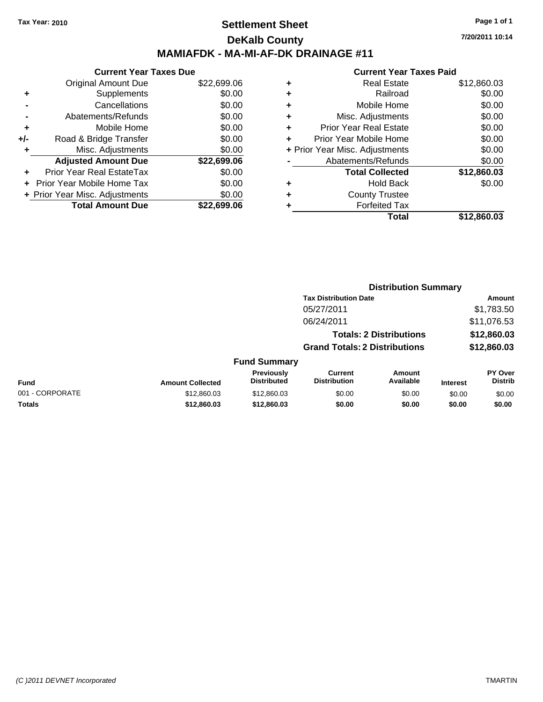### **Settlement Sheet Tax Year: 2010 Page 1 of 1 DeKalb County MAMIAFDK - MA-MI-AF-DK DRAINAGE #11**

|       | <b>Current Year Taxes Due</b>     |             |  |  |  |
|-------|-----------------------------------|-------------|--|--|--|
|       | <b>Original Amount Due</b>        | \$22,699.06 |  |  |  |
|       | Supplements                       | \$0.00      |  |  |  |
|       | Cancellations                     | \$0.00      |  |  |  |
|       | Abatements/Refunds                | \$0.00      |  |  |  |
| ٠     | Mobile Home                       | \$0.00      |  |  |  |
| $+/-$ | Road & Bridge Transfer            | \$0.00      |  |  |  |
|       | Misc. Adjustments                 | \$0.00      |  |  |  |
|       | <b>Adjusted Amount Due</b>        | \$22,699.06 |  |  |  |
|       | Prior Year Real EstateTax         | \$0.00      |  |  |  |
|       | <b>Prior Year Mobile Home Tax</b> | \$0.00      |  |  |  |
|       | + Prior Year Misc. Adjustments    | \$0.00      |  |  |  |
|       | <b>Total Amount Due</b>           | \$22,699.06 |  |  |  |

| ٠ | <b>Real Estate</b>             | \$12,860.03 |
|---|--------------------------------|-------------|
| ٠ | Railroad                       | \$0.00      |
| ٠ | Mobile Home                    | \$0.00      |
| ٠ | Misc. Adjustments              | \$0.00      |
| ٠ | <b>Prior Year Real Estate</b>  | \$0.00      |
| ÷ | Prior Year Mobile Home         | \$0.00      |
|   | + Prior Year Misc. Adjustments | \$0.00      |
|   | Abatements/Refunds             | \$0.00      |
|   | <b>Total Collected</b>         | \$12,860.03 |
| ٠ | <b>Hold Back</b>               | \$0.00      |
| ٠ | <b>County Trustee</b>          |             |
|   | <b>Forfeited Tax</b>           |             |
|   | Total                          | \$12,860.03 |
|   |                                |             |

|                     |                                      | <b>Distribution Summary</b>    |                |
|---------------------|--------------------------------------|--------------------------------|----------------|
|                     | <b>Tax Distribution Date</b>         |                                | Amount         |
|                     | 05/27/2011                           |                                | \$1,783.50     |
|                     | 06/24/2011                           |                                | \$11,076.53    |
|                     |                                      | <b>Totals: 2 Distributions</b> | \$12,860.03    |
|                     | <b>Grand Totals: 2 Distributions</b> |                                | \$12,860.03    |
| <b>Fund Summary</b> |                                      |                                |                |
| <b>Previously</b>   | Current                              | Amount                         | <b>PY Over</b> |

| Fund            | <b>Amount Collected</b> | <b>Previously</b><br><b>Distributed</b> | Current<br><b>Distribution</b> | Amount<br>Available | <b>Interest</b> | <b>PY Over</b><br><b>Distrib</b> |
|-----------------|-------------------------|-----------------------------------------|--------------------------------|---------------------|-----------------|----------------------------------|
| 001 - CORPORATE | \$12,860.03             | \$12,860.03                             | \$0.00                         | \$0.00              | \$0.00          | \$0.00                           |
| Totals          | \$12,860.03             | \$12,860.03                             | \$0.00                         | \$0.00              | \$0.00          | \$0.00                           |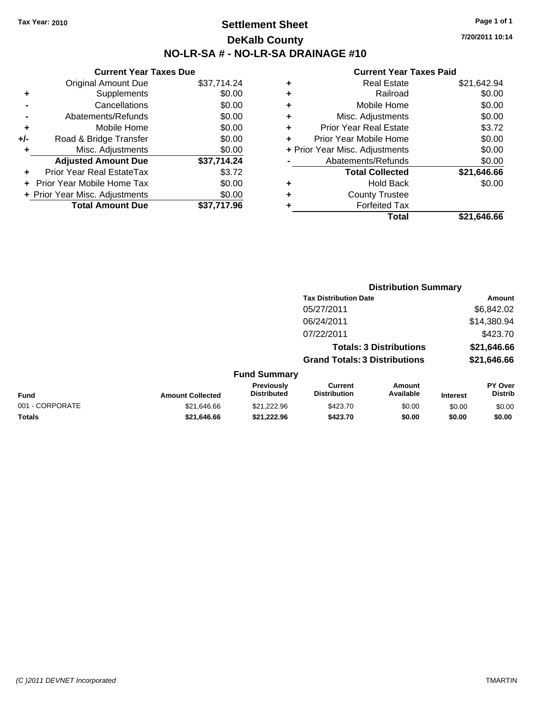### **Settlement Sheet Tax Year: 2010 Page 1 of 1 DeKalb County NO-LR-SA # - NO-LR-SA DRAINAGE #10**

**7/20/2011 10:14**

|     | <b>Current Year Taxes Due</b>  |             |     |  |  |  |
|-----|--------------------------------|-------------|-----|--|--|--|
|     | <b>Original Amount Due</b>     | \$37,714.24 |     |  |  |  |
|     | Supplements                    | \$0.00      |     |  |  |  |
|     | Cancellations                  | \$0.00      |     |  |  |  |
|     | Abatements/Refunds             | \$0.00      |     |  |  |  |
|     | Mobile Home                    | \$0.00      |     |  |  |  |
| +/- | Road & Bridge Transfer         | \$0.00      |     |  |  |  |
|     | Misc. Adjustments              | \$0.00      | + P |  |  |  |
|     | <b>Adjusted Amount Due</b>     | \$37,714.24 |     |  |  |  |
|     | Prior Year Real EstateTax      | \$3.72      |     |  |  |  |
|     | Prior Year Mobile Home Tax     | \$0.00      |     |  |  |  |
|     | + Prior Year Misc. Adjustments | \$0.00      |     |  |  |  |
|     | <b>Total Amount Due</b>        | \$37,717.96 |     |  |  |  |
|     |                                |             |     |  |  |  |

| ٠ | <b>Real Estate</b>             | \$21,642.94 |
|---|--------------------------------|-------------|
| ÷ | Railroad                       | \$0.00      |
| ٠ | Mobile Home                    | \$0.00      |
| ٠ | Misc. Adjustments              | \$0.00      |
| ٠ | <b>Prior Year Real Estate</b>  | \$3.72      |
| ٠ | Prior Year Mobile Home         | \$0.00      |
|   | + Prior Year Misc. Adjustments | \$0.00      |
|   | Abatements/Refunds             | \$0.00      |
|   | <b>Total Collected</b>         | \$21,646.66 |
| ٠ | <b>Hold Back</b>               | \$0.00      |
| ٠ | <b>County Trustee</b>          |             |
| ٠ | <b>Forfeited Tax</b>           |             |
|   | Total                          | \$21.646.66 |
|   |                                |             |

|                 |                         |                                  | <b>Distribution Summary</b>           |                                |                 |                                  |
|-----------------|-------------------------|----------------------------------|---------------------------------------|--------------------------------|-----------------|----------------------------------|
|                 |                         |                                  | <b>Tax Distribution Date</b>          |                                |                 | Amount                           |
|                 |                         |                                  | 05/27/2011                            |                                |                 | \$6,842.02                       |
|                 |                         |                                  | 06/24/2011                            |                                |                 | \$14,380.94                      |
|                 |                         |                                  | 07/22/2011                            |                                |                 | \$423.70                         |
|                 |                         |                                  |                                       | <b>Totals: 3 Distributions</b> |                 | \$21,646.66                      |
|                 |                         |                                  | <b>Grand Totals: 3 Distributions</b>  |                                |                 | \$21,646.66                      |
|                 |                         | <b>Fund Summary</b>              |                                       |                                |                 |                                  |
| Fund            | <b>Amount Collected</b> | Previously<br><b>Distributed</b> | <b>Current</b><br><b>Distribution</b> | Amount<br>Available            | <b>Interest</b> | <b>PY Over</b><br><b>Distrib</b> |
| 001 - CORPORATE | \$21,646.66             | \$21,222.96                      | \$423.70                              | \$0.00                         | \$0.00          | \$0.00                           |
| Totals          | \$21,646.66             | \$21,222.96                      | \$423.70                              | \$0.00                         | \$0.00          | \$0.00                           |
|                 |                         |                                  |                                       |                                |                 |                                  |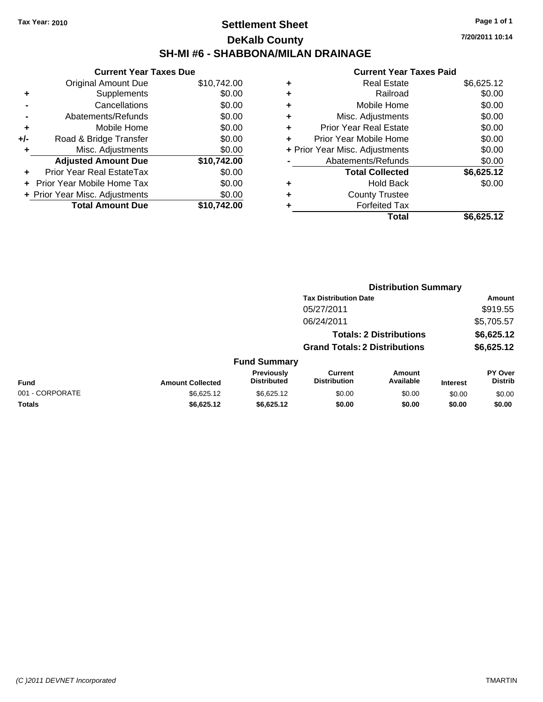# **Settlement Sheet Tax Year: 2010 Page 1 of 1 DeKalb County SH-MI #6 - SHABBONA/MILAN DRAINAGE**

**7/20/2011 10:14**

| <b>Current Year Taxes Due</b>     |                                |  |  |  |
|-----------------------------------|--------------------------------|--|--|--|
| <b>Original Amount Due</b>        | \$10,742.00                    |  |  |  |
| Supplements                       | \$0.00                         |  |  |  |
| Cancellations                     | \$0.00                         |  |  |  |
| Abatements/Refunds                | \$0.00                         |  |  |  |
| Mobile Home                       | \$0.00                         |  |  |  |
| Road & Bridge Transfer            | \$0.00                         |  |  |  |
| Misc. Adjustments                 | \$0.00                         |  |  |  |
| <b>Adjusted Amount Due</b>        | \$10,742.00                    |  |  |  |
| Prior Year Real EstateTax         | \$0.00                         |  |  |  |
| <b>Prior Year Mobile Home Tax</b> | \$0.00                         |  |  |  |
|                                   | \$0.00                         |  |  |  |
| <b>Total Amount Due</b>           | \$10.742.00                    |  |  |  |
|                                   | + Prior Year Misc. Adjustments |  |  |  |

| ٠ | Real Estate                    | \$6,625.12 |
|---|--------------------------------|------------|
| ٠ | Railroad                       | \$0.00     |
| ٠ | Mobile Home                    | \$0.00     |
| ٠ | Misc. Adjustments              | \$0.00     |
| ÷ | <b>Prior Year Real Estate</b>  | \$0.00     |
| ٠ | Prior Year Mobile Home         | \$0.00     |
|   | + Prior Year Misc. Adjustments | \$0.00     |
|   | Abatements/Refunds             | \$0.00     |
|   | <b>Total Collected</b>         | \$6,625.12 |
| ٠ | Hold Back                      | \$0.00     |
| ٠ | <b>County Trustee</b>          |            |
| ٠ | <b>Forfeited Tax</b>           |            |
|   | Total                          | \$6,625.12 |
|   |                                |            |

|                 |                         |                                  | <b>Distribution Summary</b>           |                                |                 |                           |  |
|-----------------|-------------------------|----------------------------------|---------------------------------------|--------------------------------|-----------------|---------------------------|--|
|                 |                         |                                  | <b>Tax Distribution Date</b>          |                                |                 | Amount                    |  |
|                 |                         |                                  | 05/27/2011                            |                                |                 | \$919.55                  |  |
|                 |                         |                                  | 06/24/2011                            |                                |                 | \$5,705.57                |  |
|                 |                         |                                  |                                       | <b>Totals: 2 Distributions</b> |                 | \$6,625.12                |  |
|                 |                         |                                  | <b>Grand Totals: 2 Distributions</b>  |                                |                 | \$6,625.12                |  |
|                 |                         | <b>Fund Summary</b>              |                                       |                                |                 |                           |  |
| Fund            | <b>Amount Collected</b> | Previously<br><b>Distributed</b> | <b>Current</b><br><b>Distribution</b> | Amount<br>Available            | <b>Interest</b> | PY Over<br><b>Distrib</b> |  |
| 001 - CORPORATE | \$6,625.12              | \$6,625.12                       | \$0.00                                | \$0.00                         | \$0.00          | \$0.00                    |  |
| Totals          | \$6,625.12              | \$6,625.12                       | \$0.00                                | \$0.00                         | \$0.00          | \$0.00                    |  |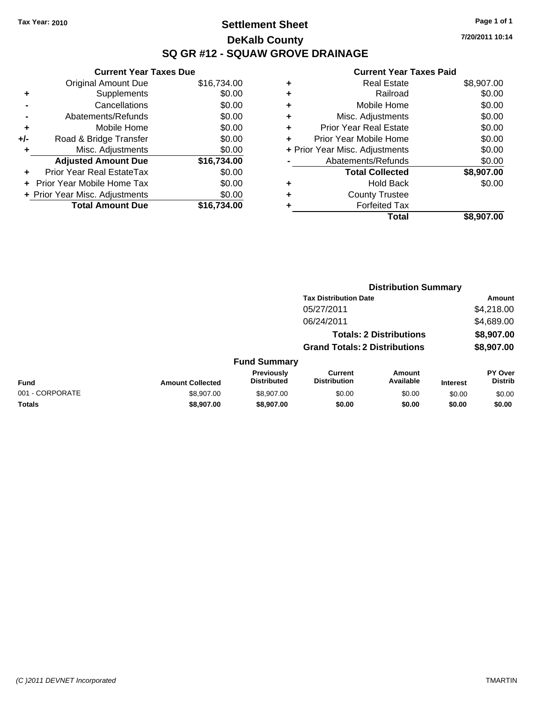### **Settlement Sheet Tax Year: 2010 Page 1 of 1 DeKalb County SQ GR #12 - SQUAW GROVE DRAINAGE**

**7/20/2011 10:14**

|     | <b>Current Year Taxes Due</b>  |             |  |  |  |  |
|-----|--------------------------------|-------------|--|--|--|--|
|     | <b>Original Amount Due</b>     | \$16,734.00 |  |  |  |  |
| ٠   | Supplements                    | \$0.00      |  |  |  |  |
|     | Cancellations                  | \$0.00      |  |  |  |  |
|     | Abatements/Refunds             | \$0.00      |  |  |  |  |
| ٠   | Mobile Home                    | \$0.00      |  |  |  |  |
| +/- | Road & Bridge Transfer         | \$0.00      |  |  |  |  |
| ٠   | Misc. Adjustments              | \$0.00      |  |  |  |  |
|     | <b>Adjusted Amount Due</b>     | \$16,734.00 |  |  |  |  |
| ٠   | Prior Year Real EstateTax      | \$0.00      |  |  |  |  |
|     | Prior Year Mobile Home Tax     | \$0.00      |  |  |  |  |
|     | + Prior Year Misc. Adjustments | \$0.00      |  |  |  |  |
|     | <b>Total Amount Due</b>        | \$16.734.00 |  |  |  |  |

| ٠ | <b>Real Estate</b>             | \$8,907.00 |
|---|--------------------------------|------------|
| ٠ | Railroad                       | \$0.00     |
| ٠ | Mobile Home                    | \$0.00     |
| ٠ | Misc. Adjustments              | \$0.00     |
| ÷ | <b>Prior Year Real Estate</b>  | \$0.00     |
| ÷ | Prior Year Mobile Home         | \$0.00     |
|   | + Prior Year Misc. Adjustments | \$0.00     |
|   | Abatements/Refunds             | \$0.00     |
|   | <b>Total Collected</b>         | \$8,907.00 |
| ٠ | <b>Hold Back</b>               | \$0.00     |
| ٠ | <b>County Trustee</b>          |            |
| ٠ | <b>Forfeited Tax</b>           |            |
|   | Total                          | \$8,907.00 |
|   |                                |            |

|                 |                         |                                  | <b>Distribution Summary</b>           |                                |                 |                           |  |
|-----------------|-------------------------|----------------------------------|---------------------------------------|--------------------------------|-----------------|---------------------------|--|
|                 |                         |                                  | <b>Tax Distribution Date</b>          |                                |                 | Amount                    |  |
|                 |                         |                                  | 05/27/2011                            |                                |                 | \$4,218.00                |  |
|                 |                         |                                  | 06/24/2011                            |                                |                 | \$4,689.00                |  |
|                 |                         |                                  |                                       | <b>Totals: 2 Distributions</b> |                 | \$8,907.00                |  |
|                 |                         |                                  | <b>Grand Totals: 2 Distributions</b>  |                                |                 | \$8,907.00                |  |
|                 |                         | <b>Fund Summary</b>              |                                       |                                |                 |                           |  |
| Fund            | <b>Amount Collected</b> | Previously<br><b>Distributed</b> | <b>Current</b><br><b>Distribution</b> | Amount<br>Available            | <b>Interest</b> | PY Over<br><b>Distrib</b> |  |
| 001 - CORPORATE | \$8,907.00              | \$8,907.00                       | \$0.00                                | \$0.00                         | \$0.00          | \$0.00                    |  |
| Totals          | \$8,907.00              | \$8,907.00                       | \$0.00                                | \$0.00                         | \$0.00          | \$0.00                    |  |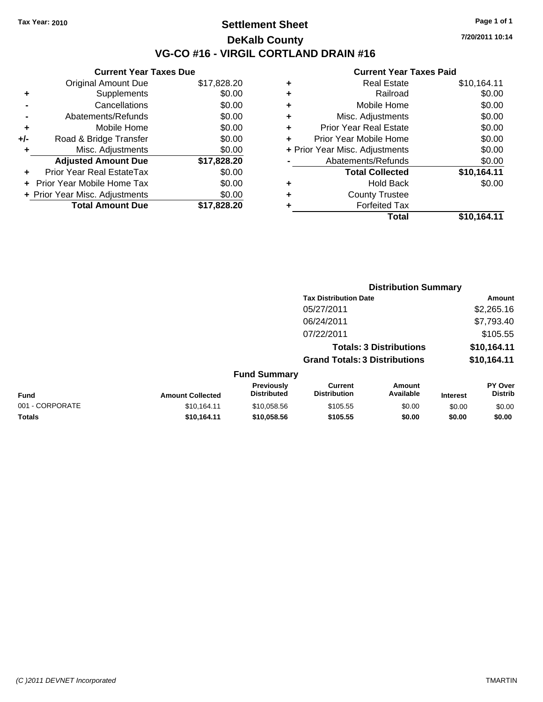### **Settlement Sheet Tax Year: 2010 Page 1 of 1 DeKalb County VG-CO #16 - VIRGIL CORTLAND DRAIN #16**

**7/20/2011 10:14**

|       | <b>Current Year Taxes Due</b>     |             |
|-------|-----------------------------------|-------------|
|       | <b>Original Amount Due</b>        | \$17,828.20 |
| ٠     | Supplements                       | \$0.00      |
|       | Cancellations                     | \$0.00      |
|       | Abatements/Refunds                | \$0.00      |
| ٠     | Mobile Home                       | \$0.00      |
| $+/-$ | Road & Bridge Transfer            | \$0.00      |
|       | Misc. Adjustments                 | \$0.00      |
|       | <b>Adjusted Amount Due</b>        | \$17,828.20 |
| ÷     | Prior Year Real EstateTax         | \$0.00      |
|       | <b>Prior Year Mobile Home Tax</b> | \$0.00      |
|       | + Prior Year Misc. Adjustments    | \$0.00      |
|       | <b>Total Amount Due</b>           | \$17,828.20 |
|       |                                   |             |

| ٠ | <b>Real Estate</b>             | \$10,164.11 |
|---|--------------------------------|-------------|
| ٠ | Railroad                       | \$0.00      |
| ٠ | Mobile Home                    | \$0.00      |
| ٠ | Misc. Adjustments              | \$0.00      |
| ٠ | Prior Year Real Estate         | \$0.00      |
| ٠ | Prior Year Mobile Home         | \$0.00      |
|   | + Prior Year Misc. Adjustments | \$0.00      |
|   | Abatements/Refunds             | \$0.00      |
|   | <b>Total Collected</b>         | \$10,164.11 |
| ٠ | <b>Hold Back</b>               | \$0.00      |
| ٠ | <b>County Trustee</b>          |             |
| ٠ | <b>Forfeited Tax</b>           |             |
|   | Total                          | \$10,164.11 |
|   |                                |             |

|                 |                         |                                  |                                       | <b>Distribution Summary</b>    |                 |                                  |
|-----------------|-------------------------|----------------------------------|---------------------------------------|--------------------------------|-----------------|----------------------------------|
|                 |                         |                                  | <b>Tax Distribution Date</b>          |                                |                 | Amount                           |
|                 |                         |                                  | 05/27/2011                            |                                |                 | \$2,265.16                       |
|                 |                         |                                  | 06/24/2011                            |                                |                 | \$7,793.40                       |
|                 |                         |                                  | 07/22/2011                            |                                |                 | \$105.55                         |
|                 |                         |                                  |                                       | <b>Totals: 3 Distributions</b> |                 | \$10,164.11                      |
|                 |                         |                                  | <b>Grand Totals: 3 Distributions</b>  |                                |                 | \$10,164.11                      |
|                 |                         | <b>Fund Summary</b>              |                                       |                                |                 |                                  |
| Fund            | <b>Amount Collected</b> | Previously<br><b>Distributed</b> | <b>Current</b><br><b>Distribution</b> | Amount<br>Available            | <b>Interest</b> | <b>PY Over</b><br><b>Distrib</b> |
| 001 - CORPORATE | \$10,164.11             | \$10,058.56                      | \$105.55                              | \$0.00                         | \$0.00          | \$0.00                           |
| Totals          | \$10,164.11             | \$10,058.56                      | \$105.55                              | \$0.00                         | \$0.00          | \$0.00                           |
|                 |                         |                                  |                                       |                                |                 |                                  |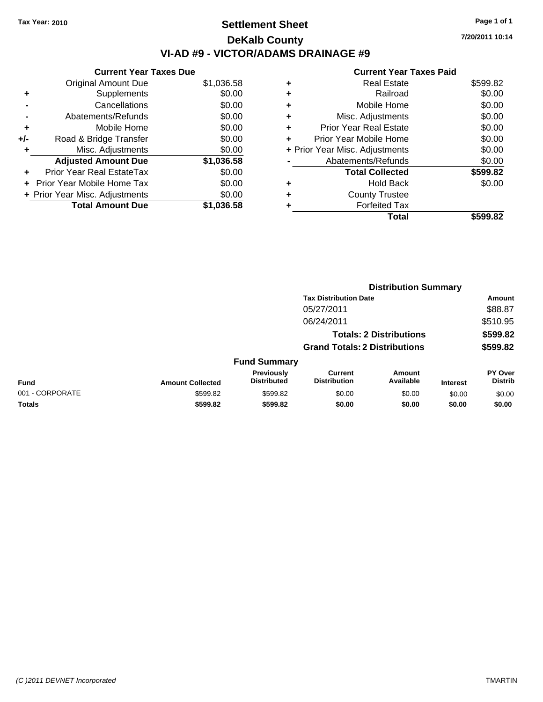# **Settlement Sheet Tax Year: 2010 Page 1 of 1 DeKalb County VI-AD #9 - VICTOR/ADAMS DRAINAGE #9**

**7/20/2011 10:14**

|     | <b>Current Year Taxes Due</b>  |            |
|-----|--------------------------------|------------|
|     | <b>Original Amount Due</b>     | \$1,036.58 |
| ٠   | Supplements                    | \$0.00     |
|     | Cancellations                  | \$0.00     |
|     | Abatements/Refunds             | \$0.00     |
| ٠   | Mobile Home                    | \$0.00     |
| +/- | Road & Bridge Transfer         | \$0.00     |
|     | Misc. Adjustments              | \$0.00     |
|     | <b>Adjusted Amount Due</b>     | \$1,036.58 |
|     | Prior Year Real EstateTax      | \$0.00     |
|     | Prior Year Mobile Home Tax     | \$0.00     |
|     | + Prior Year Misc. Adjustments | \$0.00     |
|     | <b>Total Amount Due</b>        | \$1,036.58 |
|     |                                |            |

|   | Total                          | \$599.82 |
|---|--------------------------------|----------|
| ٠ | <b>Forfeited Tax</b>           |          |
| ٠ | <b>County Trustee</b>          |          |
| ٠ | Hold Back                      | \$0.00   |
|   | <b>Total Collected</b>         | \$599.82 |
|   | Abatements/Refunds             | \$0.00   |
|   | + Prior Year Misc. Adjustments | \$0.00   |
|   | Prior Year Mobile Home         | \$0.00   |
| ÷ | Prior Year Real Estate         | \$0.00   |
| ٠ | Misc. Adjustments              | \$0.00   |
| ÷ | Mobile Home                    | \$0.00   |
| ٠ | Railroad                       | \$0.00   |
| ٠ | <b>Real Estate</b>             | \$599.82 |
|   |                                |          |

|                 |                         |                                  |                                       | <b>Distribution Summary</b>    |                 |                           |
|-----------------|-------------------------|----------------------------------|---------------------------------------|--------------------------------|-----------------|---------------------------|
|                 |                         |                                  | <b>Tax Distribution Date</b>          |                                |                 | Amount                    |
|                 |                         |                                  | 05/27/2011                            |                                |                 | \$88.87                   |
|                 |                         |                                  | 06/24/2011                            |                                |                 | \$510.95                  |
|                 |                         |                                  |                                       | <b>Totals: 2 Distributions</b> |                 | \$599.82                  |
|                 |                         |                                  | <b>Grand Totals: 2 Distributions</b>  |                                |                 | \$599.82                  |
|                 |                         | <b>Fund Summary</b>              |                                       |                                |                 |                           |
| <b>Fund</b>     | <b>Amount Collected</b> | Previously<br><b>Distributed</b> | <b>Current</b><br><b>Distribution</b> | Amount<br>Available            | <b>Interest</b> | PY Over<br><b>Distrib</b> |
| 001 - CORPORATE | \$599.82                | \$599.82                         | \$0.00                                | \$0.00                         | \$0.00          | \$0.00                    |
| Totals          | \$599.82                | \$599.82                         | \$0.00                                | \$0.00                         | \$0.00          | \$0.00                    |
|                 |                         |                                  |                                       |                                |                 |                           |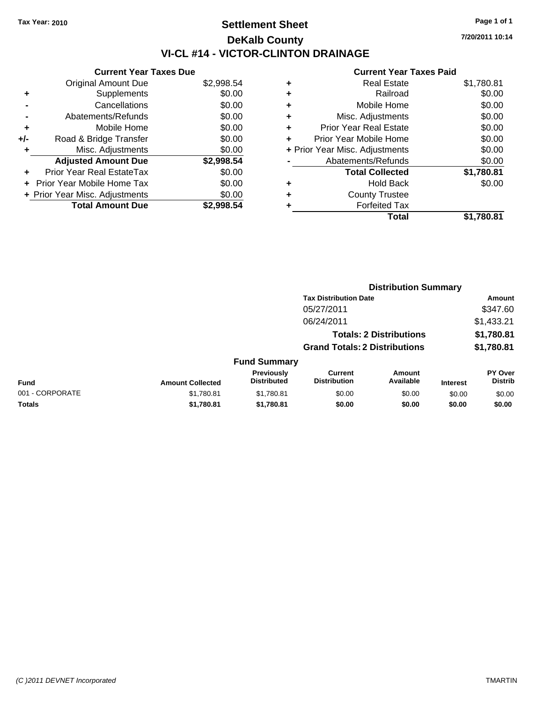# **Settlement Sheet Tax Year: 2010 Page 1 of 1 DeKalb County VI-CL #14 - VICTOR-CLINTON DRAINAGE**

**7/20/2011 10:14**

|     | <b>Current Year Taxes Due</b>     |            |
|-----|-----------------------------------|------------|
|     | <b>Original Amount Due</b>        | \$2,998.54 |
| ٠   | Supplements                       | \$0.00     |
|     | Cancellations                     | \$0.00     |
|     | Abatements/Refunds                | \$0.00     |
| ٠   | Mobile Home                       | \$0.00     |
| +/- | Road & Bridge Transfer            | \$0.00     |
| ٠   | Misc. Adjustments                 | \$0.00     |
|     | <b>Adjusted Amount Due</b>        | \$2,998.54 |
| ٠   | Prior Year Real EstateTax         | \$0.00     |
|     | <b>Prior Year Mobile Home Tax</b> | \$0.00     |
|     | + Prior Year Misc. Adjustments    | \$0.00     |
|     | <b>Total Amount Due</b>           | \$2.998.54 |

| ٠ | <b>Real Estate</b>             | \$1,780.81 |
|---|--------------------------------|------------|
| ٠ | Railroad                       | \$0.00     |
| ٠ | Mobile Home                    | \$0.00     |
| ٠ | Misc. Adjustments              | \$0.00     |
| ÷ | <b>Prior Year Real Estate</b>  | \$0.00     |
| ÷ | Prior Year Mobile Home         | \$0.00     |
|   | + Prior Year Misc. Adjustments | \$0.00     |
|   | Abatements/Refunds             | \$0.00     |
|   | <b>Total Collected</b>         | \$1,780.81 |
| ٠ | Hold Back                      | \$0.00     |
| ٠ | <b>County Trustee</b>          |            |
| ٠ | <b>Forfeited Tax</b>           |            |
|   | Total                          | \$1,780.81 |
|   |                                |            |

|                 |                         |                                  |                                       | <b>Distribution Summary</b>    |                 |                                  |
|-----------------|-------------------------|----------------------------------|---------------------------------------|--------------------------------|-----------------|----------------------------------|
|                 |                         |                                  | <b>Tax Distribution Date</b>          |                                |                 | Amount                           |
|                 |                         |                                  | 05/27/2011                            |                                |                 | \$347.60                         |
|                 |                         |                                  | 06/24/2011                            |                                |                 | \$1,433.21                       |
|                 |                         |                                  |                                       | <b>Totals: 2 Distributions</b> |                 | \$1,780.81                       |
|                 |                         |                                  | <b>Grand Totals: 2 Distributions</b>  |                                |                 | \$1,780.81                       |
|                 |                         | <b>Fund Summary</b>              |                                       |                                |                 |                                  |
| Fund            | <b>Amount Collected</b> | Previously<br><b>Distributed</b> | <b>Current</b><br><b>Distribution</b> | Amount<br>Available            | <b>Interest</b> | <b>PY Over</b><br><b>Distrib</b> |
| 001 - CORPORATE | \$1,780.81              | \$1,780.81                       | \$0.00                                | \$0.00                         | \$0.00          | \$0.00                           |
| Totals          | \$1,780.81              | \$1,780.81                       | \$0.00                                | \$0.00                         | \$0.00          | \$0.00                           |